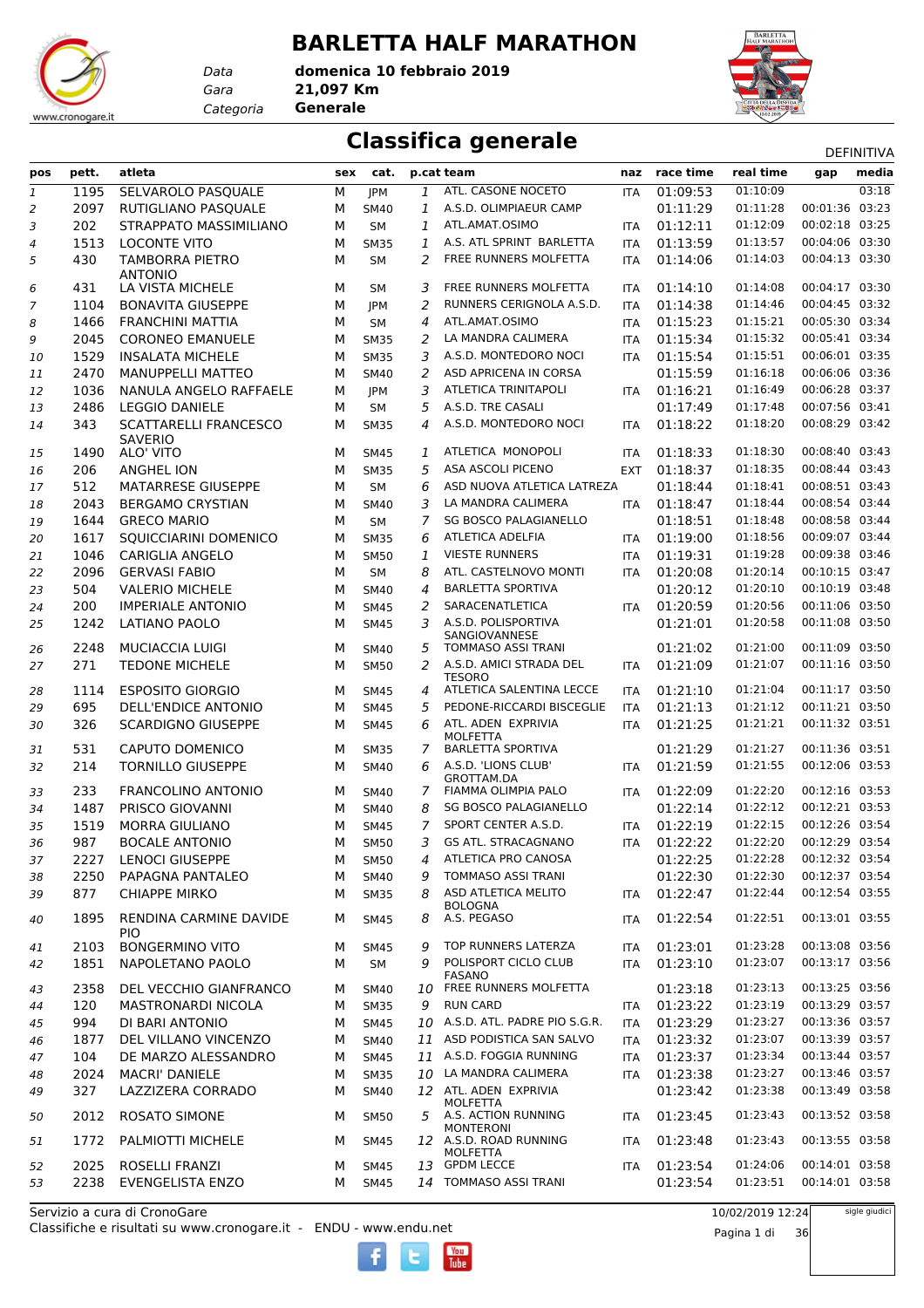#### **BARLETTA HALF MARATHON**

*Gara* **21,097 Km domenica 10 febbraio 2019**



#### **Classifica generale** Definitival Definitival

| pos                       | pett.      | atleta                                              | sex | cat.        |         | p.cat team                                     | naz        | race time            | real time            |                                  | <b>レ니 !!!!!!!</b><br>media |
|---------------------------|------------|-----------------------------------------------------|-----|-------------|---------|------------------------------------------------|------------|----------------------|----------------------|----------------------------------|----------------------------|
| $\ensuremath{\mathbf{1}}$ | 1195       | SELVAROLO PASQUALE                                  | М   | <b>JPM</b>  | 1       | ATL. CASONE NOCETO                             | <b>ITA</b> | 01:09:53             | 01:10:09             | gap                              | 03:18                      |
|                           | 2097       | RUTIGLIANO PASQUALE                                 | М   | <b>SM40</b> | 1       | A.S.D. OLIMPIAEUR CAMP                         |            | 01:11:29             | 01:11:28             | 00:01:36 03:23                   |                            |
| $\overline{2}$            | 202        | STRAPPATO MASSIMILIANO                              | М   | SM          | 1       | ATL.AMAT.OSIMO                                 |            | 01:12:11             | 01:12:09             | 00:02:18 03:25                   |                            |
| 3                         | 1513       | <b>LOCONTE VITO</b>                                 | М   | <b>SM35</b> | 1       | A.S. ATL SPRINT BARLETTA                       | ITA<br>ITA | 01:13:59             | 01:13:57             | 00:04:06 03:30                   |                            |
| 4                         | 430        | TAMBORRA PIETRO                                     | М   |             | 2       | FREE RUNNERS MOLFETTA                          |            | 01:14:06             | 01:14:03             | 00:04:13 03:30                   |                            |
| 5                         |            | <b>ANTONIO</b>                                      |     | <b>SM</b>   |         |                                                | <b>ITA</b> |                      |                      |                                  |                            |
| 6                         | 431        | LA VISTA MICHELE                                    | М   | <b>SM</b>   | 3       | FREE RUNNERS MOLFETTA                          | <b>ITA</b> | 01:14:10             | 01:14:08             | 00:04:17 03:30                   |                            |
| 7                         | 1104       | <b>BONAVITA GIUSEPPE</b>                            | М   | <b>JPM</b>  | 2       | RUNNERS CERIGNOLA A.S.D.                       | <b>ITA</b> | 01:14:38             | 01:14:46             | 00:04:45 03:32                   |                            |
| 8                         | 1466       | <b>FRANCHINI MATTIA</b>                             | М   | <b>SM</b>   | 4       | ATL.AMAT.OSIMO                                 | ITA        | 01:15:23             | 01:15:21             | 00:05:30 03:34                   |                            |
| 9                         | 2045       | <b>CORONEO EMANUELE</b>                             | М   | <b>SM35</b> | 2       | LA MANDRA CALIMERA                             | <b>ITA</b> | 01:15:34             | 01:15:32             | 00:05:41 03:34                   |                            |
| 10                        | 1529       | <b>INSALATA MICHELE</b>                             | М   | <b>SM35</b> | 3       | A.S.D. MONTEDORO NOCI                          | <b>ITA</b> | 01:15:54             | 01:15:51             | 00:06:01 03:35                   |                            |
| 11                        | 2470       | MANUPPELLI MATTEO                                   | М   | SM40        | 2       | ASD APRICENA IN CORSA                          |            | 01:15:59             | 01:16:18             | 00:06:06 03:36                   |                            |
| 12                        | 1036       | NANULA ANGELO RAFFAELE                              | М   | JPM         | 3       | <b>ATLETICA TRINITAPOLI</b>                    | <b>ITA</b> | 01:16:21             | 01:16:49             | 00:06:28 03:37                   |                            |
| 13                        | 2486       | <b>LEGGIO DANIELE</b>                               | М   | SM          | 5       | A.S.D. TRE CASALI                              |            | 01:17:49             | 01:17:48             | 00:07:56 03:41                   |                            |
| 14                        | 343        | <b>SCATTARELLI FRANCESCO</b>                        | М   | <b>SM35</b> | 4       | A.S.D. MONTEDORO NOCI                          | <b>ITA</b> | 01:18:22             | 01:18:20             | 00:08:29 03:42                   |                            |
|                           |            | <b>SAVERIO</b>                                      |     |             |         |                                                |            |                      |                      |                                  |                            |
| 15                        | 1490       | ALO' VITO                                           | м   | <b>SM45</b> | 1       | ATLETICA MONOPOLI                              | <b>ITA</b> | 01:18:33             | 01:18:30             | 00:08:40 03:43                   |                            |
| 16                        | 206        | <b>ANGHEL ION</b>                                   | М   | <b>SM35</b> | 5       | ASA ASCOLI PICENO                              | <b>EXT</b> | 01:18:37             | 01:18:35             | 00:08:44 03:43                   |                            |
| 17                        | 512        | MATARRESE GIUSEPPE                                  | М   | SM          | 6       | ASD NUOVA ATLETICA LATREZA                     |            | 01:18:44             | 01:18:41             | 00:08:51 03:43                   |                            |
| 18                        | 2043       | <b>BERGAMO CRYSTIAN</b>                             | М   | SM40        | 3       | LA MANDRA CALIMERA                             | <b>ITA</b> | 01:18:47             | 01:18:44             | 00:08:54 03:44                   |                            |
| 19                        | 1644       | <b>GRECO MARIO</b>                                  | М   | SM          | 7       | <b>SG BOSCO PALAGIANELLO</b>                   |            | 01:18:51             | 01:18:48             | 00:08:58 03:44                   |                            |
| 20                        | 1617       | SQUICCIARINI DOMENICO                               | М   | <b>SM35</b> | 6       | <b>ATLETICA ADELFIA</b>                        | <b>ITA</b> | 01:19:00             | 01:18:56             | 00:09:07 03:44                   |                            |
| 21                        | 1046       | <b>CARIGLIA ANGELO</b>                              | М   | <b>SM50</b> | 1       | <b>VIESTE RUNNERS</b>                          | <b>ITA</b> | 01:19:31             | 01:19:28             | 00:09:38 03:46                   |                            |
| 22                        | 2096       | <b>GERVASI FABIO</b>                                | М   | <b>SM</b>   | 8       | ATL. CASTELNOVO MONTI                          | <b>ITA</b> | 01:20:08             | 01:20:14             | 00:10:15 03:47                   |                            |
| 23                        | 504        | <b>VALERIO MICHELE</b>                              | М   | SM40        | 4       | <b>BARLETTA SPORTIVA</b>                       |            | 01:20:12             | 01:20:10             | 00:10:19 03:48                   |                            |
| 24                        | 200        | <b>IMPERIALE ANTONIO</b>                            | м   | <b>SM45</b> | 2       | SARACENATLETICA                                | <b>ITA</b> | 01:20:59             | 01:20:56             | 00:11:06 03:50                   |                            |
| 25                        | 1242       | LATIANO PAOLO                                       | М   | <b>SM45</b> | 3       | A.S.D. POLISPORTIVA                            |            | 01:21:01             | 01:20:58             | 00:11:08 03:50                   |                            |
| 26                        | 2248       | <b>MUCIACCIA LUIGI</b>                              | М   | <b>SM40</b> | 5       | SANGIOVANNESE<br><b>TOMMASO ASSI TRANI</b>     |            | 01:21:02             | 01:21:00             | 00:11:09 03:50                   |                            |
| 27                        | 271        | <b>TEDONE MICHELE</b>                               | М   | <b>SM50</b> | 2       | A.S.D. AMICI STRADA DEL                        | <b>ITA</b> | 01:21:09             | 01:21:07             | 00:11:16 03:50                   |                            |
|                           |            |                                                     |     |             |         | <b>TESORO</b>                                  |            |                      |                      |                                  |                            |
| 28                        | 1114       | <b>ESPOSITO GIORGIO</b>                             | M   | <b>SM45</b> | 4       | ATLETICA SALENTINA LECCE                       | <b>ITA</b> | 01:21:10             | 01:21:04             | 00:11:17 03:50                   |                            |
| 29                        | 695        | <b>DELL'ENDICE ANTONIO</b>                          | М   | <b>SM45</b> | 5       | PEDONE-RICCARDI BISCEGLIE                      | <b>ITA</b> | 01:21:13             | 01:21:12             | 00:11:21 03:50                   |                            |
| 30                        | 326        | <b>SCARDIGNO GIUSEPPE</b>                           | М   | <b>SM45</b> | 6       | ATL. ADEN EXPRIVIA                             | <b>ITA</b> | 01:21:25             | 01:21:21             | 00:11:32 03:51                   |                            |
| 31                        | 531        | <b>CAPUTO DOMENICO</b>                              | М   | <b>SM35</b> | 7       | <b>MOLFETTA</b><br><b>BARLETTA SPORTIVA</b>    |            | 01:21:29             | 01:21:27             | 00:11:36 03:51                   |                            |
| 32                        | 214        | <b>TORNILLO GIUSEPPE</b>                            | М   | <b>SM40</b> | 6       | A.S.D. 'LIONS CLUB'                            | <b>ITA</b> | 01:21:59             | 01:21:55             | 00:12:06 03:53                   |                            |
|                           |            |                                                     |     |             |         | <b>GROTTAM.DA</b>                              |            |                      |                      |                                  |                            |
| 33                        | 233        | <b>FRANCOLINO ANTONIO</b>                           | М   | SM40        | 7       | FIAMMA OLIMPIA PALO                            | <b>ITA</b> | 01:22:09             | 01:22:20             | 00:12:16 03:53                   |                            |
| 34                        | 1487       | PRISCO GIOVANNI                                     | М   | SM40        | 8       | <b>SG BOSCO PALAGIANELLO</b>                   |            | 01:22:14             | 01:22:12             | 00:12:21 03:53                   |                            |
| 35                        | 1519       | <b>MORRA GIULIANO</b>                               | м   | <b>SM45</b> | 7       | SPORT CENTER A.S.D.                            | <b>ITA</b> | 01:22:19             | 01:22:15             | 00:12:26 03:54                   |                            |
| 36                        | 987        | <b>BOCALE ANTONIO</b>                               | М   | <b>SM50</b> | 3       | <b>GS ATL. STRACAGNANO</b>                     | <b>ITA</b> | 01:22:22             | 01:22:20             | 00:12:29 03:54                   |                            |
| 37                        | 2227       | LENOCI GIUSEPPE                                     | М   | <b>SM50</b> | 4       | ATLETICA PRO CANOSA                            |            | 01:22:25             | 01:22:28             | 00:12:32 03:54                   |                            |
| 38                        | 2250       | PAPAGNA PANTALEO                                    | М   | SM40        | 9       | TOMMASO ASSI TRANI                             |            | 01:22:30             | 01:22:30             | 00:12:37 03:54                   |                            |
| 39                        | 877        | <b>CHIAPPE MIRKO</b>                                | M   | <b>SM35</b> | 8       | ASD ATLETICA MELITO                            | <b>ITA</b> | 01:22:47             | 01:22:44             | 00:12:54 03:55                   |                            |
| 40                        | 1895       | RENDINA CARMINE DAVIDE                              | м   | <b>SM45</b> | 8       | <b>BOLOGNA</b><br>A.S. PEGASO                  | <b>ITA</b> | 01:22:54             | 01:22:51             | 00:13:01 03:55                   |                            |
|                           |            | <b>PIO</b>                                          |     |             |         |                                                |            |                      |                      |                                  |                            |
| 41                        | 2103       | <b>BONGERMINO VITO</b>                              | м   | <b>SM45</b> | 9       | TOP RUNNERS LATERZA                            | <b>ITA</b> | 01:23:01             | 01:23:28             | 00:13:08 03:56                   |                            |
| 42                        | 1851       | NAPOLETANO PAOLO                                    | М   | SM          | q       | POLISPORT CICLO CLUB                           | <b>ITA</b> | 01:23:10             | 01:23:07             | 00:13:17 03:56                   |                            |
|                           |            |                                                     |     |             |         | <b>FASANO</b><br>10 FREE RUNNERS MOLFETTA      |            |                      | 01:23:13             | 00:13:25 03:56                   |                            |
| 43                        | 2358       | DEL VECCHIO GIANFRANCO<br><b>MASTRONARDI NICOLA</b> | м   | SM40        |         | <b>RUN CARD</b>                                |            | 01:23:18<br>01:23:22 | 01:23:19             | 00:13:29 03:57                   |                            |
| 44                        | 120<br>994 |                                                     | М   | <b>SM35</b> | 9<br>10 | A.S.D. ATL. PADRE PIO S.G.R.                   | ITA        | 01:23:29             | 01:23:27             | 00:13:36 03:57                   |                            |
| 45                        |            | DI BARI ANTONIO                                     | М   | <b>SM45</b> |         | 11 ASD PODISTICA SAN SALVO                     | ITA        |                      | 01:23:07             | 00:13:39 03:57                   |                            |
| 46                        | 1877       | DEL VILLANO VINCENZO                                | М   | <b>SM40</b> |         |                                                | ITA        | 01:23:32             |                      |                                  |                            |
| 47                        | 104        | DE MARZO ALESSANDRO                                 | М   | <b>SM45</b> | 10      | 11 A.S.D. FOGGIA RUNNING<br>LA MANDRA CALIMERA | <b>ITA</b> | 01:23:37<br>01:23:38 | 01:23:34<br>01:23:27 | 00:13:44 03:57<br>00:13:46 03:57 |                            |
| 48                        | 2024       | <b>MACRI' DANIELE</b>                               | М   | <b>SM35</b> |         | 12 ATL. ADEN EXPRIVIA                          | ITA        |                      |                      |                                  |                            |
| 49                        | 327        | LAZZIZERA CORRADO                                   | М   | <b>SM40</b> |         | <b>MOLFETTA</b>                                |            | 01:23:42             | 01:23:38             | 00:13:49 03:58                   |                            |
| 50                        | 2012       | <b>ROSATO SIMONE</b>                                | м   | <b>SM50</b> |         | 5 A.S. ACTION RUNNING                          | <b>ITA</b> | 01:23:45             | 01:23:43             | 00:13:52 03:58                   |                            |
|                           |            |                                                     |     |             |         | <b>MONTERONI</b>                               |            |                      |                      |                                  |                            |
| 51                        | 1772       | <b>PALMIOTTI MICHELE</b>                            | м   | <b>SM45</b> |         | 12 A.S.D. ROAD RUNNING<br><b>MOLFETTA</b>      | <b>ITA</b> | 01:23:48             | 01:23:43             | 00:13:55 03:58                   |                            |
| 52                        | 2025       | ROSELLI FRANZI                                      | м   | <b>SM45</b> |         | 13 GPDM LECCE                                  | <b>ITA</b> | 01:23:54             | 01:24:06             | 00:14:01 03:58                   |                            |
| 53                        | 2238       | EVENGELISTA ENZO                                    | M   | <b>SM45</b> |         | 14 TOMMASO ASSI TRANI                          |            | 01:23:54             | 01:23:51             | 00:14:01 03:58                   |                            |
|                           |            |                                                     |     |             |         |                                                |            |                      |                      |                                  |                            |
|                           |            | Servizio a cura di CronoGare                        |     |             |         |                                                |            |                      | 10/02/2019 12:24     |                                  | sigle giudici              |

Classifiche e risultati su www.cronogare.it - ENDU - www.endu.net





*Data Categoria* **Generale**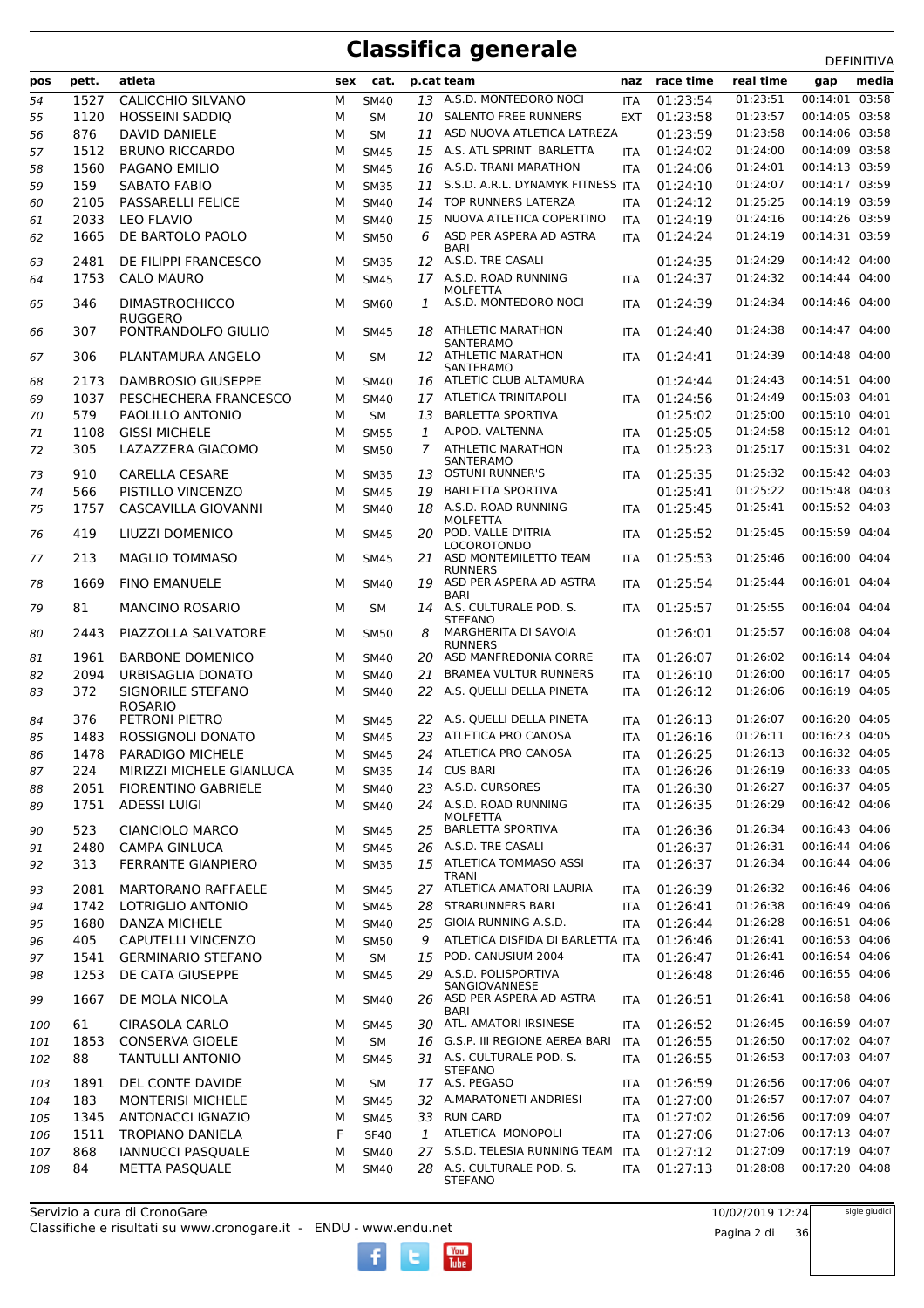|     |       | atleta                     |     |             |              |                                             |            | race time | real time |                |
|-----|-------|----------------------------|-----|-------------|--------------|---------------------------------------------|------------|-----------|-----------|----------------|
| pos | pett. |                            | sex | cat.        |              | p.cat team                                  | naz        |           |           | media<br>gap   |
| 54  | 1527  | <b>CALICCHIO SILVANO</b>   | М   | <b>SM40</b> | 13           | A.S.D. MONTEDORO NOCI                       | <b>ITA</b> | 01:23:54  | 01:23:51  | 00:14:01 03:58 |
| 55  | 1120  | <b>HOSSEINI SADDIO</b>     | м   | SМ          | 10           | <b>SALENTO FREE RUNNERS</b>                 | <b>EXT</b> | 01:23:58  | 01:23:57  | 00:14:05 03:58 |
| 56  | 876   | <b>DAVID DANIELE</b>       | М   | <b>SM</b>   | 11           | ASD NUOVA ATLETICA LATREZA                  |            | 01:23:59  | 01:23:58  | 00:14:06 03:58 |
| 57  | 1512  | <b>BRUNO RICCARDO</b>      | М   | <b>SM45</b> |              | 15 A.S. ATL SPRINT BARLETTA                 | <b>ITA</b> | 01:24:02  | 01:24:00  | 00:14:09 03:58 |
| 58  | 1560  | PAGANO EMILIO              | М   | <b>SM45</b> |              | 16 A.S.D. TRANI MARATHON                    | <b>ITA</b> | 01:24:06  | 01:24:01  | 00:14:13 03:59 |
| 59  | 159   | <b>SABATO FABIO</b>        | М   | <b>SM35</b> | 11           | S.S.D. A.R.L. DYNAMYK FITNESS ITA           |            | 01:24:10  | 01:24:07  | 00:14:17 03:59 |
| 60  | 2105  | <b>PASSARELLI FELICE</b>   | М   | <b>SM40</b> | 14           | TOP RUNNERS LATERZA                         | ITA        | 01:24:12  | 01:25:25  | 00:14:19 03:59 |
| 61  | 2033  | <b>LEO FLAVIO</b>          | М   | <b>SM40</b> | 15           | NUOVA ATLETICA COPERTINO                    | <b>ITA</b> | 01:24:19  | 01:24:16  | 00:14:26 03:59 |
| 62  | 1665  | DE BARTOLO PAOLO           | М   | <b>SM50</b> | 6            | ASD PER ASPERA AD ASTRA                     | <b>ITA</b> | 01:24:24  | 01:24:19  | 00:14:31 03:59 |
|     | 2481  | DE FILIPPI FRANCESCO       | м   | <b>SM35</b> |              | <b>BARI</b><br>12 A.S.D. TRE CASALI         |            | 01:24:35  | 01:24:29  | 00:14:42 04:00 |
| 63  |       |                            |     |             |              | 17 A.S.D. ROAD RUNNING                      |            |           | 01:24:32  | 00:14:44 04:00 |
| 64  | 1753  | <b>CALO MAURO</b>          | м   | <b>SM45</b> |              | MOLFETTA                                    | <b>ITA</b> | 01:24:37  |           |                |
| 65  | 346   | <b>DIMASTROCHICCO</b>      | м   | <b>SM60</b> | 1            | A.S.D. MONTEDORO NOCI                       | <b>ITA</b> | 01:24:39  | 01:24:34  | 00:14:46 04:00 |
|     |       | <b>RUGGERO</b>             |     |             |              |                                             |            |           |           |                |
| 66  | 307   | PONTRANDOLFO GIULIO        | м   | <b>SM45</b> | 18           | <b>ATHLETIC MARATHON</b><br>SANTERAMO       | <b>ITA</b> | 01:24:40  | 01:24:38  | 00:14:47 04:00 |
| 67  | 306   | PLANTAMURA ANGELO          | м   | <b>SM</b>   |              | 12 ATHLETIC MARATHON                        | <b>ITA</b> | 01:24:41  | 01:24:39  | 00:14:48 04:00 |
|     |       |                            |     |             |              | SANTERAMO                                   |            |           |           |                |
| 68  | 2173  | <b>DAMBROSIO GIUSEPPE</b>  | м   | <b>SM40</b> | 16           | ATLETIC CLUB ALTAMURA                       |            | 01:24:44  | 01:24:43  | 00:14:51 04:00 |
| 69  | 1037  | PESCHECHERA FRANCESCO      | М   | <b>SM40</b> | 17           | ATLETICA TRINITAPOLI                        | <b>ITA</b> | 01:24:56  | 01:24:49  | 00:15:03 04:01 |
| 70  | 579   | PAOLILLO ANTONIO           | м   | <b>SM</b>   | 13           | <b>BARLETTA SPORTIVA</b>                    |            | 01:25:02  | 01:25:00  | 00:15:10 04:01 |
| 71  | 1108  | <b>GISSI MICHELE</b>       | М   | <b>SM55</b> | 1            | A.POD. VALTENNA                             | <b>ITA</b> | 01:25:05  | 01:24:58  | 00:15:12 04:01 |
| 72  | 305   | LAZAZZERA GIACOMO          | М   | <b>SM50</b> | 7            | <b>ATHLETIC MARATHON</b>                    | <b>ITA</b> | 01:25:23  | 01:25:17  | 00:15:31 04:02 |
| 73  | 910   | <b>CARELLA CESARE</b>      | М   | <b>SM35</b> | 13           | SANTERAMO<br><b>OSTUNI RUNNER'S</b>         | <b>ITA</b> | 01:25:35  | 01:25:32  | 00:15:42 04:03 |
| 74  | 566   | PISTILLO VINCENZO          | М   | <b>SM45</b> | 19           | <b>BARLETTA SPORTIVA</b>                    |            | 01:25:41  | 01:25:22  | 00:15:48 04:03 |
| 75  | 1757  | CASCAVILLA GIOVANNI        | М   | <b>SM40</b> | 18           | A.S.D. ROAD RUNNING                         | <b>ITA</b> | 01:25:45  | 01:25:41  | 00:15:52 04:03 |
|     |       |                            |     |             |              | MOLFETTA                                    |            |           |           |                |
| 76  | 419   | LIUZZI DOMENICO            | м   | <b>SM45</b> |              | 20 POD. VALLE D'ITRIA                       | <b>ITA</b> | 01:25:52  | 01:25:45  | 00:15:59 04:04 |
| 77  | 213   | <b>MAGLIO TOMMASO</b>      | м   | <b>SM45</b> | 21           | <b>LOCOROTONDO</b><br>ASD MONTEMILETTO TEAM | <b>ITA</b> | 01:25:53  | 01:25:46  | 00:16:00 04:04 |
|     |       |                            |     |             |              | <b>RUNNERS</b>                              |            |           |           |                |
| 78  | 1669  | <b>FINO EMANUELE</b>       | м   | <b>SM40</b> | 19           | ASD PER ASPERA AD ASTRA                     | <b>ITA</b> | 01:25:54  | 01:25:44  | 00:16:01 04:04 |
| 79  | 81    | <b>MANCINO ROSARIO</b>     | м   | <b>SM</b>   |              | <b>BARI</b><br>14 A.S. CULTURALE POD. S.    | ITA        | 01:25:57  | 01:25:55  | 00:16:04 04:04 |
|     |       |                            |     |             |              | <b>STEFANO</b>                              |            |           |           |                |
| 80  | 2443  | PIAZZOLLA SALVATORE        | м   | <b>SM50</b> | 8            | MARGHERITA DI SAVOIA                        |            | 01:26:01  | 01:25:57  | 00:16:08 04:04 |
|     | 1961  | <b>BARBONE DOMENICO</b>    | м   | <b>SM40</b> | 20           | <b>RUNNERS</b><br>ASD MANFREDONIA CORRE     | <b>ITA</b> | 01:26:07  | 01:26:02  | 00:16:14 04:04 |
| 81  | 2094  | URBISAGLIA DONATO          | М   | <b>SM40</b> | 21           | <b>BRAMEA VULTUR RUNNERS</b>                |            | 01:26:10  | 01:26:00  | 00:16:17 04:05 |
| 82  | 372   | SIGNORILE STEFANO          |     |             |              | 22 A.S. QUELLI DELLA PINETA                 | <b>ITA</b> | 01:26:12  | 01:26:06  | 00:16:19 04:05 |
| 83  |       | <b>ROSARIO</b>             | М   | <b>SM40</b> |              |                                             | ITA        |           |           |                |
| 84  | 376   | PETRONI PIETRO             | м   | <b>SM45</b> |              | 22 A.S. QUELLI DELLA PINETA                 | <b>ITA</b> | 01:26:13  | 01:26:07  | 00:16:20 04:05 |
| 85  | 1483  | ROSSIGNOLI DONATO          | М   | <b>SM45</b> | 23           | ATLETICA PRO CANOSA                         | <b>ITA</b> | 01:26:16  | 01:26:11  | 00:16:23 04:05 |
| 86  | 1478  | PARADIGO MICHELE           | м   | <b>SM45</b> |              | 24 ATLETICA PRO CANOSA                      | <b>ITA</b> | 01:26:25  | 01:26:13  | 00:16:32 04:05 |
| 87  | 224   | MIRIZZI MICHELE GIANLUCA   | м   | <b>SM35</b> |              | 14 CUS BARI                                 | ITA        | 01:26:26  | 01:26:19  | 00:16:33 04:05 |
| 88  | 2051  | <b>FIORENTINO GABRIELE</b> | М   | <b>SM40</b> | 23           | A.S.D. CURSORES                             | <b>ITA</b> | 01:26:30  | 01:26:27  | 00:16:37 04:05 |
| 89  | 1751  | <b>ADESSI LUIGI</b>        | М   | SM40        |              | 24 A.S.D. ROAD RUNNING                      | ITA        | 01:26:35  | 01:26:29  | 00:16:42 04:06 |
|     |       |                            |     |             |              | <b>MOLFETTA</b>                             |            |           |           |                |
| 90  | 523   | <b>CIANCIOLO MARCO</b>     | м   | <b>SM45</b> | 25           | <b>BARLETTA SPORTIVA</b>                    | <b>ITA</b> | 01:26:36  | 01:26:34  | 00:16:43 04:06 |
| 91  | 2480  | CAMPA GINLUCA              | М   | <b>SM45</b> |              | 26 A.S.D. TRE CASALI                        |            | 01:26:37  | 01:26:31  | 00:16:44 04:06 |
| 92  | 313   | <b>FERRANTE GIANPIERO</b>  | М   | <b>SM35</b> |              | 15 ATLETICA TOMMASO ASSI                    | <b>ITA</b> | 01:26:37  | 01:26:34  | 00:16:44 04:06 |
| 93  | 2081  | <b>MARTORANO RAFFAELE</b>  | м   | <b>SM45</b> |              | <b>TRANI</b><br>27 ATLETICA AMATORI LAURIA  | <b>ITA</b> | 01:26:39  | 01:26:32  | 00:16:46 04:06 |
| 94  | 1742  | LOTRIGLIO ANTONIO          | м   | <b>SM45</b> |              | 28 STRARUNNERS BARI                         | ITA        | 01:26:41  | 01:26:38  | 00:16:49 04:06 |
|     |       |                            |     |             |              |                                             |            |           | 01:26:28  | 00:16:51 04:06 |
| 95  | 1680  | DANZA MICHELE              | м   | SM40        | 25           | GIOIA RUNNING A.S.D.                        | <b>ITA</b> | 01:26:44  |           |                |
| 96  | 405   | CAPUTELLI VINCENZO         | М   | <b>SM50</b> | 9            | ATLETICA DISFIDA DI BARLETTA ITA            |            | 01:26:46  | 01:26:41  | 00:16:53 04:06 |
| 97  | 1541  | <b>GERMINARIO STEFANO</b>  | м   | SM          | 15           | POD. CANUSIUM 2004                          | <b>ITA</b> | 01:26:47  | 01:26:41  | 00:16:54 04:06 |
| 98  | 1253  | DE CATA GIUSEPPE           | м   | <b>SM45</b> | 29           | A.S.D. POLISPORTIVA<br>SANGIOVANNESE        |            | 01:26:48  | 01:26:46  | 00:16:55 04:06 |
| 99  | 1667  | DE MOLA NICOLA             | м   | <b>SM40</b> |              | 26 ASD PER ASPERA AD ASTRA                  | ITA        | 01:26:51  | 01:26:41  | 00:16:58 04:06 |
|     |       |                            |     |             |              | <b>BARI</b>                                 |            |           |           |                |
| 100 | 61    | <b>CIRASOLA CARLO</b>      | м   | <b>SM45</b> | 30           | ATL. AMATORI IRSINESE                       | ITA        | 01:26:52  | 01:26:45  | 00:16:59 04:07 |
| 101 | 1853  | <b>CONSERVA GIOELE</b>     | М   | SM          |              | 16 G.S.P. III REGIONE AEREA BARI            | ITA        | 01:26:55  | 01:26:50  | 00:17:02 04:07 |
| 102 | 88    | <b>TANTULLI ANTONIO</b>    | М   | <b>SM45</b> |              | 31 A.S. CULTURALE POD. S.                   | ITA        | 01:26:55  | 01:26:53  | 00:17:03 04:07 |
| 103 | 1891  | DEL CONTE DAVIDE           | м   | SM          |              | <b>STEFANO</b><br>17 A.S. PEGASO            | <b>ITA</b> | 01:26:59  | 01:26:56  | 00:17:06 04:07 |
| 104 | 183   | <b>MONTERISI MICHELE</b>   | м   | <b>SM45</b> |              | 32 A.MARATONETI ANDRIESI                    | ITA        | 01:27:00  | 01:26:57  | 00:17:07 04:07 |
| 105 | 1345  | ANTONACCI IGNAZIO          | М   | <b>SM45</b> |              | 33 RUN CARD                                 | ITA        | 01:27:02  | 01:26:56  | 00:17:09 04:07 |
|     | 1511  | <b>TROPIANO DANIELA</b>    | F   | <b>SF40</b> | $\mathbf{1}$ | ATLETICA MONOPOLI                           |            | 01:27:06  | 01:27:06  | 00:17:13 04:07 |
| 106 | 868   |                            |     |             |              | 27 S.S.D. TELESIA RUNNING TEAM              | ITA        | 01:27:12  | 01:27:09  | 00:17:19 04:07 |
| 107 |       | <b>IANNUCCI PASQUALE</b>   | М   | SM40        |              | 28 A.S. CULTURALE POD. S.                   | ITA        |           | 01:28:08  | 00:17:20 04:08 |
| 108 | 84    | METTA PASQUALE             | м   | SM40        |              | <b>STEFANO</b>                              | ITA        | 01:27:13  |           |                |

 $\begin{bmatrix}\n\frac{\text{Vou}}{\text{Iube}}\n\end{bmatrix}$ 

Pagina 2 di 36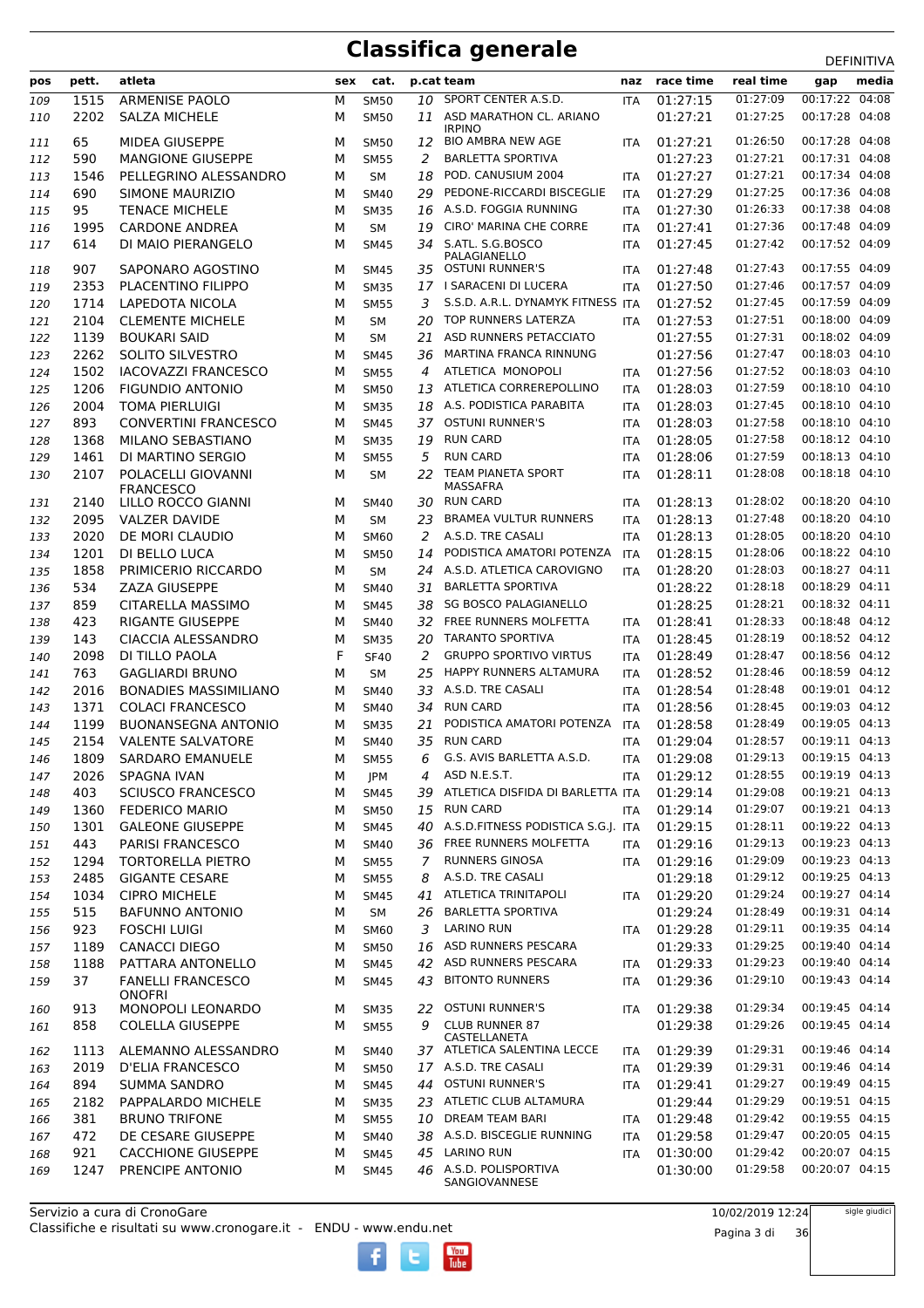|            |             |                                                      |        |                            |                |                                                          |                          |                      |                      | DEFINITIVA                       |
|------------|-------------|------------------------------------------------------|--------|----------------------------|----------------|----------------------------------------------------------|--------------------------|----------------------|----------------------|----------------------------------|
| pos        | pett.       | atleta                                               |        | sex cat.                   |                | p.cat team                                               |                          | naz race time        | real time            | media<br>gap                     |
| 109        | 1515        | ARMENISE PAOLO                                       | М      | <b>SM50</b>                | 10             | SPORT CENTER A.S.D.                                      | <b>ITA</b>               | 01:27:15             | 01:27:09             | 00:17:22 04:08                   |
| 110        | 2202        | <b>SALZA MICHELE</b>                                 | м      | <b>SM50</b>                |                | 11 ASD MARATHON CL. ARIANO<br><b>IRPINO</b>              |                          | 01:27:21             | 01:27:25             | 00:17:28 04:08                   |
| 111        | 65          | <b>MIDEA GIUSEPPE</b>                                | м      | <b>SM50</b>                | 12             | <b>BIO AMBRA NEW AGE</b>                                 | <b>ITA</b>               | 01:27:21             | 01:26:50             | 00:17:28 04:08                   |
| 112        | 590         | <b>MANGIONE GIUSEPPE</b>                             | М      | <b>SM55</b>                | 2              | <b>BARLETTA SPORTIVA</b>                                 |                          | 01:27:23             | 01:27:21             | 00:17:31 04:08                   |
| 113        | 1546        | PELLEGRINO ALESSANDRO                                | М      | <b>SM</b>                  | 18             | POD. CANUSIUM 2004                                       | <b>ITA</b>               | 01:27:27             | 01:27:21             | 00:17:34 04:08                   |
| 114        | 690         | SIMONE MAURIZIO                                      | м      | <b>SM40</b>                | 29             | PEDONE-RICCARDI BISCEGLIE                                | <b>ITA</b>               | 01:27:29             | 01:27:25             | 00:17:36 04:08                   |
| 115        | 95          | <b>TENACE MICHELE</b>                                | M      | <b>SM35</b>                |                | 16 A.S.D. FOGGIA RUNNING                                 | <b>ITA</b>               | 01:27:30             | 01:26:33             | 00:17:38 04:08                   |
| 116        | 1995        | <b>CARDONE ANDREA</b>                                | М      | <b>SM</b>                  | 19             | CIRO' MARINA CHE CORRE                                   | <b>ITA</b>               | 01:27:41             | 01:27:36             | 00:17:48 04:09                   |
| 117        | 614         | DI MAIO PIERANGELO                                   | M      | <b>SM45</b>                | 34             | S.ATL. S.G.BOSCO<br>PALAGIANELLO                         | <b>ITA</b>               | 01:27:45             | 01:27:42             | 00:17:52 04:09                   |
| 118        | 907         | SAPONARO AGOSTINO                                    | м      | <b>SM45</b>                | 35             | <b>OSTUNI RUNNER'S</b>                                   | <b>ITA</b>               | 01:27:48             | 01:27:43             | 00:17:55 04:09                   |
| 119        | 2353        | PLACENTINO FILIPPO                                   | м      | <b>SM35</b>                |                | 17 I SARACENI DI LUCERA                                  | <b>ITA</b>               | 01:27:50             | 01:27:46             | 00:17:57 04:09                   |
| 120        | 1714        | <b>LAPEDOTA NICOLA</b>                               | M      | <b>SM55</b>                | 3              | S.S.D. A.R.L. DYNAMYK FITNESS ITA                        |                          | 01:27:52             | 01:27:45             | 00:17:59 04:09                   |
| 121        | 2104        | <b>CLEMENTE MICHELE</b>                              | М      | <b>SM</b>                  | 20             | TOP RUNNERS LATERZA                                      | <b>ITA</b>               | 01:27:53             | 01:27:51             | 00:18:00 04:09                   |
| 122        | 1139        | <b>BOUKARI SAID</b>                                  | М      | <b>SM</b>                  | 21             | ASD RUNNERS PETACCIATO                                   |                          | 01:27:55             | 01:27:31             | 00:18:02 04:09                   |
| 123        | 2262        | SOLITO SILVESTRO                                     | м      | <b>SM45</b>                | 36             | MARTINA FRANCA RINNUNG                                   |                          | 01:27:56             | 01:27:47             | 00:18:03 04:10                   |
| 124        | 1502        | <b>IACOVAZZI FRANCESCO</b>                           | М      | <b>SM55</b>                | 4              | ATLETICA MONOPOLI                                        | <b>ITA</b>               | 01:27:56             | 01:27:52             | 00:18:03 04:10                   |
| 125        | 1206        | <b>FIGUNDIO ANTONIO</b>                              | м      | <b>SM50</b>                | 13             | ATLETICA CORREREPOLLINO                                  | <b>ITA</b>               | 01:28:03             | 01:27:59             | 00:18:10 04:10                   |
| 126        | 2004<br>893 | <b>TOMA PIERLUIGI</b><br><b>CONVERTINI FRANCESCO</b> | M<br>М | <b>SM35</b><br><b>SM45</b> | 37             | 18 A.S. PODISTICA PARABITA<br><b>OSTUNI RUNNER'S</b>     | <b>ITA</b>               | 01:28:03<br>01:28:03 | 01:27:45<br>01:27:58 | 00:18:10 04:10<br>00:18:10 04:10 |
| 127<br>128 | 1368        | MILANO SEBASTIANO                                    | м      | <b>SM35</b>                | 19             | <b>RUN CARD</b>                                          | <b>ITA</b><br><b>ITA</b> | 01:28:05             | 01:27:58             | 00:18:12 04:10                   |
| 129        | 1461        | DI MARTINO SERGIO                                    | М      | <b>SM55</b>                | 5              | <b>RUN CARD</b>                                          | <b>ITA</b>               | 01:28:06             | 01:27:59             | 00:18:13 04:10                   |
| 130        | 2107        | POLACELLI GIOVANNI                                   | M      | <b>SM</b>                  | 22             | TEAM PIANETA SPORT                                       | <b>ITA</b>               | 01:28:11             | 01:28:08             | 00:18:18 04:10                   |
|            |             | <b>FRANCESCO</b>                                     |        |                            |                | MASSAFRA                                                 |                          |                      |                      |                                  |
| 131        | 2140        | LILLO ROCCO GIANNI                                   | м      | <b>SM40</b>                |                | 30 RUN CARD                                              | <b>ITA</b>               | 01:28:13             | 01:28:02             | 00:18:20 04:10                   |
| 132        | 2095        | <b>VALZER DAVIDE</b>                                 | м      | <b>SM</b>                  | 23             | <b>BRAMEA VULTUR RUNNERS</b>                             | <b>ITA</b>               | 01:28:13             | 01:27:48             | 00:18:20 04:10                   |
| 133        | 2020        | DE MORI CLAUDIO                                      | М      | <b>SM60</b>                | 2              | A.S.D. TRE CASALI                                        | <b>ITA</b>               | 01:28:13             | 01:28:05             | 00:18:20 04:10                   |
| 134        | 1201        | DI BELLO LUCA                                        | М      | <b>SM50</b>                | 14             | PODISTICA AMATORI POTENZA                                | <b>ITA</b>               | 01:28:15             | 01:28:06             | 00:18:22 04:10                   |
| 135        | 1858        | PRIMICERIO RICCARDO                                  | М      | <b>SM</b>                  |                | 24 A.S.D. ATLETICA CAROVIGNO                             | <b>ITA</b>               | 01:28:20             | 01:28:03             | 00:18:27 04:11<br>00:18:29 04:11 |
| 136        | 534<br>859  | <b>ZAZA GIUSEPPE</b>                                 | М<br>M | <b>SM40</b>                | 31<br>38       | <b>BARLETTA SPORTIVA</b><br><b>SG BOSCO PALAGIANELLO</b> |                          | 01:28:22<br>01:28:25 | 01:28:18<br>01:28:21 | 00:18:32 04:11                   |
| 137<br>138 | 423         | CITARELLA MASSIMO<br><b>RIGANTE GIUSEPPE</b>         | м      | <b>SM45</b><br><b>SM40</b> | 32             | FREE RUNNERS MOLFETTA                                    | ITA                      | 01:28:41             | 01:28:33             | 00:18:48 04:12                   |
| 139        | 143         | <b>CIACCIA ALESSANDRO</b>                            | М      | <b>SM35</b>                | 20             | TARANTO SPORTIVA                                         | <b>ITA</b>               | 01:28:45             | 01:28:19             | 00:18:52 04:12                   |
| 140        | 2098        | DI TILLO PAOLA                                       | F      | <b>SF40</b>                | 2              | <b>GRUPPO SPORTIVO VIRTUS</b>                            | <b>ITA</b>               | 01:28:49             | 01:28:47             | 00:18:56 04:12                   |
| 141        | 763         | <b>GAGLIARDI BRUNO</b>                               | м      | <b>SM</b>                  | 25             | HAPPY RUNNERS ALTAMURA                                   | <b>ITA</b>               | 01:28:52             | 01:28:46             | 00:18:59 04:12                   |
| 142        | 2016        | <b>BONADIES MASSIMILIANO</b>                         | м      | <b>SM40</b>                | 33             | A.S.D. TRE CASALI                                        | <b>ITA</b>               | 01:28:54             | 01:28:48             | 00:19:01 04:12                   |
| 143        | 1371        | <b>COLACI FRANCESCO</b>                              | M      | <b>SM40</b>                | 34             | <b>RUN CARD</b>                                          | <b>ITA</b>               | 01:28:56             | 01:28:45             | 00:19:03 04:12                   |
| 144        | 1199        | <b>BUONANSEGNA ANTONIO</b>                           | м      | <b>SM35</b>                | 21             | PODISTICA AMATORI POTENZA                                | <b>ITA</b>               | 01:28:58             | 01:28:49             | 00:19:05 04:13                   |
| 145        | 2154        | <b>VALENTE SALVATORE</b>                             | M      | <b>SM40</b>                |                | 35 RUN CARD                                              | <b>ITA</b>               | 01:29:04             | 01:28:57             | 00:19:11 04:13                   |
| 146        | 1809        | SARDARO EMANUELE                                     | M      | <b>SM55</b>                | 6              | G.S. AVIS BARLETTA A.S.D.                                | <b>ITA</b>               | 01:29:08             |                      | 01:29:13  00:19:15  04:13        |
| 147        | 2026        | SPAGNA IVAN                                          | м      | JPM                        | 4              | ASD N.E.S.T.                                             | ITA                      | 01:29:12             | 01:28:55             | 00:19:19 04:13                   |
| 148        | 403         | <b>SCIUSCO FRANCESCO</b>                             | М      | <b>SM45</b>                | 39             | ATLETICA DISFIDA DI BARLETTA ITA                         |                          | 01:29:14             | 01:29:08             | 00:19:21 04:13                   |
| 149        | 1360        | <b>FEDERICO MARIO</b>                                | М      | <b>SM50</b>                |                | 15 RUN CARD                                              | <b>ITA</b>               | 01:29:14             | 01:29:07             | 00:19:21 04:13                   |
| 150        | 1301        | <b>GALEONE GIUSEPPE</b>                              | м      | <b>SM45</b>                |                | 40 A.S.D. FITNESS PODISTICA S.G.I. ITA                   |                          | 01:29:15             | 01:28:11             | 00:19:22 04:13<br>00:19:23 04:13 |
| 151        | 443<br>1294 | <b>PARISI FRANCESCO</b><br><b>TORTORELLA PIETRO</b>  | М<br>М | <b>SM40</b><br><b>SM55</b> | $\overline{7}$ | 36 FREE RUNNERS MOLFETTA<br><b>RUNNERS GINOSA</b>        | <b>ITA</b><br><b>ITA</b> | 01:29:16<br>01:29:16 | 01:29:13<br>01:29:09 | 00:19:23 04:13                   |
| 152<br>153 | 2485        | <b>GIGANTE CESARE</b>                                | М      | <b>SM55</b>                | 8              | A.S.D. TRE CASALI                                        |                          | 01:29:18             | 01:29:12             | 00:19:25 04:13                   |
| 154        | 1034        | <b>CIPRO MICHELE</b>                                 | М      | <b>SM45</b>                | 41             | ATLETICA TRINITAPOLI                                     | ITA                      | 01:29:20             | 01:29:24             | 00:19:27 04:14                   |
| 155        | 515         | <b>BAFUNNO ANTONIO</b>                               | М      | <b>SM</b>                  | 26             | <b>BARLETTA SPORTIVA</b>                                 |                          | 01:29:24             | 01:28:49             | 00:19:31 04:14                   |
| 156        | 923         | <b>FOSCHI LUIGI</b>                                  | м      | <b>SM60</b>                | 3              | <b>LARINO RUN</b>                                        | ITA.                     | 01:29:28             | 01:29:11             | 00:19:35 04:14                   |
| 157        | 1189        | <b>CANACCI DIEGO</b>                                 | М      | <b>SM50</b>                | 16             | ASD RUNNERS PESCARA                                      |                          | 01:29:33             | 01:29:25             | 00:19:40 04:14                   |
| 158        | 1188        | PATTARA ANTONELLO                                    | М      | <b>SM45</b>                |                | 42 ASD RUNNERS PESCARA                                   | ITA                      | 01:29:33             | 01:29:23             | 00:19:40 04:14                   |
| 159        | 37          | <b>FANELLI FRANCESCO</b>                             | М      | <b>SM45</b>                | 43             | <b>BITONTO RUNNERS</b>                                   | ITA                      | 01:29:36             | 01:29:10             | 00:19:43 04:14                   |
|            |             | <b>ONOFRI</b>                                        |        |                            |                |                                                          |                          |                      |                      |                                  |
| 160        | 913         | MONOPOLI LEONARDO                                    | м      | <b>SM35</b>                | 22             | <b>OSTUNI RUNNER'S</b>                                   | ITA                      | 01:29:38             | 01:29:34             | 00:19:45 04:14                   |
| 161        | 858         | <b>COLELLA GIUSEPPE</b>                              | М      | <b>SM55</b>                | 9              | <b>CLUB RUNNER 87</b><br>CASTELLANETA                    |                          | 01:29:38             | 01:29:26             | 00:19:45 04:14                   |
| 162        | 1113        | ALEMANNO ALESSANDRO                                  | м      | <b>SM40</b>                |                | 37 ATLETICA SALENTINA LECCE                              | ITA                      | 01:29:39             | 01:29:31             | 00:19:46 04:14                   |
| 163        | 2019        | D'ELIA FRANCESCO                                     | М      | <b>SM50</b>                |                | 17 A.S.D. TRE CASALI                                     | ITA                      | 01:29:39             | 01:29:31             | 00:19:46 04:14                   |
| 164        | 894         | <b>SUMMA SANDRO</b>                                  | М      | <b>SM45</b>                |                | 44 OSTUNI RUNNER'S                                       | <b>ITA</b>               | 01:29:41             | 01:29:27             | 00:19:49 04:15                   |
| 165        | 2182        | PAPPALARDO MICHELE                                   | М      | <b>SM35</b>                |                | 23 ATLETIC CLUB ALTAMURA                                 |                          | 01:29:44             | 01:29:29             | 00:19:51 04:15                   |
| 166        | 381         | <b>BRUNO TRIFONE</b>                                 | М      | <b>SM55</b>                | 10             | DREAM TEAM BARI                                          | ITA                      | 01:29:48             | 01:29:42             | 00:19:55 04:15                   |
| 167        | 472<br>921  | DE CESARE GIUSEPPE<br><b>CACCHIONE GIUSEPPE</b>      | М      | <b>SM40</b>                | 45             | 38 A.S.D. BISCEGLIE RUNNING<br><b>LARINO RUN</b>         | ITA                      | 01:29:58<br>01:30:00 | 01:29:47<br>01:29:42 | 00:20:05 04:15<br>00:20:07 04:15 |
| 168<br>169 | 1247        | PRENCIPE ANTONIO                                     | М<br>М | <b>SM45</b><br><b>SM45</b> |                | 46 A.S.D. POLISPORTIVA                                   | ITA                      | 01:30:00             | 01:29:58             | 00:20:07 04:15                   |
|            |             |                                                      |        |                            |                | SANGIOVANNESE                                            |                          |                      |                      |                                  |

 $\begin{bmatrix}\n\frac{\text{Vou}}{\text{Iube}}\n\end{bmatrix}$ 

Classifiche e risultati su www.cronogare.it - ENDU - www.endu.net Servizio a cura di CronoGare

10/02/2019 12:24

Pagina 3 di 36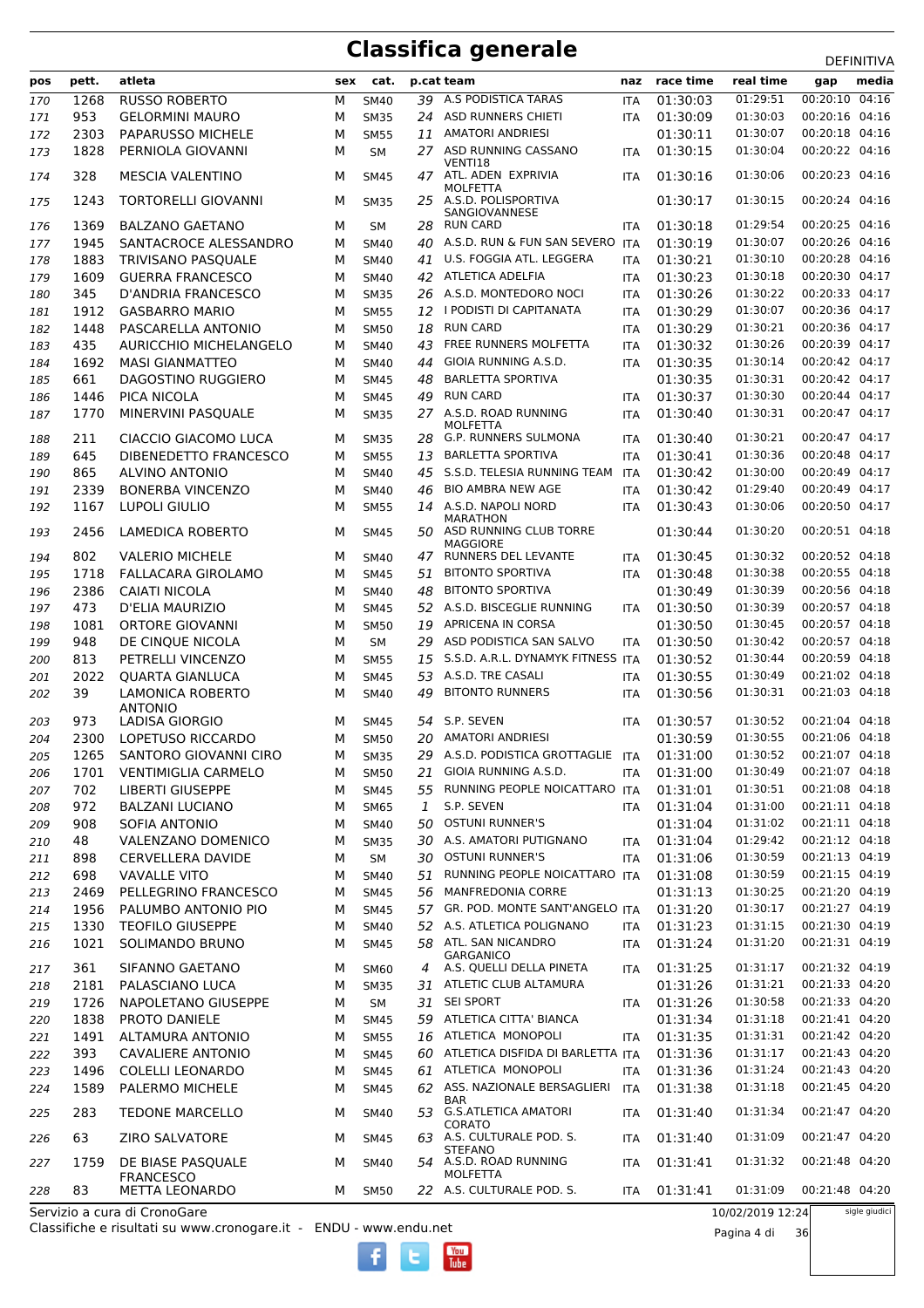| pos        | pett.     | atleta                                    | sex    | cat.                       |     | p.cat team                                                            | naz                      | race time            | real time            | gap                              | media |
|------------|-----------|-------------------------------------------|--------|----------------------------|-----|-----------------------------------------------------------------------|--------------------------|----------------------|----------------------|----------------------------------|-------|
| 170        | 1268      | <b>RUSSO ROBERTO</b>                      | М      | <b>SM40</b>                | 39  | A.S PODISTICA TARAS                                                   | <b>ITA</b>               | 01:30:03             | 01:29:51             | 00:20:10                         | 04:16 |
| 171        | 953       | <b>GELORMINI MAURO</b>                    | М      | <b>SM35</b>                | 24  | ASD RUNNERS CHIETI                                                    | ITA                      | 01:30:09             | 01:30:03             | 00:20:16 04:16                   |       |
| 172        | 2303      | PAPARUSSO MICHELE                         | м      | <b>SM55</b>                | 11  | <b>AMATORI ANDRIESI</b>                                               |                          | 01:30:11             | 01:30:07             | 00:20:18 04:16                   |       |
| 173        | 1828      | PERNIOLA GIOVANNI                         | м      | <b>SM</b>                  |     | 27 ASD RUNNING CASSANO                                                | <b>ITA</b>               | 01:30:15             | 01:30:04             | 00:20:22 04:16                   |       |
| 174        | 328       | <b>MESCIA VALENTINO</b>                   | м      | <b>SM45</b>                | 47  | VENTI18<br>ATL. ADEN EXPRIVIA                                         | <b>ITA</b>               | 01:30:16             | 01:30:06             | 00:20:23 04:16                   |       |
| 175        | 1243      | <b>TORTORELLI GIOVANNI</b>                | м      | <b>SM35</b>                | 25. | <b>MOLFETTA</b><br>A.S.D. POLISPORTIVA                                |                          | 01:30:17             | 01:30:15             | 00:20:24 04:16                   |       |
| 176        | 1369      | <b>BALZANO GAETANO</b>                    | м      | <b>SM</b>                  | 28  | SANGIOVANNESE<br><b>RUN CARD</b>                                      | <b>ITA</b>               | 01:30:18             | 01:29:54             | 00:20:25 04:16                   |       |
| 177        | 1945      | SANTACROCE ALESSANDRO                     | м      | <b>SM40</b>                | 40  | A.S.D. RUN & FUN SAN SEVERO ITA                                       |                          | 01:30:19             | 01:30:07             | 00:20:26 04:16                   |       |
|            | 1883      | <b>TRIVISANO PASQUALE</b>                 | м      | <b>SM40</b>                | 41  | U.S. FOGGIA ATL. LEGGERA                                              | <b>ITA</b>               | 01:30:21             | 01:30:10             | 00:20:28 04:16                   |       |
| 178        | 1609      | <b>GUERRA FRANCESCO</b>                   | м      | <b>SM40</b>                |     | 42 ATLETICA ADELFIA                                                   |                          | 01:30:23             | 01:30:18             | 00:20:30 04:17                   |       |
| 179<br>180 | 345       | <b>D'ANDRIA FRANCESCO</b>                 | М      | <b>SM35</b>                | 26  | A.S.D. MONTEDORO NOCI                                                 | <b>ITA</b><br><b>ITA</b> | 01:30:26             | 01:30:22             | 00:20:33 04:17                   |       |
| 181        | 1912      | <b>GASBARRO MARIO</b>                     | М      | <b>SM55</b>                | 12  | I PODISTI DI CAPITANATA                                               | <b>ITA</b>               | 01:30:29             | 01:30:07             | 00:20:36 04:17                   |       |
| 182        | 1448      | PASCARELLA ANTONIO                        | м      | <b>SM50</b>                | 18  | <b>RUN CARD</b>                                                       | <b>ITA</b>               | 01:30:29             | 01:30:21             | 00:20:36 04:17                   |       |
| 183        | 435       | AURICCHIO MICHELANGELO                    | м      | <b>SM40</b>                | 43  | FREE RUNNERS MOLFETTA                                                 | <b>ITA</b>               | 01:30:32             | 01:30:26             | 00:20:39 04:17                   |       |
| 184        | 1692      | <b>MASI GIANMATTEO</b>                    | м      | <b>SM40</b>                | 44  | GIOIA RUNNING A.S.D.                                                  | <b>ITA</b>               | 01:30:35             | 01:30:14             | 00:20:42 04:17                   |       |
| 185        | 661       | DAGOSTINO RUGGIERO                        | м      | <b>SM45</b>                | 48  | <b>BARLETTA SPORTIVA</b>                                              |                          | 01:30:35             | 01:30:31             | 00:20:42 04:17                   |       |
| 186        | 1446      | PICA NICOLA                               | м      | <b>SM45</b>                | 49  | <b>RUN CARD</b>                                                       | <b>ITA</b>               | 01:30:37             | 01:30:30             | 00:20:44 04:17                   |       |
| 187        | 1770      | MINERVINI PASQUALE                        | М      | <b>SM35</b>                |     | 27 A.S.D. ROAD RUNNING                                                | <b>ITA</b>               | 01:30:40             | 01:30:31             | 00:20:47 04:17                   |       |
| 188        | 211       | CIACCIO GIACOMO LUCA                      | м      | <b>SM35</b>                | 28  | <b>MOLFETTA</b><br><b>G.P. RUNNERS SULMONA</b>                        | <b>ITA</b>               | 01:30:40             | 01:30:21             | 00:20:47 04:17                   |       |
| 189        | 645       | DIBENEDETTO FRANCESCO                     | м      | <b>SM55</b>                | 13  | <b>BARLETTA SPORTIVA</b>                                              | <b>ITA</b>               | 01:30:41             | 01:30:36             | 00:20:48 04:17                   |       |
| 190        | 865       | <b>ALVINO ANTONIO</b>                     | м      | <b>SM40</b>                | 45  | S.S.D. TELESIA RUNNING TEAM                                           | <b>ITA</b>               | 01:30:42             | 01:30:00             | 00:20:49 04:17                   |       |
| 191        | 2339      | <b>BONERBA VINCENZO</b>                   | м      | <b>SM40</b>                | 46  | <b>BIO AMBRA NEW AGE</b>                                              | <b>ITA</b>               | 01:30:42             | 01:29:40             | 00:20:49 04:17                   |       |
| 192        | 1167      | <b>LUPOLI GIULIO</b>                      | М      | <b>SM55</b>                |     | 14 A.S.D. NAPOLI NORD                                                 | <b>ITA</b>               | 01:30:43             | 01:30:06             | 00:20:50 04:17                   |       |
| 193        | 2456      | <b>LAMEDICA ROBERTO</b>                   | м      | <b>SM45</b>                |     | <b>MARATHON</b><br>50 ASD RUNNING CLUB TORRE                          |                          | 01:30:44             | 01:30:20             | 00:20:51 04:18                   |       |
| 194        | 802       | <b>VALERIO MICHELE</b>                    | м      | <b>SM40</b>                | 47  | <b>MAGGIORE</b><br>RUNNERS DEL LEVANTE                                | <b>ITA</b>               | 01:30:45             | 01:30:32             | 00:20:52 04:18                   |       |
| 195        | 1718      | <b>FALLACARA GIROLAMO</b>                 | м      | <b>SM45</b>                | 51  | <b>BITONTO SPORTIVA</b>                                               | <b>ITA</b>               | 01:30:48             | 01:30:38             | 00:20:55 04:18                   |       |
| 196        | 2386      | <b>CAIATI NICOLA</b>                      | М      | <b>SM40</b>                | 48  | <b>BITONTO SPORTIVA</b>                                               |                          | 01:30:49             | 01:30:39             | 00:20:56 04:18                   |       |
| 197        | 473       | D'ELIA MAURIZIO                           | м      | <b>SM45</b>                | 52  | A.S.D. BISCEGLIE RUNNING                                              | <b>ITA</b>               | 01:30:50             | 01:30:39             | 00:20:57 04:18                   |       |
| 198        | 1081      | ORTORE GIOVANNI                           | м      | <b>SM50</b>                | 19  | APRICENA IN CORSA                                                     |                          | 01:30:50             | 01:30:45             | 00:20:57 04:18                   |       |
| 199        | 948       | DE CINQUE NICOLA                          | М      | <b>SM</b>                  | 29  | ASD PODISTICA SAN SALVO                                               | <b>ITA</b>               | 01:30:50             | 01:30:42             | 00:20:57 04:18                   |       |
| 200        | 813       | PETRELLI VINCENZO                         | м      | <b>SM55</b>                | 15  | S.S.D. A.R.L. DYNAMYK FITNESS ITA                                     |                          | 01:30:52             | 01:30:44             | 00:20:59 04:18                   |       |
| 201        | 2022      | <b>QUARTA GIANLUCA</b>                    | М      | <b>SM45</b>                | 53  | A.S.D. TRE CASALI                                                     | <b>ITA</b>               | 01:30:55             | 01:30:49             | 00:21:02 04:18                   |       |
| 202        | 39        | <b>LAMONICA ROBERTO</b><br><b>ANTONIO</b> | М      | <b>SM40</b>                | 49  | <b>BITONTO RUNNERS</b>                                                | <b>ITA</b>               | 01:30:56             | 01:30:31             | 00:21:03 04:18                   |       |
| 203        | 973       | LADISA GIORGIO                            | м      | <b>SM45</b>                |     | 54 S.P. SEVEN                                                         | <b>ITA</b>               | 01:30:57             | 01:30:52             | 00:21:04 04:18                   |       |
| 204        | 2300      | LOPETUSO RICCARDO                         | м      | <b>SM50</b>                | 20  | <b>AMATORI ANDRIESI</b>                                               |                          | 01:30:59             | 01:30:55             | 00:21:06 04:18                   |       |
| 205        | 1265      | SANTORO GIOVANNI CIRO                     | М      | <b>SM35</b>                | 29  | A.S.D. PODISTICA GROTTAGLIE ITA                                       |                          | 01:31:00             | 01:30:52             | 00:21:07 04:18                   |       |
| 206        | 1701      | <b>VENTIMIGLIA CARMELO</b>                | м      | <b>SM50</b>                | 21  | GIOIA RUNNING A.S.D.                                                  | ITA                      | 01:31:00             | 01:30:49             | 00:21:07 04:18                   |       |
| 207        | 702       | <b>LIBERTI GIUSEPPE</b>                   | м      | <b>SM45</b>                | 55  | RUNNING PEOPLE NOICATTARO ITA                                         |                          | 01:31:01             | 01:30:51             | 00:21:08 04:18                   |       |
| 208        | 972       | <b>BALZANI LUCIANO</b>                    | м      | <b>SM65</b>                | 1   | S.P. SEVEN                                                            | ITA                      | 01:31:04             | 01:31:00             | 00:21:11 04:18                   |       |
| 209        | 908       | SOFIA ANTONIO                             | М      | <b>SM40</b>                | 50  | <b>OSTUNI RUNNER'S</b>                                                |                          | 01:31:04             | 01:31:02             | 00:21:11 04:18                   |       |
| 210        | 48        | VALENZANO DOMENICO                        | м      | <b>SM35</b>                | 30  | A.S. AMATORI PUTIGNANO                                                | ITA                      | 01:31:04             | 01:29:42             | 00:21:12 04:18                   |       |
| 211        | 898       | <b>CERVELLERA DAVIDE</b>                  | м      | SM                         | 30  | <b>OSTUNI RUNNER'S</b>                                                | <b>ITA</b>               | 01:31:06             | 01:30:59             | 00:21:13 04:19                   |       |
| 212        | 698       | <b>VAVALLE VITO</b>                       | м      | <b>SM40</b>                | 51  | RUNNING PEOPLE NOICATTARO ITA                                         |                          | 01:31:08             | 01:30:59             | 00:21:15 04:19                   |       |
| 213        | 2469      | PELLEGRINO FRANCESCO                      | м      | <b>SM45</b>                | 56  | <b>MANFREDONIA CORRE</b>                                              |                          | 01:31:13             | 01:30:25             | 00:21:20 04:19                   |       |
| 214        | 1956      | PALUMBO ANTONIO PIO                       | м      | <b>SM45</b>                | 57  | GR. POD. MONTE SANT'ANGELO ITA                                        |                          | 01:31:20             | 01:30:17             | 00:21:27 04:19                   |       |
| 215        | 1330      | <b>TEOFILO GIUSEPPE</b>                   | м      | <b>SM40</b>                |     | 52 A.S. ATLETICA POLIGNANO                                            | <b>ITA</b>               | 01:31:23             | 01:31:15             | 00:21:30 04:19                   |       |
| 216        | 1021      | SOLIMANDO BRUNO                           | м      | <b>SM45</b>                |     | 58 ATL. SAN NICANDRO<br><b>GARGANICO</b>                              | ITA                      | 01:31:24             | 01:31:20             | 00:21:31 04:19                   |       |
| 217        | 361       | SIFANNO GAETANO                           | м      | <b>SM60</b>                | 4   | A.S. QUELLI DELLA PINETA                                              | <b>ITA</b>               | 01:31:25             | 01:31:17             | 00:21:32 04:19                   |       |
| 218        | 2181      | PALASCIANO LUCA                           | м      | <b>SM35</b>                |     | 31 ATLETIC CLUB ALTAMURA                                              |                          | 01:31:26             | 01:31:21             | 00:21:33 04:20                   |       |
| 219        | 1726      | NAPOLETANO GIUSEPPE                       | м      | <b>SM</b>                  | 31  | <b>SEI SPORT</b>                                                      | ITA                      | 01:31:26             | 01:30:58             | 00:21:33 04:20                   |       |
| 220        | 1838      | PROTO DANIELE                             | М      | <b>SM45</b>                |     | 59 ATLETICA CITTA' BIANCA                                             |                          | 01:31:34             | 01:31:18             | 00:21:41 04:20                   |       |
| 221        | 1491      | ALTAMURA ANTONIO                          | м      | <b>SM55</b>                |     | 16 ATLETICA MONOPOLI                                                  | ITA                      | 01:31:35             | 01:31:31             | 00:21:42 04:20                   |       |
| 222        | 393       | <b>CAVALIERE ANTONIO</b>                  | М      | <b>SM45</b>                | 60  | ATLETICA DISFIDA DI BARLETTA ITA                                      |                          | 01:31:36             | 01:31:17             | 00:21:43 04:20                   |       |
| 223        | 1496      | <b>COLELLI LEONARDO</b>                   | М      | <b>SM45</b>                |     | 61 ATLETICA MONOPOLI                                                  | <b>ITA</b>               | 01:31:36             | 01:31:24             | 00:21:43 04:20                   |       |
| 224        | 1589      | PALERMO MICHELE                           | м      | <b>SM45</b>                |     | 62 ASS. NAZIONALE BERSAGLIERI<br>BAR                                  | ITA                      | 01:31:38             | 01:31:18             | 00:21:45 04:20                   |       |
| 225        | 283<br>63 | <b>TEDONE MARCELLO</b><br>ZIRO SALVATORE  | м<br>М | <b>SM40</b><br><b>SM45</b> |     | 53 G.S.ATLETICA AMATORI<br><b>CORATO</b><br>63 A.S. CULTURALE POD. S. | ITA<br>ITA               | 01:31:40<br>01:31:40 | 01:31:34<br>01:31:09 | 00:21:47 04:20<br>00:21:47 04:20 |       |
| 226<br>227 | 1759      | DE BIASE PASQUALE                         | м      | <b>SM40</b>                |     | <b>STEFANO</b><br>54 A.S.D. ROAD RUNNING                              | ITA                      | 01:31:41             | 01:31:32             | 00:21:48 04:20                   |       |
| 228        | 83        | <b>FRANCESCO</b><br><b>METTA LEONARDO</b> | м      | <b>SM50</b>                |     | MOLFETTA<br>22 A.S. CULTURALE POD. S.                                 | ITA                      | 01:31:41             | 01:31:09             | 00:21:48 04:20                   |       |
|            |           |                                           |        |                            |     |                                                                       |                          |                      |                      |                                  |       |

**Tube** 

Servizio a cura di CronoGare

Classifiche e risultati su www.cronogare.it - ENDU - www.endu.net

10/02/2019 12:24 Pagina 4 di 36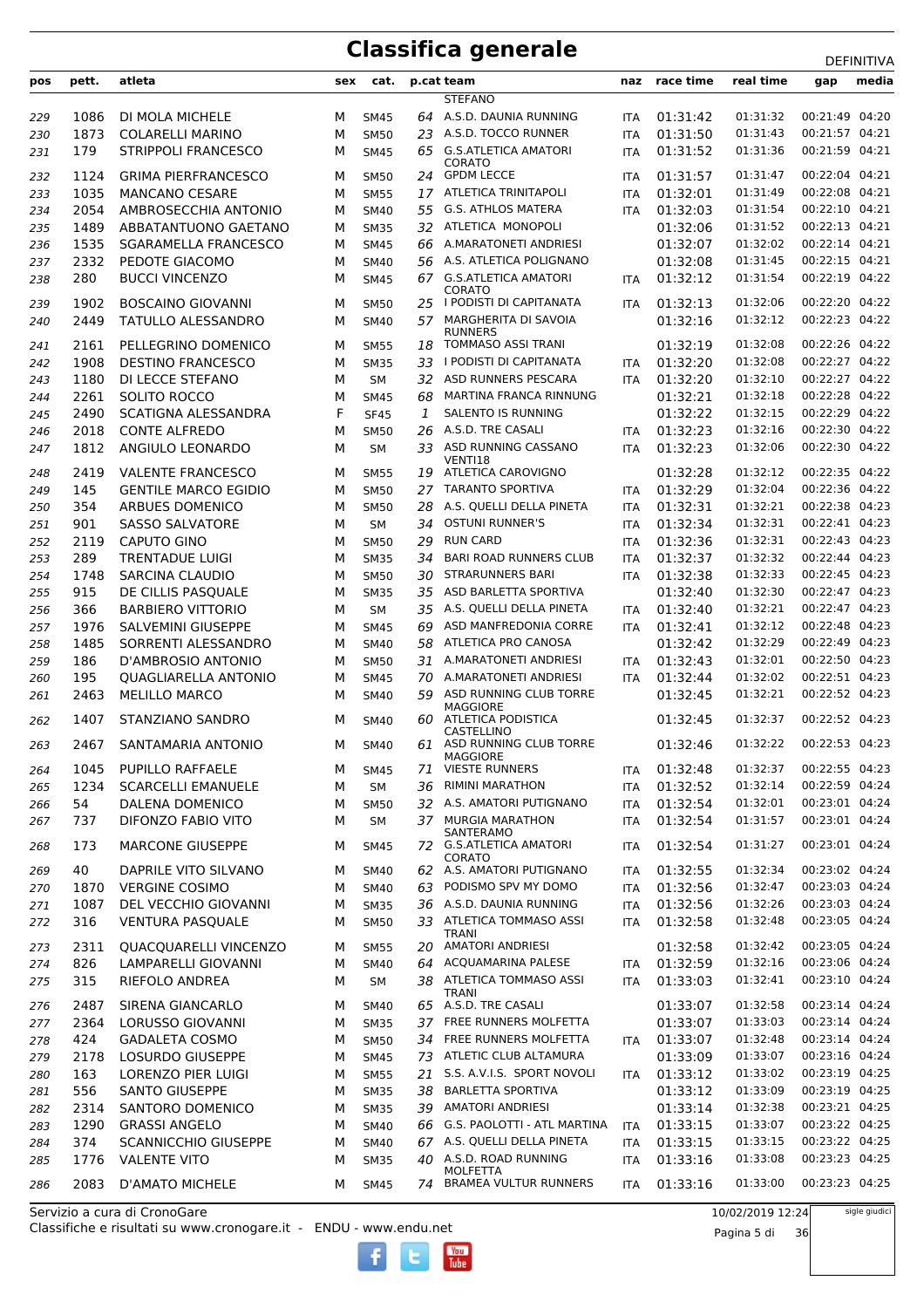| pos | pett. | atleta                       | sex | cat.        |    | p.cat team                               | naz        | race time | real time | gap            | media |
|-----|-------|------------------------------|-----|-------------|----|------------------------------------------|------------|-----------|-----------|----------------|-------|
|     |       |                              |     |             |    | <b>STEFANO</b>                           |            |           |           |                |       |
| 229 | 1086  | DI MOLA MICHELE              | м   | <b>SM45</b> |    | 64 A.S.D. DAUNIA RUNNING                 | <b>ITA</b> | 01:31:42  | 01:31:32  | 00:21:49 04:20 |       |
| 230 | 1873  | <b>COLARELLI MARINO</b>      | М   | <b>SM50</b> | 23 | A.S.D. TOCCO RUNNER                      | <b>ITA</b> | 01:31:50  | 01:31:43  | 00:21:57 04:21 |       |
| 231 | 179   | <b>STRIPPOLI FRANCESCO</b>   | М   | <b>SM45</b> | 65 | <b>G.S.ATLETICA AMATORI</b>              | <b>ITA</b> | 01:31:52  | 01:31:36  | 00:21:59 04:21 |       |
|     |       |                              |     |             |    | CORATO                                   |            |           |           |                |       |
| 232 | 1124  | <b>GRIMA PIERFRANCESCO</b>   | М   | <b>SM50</b> | 24 | <b>GPDM LECCE</b>                        | <b>ITA</b> | 01:31:57  | 01:31:47  | 00:22:04 04:21 |       |
| 233 | 1035  | <b>MANCANO CESARE</b>        | М   | <b>SM55</b> | 17 | <b>ATLETICA TRINITAPOLI</b>              | <b>ITA</b> | 01:32:01  | 01:31:49  | 00:22:08 04:21 |       |
| 234 | 2054  | AMBROSECCHIA ANTONIO         | М   | <b>SM40</b> | 55 | <b>G.S. ATHLOS MATERA</b>                | <b>ITA</b> | 01:32:03  | 01:31:54  | 00:22:10 04:21 |       |
| 235 | 1489  | ABBATANTUONO GAETANO         | М   | <b>SM35</b> | 32 | ATLETICA MONOPOLI                        |            | 01:32:06  | 01:31:52  | 00:22:13 04:21 |       |
| 236 | 1535  | <b>SGARAMELLA FRANCESCO</b>  | М   | <b>SM45</b> | 66 | A.MARATONETI ANDRIESI                    |            | 01:32:07  | 01:32:02  | 00:22:14 04:21 |       |
| 237 | 2332  | PEDOTE GIACOMO               | М   | <b>SM40</b> |    | 56 A.S. ATLETICA POLIGNANO               |            | 01:32:08  | 01:31:45  | 00:22:15 04:21 |       |
| 238 | 280   | <b>BUCCI VINCENZO</b>        | М   | <b>SM45</b> |    | 67 G.S.ATLETICA AMATORI<br>CORATO        | ITA        | 01:32:12  | 01:31:54  | 00:22:19 04:22 |       |
| 239 | 1902  | <b>BOSCAINO GIOVANNI</b>     | М   | <b>SM50</b> |    | 25 I PODISTI DI CAPITANATA               | <b>ITA</b> | 01:32:13  | 01:32:06  | 00:22:20 04:22 |       |
| 240 | 2449  | TATULLO ALESSANDRO           | М   | SM40        | 57 | MARGHERITA DI SAVOIA                     |            | 01:32:16  | 01:32:12  | 00:22:23 04:22 |       |
|     |       |                              |     |             |    | <b>RUNNERS</b>                           |            |           |           |                |       |
| 241 | 2161  | PELLEGRINO DOMENICO          | м   | <b>SM55</b> | 18 | <b>TOMMASO ASSI TRANI</b>                |            | 01:32:19  | 01:32:08  | 00:22:26 04:22 |       |
| 242 | 1908  | <b>DESTINO FRANCESCO</b>     | М   | <b>SM35</b> | 33 | I PODISTI DI CAPITANATA                  | <b>ITA</b> | 01:32:20  | 01:32:08  | 00:22:27 04:22 |       |
| 243 | 1180  | DI LECCE STEFANO             | М   | <b>SM</b>   | 32 | ASD RUNNERS PESCARA                      | <b>ITA</b> | 01:32:20  | 01:32:10  | 00:22:27 04:22 |       |
| 244 | 2261  | SOLITO ROCCO                 | М   | <b>SM45</b> | 68 | MARTINA FRANCA RINNUNG                   |            | 01:32:21  | 01:32:18  | 00:22:28 04:22 |       |
| 245 | 2490  | <b>SCATIGNA ALESSANDRA</b>   | F   | <b>SF45</b> | 1  | <b>SALENTO IS RUNNING</b>                |            | 01:32:22  | 01:32:15  | 00:22:29 04:22 |       |
| 246 | 2018  | <b>CONTE ALFREDO</b>         | М   | <b>SM50</b> | 26 | A.S.D. TRE CASALI                        | <b>ITA</b> | 01:32:23  | 01:32:16  | 00:22:30 04:22 |       |
| 247 | 1812  | ANGIULO LEONARDO             | М   | <b>SM</b>   | 33 | ASD RUNNING CASSANO                      | <b>ITA</b> | 01:32:23  | 01:32:06  | 00:22:30 04:22 |       |
| 248 | 2419  | <b>VALENTE FRANCESCO</b>     | М   | <b>SM55</b> | 19 | VENTI18<br>ATLETICA CAROVIGNO            |            | 01:32:28  | 01:32:12  | 00:22:35 04:22 |       |
| 249 | 145   | <b>GENTILE MARCO EGIDIO</b>  | М   | <b>SM50</b> | 27 | <b>TARANTO SPORTIVA</b>                  | <b>ITA</b> | 01:32:29  | 01:32:04  | 00:22:36 04:22 |       |
| 250 | 354   | ARBUES DOMENICO              | М   | <b>SM50</b> | 28 | A.S. QUELLI DELLA PINETA                 | <b>ITA</b> | 01:32:31  | 01:32:21  | 00:22:38 04:23 |       |
| 251 | 901   | <b>SASSO SALVATORE</b>       | М   | <b>SM</b>   | 34 | <b>OSTUNI RUNNER'S</b>                   | <b>ITA</b> | 01:32:34  | 01:32:31  | 00:22:41 04:23 |       |
| 252 | 2119  | CAPUTO GINO                  | М   | <b>SM50</b> | 29 | <b>RUN CARD</b>                          | <b>ITA</b> | 01:32:36  | 01:32:31  | 00:22:43 04:23 |       |
| 253 | 289   | <b>TRENTADUE LUIGI</b>       | М   | <b>SM35</b> | 34 | <b>BARI ROAD RUNNERS CLUB</b>            | <b>ITA</b> | 01:32:37  | 01:32:32  | 00:22:44 04:23 |       |
| 254 | 1748  | <b>SARCINA CLAUDIO</b>       | М   | <b>SM50</b> | 30 | <b>STRARUNNERS BARI</b>                  | <b>ITA</b> | 01:32:38  | 01:32:33  | 00:22:45 04:23 |       |
| 255 | 915   | DE CILLIS PASQUALE           | М   | <b>SM35</b> | 35 | ASD BARLETTA SPORTIVA                    |            | 01:32:40  | 01:32:30  | 00:22:47 04:23 |       |
| 256 | 366   | <b>BARBIERO VITTORIO</b>     | М   | SM          | 35 | A.S. QUELLI DELLA PINETA                 | <b>ITA</b> | 01:32:40  | 01:32:21  | 00:22:47 04:23 |       |
| 257 | 1976  | SALVEMINI GIUSEPPE           | М   | <b>SM45</b> | 69 | ASD MANFREDONIA CORRE                    | <b>ITA</b> | 01:32:41  | 01:32:12  | 00:22:48 04:23 |       |
| 258 | 1485  | SORRENTI ALESSANDRO          | М   | <b>SM40</b> | 58 | ATLETICA PRO CANOSA                      |            | 01:32:42  | 01:32:29  | 00:22:49 04:23 |       |
| 259 | 186   | D'AMBROSIO ANTONIO           | М   | <b>SM50</b> | 31 | A.MARATONETI ANDRIESI                    | <b>ITA</b> | 01:32:43  | 01:32:01  | 00:22:50 04:23 |       |
| 260 | 195   | <b>QUAGLIARELLA ANTONIO</b>  | М   | <b>SM45</b> | 70 | A.MARATONETI ANDRIESI                    | <b>ITA</b> | 01:32:44  | 01:32:02  | 00:22:51 04:23 |       |
| 261 | 2463  | <b>MELILLO MARCO</b>         | М   | <b>SM40</b> | 59 | ASD RUNNING CLUB TORRE                   |            | 01:32:45  | 01:32:21  | 00:22:52 04:23 |       |
|     |       |                              |     |             |    | <b>MAGGIORE</b>                          |            |           |           |                |       |
| 262 | 1407  | STANZIANO SANDRO             | М   | <b>SM40</b> | 60 | ATLETICA PODISTICA                       |            | 01:32:45  | 01:32:37  | 00:22:52 04:23 |       |
| 263 | 2467  | SANTAMARIA ANTONIO           | м   | SM40        | 61 | CASTELLINO<br>ASD RUNNING CLUB TORRE     |            | 01:32:46  | 01:32:22  | 00:22:53 04:23 |       |
|     |       |                              |     |             |    | MAGGIORE                                 |            |           |           |                |       |
| 264 | 1045  | PUPILLO RAFFAELE             | м   | <b>SM45</b> | 71 | <b>VIESTE RUNNERS</b>                    | ITA        | 01:32:48  | 01:32:37  | 00:22:55 04:23 |       |
| 265 | 1234  | <b>SCARCELLI EMANUELE</b>    | М   | SМ          | 36 | RIMINI MARATHON                          | <b>ITA</b> | 01:32:52  | 01:32:14  | 00:22:59 04:24 |       |
| 266 | 54    | DALENA DOMENICO              | М   | <b>SM50</b> |    | 32 A.S. AMATORI PUTIGNANO                | <b>ITA</b> | 01:32:54  | 01:32:01  | 00:23:01 04:24 |       |
| 267 | 737   | DIFONZO FABIO VITO           | М   | SM          |    | 37 MURGIA MARATHON                       | <b>ITA</b> | 01:32:54  | 01:31:57  | 00:23:01 04:24 |       |
| 268 | 173   | <b>MARCONE GIUSEPPE</b>      | м   | <b>SM45</b> |    | SANTERAMO<br>72 G.S.ATLETICA AMATORI     | <b>ITA</b> | 01:32:54  | 01:31:27  | 00:23:01 04:24 |       |
|     |       |                              |     |             |    | CORATO                                   |            |           |           |                |       |
| 269 | 40    | DAPRILE VITO SILVANO         | М   | SM40        |    | 62 A.S. AMATORI PUTIGNANO                | ITA        | 01:32:55  | 01:32:34  | 00:23:02 04:24 |       |
| 270 | 1870  | <b>VERGINE COSIMO</b>        | М   | SM40        | 63 | PODISMO SPV MY DOMO                      | <b>ITA</b> | 01:32:56  | 01:32:47  | 00:23:03 04:24 |       |
| 271 | 1087  | DEL VECCHIO GIOVANNI         | М   | <b>SM35</b> |    | 36 A.S.D. DAUNIA RUNNING                 | <b>ITA</b> | 01:32:56  | 01:32:26  | 00:23:03 04:24 |       |
| 272 | 316   | <b>VENTURA PASQUALE</b>      | М   | <b>SM50</b> |    | 33 ATLETICA TOMMASO ASSI<br><b>TRANI</b> | ITA        | 01:32:58  | 01:32:48  | 00:23:05 04:24 |       |
| 273 | 2311  | <b>QUACQUARELLI VINCENZO</b> | м   | <b>SM55</b> |    | 20 AMATORI ANDRIESI                      |            | 01:32:58  | 01:32:42  | 00:23:05 04:24 |       |
| 274 | 826   | LAMPARELLI GIOVANNI          | М   | SM40        | 64 | <b>ACQUAMARINA PALESE</b>                | <b>ITA</b> | 01:32:59  | 01:32:16  | 00:23:06 04:24 |       |
| 275 | 315   | RIEFOLO ANDREA               | М   | SM          |    | 38 ATLETICA TOMMASO ASSI                 | ITA        | 01:33:03  | 01:32:41  | 00:23:10 04:24 |       |
|     |       |                              |     |             |    | <b>TRANI</b>                             |            |           |           |                |       |
| 276 | 2487  | SIRENA GIANCARLO             | М   | SM40        |    | 65 A.S.D. TRE CASALI                     |            | 01:33:07  | 01:32:58  | 00:23:14 04:24 |       |
| 277 | 2364  | LORUSSO GIOVANNI             | М   | <b>SM35</b> |    | 37 FREE RUNNERS MOLFETTA                 |            | 01:33:07  | 01:33:03  | 00:23:14 04:24 |       |
| 278 | 424   | <b>GADALETA COSMO</b>        | M   | SM50        |    | 34 FREE RUNNERS MOLFETTA                 | ITA        | 01:33:07  | 01:32:48  | 00:23:14 04:24 |       |
| 279 | 2178  | LOSURDO GIUSEPPE             | М   | <b>SM45</b> |    | 73 ATLETIC CLUB ALTAMURA                 |            | 01:33:09  | 01:33:07  | 00:23:16 04:24 |       |
| 280 | 163   | LORENZO PIER LUIGI           | М   | <b>SM55</b> |    | 21 S.S. A.V.I.S. SPORT NOVOLI            | ITA        | 01:33:12  | 01:33:02  | 00:23:19 04:25 |       |
| 281 | 556   | <b>SANTO GIUSEPPE</b>        | М   | <b>SM35</b> | 38 | <b>BARLETTA SPORTIVA</b>                 |            | 01:33:12  | 01:33:09  | 00:23:19 04:25 |       |
| 282 | 2314  | SANTORO DOMENICO             | М   | <b>SM35</b> | 39 | <b>AMATORI ANDRIESI</b>                  |            | 01:33:14  | 01:32:38  | 00:23:21 04:25 |       |
| 283 | 1290  | <b>GRASSI ANGELO</b>         | М   | SM40        | 66 | G.S. PAOLOTTI - ATL MARTINA              | <b>ITA</b> | 01:33:15  | 01:33:07  | 00:23:22 04:25 |       |
| 284 | 374   | <b>SCANNICCHIO GIUSEPPE</b>  | М   | SM40        |    | 67 A.S. QUELLI DELLA PINETA              | ITA        | 01:33:15  | 01:33:15  | 00:23:22 04:25 |       |
| 285 | 1776  | <b>VALENTE VITO</b>          | М   | <b>SM35</b> |    | 40 A.S.D. ROAD RUNNING<br>MOLFETTA       | <b>ITA</b> | 01:33:16  | 01:33:08  | 00:23:23 04:25 |       |
| 286 | 2083  | <b>D'AMATO MICHELE</b>       | м   | <b>SM45</b> | 74 | <b>BRAMEA VULTUR RUNNERS</b>             | ITA        | 01:33:16  | 01:33:00  | 00:23:23 04:25 |       |
|     |       |                              |     |             |    |                                          |            |           |           |                |       |

Classifiche e risultati su www.cronogare.it - ENDU - www.endu.net Servizio a cura di CronoGare

10/02/2019 12:24

Pagina 5 di 36

sigle giudici

 $\begin{bmatrix}\n\frac{\text{Vou}}{\text{Iube}}\n\end{bmatrix}$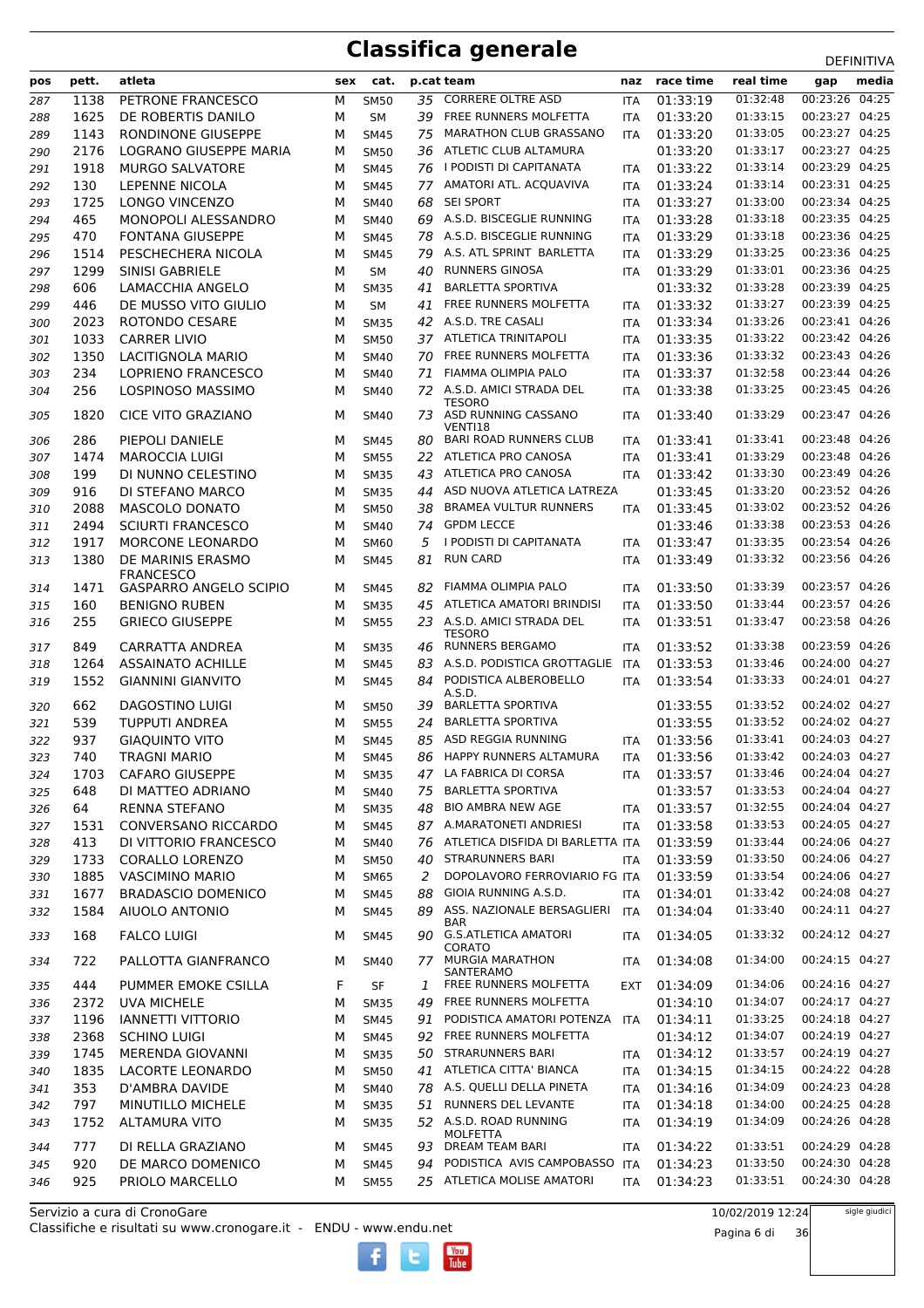| pos        | pett.       | atleta                                | sex    | cat.                       |     | p.cat team                                                          | naz                      | race time            | real time            | gap                              | media |
|------------|-------------|---------------------------------------|--------|----------------------------|-----|---------------------------------------------------------------------|--------------------------|----------------------|----------------------|----------------------------------|-------|
| 287        | 1138        | PETRONE FRANCESCO                     | М      | <b>SM50</b>                | 35  | <b>CORRERE OLTRE ASD</b>                                            | <b>ITA</b>               | 01:33:19             | 01:32:48             | 00:23:26 04:25                   |       |
| 288        | 1625        | DE ROBERTIS DANILO                    | M      | <b>SM</b>                  |     | 39 FREE RUNNERS MOLFETTA                                            | <b>ITA</b>               | 01:33:20             | 01:33:15             | 00:23:27 04:25                   |       |
| 289        | 1143        | RONDINONE GIUSEPPE                    | M      | <b>SM45</b>                | 75  | <b>MARATHON CLUB GRASSANO</b>                                       | <b>ITA</b>               | 01:33:20             | 01:33:05             | 00:23:27 04:25                   |       |
| 290        | 2176        | LOGRANO GIUSEPPE MARIA                | м      | <b>SM50</b>                |     | 36 ATLETIC CLUB ALTAMURA                                            |                          | 01:33:20             | 01:33:17             | 00:23:27 04:25                   |       |
| 291        | 1918        | <b>MURGO SALVATORE</b>                | M      | <b>SM45</b>                |     | 76 I PODISTI DI CAPITANATA                                          | <b>ITA</b>               | 01:33:22             | 01:33:14             | 00:23:29 04:25                   |       |
| 292        | 130         | <b>LEPENNE NICOLA</b>                 | M      | <b>SM45</b>                | 77  | AMATORI ATL. ACQUAVIVA                                              | <b>ITA</b>               | 01:33:24             | 01:33:14             | 00:23:31 04:25                   |       |
| 293        | 1725        | LONGO VINCENZO                        | M      | <b>SM40</b>                | 68  | <b>SEI SPORT</b>                                                    | <b>ITA</b>               | 01:33:27             | 01:33:00             | 00:23:34 04:25                   |       |
| 294        | 465         | MONOPOLI ALESSANDRO                   | M      | <b>SM40</b>                | 69  | A.S.D. BISCEGLIE RUNNING                                            | <b>ITA</b>               | 01:33:28             | 01:33:18             | 00:23:35 04:25                   |       |
| 295        | 470         | <b>FONTANA GIUSEPPE</b>               | M      | <b>SM45</b>                | 78  | A.S.D. BISCEGLIE RUNNING                                            | <b>ITA</b>               | 01:33:29             | 01:33:18             | 00:23:36 04:25                   |       |
| 296        | 1514        | PESCHECHERA NICOLA                    | M      | <b>SM45</b>                | 79  | A.S. ATL SPRINT BARLETTA                                            | <b>ITA</b>               | 01:33:29             | 01:33:25             | 00:23:36 04:25                   |       |
| 297        | 1299        | <b>SINISI GABRIELE</b>                | M      | <b>SM</b>                  | 40  | <b>RUNNERS GINOSA</b>                                               | <b>ITA</b>               | 01:33:29             | 01:33:01             | 00:23:36 04:25                   |       |
| 298        | 606         | <b>LAMACCHIA ANGELO</b>               | M      | <b>SM35</b>                | 41  | <b>BARLETTA SPORTIVA</b>                                            |                          | 01:33:32             | 01:33:28             | 00:23:39 04:25                   |       |
| 299        | 446         | DE MUSSO VITO GIULIO                  | M      | <b>SM</b>                  | 41  | FREE RUNNERS MOLFETTA                                               | <b>ITA</b>               | 01:33:32             | 01:33:27             | 00:23:39 04:25                   |       |
| 300        | 2023        | ROTONDO CESARE                        | M      | <b>SM35</b>                |     | 42 A.S.D. TRE CASALI                                                | <b>ITA</b>               | 01:33:34             | 01:33:26             | 00:23:41 04:26                   |       |
| 301        | 1033        | <b>CARRER LIVIO</b>                   | M      | <b>SM50</b>                |     | 37 ATLETICA TRINITAPOLI                                             | <b>ITA</b>               | 01:33:35             | 01:33:22             | 00:23:42 04:26                   |       |
| 302        | 1350        | <b>LACITIGNOLA MARIO</b>              | M      | <b>SM40</b>                | 70  | FREE RUNNERS MOLFETTA                                               | <b>ITA</b>               | 01:33:36             | 01:33:32             | 00:23:43 04:26                   |       |
| 303        | 234         | <b>LOPRIENO FRANCESCO</b>             | M      | <b>SM40</b>                | 71  | <b>FIAMMA OLIMPIA PALO</b>                                          | <b>ITA</b>               | 01:33:37             | 01:32:58             | 00:23:44 04:26                   |       |
| 304        | 256         | LOSPINOSO MASSIMO                     | M      | <b>SM40</b>                | 72  | A.S.D. AMICI STRADA DEL                                             |                          | 01:33:38             | 01:33:25             | 00:23:45 04:26                   |       |
|            |             |                                       |        |                            |     | TESORO                                                              | ITA                      |                      |                      |                                  |       |
| 305        | 1820        | <b>CICE VITO GRAZIANO</b>             | M      | <b>SM40</b>                |     | 73 ASD RUNNING CASSANO<br>VENTI18                                   | <b>ITA</b>               | 01:33:40             | 01:33:29             | 00:23:47 04:26                   |       |
| 306        | 286         | PIEPOLI DANIELE                       | м      | <b>SM45</b>                | 80  | <b>BARI ROAD RUNNERS CLUB</b>                                       | <b>ITA</b>               | 01:33:41             | 01:33:41             | 00:23:48 04:26                   |       |
| 307        | 1474        | <b>MAROCCIA LUIGI</b>                 | M      | <b>SM55</b>                |     | 22 ATLETICA PRO CANOSA                                              | <b>ITA</b>               | 01:33:41             | 01:33:29             | 00:23:48 04:26                   |       |
| 308        | 199         | DI NUNNO CELESTINO                    | M      | <b>SM35</b>                | 43  | ATLETICA PRO CANOSA                                                 | <b>ITA</b>               | 01:33:42             | 01:33:30             | 00:23:49 04:26                   |       |
| 309        | 916         | DI STEFANO MARCO                      | M      | <b>SM35</b>                | 44  | ASD NUOVA ATLETICA LATREZA                                          |                          | 01:33:45             | 01:33:20             | 00:23:52 04:26                   |       |
| 310        | 2088        | <b>MASCOLO DONATO</b>                 | M      | <b>SM50</b>                | 38  | <b>BRAMEA VULTUR RUNNERS</b>                                        | <b>ITA</b>               | 01:33:45             | 01:33:02             | 00:23:52 04:26                   |       |
| 311        | 2494        | <b>SCIURTI FRANCESCO</b>              | M      | <b>SM40</b>                | 74  | <b>GPDM LECCE</b>                                                   |                          | 01:33:46             | 01:33:38             | 00:23:53 04:26                   |       |
| 312        | 1917        | MORCONE LEONARDO                      | M      | <b>SM60</b>                | 5   | I PODISTI DI CAPITANATA                                             | <b>ITA</b>               | 01:33:47             | 01:33:35             | 00:23:54 04:26                   |       |
| 313        | 1380        | DE MARINIS ERASMO<br><b>FRANCESCO</b> | M      | <b>SM45</b>                | 81  | <b>RUN CARD</b>                                                     | <b>ITA</b>               | 01:33:49             | 01:33:32             | 00:23:56 04:26                   |       |
| 314        | 1471        | <b>GASPARRO ANGELO SCIPIO</b>         | м      | <b>SM45</b>                | 82  | FIAMMA OLIMPIA PALO                                                 | <b>ITA</b>               | 01:33:50             | 01:33:39             | 00:23:57 04:26                   |       |
| 315        | 160         | <b>BENIGNO RUBEN</b>                  | м      | <b>SM35</b>                | 45  | ATLETICA AMATORI BRINDISI                                           | <b>ITA</b>               | 01:33:50             | 01:33:44             | 00:23:57 04:26                   |       |
| 316        | 255         | <b>GRIECO GIUSEPPE</b>                | М      | <b>SM55</b>                |     | 23 A.S.D. AMICI STRADA DEL<br><b>TESORO</b>                         | <b>ITA</b>               | 01:33:51             | 01:33:47             | 00:23:58 04:26                   |       |
| 317        | 849         | CARRATTA ANDREA                       | M      | <b>SM35</b>                | 46  | <b>RUNNERS BERGAMO</b>                                              | <b>ITA</b>               | 01:33:52             | 01:33:38             | 00:23:59 04:26                   |       |
| 318        | 1264        | <b>ASSAINATO ACHILLE</b>              | M      | <b>SM45</b>                | 83  | A.S.D. PODISTICA GROTTAGLIE                                         | ITA                      | 01:33:53             | 01:33:46             | 00:24:00 04:27                   |       |
| 319        | 1552        | <b>GIANNINI GIANVITO</b>              | M      | <b>SM45</b>                | 84  | PODISTICA ALBEROBELLO                                               | <b>ITA</b>               | 01:33:54             | 01:33:33             | 00:24:01 04:27                   |       |
| 320        | 662         | DAGOSTINO LUIGI                       | м      | <b>SM50</b>                | 39  | A.S.D.<br><b>BARLETTA SPORTIVA</b>                                  |                          | 01:33:55             | 01:33:52             | 00:24:02 04:27                   |       |
|            | 539         | <b>TUPPUTI ANDREA</b>                 | M      |                            | 24  | <b>BARLETTA SPORTIVA</b>                                            |                          | 01:33:55             | 01:33:52             | 00:24:02 04:27                   |       |
| 321        | 937         | <b>GIAQUINTO VITO</b>                 | M      | <b>SM55</b>                | 85  | ASD REGGIA RUNNING                                                  |                          | 01:33:56             | 01:33:41             | 00:24:03 04:27                   |       |
| 322<br>323 | 740         | <b>TRAGNI MARIO</b>                   | М      | <b>SM45</b><br><b>SM45</b> | 86  | HAPPY RUNNERS ALTAMURA                                              | <b>ITA</b><br><b>ITA</b> | 01:33:56             | 01:33:42             | 00:24:03 04:27                   |       |
|            |             |                                       |        |                            |     | LA FABRICA DI CORSA                                                 |                          |                      | 01:33:46             | 00:24:04 04:27                   |       |
| 324        | 1703        | <b>CAFARO GIUSEPPE</b>                | М      | <b>SM35</b>                | 47. | <b>BARLETTA SPORTIVA</b>                                            | ITA.                     | 01:33:57<br>01:33:57 | 01:33:53             | 00:24:04 04:27                   |       |
| 325        | 648         | DI MATTEO ADRIANO                     | М      | SM40                       | 75  |                                                                     |                          |                      | 01:32:55             | 00:24:04 04:27                   |       |
| 326        | 64          | RENNA STEFANO                         | М      | <b>SM35</b>                | 48  | <b>BIO AMBRA NEW AGE</b><br>87 A.MARATONETI ANDRIESI                | <b>ITA</b>               | 01:33:57             | 01:33:53             | 00:24:05 04:27                   |       |
| 327        | 1531        | CONVERSANO RICCARDO                   | М      | SM45                       |     |                                                                     | <b>ITA</b>               | 01:33:58             |                      | 00:24:06 04:27                   |       |
| 328        | 413         | DI VITTORIO FRANCESCO                 | М      | SM40                       | 76  | ATLETICA DISFIDA DI BARLETTA ITA                                    |                          | 01:33:59             | 01:33:44             | 00:24:06 04:27                   |       |
| 329        | 1733        | <b>CORALLO LORENZO</b>                | М      | <b>SM50</b>                | 40  | STRARUNNERS BARI                                                    | <b>ITA</b>               | 01:33:59             | 01:33:50             |                                  |       |
| 330        | 1885        | VASCIMINO MARIO                       | М      | <b>SM65</b>                | 2   | DOPOLAVORO FERROVIARIO FG ITA                                       |                          | 01:33:59             | 01:33:54<br>01:33:42 | 00:24:06 04:27<br>00:24:08 04:27 |       |
| 331        | 1677        | <b>BRADASCIO DOMENICO</b>             | М      | SM45                       | 88  | GIOIA RUNNING A.S.D.                                                | <b>ITA</b>               | 01:34:01             |                      |                                  |       |
| 332<br>333 | 1584<br>168 | AIUOLO ANTONIO<br><b>FALCO LUIGI</b>  | M<br>М | <b>SM45</b><br>SM45        | 89  | ASS. NAZIONALE BERSAGLIERI<br><b>BAR</b><br>90 G.S.ATLETICA AMATORI | ITA<br>ITA               | 01:34:04<br>01:34:05 | 01:33:40<br>01:33:32 | 00:24:11 04:27<br>00:24:12 04:27 |       |
| 334        | 722         | PALLOTTA GIANFRANCO                   | м      | <b>SM40</b>                | 77. | CORATO<br><b>MURGIA MARATHON</b>                                    | ITA                      | 01:34:08             | 01:34:00             | 00:24:15 04:27                   |       |
|            |             |                                       |        |                            |     | SANTERAMO                                                           |                          |                      |                      |                                  |       |
| 335        | 444         | PUMMER EMOKE CSILLA                   | F      | SF                         | 1   | FREE RUNNERS MOLFETTA                                               | <b>EXT</b>               | 01:34:09             | 01:34:06             | 00:24:16 04:27                   |       |
| 336        | 2372        | <b>UVA MICHELE</b>                    | М      | <b>SM35</b>                | 49  | FREE RUNNERS MOLFETTA                                               |                          | 01:34:10             | 01:34:07             | 00:24:17 04:27                   |       |
| 337        | 1196        | <b>IANNETTI VITTORIO</b>              | М      | SM45                       | 91  | PODISTICA AMATORI POTENZA                                           | ITA                      | 01:34:11             | 01:33:25             | 00:24:18 04:27                   |       |
| 338        | 2368        | <b>SCHINO LUIGI</b>                   | М      | <b>SM45</b>                |     | 92 FREE RUNNERS MOLFETTA                                            |                          | 01:34:12             | 01:34:07             | 00:24:19 04:27                   |       |
| 339        | 1745        | MERENDA GIOVANNI                      | М      | <b>SM35</b>                |     | 50 STRARUNNERS BARI                                                 | ITA                      | 01:34:12             | 01:33:57             | 00:24:19 04:27                   |       |
| 340        | 1835        | LACORTE LEONARDO                      | М      | <b>SM50</b>                |     | 41 ATLETICA CITTA' BIANCA                                           | <b>ITA</b>               | 01:34:15             | 01:34:15             | 00:24:22 04:28                   |       |
| 341        | 353         | D'AMBRA DAVIDE                        | М      | SM40                       |     | 78 A.S. QUELLI DELLA PINETA                                         | ITA                      | 01:34:16             | 01:34:09             | 00:24:23 04:28                   |       |
| 342        | 797         | <b>MINUTILLO MICHELE</b>              | М      | <b>SM35</b>                | 51  | RUNNERS DEL LEVANTE                                                 | <b>ITA</b>               | 01:34:18             | 01:34:00             | 00:24:25 04:28                   |       |
| 343        | 1752        | <b>ALTAMURA VITO</b>                  | М      | <b>SM35</b>                |     | 52 A.S.D. ROAD RUNNING<br><b>MOLFETTA</b>                           | ITA                      | 01:34:19             | 01:34:09             | 00:24:26 04:28                   |       |
| 344        | 777         | DI RELLA GRAZIANO                     | м      | SM45                       | 93  | DREAM TEAM BARI                                                     | ITA                      | 01:34:22             | 01:33:51             | 00:24:29 04:28                   |       |
| 345        | 920         | DE MARCO DOMENICO                     | М      | SM45                       | 94  | PODISTICA AVIS CAMPOBASSO ITA                                       |                          | 01:34:23             | 01:33:50             | 00:24:30 04:28                   |       |
| 346        | 925         | PRIOLO MARCELLO                       | М      | <b>SM55</b>                |     | 25 ATLETICA MOLISE AMATORI                                          | <b>ITA</b>               | 01:34:23             | 01:33:51             | 00:24:30 04:28                   |       |

 $\begin{bmatrix}\n\frac{\text{Vou}}{\text{Iube}}\n\end{bmatrix}$ 

Classifiche e risultati su www.cronogare.it - ENDU - www.endu.net Servizio a cura di CronoGare

10/02/2019 12:24

Pagina 6 di 36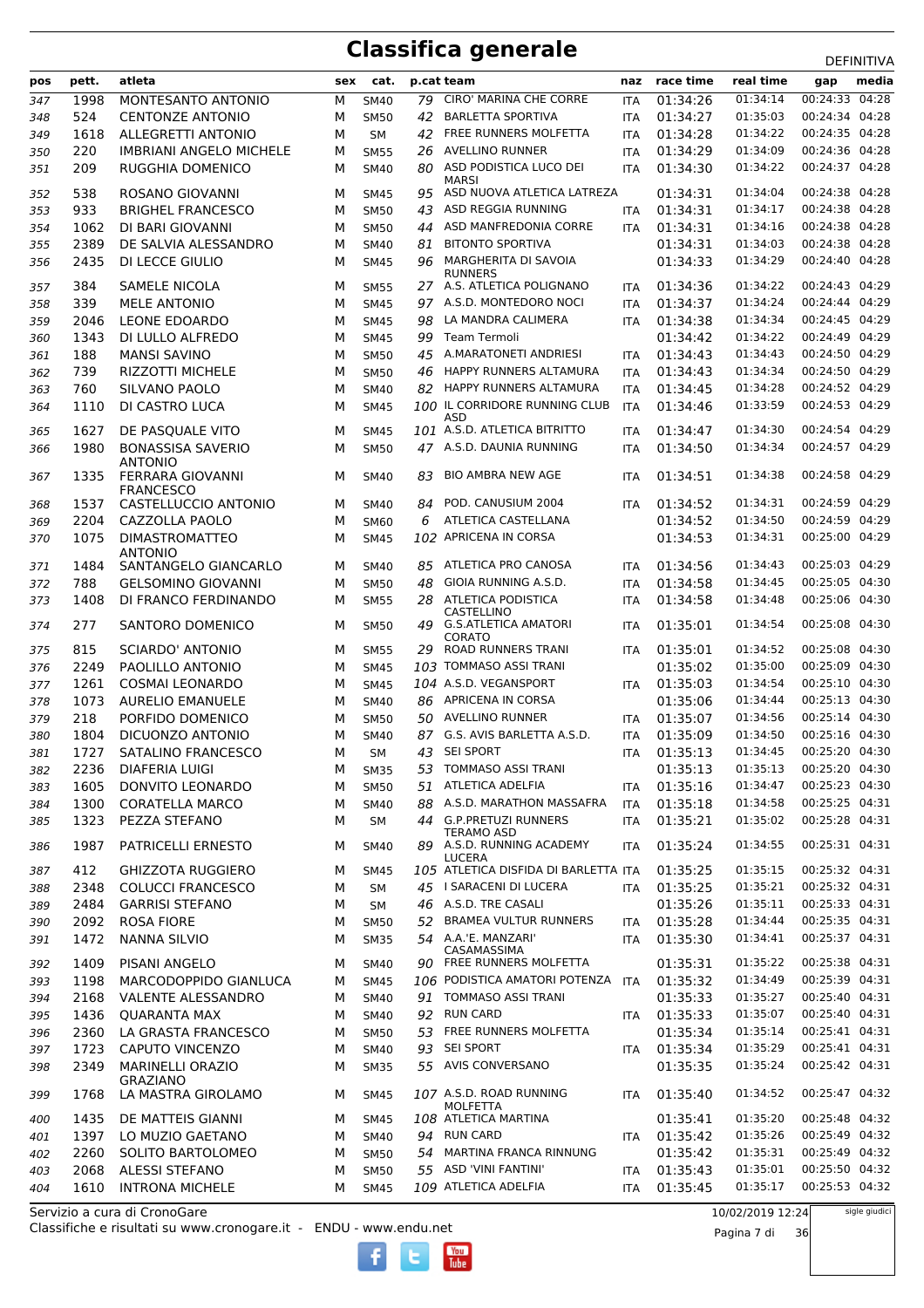| pos        | pett. | atleta                                     | sex | cat.        |    | p.cat team                                 | naz        | race time | real time | gap            | media |
|------------|-------|--------------------------------------------|-----|-------------|----|--------------------------------------------|------------|-----------|-----------|----------------|-------|
| 347        | 1998  | MONTESANTO ANTONIO                         | М   | <b>SM40</b> | 79 | <b>CIRO' MARINA CHE CORRE</b>              | <b>ITA</b> | 01:34:26  | 01:34:14  | 00:24:33 04:28 |       |
| 348        | 524   | <b>CENTONZE ANTONIO</b>                    | м   | <b>SM50</b> | 42 | <b>BARLETTA SPORTIVA</b>                   | <b>ITA</b> | 01:34:27  | 01:35:03  | 00:24:34 04:28 |       |
| 349        | 1618  | <b>ALLEGRETTI ANTONIO</b>                  | м   | <b>SM</b>   | 42 | FREE RUNNERS MOLFETTA                      | <b>ITA</b> | 01:34:28  | 01:34:22  | 00:24:35 04:28 |       |
| 350        | 220   | <b>IMBRIANI ANGELO MICHELE</b>             | м   | <b>SM55</b> | 26 | <b>AVELLINO RUNNER</b>                     | <b>ITA</b> | 01:34:29  | 01:34:09  | 00:24:36 04:28 |       |
| 351        | 209   | RUGGHIA DOMENICO                           | м   | <b>SM40</b> | 80 | ASD PODISTICA LUCO DEI                     | <b>ITA</b> | 01:34:30  | 01:34:22  | 00:24:37 04:28 |       |
|            |       |                                            |     |             |    | MARSI                                      |            |           |           |                |       |
| 352        | 538   | ROSANO GIOVANNI                            | м   | <b>SM45</b> | 95 | ASD NUOVA ATLETICA LATREZA                 |            | 01:34:31  | 01:34:04  | 00:24:38 04:28 |       |
| 353        | 933   | <b>BRIGHEL FRANCESCO</b>                   | м   | <b>SM50</b> | 43 | ASD REGGIA RUNNING                         | <b>ITA</b> | 01:34:31  | 01:34:17  | 00:24:38 04:28 |       |
| 354        | 1062  | DI BARI GIOVANNI                           | М   | <b>SM50</b> | 44 | ASD MANFREDONIA CORRE                      | <b>ITA</b> | 01:34:31  | 01:34:16  | 00:24:38 04:28 |       |
| 355        | 2389  | DE SALVIA ALESSANDRO                       | М   | <b>SM40</b> | 81 | <b>BITONTO SPORTIVA</b>                    |            | 01:34:31  | 01:34:03  | 00:24:38 04:28 |       |
| 356        | 2435  | DI LECCE GIULIO                            | м   | <b>SM45</b> | 96 | MARGHERITA DI SAVOIA<br><b>RUNNERS</b>     |            | 01:34:33  | 01:34:29  | 00:24:40 04:28 |       |
| 357        | 384   | <b>SAMELE NICOLA</b>                       | м   | <b>SM55</b> |    | 27 A.S. ATLETICA POLIGNANO                 | <b>ITA</b> | 01:34:36  | 01:34:22  | 00:24:43 04:29 |       |
| 358        | 339   | <b>MELE ANTONIO</b>                        | м   | <b>SM45</b> |    | 97 A.S.D. MONTEDORO NOCI                   | <b>ITA</b> | 01:34:37  | 01:34:24  | 00:24:44 04:29 |       |
| 359        | 2046  | LEONE EDOARDO                              | м   | <b>SM45</b> | 98 | LA MANDRA CALIMERA                         | <b>ITA</b> | 01:34:38  | 01:34:34  | 00:24:45 04:29 |       |
| 360        | 1343  | DI LULLO ALFREDO                           | м   | <b>SM45</b> | 99 | Team Termoli                               |            | 01:34:42  | 01:34:22  | 00:24:49 04:29 |       |
| 361        | 188   | <b>MANSI SAVINO</b>                        | м   | <b>SM50</b> | 45 | A.MARATONETI ANDRIESI                      | <b>ITA</b> | 01:34:43  | 01:34:43  | 00:24:50 04:29 |       |
| 362        | 739   | <b>RIZZOTTI MICHELE</b>                    | м   | <b>SM50</b> | 46 | <b>HAPPY RUNNERS ALTAMURA</b>              | <b>ITA</b> | 01:34:43  | 01:34:34  | 00:24:50 04:29 |       |
| 363        | 760   | SILVANO PAOLO                              | м   | <b>SM40</b> | 82 | <b>HAPPY RUNNERS ALTAMURA</b>              | <b>ITA</b> | 01:34:45  | 01:34:28  | 00:24:52 04:29 |       |
| 364        | 1110  | DI CASTRO LUCA                             | м   | <b>SM45</b> |    | 100 IL CORRIDORE RUNNING CLUB              | <b>ITA</b> | 01:34:46  | 01:33:59  | 00:24:53 04:29 |       |
|            |       |                                            |     |             |    | ASD                                        |            |           |           | 00:24:54 04:29 |       |
| 365        | 1627  | DE PASQUALE VITO                           | м   | <b>SM45</b> |    | 101 A.S.D. ATLETICA BITRITTO               | ITA        | 01:34:47  | 01:34:30  |                |       |
| 366        | 1980  | <b>BONASSISA SAVERIO</b><br><b>ANTONIO</b> | м   | <b>SM50</b> |    | 47 A.S.D. DAUNIA RUNNING                   | <b>ITA</b> | 01:34:50  | 01:34:34  | 00:24:57 04:29 |       |
| 367        | 1335  | FERRARA GIOVANNI                           | м   | <b>SM40</b> | 83 | <b>BIO AMBRA NEW AGE</b>                   | <b>ITA</b> | 01:34:51  | 01:34:38  | 00:24:58 04:29 |       |
|            |       | <b>FRANCESCO</b>                           |     |             |    |                                            |            |           |           |                |       |
| 368        | 1537  | CASTELLUCCIO ANTONIO                       | м   | <b>SM40</b> | 84 | POD. CANUSIUM 2004                         | <b>ITA</b> | 01:34:52  | 01:34:31  | 00:24:59 04:29 |       |
| 369        | 2204  | CAZZOLLA PAOLO                             | м   | <b>SM60</b> | 6  | ATLETICA CASTELLANA                        |            | 01:34:52  | 01:34:50  | 00:24:59 04:29 |       |
| 370        | 1075  | <b>DIMASTROMATTEO</b>                      | м   | <b>SM45</b> |    | 102 APRICENA IN CORSA                      |            | 01:34:53  | 01:34:31  | 00:25:00 04:29 |       |
| 371        | 1484  | <b>ANTONIO</b><br>SANTANGELO GIANCARLO     | м   | <b>SM40</b> | 85 | ATLETICA PRO CANOSA                        | <b>ITA</b> | 01:34:56  | 01:34:43  | 00:25:03 04:29 |       |
| 372        | 788   | <b>GELSOMINO GIOVANNI</b>                  | м   | <b>SM50</b> | 48 | GIOIA RUNNING A.S.D.                       | <b>ITA</b> | 01:34:58  | 01:34:45  | 00:25:05 04:30 |       |
| 373        | 1408  | DI FRANCO FERDINANDO                       | м   | <b>SM55</b> | 28 | ATLETICA PODISTICA                         | <b>ITA</b> | 01:34:58  | 01:34:48  | 00:25:06 04:30 |       |
|            |       |                                            |     |             |    | CASTELLINO                                 |            |           |           |                |       |
| 374        | 277   | SANTORO DOMENICO                           | м   | <b>SM50</b> | 49 | <b>G.S.ATLETICA AMATORI</b>                | <b>ITA</b> | 01:35:01  | 01:34:54  | 00:25:08 04:30 |       |
| 375        | 815   | <b>SCIARDO' ANTONIO</b>                    | м   | <b>SM55</b> | 29 | CORATO<br>ROAD RUNNERS TRANI               | <b>ITA</b> | 01:35:01  | 01:34:52  | 00:25:08 04:30 |       |
| 376        | 2249  | PAOLILLO ANTONIO                           | м   | <b>SM45</b> |    | 103 TOMMASO ASSI TRANI                     |            | 01:35:02  | 01:35:00  | 00:25:09 04:30 |       |
| 377        | 1261  | <b>COSMAI LEONARDO</b>                     | м   | <b>SM45</b> |    | 104 A.S.D. VEGANSPORT                      | <b>ITA</b> | 01:35:03  | 01:34:54  | 00:25:10 04:30 |       |
| 378        | 1073  | <b>AURELIO EMANUELE</b>                    | м   | <b>SM40</b> |    | 86 APRICENA IN CORSA                       |            | 01:35:06  | 01:34:44  | 00:25:13 04:30 |       |
| 379        | 218   | PORFIDO DOMENICO                           | М   | <b>SM50</b> | 50 | AVELLINO RUNNER                            | <b>ITA</b> | 01:35:07  | 01:34:56  | 00:25:14 04:30 |       |
| 380        | 1804  | DICUONZO ANTONIO                           | м   | <b>SM40</b> | 87 | G.S. AVIS BARLETTA A.S.D.                  | <b>ITA</b> | 01:35:09  | 01:34:50  | 00:25:16 04:30 |       |
| 381        | 1727  | SATALINO FRANCESCO                         | М   | <b>SM</b>   | 43 | SEI SPORT                                  | <b>ITA</b> | 01:35:13  | 01:34:45  | 00:25:20 04:30 |       |
| 382        | 2236  | <b>DIAFERIA LUIGI</b>                      | М   | <b>SM35</b> | 53 | TOMMASO ASSI TRANI                         |            | 01:35:13  | 01:35:13  | 00:25:20 04:30 |       |
| 383        | 1605  | DONVITO LEONARDO                           | М   | <b>SM50</b> |    | 51 ATLETICA ADELFIA                        | <b>ITA</b> | 01:35:16  | 01:34:47  | 00:25:23 04:30 |       |
| 384        | 1300  | <b>CORATELLA MARCO</b>                     | М   | <b>SM40</b> | 88 | A.S.D. MARATHON MASSAFRA                   | <b>ITA</b> | 01:35:18  | 01:34:58  | 00:25:25 04:31 |       |
| 385        | 1323  | PEZZA STEFANO                              | М   | SΜ          |    | 44 G.P.PRETUZI RUNNERS                     | <b>ITA</b> | 01:35:21  | 01:35:02  | 00:25:28 04:31 |       |
|            |       |                                            |     |             |    | <b>TERAMO ASD</b>                          |            |           |           |                |       |
| 386        | 1987  | PATRICELLI ERNESTO                         | м   | SM40        |    | 89 A.S.D. RUNNING ACADEMY<br><b>LUCERA</b> | ITA        | 01:35:24  | 01:34:55  | 00:25:31 04:31 |       |
| 387        | 412   | <b>GHIZZOTA RUGGIERO</b>                   | м   | SM45        |    | 105 ATLETICA DISFIDA DI BARLETTA ITA       |            | 01:35:25  | 01:35:15  | 00:25:32 04:31 |       |
| 388        | 2348  | <b>COLUCCI FRANCESCO</b>                   | М   | SM          |    | 45 I SARACENI DI LUCERA                    | <b>ITA</b> | 01:35:25  | 01:35:21  | 00:25:32 04:31 |       |
| 389        | 2484  | <b>GARRISI STEFANO</b>                     | М   | <b>SM</b>   |    | 46 A.S.D. TRE CASALI                       |            | 01:35:26  | 01:35:11  | 00:25:33 04:31 |       |
| 390        | 2092  | <b>ROSA FIORE</b>                          | М   | <b>SM50</b> |    | 52 BRAMEA VULTUR RUNNERS                   | <b>ITA</b> | 01:35:28  | 01:34:44  | 00:25:35 04:31 |       |
| 391        | 1472  | <b>NANNA SILVIO</b>                        | М   | <b>SM35</b> |    | 54 A.A.'E. MANZARI'                        | ITA        | 01:35:30  | 01:34:41  | 00:25:37 04:31 |       |
| 392        | 1409  | PISANI ANGELO                              | м   | <b>SM40</b> |    | CASAMASSIMA<br>90 FREE RUNNERS MOLFETTA    |            | 01:35:31  | 01:35:22  | 00:25:38 04:31 |       |
| 393        | 1198  | MARCODOPPIDO GIANLUCA                      | м   | <b>SM45</b> |    | 106 PODISTICA AMATORI POTENZA              | <b>ITA</b> | 01:35:32  | 01:34:49  | 00:25:39 04:31 |       |
| 394        | 2168  | VALENTE ALESSANDRO                         | м   | SM40        |    | 91 TOMMASO ASSI TRANI                      |            | 01:35:33  | 01:35:27  | 00:25:40 04:31 |       |
| 395        | 1436  | <b>QUARANTA MAX</b>                        | М   | SM40        |    | 92 RUN CARD                                | <b>ITA</b> | 01:35:33  | 01:35:07  | 00:25:40 04:31 |       |
| 396        | 2360  | LA GRASTA FRANCESCO                        | М   | <b>SM50</b> |    | 53 FREE RUNNERS MOLFETTA                   |            | 01:35:34  | 01:35:14  | 00:25:41 04:31 |       |
| 397        | 1723  | <b>CAPUTO VINCENZO</b>                     | М   | SM40        |    | 93 SEI SPORT                               | <b>ITA</b> | 01:35:34  | 01:35:29  | 00:25:41 04:31 |       |
| 398        | 2349  | <b>MARINELLI ORAZIO</b>                    | м   | <b>SM35</b> |    | 55 AVIS CONVERSANO                         |            | 01:35:35  | 01:35:24  | 00:25:42 04:31 |       |
|            |       | <b>GRAZIANO</b>                            |     |             |    |                                            |            |           |           |                |       |
| 399        | 1768  | LA MASTRA GIROLAMO                         | м   | <b>SM45</b> |    | 107 A.S.D. ROAD RUNNING                    | <b>ITA</b> | 01:35:40  | 01:34:52  | 00:25:47 04:32 |       |
|            | 1435  | DE MATTEIS GIANNI                          | м   | <b>SM45</b> |    | MOLFETTA<br>108 ATLETICA MARTINA           |            | 01:35:41  | 01:35:20  | 00:25:48 04:32 |       |
| 400<br>401 | 1397  | LO MUZIO GAETANO                           | м   | <b>SM40</b> |    | 94 RUN CARD                                | ITA        | 01:35:42  | 01:35:26  | 00:25:49 04:32 |       |
| 402        | 2260  | SOLITO BARTOLOMEO                          | М   | <b>SM50</b> |    | 54 MARTINA FRANCA RINNUNG                  |            | 01:35:42  | 01:35:31  | 00:25:49 04:32 |       |
| 403        | 2068  | <b>ALESSI STEFANO</b>                      | м   | <b>SM50</b> |    | 55 ASD 'VINI FANTINI'                      | ITA        | 01:35:43  | 01:35:01  | 00:25:50 04:32 |       |
| 404        | 1610  | <b>INTRONA MICHELE</b>                     | м   | <b>SM45</b> |    | 109 ATLETICA ADELFIA                       | ITA        | 01:35:45  | 01:35:17  | 00:25:53 04:32 |       |
|            |       |                                            |     |             |    |                                            |            |           |           |                |       |

**Tube** 

Classifiche e risultati su www.cronogare.it - ENDU - www.endu.net Servizio a cura di CronoGare

10/02/2019 12:24

Pagina 7 di 36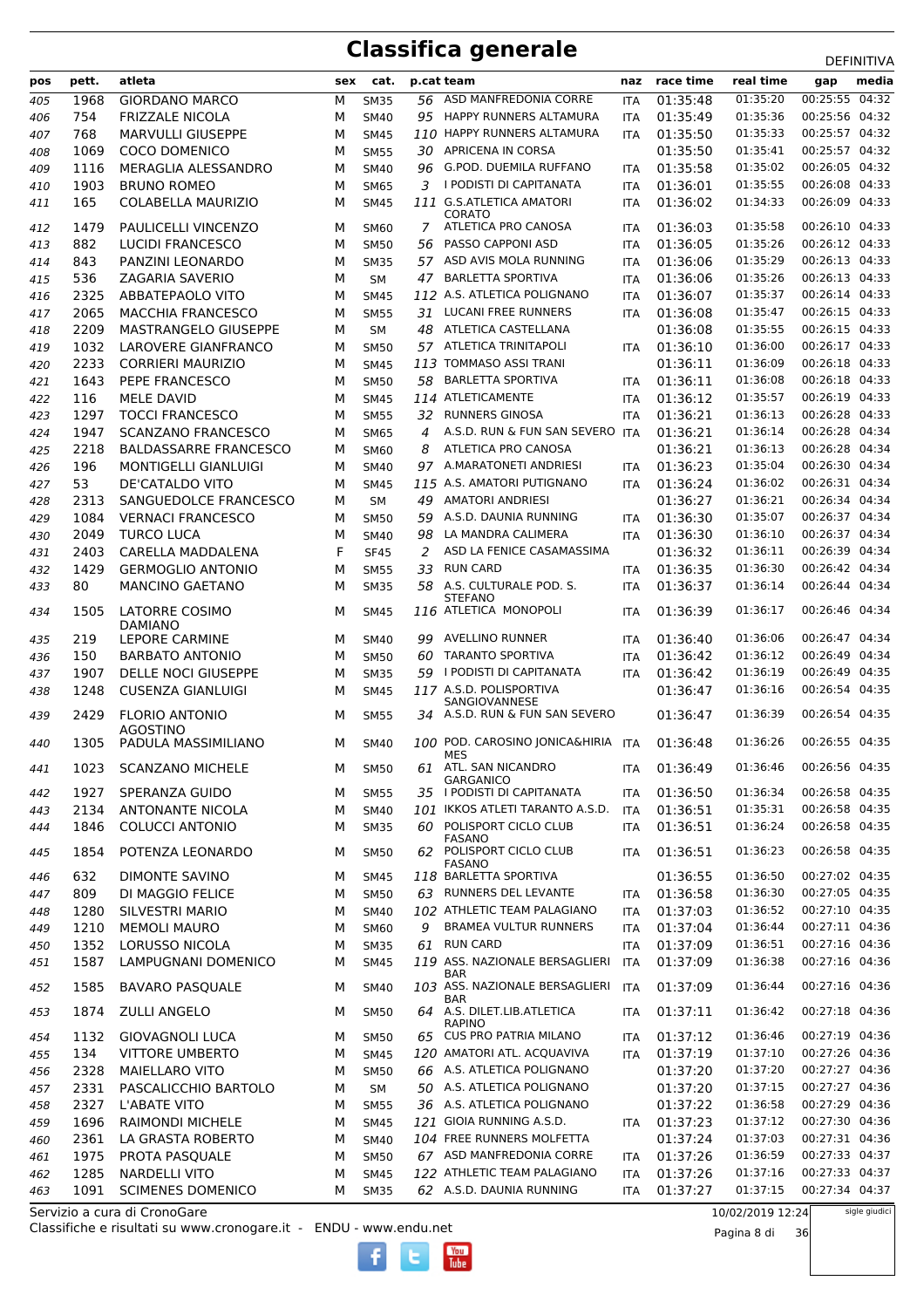| pos        | pett.        | atleta                                           | sex    | cat.                       |    | p.cat team                                              | naz        | race time            | real time            | ----------<br>media<br>gap       |
|------------|--------------|--------------------------------------------------|--------|----------------------------|----|---------------------------------------------------------|------------|----------------------|----------------------|----------------------------------|
|            |              |                                                  |        |                            |    | 56 ASD MANFREDONIA CORRE                                |            |                      | 01:35:20             | 00:25:55 04:32                   |
| 405        | 1968         | <b>GIORDANO MARCO</b>                            | М      | <b>SM35</b>                |    |                                                         | <b>ITA</b> | 01:35:48             |                      |                                  |
| 406        | 754          | <b>FRIZZALE NICOLA</b>                           | М      | <b>SM40</b>                |    | 95 HAPPY RUNNERS ALTAMURA<br>110 HAPPY RUNNERS ALTAMURA | <b>ITA</b> | 01:35:49             | 01:35:36<br>01:35:33 | 00:25:56 04:32<br>00:25:57 04:32 |
| 407        | 768          | <b>MARVULLI GIUSEPPE</b><br><b>COCO DOMENICO</b> | M      | <b>SM45</b>                |    | 30 APRICENA IN CORSA                                    | <b>ITA</b> | 01:35:50<br>01:35:50 | 01:35:41             | 00:25:57 04:32                   |
| 408<br>409 | 1069<br>1116 | MERAGLIA ALESSANDRO                              | м<br>М | <b>SM55</b><br><b>SM40</b> | 96 | G.POD. DUEMILA RUFFANO                                  | <b>ITA</b> | 01:35:58             | 01:35:02             | 00:26:05 04:32                   |
|            | 1903         | <b>BRUNO ROMEO</b>                               | М      |                            | 3  | I PODISTI DI CAPITANATA                                 | <b>ITA</b> | 01:36:01             | 01:35:55             | 00:26:08 04:33                   |
| 410        | 165          | COLABELLA MAURIZIO                               | М      | <b>SM65</b><br><b>SM45</b> |    | 111 G.S.ATLETICA AMATORI                                | <b>ITA</b> | 01:36:02             | 01:34:33             | 00:26:09 04:33                   |
| 411        |              |                                                  |        |                            |    | CORATO                                                  |            |                      |                      |                                  |
| 412        | 1479         | PAULICELLI VINCENZO                              | М      | <b>SM60</b>                | 7  | ATLETICA PRO CANOSA                                     | <b>ITA</b> | 01:36:03             | 01:35:58             | 00:26:10 04:33                   |
| 413        | 882          | <b>LUCIDI FRANCESCO</b>                          | М      | <b>SM50</b>                | 56 | PASSO CAPPONI ASD                                       | <b>ITA</b> | 01:36:05             | 01:35:26             | 00:26:12 04:33                   |
| 414        | 843          | PANZINI LEONARDO                                 | М      | <b>SM35</b>                |    | 57 ASD AVIS MOLA RUNNING                                | <b>ITA</b> | 01:36:06             | 01:35:29             | 00:26:13 04:33                   |
| 415        | 536          | ZAGARIA SAVERIO                                  | М      | SM                         | 47 | <b>BARLETTA SPORTIVA</b>                                | <b>ITA</b> | 01:36:06             | 01:35:26             | 00:26:13 04:33                   |
| 416        | 2325         | ABBATEPAOLO VITO                                 | М      | <b>SM45</b>                |    | 112 A.S. ATLETICA POLIGNANO                             | <b>ITA</b> | 01:36:07             | 01:35:37             | 00:26:14 04:33                   |
| 417        | 2065         | <b>MACCHIA FRANCESCO</b>                         | М      | <b>SM55</b>                | 31 | <b>LUCANI FREE RUNNERS</b>                              | <b>ITA</b> | 01:36:08             | 01:35:47             | 00:26:15 04:33                   |
| 418        | 2209         | MASTRANGELO GIUSEPPE                             | M      | <b>SM</b>                  | 48 | ATLETICA CASTELLANA                                     |            | 01:36:08             | 01:35:55             | 00:26:15 04:33                   |
| 419        | 1032         | LAROVERE GIANFRANCO                              | м      | <b>SM50</b>                |    | 57 ATLETICA TRINITAPOLI                                 | <b>ITA</b> | 01:36:10             | 01:36:00             | 00:26:17 04:33                   |
| 420        | 2233         | <b>CORRIERI MAURIZIO</b>                         | М      | <b>SM45</b>                |    | 113 TOMMASO ASSI TRANI                                  |            | 01:36:11             | 01:36:09             | 00:26:18 04:33                   |
| 421        | 1643         | PEPE FRANCESCO                                   | М      | <b>SM50</b>                | 58 | <b>BARLETTA SPORTIVA</b>                                | <b>ITA</b> | 01:36:11             | 01:36:08             | 00:26:18 04:33                   |
| 422        | 116          | <b>MELE DAVID</b>                                | М      | <b>SM45</b>                |    | 114 ATLETICAMENTE                                       | ITA        | 01:36:12             | 01:35:57             | 00:26:19 04:33                   |
| 423        | 1297         | <b>TOCCI FRANCESCO</b>                           | М      | <b>SM55</b>                | 32 | <b>RUNNERS GINOSA</b>                                   | <b>ITA</b> | 01:36:21             | 01:36:13             | 00:26:28 04:33                   |
| 424        | 1947         | <b>SCANZANO FRANCESCO</b>                        | M      | <b>SM65</b>                | 4  | A.S.D. RUN & FUN SAN SEVERO ITA                         |            | 01:36:21             | 01:36:14             | 00:26:28 04:34                   |
| 425        | 2218         | <b>BALDASSARRE FRANCESCO</b>                     | М      | <b>SM60</b>                | 8  | ATLETICA PRO CANOSA                                     |            | 01:36:21             | 01:36:13             | 00:26:28 04:34                   |
| 426        | 196          | <b>MONTIGELLI GIANLUIGI</b>                      | М      | <b>SM40</b>                |    | 97 A.MARATONETI ANDRIESI                                | <b>ITA</b> | 01:36:23             | 01:35:04             | 00:26:30 04:34                   |
| 427        | 53           | DE'CATALDO VITO                                  | M      | <b>SM45</b>                |    | 115 A.S. AMATORI PUTIGNANO                              | <b>ITA</b> | 01:36:24             | 01:36:02             | 00:26:31 04:34                   |
| 428        | 2313         | SANGUEDOLCE FRANCESCO                            | М      | <b>SM</b>                  | 49 | <b>AMATORI ANDRIESI</b>                                 |            | 01:36:27             | 01:36:21             | 00:26:34 04:34                   |
| 429        | 1084         | <b>VERNACI FRANCESCO</b>                         | М      | <b>SM50</b>                | 59 | A.S.D. DAUNIA RUNNING                                   | <b>ITA</b> | 01:36:30             | 01:35:07             | 00:26:37 04:34                   |
| 430        | 2049         | <b>TURCO LUCA</b>                                | М      | <b>SM40</b>                | 98 | LA MANDRA CALIMERA                                      | <b>ITA</b> | 01:36:30             | 01:36:10             | 00:26:37 04:34                   |
| 431        | 2403         | CARELLA MADDALENA                                | F      | <b>SF45</b>                | 2  | ASD LA FENICE CASAMASSIMA                               |            | 01:36:32             | 01:36:11             | 00:26:39 04:34                   |
| 432        | 1429         | <b>GERMOGLIO ANTONIO</b>                         | М      | <b>SM55</b>                | 33 | <b>RUN CARD</b>                                         | <b>ITA</b> | 01:36:35             | 01:36:30             | 00:26:42 04:34                   |
| 433        | 80           | <b>MANCINO GAETANO</b>                           | М      | <b>SM35</b>                | 58 | A.S. CULTURALE POD. S.<br><b>STEFANO</b>                | <b>ITA</b> | 01:36:37             | 01:36:14             | 00:26:44 04:34                   |
| 434        | 1505         | LATORRE COSIMO                                   | М      | <b>SM45</b>                |    | 116 ATLETICA MONOPOLI                                   | <b>ITA</b> | 01:36:39             | 01:36:17             | 00:26:46 04:34                   |
|            |              | <b>DAMIANO</b>                                   |        |                            |    |                                                         |            |                      |                      |                                  |
| 435        | 219          | <b>LEPORE CARMINE</b>                            | М      | <b>SM40</b>                | 99 | <b>AVELLINO RUNNER</b>                                  | <b>ITA</b> | 01:36:40             | 01:36:06<br>01:36:12 | 00:26:47 04:34<br>00:26:49 04:34 |
| 436        | 150          | <b>BARBATO ANTONIO</b>                           | M      | <b>SM50</b>                | 60 | <b>TARANTO SPORTIVA</b>                                 | <b>ITA</b> | 01:36:42             |                      | 00:26:49 04:35                   |
| 437        | 1907         | <b>DELLE NOCI GIUSEPPE</b>                       | М      | <b>SM35</b>                |    | 59 I PODISTI DI CAPITANATA<br>117 A.S.D. POLISPORTIVA   | <b>ITA</b> | 01:36:42             | 01:36:19<br>01:36:16 | 00:26:54 04:35                   |
| 438        | 1248         | <b>CUSENZA GIANLUIGI</b>                         | М      | <b>SM45</b>                |    | SANGIOVANNESE                                           |            | 01:36:47             |                      |                                  |
| 439        | 2429         | <b>FLORIO ANTONIO</b>                            | м      | <b>SM55</b>                | 34 | A.S.D. RUN & FUN SAN SEVERO                             |            | 01:36:47             | 01:36:39             | 00:26:54 04:35                   |
| 440        | 1305         | <b>AGOSTINO</b><br>PADULA MASSIMILIANO           | м      | <b>SM40</b>                |    | 100 POD. CAROSINO JONICA&HIRIA ITA                      |            | 01:36:48             | 01:36:26             | 00:26:55 04:35                   |
|            |              |                                                  |        |                            |    | MES                                                     |            |                      |                      |                                  |
| 441        | 1023         | <b>SCANZANO MICHELE</b>                          | М      | <b>SM50</b>                | 61 | ATL. SAN NICANDRO<br><b>GARGANICO</b>                   | ITA        | 01:36:49             | 01:36:46             | 00:26:56 04:35                   |
| 442        | 1927         | SPERANZA GUIDO                                   | M      | <b>SM55</b>                |    | 35 I PODISTI DI CAPITANATA                              | <b>ITA</b> | 01:36:50             | 01:36:34             | 00:26:58 04:35                   |
| 443        | 2134         | <b>ANTONANTE NICOLA</b>                          | М      | <b>SM40</b>                |    | 101 IKKOS ATLETI TARANTO A.S.D.                         | <b>ITA</b> | 01:36:51             | 01:35:31             | 00:26:58 04:35                   |
| 444        | 1846         | <b>COLUCCI ANTONIO</b>                           | М      | <b>SM35</b>                | 60 | POLISPORT CICLO CLUB                                    | ITA        | 01:36:51             | 01:36:24             | 00:26:58 04:35                   |
|            | 1854         | POTENZA LEONARDO                                 | М      | <b>SM50</b>                |    | FASANO<br>62 POLISPORT CICLO CLUB                       | <b>ITA</b> | 01:36:51             | 01:36:23             | 00:26:58 04:35                   |
| 445        |              |                                                  |        |                            |    | <b>FASANO</b>                                           |            |                      |                      |                                  |
| 446        | 632          | DIMONTE SAVINO                                   | М      | <b>SM45</b>                |    | 118 BARLETTA SPORTIVA                                   |            | 01:36:55             | 01:36:50             | 00:27:02 04:35                   |
| 447        | 809          | DI MAGGIO FELICE                                 | М      | <b>SM50</b>                |    | 63 RUNNERS DEL LEVANTE                                  | <b>ITA</b> | 01:36:58             | 01:36:30             | 00:27:05 04:35                   |
| 448        | 1280         | <b>SILVESTRI MARIO</b>                           | М      | <b>SM40</b>                |    | 102 ATHLETIC TEAM PALAGIANO                             | ITA        | 01:37:03             | 01:36:52             | 00:27:10 04:35                   |
| 449        | 1210         | <b>MEMOLI MAURO</b>                              | М      | SM60                       | 9  | <b>BRAMEA VULTUR RUNNERS</b>                            | ITA        | 01:37:04             | 01:36:44             | 00:27:11 04:36                   |
| 450        | 1352         | LORUSSO NICOLA                                   | М      | <b>SM35</b>                | 61 | <b>RUN CARD</b>                                         | ITA        | 01:37:09             | 01:36:51             | 00:27:16 04:36                   |
| 451        | 1587         | LAMPUGNANI DOMENICO                              | М      | <b>SM45</b>                |    | 119 ASS. NAZIONALE BERSAGLIERI<br>BAR                   | ITA        | 01:37:09             | 01:36:38             | 00:27:16 04:36                   |
| 452        | 1585         | <b>BAVARO PASQUALE</b>                           | М      | <b>SM40</b>                |    | 103 ASS. NAZIONALE BERSAGLIERI                          | <b>ITA</b> | 01:37:09             | 01:36:44             | 00:27:16 04:36                   |
| 453        | 1874         | <b>ZULLI ANGELO</b>                              | М      | <b>SM50</b>                |    | <b>BAR</b><br>64 A.S. DILET.LIB.ATLETICA                | ITA        | 01:37:11             | 01:36:42             | 00:27:18 04:36                   |
|            |              |                                                  |        |                            |    | <b>RAPINO</b>                                           |            |                      |                      |                                  |
| 454        | 1132         | <b>GIOVAGNOLI LUCA</b>                           | М      | <b>SM50</b>                |    | 65 CUS PRO PATRIA MILANO                                | <b>ITA</b> | 01:37:12             | 01:36:46             | 00:27:19 04:36                   |
| 455        | 134          | <b>VITTORE UMBERTO</b>                           | М      | <b>SM45</b>                |    | 120 AMATORI ATL. ACQUAVIVA                              | <b>ITA</b> | 01:37:19             | 01:37:10             | 00:27:26 04:36                   |
| 456        | 2328         | <b>MAIELLARO VITO</b>                            | М      | <b>SM50</b>                |    | 66 A.S. ATLETICA POLIGNANO                              |            | 01:37:20             | 01:37:20             | 00:27:27 04:36                   |
| 457        | 2331         | PASCALICCHIO BARTOLO                             | М      | SM                         |    | 50 A.S. ATLETICA POLIGNANO                              |            | 01:37:20             | 01:37:15             | 00:27:27 04:36                   |
| 458        | 2327         | L'ABATE VITO                                     | М      | <b>SM55</b>                |    | 36 A.S. ATLETICA POLIGNANO                              |            | 01:37:22             | 01:36:58             | 00:27:29 04:36                   |
| 459        | 1696         | <b>RAIMONDI MICHELE</b>                          | М      | <b>SM45</b>                |    | 121 GIOIA RUNNING A.S.D.                                | <b>ITA</b> | 01:37:23             | 01:37:12             | 00:27:30 04:36                   |
| 460        | 2361         | LA GRASTA ROBERTO                                | М      | <b>SM40</b>                |    | 104 FREE RUNNERS MOLFETTA                               |            | 01:37:24             | 01:37:03             | 00:27:31 04:36                   |
| 461        | 1975         | PROTA PASQUALE                                   | М      | <b>SM50</b>                |    | 67 ASD MANFREDONIA CORRE                                | <b>ITA</b> | 01:37:26             | 01:36:59             | 00:27:33 04:37                   |
| 462        | 1285         | <b>NARDELLI VITO</b>                             | М      | <b>SM45</b>                |    | 122 ATHLETIC TEAM PALAGIANO                             | <b>ITA</b> | 01:37:26             | 01:37:16             | 00:27:33 04:37                   |
| 463        | 1091         | <b>SCIMENES DOMENICO</b>                         | М      | <b>SM35</b>                |    | 62 A.S.D. DAUNIA RUNNING                                | ITA        | 01:37:27             | 01:37:15             | 00:27:34 04:37                   |

Classifiche e risultati su www.cronogare.it - ENDU - www.endu.net Servizio a cura di CronoGare

10/02/2019 12:24

Pagina 8 di 36

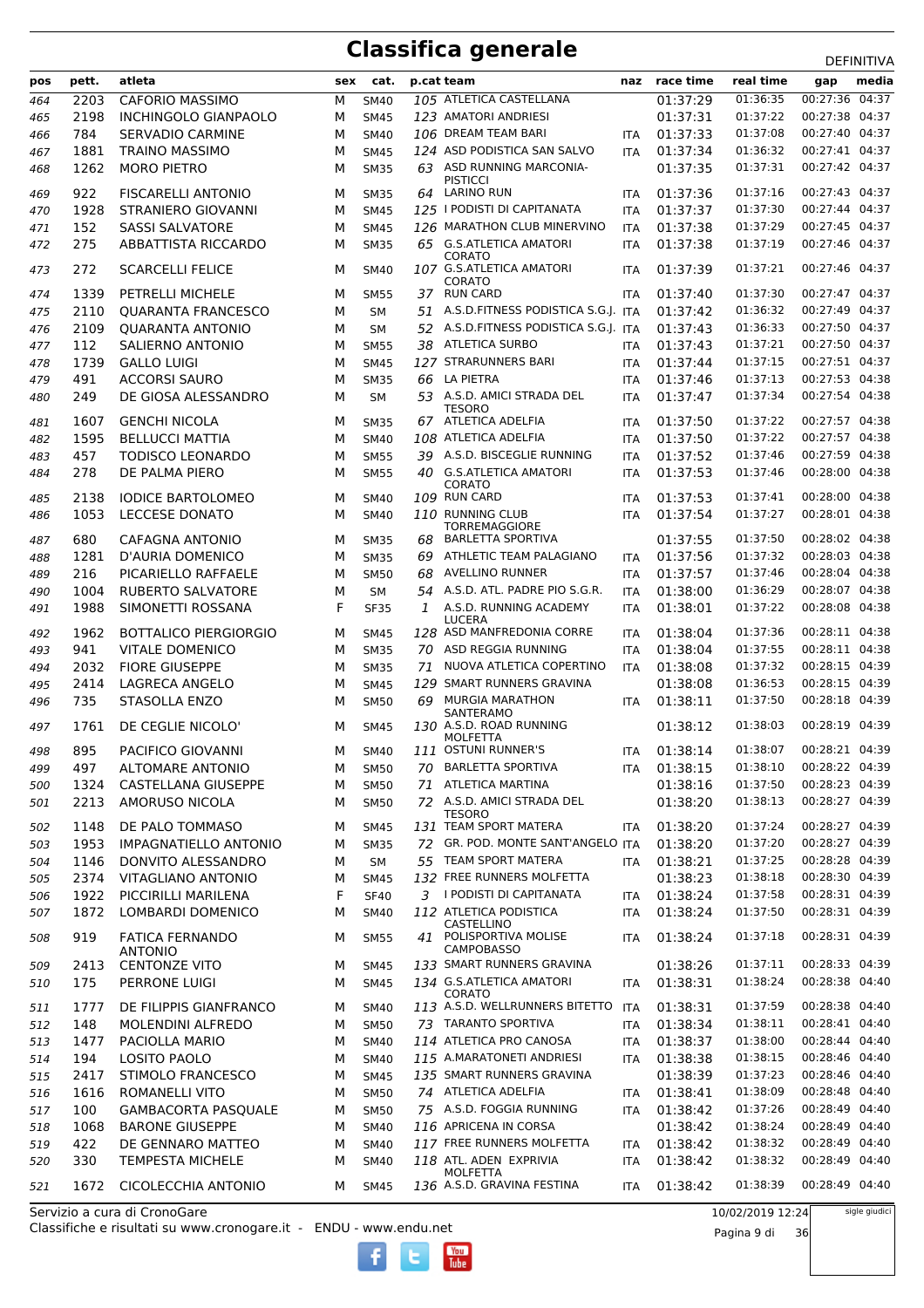|     | pett. | atleta                       | sex | cat.        |    |                                            |            | race time | real time | <b>ת יוויווים</b><br>media |  |
|-----|-------|------------------------------|-----|-------------|----|--------------------------------------------|------------|-----------|-----------|----------------------------|--|
| pos |       |                              |     |             |    | p.cat team                                 | naz        |           |           | gap                        |  |
| 464 | 2203  | <b>CAFORIO MASSIMO</b>       | M   | <b>SM40</b> |    | 105 ATLETICA CASTELLANA                    |            | 01:37:29  | 01:36:35  | 00:27:36<br>04:37          |  |
| 465 | 2198  | <b>INCHINGOLO GIANPAOLO</b>  | М   | <b>SM45</b> |    | 123 AMATORI ANDRIESI                       |            | 01:37:31  | 01:37:22  | 00:27:38 04:37             |  |
| 466 | 784   | SERVADIO CARMINE             | M   | <b>SM40</b> |    | 106 DREAM TEAM BARI                        | <b>ITA</b> | 01:37:33  | 01:37:08  | 00:27:40 04:37             |  |
| 467 | 1881  | <b>TRAINO MASSIMO</b>        | М   | <b>SM45</b> |    | 124 ASD PODISTICA SAN SALVO                | <b>ITA</b> | 01:37:34  | 01:36:32  | 00:27:41 04:37             |  |
| 468 | 1262  | <b>MORO PIETRO</b>           | М   | <b>SM35</b> |    | 63 ASD RUNNING MARCONIA-                   |            | 01:37:35  | 01:37:31  | 00:27:42 04:37             |  |
| 469 | 922   | <b>FISCARELLI ANTONIO</b>    | М   | <b>SM35</b> | 64 | <b>PISTICCI</b><br>LARINO RUN              | ITA        | 01:37:36  | 01:37:16  | 00:27:43 04:37             |  |
| 470 | 1928  | <b>STRANIERO GIOVANNI</b>    | M   | <b>SM45</b> |    | 125 I PODISTI DI CAPITANATA                | <b>ITA</b> | 01:37:37  | 01:37:30  | 00:27:44 04:37             |  |
|     |       |                              |     |             |    | 126 MARATHON CLUB MINERVINO                |            |           | 01:37:29  | 00:27:45 04:37             |  |
| 471 | 152   | <b>SASSI SALVATORE</b>       | M   | <b>SM45</b> |    |                                            | <b>ITA</b> | 01:37:38  |           |                            |  |
| 472 | 275   | <b>ABBATTISTA RICCARDO</b>   | м   | <b>SM35</b> |    | 65 G.S.ATLETICA AMATORI<br><b>CORATO</b>   | ITA        | 01:37:38  | 01:37:19  | 00:27:46 04:37             |  |
| 473 | 272   | <b>SCARCELLI FELICE</b>      | M   | SM40        |    | 107 G.S.ATLETICA AMATORI                   | <b>ITA</b> | 01:37:39  | 01:37:21  | 00:27:46 04:37             |  |
|     |       |                              |     |             |    | CORATO                                     |            |           |           |                            |  |
| 474 | 1339  | PETRELLI MICHELE             | М   | <b>SM55</b> |    | 37 RUN CARD                                | <b>ITA</b> | 01:37:40  | 01:37:30  | 00:27:47 04:37             |  |
| 475 | 2110  | <b>QUARANTA FRANCESCO</b>    | M   | <b>SM</b>   | 51 | A.S.D.FITNESS PODISTICA S.G.J. ITA         |            | 01:37:42  | 01:36:32  | 00:27:49 04:37             |  |
| 476 | 2109  | <b>QUARANTA ANTONIO</b>      | M   | <b>SM</b>   |    | 52 A.S.D.FITNESS PODISTICA S.G.J. ITA      |            | 01:37:43  | 01:36:33  | 00:27:50 04:37             |  |
| 477 | 112   | SALIERNO ANTONIO             | м   | <b>SM55</b> |    | 38 ATLETICA SURBO                          | <b>ITA</b> | 01:37:43  | 01:37:21  | 00:27:50 04:37             |  |
| 478 | 1739  | <b>GALLO LUIGI</b>           | М   | <b>SM45</b> |    | 127 STRARUNNERS BARI                       | <b>ITA</b> | 01:37:44  | 01:37:15  | 00:27:51 04:37             |  |
| 479 | 491   | <b>ACCORSI SAURO</b>         | м   | <b>SM35</b> |    | 66 LA PIETRA                               | ITA        | 01:37:46  | 01:37:13  | 00:27:53 04:38             |  |
| 480 | 249   | DE GIOSA ALESSANDRO          | M   | <b>SM</b>   |    | 53 A.S.D. AMICI STRADA DEL                 | <b>ITA</b> | 01:37:47  | 01:37:34  | 00:27:54 04:38             |  |
|     |       |                              |     |             |    | <b>TESORO</b>                              |            |           |           |                            |  |
| 481 | 1607  | <b>GENCHI NICOLA</b>         | M   | <b>SM35</b> |    | 67 ATLETICA ADELFIA                        | <b>ITA</b> | 01:37:50  | 01:37:22  | 00:27:57 04:38             |  |
| 482 | 1595  | <b>BELLUCCI MATTIA</b>       | М   | <b>SM40</b> |    | 108 ATLETICA ADELFIA                       | <b>ITA</b> | 01:37:50  | 01:37:22  | 00:27:57 04:38             |  |
| 483 | 457   | <b>TODISCO LEONARDO</b>      | M   | <b>SM55</b> | 39 | A.S.D. BISCEGLIE RUNNING                   | <b>ITA</b> | 01:37:52  | 01:37:46  | 00:27:59 04:38             |  |
| 484 | 278   | DE PALMA PIERO               | M   | <b>SM55</b> |    | 40 G.S.ATLETICA AMATORI                    | <b>ITA</b> | 01:37:53  | 01:37:46  | 00:28:00 04:38             |  |
|     | 2138  | <b>IODICE BARTOLOMEO</b>     | M   |             |    | <b>CORATO</b><br>109 RUN CARD              |            | 01:37:53  | 01:37:41  | 00:28:00 04:38             |  |
| 485 |       |                              |     | SM40        |    |                                            | ITA        | 01:37:54  |           |                            |  |
| 486 | 1053  | <b>LECCESE DONATO</b>        | М   | <b>SM40</b> |    | 110 RUNNING CLUB<br><b>TORREMAGGIORE</b>   | <b>ITA</b> |           | 01:37:27  | 00:28:01 04:38             |  |
| 487 | 680   | CAFAGNA ANTONIO              | M   | SM35        | 68 | <b>BARLETTA SPORTIVA</b>                   |            | 01:37:55  | 01:37:50  | 00:28:02 04:38             |  |
| 488 | 1281  | <b>D'AURIA DOMENICO</b>      | M   | <b>SM35</b> | 69 | ATHLETIC TEAM PALAGIANO                    | <b>ITA</b> | 01:37:56  | 01:37:32  | 00:28:03 04:38             |  |
| 489 | 216   | PICARIELLO RAFFAELE          | М   | <b>SM50</b> | 68 | <b>AVELLINO RUNNER</b>                     | <b>ITA</b> | 01:37:57  | 01:37:46  | 00:28:04 04:38             |  |
| 490 | 1004  | <b>RUBERTO SALVATORE</b>     | M   | <b>SM</b>   | 54 | A.S.D. ATL. PADRE PIO S.G.R.               | <b>ITA</b> | 01:38:00  | 01:36:29  | 00:28:07 04:38             |  |
| 491 | 1988  | SIMONETTI ROSSANA            | F   | <b>SF35</b> | 1  | A.S.D. RUNNING ACADEMY                     | ITA        | 01:38:01  | 01:37:22  | 00:28:08 04:38             |  |
|     |       |                              |     |             |    | LUCERA                                     |            |           |           |                            |  |
| 492 | 1962  | <b>BOTTALICO PIERGIORGIO</b> | M   | SM45        |    | 128 ASD MANFREDONIA CORRE                  | ITA        | 01:38:04  | 01:37:36  | 00:28:11 04:38             |  |
| 493 | 941   | <b>VITALE DOMENICO</b>       | М   | <b>SM35</b> |    | 70 ASD REGGIA RUNNING                      | <b>ITA</b> | 01:38:04  | 01:37:55  | 00:28:11 04:38             |  |
| 494 | 2032  | <b>FIORE GIUSEPPE</b>        | M   | <b>SM35</b> | 71 | NUOVA ATLETICA COPERTINO                   | <b>ITA</b> | 01:38:08  | 01:37:32  | 00:28:15 04:39             |  |
| 495 | 2414  | <b>LAGRECA ANGELO</b>        | M   | <b>SM45</b> |    | 129 SMART RUNNERS GRAVINA                  |            | 01:38:08  | 01:36:53  | 00:28:15 04:39             |  |
| 496 | 735   | STASOLLA ENZO                | М   | <b>SM50</b> | 69 | MURGIA MARATHON                            | <b>ITA</b> | 01:38:11  | 01:37:50  | 00:28:18 04:39             |  |
|     |       |                              |     |             |    | <b>SANTERAMO</b>                           |            |           |           |                            |  |
| 497 | 1761  | DE CEGLIE NICOLO'            | м   | SM45        |    | 130 A.S.D. ROAD RUNNING<br><b>MOLFETTA</b> |            | 01:38:12  | 01:38:03  | 00:28:19 04:39             |  |
| 498 | 895   | PACIFICO GIOVANNI            | м   | <b>SM40</b> |    | 111 OSTUNI RUNNER'S                        | <b>ITA</b> | 01:38:14  | 01:38:07  | 00:28:21 04:39             |  |
| 499 | 497   | <b>ALTOMARE ANTONIO</b>      | М   | <b>SM50</b> | 70 | <b>BARLETTA SPORTIVA</b>                   | ITA        | 01:38:15  | 01:38:10  | 00:28:22 04:39             |  |
| 500 | 1324  | <b>CASTELLANA GIUSEPPE</b>   | М   | <b>SM50</b> |    | 71 ATLETICA MARTINA                        |            | 01:38:16  | 01:37:50  | 00:28:23 04:39             |  |
| 501 | 2213  | <b>AMORUSO NICOLA</b>        | М   | <b>SM50</b> |    | 72 A.S.D. AMICI STRADA DEL                 |            | 01:38:20  | 01:38:13  | 00:28:27 04:39             |  |
|     |       |                              |     |             |    | <b>TESORO</b>                              |            |           |           |                            |  |
| 502 | 1148  | DE PALO TOMMASO              | М   | <b>SM45</b> |    | 131 TEAM SPORT MATERA                      | <b>ITA</b> | 01:38:20  | 01:37:24  | 00:28:27 04:39             |  |
| 503 | 1953  | <b>IMPAGNATIELLO ANTONIO</b> | М   | <b>SM35</b> | 72 | GR. POD. MONTE SANT'ANGELO ITA             |            | 01:38:20  | 01:37:20  | 00:28:27 04:39             |  |
| 504 | 1146  | DONVITO ALESSANDRO           | М   | SM          |    | 55 TEAM SPORT MATERA                       | ITA        | 01:38:21  | 01:37:25  | 00:28:28 04:39             |  |
| 505 | 2374  | <b>VITAGLIANO ANTONIO</b>    | М   | <b>SM45</b> |    | 132 FREE RUNNERS MOLFETTA                  |            | 01:38:23  | 01:38:18  | 00:28:30 04:39             |  |
| 506 | 1922  | PICCIRILLI MARILENA          | F   | <b>SF40</b> |    | 3 I PODISTI DI CAPITANATA                  | ITA        | 01:38:24  | 01:37:58  | 00:28:31 04:39             |  |
| 507 | 1872  | LOMBARDI DOMENICO            | М   | <b>SM40</b> |    | 112 ATLETICA PODISTICA                     | ITA        | 01:38:24  | 01:37:50  | 00:28:31 04:39             |  |
|     |       |                              |     |             |    | CASTELLINO                                 |            |           |           |                            |  |
| 508 | 919   | <b>FATICA FERNANDO</b>       | м   | <b>SM55</b> | 41 | POLISPORTIVA MOLISE<br><b>CAMPOBASSO</b>   | <b>ITA</b> | 01:38:24  | 01:37:18  | 00:28:31 04:39             |  |
|     |       | ANTONIO                      |     |             |    | 133 SMART RUNNERS GRAVINA                  |            |           | 01:37:11  | 00:28:33 04:39             |  |
| 509 | 2413  | <b>CENTONZE VITO</b>         | М   | <b>SM45</b> |    |                                            |            | 01:38:26  |           |                            |  |
| 510 | 175   | PERRONE LUIGI                | м   | <b>SM45</b> |    | 134 G.S.ATLETICA AMATORI<br>CORATO         | ITA        | 01:38:31  | 01:38:24  | 00:28:38 04:40             |  |
| 511 | 1777  | DE FILIPPIS GIANFRANCO       | м   | <b>SM40</b> |    | 113 A.S.D. WELLRUNNERS BITETTO             | ITA        | 01:38:31  | 01:37:59  | 00:28:38 04:40             |  |
| 512 | 148   | <b>MOLENDINI ALFREDO</b>     | М   | <b>SM50</b> |    | 73 TARANTO SPORTIVA                        | ITA        | 01:38:34  | 01:38:11  | 00:28:41 04:40             |  |
| 513 | 1477  | PACIOLLA MARIO               | М   | <b>SM40</b> |    | 114 ATLETICA PRO CANOSA                    | <b>ITA</b> | 01:38:37  | 01:38:00  | 00:28:44 04:40             |  |
| 514 | 194   | <b>LOSITO PAOLO</b>          | М   | <b>SM40</b> |    | 115 A.MARATONETI ANDRIESI                  | <b>ITA</b> | 01:38:38  | 01:38:15  | 00:28:46 04:40             |  |
| 515 | 2417  | STIMOLO FRANCESCO            | М   | <b>SM45</b> |    | 135 SMART RUNNERS GRAVINA                  |            | 01:38:39  | 01:37:23  | 00:28:46 04:40             |  |
|     | 1616  | ROMANELLI VITO               | M   | <b>SM50</b> |    | 74 ATLETICA ADELFIA                        |            | 01:38:41  | 01:38:09  | 00:28:48 04:40             |  |
| 516 |       |                              |     |             |    | 75 A.S.D. FOGGIA RUNNING                   | ITA        |           | 01:37:26  | 00:28:49 04:40             |  |
| 517 | 100   | <b>GAMBACORTA PASQUALE</b>   | м   | <b>SM50</b> |    |                                            | <b>ITA</b> | 01:38:42  |           |                            |  |
| 518 | 1068  | <b>BARONE GIUSEPPE</b>       | М   | <b>SM40</b> |    | 116 APRICENA IN CORSA                      |            | 01:38:42  | 01:38:24  | 00:28:49 04:40             |  |
| 519 | 422   | DE GENNARO MATTEO            | М   | <b>SM40</b> |    | 117 FREE RUNNERS MOLFETTA                  | <b>ITA</b> | 01:38:42  | 01:38:32  | 00:28:49 04:40             |  |
| 520 | 330   | <b>TEMPESTA MICHELE</b>      | м   | <b>SM40</b> |    | 118 ATL. ADEN EXPRIVIA<br><b>MOLFETTA</b>  | ITA        | 01:38:42  | 01:38:32  | 00:28:49 04:40             |  |
| 521 | 1672  | CICOLECCHIA ANTONIO          | М   | <b>SM45</b> |    | 136 A.S.D. GRAVINA FESTINA                 | ITA        | 01:38:42  | 01:38:39  | 00:28:49 04:40             |  |
|     |       |                              |     |             |    |                                            |            |           |           |                            |  |

Classifiche e risultati su www.cronogare.it - ENDU - www.endu.net Servizio a cura di CronoGare

10/02/2019 12:24

Pagina 9 di 36

sigle giudici

 $\begin{bmatrix}\n\frac{\text{Vou}}{\text{Iube}}\n\end{bmatrix}$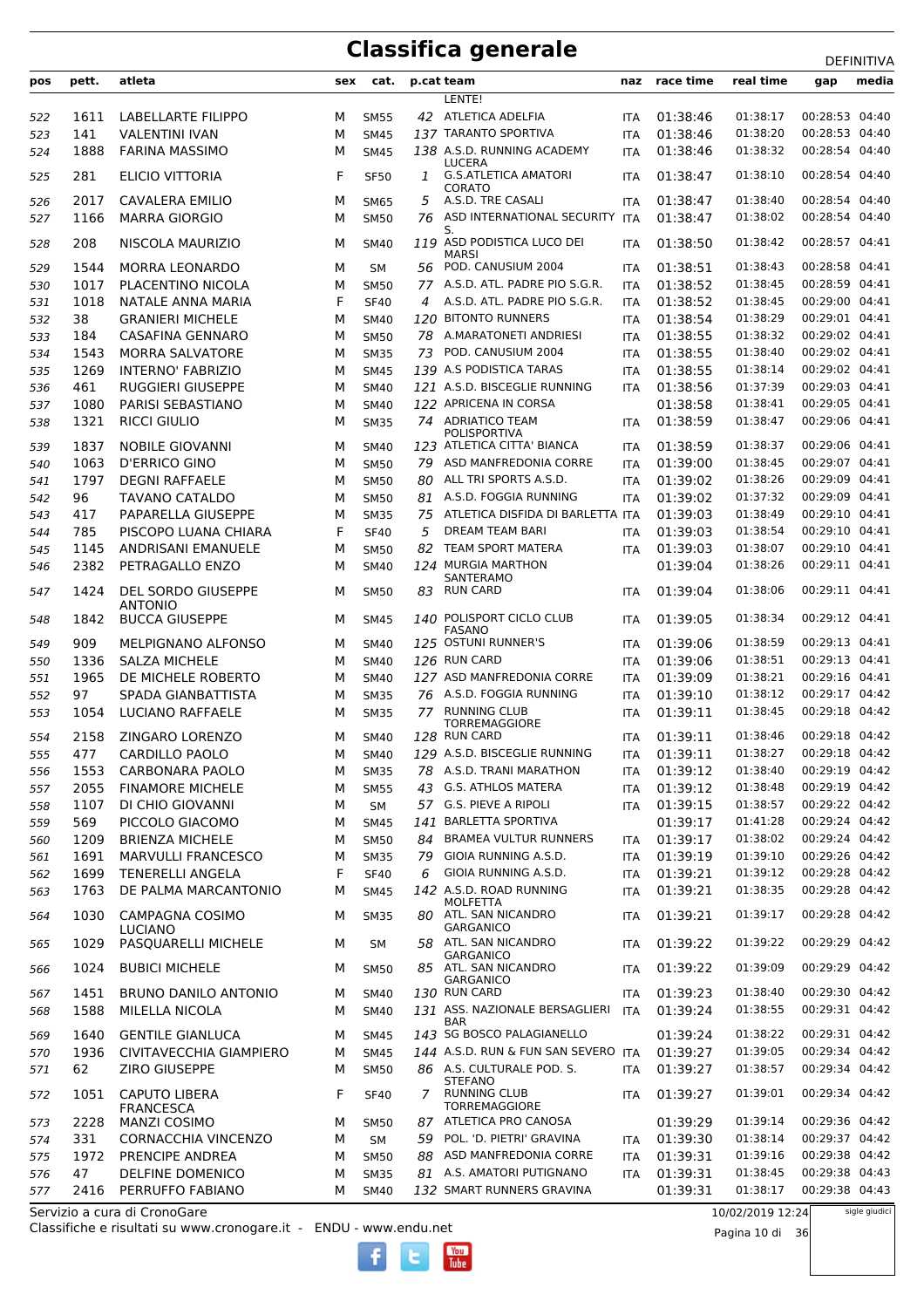| pos | pett. | atleta                               | sex | cat.        |    | p.cat team                            | naz        | race time | real time | gap            | media |
|-----|-------|--------------------------------------|-----|-------------|----|---------------------------------------|------------|-----------|-----------|----------------|-------|
|     |       |                                      |     |             |    | LENTE!                                |            |           |           |                |       |
| 522 | 1611  | LABELLARTE FILIPPO                   | M   | <b>SM55</b> |    | 42 ATLETICA ADELFIA                   | <b>ITA</b> | 01:38:46  | 01:38:17  | 00:28:53 04:40 |       |
| 523 | 141   | <b>VALENTINI IVAN</b>                | M   | <b>SM45</b> |    | 137 TARANTO SPORTIVA                  | <b>ITA</b> | 01:38:46  | 01:38:20  | 00:28:53 04:40 |       |
| 524 | 1888  | <b>FARINA MASSIMO</b>                | М   | <b>SM45</b> |    | 138 A.S.D. RUNNING ACADEMY            | <b>ITA</b> | 01:38:46  | 01:38:32  | 00:28:54 04:40 |       |
|     |       |                                      |     |             |    | LUCERA                                |            |           |           |                |       |
| 525 | 281   | <b>ELICIO VITTORIA</b>               | F   | <b>SF50</b> | 1  | <b>G.S.ATLETICA AMATORI</b>           | <b>ITA</b> | 01:38:47  | 01:38:10  | 00:28:54 04:40 |       |
| 526 | 2017  | <b>CAVALERA EMILIO</b>               | М   | <b>SM65</b> | 5  | CORATO<br>A.S.D. TRE CASALI           | <b>ITA</b> | 01:38:47  | 01:38:40  | 00:28:54 04:40 |       |
|     | 1166  | <b>MARRA GIORGIO</b>                 |     |             | 76 | ASD INTERNATIONAL SECURITY            | <b>ITA</b> | 01:38:47  | 01:38:02  | 00:28:54 04:40 |       |
| 527 |       |                                      | M   | <b>SM50</b> |    | S.                                    |            |           |           |                |       |
| 528 | 208   | NISCOLA MAURIZIO                     | М   | <b>SM40</b> |    | 119 ASD PODISTICA LUCO DEI            | ITA        | 01:38:50  | 01:38:42  | 00:28:57 04:41 |       |
|     |       | <b>MORRA LEONARDO</b>                |     |             |    | <b>MARSI</b><br>POD. CANUSIUM 2004    |            | 01:38:51  | 01:38:43  | 00:28:58 04:41 |       |
| 529 | 1544  |                                      | M   | SM          | 56 | 77 A.S.D. ATL. PADRE PIO S.G.R.       | <b>ITA</b> |           |           |                |       |
| 530 | 1017  | PLACENTINO NICOLA                    | М   | <b>SM50</b> |    |                                       | <b>ITA</b> | 01:38:52  | 01:38:45  | 00:28:59 04:41 |       |
| 531 | 1018  | NATALE ANNA MARIA                    | F   | <b>SF40</b> | 4  | A.S.D. ATL. PADRE PIO S.G.R.          | <b>ITA</b> | 01:38:52  | 01:38:45  | 00:29:00 04:41 |       |
| 532 | 38    | <b>GRANIERI MICHELE</b>              | М   | <b>SM40</b> |    | 120 BITONTO RUNNERS                   | <b>ITA</b> | 01:38:54  | 01:38:29  | 00:29:01 04:41 |       |
| 533 | 184   | <b>CASAFINA GENNARO</b>              | М   | <b>SM50</b> | 78 | A.MARATONETI ANDRIESI                 | <b>ITA</b> | 01:38:55  | 01:38:32  | 00:29:02 04:41 |       |
| 534 | 1543  | <b>MORRA SALVATORE</b>               | M   | <b>SM35</b> | 73 | POD. CANUSIUM 2004                    | <b>ITA</b> | 01:38:55  | 01:38:40  | 00:29:02 04:41 |       |
| 535 | 1269  | <b>INTERNO' FABRIZIO</b>             | M   | <b>SM45</b> |    | 139 A.S PODISTICA TARAS               | <b>ITA</b> | 01:38:55  | 01:38:14  | 00:29:02 04:41 |       |
| 536 | 461   | <b>RUGGIERI GIUSEPPE</b>             | M   | <b>SM40</b> |    | 121 A.S.D. BISCEGLIE RUNNING          | <b>ITA</b> | 01:38:56  | 01:37:39  | 00:29:03 04:41 |       |
| 537 | 1080  | PARISI SEBASTIANO                    | М   | <b>SM40</b> |    | 122 APRICENA IN CORSA                 |            | 01:38:58  | 01:38:41  | 00:29:05 04:41 |       |
| 538 | 1321  | <b>RICCI GIULIO</b>                  | М   | <b>SM35</b> |    | 74 ADRIATICO TEAM                     | <b>ITA</b> | 01:38:59  | 01:38:47  | 00:29:06 04:41 |       |
|     |       |                                      |     |             |    | POLISPORTIVA                          |            |           |           | 00:29:06 04:41 |       |
| 539 | 1837  | <b>NOBILE GIOVANNI</b>               | M   | <b>SM40</b> |    | 123 ATLETICA CITTA' BIANCA            | <b>ITA</b> | 01:38:59  | 01:38:37  |                |       |
| 540 | 1063  | <b>D'ERRICO GINO</b>                 | М   | <b>SM50</b> | 79 | ASD MANFREDONIA CORRE                 | <b>ITA</b> | 01:39:00  | 01:38:45  | 00:29:07 04:41 |       |
| 541 | 1797  | <b>DEGNI RAFFAELE</b>                | М   | <b>SM50</b> | 80 | ALL TRI SPORTS A.S.D.                 | <b>ITA</b> | 01:39:02  | 01:38:26  | 00:29:09 04:41 |       |
| 542 | 96    | <b>TAVANO CATALDO</b>                | M   | <b>SM50</b> | 81 | A.S.D. FOGGIA RUNNING                 | <b>ITA</b> | 01:39:02  | 01:37:32  | 00:29:09 04:41 |       |
| 543 | 417   | PAPARELLA GIUSEPPE                   | м   | <b>SM35</b> | 75 | ATLETICA DISFIDA DI BARLETTA ITA      |            | 01:39:03  | 01:38:49  | 00:29:10 04:41 |       |
| 544 | 785   | PISCOPO LUANA CHIARA                 | F   | <b>SF40</b> | 5  | DREAM TEAM BARI                       | <b>ITA</b> | 01:39:03  | 01:38:54  | 00:29:10 04:41 |       |
| 545 | 1145  | ANDRISANI EMANUELE                   | М   | <b>SM50</b> | 82 | <b>TEAM SPORT MATERA</b>              | <b>ITA</b> | 01:39:03  | 01:38:07  | 00:29:10 04:41 |       |
| 546 | 2382  | PETRAGALLO ENZO                      | М   | <b>SM40</b> |    | 124 MURGIA MARTHON                    |            | 01:39:04  | 01:38:26  | 00:29:11 04:41 |       |
|     |       |                                      |     |             |    | SANTERAMO                             |            |           |           |                |       |
| 547 | 1424  | DEL SORDO GIUSEPPE<br><b>ANTONIO</b> | м   | <b>SM50</b> | 83 | <b>RUN CARD</b>                       | <b>ITA</b> | 01:39:04  | 01:38:06  | 00:29:11 04:41 |       |
| 548 | 1842  | <b>BUCCA GIUSEPPE</b>                | М   | <b>SM45</b> |    | 140 POLISPORT CICLO CLUB              | <b>ITA</b> | 01:39:05  | 01:38:34  | 00:29:12 04:41 |       |
|     |       |                                      |     |             |    | <b>FASANO</b>                         |            |           |           |                |       |
| 549 | 909   | <b>MELPIGNANO ALFONSO</b>            | М   | <b>SM40</b> |    | 125 OSTUNI RUNNER'S                   | <b>ITA</b> | 01:39:06  | 01:38:59  | 00:29:13 04:41 |       |
| 550 | 1336  | <b>SALZA MICHELE</b>                 | M   | <b>SM40</b> |    | 126 RUN CARD                          | <b>ITA</b> | 01:39:06  | 01:38:51  | 00:29:13 04:41 |       |
| 551 | 1965  | DE MICHELE ROBERTO                   | М   | <b>SM40</b> |    | 127 ASD MANFREDONIA CORRE             | <b>ITA</b> | 01:39:09  | 01:38:21  | 00:29:16 04:41 |       |
| 552 | 97    | SPADA GIANBATTISTA                   | M   | <b>SM35</b> |    | 76 A.S.D. FOGGIA RUNNING              | <b>ITA</b> | 01:39:10  | 01:38:12  | 00:29:17 04:42 |       |
| 553 | 1054  | <b>LUCIANO RAFFAELE</b>              | M   | <b>SM35</b> | 77 | <b>RUNNING CLUB</b>                   | <b>ITA</b> | 01:39:11  | 01:38:45  | 00:29:18 04:42 |       |
|     |       |                                      |     |             |    | <b>TORREMAGGIORE</b>                  |            |           |           |                |       |
| 554 | 2158  | ZINGARO LORENZO                      | М   | <b>SM40</b> |    | 128 RUN CARD                          | <b>ITA</b> | 01:39:11  | 01:38:46  | 00:29:18 04:42 |       |
| 555 | 477   | <b>CARDILLO PAOLO</b>                | М   | <b>SM40</b> |    | 129 A.S.D. BISCEGLIE RUNNING          | <b>ITA</b> | 01:39:11  | 01:38:27  | 00:29:18 04:42 |       |
| 556 | 1553  | CARBONARA PAOLO                      | М   | <b>SM35</b> |    | 78 A.S.D. TRANI MARATHON              | ITA        | 01:39:12  | 01:38:40  | 00:29:19 04:42 |       |
| 557 | 2055  | <b>FINAMORE MICHELE</b>              | М   | <b>SM55</b> | 43 | <b>G.S. ATHLOS MATERA</b>             | ITA        | 01:39:12  | 01:38:48  | 00:29:19 04:42 |       |
| 558 | 1107  | DI CHIO GIOVANNI                     | М   | SМ          |    | 57 G.S. PIEVE A RIPOLI                | ITA        | 01:39:15  | 01:38:57  | 00:29:22 04:42 |       |
| 559 | 569   | PICCOLO GIACOMO                      | М   | <b>SM45</b> |    | 141 BARLETTA SPORTIVA                 |            | 01:39:17  | 01:41:28  | 00:29:24 04:42 |       |
| 560 | 1209  | <b>BRIENZA MICHELE</b>               | М   | <b>SM50</b> | 84 | <b>BRAMEA VULTUR RUNNERS</b>          | <b>ITA</b> | 01:39:17  | 01:38:02  | 00:29:24 04:42 |       |
| 561 | 1691  | MARVULLI FRANCESCO                   | М   | <b>SM35</b> | 79 | GIOIA RUNNING A.S.D.                  | <b>ITA</b> | 01:39:19  | 01:39:10  | 00:29:26 04:42 |       |
| 562 | 1699  | <b>TENERELLI ANGELA</b>              | F   | <b>SF40</b> | 6  | GIOIA RUNNING A.S.D.                  | <b>ITA</b> | 01:39:21  | 01:39:12  | 00:29:28 04:42 |       |
| 563 | 1763  | DE PALMA MARCANTONIO                 | М   | <b>SM45</b> |    | 142 A.S.D. ROAD RUNNING               | ITA        | 01:39:21  | 01:38:35  | 00:29:28 04:42 |       |
|     |       |                                      |     |             |    | <b>MOLFETTA</b>                       |            |           |           |                |       |
| 564 | 1030  | <b>CAMPAGNA COSIMO</b>               | м   | <b>SM35</b> |    | 80 ATL. SAN NICANDRO                  | ITA        | 01:39:21  | 01:39:17  | 00:29:28 04:42 |       |
|     |       | <b>LUCIANO</b>                       |     |             |    | <b>GARGANICO</b>                      |            |           | 01:39:22  |                |       |
| 565 | 1029  | PASQUARELLI MICHELE                  | м   | SM          | 58 | ATL. SAN NICANDRO<br><b>GARGANICO</b> | ITA        | 01:39:22  |           | 00:29:29 04:42 |       |
| 566 | 1024  | <b>BUBICI MICHELE</b>                | м   | <b>SM50</b> |    | 85 ATL. SAN NICANDRO                  | <b>ITA</b> | 01:39:22  | 01:39:09  | 00:29:29 04:42 |       |
|     |       |                                      |     |             |    | <b>GARGANICO</b>                      |            |           |           |                |       |
| 567 | 1451  | <b>BRUNO DANILO ANTONIO</b>          | М   | <b>SM40</b> |    | 130 RUN CARD                          | <b>ITA</b> | 01:39:23  | 01:38:40  | 00:29:30 04:42 |       |
| 568 | 1588  | MILELLA NICOLA                       | M   | <b>SM40</b> |    | 131 ASS. NAZIONALE BERSAGLIERI<br>BAR | <b>ITA</b> | 01:39:24  | 01:38:55  | 00:29:31 04:42 |       |
| 569 | 1640  | <b>GENTILE GIANLUCA</b>              | М   | <b>SM45</b> |    | 143 SG BOSCO PALAGIANELLO             |            | 01:39:24  | 01:38:22  | 00:29:31 04:42 |       |
| 570 | 1936  | CIVITAVECCHIA GIAMPIERO              | М   | <b>SM45</b> |    | 144 A.S.D. RUN & FUN SAN SEVERO ITA   |            | 01:39:27  | 01:39:05  | 00:29:34 04:42 |       |
| 571 | 62    | ZIRO GIUSEPPE                        | М   | <b>SM50</b> |    | 86 A.S. CULTURALE POD. S.             | <b>ITA</b> | 01:39:27  | 01:38:57  | 00:29:34 04:42 |       |
|     |       |                                      |     |             |    | STEFANO                               |            |           |           |                |       |
| 572 | 1051  | <b>CAPUTO LIBERA</b>                 | F   | <b>SF40</b> | 7  | <b>RUNNING CLUB</b>                   | ITA        | 01:39:27  | 01:39:01  | 00:29:34 04:42 |       |
|     |       | <b>FRANCESCA</b>                     |     |             |    | <b>TORREMAGGIORE</b>                  |            |           |           |                |       |
| 573 | 2228  | <b>MANZI COSIMO</b>                  | М   | <b>SM50</b> |    | 87 ATLETICA PRO CANOSA                |            | 01:39:29  | 01:39:14  | 00:29:36 04:42 |       |
| 574 | 331   | CORNACCHIA VINCENZO                  | М   | <b>SM</b>   | 59 | POL. 'D. PIETRI' GRAVINA              | <b>ITA</b> | 01:39:30  | 01:38:14  | 00:29:37 04:42 |       |
| 575 | 1972  | PRENCIPE ANDREA                      | М   | <b>SM50</b> | 88 | ASD MANFREDONIA CORRE                 | <b>ITA</b> | 01:39:31  | 01:39:16  | 00:29:38 04:42 |       |
| 576 | 47    | DELFINE DOMENICO                     | М   | <b>SM35</b> |    | 81 A.S. AMATORI PUTIGNANO             | ITA        | 01:39:31  | 01:38:45  | 00:29:38 04:43 |       |
| 577 | 2416  | PERRUFFO FABIANO                     | М   | <b>SM40</b> |    | 132 SMART RUNNERS GRAVINA             |            | 01:39:31  | 01:38:17  | 00:29:38 04:43 |       |

Classifiche e risultati su www.cronogare.it - ENDU - www.endu.net Servizio a cura di CronoGare

10/02/2019 12:24

Pagina 10 di 36

sigle giudici

 $\begin{bmatrix}\n\frac{\text{Vou}}{\text{Iube}}\n\end{bmatrix}$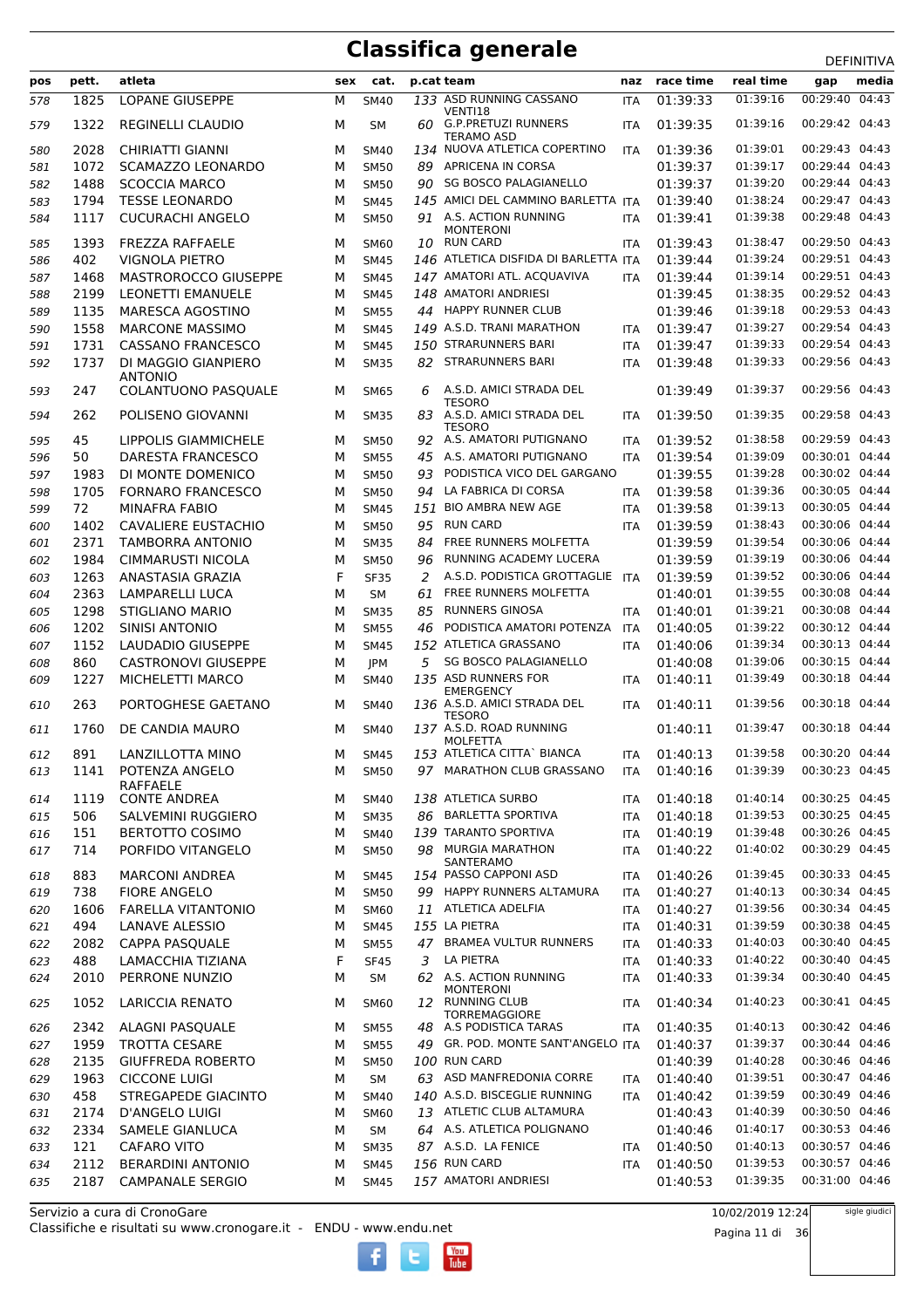|     |       |                                       |     |             |    |                                              |            |              |           | DEFINITIVA        |
|-----|-------|---------------------------------------|-----|-------------|----|----------------------------------------------|------------|--------------|-----------|-------------------|
| pos | pett. | atleta                                | sex | cat.        |    | p.cat team                                   | naz        | race time    | real time | media<br>gap      |
| 578 | 1825  | <b>LOPANE GIUSEPPE</b>                | М   | <b>SM40</b> |    | 133 ASD RUNNING CASSANO                      | <b>ITA</b> | 01:39:33     | 01:39:16  | 00:29:40<br>04:43 |
| 579 | 1322  | <b>REGINELLI CLAUDIO</b>              | М   | <b>SM</b>   |    | VENTI18<br>60 G.P. PRETUZI RUNNERS           | <b>ITA</b> | 01:39:35     | 01:39:16  | 00:29:42 04:43    |
|     |       |                                       |     |             |    | TERAMO ASD                                   |            |              |           |                   |
| 580 | 2028  | CHIRIATTI GIANNI                      | м   | <b>SM40</b> |    | 134 NUOVA ATLETICA COPERTINO                 | <b>ITA</b> | 01:39:36     | 01:39:01  | 00:29:43 04:43    |
| 581 | 1072  | <b>SCAMAZZO LEONARDO</b>              | M   | <b>SM50</b> | 89 | <b>APRICENA IN CORSA</b>                     |            | 01:39:37     | 01:39:17  | 00:29:44 04:43    |
| 582 | 1488  | <b>SCOCCIA MARCO</b>                  | м   | <b>SM50</b> |    | 90 SG BOSCO PALAGIANELLO                     |            | 01:39:37     | 01:39:20  | 00:29:44 04:43    |
| 583 | 1794  | <b>TESSE LEONARDO</b>                 | M   | <b>SM45</b> |    | 145 AMICI DEL CAMMINO BARLETTA ITA           |            | 01:39:40     | 01:38:24  | 00:29:47 04:43    |
| 584 | 1117  | <b>CUCURACHI ANGELO</b>               | M   | <b>SM50</b> |    | 91 A.S. ACTION RUNNING                       | <b>ITA</b> | 01:39:41     | 01:39:38  | 00:29:48 04:43    |
| 585 | 1393  | <b>FREZZA RAFFAELE</b>                | M   | <b>SM60</b> |    | <b>MONTERONI</b><br>10 RUN CARD              | <b>ITA</b> | 01:39:43     | 01:38:47  | 00:29:50 04:43    |
|     | 402   | <b>VIGNOLA PIETRO</b>                 | M   |             |    | 146 ATLETICA DISFIDA DI BARLETTA ITA         |            | 01:39:44     | 01:39:24  | 00:29:51 04:43    |
| 586 |       |                                       |     | <b>SM45</b> |    | 147 AMATORI ATL. ACQUAVIVA                   |            |              |           | 00:29:51 04:43    |
| 587 | 1468  | MASTROROCCO GIUSEPPE                  | M   | <b>SM45</b> |    |                                              | <b>ITA</b> | 01:39:44     | 01:39:14  |                   |
| 588 | 2199  | LEONETTI EMANUELE                     | M   | <b>SM45</b> |    | 148 AMATORI ANDRIESI                         |            | 01:39:45     | 01:38:35  | 00:29:52 04:43    |
| 589 | 1135  | MARESCA AGOSTINO                      | М   | <b>SM55</b> |    | 44 HAPPY RUNNER CLUB                         |            | 01:39:46     | 01:39:18  | 00:29:53 04:43    |
| 590 | 1558  | <b>MARCONE MASSIMO</b>                | M   | <b>SM45</b> |    | 149 A.S.D. TRANI MARATHON                    | <b>ITA</b> | 01:39:47     | 01:39:27  | 00:29:54 04:43    |
| 591 | 1731  | CASSANO FRANCESCO                     | M   | <b>SM45</b> |    | 150 STRARUNNERS BARI                         | <b>ITA</b> | 01:39:47     | 01:39:33  | 00:29:54 04:43    |
| 592 | 1737  | DI MAGGIO GIANPIERO                   | M   | <b>SM35</b> |    | 82 STRARUNNERS BARI                          | <b>ITA</b> | 01:39:48     | 01:39:33  | 00:29:56 04:43    |
| 593 | 247   | <b>ANTONIO</b><br>COLANTUONO PASQUALE | м   | <b>SM65</b> | 6  | A.S.D. AMICI STRADA DEL                      |            | 01:39:49     | 01:39:37  | 00:29:56 04:43    |
|     |       |                                       |     |             |    | <b>TESORO</b>                                |            |              |           |                   |
| 594 | 262   | POLISENO GIOVANNI                     | M   | <b>SM35</b> |    | 83 A.S.D. AMICI STRADA DEL                   | <b>ITA</b> | 01:39:50     | 01:39:35  | 00:29:58 04:43    |
|     |       |                                       |     |             |    | <b>TESORO</b>                                |            |              |           |                   |
| 595 | 45    | LIPPOLIS GIAMMICHELE                  | м   | <b>SM50</b> |    | 92 A.S. AMATORI PUTIGNANO                    | <b>ITA</b> | 01:39:52     | 01:38:58  | 00:29:59 04:43    |
| 596 | 50    | DARESTA FRANCESCO                     | м   | <b>SM55</b> | 45 | A.S. AMATORI PUTIGNANO                       | <b>ITA</b> | 01:39:54     | 01:39:09  | 00:30:01 04:44    |
| 597 | 1983  | DI MONTE DOMENICO                     | M   | <b>SM50</b> | 93 | PODISTICA VICO DEL GARGANO                   |            | 01:39:55     | 01:39:28  | 00:30:02 04:44    |
| 598 | 1705  | <b>FORNARO FRANCESCO</b>              | M   | <b>SM50</b> |    | 94 LA FABRICA DI CORSA                       | <b>ITA</b> | 01:39:58     | 01:39:36  | 00:30:05 04:44    |
| 599 | 72    | MINAFRA FABIO                         | M   | <b>SM45</b> |    | 151 BIO AMBRA NEW AGE                        | <b>ITA</b> | 01:39:58     | 01:39:13  | 00:30:05 04:44    |
| 600 | 1402  | <b>CAVALIERE EUSTACHIO</b>            | M   | <b>SM50</b> |    | 95 RUN CARD                                  | <b>ITA</b> | 01:39:59     | 01:38:43  | 00:30:06 04:44    |
| 601 | 2371  | <b>TAMBORRA ANTONIO</b>               | M   | <b>SM35</b> | 84 | FREE RUNNERS MOLFETTA                        |            | 01:39:59     | 01:39:54  | 00:30:06 04:44    |
| 602 | 1984  | <b>CIMMARUSTI NICOLA</b>              | M   | <b>SM50</b> | 96 | RUNNING ACADEMY LUCERA                       |            | 01:39:59     | 01:39:19  | 00:30:06 04:44    |
| 603 | 1263  | ANASTASIA GRAZIA                      | F   | <b>SF35</b> | 2  | A.S.D. PODISTICA GROTTAGLIE                  | ITA        | 01:39:59     | 01:39:52  | 00:30:06 04:44    |
| 604 | 2363  | <b>LAMPARELLI LUCA</b>                | M   | <b>SM</b>   | 61 | FREE RUNNERS MOLFETTA                        |            | 01:40:01     | 01:39:55  | 00:30:08 04:44    |
| 605 | 1298  | STIGLIANO MARIO                       | M   | <b>SM35</b> | 85 | <b>RUNNERS GINOSA</b>                        | <b>ITA</b> | 01:40:01     | 01:39:21  | 00:30:08 04:44    |
| 606 | 1202  | SINISI ANTONIO                        | M   | <b>SM55</b> | 46 | PODISTICA AMATORI POTENZA                    | <b>ITA</b> | 01:40:05     | 01:39:22  | 00:30:12 04:44    |
| 607 | 1152  | <b>LAUDADIO GIUSEPPE</b>              | M   | <b>SM45</b> |    | 152 ATLETICA GRASSANO                        | <b>ITA</b> | 01:40:06     | 01:39:34  | 00:30:13 04:44    |
| 608 | 860   | <b>CASTRONOVI GIUSEPPE</b>            | M   | <b>JPM</b>  | 5  | <b>SG BOSCO PALAGIANELLO</b>                 |            | 01:40:08     | 01:39:06  | 00:30:15 04:44    |
| 609 | 1227  | MICHELETTI MARCO                      | м   | <b>SM40</b> |    | 135 ASD RUNNERS FOR                          | <b>ITA</b> | 01:40:11     | 01:39:49  | 00:30:18 04:44    |
|     |       |                                       |     |             |    | <b>EMERGENCY</b>                             |            |              |           |                   |
| 610 | 263   | PORTOGHESE GAETANO                    | м   | <b>SM40</b> |    | 136 A.S.D. AMICI STRADA DEL<br><b>TESORO</b> | <b>ITA</b> | 01:40:11     | 01:39:56  | 00:30:18 04:44    |
| 611 | 1760  | DE CANDIA MAURO                       | м   | <b>SM40</b> |    | 137 A.S.D. ROAD RUNNING                      |            | 01:40:11     | 01:39:47  | 00:30:18 04:44    |
|     |       |                                       |     |             |    | MOLFETTA                                     |            |              |           |                   |
| 612 | 891   | LANZILLOTTA MINO                      | М   | <b>SM45</b> |    | 153 ATLETICA CITTA` BIANCA                   |            | ITA 01:40:13 | 01:39:58  | 00:30:20 04:44    |
| 613 | 1141  | POTENZA ANGELO                        | м   | <b>SM50</b> |    | 97 MARATHON CLUB GRASSANO                    | ITA        | 01:40:16     | 01:39:39  | 00:30:23 04:45    |
| 614 | 1119  | RAFFAELE<br><b>CONTE ANDREA</b>       | М   | <b>SM40</b> |    | 138 ATLETICA SURBO                           | ITA        | 01:40:18     | 01:40:14  | 00:30:25 04:45    |
| 615 | 506   | SALVEMINI RUGGIERO                    | M   | <b>SM35</b> |    | 86 BARLETTA SPORTIVA                         | <b>ITA</b> | 01:40:18     | 01:39:53  | 00:30:25 04:45    |
|     | 151   | <b>BERTOTTO COSIMO</b>                | М   | SM40        |    | 139 TARANTO SPORTIVA                         | <b>ITA</b> | 01:40:19     | 01:39:48  | 00:30:26 04:45    |
| 616 | 714   | PORFIDO VITANGELO                     | М   | <b>SM50</b> |    | 98 MURGIA MARATHON                           | <b>ITA</b> | 01:40:22     | 01:40:02  | 00:30:29 04:45    |
| 617 |       |                                       |     |             |    | <b>SANTERAMO</b>                             |            |              |           |                   |
| 618 | 883   | <b>MARCONI ANDREA</b>                 | М   | <b>SM45</b> |    | 154 PASSO CAPPONI ASD                        | ITA        | 01:40:26     | 01:39:45  | 00:30:33 04:45    |
| 619 | 738   | <b>FIORE ANGELO</b>                   | М   | <b>SM50</b> |    | 99 HAPPY RUNNERS ALTAMURA                    | <b>ITA</b> | 01:40:27     | 01:40:13  | 00:30:34 04:45    |
| 620 | 1606  | <b>FARELLA VITANTONIO</b>             | М   | SM60        |    | 11 ATLETICA ADELFIA                          | <b>ITA</b> | 01:40:27     | 01:39:56  | 00:30:34 04:45    |
| 621 | 494   | <b>LANAVE ALESSIO</b>                 | М   | <b>SM45</b> |    | 155 LA PIETRA                                | <b>ITA</b> | 01:40:31     | 01:39:59  | 00:30:38 04:45    |
| 622 | 2082  | <b>CAPPA PASQUALE</b>                 | М   | <b>SM55</b> |    | 47 BRAMEA VULTUR RUNNERS                     | ITA        | 01:40:33     | 01:40:03  | 00:30:40 04:45    |
| 623 | 488   | LAMACCHIA TIZIANA                     | F   | <b>SF45</b> | 3  | LA PIETRA                                    | ITA        | 01:40:33     | 01:40:22  | 00:30:40 04:45    |
| 624 | 2010  | PERRONE NUNZIO                        | М   | <b>SM</b>   |    | 62 A.S. ACTION RUNNING                       | ITA        | 01:40:33     | 01:39:34  | 00:30:40 04:45    |
|     |       |                                       |     |             |    | <b>MONTERONI</b>                             |            |              |           |                   |
| 625 | 1052  | <b>LARICCIA RENATO</b>                | м   | <b>SM60</b> |    | 12 RUNNING CLUB<br><b>TORREMAGGIORE</b>      | ITA        | 01:40:34     | 01:40:23  | 00:30:41 04:45    |
| 626 | 2342  | ALAGNI PASQUALE                       | M   | <b>SM55</b> | 48 | A.S PODISTICA TARAS                          | <b>ITA</b> | 01:40:35     | 01:40:13  | 00:30:42 04:46    |
| 627 | 1959  | <b>TROTTA CESARE</b>                  | М   | <b>SM55</b> | 49 | GR. POD. MONTE SANT'ANGELO ITA               |            | 01:40:37     | 01:39:37  | 00:30:44 04:46    |
| 628 | 2135  | <b>GIUFFREDA ROBERTO</b>              | М   | <b>SM50</b> |    | 100 RUN CARD                                 |            | 01:40:39     | 01:40:28  | 00:30:46 04:46    |
| 629 | 1963  | <b>CICCONE LUIGI</b>                  | М   | <b>SM</b>   |    | 63 ASD MANFREDONIA CORRE                     | ITA        | 01:40:40     | 01:39:51  | 00:30:47 04:46    |
| 630 | 458   | <b>STREGAPEDE GIACINTO</b>            | М   | <b>SM40</b> |    | 140 A.S.D. BISCEGLIE RUNNING                 | ITA        | 01:40:42     | 01:39:59  | 00:30:49 04:46    |
| 631 | 2174  | D'ANGELO LUIGI                        | М   | <b>SM60</b> |    | 13 ATLETIC CLUB ALTAMURA                     |            | 01:40:43     | 01:40:39  | 00:30:50 04:46    |
|     | 2334  | SAMELE GIANLUCA                       | М   | <b>SM</b>   |    | 64 A.S. ATLETICA POLIGNANO                   |            | 01:40:46     | 01:40:17  | 00:30:53 04:46    |
| 632 | 121   | <b>CAFARO VITO</b>                    |     |             |    | 87 A.S.D. LA FENICE                          |            | 01:40:50     | 01:40:13  | 00:30:57 04:46    |
| 633 |       |                                       | М   | <b>SM35</b> |    | 156 RUN CARD                                 | ITA        |              | 01:39:53  | 00:30:57 04:46    |
| 634 | 2112  | <b>BERARDINI ANTONIO</b>              | М   | <b>SM45</b> |    |                                              | ITA        | 01:40:50     |           | 00:31:00 04:46    |
| 635 | 2187  | <b>CAMPANALE SERGIO</b>               | м   | <b>SM45</b> |    | 157 AMATORI ANDRIESI                         |            | 01:40:53     | 01:39:35  |                   |

 $\begin{bmatrix}\n\frac{\text{Vou}}{\text{Iube}}\n\end{bmatrix}$ 

Classifiche e risultati su www.cronogare.it - ENDU - www.endu.net Servizio a cura di CronoGare

10/02/2019 12:24

Pagina 11 di 36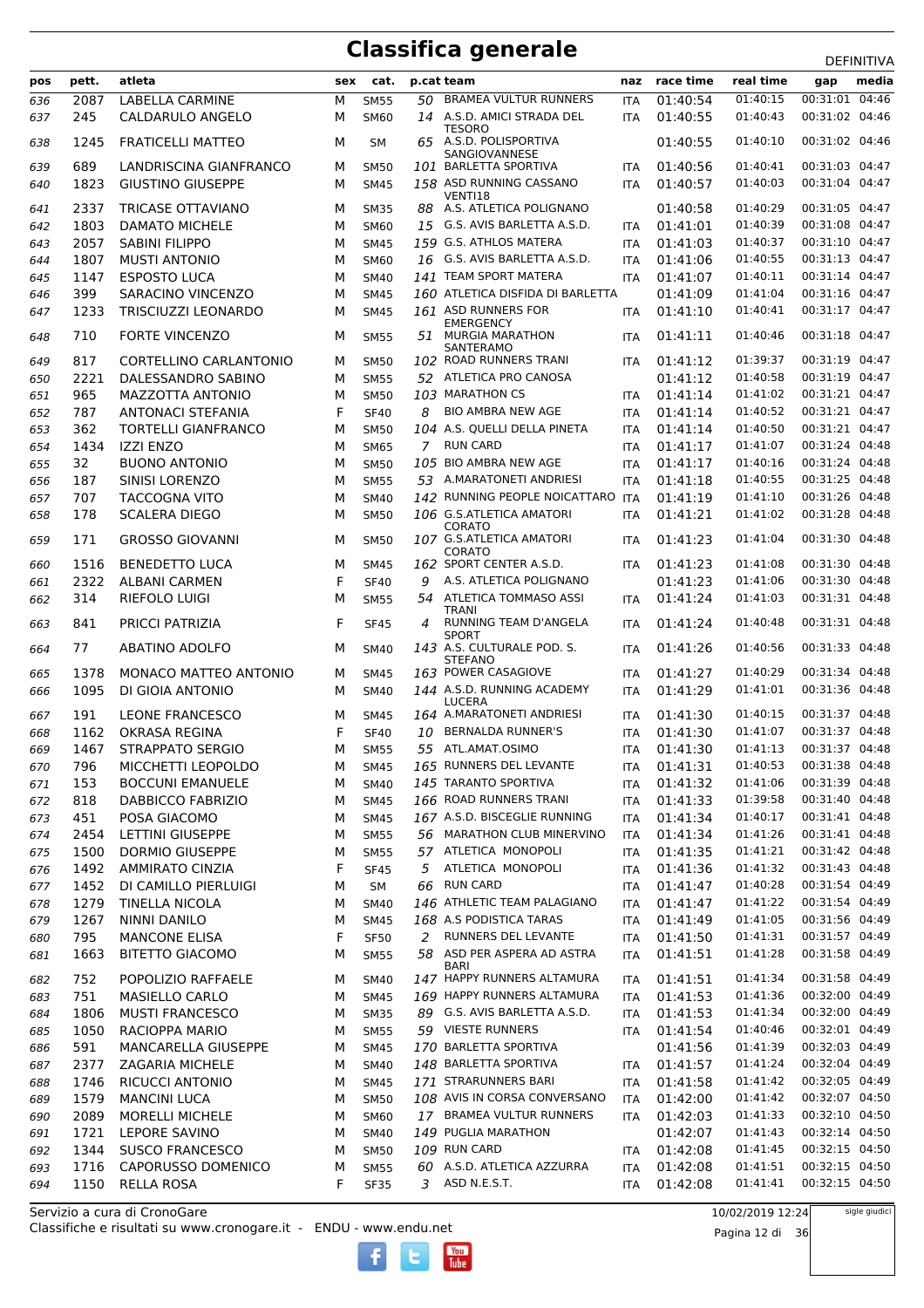|     |       |                            |     |             |    |                                           |            |           |           | DEFINITIVA        |
|-----|-------|----------------------------|-----|-------------|----|-------------------------------------------|------------|-----------|-----------|-------------------|
| pos | pett. | atleta                     | sex | cat.        |    | p.cat team                                | naz        | race time | real time | media<br>gap      |
| 636 | 2087  | <b>LABELLA CARMINE</b>     | М   | <b>SM55</b> | 50 | <b>BRAMEA VULTUR RUNNERS</b>              | <b>ITA</b> | 01:40:54  | 01:40:15  | 00:31:01<br>04:46 |
| 637 | 245   | CALDARULO ANGELO           | м   | <b>SM60</b> |    | 14 A.S.D. AMICI STRADA DEL                | <b>ITA</b> | 01:40:55  | 01:40:43  | 00:31:02 04:46    |
|     |       |                            |     |             |    | <b>TESORO</b>                             |            |           |           |                   |
| 638 | 1245  | <b>FRATICELLI MATTEO</b>   | м   | <b>SM</b>   | 65 | A.S.D. POLISPORTIVA<br>SANGIOVANNESE      |            | 01:40:55  | 01:40:10  | 00:31:02 04:46    |
| 639 | 689   | LANDRISCINA GIANFRANCO     | м   | <b>SM50</b> |    | 101 BARLETTA SPORTIVA                     | <b>ITA</b> | 01:40:56  | 01:40:41  | 00:31:03 04:47    |
| 640 | 1823  | <b>GIUSTINO GIUSEPPE</b>   | М   | <b>SM45</b> |    | 158 ASD RUNNING CASSANO                   | <b>ITA</b> | 01:40:57  | 01:40:03  | 00:31:04 04:47    |
|     |       |                            |     |             |    | VENTI18                                   |            |           |           |                   |
| 641 | 2337  | <b>TRICASE OTTAVIANO</b>   | м   | <b>SM35</b> | 88 | A.S. ATLETICA POLIGNANO                   |            | 01:40:58  | 01:40:29  | 00:31:05 04:47    |
| 642 | 1803  | <b>DAMATO MICHELE</b>      | M   | <b>SM60</b> |    | 15 G.S. AVIS BARLETTA A.S.D.              | <b>ITA</b> | 01:41:01  | 01:40:39  | 00:31:08 04:47    |
| 643 | 2057  | <b>SABINI FILIPPO</b>      | M   | <b>SM45</b> |    | 159 G.S. ATHLOS MATERA                    | <b>ITA</b> | 01:41:03  | 01:40:37  | 00:31:10 04:47    |
| 644 | 1807  | <b>MUSTI ANTONIO</b>       | M   | <b>SM60</b> |    | 16 G.S. AVIS BARLETTA A.S.D.              | <b>ITA</b> | 01:41:06  | 01:40:55  | 00:31:13 04:47    |
| 645 | 1147  | <b>ESPOSTO LUCA</b>        | M   | <b>SM40</b> |    | 141 TEAM SPORT MATERA                     | <b>ITA</b> | 01:41:07  | 01:40:11  | 00:31:14 04:47    |
| 646 | 399   | SARACINO VINCENZO          | M   | <b>SM45</b> |    | 160 ATLETICA DISFIDA DI BARLETTA          |            | 01:41:09  | 01:41:04  | 00:31:16 04:47    |
| 647 | 1233  | <b>TRISCIUZZI LEONARDO</b> | M   | <b>SM45</b> |    | 161 ASD RUNNERS FOR                       | <b>ITA</b> | 01:41:10  | 01:40:41  | 00:31:17 04:47    |
|     | 710   | <b>FORTE VINCENZO</b>      | M   |             | 51 | EMERGENCY<br><b>MURGIA MARATHON</b>       |            | 01:41:11  | 01:40:46  | 00:31:18 04:47    |
| 648 |       |                            |     | <b>SM55</b> |    | SANTERAMO                                 | <b>ITA</b> |           |           |                   |
| 649 | 817   | CORTELLINO CARLANTONIO     | м   | <b>SM50</b> |    | 102 ROAD RUNNERS TRANI                    | <b>ITA</b> | 01:41:12  | 01:39:37  | 00:31:19 04:47    |
| 650 | 2221  | DALESSANDRO SABINO         | М   | <b>SM55</b> |    | 52 ATLETICA PRO CANOSA                    |            | 01:41:12  | 01:40:58  | 00:31:19 04:47    |
| 651 | 965   | MAZZOTTA ANTONIO           | M   | <b>SM50</b> |    | 103 MARATHON CS                           | <b>ITA</b> | 01:41:14  | 01:41:02  | 00:31:21 04:47    |
| 652 | 787   | <b>ANTONACI STEFANIA</b>   | F   | <b>SF40</b> | 8  | <b>BIO AMBRA NEW AGE</b>                  | <b>ITA</b> | 01:41:14  | 01:40:52  | 00:31:21 04:47    |
| 653 | 362   | <b>TORTELLI GIANFRANCO</b> | M   | <b>SM50</b> |    | 104 A.S. QUELLI DELLA PINETA              | <b>ITA</b> | 01:41:14  | 01:40:50  | 00:31:21 04:47    |
| 654 | 1434  | <b>IZZI ENZO</b>           | M   | <b>SM65</b> |    | 7 RUN CARD                                | <b>ITA</b> | 01:41:17  | 01:41:07  | 00:31:24 04:48    |
| 655 | 32    | <b>BUONO ANTONIO</b>       | M   | <b>SM50</b> |    | 105 BIO AMBRA NEW AGE                     | <b>ITA</b> | 01:41:17  | 01:40:16  | 00:31:24 04:48    |
| 656 | 187   | SINISI LORENZO             | M   | <b>SM55</b> |    | 53 A.MARATONETI ANDRIESI                  | <b>ITA</b> | 01:41:18  | 01:40:55  | 00:31:25 04:48    |
|     | 707   | <b>TACCOGNA VITO</b>       |     |             |    | 142 RUNNING PEOPLE NOICATTARO ITA         |            | 01:41:19  | 01:41:10  | 00:31:26 04:48    |
| 657 |       |                            | м   | <b>SM40</b> |    |                                           |            |           |           |                   |
| 658 | 178   | <b>SCALERA DIEGO</b>       | M   | <b>SM50</b> |    | 106 G.S.ATLETICA AMATORI<br><b>CORATO</b> | <b>ITA</b> | 01:41:21  | 01:41:02  | 00:31:28 04:48    |
| 659 | 171   | <b>GROSSO GIOVANNI</b>     | м   | <b>SM50</b> |    | 107 G.S.ATLETICA AMATORI                  | <b>ITA</b> | 01:41:23  | 01:41:04  | 00:31:30 04:48    |
|     |       |                            |     |             |    | <b>CORATO</b>                             |            |           |           |                   |
| 660 | 1516  | <b>BENEDETTO LUCA</b>      | M   | <b>SM45</b> |    | 162 SPORT CENTER A.S.D.                   | <b>ITA</b> | 01:41:23  | 01:41:08  | 00:31:30 04:48    |
| 661 | 2322  | <b>ALBANI CARMEN</b>       | F   | <b>SF40</b> | 9  | A.S. ATLETICA POLIGNANO                   |            | 01:41:23  | 01:41:06  | 00:31:30 04:48    |
| 662 | 314   | RIEFOLO LUIGI              | M   | <b>SM55</b> | 54 | ATLETICA TOMMASO ASSI<br><b>TRANI</b>     | <b>ITA</b> | 01:41:24  | 01:41:03  | 00:31:31 04:48    |
| 663 | 841   | PRICCI PATRIZIA            | F   | <b>SF45</b> | 4  | RUNNING TEAM D'ANGELA                     | <b>ITA</b> | 01:41:24  | 01:40:48  | 00:31:31 04:48    |
|     |       |                            |     |             |    | <b>SPORT</b>                              |            |           |           |                   |
| 664 | 77    | <b>ABATINO ADOLFO</b>      | м   | <b>SM40</b> |    | 143 A.S. CULTURALE POD. S.                | <b>ITA</b> | 01:41:26  | 01:40:56  | 00:31:33 04:48    |
| 665 | 1378  | MONACO MATTEO ANTONIO      | м   | <b>SM45</b> |    | <b>STEFANO</b><br>163 POWER CASAGIOVE     | <b>ITA</b> | 01:41:27  | 01:40:29  | 00:31:34 04:48    |
| 666 | 1095  | DI GIOIA ANTONIO           | м   | <b>SM40</b> |    | 144 A.S.D. RUNNING ACADEMY                | <b>ITA</b> | 01:41:29  | 01:41:01  | 00:31:36 04:48    |
|     |       |                            |     |             |    | <b>LUCERA</b>                             |            |           |           |                   |
| 667 | 191   | <b>LEONE FRANCESCO</b>     | M   | SM45        |    | 164 A.MARATONETI ANDRIESI                 | <b>ITA</b> | 01:41:30  | 01:40:15  | 00:31:37 04:48    |
| 668 | 1162  | <b>OKRASA REGINA</b>       | F   | <b>SF40</b> | 10 | <b>BERNALDA RUNNER'S</b>                  | <b>ITA</b> | 01:41:30  | 01:41:07  | 00:31:37 04:48    |
| 669 | 1467  | <b>STRAPPATO SERGIO</b>    | м   | <b>SM55</b> | 55 | ATL.AMAT.OSIMO                            | <b>ITA</b> | 01:41:30  | 01:41:13  | 00:31:37 04:48    |
| 670 | 796   | MICCHETTI LEOPOLDO         | М   | <b>SM45</b> |    | 165 RUNNERS DEL LEVANTE                   | ITA        | 01:41:31  | 01:40:53  | 00:31:38 04:48    |
| 671 | 153   | <b>BOCCUNI EMANUELE</b>    | М   | SM40        |    | 145 TARANTO SPORTIVA                      | ITA        | 01:41:32  | 01:41:06  | 00:31:39 04:48    |
| 672 | 818   | DABBICCO FABRIZIO          | М   | <b>SM45</b> |    | 166 ROAD RUNNERS TRANI                    | ITA        | 01:41:33  | 01:39:58  | 00:31:40 04:48    |
| 673 | 451   | POSA GIACOMO               | М   | <b>SM45</b> |    | 167 A.S.D. BISCEGLIE RUNNING              | ITA        | 01:41:34  | 01:40:17  | 00:31:41 04:48    |
| 674 | 2454  | <b>LETTINI GIUSEPPE</b>    | М   | <b>SM55</b> |    | 56 MARATHON CLUB MINERVINO                | ITA        | 01:41:34  | 01:41:26  | 00:31:41 04:48    |
| 675 | 1500  | <b>DORMIO GIUSEPPE</b>     | М   | <b>SM55</b> |    | 57 ATLETICA MONOPOLI                      | ITA        | 01:41:35  | 01:41:21  | 00:31:42 04:48    |
| 676 | 1492  | <b>AMMIRATO CINZIA</b>     | F   | <b>SF45</b> |    | 5 ATLETICA MONOPOLI                       | ITA        | 01:41:36  | 01:41:32  | 00:31:43 04:48    |
| 677 | 1452  | DI CAMILLO PIERLUIGI       | М   | SM          |    | 66 RUN CARD                               | ITA        | 01:41:47  | 01:40:28  | 00:31:54 04:49    |
| 678 | 1279  | TINELLA NICOLA             | М   | SM40        |    | 146 ATHLETIC TEAM PALAGIANO               | ITA        | 01:41:47  | 01:41:22  | 00:31:54 04:49    |
| 679 | 1267  | <b>NINNI DANILO</b>        | М   | <b>SM45</b> |    | 168 A.S PODISTICA TARAS                   |            | 01:41:49  | 01:41:05  | 00:31:56 04:49    |
|     |       | <b>MANCONE ELISA</b>       |     |             |    | 2 RUNNERS DEL LEVANTE                     | ITA        |           | 01:41:31  | 00:31:57 04:49    |
| 680 | 795   |                            | F   | <b>SF50</b> |    | 58 ASD PER ASPERA AD ASTRA                | ITA        | 01:41:50  | 01:41:28  | 00:31:58 04:49    |
| 681 | 1663  | <b>BITETTO GIACOMO</b>     | М   | <b>SM55</b> |    | <b>BARI</b>                               | ITA        | 01:41:51  |           |                   |
| 682 | 752   | POPOLIZIO RAFFAELE         | М   | <b>SM40</b> |    | 147 HAPPY RUNNERS ALTAMURA                | <b>ITA</b> | 01:41:51  | 01:41:34  | 00:31:58 04:49    |
| 683 | 751   | <b>MASIELLO CARLO</b>      | М   | <b>SM45</b> |    | 169 HAPPY RUNNERS ALTAMURA                | ITA        | 01:41:53  | 01:41:36  | 00:32:00 04:49    |
| 684 | 1806  | <b>MUSTI FRANCESCO</b>     | М   | <b>SM35</b> |    | 89 G.S. AVIS BARLETTA A.S.D.              | ITA        | 01:41:53  | 01:41:34  | 00:32:00 04:49    |
| 685 | 1050  | RACIOPPA MARIO             | М   | <b>SM55</b> |    | 59 VIESTE RUNNERS                         | ITA        | 01:41:54  | 01:40:46  | 00:32:01 04:49    |
| 686 | 591   | MANCARELLA GIUSEPPE        | М   | <b>SM45</b> |    | 170 BARLETTA SPORTIVA                     |            | 01:41:56  | 01:41:39  | 00:32:03 04:49    |
| 687 | 2377  | ZAGARIA MICHELE            | М   | SM40        |    | 148 BARLETTA SPORTIVA                     | <b>ITA</b> | 01:41:57  | 01:41:24  | 00:32:04 04:49    |
| 688 | 1746  | RICUCCI ANTONIO            | М   | <b>SM45</b> |    | 171 STRARUNNERS BARI                      | ITA        | 01:41:58  | 01:41:42  | 00:32:05 04:49    |
| 689 | 1579  | <b>MANCINI LUCA</b>        | М   | <b>SM50</b> |    | 108 AVIS IN CORSA CONVERSANO              | ITA        | 01:42:00  | 01:41:42  | 00:32:07 04:50    |
|     | 2089  | <b>MORELLI MICHELE</b>     | М   | SM60        |    | 17 BRAMEA VULTUR RUNNERS                  | ITA        | 01:42:03  | 01:41:33  | 00:32:10 04:50    |
| 690 | 1721  |                            |     |             |    | 149 PUGLIA MARATHON                       |            | 01:42:07  | 01:41:43  | 00:32:14 04:50    |
| 691 |       | LEPORE SAVINO              | М   | SM40        |    |                                           |            |           |           |                   |
| 692 | 1344  | <b>SUSCO FRANCESCO</b>     | М   | <b>SM50</b> |    | 109 RUN CARD                              | ITA        | 01:42:08  | 01:41:45  | 00:32:15 04:50    |
| 693 | 1716  | CAPORUSSO DOMENICO         | M   | <b>SM55</b> |    | 60 A.S.D. ATLETICA AZZURRA                | ITA        | 01:42:08  | 01:41:51  | 00:32:15 04:50    |
| 694 | 1150  | <b>RELLA ROSA</b>          | F   | <b>SF35</b> |    | 3 ASD N.E.S.T.                            | ITA        | 01:42:08  | 01:41:41  | 00:32:15 04:50    |

 $\begin{bmatrix}\n\frac{\text{Vou}}{\text{Iube}}\n\end{bmatrix}$ 

Classifiche e risultati su www.cronogare.it - ENDU - www.endu.net Servizio a cura di CronoGare

10/02/2019 12:24

Pagina 12 di 36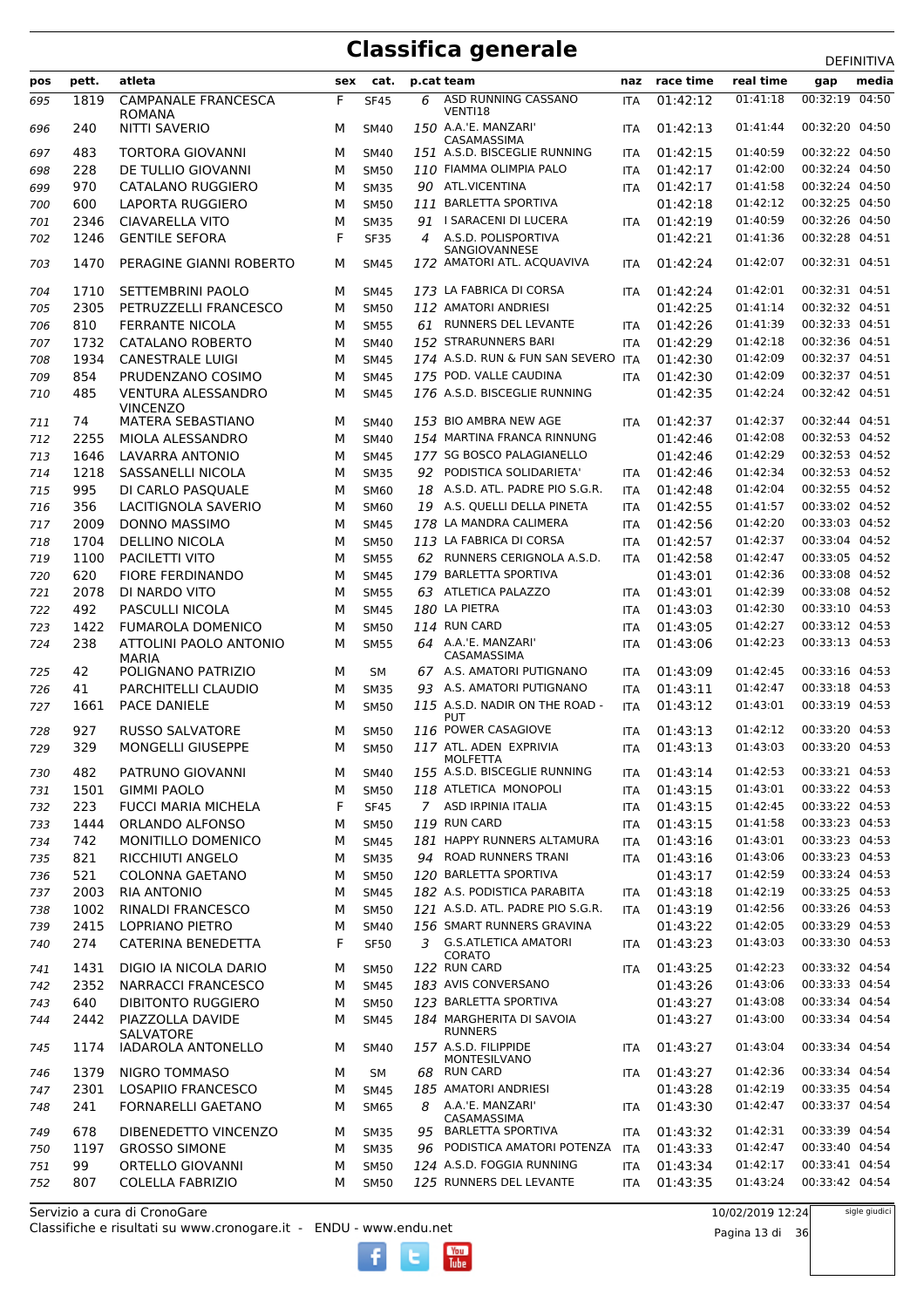|            |       | atleta                                       |        |                            |    |                                              |                          | race time | real time | ᅛᄂᆝᄖᆡᄖᄭ        |
|------------|-------|----------------------------------------------|--------|----------------------------|----|----------------------------------------------|--------------------------|-----------|-----------|----------------|
| pos        | pett. |                                              | sex    | cat.                       |    | p.cat team                                   | naz                      |           |           | media<br>gap   |
| 695        | 1819  | <b>CAMPANALE FRANCESCA</b><br><b>ROMANA</b>  | F      | <b>SF45</b>                | 6  | ASD RUNNING CASSANO<br>VENTI18               | <b>ITA</b>               | 01:42:12  | 01:41:18  | 00:32:19 04:50 |
| 696        | 240   | NITTI SAVERIO                                | M      | <b>SM40</b>                |    | 150 A.A.'E. MANZARI'<br>CASAMASSIMA          | <b>ITA</b>               | 01:42:13  | 01:41:44  | 00:32:20 04:50 |
| 697        | 483   | TORTORA GIOVANNI                             | M      | <b>SM40</b>                |    | 151 A.S.D. BISCEGLIE RUNNING                 | <b>ITA</b>               | 01:42:15  | 01:40:59  | 00:32:22 04:50 |
| 698        | 228   | DE TULLIO GIOVANNI                           | M      | <b>SM50</b>                |    | 110 FIAMMA OLIMPIA PALO                      | <b>ITA</b>               | 01:42:17  | 01:42:00  | 00:32:24 04:50 |
| 699        | 970   | CATALANO RUGGIERO                            | М      | <b>SM35</b>                |    | 90 ATL.VICENTINA                             | <b>ITA</b>               | 01:42:17  | 01:41:58  | 00:32:24 04:50 |
| 700        | 600   | LAPORTA RUGGIERO                             | M      | <b>SM50</b>                |    | 111 BARLETTA SPORTIVA                        |                          | 01:42:18  | 01:42:12  | 00:32:25 04:50 |
| 701        | 2346  | <b>CIAVARELLA VITO</b>                       | M      | <b>SM35</b>                |    | 91 I SARACENI DI LUCERA                      | <b>ITA</b>               | 01:42:19  | 01:40:59  | 00:32:26 04:50 |
| 702        | 1246  | <b>GENTILE SEFORA</b>                        | F      | <b>SF35</b>                | 4  | A.S.D. POLISPORTIVA                          |                          | 01:42:21  | 01:41:36  | 00:32:28 04:51 |
| 703        | 1470  | PERAGINE GIANNI ROBERTO                      | M      | <b>SM45</b>                |    | SANGIOVANNESE<br>172 AMATORI ATL. ACQUAVIVA  | <b>ITA</b>               | 01:42:24  | 01:42:07  | 00:32:31 04:51 |
| 704        | 1710  | SETTEMBRINI PAOLO                            | M      | <b>SM45</b>                |    | 173 LA FABRICA DI CORSA                      | <b>ITA</b>               | 01:42:24  | 01:42:01  | 00:32:31 04:51 |
| 705        | 2305  | PETRUZZELLI FRANCESCO                        | м      | <b>SM50</b>                |    | 112 AMATORI ANDRIESI                         |                          | 01:42:25  | 01:41:14  | 00:32:32 04:51 |
| 706        | 810   | <b>FERRANTE NICOLA</b>                       | M      | <b>SM55</b>                |    | 61 RUNNERS DEL LEVANTE                       | <b>ITA</b>               | 01:42:26  | 01:41:39  | 00:32:33 04:51 |
| 707        | 1732  | CATALANO ROBERTO                             | M      | <b>SM40</b>                |    | 152 STRARUNNERS BARI                         | <b>ITA</b>               | 01:42:29  | 01:42:18  | 00:32:36 04:51 |
|            | 1934  | CANESTRALE LUIGI                             | М      | <b>SM45</b>                |    | 174 A.S.D. RUN & FUN SAN SEVERO ITA          |                          | 01:42:30  | 01:42:09  | 00:32:37 04:51 |
| 708        |       |                                              |        |                            |    | 175 POD. VALLE CAUDINA                       |                          |           | 01:42:09  | 00:32:37 04:51 |
| 709        | 854   | PRUDENZANO COSIMO                            | М      | <b>SM45</b>                |    |                                              | <b>ITA</b>               | 01:42:30  |           |                |
| 710        | 485   | <b>VENTURA ALESSANDRO</b><br><b>VINCENZO</b> | м      | <b>SM45</b>                |    | 176 A.S.D. BISCEGLIE RUNNING                 |                          | 01:42:35  | 01:42:24  | 00:32:42 04:51 |
| 711        | 74    | <b>MATERA SEBASTIANO</b>                     | M      | <b>SM40</b>                |    | 153 BIO AMBRA NEW AGE                        | <b>ITA</b>               | 01:42:37  | 01:42:37  | 00:32:44 04:51 |
| 712        | 2255  | MIOLA ALESSANDRO                             | М      | <b>SM40</b>                |    | 154 MARTINA FRANCA RINNUNG                   |                          | 01:42:46  | 01:42:08  | 00:32:53 04:52 |
| 713        | 1646  | LAVARRA ANTONIO                              | M      | <b>SM45</b>                |    | 177 SG BOSCO PALAGIANELLO                    |                          | 01:42:46  | 01:42:29  | 00:32:53 04:52 |
| 714        | 1218  | SASSANELLI NICOLA                            | M      | <b>SM35</b>                |    | 92 PODISTICA SOLIDARIETA'                    | <b>ITA</b>               | 01:42:46  | 01:42:34  | 00:32:53 04:52 |
| 715        | 995   | DI CARLO PASQUALE                            | М      | SM60                       |    | 18 A.S.D. ATL. PADRE PIO S.G.R.              | <b>ITA</b>               | 01:42:48  | 01:42:04  | 00:32:55 04:52 |
| 716        | 356   | LACITIGNOLA SAVERIO                          | M      | <b>SM60</b>                | 19 | A.S. QUELLI DELLA PINETA                     | <b>ITA</b>               | 01:42:55  | 01:41:57  | 00:33:02 04:52 |
| 717        | 2009  | DONNO MASSIMO                                | M      | <b>SM45</b>                |    | 178 LA MANDRA CALIMERA                       | <b>ITA</b>               | 01:42:56  | 01:42:20  | 00:33:03 04:52 |
| 718        | 1704  | <b>DELLINO NICOLA</b>                        | М      | <b>SM50</b>                |    | 113 LA FABRICA DI CORSA                      | <b>ITA</b>               | 01:42:57  | 01:42:37  | 00:33:04 04:52 |
| 719        | 1100  | PACILETTI VITO                               | M      | <b>SM55</b>                |    | 62 RUNNERS CERIGNOLA A.S.D.                  | <b>ITA</b>               | 01:42:58  | 01:42:47  | 00:33:05 04:52 |
| 720        | 620   | <b>FIORE FERDINANDO</b>                      | M      | <b>SM45</b>                |    | 179 BARLETTA SPORTIVA                        |                          | 01:43:01  | 01:42:36  | 00:33:08 04:52 |
| 721        | 2078  | DI NARDO VITO                                | М      | <b>SM55</b>                |    | 63 ATLETICA PALAZZO                          | <b>ITA</b>               | 01:43:01  | 01:42:39  | 00:33:08 04:52 |
| 722        | 492   | PASCULLI NICOLA                              | М      | <b>SM45</b>                |    | 180 LA PIETRA                                | <b>ITA</b>               | 01:43:03  | 01:42:30  | 00:33:10 04:53 |
| 723        | 1422  | <b>FUMAROLA DOMENICO</b>                     | M      | <b>SM50</b>                |    | 114 RUN CARD                                 | <b>ITA</b>               | 01:43:05  | 01:42:27  | 00:33:12 04:53 |
| 724        | 238   | ATTOLINI PAOLO ANTONIO                       | М      | <b>SM55</b>                |    | 64 A.A.'E. MANZARI'                          | <b>ITA</b>               | 01:43:06  | 01:42:23  | 00:33:13 04:53 |
| 725        | 42    | <b>MARIA</b><br>POLIGNANO PATRIZIO           | M      | <b>SM</b>                  |    | CASAMASSIMA<br>67 A.S. AMATORI PUTIGNANO     | <b>ITA</b>               | 01:43:09  | 01:42:45  | 00:33:16 04:53 |
|            | 41    | PARCHITELLI CLAUDIO                          |        |                            |    | A.S. AMATORI PUTIGNANO                       |                          | 01:43:11  | 01:42:47  | 00:33:18 04:53 |
| 726<br>727 | 1661  | <b>PACE DANIELE</b>                          | M<br>M | <b>SM35</b><br><b>SM50</b> | 93 | 115 A.S.D. NADIR ON THE ROAD -<br><b>PUT</b> | <b>ITA</b><br><b>ITA</b> | 01:43:12  | 01:43:01  | 00:33:19 04:53 |
| 728        | 927   | <b>RUSSO SALVATORE</b>                       | M      | <b>SM50</b>                |    | 116 POWER CASAGIOVE                          | <b>ITA</b>               | 01:43:13  | 01:42:12  | 00:33:20 04:53 |
| 729        | 329   | MONGELLI GIUSEPPE                            | M      | <b>SM50</b>                |    | 117 ATL. ADEN EXPRIVIA<br><b>MOLFETTA</b>    | <b>ITA</b>               | 01:43:13  | 01:43:03  | 00:33:20 04:53 |
| 730        | 482   | PATRUNO GIOVANNI                             | М      | <b>SM40</b>                |    | 155 A.S.D. BISCEGLIE RUNNING                 | ITA                      | 01:43:14  | 01:42:53  | 00:33:21 04:53 |
| 731        | 1501  | <b>GIMMI PAOLO</b>                           | М      | <b>SM50</b>                |    | 118 ATLETICA MONOPOLI                        | <b>ITA</b>               | 01:43:15  | 01:43:01  | 00:33:22 04:53 |
| 732        | 223   | <b>FUCCI MARIA MICHELA</b>                   | F      | <b>SF45</b>                |    | 7 ASD IRPINIA ITALIA                         | <b>ITA</b>               | 01:43:15  | 01:42:45  | 00:33:22 04:53 |
| 733        | 1444  | ORLANDO ALFONSO                              | М      | <b>SM50</b>                |    | 119 RUN CARD                                 | <b>ITA</b>               | 01:43:15  | 01:41:58  | 00:33:23 04:53 |
| 734        | 742   | MONITILLO DOMENICO                           | М      | <b>SM45</b>                |    | 181 HAPPY RUNNERS ALTAMURA                   | <b>ITA</b>               | 01:43:16  | 01:43:01  | 00:33:23 04:53 |
| 735        | 821   | RICCHIUTI ANGELO                             | М      | <b>SM35</b>                |    | 94 ROAD RUNNERS TRANI                        | ITA                      | 01:43:16  | 01:43:06  | 00:33:23 04:53 |
| 736        | 521   | <b>COLONNA GAETANO</b>                       | М      | <b>SM50</b>                |    | 120 BARLETTA SPORTIVA                        |                          | 01:43:17  | 01:42:59  | 00:33:24 04:53 |
| 737        | 2003  | <b>RIA ANTONIO</b>                           | М      | <b>SM45</b>                |    | 182 A.S. PODISTICA PARABITA                  | <b>ITA</b>               | 01:43:18  | 01:42:19  | 00:33:25 04:53 |
| 738        | 1002  | <b>RINALDI FRANCESCO</b>                     | М      | <b>SM50</b>                |    | 121 A.S.D. ATL. PADRE PIO S.G.R.             | <b>ITA</b>               | 01:43:19  | 01:42:56  | 00:33:26 04:53 |
| 739        | 2415  | LOPRIANO PIETRO                              | М      | <b>SM40</b>                |    | 156 SMART RUNNERS GRAVINA                    |                          | 01:43:22  | 01:42:05  | 00:33:29 04:53 |
| 740        | 274   | CATERINA BENEDETTA                           | F      | <b>SF50</b>                |    | 3 G.S.ATLETICA AMATORI<br>CORATO             | ITA                      | 01:43:23  | 01:43:03  | 00:33:30 04:53 |
| 741        | 1431  | DIGIO IA NICOLA DARIO                        | M      | <b>SM50</b>                |    | 122 RUN CARD                                 | ITA                      | 01:43:25  | 01:42:23  | 00:33:32 04:54 |
| 742        | 2352  | NARRACCI FRANCESCO                           | М      | <b>SM45</b>                |    | 183 AVIS CONVERSANO                          |                          | 01:43:26  | 01:43:06  | 00:33:33 04:54 |
| 743        | 640   | <b>DIBITONTO RUGGIERO</b>                    | М      | <b>SM50</b>                |    | 123 BARLETTA SPORTIVA                        |                          | 01:43:27  | 01:43:08  | 00:33:34 04:54 |
| 744        | 2442  | PIAZZOLLA DAVIDE                             | М      | <b>SM45</b>                |    | 184 MARGHERITA DI SAVOIA                     |                          | 01:43:27  | 01:43:00  | 00:33:34 04:54 |
| 745        | 1174  | SALVATORE<br>IADAROLA ANTONELLO              | М      | <b>SM40</b>                |    | <b>RUNNERS</b><br>157 A.S.D. FILIPPIDE       | ITA                      | 01:43:27  | 01:43:04  | 00:33:34 04:54 |
|            | 1379  | NIGRO TOMMASO                                |        |                            |    | MONTESILVANO<br>68 RUN CARD                  |                          | 01:43:27  | 01:42:36  | 00:33:34 04:54 |
| 746        |       |                                              | М      | SM                         |    |                                              | ITA                      |           |           | 00:33:35 04:54 |
| 747        | 2301  | LOSAPIIO FRANCESCO                           | М      | <b>SM45</b>                |    | 185 AMATORI ANDRIESI                         |                          | 01:43:28  | 01:42:19  |                |
| 748        | 241   | FORNARELLI GAETANO                           | М      | <b>SM65</b>                | 8  | A.A.'E. MANZARI'<br>CASAMASSIMA              | <b>ITA</b>               | 01:43:30  | 01:42:47  | 00:33:37 04:54 |
| 749        | 678   | DIBENEDETTO VINCENZO                         | М      | <b>SM35</b>                |    | 95 BARLETTA SPORTIVA                         | ITA                      | 01:43:32  | 01:42:31  | 00:33:39 04:54 |
| 750        | 1197  | <b>GROSSO SIMONE</b>                         | М      | <b>SM35</b>                | 96 | PODISTICA AMATORI POTENZA                    | <b>ITA</b>               | 01:43:33  | 01:42:47  | 00:33:40 04:54 |
| 751        | 99    | ORTELLO GIOVANNI                             | М      | <b>SM50</b>                |    | 124 A.S.D. FOGGIA RUNNING                    | ITA                      | 01:43:34  | 01:42:17  | 00:33:41 04:54 |
| 752        | 807   | <b>COLELLA FABRIZIO</b>                      | М      | <b>SM50</b>                |    | 125 RUNNERS DEL LEVANTE                      | ITA                      | 01:43:35  | 01:43:24  | 00:33:42 04:54 |

 $\begin{bmatrix}\n\frac{\text{Vou}}{\text{Iube}}\n\end{bmatrix}$ 

Classifiche e risultati su www.cronogare.it - ENDU - www.endu.net Servizio a cura di CronoGare

10/02/2019 12:24

Pagina 13 di 36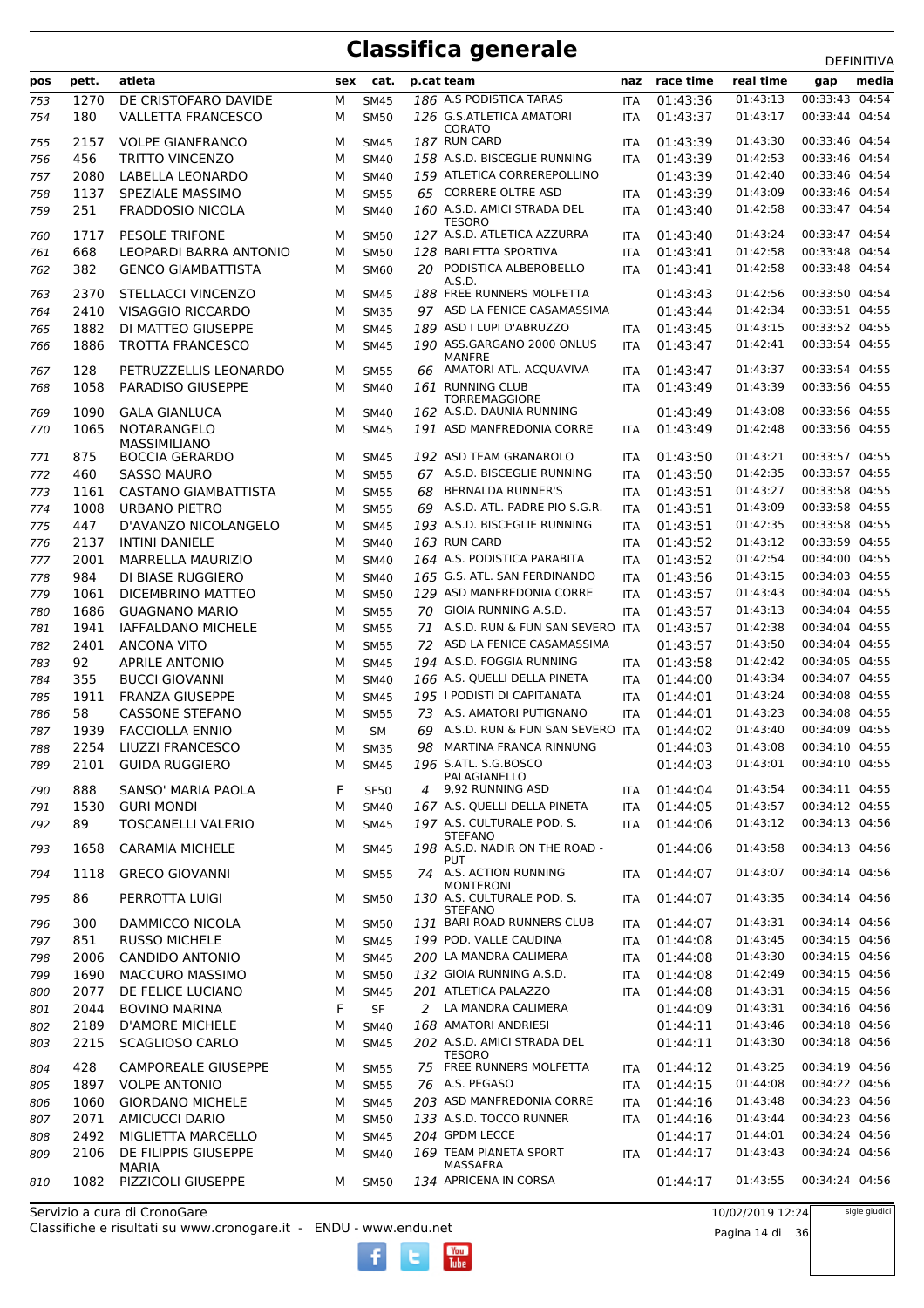|     |       |                            |     |             |    |                                                |            |           |           | DEFINITIVA     |
|-----|-------|----------------------------|-----|-------------|----|------------------------------------------------|------------|-----------|-----------|----------------|
| pos | pett. | atleta                     | sex | cat.        |    | p.cat team                                     | naz        | race time | real time | media<br>gap   |
| 753 | 1270  | DE CRISTOFARO DAVIDE       | М   | <b>SM45</b> |    | 186 A.S PODISTICA TARAS                        | <b>ITA</b> | 01:43:36  | 01:43:13  | 00:33:43 04:54 |
| 754 | 180   | <b>VALLETTA FRANCESCO</b>  | м   | <b>SM50</b> |    | 126 G.S.ATLETICA AMATORI                       | <b>ITA</b> | 01:43:37  | 01:43:17  | 00:33:44 04:54 |
|     |       |                            |     |             |    | CORATO                                         |            |           |           |                |
| 755 | 2157  | <b>VOLPE GIANFRANCO</b>    | м   | <b>SM45</b> |    | 187 RUN CARD                                   | <b>ITA</b> | 01:43:39  | 01:43:30  | 00:33:46 04:54 |
| 756 | 456   | <b>TRITTO VINCENZO</b>     | M   | <b>SM40</b> |    | 158 A.S.D. BISCEGLIE RUNNING                   | <b>ITA</b> | 01:43:39  | 01:42:53  | 00:33:46 04:54 |
| 757 | 2080  | LABELLA LEONARDO           | м   | <b>SM40</b> |    | 159 ATLETICA CORREREPOLLINO                    |            | 01:43:39  | 01:42:40  | 00:33:46 04:54 |
| 758 | 1137  | SPEZIALE MASSIMO           | M   | <b>SM55</b> |    | 65 CORRERE OLTRE ASD                           | <b>ITA</b> | 01:43:39  | 01:43:09  | 00:33:46 04:54 |
| 759 | 251   | <b>FRADDOSIO NICOLA</b>    | м   | <b>SM40</b> |    | 160 A.S.D. AMICI STRADA DEL                    | <b>ITA</b> | 01:43:40  | 01:42:58  | 00:33:47 04:54 |
|     |       |                            |     |             |    | <b>TESORO</b>                                  |            |           |           |                |
| 760 | 1717  | <b>PESOLE TRIFONE</b>      | м   | <b>SM50</b> |    | 127 A.S.D. ATLETICA AZZURRA                    | <b>ITA</b> | 01:43:40  | 01:43:24  | 00:33:47 04:54 |
| 761 | 668   | LEOPARDI BARRA ANTONIO     | м   | <b>SM50</b> |    | 128 BARLETTA SPORTIVA                          | <b>ITA</b> | 01:43:41  | 01:42:58  | 00:33:48 04:54 |
| 762 | 382   | <b>GENCO GIAMBATTISTA</b>  | м   | <b>SM60</b> |    | 20 PODISTICA ALBEROBELLO                       | <b>ITA</b> | 01:43:41  | 01:42:58  | 00:33:48 04:54 |
| 763 | 2370  | STELLACCI VINCENZO         | М   | <b>SM45</b> |    | A.S.D.<br>188 FREE RUNNERS MOLFETTA            |            | 01:43:43  | 01:42:56  | 00:33:50 04:54 |
|     |       |                            |     |             |    | 97 ASD LA FENICE CASAMASSIMA                   |            |           | 01:42:34  | 00:33:51 04:55 |
| 764 | 2410  | <b>VISAGGIO RICCARDO</b>   | м   | <b>SM35</b> |    |                                                |            | 01:43:44  |           |                |
| 765 | 1882  | DI MATTEO GIUSEPPE         | М   | <b>SM45</b> |    | 189 ASD I LUPI D'ABRUZZO                       | ITA        | 01:43:45  | 01:43:15  | 00:33:52 04:55 |
| 766 | 1886  | <b>TROTTA FRANCESCO</b>    | м   | <b>SM45</b> |    | 190 ASS.GARGANO 2000 ONLUS                     | <b>ITA</b> | 01:43:47  | 01:42:41  | 00:33:54 04:55 |
| 767 | 128   | PETRUZZELLIS LEONARDO      | м   | <b>SM55</b> |    | MANFRE<br>66 AMATORI ATL. ACQUAVIVA            | ITA        | 01:43:47  | 01:43:37  | 00:33:54 04:55 |
|     | 1058  | PARADISO GIUSEPPE          | м   | <b>SM40</b> |    | 161 RUNNING CLUB                               |            | 01:43:49  | 01:43:39  | 00:33:56 04:55 |
| 768 |       |                            |     |             |    | <b>TORREMAGGIORE</b>                           | <b>ITA</b> |           |           |                |
| 769 | 1090  | <b>GALA GIANLUCA</b>       | м   | <b>SM40</b> |    | 162 A.S.D. DAUNIA RUNNING                      |            | 01:43:49  | 01:43:08  | 00:33:56 04:55 |
| 770 | 1065  | <b>NOTARANGELO</b>         | м   | <b>SM45</b> |    | 191 ASD MANFREDONIA CORRE                      | <b>ITA</b> | 01:43:49  | 01:42:48  | 00:33:56 04:55 |
|     |       | MASSIMILIANO               |     |             |    |                                                |            |           |           |                |
| 771 | 875   | <b>BOCCIA GERARDO</b>      | М   | <b>SM45</b> |    | 192 ASD TEAM GRANAROLO                         | <b>ITA</b> | 01:43:50  | 01:43:21  | 00:33:57 04:55 |
| 772 | 460   | SASSO MAURO                | м   | <b>SM55</b> |    | 67 A.S.D. BISCEGLIE RUNNING                    | <b>ITA</b> | 01:43:50  | 01:42:35  | 00:33:57 04:55 |
| 773 | 1161  | CASTANO GIAMBATTISTA       | M   | <b>SM55</b> |    | 68 BERNALDA RUNNER'S                           | <b>ITA</b> | 01:43:51  | 01:43:27  | 00:33:58 04:55 |
| 774 | 1008  | URBANO PIETRO              | М   | <b>SM55</b> |    | 69 A.S.D. ATL. PADRE PIO S.G.R.                | <b>ITA</b> | 01:43:51  | 01:43:09  | 00:33:58 04:55 |
| 775 | 447   | D'AVANZO NICOLANGELO       | м   | <b>SM45</b> |    | 193 A.S.D. BISCEGLIE RUNNING                   | <b>ITA</b> | 01:43:51  | 01:42:35  | 00:33:58 04:55 |
|     |       |                            |     |             |    |                                                |            |           | 01:43:12  | 00:33:59 04:55 |
| 776 | 2137  | <b>INTINI DANIELE</b>      | м   | <b>SM40</b> |    | 163 RUN CARD                                   | ITA        | 01:43:52  |           |                |
| 777 | 2001  | <b>MARRELLA MAURIZIO</b>   | м   | <b>SM40</b> |    | 164 A.S. PODISTICA PARABITA                    | <b>ITA</b> | 01:43:52  | 01:42:54  | 00:34:00 04:55 |
| 778 | 984   | DI BIASE RUGGIERO          | м   | <b>SM40</b> |    | 165 G.S. ATL. SAN FERDINANDO                   | <b>ITA</b> | 01:43:56  | 01:43:15  | 00:34:03 04:55 |
| 779 | 1061  | DICEMBRINO MATTEO          | M   | <b>SM50</b> |    | 129 ASD MANFREDONIA CORRE                      | <b>ITA</b> | 01:43:57  | 01:43:43  | 00:34:04 04:55 |
| 780 | 1686  | <b>GUAGNANO MARIO</b>      | М   | <b>SM55</b> |    | 70 GIOIA RUNNING A.S.D.                        | <b>ITA</b> | 01:43:57  | 01:43:13  | 00:34:04 04:55 |
| 781 | 1941  | <b>IAFFALDANO MICHELE</b>  | м   | <b>SM55</b> |    | 71 A.S.D. RUN & FUN SAN SEVERO ITA             |            | 01:43:57  | 01:42:38  | 00:34:04 04:55 |
| 782 | 2401  | <b>ANCONA VITO</b>         | м   | <b>SM55</b> |    | 72 ASD LA FENICE CASAMASSIMA                   |            | 01:43:57  | 01:43:50  | 00:34:04 04:55 |
| 783 | 92    | <b>APRILE ANTONIO</b>      | м   | <b>SM45</b> |    | 194 A.S.D. FOGGIA RUNNING                      | <b>ITA</b> | 01:43:58  | 01:42:42  | 00:34:05 04:55 |
| 784 | 355   | <b>BUCCI GIOVANNI</b>      | м   | <b>SM40</b> |    | 166 A.S. QUELLI DELLA PINETA                   | <b>ITA</b> | 01:44:00  | 01:43:34  | 00:34:07 04:55 |
| 785 | 1911  | <b>FRANZA GIUSEPPE</b>     | M   | <b>SM45</b> |    | 195   PODISTI DI CAPITANATA                    |            | 01:44:01  | 01:43:24  | 00:34:08 04:55 |
|     |       |                            |     |             |    | 73 A.S. AMATORI PUTIGNANO                      | ITA        |           |           | 00:34:08 04:55 |
| 786 | 58    | <b>CASSONE STEFANO</b>     | М   | <b>SM55</b> |    |                                                | <b>ITA</b> | 01:44:01  | 01:43:23  |                |
| 787 | 1939  | <b>FACCIOLLA ENNIO</b>     | м   | <b>SM</b>   |    | 69 A.S.D. RUN & FUN SAN SEVERO ITA             |            | 01:44:02  | 01:43:40  | 00:34:09 04:55 |
| 788 | 2254  | LIUZZI FRANCESCO           | м   | <b>SM35</b> | 98 | <b>MARTINA FRANCA RINNUNG</b>                  |            | 01:44:03  | 01:43:08  | 00:34:10 04:55 |
| 789 | 2101  | <b>GUIDA RUGGIERO</b>      | м   | <b>SM45</b> |    | 196 S.ATL. S.G.BOSCO                           |            | 01:44:03  | 01:43:01  | 00:34:10 04:55 |
| 790 | 888   | SANSO' MARIA PAOLA         | F   | <b>SF50</b> | 4  | PALAGIANELLO<br>9,92 RUNNING ASD               |            | 01:44:04  | 01:43:54  | 00:34:11 04:55 |
|     |       |                            |     |             |    |                                                | <b>ITA</b> |           |           | 00:34:12 04:55 |
| 791 | 1530  | <b>GURI MONDI</b>          | М   | SM40        |    | 167 A.S. QUELLI DELLA PINETA                   | <b>ITA</b> | 01:44:05  | 01:43:57  |                |
| 792 | 89    | <b>TOSCANELLI VALERIO</b>  | м   | <b>SM45</b> |    | 197 A.S. CULTURALE POD. S.<br>STEFANO          | <b>ITA</b> | 01:44:06  | 01:43:12  | 00:34:13 04:56 |
| 793 | 1658  | <b>CARAMIA MICHELE</b>     | м   | <b>SM45</b> |    | 198 A.S.D. NADIR ON THE ROAD -                 |            | 01:44:06  | 01:43:58  | 00:34:13 04:56 |
|     |       |                            |     |             |    | PUT                                            |            |           |           |                |
| 794 | 1118  | <b>GRECO GIOVANNI</b>      | м   | <b>SM55</b> |    | 74 A.S. ACTION RUNNING                         | <b>ITA</b> | 01:44:07  | 01:43:07  | 00:34:14 04:56 |
| 795 | 86    | PERROTTA LUIGI             | м   | <b>SM50</b> |    | <b>MONTERONI</b><br>130 A.S. CULTURALE POD. S. | <b>ITA</b> | 01:44:07  | 01:43:35  | 00:34:14 04:56 |
|     |       |                            |     |             |    | <b>STEFANO</b>                                 |            |           |           |                |
| 796 | 300   | DAMMICCO NICOLA            | м   | <b>SM50</b> |    | 131 BARI ROAD RUNNERS CLUB                     | <b>ITA</b> | 01:44:07  | 01:43:31  | 00:34:14 04:56 |
| 797 | 851   | <b>RUSSO MICHELE</b>       | м   | <b>SM45</b> |    | 199 POD. VALLE CAUDINA                         | <b>ITA</b> | 01:44:08  | 01:43:45  | 00:34:15 04:56 |
| 798 | 2006  | <b>CANDIDO ANTONIO</b>     | М   | <b>SM45</b> |    | 200 LA MANDRA CALIMERA                         | ITA        | 01:44:08  | 01:43:30  | 00:34:15 04:56 |
| 799 | 1690  | <b>MACCURO MASSIMO</b>     | М   | <b>SM50</b> |    | 132 GIOIA RUNNING A.S.D.                       | <b>ITA</b> | 01:44:08  | 01:42:49  | 00:34:15 04:56 |
| 800 | 2077  | DE FELICE LUCIANO          | М   | <b>SM45</b> |    | 201 ATLETICA PALAZZO                           | <b>ITA</b> | 01:44:08  | 01:43:31  | 00:34:15 04:56 |
|     |       |                            |     |             |    |                                                |            |           |           | 00:34:16 04:56 |
| 801 | 2044  | <b>BOVINO MARINA</b>       | F   | SF          | 2  | LA MANDRA CALIMERA                             |            | 01:44:09  | 01:43:31  |                |
| 802 | 2189  | <b>D'AMORE MICHELE</b>     | М   | SM40        |    | 168 AMATORI ANDRIESI                           |            | 01:44:11  | 01:43:46  | 00:34:18 04:56 |
| 803 | 2215  | <b>SCAGLIOSO CARLO</b>     | м   | <b>SM45</b> |    | 202 A.S.D. AMICI STRADA DEL                    |            | 01:44:11  | 01:43:30  | 00:34:18 04:56 |
| 804 | 428   | <b>CAMPOREALE GIUSEPPE</b> | м   | <b>SM55</b> |    | <b>TESORO</b><br>75 FREE RUNNERS MOLFETTA      | <b>ITA</b> | 01:44:12  | 01:43:25  | 00:34:19 04:56 |
|     |       |                            |     |             |    |                                                |            |           |           |                |
| 805 | 1897  | <b>VOLPE ANTONIO</b>       | М   | <b>SM55</b> |    | 76 A.S. PEGASO                                 | ITA        | 01:44:15  | 01:44:08  | 00:34:22 04:56 |
| 806 | 1060  | <b>GIORDANO MICHELE</b>    | м   | <b>SM45</b> |    | 203 ASD MANFREDONIA CORRE                      | ITA        | 01:44:16  | 01:43:48  | 00:34:23 04:56 |
| 807 | 2071  | <b>AMICUCCI DARIO</b>      | М   | <b>SM50</b> |    | 133 A.S.D. TOCCO RUNNER                        | <b>ITA</b> | 01:44:16  | 01:43:44  | 00:34:23 04:56 |
| 808 | 2492  | MIGLIETTA MARCELLO         | м   | SM45        |    | 204 GPDM LECCE                                 |            | 01:44:17  | 01:44:01  | 00:34:24 04:56 |
| 809 | 2106  | DE FILIPPIS GIUSEPPE       | М   | SM40        |    | 169 TEAM PIANETA SPORT                         | <b>ITA</b> | 01:44:17  | 01:43:43  | 00:34:24 04:56 |
|     |       | MARIA                      |     |             |    | MASSAFRA                                       |            |           |           |                |
| 810 | 1082  | PIZZICOLI GIUSEPPE         | м   | <b>SM50</b> |    | 134 APRICENA IN CORSA                          |            | 01:44:17  | 01:43:55  | 00:34:24 04:56 |
|     |       |                            |     |             |    |                                                |            |           |           |                |

Classifiche e risultati su www.cronogare.it - ENDU - www.endu.net Servizio a cura di CronoGare

10/02/2019 12:24 Pagina 14 di 36 sigle giudici

 $\begin{bmatrix}\n\frac{\text{Vou}}{\text{Iube}}\n\end{bmatrix}$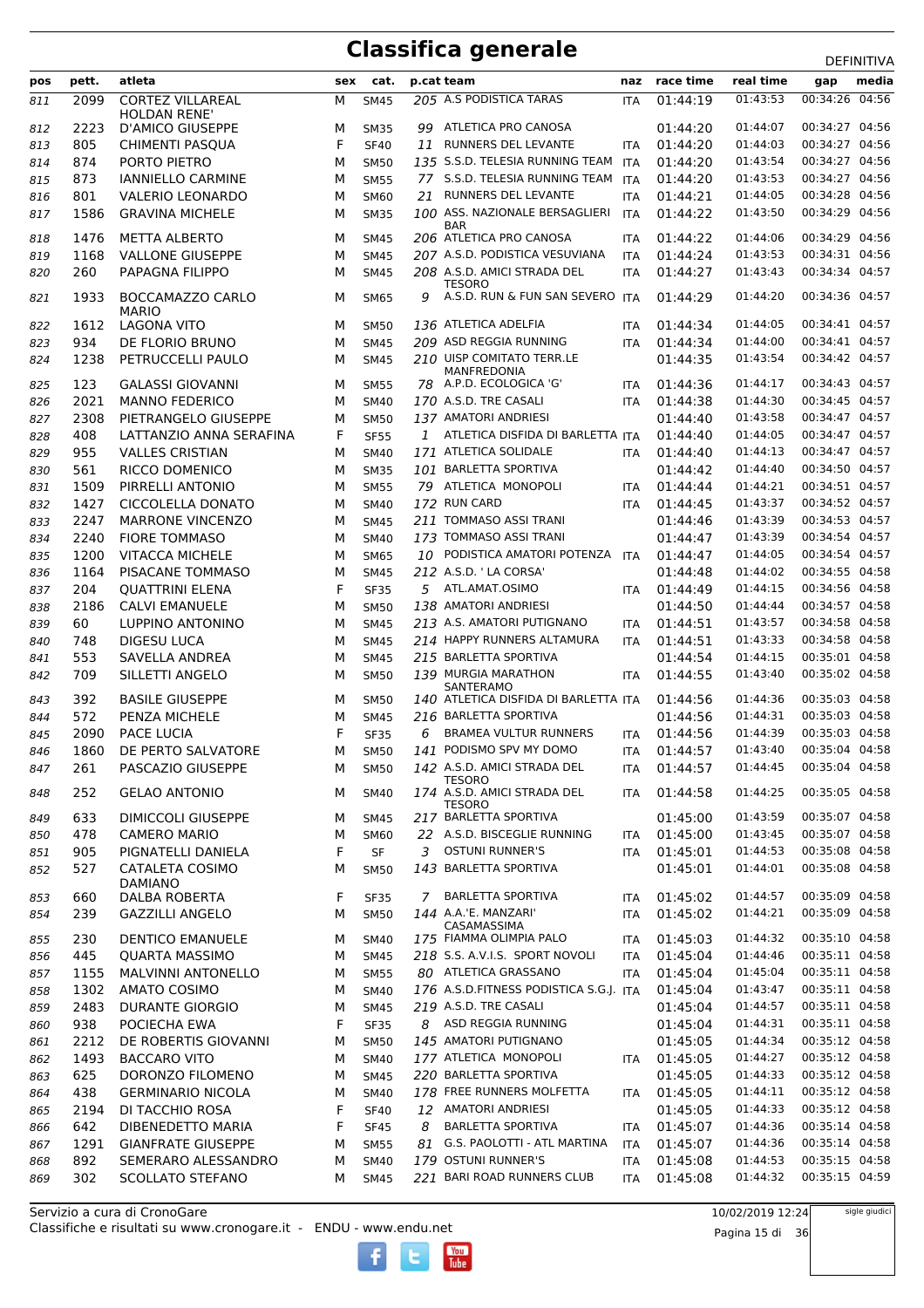#### **Classifica generale**

|     |       |                                          |     |             |    |                                              |            |           |           | DEFINITIVA     |
|-----|-------|------------------------------------------|-----|-------------|----|----------------------------------------------|------------|-----------|-----------|----------------|
| pos | pett. | atleta                                   | sex | cat.        |    | p.cat team                                   | naz        | race time | real time | media<br>gap   |
| 811 | 2099  | <b>CORTEZ VILLAREAL</b><br>HOLDAN RENE'  | М   | <b>SM45</b> |    | 205 A.S PODISTICA TARAS                      | <b>ITA</b> | 01:44:19  | 01:43:53  | 00:34:26 04:56 |
| 812 | 2223  | <b>D'AMICO GIUSEPPE</b>                  | М   | <b>SM35</b> |    | 99 ATLETICA PRO CANOSA                       |            | 01:44:20  | 01:44:07  | 00:34:27 04:56 |
| 813 | 805   | <b>CHIMENTI PASOUA</b>                   | F   | <b>SF40</b> |    | 11 RUNNERS DEL LEVANTE                       | <b>ITA</b> | 01:44:20  | 01:44:03  | 00:34:27 04:56 |
| 814 | 874   | PORTO PIETRO                             | м   | <b>SM50</b> |    | 135 S.S.D. TELESIA RUNNING TEAM              | <b>ITA</b> | 01:44:20  | 01:43:54  | 00:34:27 04:56 |
| 815 | 873   | <b>IANNIELLO CARMINE</b>                 | М   | <b>SM55</b> |    | 77 S.S.D. TELESIA RUNNING TEAM               | ITA        | 01:44:20  | 01:43:53  | 00:34:27 04:56 |
| 816 | 801   | <b>VALERIO LEONARDO</b>                  | М   | <b>SM60</b> |    | 21 RUNNERS DEL LEVANTE                       | <b>ITA</b> | 01:44:21  | 01:44:05  | 00:34:28 04:56 |
| 817 | 1586  | <b>GRAVINA MICHELE</b>                   | м   | <b>SM35</b> |    | 100 ASS. NAZIONALE BERSAGLIERI<br><b>BAR</b> | <b>ITA</b> | 01:44:22  | 01:43:50  | 00:34:29 04:56 |
| 818 | 1476  | <b>METTA ALBERTO</b>                     | М   | <b>SM45</b> |    | 206 ATLETICA PRO CANOSA                      | <b>ITA</b> | 01:44:22  | 01:44:06  | 00:34:29 04:56 |
| 819 | 1168  | <b>VALLONE GIUSEPPE</b>                  | м   | <b>SM45</b> |    | 207 A.S.D. PODISTICA VESUVIANA               | <b>ITA</b> | 01:44:24  | 01:43:53  | 00:34:31 04:56 |
| 820 | 260   | PAPAGNA FILIPPO                          | М   | <b>SM45</b> |    | 208 A.S.D. AMICI STRADA DEL<br>TESORO        | <b>ITA</b> | 01:44:27  | 01:43:43  | 00:34:34 04:57 |
| 821 | 1933  | BOCCAMAZZO CARLO<br><b>MARIO</b>         | м   | <b>SM65</b> | 9  | A.S.D. RUN & FUN SAN SEVERO ITA              |            | 01:44:29  | 01:44:20  | 00:34:36 04:57 |
| 822 | 1612  | LAGONA VITO                              | м   | <b>SM50</b> |    | 136 ATLETICA ADELFIA                         | <b>ITA</b> | 01:44:34  | 01:44:05  | 00:34:41 04:57 |
| 823 | 934   | DE FLORIO BRUNO                          | М   | <b>SM45</b> |    | 209 ASD REGGIA RUNNING                       | <b>ITA</b> | 01:44:34  | 01:44:00  | 00:34:41 04:57 |
| 824 | 1238  | PETRUCCELLI PAULO                        | М   | <b>SM45</b> |    | 210 UISP COMITATO TERR.LE<br>MANFREDONIA     |            | 01:44:35  | 01:43:54  | 00:34:42 04:57 |
| 825 | 123   | <b>GALASSI GIOVANNI</b>                  | м   | <b>SM55</b> |    | 78 A.P.D. ECOLOGICA 'G'                      | ITA        | 01:44:36  | 01:44:17  | 00:34:43 04:57 |
| 826 | 2021  | <b>MANNO FEDERICO</b>                    | М   | <b>SM40</b> |    | 170 A.S.D. TRE CASALI                        | <b>ITA</b> | 01:44:38  | 01:44:30  | 00:34:45 04:57 |
| 827 | 2308  | PIETRANGELO GIUSEPPE                     | м   | <b>SM50</b> |    | 137 AMATORI ANDRIESI                         |            | 01:44:40  | 01:43:58  | 00:34:47 04:57 |
| 828 | 408   | LATTANZIO ANNA SERAFINA                  | F   | <b>SF55</b> | 1  | ATLETICA DISFIDA DI BARLETTA ITA             |            | 01:44:40  | 01:44:05  | 00:34:47 04:57 |
| 829 | 955   | <b>VALLES CRISTIAN</b>                   | м   | <b>SM40</b> |    | 171 ATLETICA SOLIDALE                        | <b>ITA</b> | 01:44:40  | 01:44:13  | 00:34:47 04:57 |
| 830 | 561   | RICCO DOMENICO                           | м   | <b>SM35</b> |    | 101 BARLETTA SPORTIVA                        |            | 01:44:42  | 01:44:40  | 00:34:50 04:57 |
| 831 | 1509  | PIRRELLI ANTONIO                         | м   | <b>SM55</b> |    | 79 ATLETICA MONOPOLI                         | <b>ITA</b> | 01:44:44  | 01:44:21  | 00:34:51 04:57 |
| 832 | 1427  | CICCOLELLA DONATO                        | М   | <b>SM40</b> |    | 172 RUN CARD                                 | <b>ITA</b> | 01:44:45  | 01:43:37  | 00:34:52 04:57 |
| 833 | 2247  | <b>MARRONE VINCENZO</b>                  | М   | <b>SM45</b> |    | 211 TOMMASO ASSI TRANI                       |            | 01:44:46  | 01:43:39  | 00:34:53 04:57 |
| 834 | 2240  | <b>FIORE TOMMASO</b>                     | М   | <b>SM40</b> |    | 173 TOMMASO ASSI TRANI                       |            | 01:44:47  | 01:43:39  | 00:34:54 04:57 |
| 835 | 1200  | <b>VITACCA MICHELE</b>                   | М   | <b>SM65</b> |    | 10 PODISTICA AMATORI POTENZA                 | ITA        | 01:44:47  | 01:44:05  | 00:34:54 04:57 |
| 836 | 1164  | PISACANE TOMMASO                         | м   | <b>SM45</b> |    | 212 A.S.D. ' LA CORSA'                       |            | 01:44:48  | 01:44:02  | 00:34:55 04:58 |
| 837 | 204   | <b>QUATTRINI ELENA</b>                   | F   | <b>SF35</b> |    | 5 ATL.AMAT.OSIMO                             | <b>ITA</b> | 01:44:49  | 01:44:15  | 00:34:56 04:58 |
| 838 | 2186  | <b>CALVI EMANUELE</b>                    | М   | <b>SM50</b> |    | 138 AMATORI ANDRIESI                         |            | 01:44:50  | 01:44:44  | 00:34:57 04:58 |
| 839 | 60    | LUPPINO ANTONINO                         | М   | <b>SM45</b> |    | 213 A.S. AMATORI PUTIGNANO                   | <b>ITA</b> | 01:44:51  | 01:43:57  | 00:34:58 04:58 |
| 840 | 748   | <b>DIGESU LUCA</b>                       | М   | <b>SM45</b> |    | 214 HAPPY RUNNERS ALTAMURA                   | <b>ITA</b> | 01:44:51  | 01:43:33  | 00:34:58 04:58 |
| 841 | 553   | SAVELLA ANDREA                           | М   | <b>SM45</b> |    | 215 BARLETTA SPORTIVA                        |            | 01:44:54  | 01:44:15  | 00:35:01 04:58 |
| 842 | 709   | SILLETTI ANGELO                          | М   | <b>SM50</b> |    | 139 MURGIA MARATHON<br>SANTERAMO             | <b>ITA</b> | 01:44:55  | 01:43:40  | 00:35:02 04:58 |
| 843 | 392   | <b>BASILE GIUSEPPE</b>                   | М   | <b>SM50</b> |    | 140 ATLETICA DISFIDA DI BARLETTA ITA         |            | 01:44:56  | 01:44:36  | 00:35:03 04:58 |
| 844 | 572   | PENZA MICHELE                            | м   | <b>SM45</b> |    | 216 BARLETTA SPORTIVA                        |            | 01:44:56  | 01:44:31  | 00:35:03 04:58 |
| 845 | 2090  | PACE LUCIA                               | F   | <b>SF35</b> | 6  | BRAMEA VULTUR RUNNERS                        | ITA        | 01:44:56  | 01:44:39  | 00:35:03 04:58 |
| 846 | 1860  | DE PERTO SAI VATORE                      | М   | SM50        |    | 141 PODISMO SPV MY DOMO                      | <b>ITA</b> | 01:44:57  | 01:43:40  | 00:35:04 04:58 |
| 847 | 261   | PASCAZIO GIUSEPPE                        | м   | <b>SM50</b> |    | 142 A.S.D. AMICI STRADA DEL<br><b>TESORO</b> | ITA        | 01:44:57  | 01:44:45  | 00:35:04 04:58 |
| 848 | 252   | <b>GELAO ANTONIO</b>                     | м   | <b>SM40</b> |    | 174 A.S.D. AMICI STRADA DEL<br><b>TESORO</b> | <b>ITA</b> | 01:44:58  | 01:44:25  | 00:35:05 04:58 |
| 849 | 633   | DIMICCOLI GIUSEPPE                       | м   | SM45        |    | 217 BARLETTA SPORTIVA                        |            | 01:45:00  | 01:43:59  | 00:35:07 04:58 |
| 850 | 478   | <b>CAMERO MARIO</b>                      | М   | <b>SM60</b> |    | 22 A.S.D. BISCEGLIE RUNNING                  | ITA        | 01:45:00  | 01:43:45  | 00:35:07 04:58 |
| 851 | 905   | PIGNATELLI DANIELA                       | F   | SF          | 3  | <b>OSTUNI RUNNER'S</b>                       | <b>ITA</b> | 01:45:01  | 01:44:53  | 00:35:08 04:58 |
| 852 | 527   | <b>CATALETA COSIMO</b><br><b>DAMIANO</b> | М   | <b>SM50</b> |    | 143 BARLETTA SPORTIVA                        |            | 01:45:01  | 01:44:01  | 00:35:08 04:58 |
| 853 | 660   | <b>DALBA ROBERTA</b>                     | F   | <b>SF35</b> |    | 7 BARLETTA SPORTIVA                          | ITA        | 01:45:02  | 01:44:57  | 00:35:09 04:58 |
| 854 | 239   | <b>GAZZILLI ANGELO</b>                   | м   | <b>SM50</b> |    | 144 A.A.'E. MANZARI'<br>CASAMASSIMA          | <b>ITA</b> | 01:45:02  | 01:44:21  | 00:35:09 04:58 |
| 855 | 230   | <b>DENTICO EMANUELE</b>                  | М   | SM40        |    | 175 FIAMMA OLIMPIA PALO                      | ITA        | 01:45:03  | 01:44:32  | 00:35:10 04:58 |
| 856 | 445   | <b>QUARTA MASSIMO</b>                    | М   | <b>SM45</b> |    | 218 S.S. A.V.I.S. SPORT NOVOLI               | <b>ITA</b> | 01:45:04  | 01:44:46  | 00:35:11 04:58 |
| 857 | 1155  | <b>MALVINNI ANTONELLO</b>                | М   | <b>SM55</b> |    | 80 ATLETICA GRASSANO                         | <b>ITA</b> | 01:45:04  | 01:45:04  | 00:35:11 04:58 |
| 858 | 1302  | <b>AMATO COSIMO</b>                      | М   | <b>SM40</b> |    | 176 A.S.D.FITNESS PODISTICA S.G.J. ITA       |            | 01:45:04  | 01:43:47  | 00:35:11 04:58 |
| 859 | 2483  | <b>DURANTE GIORGIO</b>                   | М   | <b>SM45</b> |    | 219 A.S.D. TRE CASALI                        |            | 01:45:04  | 01:44:57  | 00:35:11 04:58 |
| 860 | 938   | POCIECHA EWA                             | F   | <b>SF35</b> |    | 8 ASD REGGIA RUNNING                         |            | 01:45:04  | 01:44:31  | 00:35:11 04:58 |
| 861 | 2212  | DE ROBERTIS GIOVANNI                     | М   | <b>SM50</b> |    | 145 AMATORI PUTIGNANO                        |            | 01:45:05  | 01:44:34  | 00:35:12 04:58 |
| 862 | 1493  | <b>BACCARO VITO</b>                      | М   | SM40        |    | 177 ATLETICA MONOPOLI                        | <b>ITA</b> | 01:45:05  | 01:44:27  | 00:35:12 04:58 |
| 863 | 625   | DORONZO FILOMENO                         | М   | <b>SM45</b> |    | 220 BARLETTA SPORTIVA                        |            | 01:45:05  | 01:44:33  | 00:35:12 04:58 |
| 864 | 438   | <b>GERMINARIO NICOLA</b>                 | М   | <b>SM40</b> |    | 178 FREE RUNNERS MOLFETTA                    | ITA        | 01:45:05  | 01:44:11  | 00:35:12 04:58 |
| 865 | 2194  | DI TACCHIO ROSA                          | F   | <b>SF40</b> |    | 12 AMATORI ANDRIESI                          |            | 01:45:05  | 01:44:33  | 00:35:12 04:58 |
| 866 | 642   | DIBENEDETTO MARIA                        | F   | <b>SF45</b> | 8  | <b>BARLETTA SPORTIVA</b>                     | ITA        | 01:45:07  | 01:44:36  | 00:35:14 04:58 |
| 867 | 1291  | <b>GIANFRATE GIUSEPPE</b>                | М   | <b>SM55</b> | 81 | G.S. PAOLOTTI - ATL MARTINA                  | ITA        | 01:45:07  | 01:44:36  | 00:35:14 04:58 |
| 868 | 892   | SEMERARO ALESSANDRO                      | М   | SM40        |    | 179 OSTUNI RUNNER'S                          | <b>ITA</b> | 01:45:08  | 01:44:53  | 00:35:15 04:58 |
| 869 | 302   | <b>SCOLLATO STEFANO</b>                  | М   | <b>SM45</b> |    | 221 BARI ROAD RUNNERS CLUB                   | ITA        | 01:45:08  | 01:44:32  | 00:35:15 04:59 |

 $\begin{bmatrix} x_{01} \\ 1_{01} \end{bmatrix}$ 

Pagina 15 di 36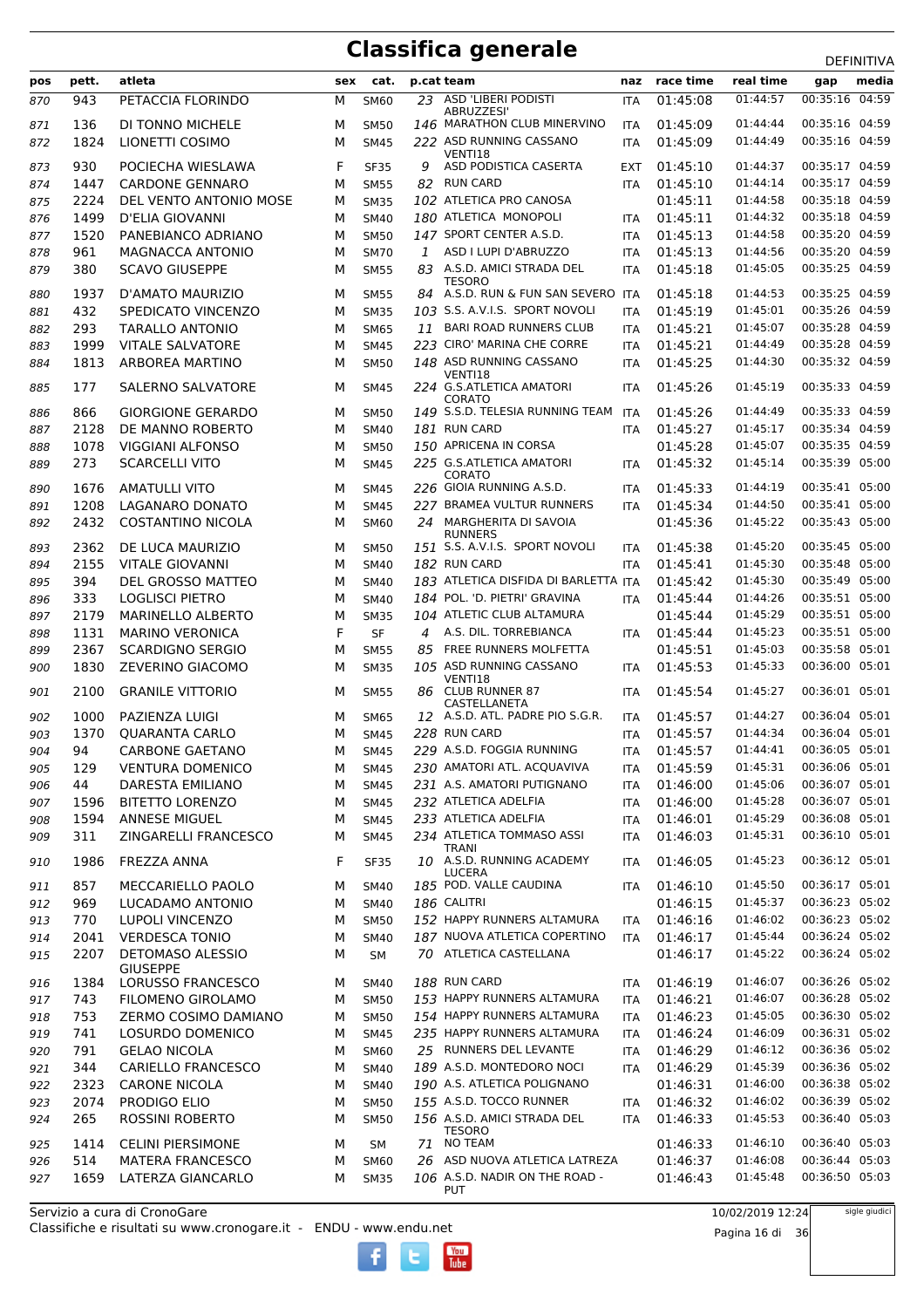|            |       |                                            |     |                            |    |                                                     |                   |           |           | DEFINITIVA     |       |
|------------|-------|--------------------------------------------|-----|----------------------------|----|-----------------------------------------------------|-------------------|-----------|-----------|----------------|-------|
| pos        | pett. | atleta                                     | sex | cat.                       |    | p.cat team                                          | naz               | race time | real time | gap            | media |
| 870        | 943   | PETACCIA FLORINDO                          | м   | <b>SM60</b>                |    | 23 ASD 'LIBERI PODISTI<br>ABRUZZESI'                | <b>ITA</b>        | 01:45:08  | 01:44:57  | 00:35:16 04:59 |       |
| 871        | 136   | DI TONNO MICHELE                           | м   | <b>SM50</b>                |    | 146 MARATHON CLUB MINERVINO                         | ITA               | 01:45:09  | 01:44:44  | 00:35:16 04:59 |       |
| 872        | 1824  | LIONETTI COSIMO                            | М   | <b>SM45</b>                |    | 222 ASD RUNNING CASSANO<br>VENTI18                  | ITA               | 01:45:09  | 01:44:49  | 00:35:16 04:59 |       |
| 873        | 930   | POCIECHA WIESLAWA                          | F   | <b>SF35</b>                | 9  | ASD PODISTICA CASERTA                               | EXT               | 01:45:10  | 01:44:37  | 00:35:17 04:59 |       |
| 874        | 1447  | <b>CARDONE GENNARO</b>                     | М   | <b>SM55</b>                | 82 | <b>RUN CARD</b>                                     | ITA               | 01:45:10  | 01:44:14  | 00:35:17 04:59 |       |
| 875        | 2224  | DEL VENTO ANTONIO MOSE                     | М   | <b>SM35</b>                |    | 102 ATLETICA PRO CANOSA                             |                   | 01:45:11  | 01:44:58  | 00:35:18 04:59 |       |
| 876        | 1499  | <b>D'ELIA GIOVANNI</b>                     | м   | <b>SM40</b>                |    | 180 ATLETICA MONOPOLI                               | ITA               | 01:45:11  | 01:44:32  | 00:35:18 04:59 |       |
| 877        | 1520  | PANEBIANCO ADRIANO                         | М   | <b>SM50</b>                |    | 147 SPORT CENTER A.S.D.                             | ITA               | 01:45:13  | 01:44:58  | 00:35:20 04:59 |       |
| 878        | 961   | MAGNACCA ANTONIO                           | М   | <b>SM70</b>                | 1  | ASD I LUPI D'ABRUZZO                                | <b>ITA</b>        | 01:45:13  | 01:44:56  | 00:35:20 04:59 |       |
| 879        | 380   | <b>SCAVO GIUSEPPE</b>                      | М   | <b>SM55</b>                |    | 83 A.S.D. AMICI STRADA DEL                          | <b>ITA</b>        | 01:45:18  | 01:45:05  | 00:35:25 04:59 |       |
| 880        | 1937  | D'AMATO MAURIZIO                           | М   | <b>SM55</b>                |    | <b>TESORO</b><br>84 A.S.D. RUN & FUN SAN SEVERO ITA |                   | 01:45:18  | 01:44:53  | 00:35:25 04:59 |       |
| 881        | 432   | SPEDICATO VINCENZO                         | М   | <b>SM35</b>                |    | 103 S.S. A.V.I.S. SPORT NOVOLI                      | ITA               | 01:45:19  | 01:45:01  | 00:35:26 04:59 |       |
| 882        | 293   | <b>TARALLO ANTONIO</b>                     | М   | <b>SM65</b>                | 11 | <b>BARI ROAD RUNNERS CLUB</b>                       | <b>ITA</b>        | 01:45:21  | 01:45:07  | 00:35:28 04:59 |       |
| 883        | 1999  | <b>VITALE SALVATORE</b>                    | М   | <b>SM45</b>                |    | 223 CIRO' MARINA CHE CORRE                          | <b>ITA</b>        | 01:45:21  | 01:44:49  | 00:35:28 04:59 |       |
|            | 1813  | ARBOREA MARTINO                            | М   |                            |    | 148 ASD RUNNING CASSANO                             |                   | 01:45:25  | 01:44:30  | 00:35:32 04:59 |       |
| 884<br>885 | 177   | SALERNO SALVATORE                          | М   | <b>SM50</b><br><b>SM45</b> |    | VENTI18<br>224 G.S.ATLETICA AMATORI                 | ITA<br><b>ITA</b> | 01:45:26  | 01:45:19  | 00:35:33 04:59 |       |
|            | 866   | <b>GIORGIONE GERARDO</b>                   | М   | <b>SM50</b>                |    | <b>CORATO</b><br>149 S.S.D. TELESIA RUNNING TEAM    | ITA               | 01:45:26  | 01:44:49  | 00:35:33 04:59 |       |
| 886        | 2128  |                                            |     |                            |    | 181 RUN CARD                                        |                   | 01:45:27  | 01:45:17  | 00:35:34 04:59 |       |
| 887        |       | DE MANNO ROBERTO                           | М   | <b>SM40</b>                |    |                                                     | <b>ITA</b>        |           |           |                |       |
| 888        | 1078  | <b>VIGGIANI ALFONSO</b>                    | М   | <b>SM50</b>                |    | 150 APRICENA IN CORSA                               |                   | 01:45:28  | 01:45:07  | 00:35:35 04:59 |       |
| 889        | 273   | <b>SCARCELLI VITO</b>                      | М   | <b>SM45</b>                |    | 225 G.S.ATLETICA AMATORI<br><b>CORATO</b>           | <b>ITA</b>        | 01:45:32  | 01:45:14  | 00:35:39 05:00 |       |
| 890        | 1676  | <b>AMATULLI VITO</b>                       | м   | <b>SM45</b>                |    | 226 GIOIA RUNNING A.S.D.                            | ITA               | 01:45:33  | 01:44:19  | 00:35:41 05:00 |       |
| 891        | 1208  | LAGANARO DONATO                            | М   | <b>SM45</b>                |    | 227 BRAMEA VULTUR RUNNERS                           | <b>ITA</b>        | 01:45:34  | 01:44:50  | 00:35:41 05:00 |       |
| 892        | 2432  | COSTANTINO NICOLA                          | М   | SM60                       |    | 24 MARGHERITA DI SAVOIA<br><b>RUNNERS</b>           |                   | 01:45:36  | 01:45:22  | 00:35:43 05:00 |       |
| 893        | 2362  | DE LUCA MAURIZIO                           | М   | <b>SM50</b>                |    | 151 S.S. A.V.I.S. SPORT NOVOLI                      | <b>ITA</b>        | 01:45:38  | 01:45:20  | 00:35:45 05:00 |       |
| 894        | 2155  | <b>VITALE GIOVANNI</b>                     | М   | <b>SM40</b>                |    | <b>182 RUN CARD</b>                                 | <b>ITA</b>        | 01:45:41  | 01:45:30  | 00:35:48 05:00 |       |
| 895        | 394   | DEL GROSSO MATTEO                          | М   | <b>SM40</b>                |    | 183 ATLETICA DISFIDA DI BARLETTA ITA                |                   | 01:45:42  | 01:45:30  | 00:35:49 05:00 |       |
| 896        | 333   | <b>LOGLISCI PIETRO</b>                     | М   | <b>SM40</b>                |    | 184 POL. 'D. PIETRI' GRAVINA                        | <b>ITA</b>        | 01:45:44  | 01:44:26  | 00:35:51 05:00 |       |
| 897        | 2179  | <b>MARINELLO ALBERTO</b>                   | М   | <b>SM35</b>                |    | 104 ATLETIC CLUB ALTAMURA                           |                   | 01:45:44  | 01:45:29  | 00:35:51 05:00 |       |
| 898        | 1131  | <b>MARINO VERONICA</b>                     | F   | <b>SF</b>                  |    | 4 A.S. DIL. TORREBIANCA                             | <b>ITA</b>        | 01:45:44  | 01:45:23  | 00:35:51 05:00 |       |
| 899        | 2367  | <b>SCARDIGNO SERGIO</b>                    | М   | <b>SM55</b>                |    | 85 FREE RUNNERS MOLFETTA                            |                   | 01:45:51  | 01:45:03  | 00:35:58 05:01 |       |
| 900        | 1830  | ZEVERINO GIACOMO                           | М   | <b>SM35</b>                |    | 105 ASD RUNNING CASSANO                             | <b>ITA</b>        | 01:45:53  | 01:45:33  | 00:36:00 05:01 |       |
| 901        | 2100  | <b>GRANILE VITTORIO</b>                    | м   | <b>SM55</b>                | 86 | VENTI18<br><b>CLUB RUNNER 87</b><br>CASTELLANETA    | ITA               | 01:45:54  | 01:45:27  | 00:36:01 05:01 |       |
| 902        | 1000  | PAZIENZA LUIGI                             | м   | SM65                       |    | 12 A.S.D. ATL. PADRE PIO S.G.R.                     | <b>ITA</b>        | 01:45:57  | 01:44:27  | 00:36:04 05:01 |       |
| 903        | 1370  | <b>QUARANTA CARLO</b>                      | М   | <b>SM45</b>                |    | 228 RUN CARD                                        | ITA               | 01:45:57  | 01:44:34  | 00:36:04 05:01 |       |
| 904        | 94    | <b>CARBONE GAETANO</b>                     | М   | <b>SM45</b>                |    | 229 A.S.D. FOGGIA RUNNING                           | <b>ITA</b>        | 01:45:57  | 01:44:41  | 00:36:05 05:01 |       |
| 905        | 129   | <b>VENTURA DOMENICO</b>                    | М   | <b>SM45</b>                |    | 230 AMATORI ATL. ACQUAVIVA                          | <b>ITA</b>        | 01:45:59  | 01:45:31  | 00:36:06 05:01 |       |
| 906        | 44    | DARESTA EMILIANO                           | М   | <b>SM45</b>                |    | 231 A.S. AMATORI PUTIGNANO                          | <b>ITA</b>        | 01:46:00  | 01:45:06  | 00:36:07 05:01 |       |
| 907        | 1596  | <b>BITETTO LORENZO</b>                     | М   | <b>SM45</b>                |    | 232 ATLETICA ADELFIA                                | ITA               | 01:46:00  | 01:45:28  | 00:36:07 05:01 |       |
| 908        | 1594  | ANNESE MIGUEL                              | М   | <b>SM45</b>                |    | 233 ATLETICA ADELFIA                                | ITA               | 01:46:01  | 01:45:29  | 00:36:08 05:01 |       |
| 909        | 311   | ZINGARELLI FRANCESCO                       | М   | <b>SM45</b>                |    | 234 ATLETICA TOMMASO ASSI                           | ITA               | 01:46:03  | 01:45:31  | 00:36:10 05:01 |       |
| 910        | 1986  | FREZZA ANNA                                | F   | <b>SF35</b>                |    | TRANI<br>10 A.S.D. RUNNING ACADEMY                  | <b>ITA</b>        | 01:46:05  | 01:45:23  | 00:36:12 05:01 |       |
|            | 857   | MECCARIELLO PAOLO                          |     |                            |    | <b>LUCERA</b><br>185 POD. VALLE CAUDINA             |                   | 01:46:10  | 01:45:50  | 00:36:17 05:01 |       |
| 911        |       |                                            | М   | <b>SM40</b>                |    |                                                     | ITA               |           |           |                |       |
| 912        | 969   | LUCADAMO ANTONIO                           | М   | <b>SM40</b>                |    | 186 CALITRI                                         |                   | 01:46:15  | 01:45:37  | 00:36:23 05:02 |       |
| 913        | 770   | <b>LUPOLI VINCENZO</b>                     | М   | <b>SM50</b>                |    | 152 HAPPY RUNNERS ALTAMURA                          | ITA               | 01:46:16  | 01:46:02  | 00:36:23 05:02 |       |
| 914        | 2041  | <b>VERDESCA TONIO</b>                      | М   | <b>SM40</b>                |    | 187 NUOVA ATLETICA COPERTINO                        | <b>ITA</b>        | 01:46:17  | 01:45:44  | 00:36:24 05:02 |       |
| 915        | 2207  | <b>DETOMASO ALESSIO</b><br><b>GIUSEPPE</b> | М   | <b>SM</b>                  |    | 70 ATLETICA CASTELLANA                              |                   | 01:46:17  | 01:45:22  | 00:36:24 05:02 |       |
| 916        | 1384  | LORUSSO FRANCESCO                          | М   | <b>SM40</b>                |    | 188 RUN CARD                                        | <b>ITA</b>        | 01:46:19  | 01:46:07  | 00:36:26 05:02 |       |
| 917        | 743   | FILOMENO GIROLAMO                          | М   | <b>SM50</b>                |    | 153 HAPPY RUNNERS ALTAMURA                          | <b>ITA</b>        | 01:46:21  | 01:46:07  | 00:36:28 05:02 |       |
| 918        | 753   | ZERMO COSIMO DAMIANO                       | М   | <b>SM50</b>                |    | 154 HAPPY RUNNERS ALTAMURA                          | <b>ITA</b>        | 01:46:23  | 01:45:05  | 00:36:30 05:02 |       |
| 919        | 741   | LOSURDO DOMENICO                           | М   | <b>SM45</b>                |    | 235 HAPPY RUNNERS ALTAMURA                          | <b>ITA</b>        | 01:46:24  | 01:46:09  | 00:36:31 05:02 |       |
| 920        | 791   | <b>GELAO NICOLA</b>                        | М   | SM60                       |    | 25 RUNNERS DEL LEVANTE                              | <b>ITA</b>        | 01:46:29  | 01:46:12  | 00:36:36 05:02 |       |
| 921        | 344   | CARIELLO FRANCESCO                         | М   | <b>SM40</b>                |    | 189 A.S.D. MONTEDORO NOCI                           | <b>ITA</b>        | 01:46:29  | 01:45:39  | 00:36:36 05:02 |       |
| 922        | 2323  | <b>CARONE NICOLA</b>                       | М   | <b>SM40</b>                |    | 190 A.S. ATLETICA POLIGNANO                         |                   | 01:46:31  | 01:46:00  | 00:36:38 05:02 |       |
| 923        | 2074  | PRODIGO ELIO                               | М   | <b>SM50</b>                |    | 155 A.S.D. TOCCO RUNNER                             | ITA               | 01:46:32  | 01:46:02  | 00:36:39 05:02 |       |
| 924        | 265   | ROSSINI ROBERTO                            | М   | <b>SM50</b>                |    | 156 A.S.D. AMICI STRADA DEL                         | <b>ITA</b>        | 01:46:33  | 01:45:53  | 00:36:40 05:03 |       |
| 925        | 1414  | <b>CELINI PIERSIMONE</b>                   | М   | SM                         |    | <b>TESORO</b><br>71 NO TEAM                         |                   | 01:46:33  | 01:46:10  | 00:36:40 05:03 |       |
| 926        | 514   | <b>MATERA FRANCESCO</b>                    | М   | SM60                       |    | 26 ASD NUOVA ATLETICA LATREZA                       |                   | 01:46:37  | 01:46:08  | 00:36:44 05:03 |       |
| 927        | 1659  | LATERZA GIANCARLO                          | М   | <b>SM35</b>                |    | 106 A.S.D. NADIR ON THE ROAD -<br><b>PUT</b>        |                   | 01:46:43  | 01:45:48  | 00:36:50 05:03 |       |

 $\begin{bmatrix}\n\frac{\text{Vou}}{\text{Iube}}\n\end{bmatrix}$ 

Classifiche e risultati su www.cronogare.it - ENDU - www.endu.net Servizio a cura di CronoGare

10/02/2019 12:24

Pagina 16 di 36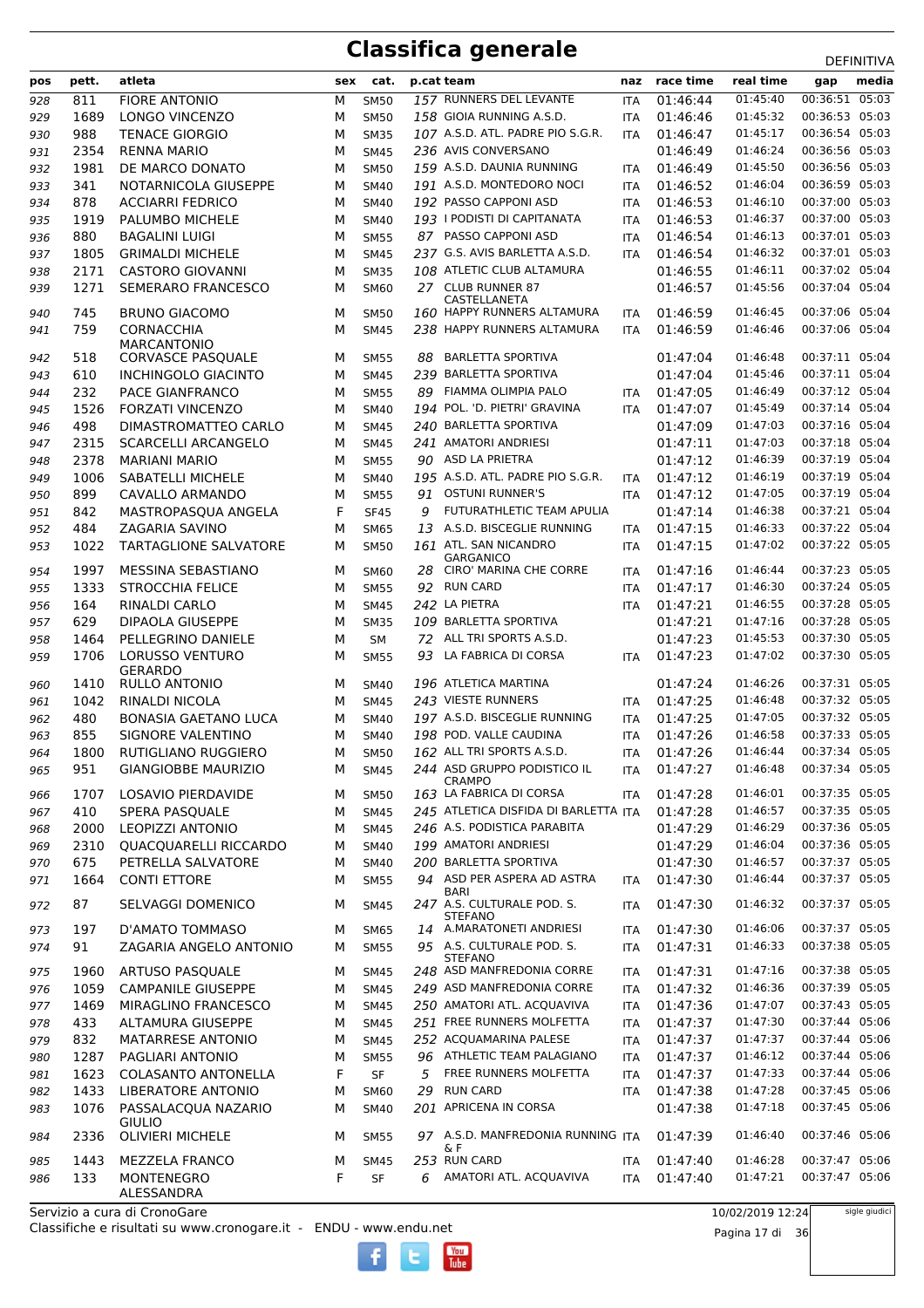|     | pett.        | atleta                                             | sex    | cat.                       |    | p.cat team                                             | naz                      | race time            | real time            | ᅛᄂᆝᄞᅁᄓᅜ<br>media                 |
|-----|--------------|----------------------------------------------------|--------|----------------------------|----|--------------------------------------------------------|--------------------------|----------------------|----------------------|----------------------------------|
| pos |              |                                                    |        |                            |    | 157 RUNNERS DEL LEVANTE                                |                          |                      | 01:45:40             | gap<br>00:36:51 05:03            |
| 928 | 811          | <b>FIORE ANTONIO</b><br><b>LONGO VINCENZO</b>      | м      | <b>SM50</b>                |    | 158 GIOIA RUNNING A.S.D.                               | <b>ITA</b>               | 01:46:44<br>01:46:46 | 01:45:32             | 00:36:53 05:03                   |
| 929 | 1689         |                                                    | М      | <b>SM50</b>                |    | 107 A.S.D. ATL. PADRE PIO S.G.R.                       | <b>ITA</b>               |                      | 01:45:17             | 00:36:54 05:03                   |
| 930 | 988          | <b>TENACE GIORGIO</b>                              | M      | <b>SM35</b>                |    | 236 AVIS CONVERSANO                                    | <b>ITA</b>               | 01:46:47             | 01:46:24             | 00:36:56 05:03                   |
| 931 | 2354         | <b>RENNA MARIO</b><br>DE MARCO DONATO              | M      | <b>SM45</b>                |    | 159 A.S.D. DAUNIA RUNNING                              |                          | 01:46:49<br>01:46:49 | 01:45:50             | 00:36:56 05:03                   |
| 932 | 1981         |                                                    | M      | <b>SM50</b>                |    | 191 A.S.D. MONTEDORO NOCI                              | <b>ITA</b>               |                      | 01:46:04             | 00:36:59 05:03                   |
| 933 | 341<br>878   | NOTARNICOLA GIUSEPPE                               | M      | <b>SM40</b>                |    | 192 PASSO CAPPONI ASD                                  | <b>ITA</b>               | 01:46:52             | 01:46:10             | 00:37:00 05:03                   |
| 934 | 1919         | <b>ACCIARRI FEDRICO</b><br>PALUMBO MICHELE         | M<br>M | <b>SM40</b><br><b>SM40</b> |    | 193   PODISTI DI CAPITANATA                            | <b>ITA</b><br><b>ITA</b> | 01:46:53<br>01:46:53 | 01:46:37             | 00:37:00 05:03                   |
| 935 | 880          |                                                    |        |                            |    | 87 PASSO CAPPONI ASD                                   |                          | 01:46:54             | 01:46:13             | 00:37:01 05:03                   |
| 936 |              | BAGALINI LUIGI                                     | M<br>M | <b>SM55</b><br><b>SM45</b> |    | 237 G.S. AVIS BARLETTA A.S.D.                          | <b>ITA</b>               | 01:46:54             | 01:46:32             | 00:37:01 05:03                   |
| 937 | 1805<br>2171 | <b>GRIMALDI MICHELE</b><br><b>CASTORO GIOVANNI</b> | M      | <b>SM35</b>                |    | 108 ATLETIC CLUB ALTAMURA                              | <b>ITA</b>               | 01:46:55             | 01:46:11             | 00:37:02 05:04                   |
| 938 |              | SEMERARO FRANCESCO                                 |        |                            |    | 27 CLUB RUNNER 87                                      |                          | 01:46:57             | 01:45:56             | 00:37:04 05:04                   |
| 939 | 1271         |                                                    | M      | <b>SM60</b>                |    | CASTELLANETA                                           |                          |                      |                      |                                  |
| 940 | 745          | <b>BRUNO GIACOMO</b>                               | M      | <b>SM50</b>                |    | 160 HAPPY RUNNERS ALTAMURA                             | ITA                      | 01:46:59             | 01:46:45             | 00:37:06 05:04                   |
| 941 | 759          | <b>CORNACCHIA</b>                                  | M      | <b>SM45</b>                |    | 238 HAPPY RUNNERS ALTAMURA                             | <b>ITA</b>               | 01:46:59             | 01:46:46             | 00:37:06 05:04                   |
|     |              | <b>MARCANTONIO</b>                                 |        |                            |    | <b>BARLETTA SPORTIVA</b>                               |                          |                      | 01:46:48             | 00:37:11 05:04                   |
| 942 | 518          | <b>CORVASCE PASQUALE</b>                           | М      | <b>SM55</b>                | 88 | 239 BARLETTA SPORTIVA                                  |                          | 01:47:04             | 01:45:46             | 00:37:11 05:04                   |
| 943 | 610          | <b>INCHINGOLO GIACINTO</b>                         | M      | <b>SM45</b>                |    | FIAMMA OLIMPIA PALO                                    |                          | 01:47:04             | 01:46:49             |                                  |
| 944 | 232          | PACE GIANFRANCO                                    | M      | <b>SM55</b>                | 89 | 194 POL. 'D. PIETRI' GRAVINA                           | <b>ITA</b>               | 01:47:05             | 01:45:49             | 00:37:12 05:04<br>00:37:14 05:04 |
| 945 | 1526         | <b>FORZATI VINCENZO</b><br>DIMASTROMATTEO CARLO    | M      | <b>SM40</b>                |    | 240 BARLETTA SPORTIVA                                  | <b>ITA</b>               | 01:47:07             |                      | 00:37:16 05:04                   |
| 946 | 498          |                                                    | м      | <b>SM45</b>                |    | 241 AMATORI ANDRIESI                                   |                          | 01:47:09             | 01:47:03<br>01:47:03 | 00:37:18 05:04                   |
| 947 | 2315         | <b>SCARCELLI ARCANGELO</b>                         | M      | <b>SM45</b>                |    | 90 ASD LA PRIETRA                                      |                          | 01:47:11             | 01:46:39             |                                  |
| 948 | 2378         | <b>MARIANI MARIO</b>                               | M      | <b>SM55</b>                |    | 195 A.S.D. ATL. PADRE PIO S.G.R.                       |                          | 01:47:12             |                      | 00:37:19 05:04                   |
| 949 | 1006         | <b>SABATELLI MICHELE</b>                           | M      | <b>SM40</b>                |    | <b>OSTUNI RUNNER'S</b>                                 | <b>ITA</b>               | 01:47:12             | 01:46:19<br>01:47:05 | 00:37:19 05:04                   |
| 950 | 899          | CAVALLO ARMANDO                                    | M      | <b>SM55</b>                | 91 | FUTURATHLETIC TEAM APULIA                              | <b>ITA</b>               | 01:47:12             |                      | 00:37:19 05:04<br>00:37:21 05:04 |
| 951 | 842          | MASTROPASQUA ANGELA                                | F      | <b>SF45</b>                | 9  |                                                        |                          | 01:47:14             | 01:46:38             | 00:37:22 05:04                   |
| 952 | 484          | ZAGARIA SAVINO                                     | M      | <b>SM65</b>                |    | 13 A.S.D. BISCEGLIE RUNNING                            | <b>ITA</b>               | 01:47:15             | 01:46:33             |                                  |
| 953 | 1022         | <b>TARTAGLIONE SALVATORE</b>                       | M      | <b>SM50</b>                |    | 161 ATL. SAN NICANDRO<br><b>GARGANICO</b>              | <b>ITA</b>               | 01:47:15             | 01:47:02             | 00:37:22 05:05                   |
| 954 | 1997         | MESSINA SEBASTIANO                                 | м      | <b>SM60</b>                | 28 | CIRO' MARINA CHE CORRE                                 | <b>ITA</b>               | 01:47:16             | 01:46:44             | 00:37:23 05:05                   |
| 955 | 1333         | <b>STROCCHIA FELICE</b>                            | M      | <b>SM55</b>                | 92 | <b>RUN CARD</b>                                        | <b>ITA</b>               | 01:47:17             | 01:46:30             | 00:37:24 05:05                   |
| 956 | 164          | RINALDI CARLO                                      | M      | <b>SM45</b>                |    | 242 LA PIETRA                                          | <b>ITA</b>               | 01:47:21             | 01:46:55             | 00:37:28 05:05                   |
| 957 | 629          | <b>DIPAOLA GIUSEPPE</b>                            | M      | <b>SM35</b>                |    | 109 BARLETTA SPORTIVA                                  |                          | 01:47:21             | 01:47:16             | 00:37:28 05:05                   |
| 958 | 1464         | PELLEGRINO DANIELE                                 | M      | <b>SM</b>                  | 72 | ALL TRI SPORTS A.S.D.                                  |                          | 01:47:23             | 01:45:53             | 00:37:30 05:05                   |
| 959 | 1706         | <b>LORUSSO VENTURO</b>                             | M      | <b>SM55</b>                | 93 | LA FABRICA DI CORSA                                    | <b>ITA</b>               | 01:47:23             | 01:47:02             | 00:37:30 05:05                   |
|     |              | GERARDO                                            |        |                            |    |                                                        |                          |                      | 01:46:26             |                                  |
| 960 | 1410         | <b>RULLO ANTONIO</b>                               | м      | <b>SM40</b>                |    | 196 ATLETICA MARTINA                                   |                          | 01:47:24             |                      | 00:37:31 05:05<br>00:37:32 05:05 |
| 961 | 1042         | RINALDI NICOLA                                     | M      | <b>SM45</b>                |    | 243 VIESTE RUNNERS                                     | <b>ITA</b>               | 01:47:25             | 01:46:48<br>01:47:05 | 00:37:32 05:05                   |
| 962 | 480          | <b>BONASIA GAETANO LUCA</b>                        | M      | <b>SM40</b>                |    | 197 A.S.D. BISCEGLIE RUNNING<br>198 POD. VALLE CAUDINA | <b>ITA</b>               | 01:47:25<br>01:47:26 | 01:46:58             | 00:37:33 05:05                   |
| 963 | 855<br>1800  | SIGNORE VALENTINO<br>RUTIGLIANO RUGGIERO           | M<br>м | <b>SM40</b><br><b>SM50</b> |    | $162\,$ ALL TRI SPORTS A.S.D.                          | <b>ITA</b>               | 01:47:26             | 01:46:44             | 00:37:34 05:05                   |
| 964 | 951          |                                                    |        |                            |    | 244 ASD GRUPPO PODISTICO IL                            | <b>ITA</b>               |                      | 01:46:48             | 00:37:34 05:05                   |
| 965 |              | <b>GIANGIOBBE MAURIZIO</b>                         | м      | <b>SM45</b>                |    | <b>CRAMPO</b>                                          | ITA                      | 01:47:27             |                      |                                  |
| 966 | 1707         | LOSAVIO PIERDAVIDE                                 | м      | <b>SM50</b>                |    | 163 LA FABRICA DI CORSA                                | ITA                      | 01:47:28             | 01:46:01             | 00:37:35 05:05                   |
| 967 | 410          | SPERA PASQUALE                                     | M      | <b>SM45</b>                |    | 245 ATLETICA DISFIDA DI BARLETTA ITA                   |                          | 01:47:28             | 01:46:57             | 00:37:35 05:05                   |
| 968 | 2000         | <b>LEOPIZZI ANTONIO</b>                            | М      | <b>SM45</b>                |    | 246 A.S. PODISTICA PARABITA                            |                          | 01:47:29             | 01:46:29             | 00:37:36 05:05                   |
| 969 | 2310         | QUACQUARELLI RICCARDO                              | М      | <b>SM40</b>                |    | 199 AMATORI ANDRIESI                                   |                          | 01:47:29             | 01:46:04             | 00:37:36 05:05                   |
| 970 | 675          | PETRELLA SALVATORE                                 | М      | <b>SM40</b>                |    | 200 BARLETTA SPORTIVA                                  |                          | 01:47:30             | 01:46:57             | 00:37:37 05:05                   |
| 971 | 1664         | <b>CONTI ETTORE</b>                                | м      | <b>SM55</b>                |    | 94 ASD PER ASPERA AD ASTRA                             | <b>ITA</b>               | 01:47:30             | 01:46:44             | 00:37:37 05:05                   |
| 972 | 87           | SELVAGGI DOMENICO                                  | м      | <b>SM45</b>                |    | BARI<br>247 A.S. CULTURALE POD. S.                     | ITA                      | 01:47:30             | 01:46:32             | 00:37:37 05:05                   |
|     |              |                                                    |        |                            |    | <b>STEFANO</b>                                         |                          |                      |                      |                                  |
| 973 | 197          | D'AMATO TOMMASO                                    | м      | <b>SM65</b>                |    | 14 A.MARATONETI ANDRIESI                               | ITA                      | 01:47:30             | 01:46:06             | 00:37:37 05:05                   |
| 974 | 91           | ZAGARIA ANGELO ANTONIO                             | м      | <b>SM55</b>                |    | 95 A.S. CULTURALE POD. S.<br><b>STEFANO</b>            | <b>ITA</b>               | 01:47:31             | 01:46:33             | 00:37:38 05:05                   |
| 975 | 1960         | ARTUSO PASQUALE                                    | м      | <b>SM45</b>                |    | 248 ASD MANFREDONIA CORRE                              | ITA                      | 01:47:31             | 01:47:16             | 00:37:38 05:05                   |
| 976 | 1059         | <b>CAMPANILE GIUSEPPE</b>                          | М      | <b>SM45</b>                |    | 249 ASD MANFREDONIA CORRE                              | ITA                      | 01:47:32             | 01:46:36             | 00:37:39 05:05                   |
| 977 | 1469         | MIRAGLINO FRANCESCO                                | М      | <b>SM45</b>                |    | 250 AMATORI ATL. ACQUAVIVA                             | ITA                      | 01:47:36             | 01:47:07             | 00:37:43 05:05                   |
| 978 | 433          | ALTAMURA GIUSEPPE                                  | М      | <b>SM45</b>                |    | 251 FREE RUNNERS MOLFETTA                              | <b>ITA</b>               | 01:47:37             | 01:47:30             | 00:37:44 05:06                   |
| 979 | 832          | MATARRESE ANTONIO                                  | М      | <b>SM45</b>                |    | 252 ACQUAMARINA PALESE                                 | <b>ITA</b>               | 01:47:37             | 01:47:37             | 00:37:44 05:06                   |
| 980 | 1287         | PAGLIARI ANTONIO                                   | M      | <b>SM55</b>                |    | 96 ATHLETIC TEAM PALAGIANO                             | <b>ITA</b>               | 01:47:37             | 01:46:12             | 00:37:44 05:06                   |
| 981 | 1623         | COLASANTO ANTONELLA                                | F      | SF                         | 5  | FREE RUNNERS MOLFETTA                                  | <b>ITA</b>               | 01:47:37             | 01:47:33             | 00:37:44 05:06                   |
| 982 | 1433         | LIBERATORE ANTONIO                                 | M      | <b>SM60</b>                | 29 | <b>RUN CARD</b>                                        | ITA                      | 01:47:38             | 01:47:28             | 00:37:45 05:06                   |
| 983 | 1076         | PASSALACQUA NAZARIO                                | м      | <b>SM40</b>                |    | 201 APRICENA IN CORSA                                  |                          | 01:47:38             | 01:47:18             | 00:37:45 05:06                   |
|     |              | <b>GIULIO</b>                                      |        |                            |    |                                                        |                          |                      |                      |                                  |
| 984 | 2336         | <b>OLIVIERI MICHELE</b>                            | м      | <b>SM55</b>                |    | 97 A.S.D. MANFREDONIA RUNNING ITA<br>& F               |                          | 01:47:39             | 01:46:40             | 00:37:46 05:06                   |
| 985 | 1443         | MEZZELA FRANCO                                     | М      | <b>SM45</b>                |    | 253 RUN CARD                                           | ITA                      | 01:47:40             | 01:46:28             | 00:37:47 05:06                   |
| 986 | 133          | MONTENEGRO<br>ALESSANDRA                           | F      | SF                         |    | 6 AMATORI ATL. ACQUAVIVA                               | ITA                      | 01:47:40             | 01:47:21             | 00:37:47 05:06                   |

 $\begin{bmatrix}\n\frac{\text{Vou}}{\text{Iube}}\n\end{bmatrix}$ 

Classifiche e risultati su www.cronogare.it - ENDU - www.endu.net Servizio a cura di CronoGare

10/02/2019 12:24

Pagina 17 di 36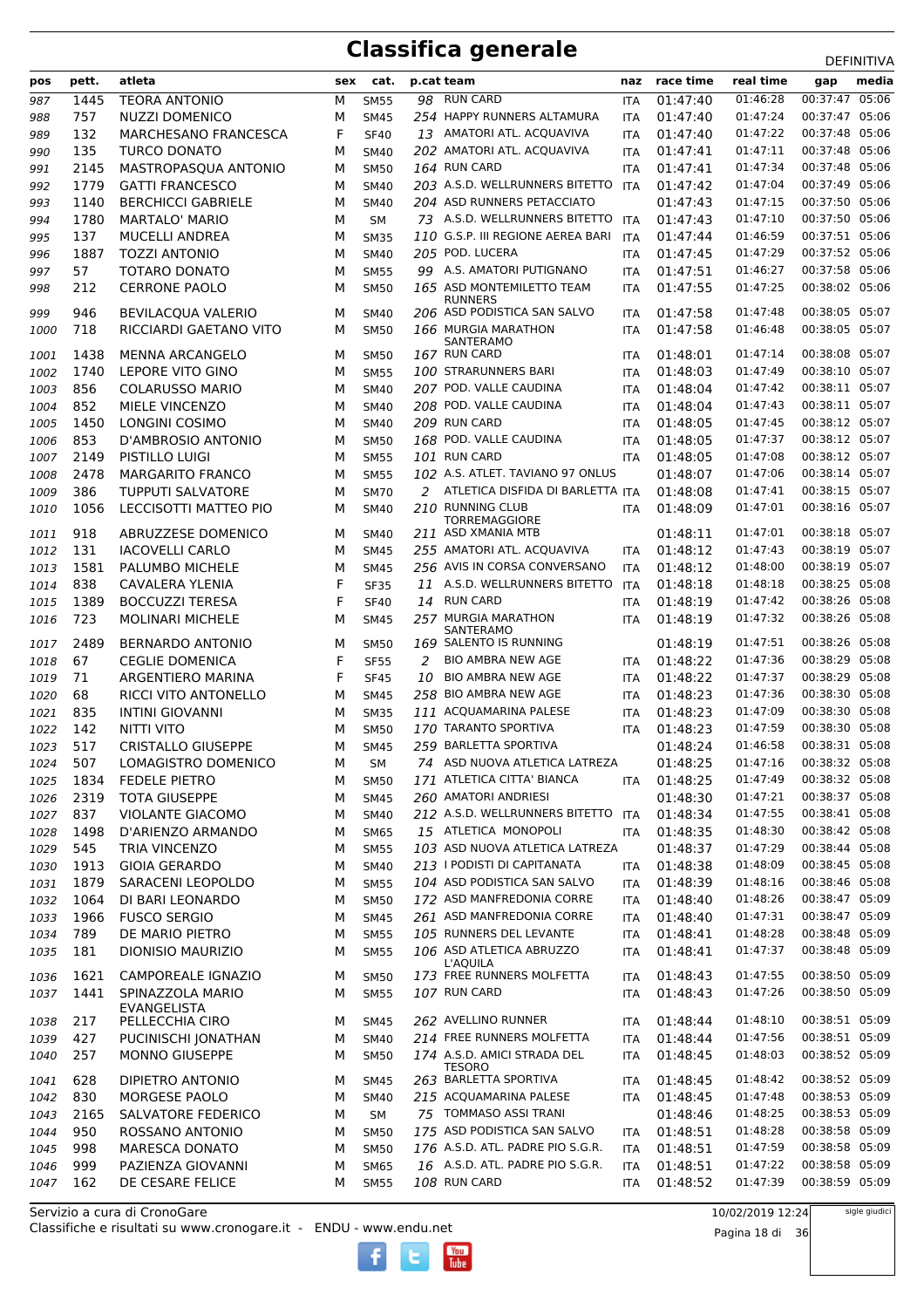| pos          | pett.        | atleta                                             | sex    | cat.                       |    | p.cat team                                                      | naz               | race time            | real time            | media<br>gap                     |
|--------------|--------------|----------------------------------------------------|--------|----------------------------|----|-----------------------------------------------------------------|-------------------|----------------------|----------------------|----------------------------------|
| 987          | 1445         | <b>TEORA ANTONIO</b>                               | м      | <b>SM55</b>                |    | 98 RUN CARD                                                     | <b>ITA</b>        | 01:47:40             | 01:46:28             | 00:37:47 05:06                   |
| 988          | 757          | <b>NUZZI DOMENICO</b>                              | М      | <b>SM45</b>                |    | 254 HAPPY RUNNERS ALTAMURA                                      | <b>ITA</b>        | 01:47:40             | 01:47:24             | 00:37:47 05:06                   |
| 989          | 132          | MARCHESANO FRANCESCA                               | F      | <b>SF40</b>                |    | 13 AMATORI ATL. ACQUAVIVA                                       | ITA               | 01:47:40             | 01:47:22             | 00:37:48 05:06                   |
| 990          | 135          | <b>TURCO DONATO</b>                                | M      | <b>SM40</b>                |    | 202 AMATORI ATL. ACQUAVIVA                                      | <b>ITA</b>        | 01:47:41             | 01:47:11             | 00:37:48 05:06                   |
| 991          | 2145         | MASTROPASQUA ANTONIO                               | М      | <b>SM50</b>                |    | 164 RUN CARD                                                    | ITA               | 01:47:41             | 01:47:34             | 00:37:48 05:06                   |
| 992          | 1779         | <b>GATTI FRANCESCO</b>                             | м      | <b>SM40</b>                |    | 203 A.S.D. WELLRUNNERS BITETTO<br>204 ASD RUNNERS PETACCIATO    | ITA               | 01:47:42             | 01:47:04             | 00:37:49 05:06<br>00:37:50 05:06 |
| 993<br>994   | 1140<br>1780 | <b>BERCHICCI GABRIELE</b><br><b>MARTALO' MARIO</b> | M<br>М | <b>SM40</b><br><b>SM</b>   |    | 73 A.S.D. WELLRUNNERS BITETTO                                   | <b>ITA</b>        | 01:47:43<br>01:47:43 | 01:47:15<br>01:47:10 | 00:37:50 05:06                   |
| 995          | 137          | <b>MUCELLI ANDREA</b>                              | М      | <b>SM35</b>                |    | 110 G.S.P. III REGIONE AEREA BARI                               | <b>ITA</b>        | 01:47:44             | 01:46:59             | 00:37:51 05:06                   |
| 996          | 1887         | <b>TOZZI ANTONIO</b>                               | M      | <b>SM40</b>                |    | 205 POD. LUCERA                                                 | <b>ITA</b>        | 01:47:45             | 01:47:29             | 00:37:52 05:06                   |
| 997          | 57           | <b>TOTARO DONATO</b>                               | M      | <b>SM55</b>                |    | 99 A.S. AMATORI PUTIGNANO                                       | ITA               | 01:47:51             | 01:46:27             | 00:37:58 05:06                   |
| 998          | 212          | <b>CERRONE PAOLO</b>                               | м      | <b>SM50</b>                |    | 165 ASD MONTEMILETTO TEAM                                       | ITA               | 01:47:55             | 01:47:25             | 00:38:02 05:06                   |
|              |              |                                                    |        |                            |    | <b>RUNNERS</b>                                                  |                   |                      |                      |                                  |
| 999          | 946          | BEVILACQUA VALERIO                                 | м      | <b>SM40</b>                |    | 206 ASD PODISTICA SAN SALVO<br>166 MURGIA MARATHON              | <b>ITA</b>        | 01:47:58             | 01:47:48<br>01:46:48 | 00:38:05 05:07<br>00:38:05 05:07 |
| 1000         | 718          | RICCIARDI GAETANO VITO                             | м      | <b>SM50</b>                |    | SANTERAMO                                                       | <b>ITA</b>        | 01:47:58             |                      |                                  |
| 1001         | 1438         | <b>MENNA ARCANGELO</b>                             | м      | <b>SM50</b>                |    | 167 RUN CARD                                                    | ITA               | 01:48:01             | 01:47:14             | 00:38:08 05:07                   |
| 1002         | 1740         | LEPORE VITO GINO                                   | м      | <b>SM55</b>                |    | 100 STRARUNNERS BARI                                            | <b>ITA</b>        | 01:48:03             | 01:47:49             | 00:38:10 05:07                   |
| 1003         | 856          | <b>COLARUSSO MARIO</b>                             | M      | <b>SM40</b>                |    | 207 POD. VALLE CAUDINA                                          | <b>ITA</b>        | 01:48:04             | 01:47:42             | 00:38:11 05:07                   |
| 1004         | 852          | MIELE VINCENZO                                     | М      | <b>SM40</b>                |    | 208 POD. VALLE CAUDINA                                          | <b>ITA</b>        | 01:48:04             | 01:47:43             | 00:38:11 05:07                   |
| 1005         | 1450         | LONGINI COSIMO                                     | М      | <b>SM40</b>                |    | 209 RUN CARD                                                    | ITA               | 01:48:05             | 01:47:45             | 00:38:12 05:07                   |
| 1006         | 853          | D'AMBROSIO ANTONIO                                 | M      | <b>SM50</b>                |    | 168 POD. VALLE CAUDINA                                          | <b>ITA</b>        | 01:48:05             | 01:47:37             | 00:38:12 05:07                   |
| 1007         | 2149         | PISTILLO LUIGI                                     | М      | <b>SM55</b>                |    | 101 RUN CARD<br>102 A.S. ATLET. TAVIANO 97 ONLUS                | <b>ITA</b>        | 01:48:05             | 01:47:08<br>01:47:06 | 00:38:12 05:07<br>00:38:14 05:07 |
| 1008<br>1009 | 2478<br>386  | <b>MARGARITO FRANCO</b><br>TUPPUTI SALVATORE       | м<br>M | <b>SM55</b><br><b>SM70</b> | 2  | ATLETICA DISFIDA DI BARLETTA ITA                                |                   | 01:48:07<br>01:48:08 | 01:47:41             | 00:38:15 05:07                   |
| 1010         | 1056         | LECCISOTTI MATTEO PIO                              | м      | <b>SM40</b>                |    | 210 RUNNING CLUB                                                | <b>ITA</b>        | 01:48:09             | 01:47:01             | 00:38:16 05:07                   |
|              |              |                                                    |        |                            |    | <b>TORREMAGGIORE</b>                                            |                   |                      |                      |                                  |
| 1011         | 918          | ABRUZZESE DOMENICO                                 | м      | <b>SM40</b>                |    | 211 ASD XMANIA MTB                                              |                   | 01:48:11             | 01:47:01             | 00:38:18 05:07                   |
| 1012         | 131          | <b>IACOVELLI CARLO</b>                             | М      | <b>SM45</b>                |    | 255 AMATORI ATL. ACQUAVIVA                                      | <b>ITA</b>        | 01:48:12             | 01:47:43             | 00:38:19 05:07                   |
| 1013         | 1581         | PALUMBO MICHELE                                    | м      | <b>SM45</b>                |    | 256 AVIS IN CORSA CONVERSANO                                    | <b>ITA</b>        | 01:48:12             | 01:48:00             | 00:38:19 05:07                   |
| 1014         | 838<br>1389  | CAVALERA YLENIA<br><b>BOCCUZZI TERESA</b>          | F<br>F | <b>SF35</b>                |    | 11 A.S.D. WELLRUNNERS BITETTO<br><b>RUN CARD</b>                | <b>ITA</b>        | 01:48:18             | 01:48:18<br>01:47:42 | 00:38:25 05:08<br>00:38:26 05:08 |
| 1015<br>1016 | 723          | <b>MOLINARI MICHELE</b>                            | м      | <b>SF40</b><br><b>SM45</b> | 14 | 257 MURGIA MARATHON                                             | ITA<br><b>ITA</b> | 01:48:19<br>01:48:19 | 01:47:32             | 00:38:26 05:08                   |
|              |              |                                                    |        |                            |    | SANTERAMO                                                       |                   |                      |                      |                                  |
| 1017         | 2489         | <b>BERNARDO ANTONIO</b>                            | м      | SM50                       |    | 169 SALENTO IS RUNNING                                          |                   | 01:48:19             | 01:47:51             | 00:38:26 05:08                   |
| 1018         | 67           | <b>CEGLIE DOMENICA</b>                             | F      | <b>SF55</b>                | 2  | <b>BIO AMBRA NEW AGE</b>                                        | <b>ITA</b>        | 01:48:22             | 01:47:36             | 00:38:29 05:08                   |
| 1019         | 71           | ARGENTIERO MARINA                                  | F      | <b>SF45</b>                | 10 | <b>BIO AMBRA NEW AGE</b>                                        | <b>ITA</b>        | 01:48:22             | 01:47:37             | 00:38:29 05:08                   |
| 1020         | 68           | RICCI VITO ANTONELLO                               | М      | <b>SM45</b>                |    | 258 BIO AMBRA NEW AGE<br>111 ACQUAMARINA PALESE                 | ITA               | 01:48:23             | 01:47:36<br>01:47:09 | 00:38:30 05:08<br>00:38:30 05:08 |
| 1021<br>1022 | 835<br>142   | <b>INTINI GIOVANNI</b><br><b>NITTI VITO</b>        | М<br>м | <b>SM35</b><br><b>SM50</b> |    | 170 TARANTO SPORTIVA                                            | ITA<br><b>ITA</b> | 01:48:23<br>01:48:23 | 01:47:59             | 00:38:30 05:08                   |
| 1023         | 517          | <b>CRISTALLO GIUSEPPE</b>                          | м      | <b>SM45</b>                |    | 259 BARLETTA SPORTIVA                                           |                   | 01:48:24             | 01:46:58             | 00:38:31 05:08                   |
| 1024         | 507          | LOMAGISTRO DOMENICO                                | м      | <b>SM</b>                  |    | 74 ASD NUOVA ATLETICA LATREZA                                   |                   | 01:48:25             | 01:47:16             | 00:38:32 05:08                   |
| 1025         | 1834         | <b>FEDELE PIETRO</b>                               | м      | <b>SM50</b>                |    | 171 ATLETICA CITTA' BIANCA                                      | <b>ITA</b>        | 01:48:25             | 01:47:49             | 00:38:32 05:08                   |
| 1026         | 2319         | <b>TOTA GIUSEPPE</b>                               | М      | <b>SM45</b>                |    | 260 AMATORI ANDRIESI                                            |                   | 01:48:30             | 01:47:21             | 00:38:37 05:08                   |
| 1027         | 837          | <b>VIOLANTE GIACOMO</b>                            | М      | <b>SM40</b>                |    | 212 A.S.D. WELLRUNNERS BITETTO                                  | <b>ITA</b>        | 01:48:34             | 01:47:55             | 00:38:41 05:08                   |
| 1028         | 1498         | D'ARIENZO ARMANDO                                  | М      | <b>SM65</b>                |    | 15 ATLETICA MONOPOLI                                            | <b>ITA</b>        | 01:48:35             | 01:48:30             | 00:38:42 05:08                   |
| 1029         | 545          | TRIA VINCENZO                                      | М      | <b>SM55</b>                |    | 103 ASD NUOVA ATLETICA LATREZA                                  |                   | 01:48:37             | 01:47:29             | 00:38:44 05:08                   |
| 1030         | 1913         | <b>GIOIA GERARDO</b>                               | М      | <b>SM40</b>                |    | 213   PODISTI DI CAPITANATA                                     | <b>ITA</b>        | 01:48:38             | 01:48:09             | 00:38:45 05:08                   |
| 1031         | 1879         | SARACENI LEOPOLDO                                  | М      | <b>SM55</b>                |    | 104 ASD PODISTICA SAN SALVO                                     | ITA               | 01:48:39             | 01:48:16             | 00:38:46 05:08                   |
| 1032         | 1064         | DI BARI LEONARDO                                   | М      | <b>SM50</b>                |    | 172 ASD MANFREDONIA CORRE                                       | ITA               | 01:48:40             | 01:48:26             | 00:38:47 05:09                   |
| 1033         | 1966         | <b>FUSCO SERGIO</b>                                | М      | <b>SM45</b>                |    | 261 ASD MANFREDONIA CORRE                                       | ITA               | 01:48:40             | 01:47:31             | 00:38:47 05:09                   |
| 1034         | 789          | DE MARIO PIETRO                                    | М      | <b>SM55</b>                |    | 105 RUNNERS DEL LEVANTE                                         | ITA               | 01:48:41             | 01:48:28             | 00:38:48 05:09                   |
| 1035         | 181          | <b>DIONISIO MAURIZIO</b>                           | М      | <b>SM55</b>                |    | 106 ASD ATLETICA ABRUZZO<br>L'AQUILA                            | ITA               | 01:48:41             | 01:47:37             | 00:38:48 05:09                   |
| 1036         | 1621         | CAMPOREALE IGNAZIO                                 | м      | <b>SM50</b>                |    | 173 FREE RUNNERS MOLFETTA                                       | ITA               | 01:48:43             | 01:47:55             | 00:38:50 05:09                   |
| 1037         | 1441         | SPINAZZOLA MARIO                                   | М      | <b>SM55</b>                |    | 107 RUN CARD                                                    | ITA               | 01:48:43             | 01:47:26             | 00:38:50 05:09                   |
|              | 217          | EVANGELISTA                                        |        | <b>SM45</b>                |    | 262 AVELLINO RUNNER                                             |                   | 01:48:44             | 01:48:10             | 00:38:51 05:09                   |
| 1038<br>1039 | 427          | PELLECCHIA CIRO<br>PUCINISCHI JONATHAN             | M<br>М | SM40                       |    | 214 FREE RUNNERS MOLFETTA                                       | ITA<br>ITA        | 01:48:44             | 01:47:56             | 00:38:51 05:09                   |
| 1040         | 257          | <b>MONNO GIUSEPPE</b>                              | М      | <b>SM50</b>                |    | 174 A.S.D. AMICI STRADA DEL                                     | ITA               | 01:48:45             | 01:48:03             | 00:38:52 05:09                   |
|              |              |                                                    |        |                            |    | TESORO                                                          |                   |                      |                      |                                  |
| 1041         | 628          | DIPIETRO ANTONIO                                   | М      | <b>SM45</b>                |    | 263 BARLETTA SPORTIVA                                           | ITA               | 01:48:45             | 01:48:42             | 00:38:52 05:09                   |
| 1042         | 830          | MORGESE PAOLO                                      | М      | SM40                       |    | 215 ACQUAMARINA PALESE                                          | <b>ITA</b>        | 01:48:45             | 01:47:48             | 00:38:53 05:09                   |
| 1043         | 2165         | SALVATORE FEDERICO                                 | М      | SM                         |    | 75 TOMMASO ASSI TRANI                                           |                   | 01:48:46             | 01:48:25             | 00:38:53 05:09<br>00:38:58 05:09 |
| 1044<br>1045 | 950<br>998   | ROSSANO ANTONIO<br><b>MARESCA DONATO</b>           | М<br>М | <b>SM50</b><br><b>SM50</b> |    | 175 ASD PODISTICA SAN SALVO<br>176 A.S.D. ATL. PADRE PIO S.G.R. | <b>ITA</b>        | 01:48:51<br>01:48:51 | 01:48:28<br>01:47:59 | 00:38:58 05:09                   |
| 1046         | 999          | PAZIENZA GIOVANNI                                  | М      | <b>SM65</b>                |    | 16 A.S.D. ATL. PADRE PIO S.G.R.                                 | <b>ITA</b><br>ITA | 01:48:51             | 01:47:22             | 00:38:58 05:09                   |
| 1047         | 162          | DE CESARE FELICE                                   | м      | SM55                       |    | 108 RUN CARD                                                    | ITA               | 01:48:52             | 01:47:39             | 00:38:59 05:09                   |
|              |              |                                                    |        |                            |    |                                                                 |                   |                      |                      |                                  |

Classifiche e risultati su www.cronogare.it - ENDU - www.endu.net Servizio a cura di CronoGare

10/02/2019 12:24

sigle giudici

 $\begin{bmatrix}\n\frac{\text{Vou}}{\text{Iube}}\n\end{bmatrix}$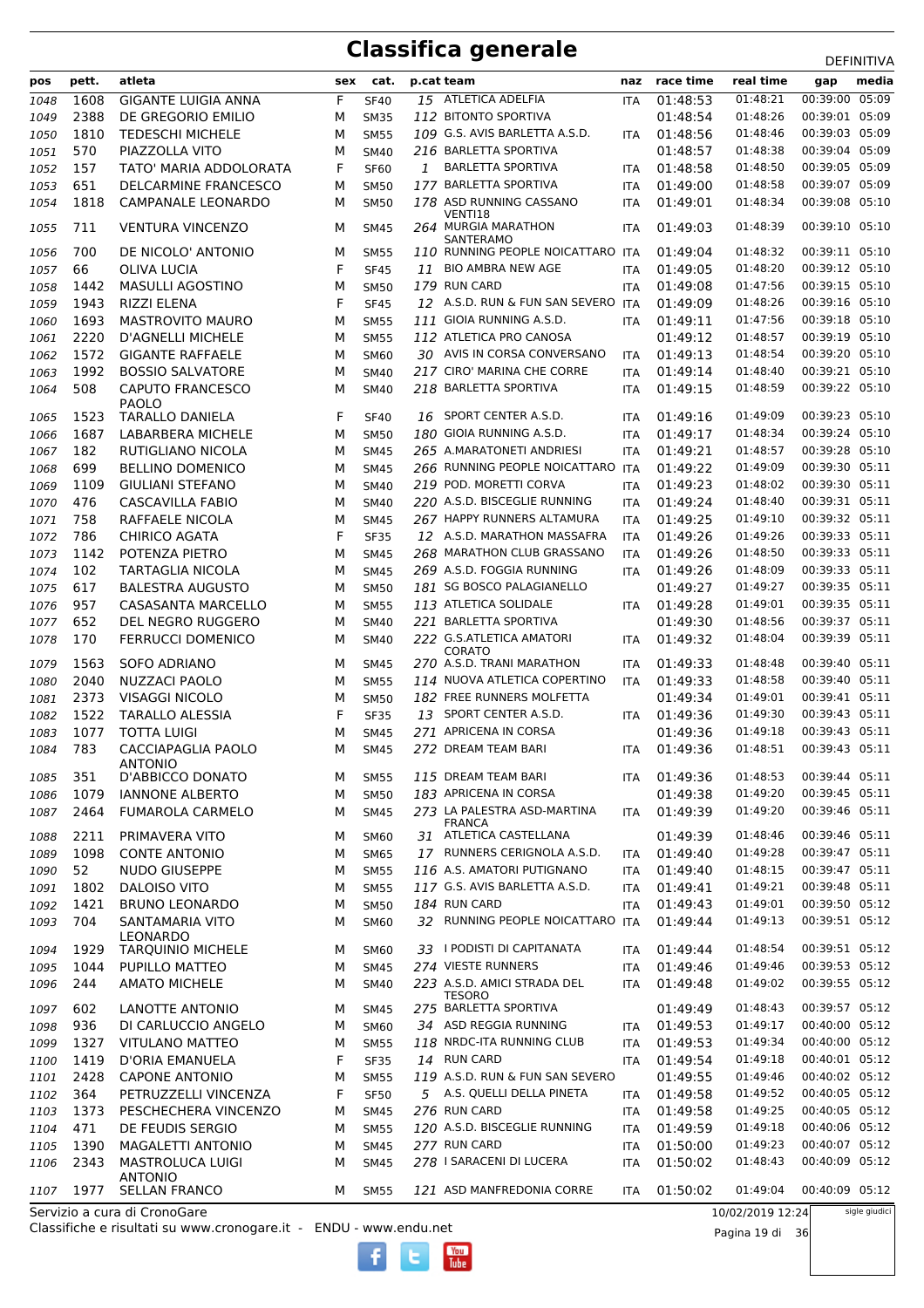| 01:48:21<br>00:39:00 05:09<br>F<br>15 ATLETICA ADELFIA<br>01:48:53<br>1608<br><b>GIGANTE LUIGIA ANNA</b><br><b>SF40</b><br>1048<br><b>ITA</b><br>2388<br>DE GREGORIO EMILIO<br>112 BITONTO SPORTIVA<br>01:48:54<br>01:48:26<br>00:39:01 05:09<br>1049<br>М<br><b>SM35</b><br>109 G.S. AVIS BARLETTA A.S.D.<br>01:48:46<br>00:39:03 05:09<br>1810<br>01:48:56<br><b>TEDESCHI MICHELE</b><br>1050<br>М<br><b>SM55</b><br><b>ITA</b><br>216 BARLETTA SPORTIVA<br>01:48:38<br>00:39:04 05:09<br>570<br>PIAZZOLLA VITO<br>01:48:57<br>1051<br>М<br><b>SM40</b><br>00:39:05 05:09<br>157<br>F<br>01:48:58<br>1052<br>TATO' MARIA ADDOLORATA<br><b>SF60</b><br>1<br><b>BARLETTA SPORTIVA</b><br>01:48:50<br><b>ITA</b><br>177 BARLETTA SPORTIVA<br>00:39:07 05:09<br>651<br>01:49:00<br>01:48:58<br>1053<br>DELCARMINE FRANCESCO<br>М<br><b>SM50</b><br>ITA<br>178 ASD RUNNING CASSANO<br>00:39:08 05:10<br>1818<br>01:48:34<br>CAMPANALE LEONARDO<br>01:49:01<br>1054<br>М<br><b>SM50</b><br>ITA<br>VENTI18<br>00:39:10 05:10<br>711<br><b>VENTURA VINCENZO</b><br>264 MURGIA MARATHON<br>01:48:39<br>01:49:03<br>1055<br>м<br><b>SM45</b><br><b>ITA</b><br>SANTERAMO<br>700<br>DE NICOLO' ANTONIO<br>110 RUNNING PEOPLE NOICATTARO ITA<br>01:49:04<br>01:48:32<br>00:39:11 05:10<br>1056<br>М<br><b>SM55</b><br>00:39:12 05:10<br>66<br>F<br><b>BIO AMBRA NEW AGE</b><br>01:49:05<br>01:48:20<br>OLIVA LUCIA<br>1057<br><b>SF45</b><br>11<br><b>ITA</b><br>00:39:15 05:10<br>179 RUN CARD<br>01:49:08<br>01:47:56<br>1442<br><b>MASULLI AGOSTINO</b><br>1058<br>М<br><b>SM50</b><br><b>ITA</b><br>F<br>01:49:09<br>00:39:16 05:10<br>1059<br>1943<br>RIZZI ELENA<br>12 A.S.D. RUN & FUN SAN SEVERO ITA<br>01:48:26<br><b>SF45</b><br>00:39:18 05:10<br>1693<br><b>MASTROVITO MAURO</b><br>111 GIOIA RUNNING A.S.D.<br>01:49:11<br>01:47:56<br>1060<br>М<br><b>SM55</b><br><b>ITA</b><br>00:39:19 05:10<br>2220<br>112 ATLETICA PRO CANOSA<br>01:49:12<br>01:48:57<br><b>D'AGNELLI MICHELE</b><br>1061<br>М<br><b>SM55</b><br>1572<br>30 AVIS IN CORSA CONVERSANO<br>01:49:13<br>00:39:20 05:10<br><b>GIGANTE RAFFAELE</b><br>01:48:54<br>1062<br>М<br>SM60<br><b>ITA</b><br>217 CIRO' MARINA CHE CORRE<br>00:39:21 05:10<br>1992<br><b>BOSSIO SALVATORE</b><br>01:49:14<br>01:48:40<br><b>SM40</b><br>1063<br>М<br><b>ITA</b><br>00:39:22 05:10<br>508<br>218 BARLETTA SPORTIVA<br><b>CAPUTO FRANCESCO</b><br>01:49:15<br>01:48:59<br>1064<br>М<br><b>SM40</b><br>ITA<br><b>PAOLO</b><br>F<br>16 SPORT CENTER A.S.D.<br>00:39:23 05:10<br>1523<br><b>TARALLO DANIELA</b><br>01:49:16<br>01:49:09<br>1065<br><b>SF40</b><br><b>ITA</b><br>00:39:24 05:10<br>1687<br>LABARBERA MICHELE<br>180 GIOIA RUNNING A.S.D.<br>01:49:17<br>01:48:34<br>М<br>1066<br><b>SM50</b><br><b>ITA</b><br>00:39:28 05:10<br>182<br>RUTIGLIANO NICOLA<br>265 A.MARATONETI ANDRIESI<br>01:49:21<br>01:48:57<br>1067<br>М<br><b>SM45</b><br><b>ITA</b><br>00:39:30 05:11<br>699<br><b>BELLINO DOMENICO</b><br>266 RUNNING PEOPLE NOICATTARO ITA<br>01:49:22<br>01:49:09<br>1068<br>М<br><b>SM45</b><br><b>GIULIANI STEFANO</b><br>219 POD. MORETTI CORVA<br>00:39:30 05:11<br>1109<br>01:49:23<br>01:48:02<br>1069<br>М<br><b>SM40</b><br><b>ITA</b><br>00:39:31 05:11<br>476<br><b>CASCAVILLA FABIO</b><br>220 A.S.D. BISCEGLIE RUNNING<br>01:49:24<br>01:48:40<br>1070<br>М<br><b>SM40</b><br><b>ITA</b><br>00:39:32 05:11<br>758<br>267 HAPPY RUNNERS ALTAMURA<br>01:49:25<br>01:49:10<br>RAFFAELE NICOLA<br>1071<br>М<br><b>SM45</b><br><b>ITA</b><br>786<br>F<br>00:39:33 05:11<br><b>CHIRICO AGATA</b><br>12 A.S.D. MARATHON MASSAFRA<br>01:49:26<br>01:49:26<br>1072<br><b>SF35</b><br><b>ITA</b><br>268 MARATHON CLUB GRASSANO<br>00:39:33 05:11<br>POTENZA PIETRO<br>01:49:26<br>01:48:50<br>1073<br>1142<br>М<br><b>SM45</b><br><b>ITA</b><br>00:39:33 05:11<br>102<br><b>TARTAGLIA NICOLA</b><br>269 A.S.D. FOGGIA RUNNING<br>01:49:26<br>1074<br>01:48:09<br>М<br><b>SM45</b><br>ITA<br>00:39:35 05:11<br>617<br>181 SG BOSCO PALAGIANELLO<br>01:49:27<br><b>BALESTRA AUGUSTO</b><br>01:49:27<br>1075<br>М<br><b>SM50</b><br>00:39:35 05:11<br>113 ATLETICA SOLIDALE<br>957<br>CASASANTA MARCELLO<br>01:49:28<br>01:49:01<br>1076<br>М<br><b>SM55</b><br><b>ITA</b><br>652<br>00:39:37 05:11<br>221 BARLETTA SPORTIVA<br>01:49:30<br>DEL NEGRO RUGGERO<br>01:48:56<br>1077<br>М<br><b>SM40</b><br>170<br>222 G.S.ATLETICA AMATORI<br>00:39:39 05:11<br><b>FERRUCCI DOMENICO</b><br>01:49:32<br>01:48:04<br>1078<br>М<br><b>SM40</b><br><b>ITA</b><br><b>CORATO</b><br>00:39:40 05:11<br>1563<br><b>SOFO ADRIANO</b><br>270 A.S.D. TRANI MARATHON<br>01:49:33<br>01:48:48<br>1079<br>М<br>SM45<br><b>ITA</b><br><b>NUZZACI PAOLO</b><br>00:39:40 05:11<br>2040<br>114 NUOVA ATLETICA COPERTINO<br>01:49:33<br>01:48:58<br>1080<br>М<br><b>SM55</b><br><b>ITA</b><br>00:39:41 05:11<br>2373<br><b>VISAGGI NICOLO</b><br>182 FREE RUNNERS MOLFETTA<br>01:49:34<br>01:49:01<br>1081<br>М<br><b>SM50</b><br>00:39:43 05:11<br>1522<br>F<br>SPORT CENTER A.S.D.<br><b>TARALLO ALESSIA</b><br><b>SF35</b><br>01:49:36<br>01:49:30<br>1082<br>13<br><b>ITA</b><br>00:39:43 05:11<br>1077<br><b>TOTTA LUIGI</b><br>271 APRICENA IN CORSA<br>01:49:36<br>01:49:18<br>1083<br>М<br><b>SM45</b><br>00:39:43 05:11<br>783<br>CACCIAPAGLIA PAOLO<br>272 DREAM TEAM BARI<br>01:49:36<br>01:48:51<br>1084<br><b>SM45</b><br>м<br><b>ITA</b><br><b>ANTONIO</b><br>00:39:44 05:11<br>115 DREAM TEAM BARI<br>01:48:53<br>351<br>D'ABBICCO DONATO<br>01:49:36<br>М<br><b>SM55</b><br>1085<br><b>ITA</b><br>00:39:45 05:11<br>1079<br><b>IANNONE ALBERTO</b><br><b>SM50</b><br>183 APRICENA IN CORSA<br>01:49:38<br>01:49:20<br>1086<br>М<br>00:39:46 05:11<br>273 LA PALESTRA ASD-MARTINA<br>01:49:39<br>01:49:20<br>2464<br><b>FUMAROLA CARMELO</b><br><b>SM45</b><br>1087<br>М<br><b>ITA</b><br><b>FRANCA</b><br>31 ATLETICA CASTELLANA<br>00:39:46 05:11<br>PRIMAVERA VITO<br>01:49:39<br>01:48:46<br>2211<br><b>SM60</b><br>1088<br>М<br>00:39:47 05:11<br>17 RUNNERS CERIGNOLA A.S.D.<br>01:49:40<br>01:49:28<br>1098<br><b>CONTE ANTONIO</b><br>1089<br>М<br><b>SM65</b><br>ITA<br>00:39:47 05:11<br>52<br>116 A.S. AMATORI PUTIGNANO<br>01:49:40<br>01:48:15<br><b>NUDO GIUSEPPE</b><br><b>SM55</b><br>1090<br>М<br><b>ITA</b><br>00:39:48 05:11<br>117 G.S. AVIS BARLETTA A.S.D.<br>1802<br>DALOISO VITO<br>01:49:41<br>01:49:21<br>1091<br>М<br><b>SM55</b><br>ITA<br>00:39:50 05:12<br>184 RUN CARD<br>01:49:43<br>01:49:01<br>1092<br>1421<br><b>BRUNO LEONARDO</b><br><b>SM50</b><br>М<br><b>ITA</b><br>00:39:51 05:12<br>32 RUNNING PEOPLE NOICATTARO ITA<br>704<br>01:49:44<br>01:49:13<br>SANTAMARIA VITO<br>SM60<br>1093<br>м<br>LEONARDO<br>00:39:51 05:12<br>33 I PODISTI DI CAPITANATA<br>01:48:54<br>01:49:44<br>1929<br><b>TARQUINIO MICHELE</b><br><b>SM60</b><br>1094<br>М<br><b>ITA</b><br>00:39:53 05:12<br>274 VIESTE RUNNERS<br>01:49:46<br>01:49:46<br>1095<br>1044<br>PUPILLO MATTEO<br>М<br><b>SM45</b><br>ITA<br>223 A.S.D. AMICI STRADA DEL<br>00:39:55 05:12<br>01:49:02<br>244<br><b>AMATO MICHELE</b><br>01:49:48<br>1096<br>М<br><b>SM40</b><br>ITA<br><b>TESORO</b><br>00:39:57 05:12<br>602<br>LANOTTE ANTONIO<br>275 BARLETTA SPORTIVA<br>01:49:49<br>01:48:43<br>М<br>1097<br><b>SM45</b><br>00:40:00 05:12<br>936<br>DI CARLUCCIO ANGELO<br>34 ASD REGGIA RUNNING<br>01:49:53<br>01:49:17<br>1098<br>М<br><b>SM60</b><br><b>ITA</b><br>00:40:00 05:12<br>118 NRDC-ITA RUNNING CLUB<br>01:49:53<br>1327<br><b>VITULANO MATTEO</b><br><b>SM55</b><br>01:49:34<br>1099<br>М<br>ITA<br>00:40:01 05:12<br>F<br>14 RUN CARD<br>01:49:18<br>1419<br>D'ORIA EMANUELA<br>01:49:54<br><b>SF35</b><br>1100<br><b>ITA</b><br>00:40:02 05:12<br><b>CAPONE ANTONIO</b><br>119 A.S.D. RUN & FUN SAN SEVERO<br>01:49:55<br>01:49:46<br>2428<br>1101<br>М<br><b>SM55</b><br>5 A.S. QUELLI DELLA PINETA<br>01:49:58<br>01:49:52<br>00:40:05 05:12<br>364<br>PETRUZZELLI VINCENZA<br>F<br><b>SF50</b><br>1102<br>ITA<br>00:40:05 05:12<br>276 RUN CARD<br>01:49:25<br>1373<br>PESCHECHERA VINCENZO<br>01:49:58<br>М<br><b>SM45</b><br>1103<br><b>ITA</b><br>00:40:06 05:12<br>120 A.S.D. BISCEGLIE RUNNING<br>471<br>DE FEUDIS SERGIO<br>01:49:59<br>01:49:18<br>1104<br><b>SM55</b><br>М<br>ITA<br>00:40:07 05:12<br>277 RUN CARD<br>01:50:00<br>01:49:23<br>1390<br><b>MAGALETTI ANTONIO</b><br><b>SM45</b><br>1105<br><b>ITA</b><br>М<br>278   SARACENI DI LUCERA<br>00:40:09 05:12<br>2343<br><b>MASTROLUCA LUIGI</b><br>01:50:02<br>01:48:43<br><b>SM45</b><br>1106<br>м<br><b>ITA</b><br><b>ANTONIO</b><br>121 ASD MANFREDONIA CORRE<br>01:50:02<br>01:49:04<br>00:40:09 05:12<br>1977<br>SELLAN FRANCO<br>1107<br>м<br><b>SM55</b><br><b>ITA</b><br>Servizio a cura di CronoGare<br>sigle giudici<br>10/02/2019 12:24 | pos | pett. | atleta | sex | cat. | p.cat team | naz | race time | real time | gap | media |
|----------------------------------------------------------------------------------------------------------------------------------------------------------------------------------------------------------------------------------------------------------------------------------------------------------------------------------------------------------------------------------------------------------------------------------------------------------------------------------------------------------------------------------------------------------------------------------------------------------------------------------------------------------------------------------------------------------------------------------------------------------------------------------------------------------------------------------------------------------------------------------------------------------------------------------------------------------------------------------------------------------------------------------------------------------------------------------------------------------------------------------------------------------------------------------------------------------------------------------------------------------------------------------------------------------------------------------------------------------------------------------------------------------------------------------------------------------------------------------------------------------------------------------------------------------------------------------------------------------------------------------------------------------------------------------------------------------------------------------------------------------------------------------------------------------------------------------------------------------------------------------------------------------------------------------------------------------------------------------------------------------------------------------------------------------------------------------------------------------------------------------------------------------------------------------------------------------------------------------------------------------------------------------------------------------------------------------------------------------------------------------------------------------------------------------------------------------------------------------------------------------------------------------------------------------------------------------------------------------------------------------------------------------------------------------------------------------------------------------------------------------------------------------------------------------------------------------------------------------------------------------------------------------------------------------------------------------------------------------------------------------------------------------------------------------------------------------------------------------------------------------------------------------------------------------------------------------------------------------------------------------------------------------------------------------------------------------------------------------------------------------------------------------------------------------------------------------------------------------------------------------------------------------------------------------------------------------------------------------------------------------------------------------------------------------------------------------------------------------------------------------------------------------------------------------------------------------------------------------------------------------------------------------------------------------------------------------------------------------------------------------------------------------------------------------------------------------------------------------------------------------------------------------------------------------------------------------------------------------------------------------------------------------------------------------------------------------------------------------------------------------------------------------------------------------------------------------------------------------------------------------------------------------------------------------------------------------------------------------------------------------------------------------------------------------------------------------------------------------------------------------------------------------------------------------------------------------------------------------------------------------------------------------------------------------------------------------------------------------------------------------------------------------------------------------------------------------------------------------------------------------------------------------------------------------------------------------------------------------------------------------------------------------------------------------------------------------------------------------------------------------------------------------------------------------------------------------------------------------------------------------------------------------------------------------------------------------------------------------------------------------------------------------------------------------------------------------------------------------------------------------------------------------------------------------------------------------------------------------------------------------------------------------------------------------------------------------------------------------------------------------------------------------------------------------------------------------------------------------------------------------------------------------------------------------------------------------------------------------------------------------------------------------------------------------------------------------------------------------------------------------------------------------------------------------------------------------------------------------------------------------------------------------------------------------------------------------------------------------------------------------------------------------------------------------------------------------------------------------------------------------------------------------------------------------------------------------------------------------------------------------------------------------------------------------------------------------------------------------------------------------------------------------------------------------------------------------------------------------------------------------------------------------------------------------------------------------------------------------------------------------------------------------------------------------------------------------------------------------------------------------------------------------------------------------------------------------------------------------------------------------------------------------------------------------------------------------------------------------------------------------------------------------------------------------------------------------------------------------------------------------------------------------------------------------------------------------------------------------------------------------------------------------------------------------------------------------------------------------------------------------------------------------------------------------------------------------------------------------------------------------------------------------------------------------------------------------------------------------------------------------------------------------------------------------------------------------------------------------------------------------------------------------------------------------------------------------------------------------------------------------------------------------------------------------------------------------------------------------------------------------------------------------------------------------------------------------------------------------------------------------------------------------------------------------------|-----|-------|--------|-----|------|------------|-----|-----------|-----------|-----|-------|
|                                                                                                                                                                                                                                                                                                                                                                                                                                                                                                                                                                                                                                                                                                                                                                                                                                                                                                                                                                                                                                                                                                                                                                                                                                                                                                                                                                                                                                                                                                                                                                                                                                                                                                                                                                                                                                                                                                                                                                                                                                                                                                                                                                                                                                                                                                                                                                                                                                                                                                                                                                                                                                                                                                                                                                                                                                                                                                                                                                                                                                                                                                                                                                                                                                                                                                                                                                                                                                                                                                                                                                                                                                                                                                                                                                                                                                                                                                                                                                                                                                                                                                                                                                                                                                                                                                                                                                                                                                                                                                                                                                                                                                                                                                                                                                                                                                                                                                                                                                                                                                                                                                                                                                                                                                                                                                                                                                                                                                                                                                                                                                                                                                                                                                                                                                                                                                                                                                                                                                                                                                                                                                                                                                                                                                                                                                                                                                                                                                                                                                                                                                                                                                                                                                                                                                                                                                                                                                                                                                                                                                                                                                                                                                                                                                                                                                                                                                                                                                                                                                                                                                                                                                                                                                                                                                                                                                                                                                                                                                                                                                                                                                                                                                                                                                                                                                                                                                                                                                                                                                                                                                                                                                                                                                                                                                                                                |     |       |        |     |      |            |     |           |           |     |       |
|                                                                                                                                                                                                                                                                                                                                                                                                                                                                                                                                                                                                                                                                                                                                                                                                                                                                                                                                                                                                                                                                                                                                                                                                                                                                                                                                                                                                                                                                                                                                                                                                                                                                                                                                                                                                                                                                                                                                                                                                                                                                                                                                                                                                                                                                                                                                                                                                                                                                                                                                                                                                                                                                                                                                                                                                                                                                                                                                                                                                                                                                                                                                                                                                                                                                                                                                                                                                                                                                                                                                                                                                                                                                                                                                                                                                                                                                                                                                                                                                                                                                                                                                                                                                                                                                                                                                                                                                                                                                                                                                                                                                                                                                                                                                                                                                                                                                                                                                                                                                                                                                                                                                                                                                                                                                                                                                                                                                                                                                                                                                                                                                                                                                                                                                                                                                                                                                                                                                                                                                                                                                                                                                                                                                                                                                                                                                                                                                                                                                                                                                                                                                                                                                                                                                                                                                                                                                                                                                                                                                                                                                                                                                                                                                                                                                                                                                                                                                                                                                                                                                                                                                                                                                                                                                                                                                                                                                                                                                                                                                                                                                                                                                                                                                                                                                                                                                                                                                                                                                                                                                                                                                                                                                                                                                                                                                                |     |       |        |     |      |            |     |           |           |     |       |
|                                                                                                                                                                                                                                                                                                                                                                                                                                                                                                                                                                                                                                                                                                                                                                                                                                                                                                                                                                                                                                                                                                                                                                                                                                                                                                                                                                                                                                                                                                                                                                                                                                                                                                                                                                                                                                                                                                                                                                                                                                                                                                                                                                                                                                                                                                                                                                                                                                                                                                                                                                                                                                                                                                                                                                                                                                                                                                                                                                                                                                                                                                                                                                                                                                                                                                                                                                                                                                                                                                                                                                                                                                                                                                                                                                                                                                                                                                                                                                                                                                                                                                                                                                                                                                                                                                                                                                                                                                                                                                                                                                                                                                                                                                                                                                                                                                                                                                                                                                                                                                                                                                                                                                                                                                                                                                                                                                                                                                                                                                                                                                                                                                                                                                                                                                                                                                                                                                                                                                                                                                                                                                                                                                                                                                                                                                                                                                                                                                                                                                                                                                                                                                                                                                                                                                                                                                                                                                                                                                                                                                                                                                                                                                                                                                                                                                                                                                                                                                                                                                                                                                                                                                                                                                                                                                                                                                                                                                                                                                                                                                                                                                                                                                                                                                                                                                                                                                                                                                                                                                                                                                                                                                                                                                                                                                                                                |     |       |        |     |      |            |     |           |           |     |       |
|                                                                                                                                                                                                                                                                                                                                                                                                                                                                                                                                                                                                                                                                                                                                                                                                                                                                                                                                                                                                                                                                                                                                                                                                                                                                                                                                                                                                                                                                                                                                                                                                                                                                                                                                                                                                                                                                                                                                                                                                                                                                                                                                                                                                                                                                                                                                                                                                                                                                                                                                                                                                                                                                                                                                                                                                                                                                                                                                                                                                                                                                                                                                                                                                                                                                                                                                                                                                                                                                                                                                                                                                                                                                                                                                                                                                                                                                                                                                                                                                                                                                                                                                                                                                                                                                                                                                                                                                                                                                                                                                                                                                                                                                                                                                                                                                                                                                                                                                                                                                                                                                                                                                                                                                                                                                                                                                                                                                                                                                                                                                                                                                                                                                                                                                                                                                                                                                                                                                                                                                                                                                                                                                                                                                                                                                                                                                                                                                                                                                                                                                                                                                                                                                                                                                                                                                                                                                                                                                                                                                                                                                                                                                                                                                                                                                                                                                                                                                                                                                                                                                                                                                                                                                                                                                                                                                                                                                                                                                                                                                                                                                                                                                                                                                                                                                                                                                                                                                                                                                                                                                                                                                                                                                                                                                                                                                                |     |       |        |     |      |            |     |           |           |     |       |
|                                                                                                                                                                                                                                                                                                                                                                                                                                                                                                                                                                                                                                                                                                                                                                                                                                                                                                                                                                                                                                                                                                                                                                                                                                                                                                                                                                                                                                                                                                                                                                                                                                                                                                                                                                                                                                                                                                                                                                                                                                                                                                                                                                                                                                                                                                                                                                                                                                                                                                                                                                                                                                                                                                                                                                                                                                                                                                                                                                                                                                                                                                                                                                                                                                                                                                                                                                                                                                                                                                                                                                                                                                                                                                                                                                                                                                                                                                                                                                                                                                                                                                                                                                                                                                                                                                                                                                                                                                                                                                                                                                                                                                                                                                                                                                                                                                                                                                                                                                                                                                                                                                                                                                                                                                                                                                                                                                                                                                                                                                                                                                                                                                                                                                                                                                                                                                                                                                                                                                                                                                                                                                                                                                                                                                                                                                                                                                                                                                                                                                                                                                                                                                                                                                                                                                                                                                                                                                                                                                                                                                                                                                                                                                                                                                                                                                                                                                                                                                                                                                                                                                                                                                                                                                                                                                                                                                                                                                                                                                                                                                                                                                                                                                                                                                                                                                                                                                                                                                                                                                                                                                                                                                                                                                                                                                                                                |     |       |        |     |      |            |     |           |           |     |       |
|                                                                                                                                                                                                                                                                                                                                                                                                                                                                                                                                                                                                                                                                                                                                                                                                                                                                                                                                                                                                                                                                                                                                                                                                                                                                                                                                                                                                                                                                                                                                                                                                                                                                                                                                                                                                                                                                                                                                                                                                                                                                                                                                                                                                                                                                                                                                                                                                                                                                                                                                                                                                                                                                                                                                                                                                                                                                                                                                                                                                                                                                                                                                                                                                                                                                                                                                                                                                                                                                                                                                                                                                                                                                                                                                                                                                                                                                                                                                                                                                                                                                                                                                                                                                                                                                                                                                                                                                                                                                                                                                                                                                                                                                                                                                                                                                                                                                                                                                                                                                                                                                                                                                                                                                                                                                                                                                                                                                                                                                                                                                                                                                                                                                                                                                                                                                                                                                                                                                                                                                                                                                                                                                                                                                                                                                                                                                                                                                                                                                                                                                                                                                                                                                                                                                                                                                                                                                                                                                                                                                                                                                                                                                                                                                                                                                                                                                                                                                                                                                                                                                                                                                                                                                                                                                                                                                                                                                                                                                                                                                                                                                                                                                                                                                                                                                                                                                                                                                                                                                                                                                                                                                                                                                                                                                                                                                                |     |       |        |     |      |            |     |           |           |     |       |
|                                                                                                                                                                                                                                                                                                                                                                                                                                                                                                                                                                                                                                                                                                                                                                                                                                                                                                                                                                                                                                                                                                                                                                                                                                                                                                                                                                                                                                                                                                                                                                                                                                                                                                                                                                                                                                                                                                                                                                                                                                                                                                                                                                                                                                                                                                                                                                                                                                                                                                                                                                                                                                                                                                                                                                                                                                                                                                                                                                                                                                                                                                                                                                                                                                                                                                                                                                                                                                                                                                                                                                                                                                                                                                                                                                                                                                                                                                                                                                                                                                                                                                                                                                                                                                                                                                                                                                                                                                                                                                                                                                                                                                                                                                                                                                                                                                                                                                                                                                                                                                                                                                                                                                                                                                                                                                                                                                                                                                                                                                                                                                                                                                                                                                                                                                                                                                                                                                                                                                                                                                                                                                                                                                                                                                                                                                                                                                                                                                                                                                                                                                                                                                                                                                                                                                                                                                                                                                                                                                                                                                                                                                                                                                                                                                                                                                                                                                                                                                                                                                                                                                                                                                                                                                                                                                                                                                                                                                                                                                                                                                                                                                                                                                                                                                                                                                                                                                                                                                                                                                                                                                                                                                                                                                                                                                                                                |     |       |        |     |      |            |     |           |           |     |       |
|                                                                                                                                                                                                                                                                                                                                                                                                                                                                                                                                                                                                                                                                                                                                                                                                                                                                                                                                                                                                                                                                                                                                                                                                                                                                                                                                                                                                                                                                                                                                                                                                                                                                                                                                                                                                                                                                                                                                                                                                                                                                                                                                                                                                                                                                                                                                                                                                                                                                                                                                                                                                                                                                                                                                                                                                                                                                                                                                                                                                                                                                                                                                                                                                                                                                                                                                                                                                                                                                                                                                                                                                                                                                                                                                                                                                                                                                                                                                                                                                                                                                                                                                                                                                                                                                                                                                                                                                                                                                                                                                                                                                                                                                                                                                                                                                                                                                                                                                                                                                                                                                                                                                                                                                                                                                                                                                                                                                                                                                                                                                                                                                                                                                                                                                                                                                                                                                                                                                                                                                                                                                                                                                                                                                                                                                                                                                                                                                                                                                                                                                                                                                                                                                                                                                                                                                                                                                                                                                                                                                                                                                                                                                                                                                                                                                                                                                                                                                                                                                                                                                                                                                                                                                                                                                                                                                                                                                                                                                                                                                                                                                                                                                                                                                                                                                                                                                                                                                                                                                                                                                                                                                                                                                                                                                                                                                                |     |       |        |     |      |            |     |           |           |     |       |
|                                                                                                                                                                                                                                                                                                                                                                                                                                                                                                                                                                                                                                                                                                                                                                                                                                                                                                                                                                                                                                                                                                                                                                                                                                                                                                                                                                                                                                                                                                                                                                                                                                                                                                                                                                                                                                                                                                                                                                                                                                                                                                                                                                                                                                                                                                                                                                                                                                                                                                                                                                                                                                                                                                                                                                                                                                                                                                                                                                                                                                                                                                                                                                                                                                                                                                                                                                                                                                                                                                                                                                                                                                                                                                                                                                                                                                                                                                                                                                                                                                                                                                                                                                                                                                                                                                                                                                                                                                                                                                                                                                                                                                                                                                                                                                                                                                                                                                                                                                                                                                                                                                                                                                                                                                                                                                                                                                                                                                                                                                                                                                                                                                                                                                                                                                                                                                                                                                                                                                                                                                                                                                                                                                                                                                                                                                                                                                                                                                                                                                                                                                                                                                                                                                                                                                                                                                                                                                                                                                                                                                                                                                                                                                                                                                                                                                                                                                                                                                                                                                                                                                                                                                                                                                                                                                                                                                                                                                                                                                                                                                                                                                                                                                                                                                                                                                                                                                                                                                                                                                                                                                                                                                                                                                                                                                                                                |     |       |        |     |      |            |     |           |           |     |       |
|                                                                                                                                                                                                                                                                                                                                                                                                                                                                                                                                                                                                                                                                                                                                                                                                                                                                                                                                                                                                                                                                                                                                                                                                                                                                                                                                                                                                                                                                                                                                                                                                                                                                                                                                                                                                                                                                                                                                                                                                                                                                                                                                                                                                                                                                                                                                                                                                                                                                                                                                                                                                                                                                                                                                                                                                                                                                                                                                                                                                                                                                                                                                                                                                                                                                                                                                                                                                                                                                                                                                                                                                                                                                                                                                                                                                                                                                                                                                                                                                                                                                                                                                                                                                                                                                                                                                                                                                                                                                                                                                                                                                                                                                                                                                                                                                                                                                                                                                                                                                                                                                                                                                                                                                                                                                                                                                                                                                                                                                                                                                                                                                                                                                                                                                                                                                                                                                                                                                                                                                                                                                                                                                                                                                                                                                                                                                                                                                                                                                                                                                                                                                                                                                                                                                                                                                                                                                                                                                                                                                                                                                                                                                                                                                                                                                                                                                                                                                                                                                                                                                                                                                                                                                                                                                                                                                                                                                                                                                                                                                                                                                                                                                                                                                                                                                                                                                                                                                                                                                                                                                                                                                                                                                                                                                                                                                                |     |       |        |     |      |            |     |           |           |     |       |
|                                                                                                                                                                                                                                                                                                                                                                                                                                                                                                                                                                                                                                                                                                                                                                                                                                                                                                                                                                                                                                                                                                                                                                                                                                                                                                                                                                                                                                                                                                                                                                                                                                                                                                                                                                                                                                                                                                                                                                                                                                                                                                                                                                                                                                                                                                                                                                                                                                                                                                                                                                                                                                                                                                                                                                                                                                                                                                                                                                                                                                                                                                                                                                                                                                                                                                                                                                                                                                                                                                                                                                                                                                                                                                                                                                                                                                                                                                                                                                                                                                                                                                                                                                                                                                                                                                                                                                                                                                                                                                                                                                                                                                                                                                                                                                                                                                                                                                                                                                                                                                                                                                                                                                                                                                                                                                                                                                                                                                                                                                                                                                                                                                                                                                                                                                                                                                                                                                                                                                                                                                                                                                                                                                                                                                                                                                                                                                                                                                                                                                                                                                                                                                                                                                                                                                                                                                                                                                                                                                                                                                                                                                                                                                                                                                                                                                                                                                                                                                                                                                                                                                                                                                                                                                                                                                                                                                                                                                                                                                                                                                                                                                                                                                                                                                                                                                                                                                                                                                                                                                                                                                                                                                                                                                                                                                                                                |     |       |        |     |      |            |     |           |           |     |       |
|                                                                                                                                                                                                                                                                                                                                                                                                                                                                                                                                                                                                                                                                                                                                                                                                                                                                                                                                                                                                                                                                                                                                                                                                                                                                                                                                                                                                                                                                                                                                                                                                                                                                                                                                                                                                                                                                                                                                                                                                                                                                                                                                                                                                                                                                                                                                                                                                                                                                                                                                                                                                                                                                                                                                                                                                                                                                                                                                                                                                                                                                                                                                                                                                                                                                                                                                                                                                                                                                                                                                                                                                                                                                                                                                                                                                                                                                                                                                                                                                                                                                                                                                                                                                                                                                                                                                                                                                                                                                                                                                                                                                                                                                                                                                                                                                                                                                                                                                                                                                                                                                                                                                                                                                                                                                                                                                                                                                                                                                                                                                                                                                                                                                                                                                                                                                                                                                                                                                                                                                                                                                                                                                                                                                                                                                                                                                                                                                                                                                                                                                                                                                                                                                                                                                                                                                                                                                                                                                                                                                                                                                                                                                                                                                                                                                                                                                                                                                                                                                                                                                                                                                                                                                                                                                                                                                                                                                                                                                                                                                                                                                                                                                                                                                                                                                                                                                                                                                                                                                                                                                                                                                                                                                                                                                                                                                                |     |       |        |     |      |            |     |           |           |     |       |
|                                                                                                                                                                                                                                                                                                                                                                                                                                                                                                                                                                                                                                                                                                                                                                                                                                                                                                                                                                                                                                                                                                                                                                                                                                                                                                                                                                                                                                                                                                                                                                                                                                                                                                                                                                                                                                                                                                                                                                                                                                                                                                                                                                                                                                                                                                                                                                                                                                                                                                                                                                                                                                                                                                                                                                                                                                                                                                                                                                                                                                                                                                                                                                                                                                                                                                                                                                                                                                                                                                                                                                                                                                                                                                                                                                                                                                                                                                                                                                                                                                                                                                                                                                                                                                                                                                                                                                                                                                                                                                                                                                                                                                                                                                                                                                                                                                                                                                                                                                                                                                                                                                                                                                                                                                                                                                                                                                                                                                                                                                                                                                                                                                                                                                                                                                                                                                                                                                                                                                                                                                                                                                                                                                                                                                                                                                                                                                                                                                                                                                                                                                                                                                                                                                                                                                                                                                                                                                                                                                                                                                                                                                                                                                                                                                                                                                                                                                                                                                                                                                                                                                                                                                                                                                                                                                                                                                                                                                                                                                                                                                                                                                                                                                                                                                                                                                                                                                                                                                                                                                                                                                                                                                                                                                                                                                                                                |     |       |        |     |      |            |     |           |           |     |       |
|                                                                                                                                                                                                                                                                                                                                                                                                                                                                                                                                                                                                                                                                                                                                                                                                                                                                                                                                                                                                                                                                                                                                                                                                                                                                                                                                                                                                                                                                                                                                                                                                                                                                                                                                                                                                                                                                                                                                                                                                                                                                                                                                                                                                                                                                                                                                                                                                                                                                                                                                                                                                                                                                                                                                                                                                                                                                                                                                                                                                                                                                                                                                                                                                                                                                                                                                                                                                                                                                                                                                                                                                                                                                                                                                                                                                                                                                                                                                                                                                                                                                                                                                                                                                                                                                                                                                                                                                                                                                                                                                                                                                                                                                                                                                                                                                                                                                                                                                                                                                                                                                                                                                                                                                                                                                                                                                                                                                                                                                                                                                                                                                                                                                                                                                                                                                                                                                                                                                                                                                                                                                                                                                                                                                                                                                                                                                                                                                                                                                                                                                                                                                                                                                                                                                                                                                                                                                                                                                                                                                                                                                                                                                                                                                                                                                                                                                                                                                                                                                                                                                                                                                                                                                                                                                                                                                                                                                                                                                                                                                                                                                                                                                                                                                                                                                                                                                                                                                                                                                                                                                                                                                                                                                                                                                                                                                                |     |       |        |     |      |            |     |           |           |     |       |
|                                                                                                                                                                                                                                                                                                                                                                                                                                                                                                                                                                                                                                                                                                                                                                                                                                                                                                                                                                                                                                                                                                                                                                                                                                                                                                                                                                                                                                                                                                                                                                                                                                                                                                                                                                                                                                                                                                                                                                                                                                                                                                                                                                                                                                                                                                                                                                                                                                                                                                                                                                                                                                                                                                                                                                                                                                                                                                                                                                                                                                                                                                                                                                                                                                                                                                                                                                                                                                                                                                                                                                                                                                                                                                                                                                                                                                                                                                                                                                                                                                                                                                                                                                                                                                                                                                                                                                                                                                                                                                                                                                                                                                                                                                                                                                                                                                                                                                                                                                                                                                                                                                                                                                                                                                                                                                                                                                                                                                                                                                                                                                                                                                                                                                                                                                                                                                                                                                                                                                                                                                                                                                                                                                                                                                                                                                                                                                                                                                                                                                                                                                                                                                                                                                                                                                                                                                                                                                                                                                                                                                                                                                                                                                                                                                                                                                                                                                                                                                                                                                                                                                                                                                                                                                                                                                                                                                                                                                                                                                                                                                                                                                                                                                                                                                                                                                                                                                                                                                                                                                                                                                                                                                                                                                                                                                                                                |     |       |        |     |      |            |     |           |           |     |       |
|                                                                                                                                                                                                                                                                                                                                                                                                                                                                                                                                                                                                                                                                                                                                                                                                                                                                                                                                                                                                                                                                                                                                                                                                                                                                                                                                                                                                                                                                                                                                                                                                                                                                                                                                                                                                                                                                                                                                                                                                                                                                                                                                                                                                                                                                                                                                                                                                                                                                                                                                                                                                                                                                                                                                                                                                                                                                                                                                                                                                                                                                                                                                                                                                                                                                                                                                                                                                                                                                                                                                                                                                                                                                                                                                                                                                                                                                                                                                                                                                                                                                                                                                                                                                                                                                                                                                                                                                                                                                                                                                                                                                                                                                                                                                                                                                                                                                                                                                                                                                                                                                                                                                                                                                                                                                                                                                                                                                                                                                                                                                                                                                                                                                                                                                                                                                                                                                                                                                                                                                                                                                                                                                                                                                                                                                                                                                                                                                                                                                                                                                                                                                                                                                                                                                                                                                                                                                                                                                                                                                                                                                                                                                                                                                                                                                                                                                                                                                                                                                                                                                                                                                                                                                                                                                                                                                                                                                                                                                                                                                                                                                                                                                                                                                                                                                                                                                                                                                                                                                                                                                                                                                                                                                                                                                                                                                                |     |       |        |     |      |            |     |           |           |     |       |
|                                                                                                                                                                                                                                                                                                                                                                                                                                                                                                                                                                                                                                                                                                                                                                                                                                                                                                                                                                                                                                                                                                                                                                                                                                                                                                                                                                                                                                                                                                                                                                                                                                                                                                                                                                                                                                                                                                                                                                                                                                                                                                                                                                                                                                                                                                                                                                                                                                                                                                                                                                                                                                                                                                                                                                                                                                                                                                                                                                                                                                                                                                                                                                                                                                                                                                                                                                                                                                                                                                                                                                                                                                                                                                                                                                                                                                                                                                                                                                                                                                                                                                                                                                                                                                                                                                                                                                                                                                                                                                                                                                                                                                                                                                                                                                                                                                                                                                                                                                                                                                                                                                                                                                                                                                                                                                                                                                                                                                                                                                                                                                                                                                                                                                                                                                                                                                                                                                                                                                                                                                                                                                                                                                                                                                                                                                                                                                                                                                                                                                                                                                                                                                                                                                                                                                                                                                                                                                                                                                                                                                                                                                                                                                                                                                                                                                                                                                                                                                                                                                                                                                                                                                                                                                                                                                                                                                                                                                                                                                                                                                                                                                                                                                                                                                                                                                                                                                                                                                                                                                                                                                                                                                                                                                                                                                                                                |     |       |        |     |      |            |     |           |           |     |       |
|                                                                                                                                                                                                                                                                                                                                                                                                                                                                                                                                                                                                                                                                                                                                                                                                                                                                                                                                                                                                                                                                                                                                                                                                                                                                                                                                                                                                                                                                                                                                                                                                                                                                                                                                                                                                                                                                                                                                                                                                                                                                                                                                                                                                                                                                                                                                                                                                                                                                                                                                                                                                                                                                                                                                                                                                                                                                                                                                                                                                                                                                                                                                                                                                                                                                                                                                                                                                                                                                                                                                                                                                                                                                                                                                                                                                                                                                                                                                                                                                                                                                                                                                                                                                                                                                                                                                                                                                                                                                                                                                                                                                                                                                                                                                                                                                                                                                                                                                                                                                                                                                                                                                                                                                                                                                                                                                                                                                                                                                                                                                                                                                                                                                                                                                                                                                                                                                                                                                                                                                                                                                                                                                                                                                                                                                                                                                                                                                                                                                                                                                                                                                                                                                                                                                                                                                                                                                                                                                                                                                                                                                                                                                                                                                                                                                                                                                                                                                                                                                                                                                                                                                                                                                                                                                                                                                                                                                                                                                                                                                                                                                                                                                                                                                                                                                                                                                                                                                                                                                                                                                                                                                                                                                                                                                                                                                                |     |       |        |     |      |            |     |           |           |     |       |
|                                                                                                                                                                                                                                                                                                                                                                                                                                                                                                                                                                                                                                                                                                                                                                                                                                                                                                                                                                                                                                                                                                                                                                                                                                                                                                                                                                                                                                                                                                                                                                                                                                                                                                                                                                                                                                                                                                                                                                                                                                                                                                                                                                                                                                                                                                                                                                                                                                                                                                                                                                                                                                                                                                                                                                                                                                                                                                                                                                                                                                                                                                                                                                                                                                                                                                                                                                                                                                                                                                                                                                                                                                                                                                                                                                                                                                                                                                                                                                                                                                                                                                                                                                                                                                                                                                                                                                                                                                                                                                                                                                                                                                                                                                                                                                                                                                                                                                                                                                                                                                                                                                                                                                                                                                                                                                                                                                                                                                                                                                                                                                                                                                                                                                                                                                                                                                                                                                                                                                                                                                                                                                                                                                                                                                                                                                                                                                                                                                                                                                                                                                                                                                                                                                                                                                                                                                                                                                                                                                                                                                                                                                                                                                                                                                                                                                                                                                                                                                                                                                                                                                                                                                                                                                                                                                                                                                                                                                                                                                                                                                                                                                                                                                                                                                                                                                                                                                                                                                                                                                                                                                                                                                                                                                                                                                                                                |     |       |        |     |      |            |     |           |           |     |       |
|                                                                                                                                                                                                                                                                                                                                                                                                                                                                                                                                                                                                                                                                                                                                                                                                                                                                                                                                                                                                                                                                                                                                                                                                                                                                                                                                                                                                                                                                                                                                                                                                                                                                                                                                                                                                                                                                                                                                                                                                                                                                                                                                                                                                                                                                                                                                                                                                                                                                                                                                                                                                                                                                                                                                                                                                                                                                                                                                                                                                                                                                                                                                                                                                                                                                                                                                                                                                                                                                                                                                                                                                                                                                                                                                                                                                                                                                                                                                                                                                                                                                                                                                                                                                                                                                                                                                                                                                                                                                                                                                                                                                                                                                                                                                                                                                                                                                                                                                                                                                                                                                                                                                                                                                                                                                                                                                                                                                                                                                                                                                                                                                                                                                                                                                                                                                                                                                                                                                                                                                                                                                                                                                                                                                                                                                                                                                                                                                                                                                                                                                                                                                                                                                                                                                                                                                                                                                                                                                                                                                                                                                                                                                                                                                                                                                                                                                                                                                                                                                                                                                                                                                                                                                                                                                                                                                                                                                                                                                                                                                                                                                                                                                                                                                                                                                                                                                                                                                                                                                                                                                                                                                                                                                                                                                                                                                                |     |       |        |     |      |            |     |           |           |     |       |
|                                                                                                                                                                                                                                                                                                                                                                                                                                                                                                                                                                                                                                                                                                                                                                                                                                                                                                                                                                                                                                                                                                                                                                                                                                                                                                                                                                                                                                                                                                                                                                                                                                                                                                                                                                                                                                                                                                                                                                                                                                                                                                                                                                                                                                                                                                                                                                                                                                                                                                                                                                                                                                                                                                                                                                                                                                                                                                                                                                                                                                                                                                                                                                                                                                                                                                                                                                                                                                                                                                                                                                                                                                                                                                                                                                                                                                                                                                                                                                                                                                                                                                                                                                                                                                                                                                                                                                                                                                                                                                                                                                                                                                                                                                                                                                                                                                                                                                                                                                                                                                                                                                                                                                                                                                                                                                                                                                                                                                                                                                                                                                                                                                                                                                                                                                                                                                                                                                                                                                                                                                                                                                                                                                                                                                                                                                                                                                                                                                                                                                                                                                                                                                                                                                                                                                                                                                                                                                                                                                                                                                                                                                                                                                                                                                                                                                                                                                                                                                                                                                                                                                                                                                                                                                                                                                                                                                                                                                                                                                                                                                                                                                                                                                                                                                                                                                                                                                                                                                                                                                                                                                                                                                                                                                                                                                                                                |     |       |        |     |      |            |     |           |           |     |       |
|                                                                                                                                                                                                                                                                                                                                                                                                                                                                                                                                                                                                                                                                                                                                                                                                                                                                                                                                                                                                                                                                                                                                                                                                                                                                                                                                                                                                                                                                                                                                                                                                                                                                                                                                                                                                                                                                                                                                                                                                                                                                                                                                                                                                                                                                                                                                                                                                                                                                                                                                                                                                                                                                                                                                                                                                                                                                                                                                                                                                                                                                                                                                                                                                                                                                                                                                                                                                                                                                                                                                                                                                                                                                                                                                                                                                                                                                                                                                                                                                                                                                                                                                                                                                                                                                                                                                                                                                                                                                                                                                                                                                                                                                                                                                                                                                                                                                                                                                                                                                                                                                                                                                                                                                                                                                                                                                                                                                                                                                                                                                                                                                                                                                                                                                                                                                                                                                                                                                                                                                                                                                                                                                                                                                                                                                                                                                                                                                                                                                                                                                                                                                                                                                                                                                                                                                                                                                                                                                                                                                                                                                                                                                                                                                                                                                                                                                                                                                                                                                                                                                                                                                                                                                                                                                                                                                                                                                                                                                                                                                                                                                                                                                                                                                                                                                                                                                                                                                                                                                                                                                                                                                                                                                                                                                                                                                                |     |       |        |     |      |            |     |           |           |     |       |
|                                                                                                                                                                                                                                                                                                                                                                                                                                                                                                                                                                                                                                                                                                                                                                                                                                                                                                                                                                                                                                                                                                                                                                                                                                                                                                                                                                                                                                                                                                                                                                                                                                                                                                                                                                                                                                                                                                                                                                                                                                                                                                                                                                                                                                                                                                                                                                                                                                                                                                                                                                                                                                                                                                                                                                                                                                                                                                                                                                                                                                                                                                                                                                                                                                                                                                                                                                                                                                                                                                                                                                                                                                                                                                                                                                                                                                                                                                                                                                                                                                                                                                                                                                                                                                                                                                                                                                                                                                                                                                                                                                                                                                                                                                                                                                                                                                                                                                                                                                                                                                                                                                                                                                                                                                                                                                                                                                                                                                                                                                                                                                                                                                                                                                                                                                                                                                                                                                                                                                                                                                                                                                                                                                                                                                                                                                                                                                                                                                                                                                                                                                                                                                                                                                                                                                                                                                                                                                                                                                                                                                                                                                                                                                                                                                                                                                                                                                                                                                                                                                                                                                                                                                                                                                                                                                                                                                                                                                                                                                                                                                                                                                                                                                                                                                                                                                                                                                                                                                                                                                                                                                                                                                                                                                                                                                                                                |     |       |        |     |      |            |     |           |           |     |       |
|                                                                                                                                                                                                                                                                                                                                                                                                                                                                                                                                                                                                                                                                                                                                                                                                                                                                                                                                                                                                                                                                                                                                                                                                                                                                                                                                                                                                                                                                                                                                                                                                                                                                                                                                                                                                                                                                                                                                                                                                                                                                                                                                                                                                                                                                                                                                                                                                                                                                                                                                                                                                                                                                                                                                                                                                                                                                                                                                                                                                                                                                                                                                                                                                                                                                                                                                                                                                                                                                                                                                                                                                                                                                                                                                                                                                                                                                                                                                                                                                                                                                                                                                                                                                                                                                                                                                                                                                                                                                                                                                                                                                                                                                                                                                                                                                                                                                                                                                                                                                                                                                                                                                                                                                                                                                                                                                                                                                                                                                                                                                                                                                                                                                                                                                                                                                                                                                                                                                                                                                                                                                                                                                                                                                                                                                                                                                                                                                                                                                                                                                                                                                                                                                                                                                                                                                                                                                                                                                                                                                                                                                                                                                                                                                                                                                                                                                                                                                                                                                                                                                                                                                                                                                                                                                                                                                                                                                                                                                                                                                                                                                                                                                                                                                                                                                                                                                                                                                                                                                                                                                                                                                                                                                                                                                                                                                                |     |       |        |     |      |            |     |           |           |     |       |
|                                                                                                                                                                                                                                                                                                                                                                                                                                                                                                                                                                                                                                                                                                                                                                                                                                                                                                                                                                                                                                                                                                                                                                                                                                                                                                                                                                                                                                                                                                                                                                                                                                                                                                                                                                                                                                                                                                                                                                                                                                                                                                                                                                                                                                                                                                                                                                                                                                                                                                                                                                                                                                                                                                                                                                                                                                                                                                                                                                                                                                                                                                                                                                                                                                                                                                                                                                                                                                                                                                                                                                                                                                                                                                                                                                                                                                                                                                                                                                                                                                                                                                                                                                                                                                                                                                                                                                                                                                                                                                                                                                                                                                                                                                                                                                                                                                                                                                                                                                                                                                                                                                                                                                                                                                                                                                                                                                                                                                                                                                                                                                                                                                                                                                                                                                                                                                                                                                                                                                                                                                                                                                                                                                                                                                                                                                                                                                                                                                                                                                                                                                                                                                                                                                                                                                                                                                                                                                                                                                                                                                                                                                                                                                                                                                                                                                                                                                                                                                                                                                                                                                                                                                                                                                                                                                                                                                                                                                                                                                                                                                                                                                                                                                                                                                                                                                                                                                                                                                                                                                                                                                                                                                                                                                                                                                                                                |     |       |        |     |      |            |     |           |           |     |       |
|                                                                                                                                                                                                                                                                                                                                                                                                                                                                                                                                                                                                                                                                                                                                                                                                                                                                                                                                                                                                                                                                                                                                                                                                                                                                                                                                                                                                                                                                                                                                                                                                                                                                                                                                                                                                                                                                                                                                                                                                                                                                                                                                                                                                                                                                                                                                                                                                                                                                                                                                                                                                                                                                                                                                                                                                                                                                                                                                                                                                                                                                                                                                                                                                                                                                                                                                                                                                                                                                                                                                                                                                                                                                                                                                                                                                                                                                                                                                                                                                                                                                                                                                                                                                                                                                                                                                                                                                                                                                                                                                                                                                                                                                                                                                                                                                                                                                                                                                                                                                                                                                                                                                                                                                                                                                                                                                                                                                                                                                                                                                                                                                                                                                                                                                                                                                                                                                                                                                                                                                                                                                                                                                                                                                                                                                                                                                                                                                                                                                                                                                                                                                                                                                                                                                                                                                                                                                                                                                                                                                                                                                                                                                                                                                                                                                                                                                                                                                                                                                                                                                                                                                                                                                                                                                                                                                                                                                                                                                                                                                                                                                                                                                                                                                                                                                                                                                                                                                                                                                                                                                                                                                                                                                                                                                                                                                                |     |       |        |     |      |            |     |           |           |     |       |
|                                                                                                                                                                                                                                                                                                                                                                                                                                                                                                                                                                                                                                                                                                                                                                                                                                                                                                                                                                                                                                                                                                                                                                                                                                                                                                                                                                                                                                                                                                                                                                                                                                                                                                                                                                                                                                                                                                                                                                                                                                                                                                                                                                                                                                                                                                                                                                                                                                                                                                                                                                                                                                                                                                                                                                                                                                                                                                                                                                                                                                                                                                                                                                                                                                                                                                                                                                                                                                                                                                                                                                                                                                                                                                                                                                                                                                                                                                                                                                                                                                                                                                                                                                                                                                                                                                                                                                                                                                                                                                                                                                                                                                                                                                                                                                                                                                                                                                                                                                                                                                                                                                                                                                                                                                                                                                                                                                                                                                                                                                                                                                                                                                                                                                                                                                                                                                                                                                                                                                                                                                                                                                                                                                                                                                                                                                                                                                                                                                                                                                                                                                                                                                                                                                                                                                                                                                                                                                                                                                                                                                                                                                                                                                                                                                                                                                                                                                                                                                                                                                                                                                                                                                                                                                                                                                                                                                                                                                                                                                                                                                                                                                                                                                                                                                                                                                                                                                                                                                                                                                                                                                                                                                                                                                                                                                                                                |     |       |        |     |      |            |     |           |           |     |       |
|                                                                                                                                                                                                                                                                                                                                                                                                                                                                                                                                                                                                                                                                                                                                                                                                                                                                                                                                                                                                                                                                                                                                                                                                                                                                                                                                                                                                                                                                                                                                                                                                                                                                                                                                                                                                                                                                                                                                                                                                                                                                                                                                                                                                                                                                                                                                                                                                                                                                                                                                                                                                                                                                                                                                                                                                                                                                                                                                                                                                                                                                                                                                                                                                                                                                                                                                                                                                                                                                                                                                                                                                                                                                                                                                                                                                                                                                                                                                                                                                                                                                                                                                                                                                                                                                                                                                                                                                                                                                                                                                                                                                                                                                                                                                                                                                                                                                                                                                                                                                                                                                                                                                                                                                                                                                                                                                                                                                                                                                                                                                                                                                                                                                                                                                                                                                                                                                                                                                                                                                                                                                                                                                                                                                                                                                                                                                                                                                                                                                                                                                                                                                                                                                                                                                                                                                                                                                                                                                                                                                                                                                                                                                                                                                                                                                                                                                                                                                                                                                                                                                                                                                                                                                                                                                                                                                                                                                                                                                                                                                                                                                                                                                                                                                                                                                                                                                                                                                                                                                                                                                                                                                                                                                                                                                                                                                                |     |       |        |     |      |            |     |           |           |     |       |
|                                                                                                                                                                                                                                                                                                                                                                                                                                                                                                                                                                                                                                                                                                                                                                                                                                                                                                                                                                                                                                                                                                                                                                                                                                                                                                                                                                                                                                                                                                                                                                                                                                                                                                                                                                                                                                                                                                                                                                                                                                                                                                                                                                                                                                                                                                                                                                                                                                                                                                                                                                                                                                                                                                                                                                                                                                                                                                                                                                                                                                                                                                                                                                                                                                                                                                                                                                                                                                                                                                                                                                                                                                                                                                                                                                                                                                                                                                                                                                                                                                                                                                                                                                                                                                                                                                                                                                                                                                                                                                                                                                                                                                                                                                                                                                                                                                                                                                                                                                                                                                                                                                                                                                                                                                                                                                                                                                                                                                                                                                                                                                                                                                                                                                                                                                                                                                                                                                                                                                                                                                                                                                                                                                                                                                                                                                                                                                                                                                                                                                                                                                                                                                                                                                                                                                                                                                                                                                                                                                                                                                                                                                                                                                                                                                                                                                                                                                                                                                                                                                                                                                                                                                                                                                                                                                                                                                                                                                                                                                                                                                                                                                                                                                                                                                                                                                                                                                                                                                                                                                                                                                                                                                                                                                                                                                                                                |     |       |        |     |      |            |     |           |           |     |       |
|                                                                                                                                                                                                                                                                                                                                                                                                                                                                                                                                                                                                                                                                                                                                                                                                                                                                                                                                                                                                                                                                                                                                                                                                                                                                                                                                                                                                                                                                                                                                                                                                                                                                                                                                                                                                                                                                                                                                                                                                                                                                                                                                                                                                                                                                                                                                                                                                                                                                                                                                                                                                                                                                                                                                                                                                                                                                                                                                                                                                                                                                                                                                                                                                                                                                                                                                                                                                                                                                                                                                                                                                                                                                                                                                                                                                                                                                                                                                                                                                                                                                                                                                                                                                                                                                                                                                                                                                                                                                                                                                                                                                                                                                                                                                                                                                                                                                                                                                                                                                                                                                                                                                                                                                                                                                                                                                                                                                                                                                                                                                                                                                                                                                                                                                                                                                                                                                                                                                                                                                                                                                                                                                                                                                                                                                                                                                                                                                                                                                                                                                                                                                                                                                                                                                                                                                                                                                                                                                                                                                                                                                                                                                                                                                                                                                                                                                                                                                                                                                                                                                                                                                                                                                                                                                                                                                                                                                                                                                                                                                                                                                                                                                                                                                                                                                                                                                                                                                                                                                                                                                                                                                                                                                                                                                                                                                                |     |       |        |     |      |            |     |           |           |     |       |
|                                                                                                                                                                                                                                                                                                                                                                                                                                                                                                                                                                                                                                                                                                                                                                                                                                                                                                                                                                                                                                                                                                                                                                                                                                                                                                                                                                                                                                                                                                                                                                                                                                                                                                                                                                                                                                                                                                                                                                                                                                                                                                                                                                                                                                                                                                                                                                                                                                                                                                                                                                                                                                                                                                                                                                                                                                                                                                                                                                                                                                                                                                                                                                                                                                                                                                                                                                                                                                                                                                                                                                                                                                                                                                                                                                                                                                                                                                                                                                                                                                                                                                                                                                                                                                                                                                                                                                                                                                                                                                                                                                                                                                                                                                                                                                                                                                                                                                                                                                                                                                                                                                                                                                                                                                                                                                                                                                                                                                                                                                                                                                                                                                                                                                                                                                                                                                                                                                                                                                                                                                                                                                                                                                                                                                                                                                                                                                                                                                                                                                                                                                                                                                                                                                                                                                                                                                                                                                                                                                                                                                                                                                                                                                                                                                                                                                                                                                                                                                                                                                                                                                                                                                                                                                                                                                                                                                                                                                                                                                                                                                                                                                                                                                                                                                                                                                                                                                                                                                                                                                                                                                                                                                                                                                                                                                                                                |     |       |        |     |      |            |     |           |           |     |       |
|                                                                                                                                                                                                                                                                                                                                                                                                                                                                                                                                                                                                                                                                                                                                                                                                                                                                                                                                                                                                                                                                                                                                                                                                                                                                                                                                                                                                                                                                                                                                                                                                                                                                                                                                                                                                                                                                                                                                                                                                                                                                                                                                                                                                                                                                                                                                                                                                                                                                                                                                                                                                                                                                                                                                                                                                                                                                                                                                                                                                                                                                                                                                                                                                                                                                                                                                                                                                                                                                                                                                                                                                                                                                                                                                                                                                                                                                                                                                                                                                                                                                                                                                                                                                                                                                                                                                                                                                                                                                                                                                                                                                                                                                                                                                                                                                                                                                                                                                                                                                                                                                                                                                                                                                                                                                                                                                                                                                                                                                                                                                                                                                                                                                                                                                                                                                                                                                                                                                                                                                                                                                                                                                                                                                                                                                                                                                                                                                                                                                                                                                                                                                                                                                                                                                                                                                                                                                                                                                                                                                                                                                                                                                                                                                                                                                                                                                                                                                                                                                                                                                                                                                                                                                                                                                                                                                                                                                                                                                                                                                                                                                                                                                                                                                                                                                                                                                                                                                                                                                                                                                                                                                                                                                                                                                                                                                                |     |       |        |     |      |            |     |           |           |     |       |
|                                                                                                                                                                                                                                                                                                                                                                                                                                                                                                                                                                                                                                                                                                                                                                                                                                                                                                                                                                                                                                                                                                                                                                                                                                                                                                                                                                                                                                                                                                                                                                                                                                                                                                                                                                                                                                                                                                                                                                                                                                                                                                                                                                                                                                                                                                                                                                                                                                                                                                                                                                                                                                                                                                                                                                                                                                                                                                                                                                                                                                                                                                                                                                                                                                                                                                                                                                                                                                                                                                                                                                                                                                                                                                                                                                                                                                                                                                                                                                                                                                                                                                                                                                                                                                                                                                                                                                                                                                                                                                                                                                                                                                                                                                                                                                                                                                                                                                                                                                                                                                                                                                                                                                                                                                                                                                                                                                                                                                                                                                                                                                                                                                                                                                                                                                                                                                                                                                                                                                                                                                                                                                                                                                                                                                                                                                                                                                                                                                                                                                                                                                                                                                                                                                                                                                                                                                                                                                                                                                                                                                                                                                                                                                                                                                                                                                                                                                                                                                                                                                                                                                                                                                                                                                                                                                                                                                                                                                                                                                                                                                                                                                                                                                                                                                                                                                                                                                                                                                                                                                                                                                                                                                                                                                                                                                                                                |     |       |        |     |      |            |     |           |           |     |       |
|                                                                                                                                                                                                                                                                                                                                                                                                                                                                                                                                                                                                                                                                                                                                                                                                                                                                                                                                                                                                                                                                                                                                                                                                                                                                                                                                                                                                                                                                                                                                                                                                                                                                                                                                                                                                                                                                                                                                                                                                                                                                                                                                                                                                                                                                                                                                                                                                                                                                                                                                                                                                                                                                                                                                                                                                                                                                                                                                                                                                                                                                                                                                                                                                                                                                                                                                                                                                                                                                                                                                                                                                                                                                                                                                                                                                                                                                                                                                                                                                                                                                                                                                                                                                                                                                                                                                                                                                                                                                                                                                                                                                                                                                                                                                                                                                                                                                                                                                                                                                                                                                                                                                                                                                                                                                                                                                                                                                                                                                                                                                                                                                                                                                                                                                                                                                                                                                                                                                                                                                                                                                                                                                                                                                                                                                                                                                                                                                                                                                                                                                                                                                                                                                                                                                                                                                                                                                                                                                                                                                                                                                                                                                                                                                                                                                                                                                                                                                                                                                                                                                                                                                                                                                                                                                                                                                                                                                                                                                                                                                                                                                                                                                                                                                                                                                                                                                                                                                                                                                                                                                                                                                                                                                                                                                                                                                                |     |       |        |     |      |            |     |           |           |     |       |
|                                                                                                                                                                                                                                                                                                                                                                                                                                                                                                                                                                                                                                                                                                                                                                                                                                                                                                                                                                                                                                                                                                                                                                                                                                                                                                                                                                                                                                                                                                                                                                                                                                                                                                                                                                                                                                                                                                                                                                                                                                                                                                                                                                                                                                                                                                                                                                                                                                                                                                                                                                                                                                                                                                                                                                                                                                                                                                                                                                                                                                                                                                                                                                                                                                                                                                                                                                                                                                                                                                                                                                                                                                                                                                                                                                                                                                                                                                                                                                                                                                                                                                                                                                                                                                                                                                                                                                                                                                                                                                                                                                                                                                                                                                                                                                                                                                                                                                                                                                                                                                                                                                                                                                                                                                                                                                                                                                                                                                                                                                                                                                                                                                                                                                                                                                                                                                                                                                                                                                                                                                                                                                                                                                                                                                                                                                                                                                                                                                                                                                                                                                                                                                                                                                                                                                                                                                                                                                                                                                                                                                                                                                                                                                                                                                                                                                                                                                                                                                                                                                                                                                                                                                                                                                                                                                                                                                                                                                                                                                                                                                                                                                                                                                                                                                                                                                                                                                                                                                                                                                                                                                                                                                                                                                                                                                                                                |     |       |        |     |      |            |     |           |           |     |       |
|                                                                                                                                                                                                                                                                                                                                                                                                                                                                                                                                                                                                                                                                                                                                                                                                                                                                                                                                                                                                                                                                                                                                                                                                                                                                                                                                                                                                                                                                                                                                                                                                                                                                                                                                                                                                                                                                                                                                                                                                                                                                                                                                                                                                                                                                                                                                                                                                                                                                                                                                                                                                                                                                                                                                                                                                                                                                                                                                                                                                                                                                                                                                                                                                                                                                                                                                                                                                                                                                                                                                                                                                                                                                                                                                                                                                                                                                                                                                                                                                                                                                                                                                                                                                                                                                                                                                                                                                                                                                                                                                                                                                                                                                                                                                                                                                                                                                                                                                                                                                                                                                                                                                                                                                                                                                                                                                                                                                                                                                                                                                                                                                                                                                                                                                                                                                                                                                                                                                                                                                                                                                                                                                                                                                                                                                                                                                                                                                                                                                                                                                                                                                                                                                                                                                                                                                                                                                                                                                                                                                                                                                                                                                                                                                                                                                                                                                                                                                                                                                                                                                                                                                                                                                                                                                                                                                                                                                                                                                                                                                                                                                                                                                                                                                                                                                                                                                                                                                                                                                                                                                                                                                                                                                                                                                                                                                                |     |       |        |     |      |            |     |           |           |     |       |
|                                                                                                                                                                                                                                                                                                                                                                                                                                                                                                                                                                                                                                                                                                                                                                                                                                                                                                                                                                                                                                                                                                                                                                                                                                                                                                                                                                                                                                                                                                                                                                                                                                                                                                                                                                                                                                                                                                                                                                                                                                                                                                                                                                                                                                                                                                                                                                                                                                                                                                                                                                                                                                                                                                                                                                                                                                                                                                                                                                                                                                                                                                                                                                                                                                                                                                                                                                                                                                                                                                                                                                                                                                                                                                                                                                                                                                                                                                                                                                                                                                                                                                                                                                                                                                                                                                                                                                                                                                                                                                                                                                                                                                                                                                                                                                                                                                                                                                                                                                                                                                                                                                                                                                                                                                                                                                                                                                                                                                                                                                                                                                                                                                                                                                                                                                                                                                                                                                                                                                                                                                                                                                                                                                                                                                                                                                                                                                                                                                                                                                                                                                                                                                                                                                                                                                                                                                                                                                                                                                                                                                                                                                                                                                                                                                                                                                                                                                                                                                                                                                                                                                                                                                                                                                                                                                                                                                                                                                                                                                                                                                                                                                                                                                                                                                                                                                                                                                                                                                                                                                                                                                                                                                                                                                                                                                                                                |     |       |        |     |      |            |     |           |           |     |       |
|                                                                                                                                                                                                                                                                                                                                                                                                                                                                                                                                                                                                                                                                                                                                                                                                                                                                                                                                                                                                                                                                                                                                                                                                                                                                                                                                                                                                                                                                                                                                                                                                                                                                                                                                                                                                                                                                                                                                                                                                                                                                                                                                                                                                                                                                                                                                                                                                                                                                                                                                                                                                                                                                                                                                                                                                                                                                                                                                                                                                                                                                                                                                                                                                                                                                                                                                                                                                                                                                                                                                                                                                                                                                                                                                                                                                                                                                                                                                                                                                                                                                                                                                                                                                                                                                                                                                                                                                                                                                                                                                                                                                                                                                                                                                                                                                                                                                                                                                                                                                                                                                                                                                                                                                                                                                                                                                                                                                                                                                                                                                                                                                                                                                                                                                                                                                                                                                                                                                                                                                                                                                                                                                                                                                                                                                                                                                                                                                                                                                                                                                                                                                                                                                                                                                                                                                                                                                                                                                                                                                                                                                                                                                                                                                                                                                                                                                                                                                                                                                                                                                                                                                                                                                                                                                                                                                                                                                                                                                                                                                                                                                                                                                                                                                                                                                                                                                                                                                                                                                                                                                                                                                                                                                                                                                                                                                                |     |       |        |     |      |            |     |           |           |     |       |
|                                                                                                                                                                                                                                                                                                                                                                                                                                                                                                                                                                                                                                                                                                                                                                                                                                                                                                                                                                                                                                                                                                                                                                                                                                                                                                                                                                                                                                                                                                                                                                                                                                                                                                                                                                                                                                                                                                                                                                                                                                                                                                                                                                                                                                                                                                                                                                                                                                                                                                                                                                                                                                                                                                                                                                                                                                                                                                                                                                                                                                                                                                                                                                                                                                                                                                                                                                                                                                                                                                                                                                                                                                                                                                                                                                                                                                                                                                                                                                                                                                                                                                                                                                                                                                                                                                                                                                                                                                                                                                                                                                                                                                                                                                                                                                                                                                                                                                                                                                                                                                                                                                                                                                                                                                                                                                                                                                                                                                                                                                                                                                                                                                                                                                                                                                                                                                                                                                                                                                                                                                                                                                                                                                                                                                                                                                                                                                                                                                                                                                                                                                                                                                                                                                                                                                                                                                                                                                                                                                                                                                                                                                                                                                                                                                                                                                                                                                                                                                                                                                                                                                                                                                                                                                                                                                                                                                                                                                                                                                                                                                                                                                                                                                                                                                                                                                                                                                                                                                                                                                                                                                                                                                                                                                                                                                                                                |     |       |        |     |      |            |     |           |           |     |       |
|                                                                                                                                                                                                                                                                                                                                                                                                                                                                                                                                                                                                                                                                                                                                                                                                                                                                                                                                                                                                                                                                                                                                                                                                                                                                                                                                                                                                                                                                                                                                                                                                                                                                                                                                                                                                                                                                                                                                                                                                                                                                                                                                                                                                                                                                                                                                                                                                                                                                                                                                                                                                                                                                                                                                                                                                                                                                                                                                                                                                                                                                                                                                                                                                                                                                                                                                                                                                                                                                                                                                                                                                                                                                                                                                                                                                                                                                                                                                                                                                                                                                                                                                                                                                                                                                                                                                                                                                                                                                                                                                                                                                                                                                                                                                                                                                                                                                                                                                                                                                                                                                                                                                                                                                                                                                                                                                                                                                                                                                                                                                                                                                                                                                                                                                                                                                                                                                                                                                                                                                                                                                                                                                                                                                                                                                                                                                                                                                                                                                                                                                                                                                                                                                                                                                                                                                                                                                                                                                                                                                                                                                                                                                                                                                                                                                                                                                                                                                                                                                                                                                                                                                                                                                                                                                                                                                                                                                                                                                                                                                                                                                                                                                                                                                                                                                                                                                                                                                                                                                                                                                                                                                                                                                                                                                                                                                                |     |       |        |     |      |            |     |           |           |     |       |
|                                                                                                                                                                                                                                                                                                                                                                                                                                                                                                                                                                                                                                                                                                                                                                                                                                                                                                                                                                                                                                                                                                                                                                                                                                                                                                                                                                                                                                                                                                                                                                                                                                                                                                                                                                                                                                                                                                                                                                                                                                                                                                                                                                                                                                                                                                                                                                                                                                                                                                                                                                                                                                                                                                                                                                                                                                                                                                                                                                                                                                                                                                                                                                                                                                                                                                                                                                                                                                                                                                                                                                                                                                                                                                                                                                                                                                                                                                                                                                                                                                                                                                                                                                                                                                                                                                                                                                                                                                                                                                                                                                                                                                                                                                                                                                                                                                                                                                                                                                                                                                                                                                                                                                                                                                                                                                                                                                                                                                                                                                                                                                                                                                                                                                                                                                                                                                                                                                                                                                                                                                                                                                                                                                                                                                                                                                                                                                                                                                                                                                                                                                                                                                                                                                                                                                                                                                                                                                                                                                                                                                                                                                                                                                                                                                                                                                                                                                                                                                                                                                                                                                                                                                                                                                                                                                                                                                                                                                                                                                                                                                                                                                                                                                                                                                                                                                                                                                                                                                                                                                                                                                                                                                                                                                                                                                                                                |     |       |        |     |      |            |     |           |           |     |       |
|                                                                                                                                                                                                                                                                                                                                                                                                                                                                                                                                                                                                                                                                                                                                                                                                                                                                                                                                                                                                                                                                                                                                                                                                                                                                                                                                                                                                                                                                                                                                                                                                                                                                                                                                                                                                                                                                                                                                                                                                                                                                                                                                                                                                                                                                                                                                                                                                                                                                                                                                                                                                                                                                                                                                                                                                                                                                                                                                                                                                                                                                                                                                                                                                                                                                                                                                                                                                                                                                                                                                                                                                                                                                                                                                                                                                                                                                                                                                                                                                                                                                                                                                                                                                                                                                                                                                                                                                                                                                                                                                                                                                                                                                                                                                                                                                                                                                                                                                                                                                                                                                                                                                                                                                                                                                                                                                                                                                                                                                                                                                                                                                                                                                                                                                                                                                                                                                                                                                                                                                                                                                                                                                                                                                                                                                                                                                                                                                                                                                                                                                                                                                                                                                                                                                                                                                                                                                                                                                                                                                                                                                                                                                                                                                                                                                                                                                                                                                                                                                                                                                                                                                                                                                                                                                                                                                                                                                                                                                                                                                                                                                                                                                                                                                                                                                                                                                                                                                                                                                                                                                                                                                                                                                                                                                                                                                                |     |       |        |     |      |            |     |           |           |     |       |
|                                                                                                                                                                                                                                                                                                                                                                                                                                                                                                                                                                                                                                                                                                                                                                                                                                                                                                                                                                                                                                                                                                                                                                                                                                                                                                                                                                                                                                                                                                                                                                                                                                                                                                                                                                                                                                                                                                                                                                                                                                                                                                                                                                                                                                                                                                                                                                                                                                                                                                                                                                                                                                                                                                                                                                                                                                                                                                                                                                                                                                                                                                                                                                                                                                                                                                                                                                                                                                                                                                                                                                                                                                                                                                                                                                                                                                                                                                                                                                                                                                                                                                                                                                                                                                                                                                                                                                                                                                                                                                                                                                                                                                                                                                                                                                                                                                                                                                                                                                                                                                                                                                                                                                                                                                                                                                                                                                                                                                                                                                                                                                                                                                                                                                                                                                                                                                                                                                                                                                                                                                                                                                                                                                                                                                                                                                                                                                                                                                                                                                                                                                                                                                                                                                                                                                                                                                                                                                                                                                                                                                                                                                                                                                                                                                                                                                                                                                                                                                                                                                                                                                                                                                                                                                                                                                                                                                                                                                                                                                                                                                                                                                                                                                                                                                                                                                                                                                                                                                                                                                                                                                                                                                                                                                                                                                                                                |     |       |        |     |      |            |     |           |           |     |       |
|                                                                                                                                                                                                                                                                                                                                                                                                                                                                                                                                                                                                                                                                                                                                                                                                                                                                                                                                                                                                                                                                                                                                                                                                                                                                                                                                                                                                                                                                                                                                                                                                                                                                                                                                                                                                                                                                                                                                                                                                                                                                                                                                                                                                                                                                                                                                                                                                                                                                                                                                                                                                                                                                                                                                                                                                                                                                                                                                                                                                                                                                                                                                                                                                                                                                                                                                                                                                                                                                                                                                                                                                                                                                                                                                                                                                                                                                                                                                                                                                                                                                                                                                                                                                                                                                                                                                                                                                                                                                                                                                                                                                                                                                                                                                                                                                                                                                                                                                                                                                                                                                                                                                                                                                                                                                                                                                                                                                                                                                                                                                                                                                                                                                                                                                                                                                                                                                                                                                                                                                                                                                                                                                                                                                                                                                                                                                                                                                                                                                                                                                                                                                                                                                                                                                                                                                                                                                                                                                                                                                                                                                                                                                                                                                                                                                                                                                                                                                                                                                                                                                                                                                                                                                                                                                                                                                                                                                                                                                                                                                                                                                                                                                                                                                                                                                                                                                                                                                                                                                                                                                                                                                                                                                                                                                                                                                                |     |       |        |     |      |            |     |           |           |     |       |
|                                                                                                                                                                                                                                                                                                                                                                                                                                                                                                                                                                                                                                                                                                                                                                                                                                                                                                                                                                                                                                                                                                                                                                                                                                                                                                                                                                                                                                                                                                                                                                                                                                                                                                                                                                                                                                                                                                                                                                                                                                                                                                                                                                                                                                                                                                                                                                                                                                                                                                                                                                                                                                                                                                                                                                                                                                                                                                                                                                                                                                                                                                                                                                                                                                                                                                                                                                                                                                                                                                                                                                                                                                                                                                                                                                                                                                                                                                                                                                                                                                                                                                                                                                                                                                                                                                                                                                                                                                                                                                                                                                                                                                                                                                                                                                                                                                                                                                                                                                                                                                                                                                                                                                                                                                                                                                                                                                                                                                                                                                                                                                                                                                                                                                                                                                                                                                                                                                                                                                                                                                                                                                                                                                                                                                                                                                                                                                                                                                                                                                                                                                                                                                                                                                                                                                                                                                                                                                                                                                                                                                                                                                                                                                                                                                                                                                                                                                                                                                                                                                                                                                                                                                                                                                                                                                                                                                                                                                                                                                                                                                                                                                                                                                                                                                                                                                                                                                                                                                                                                                                                                                                                                                                                                                                                                                                                                |     |       |        |     |      |            |     |           |           |     |       |
|                                                                                                                                                                                                                                                                                                                                                                                                                                                                                                                                                                                                                                                                                                                                                                                                                                                                                                                                                                                                                                                                                                                                                                                                                                                                                                                                                                                                                                                                                                                                                                                                                                                                                                                                                                                                                                                                                                                                                                                                                                                                                                                                                                                                                                                                                                                                                                                                                                                                                                                                                                                                                                                                                                                                                                                                                                                                                                                                                                                                                                                                                                                                                                                                                                                                                                                                                                                                                                                                                                                                                                                                                                                                                                                                                                                                                                                                                                                                                                                                                                                                                                                                                                                                                                                                                                                                                                                                                                                                                                                                                                                                                                                                                                                                                                                                                                                                                                                                                                                                                                                                                                                                                                                                                                                                                                                                                                                                                                                                                                                                                                                                                                                                                                                                                                                                                                                                                                                                                                                                                                                                                                                                                                                                                                                                                                                                                                                                                                                                                                                                                                                                                                                                                                                                                                                                                                                                                                                                                                                                                                                                                                                                                                                                                                                                                                                                                                                                                                                                                                                                                                                                                                                                                                                                                                                                                                                                                                                                                                                                                                                                                                                                                                                                                                                                                                                                                                                                                                                                                                                                                                                                                                                                                                                                                                                                                |     |       |        |     |      |            |     |           |           |     |       |
|                                                                                                                                                                                                                                                                                                                                                                                                                                                                                                                                                                                                                                                                                                                                                                                                                                                                                                                                                                                                                                                                                                                                                                                                                                                                                                                                                                                                                                                                                                                                                                                                                                                                                                                                                                                                                                                                                                                                                                                                                                                                                                                                                                                                                                                                                                                                                                                                                                                                                                                                                                                                                                                                                                                                                                                                                                                                                                                                                                                                                                                                                                                                                                                                                                                                                                                                                                                                                                                                                                                                                                                                                                                                                                                                                                                                                                                                                                                                                                                                                                                                                                                                                                                                                                                                                                                                                                                                                                                                                                                                                                                                                                                                                                                                                                                                                                                                                                                                                                                                                                                                                                                                                                                                                                                                                                                                                                                                                                                                                                                                                                                                                                                                                                                                                                                                                                                                                                                                                                                                                                                                                                                                                                                                                                                                                                                                                                                                                                                                                                                                                                                                                                                                                                                                                                                                                                                                                                                                                                                                                                                                                                                                                                                                                                                                                                                                                                                                                                                                                                                                                                                                                                                                                                                                                                                                                                                                                                                                                                                                                                                                                                                                                                                                                                                                                                                                                                                                                                                                                                                                                                                                                                                                                                                                                                                                                |     |       |        |     |      |            |     |           |           |     |       |
|                                                                                                                                                                                                                                                                                                                                                                                                                                                                                                                                                                                                                                                                                                                                                                                                                                                                                                                                                                                                                                                                                                                                                                                                                                                                                                                                                                                                                                                                                                                                                                                                                                                                                                                                                                                                                                                                                                                                                                                                                                                                                                                                                                                                                                                                                                                                                                                                                                                                                                                                                                                                                                                                                                                                                                                                                                                                                                                                                                                                                                                                                                                                                                                                                                                                                                                                                                                                                                                                                                                                                                                                                                                                                                                                                                                                                                                                                                                                                                                                                                                                                                                                                                                                                                                                                                                                                                                                                                                                                                                                                                                                                                                                                                                                                                                                                                                                                                                                                                                                                                                                                                                                                                                                                                                                                                                                                                                                                                                                                                                                                                                                                                                                                                                                                                                                                                                                                                                                                                                                                                                                                                                                                                                                                                                                                                                                                                                                                                                                                                                                                                                                                                                                                                                                                                                                                                                                                                                                                                                                                                                                                                                                                                                                                                                                                                                                                                                                                                                                                                                                                                                                                                                                                                                                                                                                                                                                                                                                                                                                                                                                                                                                                                                                                                                                                                                                                                                                                                                                                                                                                                                                                                                                                                                                                                                                                |     |       |        |     |      |            |     |           |           |     |       |
|                                                                                                                                                                                                                                                                                                                                                                                                                                                                                                                                                                                                                                                                                                                                                                                                                                                                                                                                                                                                                                                                                                                                                                                                                                                                                                                                                                                                                                                                                                                                                                                                                                                                                                                                                                                                                                                                                                                                                                                                                                                                                                                                                                                                                                                                                                                                                                                                                                                                                                                                                                                                                                                                                                                                                                                                                                                                                                                                                                                                                                                                                                                                                                                                                                                                                                                                                                                                                                                                                                                                                                                                                                                                                                                                                                                                                                                                                                                                                                                                                                                                                                                                                                                                                                                                                                                                                                                                                                                                                                                                                                                                                                                                                                                                                                                                                                                                                                                                                                                                                                                                                                                                                                                                                                                                                                                                                                                                                                                                                                                                                                                                                                                                                                                                                                                                                                                                                                                                                                                                                                                                                                                                                                                                                                                                                                                                                                                                                                                                                                                                                                                                                                                                                                                                                                                                                                                                                                                                                                                                                                                                                                                                                                                                                                                                                                                                                                                                                                                                                                                                                                                                                                                                                                                                                                                                                                                                                                                                                                                                                                                                                                                                                                                                                                                                                                                                                                                                                                                                                                                                                                                                                                                                                                                                                                                                                |     |       |        |     |      |            |     |           |           |     |       |
|                                                                                                                                                                                                                                                                                                                                                                                                                                                                                                                                                                                                                                                                                                                                                                                                                                                                                                                                                                                                                                                                                                                                                                                                                                                                                                                                                                                                                                                                                                                                                                                                                                                                                                                                                                                                                                                                                                                                                                                                                                                                                                                                                                                                                                                                                                                                                                                                                                                                                                                                                                                                                                                                                                                                                                                                                                                                                                                                                                                                                                                                                                                                                                                                                                                                                                                                                                                                                                                                                                                                                                                                                                                                                                                                                                                                                                                                                                                                                                                                                                                                                                                                                                                                                                                                                                                                                                                                                                                                                                                                                                                                                                                                                                                                                                                                                                                                                                                                                                                                                                                                                                                                                                                                                                                                                                                                                                                                                                                                                                                                                                                                                                                                                                                                                                                                                                                                                                                                                                                                                                                                                                                                                                                                                                                                                                                                                                                                                                                                                                                                                                                                                                                                                                                                                                                                                                                                                                                                                                                                                                                                                                                                                                                                                                                                                                                                                                                                                                                                                                                                                                                                                                                                                                                                                                                                                                                                                                                                                                                                                                                                                                                                                                                                                                                                                                                                                                                                                                                                                                                                                                                                                                                                                                                                                                                                                |     |       |        |     |      |            |     |           |           |     |       |
|                                                                                                                                                                                                                                                                                                                                                                                                                                                                                                                                                                                                                                                                                                                                                                                                                                                                                                                                                                                                                                                                                                                                                                                                                                                                                                                                                                                                                                                                                                                                                                                                                                                                                                                                                                                                                                                                                                                                                                                                                                                                                                                                                                                                                                                                                                                                                                                                                                                                                                                                                                                                                                                                                                                                                                                                                                                                                                                                                                                                                                                                                                                                                                                                                                                                                                                                                                                                                                                                                                                                                                                                                                                                                                                                                                                                                                                                                                                                                                                                                                                                                                                                                                                                                                                                                                                                                                                                                                                                                                                                                                                                                                                                                                                                                                                                                                                                                                                                                                                                                                                                                                                                                                                                                                                                                                                                                                                                                                                                                                                                                                                                                                                                                                                                                                                                                                                                                                                                                                                                                                                                                                                                                                                                                                                                                                                                                                                                                                                                                                                                                                                                                                                                                                                                                                                                                                                                                                                                                                                                                                                                                                                                                                                                                                                                                                                                                                                                                                                                                                                                                                                                                                                                                                                                                                                                                                                                                                                                                                                                                                                                                                                                                                                                                                                                                                                                                                                                                                                                                                                                                                                                                                                                                                                                                                                                                |     |       |        |     |      |            |     |           |           |     |       |
|                                                                                                                                                                                                                                                                                                                                                                                                                                                                                                                                                                                                                                                                                                                                                                                                                                                                                                                                                                                                                                                                                                                                                                                                                                                                                                                                                                                                                                                                                                                                                                                                                                                                                                                                                                                                                                                                                                                                                                                                                                                                                                                                                                                                                                                                                                                                                                                                                                                                                                                                                                                                                                                                                                                                                                                                                                                                                                                                                                                                                                                                                                                                                                                                                                                                                                                                                                                                                                                                                                                                                                                                                                                                                                                                                                                                                                                                                                                                                                                                                                                                                                                                                                                                                                                                                                                                                                                                                                                                                                                                                                                                                                                                                                                                                                                                                                                                                                                                                                                                                                                                                                                                                                                                                                                                                                                                                                                                                                                                                                                                                                                                                                                                                                                                                                                                                                                                                                                                                                                                                                                                                                                                                                                                                                                                                                                                                                                                                                                                                                                                                                                                                                                                                                                                                                                                                                                                                                                                                                                                                                                                                                                                                                                                                                                                                                                                                                                                                                                                                                                                                                                                                                                                                                                                                                                                                                                                                                                                                                                                                                                                                                                                                                                                                                                                                                                                                                                                                                                                                                                                                                                                                                                                                                                                                                                                                |     |       |        |     |      |            |     |           |           |     |       |
|                                                                                                                                                                                                                                                                                                                                                                                                                                                                                                                                                                                                                                                                                                                                                                                                                                                                                                                                                                                                                                                                                                                                                                                                                                                                                                                                                                                                                                                                                                                                                                                                                                                                                                                                                                                                                                                                                                                                                                                                                                                                                                                                                                                                                                                                                                                                                                                                                                                                                                                                                                                                                                                                                                                                                                                                                                                                                                                                                                                                                                                                                                                                                                                                                                                                                                                                                                                                                                                                                                                                                                                                                                                                                                                                                                                                                                                                                                                                                                                                                                                                                                                                                                                                                                                                                                                                                                                                                                                                                                                                                                                                                                                                                                                                                                                                                                                                                                                                                                                                                                                                                                                                                                                                                                                                                                                                                                                                                                                                                                                                                                                                                                                                                                                                                                                                                                                                                                                                                                                                                                                                                                                                                                                                                                                                                                                                                                                                                                                                                                                                                                                                                                                                                                                                                                                                                                                                                                                                                                                                                                                                                                                                                                                                                                                                                                                                                                                                                                                                                                                                                                                                                                                                                                                                                                                                                                                                                                                                                                                                                                                                                                                                                                                                                                                                                                                                                                                                                                                                                                                                                                                                                                                                                                                                                                                                                |     |       |        |     |      |            |     |           |           |     |       |
|                                                                                                                                                                                                                                                                                                                                                                                                                                                                                                                                                                                                                                                                                                                                                                                                                                                                                                                                                                                                                                                                                                                                                                                                                                                                                                                                                                                                                                                                                                                                                                                                                                                                                                                                                                                                                                                                                                                                                                                                                                                                                                                                                                                                                                                                                                                                                                                                                                                                                                                                                                                                                                                                                                                                                                                                                                                                                                                                                                                                                                                                                                                                                                                                                                                                                                                                                                                                                                                                                                                                                                                                                                                                                                                                                                                                                                                                                                                                                                                                                                                                                                                                                                                                                                                                                                                                                                                                                                                                                                                                                                                                                                                                                                                                                                                                                                                                                                                                                                                                                                                                                                                                                                                                                                                                                                                                                                                                                                                                                                                                                                                                                                                                                                                                                                                                                                                                                                                                                                                                                                                                                                                                                                                                                                                                                                                                                                                                                                                                                                                                                                                                                                                                                                                                                                                                                                                                                                                                                                                                                                                                                                                                                                                                                                                                                                                                                                                                                                                                                                                                                                                                                                                                                                                                                                                                                                                                                                                                                                                                                                                                                                                                                                                                                                                                                                                                                                                                                                                                                                                                                                                                                                                                                                                                                                                                                |     |       |        |     |      |            |     |           |           |     |       |
|                                                                                                                                                                                                                                                                                                                                                                                                                                                                                                                                                                                                                                                                                                                                                                                                                                                                                                                                                                                                                                                                                                                                                                                                                                                                                                                                                                                                                                                                                                                                                                                                                                                                                                                                                                                                                                                                                                                                                                                                                                                                                                                                                                                                                                                                                                                                                                                                                                                                                                                                                                                                                                                                                                                                                                                                                                                                                                                                                                                                                                                                                                                                                                                                                                                                                                                                                                                                                                                                                                                                                                                                                                                                                                                                                                                                                                                                                                                                                                                                                                                                                                                                                                                                                                                                                                                                                                                                                                                                                                                                                                                                                                                                                                                                                                                                                                                                                                                                                                                                                                                                                                                                                                                                                                                                                                                                                                                                                                                                                                                                                                                                                                                                                                                                                                                                                                                                                                                                                                                                                                                                                                                                                                                                                                                                                                                                                                                                                                                                                                                                                                                                                                                                                                                                                                                                                                                                                                                                                                                                                                                                                                                                                                                                                                                                                                                                                                                                                                                                                                                                                                                                                                                                                                                                                                                                                                                                                                                                                                                                                                                                                                                                                                                                                                                                                                                                                                                                                                                                                                                                                                                                                                                                                                                                                                                                                |     |       |        |     |      |            |     |           |           |     |       |
|                                                                                                                                                                                                                                                                                                                                                                                                                                                                                                                                                                                                                                                                                                                                                                                                                                                                                                                                                                                                                                                                                                                                                                                                                                                                                                                                                                                                                                                                                                                                                                                                                                                                                                                                                                                                                                                                                                                                                                                                                                                                                                                                                                                                                                                                                                                                                                                                                                                                                                                                                                                                                                                                                                                                                                                                                                                                                                                                                                                                                                                                                                                                                                                                                                                                                                                                                                                                                                                                                                                                                                                                                                                                                                                                                                                                                                                                                                                                                                                                                                                                                                                                                                                                                                                                                                                                                                                                                                                                                                                                                                                                                                                                                                                                                                                                                                                                                                                                                                                                                                                                                                                                                                                                                                                                                                                                                                                                                                                                                                                                                                                                                                                                                                                                                                                                                                                                                                                                                                                                                                                                                                                                                                                                                                                                                                                                                                                                                                                                                                                                                                                                                                                                                                                                                                                                                                                                                                                                                                                                                                                                                                                                                                                                                                                                                                                                                                                                                                                                                                                                                                                                                                                                                                                                                                                                                                                                                                                                                                                                                                                                                                                                                                                                                                                                                                                                                                                                                                                                                                                                                                                                                                                                                                                                                                                                                |     |       |        |     |      |            |     |           |           |     |       |
|                                                                                                                                                                                                                                                                                                                                                                                                                                                                                                                                                                                                                                                                                                                                                                                                                                                                                                                                                                                                                                                                                                                                                                                                                                                                                                                                                                                                                                                                                                                                                                                                                                                                                                                                                                                                                                                                                                                                                                                                                                                                                                                                                                                                                                                                                                                                                                                                                                                                                                                                                                                                                                                                                                                                                                                                                                                                                                                                                                                                                                                                                                                                                                                                                                                                                                                                                                                                                                                                                                                                                                                                                                                                                                                                                                                                                                                                                                                                                                                                                                                                                                                                                                                                                                                                                                                                                                                                                                                                                                                                                                                                                                                                                                                                                                                                                                                                                                                                                                                                                                                                                                                                                                                                                                                                                                                                                                                                                                                                                                                                                                                                                                                                                                                                                                                                                                                                                                                                                                                                                                                                                                                                                                                                                                                                                                                                                                                                                                                                                                                                                                                                                                                                                                                                                                                                                                                                                                                                                                                                                                                                                                                                                                                                                                                                                                                                                                                                                                                                                                                                                                                                                                                                                                                                                                                                                                                                                                                                                                                                                                                                                                                                                                                                                                                                                                                                                                                                                                                                                                                                                                                                                                                                                                                                                                                                                |     |       |        |     |      |            |     |           |           |     |       |
|                                                                                                                                                                                                                                                                                                                                                                                                                                                                                                                                                                                                                                                                                                                                                                                                                                                                                                                                                                                                                                                                                                                                                                                                                                                                                                                                                                                                                                                                                                                                                                                                                                                                                                                                                                                                                                                                                                                                                                                                                                                                                                                                                                                                                                                                                                                                                                                                                                                                                                                                                                                                                                                                                                                                                                                                                                                                                                                                                                                                                                                                                                                                                                                                                                                                                                                                                                                                                                                                                                                                                                                                                                                                                                                                                                                                                                                                                                                                                                                                                                                                                                                                                                                                                                                                                                                                                                                                                                                                                                                                                                                                                                                                                                                                                                                                                                                                                                                                                                                                                                                                                                                                                                                                                                                                                                                                                                                                                                                                                                                                                                                                                                                                                                                                                                                                                                                                                                                                                                                                                                                                                                                                                                                                                                                                                                                                                                                                                                                                                                                                                                                                                                                                                                                                                                                                                                                                                                                                                                                                                                                                                                                                                                                                                                                                                                                                                                                                                                                                                                                                                                                                                                                                                                                                                                                                                                                                                                                                                                                                                                                                                                                                                                                                                                                                                                                                                                                                                                                                                                                                                                                                                                                                                                                                                                                                                |     |       |        |     |      |            |     |           |           |     |       |
|                                                                                                                                                                                                                                                                                                                                                                                                                                                                                                                                                                                                                                                                                                                                                                                                                                                                                                                                                                                                                                                                                                                                                                                                                                                                                                                                                                                                                                                                                                                                                                                                                                                                                                                                                                                                                                                                                                                                                                                                                                                                                                                                                                                                                                                                                                                                                                                                                                                                                                                                                                                                                                                                                                                                                                                                                                                                                                                                                                                                                                                                                                                                                                                                                                                                                                                                                                                                                                                                                                                                                                                                                                                                                                                                                                                                                                                                                                                                                                                                                                                                                                                                                                                                                                                                                                                                                                                                                                                                                                                                                                                                                                                                                                                                                                                                                                                                                                                                                                                                                                                                                                                                                                                                                                                                                                                                                                                                                                                                                                                                                                                                                                                                                                                                                                                                                                                                                                                                                                                                                                                                                                                                                                                                                                                                                                                                                                                                                                                                                                                                                                                                                                                                                                                                                                                                                                                                                                                                                                                                                                                                                                                                                                                                                                                                                                                                                                                                                                                                                                                                                                                                                                                                                                                                                                                                                                                                                                                                                                                                                                                                                                                                                                                                                                                                                                                                                                                                                                                                                                                                                                                                                                                                                                                                                                                                                |     |       |        |     |      |            |     |           |           |     |       |

Classifiche e risultati su www.cronogare.it - ENDU - www.endu.net

Pagina 19 di 36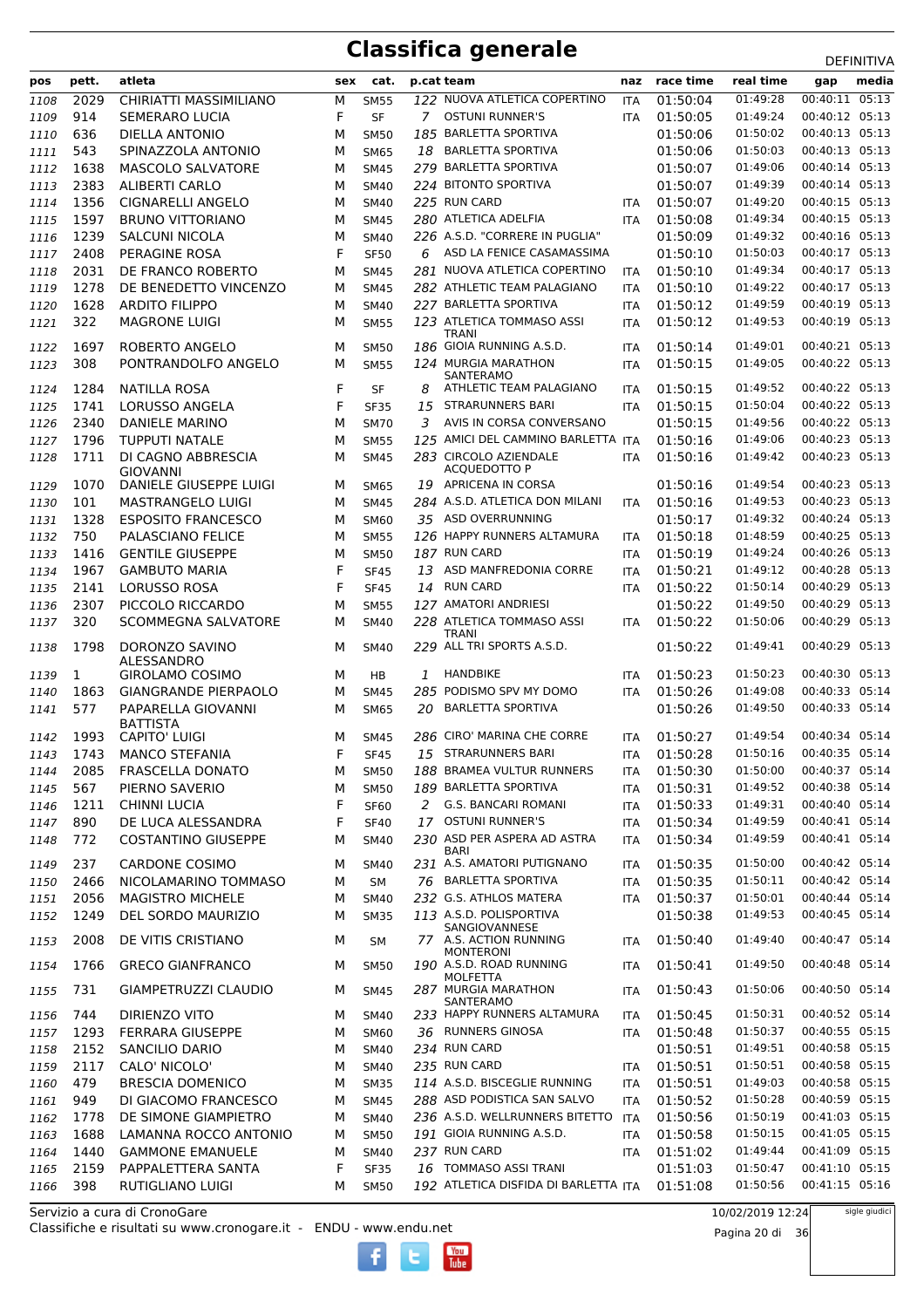|      |       |                             |     |             |    |                                             |            |           |           |                | <b>DEFINITIVA</b> |
|------|-------|-----------------------------|-----|-------------|----|---------------------------------------------|------------|-----------|-----------|----------------|-------------------|
| pos  | pett. | atleta                      | sex | cat.        |    | p.cat team                                  | naz        | race time | real time | gap            | media             |
| 1108 | 2029  | CHIRIATTI MASSIMILIANO      | М   | <b>SM55</b> |    | 122 NUOVA ATLETICA COPERTINO                | ITA        | 01:50:04  | 01:49:28  | 00:40:11 05:13 |                   |
| 1109 | 914   | <b>SEMERARO LUCIA</b>       | F   | <b>SF</b>   |    | 7 OSTUNI RUNNER'S                           | <b>ITA</b> | 01:50:05  | 01:49:24  | 00:40:12 05:13 |                   |
| 1110 | 636   | <b>DIELLA ANTONIO</b>       | М   | <b>SM50</b> |    | 185 BARLETTA SPORTIVA                       |            | 01:50:06  | 01:50:02  | 00:40:13 05:13 |                   |
| 1111 | 543   | SPINAZZOLA ANTONIO          | М   | <b>SM65</b> | 18 | <b>BARLETTA SPORTIVA</b>                    |            | 01:50:06  | 01:50:03  | 00:40:13 05:13 |                   |
| 1112 | 1638  | MASCOLO SALVATORE           | М   | <b>SM45</b> |    | 279 BARLETTA SPORTIVA                       |            | 01:50:07  | 01:49:06  | 00:40:14 05:13 |                   |
| 1113 | 2383  | <b>ALIBERTI CARLO</b>       | м   | <b>SM40</b> |    | 224 BITONTO SPORTIVA                        |            | 01:50:07  | 01:49:39  | 00:40:14 05:13 |                   |
| 1114 | 1356  | <b>CIGNARELLI ANGELO</b>    | м   | <b>SM40</b> |    | 225 RUN CARD                                | <b>ITA</b> | 01:50:07  | 01:49:20  | 00:40:15 05:13 |                   |
| 1115 | 1597  | <b>BRUNO VITTORIANO</b>     | М   | <b>SM45</b> |    | 280 ATLETICA ADELFIA                        | <b>ITA</b> | 01:50:08  | 01:49:34  | 00:40:15 05:13 |                   |
| 1116 | 1239  | <b>SALCUNI NICOLA</b>       | м   | <b>SM40</b> |    | 226 A.S.D. "CORRERE IN PUGLIA"              |            | 01:50:09  | 01:49:32  | 00:40:16 05:13 |                   |
| 1117 | 2408  | PERAGINE ROSA               | F   | <b>SF50</b> | 6  | ASD LA FENICE CASAMASSIMA                   |            | 01:50:10  | 01:50:03  | 00:40:17 05:13 |                   |
| 1118 | 2031  | DE FRANCO ROBERTO           | М   | <b>SM45</b> |    | 281 NUOVA ATLETICA COPERTINO                | <b>ITA</b> | 01:50:10  | 01:49:34  | 00:40:17 05:13 |                   |
| 1119 | 1278  | DE BENEDETTO VINCENZO       | м   | <b>SM45</b> |    | 282 ATHLETIC TEAM PALAGIANO                 | <b>ITA</b> | 01:50:10  | 01:49:22  | 00:40:17 05:13 |                   |
| 1120 | 1628  | <b>ARDITO FILIPPO</b>       | м   | <b>SM40</b> |    | 227 BARLETTA SPORTIVA                       | ITA        | 01:50:12  | 01:49:59  | 00:40:19 05:13 |                   |
| 1121 | 322   | <b>MAGRONE LUIGI</b>        | М   | <b>SM55</b> |    | 123 ATLETICA TOMMASO ASSI                   | <b>ITA</b> | 01:50:12  | 01:49:53  | 00:40:19 05:13 |                   |
|      |       |                             |     |             |    | <b>TRANI</b>                                |            |           |           |                |                   |
| 1122 | 1697  | ROBERTO ANGELO              | М   | <b>SM50</b> |    | 186 GIOIA RUNNING A.S.D.                    | ITA        | 01:50:14  | 01:49:01  | 00:40:21 05:13 |                   |
| 1123 | 308   | PONTRANDOLFO ANGELO         | М   | <b>SM55</b> |    | 124 MURGIA MARATHON<br>SANTERAMO            | <b>ITA</b> | 01:50:15  | 01:49:05  | 00:40:22 05:13 |                   |
| 1124 | 1284  | NATILLA ROSA                | F   | SF          | 8  | ATHLETIC TEAM PALAGIANO                     | ITA        | 01:50:15  | 01:49:52  | 00:40:22 05:13 |                   |
| 1125 | 1741  | LORUSSO ANGELA              | F   | <b>SF35</b> | 15 | <b>STRARUNNERS BARI</b>                     | <b>ITA</b> | 01:50:15  | 01:50:04  | 00:40:22 05:13 |                   |
| 1126 | 2340  | <b>DANIELE MARINO</b>       | М   | <b>SM70</b> | 3  | AVIS IN CORSA CONVERSANO                    |            | 01:50:15  | 01:49:56  | 00:40:22 05:13 |                   |
| 1127 | 1796  | <b>TUPPUTI NATALE</b>       | м   | <b>SM55</b> |    | 125 AMICI DEL CAMMINO BARLETTA ITA          |            | 01:50:16  | 01:49:06  | 00:40:23 05:13 |                   |
| 1128 | 1711  | DI CAGNO ABBRESCIA          | М   | <b>SM45</b> |    | 283 CIRCOLO AZIENDALE                       | <b>ITA</b> | 01:50:16  | 01:49:42  | 00:40:23 05:13 |                   |
|      |       | <b>GIOVANNI</b>             |     |             |    | <b>ACQUEDOTTO P</b>                         |            |           |           |                |                   |
| 1129 | 1070  | DANIELE GIUSEPPE LUIGI      | М   | <b>SM65</b> |    | 19 APRICENA IN CORSA                        |            | 01:50:16  | 01:49:54  | 00:40:23 05:13 |                   |
| 1130 | 101   | MASTRANGELO LUIGI           | М   | <b>SM45</b> |    | 284 A.S.D. ATLETICA DON MILANI              | <b>ITA</b> | 01:50:16  | 01:49:53  | 00:40:23 05:13 |                   |
| 1131 | 1328  | <b>ESPOSITO FRANCESCO</b>   | М   | <b>SM60</b> |    | 35 ASD OVERRUNNING                          |            | 01:50:17  | 01:49:32  | 00:40:24 05:13 |                   |
| 1132 | 750   | PALASCIANO FELICE           | М   | <b>SM55</b> |    | 126 HAPPY RUNNERS ALTAMURA                  | <b>ITA</b> | 01:50:18  | 01:48:59  | 00:40:25 05:13 |                   |
| 1133 | 1416  | <b>GENTILE GIUSEPPE</b>     | м   | <b>SM50</b> |    | 187 RUN CARD                                | ITA        | 01:50:19  | 01:49:24  | 00:40:26 05:13 |                   |
| 1134 | 1967  | <b>GAMBUTO MARIA</b>        | F   | <b>SF45</b> | 13 | ASD MANFREDONIA CORRE                       | ITA        | 01:50:21  | 01:49:12  | 00:40:28 05:13 |                   |
| 1135 | 2141  | <b>LORUSSO ROSA</b>         | F   | <b>SF45</b> |    | 14 RUN CARD                                 | <b>ITA</b> | 01:50:22  | 01:50:14  | 00:40:29 05:13 |                   |
| 1136 | 2307  | PICCOLO RICCARDO            | м   | <b>SM55</b> |    | 127 AMATORI ANDRIESI                        |            | 01:50:22  | 01:49:50  | 00:40:29 05:13 |                   |
| 1137 | 320   | SCOMMEGNA SALVATORE         | М   | <b>SM40</b> |    | 228 ATLETICA TOMMASO ASSI                   | <b>ITA</b> | 01:50:22  | 01:50:06  | 00:40:29 05:13 |                   |
|      | 1798  | DORONZO SAVINO              | М   |             |    | <b>TRANI</b><br>229 ALL TRI SPORTS A.S.D.   |            | 01:50:22  | 01:49:41  | 00:40:29 05:13 |                   |
| 1138 |       | ALESSANDRO                  |     | <b>SM40</b> |    |                                             |            |           |           |                |                   |
| 1139 | 1     | <b>GIROLAMO COSIMO</b>      | м   | HB          | 1  | HANDBIKE                                    | <b>ITA</b> | 01:50:23  | 01:50:23  | 00:40:30 05:13 |                   |
| 1140 | 1863  | <b>GIANGRANDE PIERPAOLO</b> | М   | <b>SM45</b> |    | 285 PODISMO SPV MY DOMO                     | <b>ITA</b> | 01:50:26  | 01:49:08  | 00:40:33 05:14 |                   |
| 1141 | 577   | PAPARELLA GIOVANNI          | М   | <b>SM65</b> | 20 | <b>BARLETTA SPORTIVA</b>                    |            | 01:50:26  | 01:49:50  | 00:40:33 05:14 |                   |
|      |       | <b>BATTISTA</b>             |     |             |    |                                             |            |           |           |                |                   |
| 1142 | 1993  | <b>CAPITO' LUIGI</b>        | М   | <b>SM45</b> |    | 286 CIRO' MARINA CHE CORRE                  | <b>ITA</b> | 01:50:27  | 01:49:54  | 00:40:34 05:14 |                   |
| 1143 | 1743  | <b>MANCO STEFANIA</b>       | F   | <b>SF45</b> |    | 15 STRARUNNERS BARI                         | ITA        | 01:50:28  | 01:50:16  | 00:40:35 05:14 |                   |
| 1144 | 2085  | <b>FRASCELLA DONATO</b>     | М   | <b>SM50</b> |    | 188 BRAMEA VULTUR RUNNERS                   | ITA        | 01:50:30  | 01:50:00  | 00:40:37 05:14 |                   |
| 1145 | 567   | PIERNO SAVERIO              | М   | <b>SM50</b> |    | 189 BARLETTA SPORTIVA                       | ITA        | 01:50:31  | 01:49:52  | 00:40:38 05:14 |                   |
| 1146 | 1211  | <b>CHINNI LUCIA</b>         | F   | <b>SF60</b> |    | 2 G.S. BANCARI ROMANI                       | <b>ITA</b> | 01:50:33  | 01:49:31  | 00:40:40 05:14 |                   |
| 1147 | 890   | DE LUCA ALESSANDRA          | F   | <b>SF40</b> |    | 17 OSTUNI RUNNER'S                          | ITA        | 01:50:34  | 01:49:59  | 00:40:41 05:14 |                   |
| 1148 | 772   | <b>COSTANTINO GIUSEPPE</b>  | М   | <b>SM40</b> |    | 230 ASD PER ASPERA AD ASTRA                 | ITA        | 01:50:34  | 01:49:59  | 00:40:41 05:14 |                   |
| 1149 | 237   | <b>CARDONE COSIMO</b>       | М   | SM40        |    | <b>BARI</b><br>231 A.S. AMATORI PUTIGNANO   | ITA        | 01:50:35  | 01:50:00  | 00:40:42 05:14 |                   |
| 1150 | 2466  | NICOLAMARINO TOMMASO        | М   | <b>SM</b>   |    | 76 BARLETTA SPORTIVA                        | ITA        | 01:50:35  | 01:50:11  | 00:40:42 05:14 |                   |
|      | 2056  | <b>MAGISTRO MICHELE</b>     |     | <b>SM40</b> |    | 232 G.S. ATHLOS MATERA                      |            | 01:50:37  | 01:50:01  | 00:40:44 05:14 |                   |
| 1151 | 1249  |                             | М   |             |    | 113 A.S.D. POLISPORTIVA                     | <b>ITA</b> |           | 01:49:53  | 00:40:45 05:14 |                   |
| 1152 |       | DEL SORDO MAURIZIO          | М   | <b>SM35</b> |    | SANGIOVANNESE                               |            | 01:50:38  |           |                |                   |
| 1153 | 2008  | DE VITIS CRISTIANO          | М   | SM          |    | 77 A.S. ACTION RUNNING                      | ITA        | 01:50:40  | 01:49:40  | 00:40:47 05:14 |                   |
| 1154 | 1766  | <b>GRECO GIANFRANCO</b>     | м   | <b>SM50</b> |    | <b>MONTERONI</b><br>190 A.S.D. ROAD RUNNING | <b>ITA</b> | 01:50:41  | 01:49:50  | 00:40:48 05:14 |                   |
|      |       |                             |     |             |    | <b>MOLFETTA</b>                             |            |           |           |                |                   |
| 1155 | 731   | GIAMPETRUZZI CLAUDIO        | М   | <b>SM45</b> |    | 287 MURGIA MARATHON<br>SANTERAMO            | ITA        | 01:50:43  | 01:50:06  | 00:40:50 05:14 |                   |
| 1156 | 744   | DIRIENZO VITO               | м   | <b>SM40</b> |    | 233 HAPPY RUNNERS ALTAMURA                  | ITA        | 01:50:45  | 01:50:31  | 00:40:52 05:14 |                   |
| 1157 | 1293  | <b>FERRARA GIUSEPPE</b>     | М   | SM60        |    | 36 RUNNERS GINOSA                           | ITA        | 01:50:48  | 01:50:37  | 00:40:55 05:15 |                   |
| 1158 | 2152  | SANCILIO DARIO              | М   | SM40        |    | 234 RUN CARD                                |            | 01:50:51  | 01:49:51  | 00:40:58 05:15 |                   |
| 1159 | 2117  | CALO' NICOLO'               | М   | <b>SM40</b> |    | 235 RUN CARD                                | ITA        | 01:50:51  | 01:50:51  | 00:40:58 05:15 |                   |
| 1160 | 479   | <b>BRESCIA DOMENICO</b>     | М   | <b>SM35</b> |    | 114 A.S.D. BISCEGLIE RUNNING                | <b>ITA</b> | 01:50:51  | 01:49:03  | 00:40:58 05:15 |                   |
| 1161 | 949   | DI GIACOMO FRANCESCO        | М   | <b>SM45</b> |    | 288 ASD PODISTICA SAN SALVO                 | ITA        | 01:50:52  | 01:50:28  | 00:40:59 05:15 |                   |
| 1162 | 1778  | DE SIMONE GIAMPIETRO        | М   | <b>SM40</b> |    | 236 A.S.D. WELLRUNNERS BITETTO              | <b>ITA</b> | 01:50:56  | 01:50:19  | 00:41:03 05:15 |                   |
| 1163 | 1688  | LAMANNA ROCCO ANTONIO       | М   | <b>SM50</b> |    | 191 GIOIA RUNNING A.S.D.                    | <b>ITA</b> | 01:50:58  | 01:50:15  | 00:41:05 05:15 |                   |
| 1164 | 1440  | <b>GAMMONE EMANUELE</b>     | М   | <b>SM40</b> |    | 237 RUN CARD                                | <b>ITA</b> | 01:51:02  | 01:49:44  | 00:41:09 05:15 |                   |
| 1165 | 2159  | PAPPALETTERA SANTA          | F   | <b>SF35</b> |    | 16 TOMMASO ASSI TRANI                       |            | 01:51:03  | 01:50:47  | 00:41:10 05:15 |                   |
| 1166 | 398   | RUTIGLIANO LUIGI            | М   | <b>SM50</b> |    | 192 ATLETICA DISFIDA DI BARLETTA ITA        |            | 01:51:08  | 01:50:56  | 00:41:15 05:16 |                   |

 $\begin{bmatrix}\n\frac{\text{Vou}}{\text{Iube}}\n\end{bmatrix}$ 

Classifiche e risultati su www.cronogare.it - ENDU - www.endu.net Servizio a cura di CronoGare

10/02/2019 12:24

Pagina 20 di 36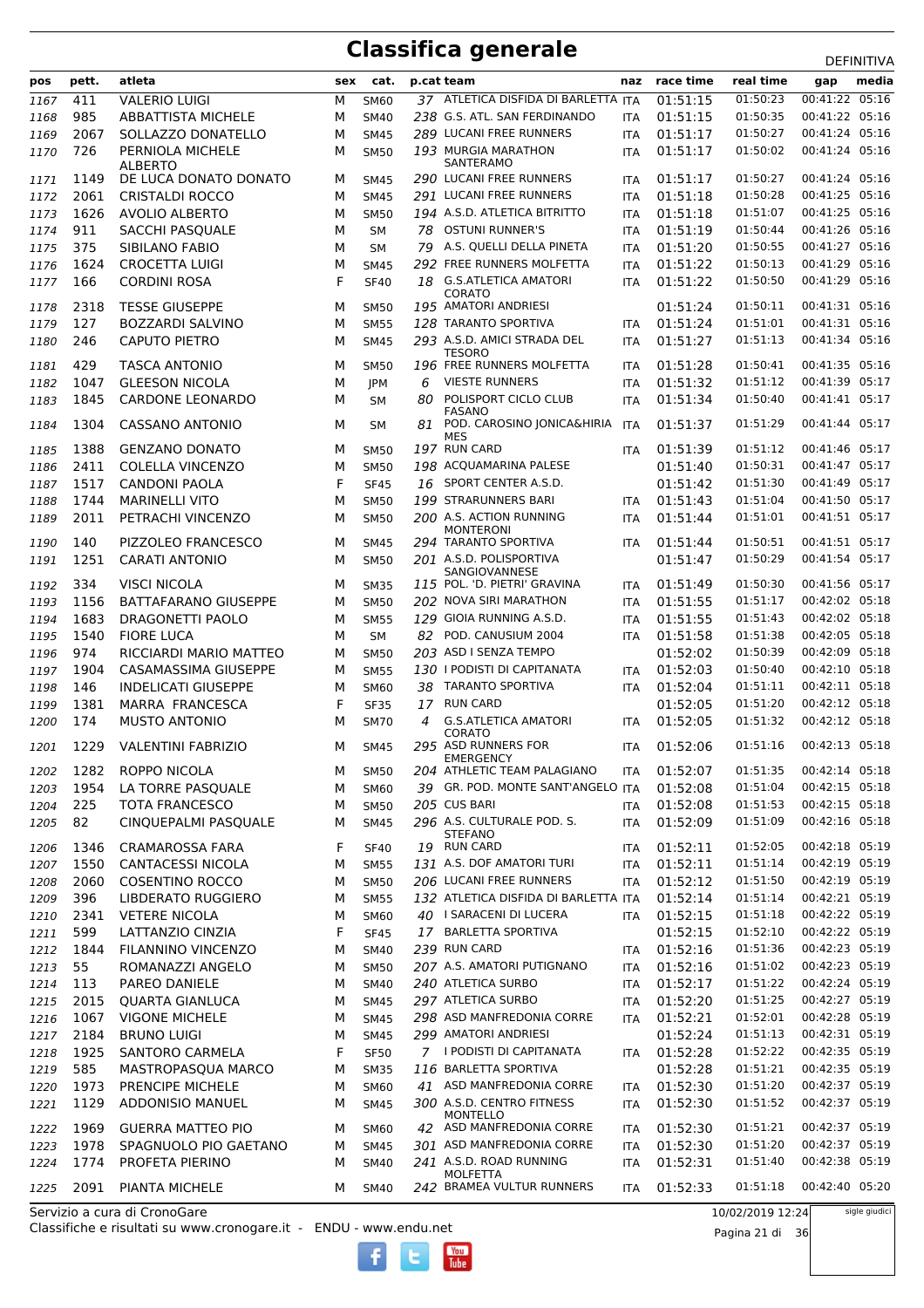### **Classifica generale** Department of the DEFINITIVA

|      |             |                              |     |             |    |                                                 |            |                      | real time        | <b>DEFINITIVA</b><br>media       |
|------|-------------|------------------------------|-----|-------------|----|-------------------------------------------------|------------|----------------------|------------------|----------------------------------|
| pos  | pett.       | atleta                       | sex | cat.        |    | p.cat team                                      | naz        | race time            |                  | gap                              |
| 1167 | 411         | VALERIO LUIGI                | М   | <b>SM60</b> |    | 37 ATLETICA DISFIDA DI BARLETTA ITA             |            | 01:51:15             | 01:50:23         | 00:41:22 05:16                   |
| 1168 | 985         | ABBATTISTA MICHELE           | м   | <b>SM40</b> |    | 238 G.S. ATL. SAN FERDINANDO                    | <b>ITA</b> | 01:51:15             | 01:50:35         | 00:41:22 05:16                   |
| 1169 | 2067        | SOLLAZZO DONATELLO           | M   | <b>SM45</b> |    | 289 LUCANI FREE RUNNERS<br>193 MURGIA MARATHON  | ITA        | 01:51:17             | 01:50:27         | 00:41:24 05:16<br>00:41:24 05:16 |
| 1170 | 726         | PERNIOLA MICHELE<br>ALBERTO  | м   | <b>SM50</b> |    | SANTERAMO                                       | ITA        | 01:51:17             | 01:50:02         |                                  |
| 1171 | 1149        | DE LUCA DONATO DONATO        | м   | <b>SM45</b> |    | 290 LUCANI FREE RUNNERS                         | ITA        | 01:51:17             | 01:50:27         | 00:41:24 05:16                   |
| 1172 | 2061        | <b>CRISTALDI ROCCO</b>       | м   | <b>SM45</b> |    | 291 LUCANI FREE RUNNERS                         | <b>ITA</b> | 01:51:18             | 01:50:28         | 00:41:25 05:16                   |
| 1173 | 1626        | <b>AVOLIO ALBERTO</b>        | м   | <b>SM50</b> |    | 194 A.S.D. ATLETICA BITRITTO                    | <b>ITA</b> | 01:51:18             | 01:51:07         | 00:41:25 05:16                   |
| 1174 | 911         | SACCHI PASQUALE              | м   | <b>SM</b>   | 78 | <b>OSTUNI RUNNER'S</b>                          | ITA        | 01:51:19             | 01:50:44         | 00:41:26 05:16                   |
| 1175 | 375         | SIBILANO FABIO               | м   | <b>SM</b>   |    | 79 A.S. QUELLI DELLA PINETA                     | <b>ITA</b> | 01:51:20             | 01:50:55         | 00:41:27 05:16                   |
| 1176 | 1624        | <b>CROCETTA LUIGI</b>        | М   | <b>SM45</b> |    | 292 FREE RUNNERS MOLFETTA                       | ITA        | 01:51:22             | 01:50:13         | 00:41:29 05:16                   |
| 1177 | 166         | <b>CORDINI ROSA</b>          | F   | <b>SF40</b> | 18 | <b>G.S.ATLETICA AMATORI</b>                     | ITA        | 01:51:22             | 01:50:50         | 00:41:29 05:16                   |
|      |             |                              |     |             |    | CORATO<br>195 AMATORI ANDRIESI                  |            |                      | 01:50:11         | 00:41:31 05:16                   |
| 1178 | 2318<br>127 | <b>TESSE GIUSEPPE</b>        | M   | <b>SM50</b> |    | 128 TARANTO SPORTIVA                            |            | 01:51:24<br>01:51:24 | 01:51:01         | 00:41:31 05:16                   |
| 1179 |             | BOZZARDI SALVINO             | м   | <b>SM55</b> |    | 293 A.S.D. AMICI STRADA DEL                     | ITA        | 01:51:27             | 01:51:13         | 00:41:34 05:16                   |
| 1180 | 246         | <b>CAPUTO PIETRO</b>         | м   | <b>SM45</b> |    | TESORO                                          | <b>ITA</b> |                      |                  |                                  |
| 1181 | 429         | <b>TASCA ANTONIO</b>         | м   | <b>SM50</b> |    | 196 FREE RUNNERS MOLFETTA                       | ITA        | 01:51:28             | 01:50:41         | 00:41:35 05:16                   |
| 1182 | 1047        | <b>GLEESON NICOLA</b>        | М   | JPM         | 6  | <b>VIESTE RUNNERS</b>                           | <b>ITA</b> | 01:51:32             | 01:51:12         | 00:41:39 05:17                   |
| 1183 | 1845        | <b>CARDONE LEONARDO</b>      | м   | <b>SM</b>   | 80 | POLISPORT CICLO CLUB                            | <b>ITA</b> | 01:51:34             | 01:50:40         | 00:41:41 05:17                   |
| 1184 | 1304        | <b>CASSANO ANTONIO</b>       | м   | <b>SM</b>   | 81 | <b>FASANO</b><br>POD. CAROSINO JONICA&HIRIA     | ITA        | 01:51:37             | 01:51:29         | 00:41:44 05:17                   |
|      |             |                              |     |             |    | <b>MES</b>                                      |            |                      |                  |                                  |
| 1185 | 1388        | <b>GENZANO DONATO</b>        | м   | <b>SM50</b> |    | 197 RUN CARD                                    | <b>ITA</b> | 01:51:39             | 01:51:12         | 00:41:46 05:17                   |
| 1186 | 2411        | <b>COLELLA VINCENZO</b>      | м   | <b>SM50</b> |    | 198 ACQUAMARINA PALESE                          |            | 01:51:40             | 01:50:31         | 00:41:47 05:17                   |
| 1187 | 1517        | CANDONI PAOLA                | F   | <b>SF45</b> |    | 16 SPORT CENTER A.S.D.                          |            | 01:51:42             | 01:51:30         | 00:41:49 05:17                   |
| 1188 | 1744        | <b>MARINELLI VITO</b>        | м   | <b>SM50</b> |    | 199 STRARUNNERS BARI                            | <b>ITA</b> | 01:51:43             | 01:51:04         | 00:41:50 05:17                   |
| 1189 | 2011        | PETRACHI VINCENZO            | м   | <b>SM50</b> |    | 200 A.S. ACTION RUNNING<br><b>MONTERONI</b>     | <b>ITA</b> | 01:51:44             | 01:51:01         | 00:41:51 05:17                   |
| 1190 | 140         | PIZZOLEO FRANCESCO           | м   | <b>SM45</b> |    | 294 TARANTO SPORTIVA                            | <b>ITA</b> | 01:51:44             | 01:50:51         | 00:41:51 05:17                   |
| 1191 | 1251        | <b>CARATI ANTONIO</b>        | м   | <b>SM50</b> |    | 201 A.S.D. POLISPORTIVA                         |            | 01:51:47             | 01:50:29         | 00:41:54 05:17                   |
|      |             |                              |     |             |    | SANGIOVANNESE                                   |            |                      |                  |                                  |
| 1192 | 334         | VISCI NICOLA                 | м   | <b>SM35</b> |    | 115 POL. 'D. PIETRI' GRAVINA                    | <b>ITA</b> | 01:51:49             | 01:50:30         | 00:41:56 05:17                   |
| 1193 | 1156        | <b>BATTAFARANO GIUSEPPE</b>  | М   | <b>SM50</b> |    | 202 NOVA SIRI MARATHON                          | <b>ITA</b> | 01:51:55             | 01:51:17         | 00:42:02 05:18                   |
| 1194 | 1683        | DRAGONETTI PAOLO             | м   | <b>SM55</b> |    | 129 GIOIA RUNNING A.S.D.                        | ITA        | 01:51:55             | 01:51:43         | 00:42:02 05:18                   |
| 1195 | 1540        | <b>FIORE LUCA</b>            | м   | <b>SM</b>   | 82 | POD. CANUSIUM 2004                              | <b>ITA</b> | 01:51:58             | 01:51:38         | 00:42:05 05:18                   |
| 1196 | 974         | RICCIARDI MARIO MATTEO       | м   | <b>SM50</b> |    | 203 ASD I SENZA TEMPO                           |            | 01:52:02             | 01:50:39         | 00:42:09 05:18                   |
| 1197 | 1904        | CASAMASSIMA GIUSEPPE         | м   | <b>SM55</b> |    | 130 I PODISTI DI CAPITANATA                     | <b>ITA</b> | 01:52:03             | 01:50:40         | 00:42:10 05:18                   |
| 1198 | 146         | <b>INDELICATI GIUSEPPE</b>   | м   | <b>SM60</b> | 38 | TARANTO SPORTIVA                                | <b>ITA</b> | 01:52:04             | 01:51:11         | 00:42:11 05:18                   |
| 1199 | 1381        | MARRA FRANCESCA              | F   | <b>SF35</b> | 17 | <b>RUN CARD</b>                                 |            | 01:52:05             | 01:51:20         | 00:42:12 05:18                   |
| 1200 | 174         | <b>MUSTO ANTONIO</b>         | м   | <b>SM70</b> | 4  | <b>G.S.ATLETICA AMATORI</b><br>CORATO           | <b>ITA</b> | 01:52:05             | 01:51:32         | 00:42:12 05:18                   |
| 1201 | 1229        | <b>VALENTINI FABRIZIO</b>    | м   | <b>SM45</b> |    | 295 ASD RUNNERS FOR                             | <b>ITA</b> | 01:52:06             | 01:51:16         | 00:42:13 05:18                   |
| 1202 | 1282        | <b>ROPPO NICOLA</b>          | М   | <b>SM50</b> |    | <b>EMERGENCY</b><br>204 ATHLETIC TEAM PALAGIANO | ITA        | 01:52:07             | 01:51:35         | 00:42:14 05:18                   |
| 1203 | 1954        | LA TORRE PASQUALE            | М   | SM60        |    | 39 GR. POD. MONTE SANT'ANGELO ITA               |            | 01:52:08             | 01:51:04         | 00:42:15 05:18                   |
| 1204 | 225         | <b>TOTA FRANCESCO</b>        | м   | <b>SM50</b> |    | 205 CUS BARI                                    | ITA        | 01:52:08             | 01:51:53         | 00:42:15 05:18                   |
| 1205 | 82          | CINQUEPALMI PASQUALE         | М   | <b>SM45</b> |    | 296 A.S. CULTURALE POD. S.                      | ITA        | 01:52:09             | 01:51:09         | 00:42:16 05:18                   |
|      |             |                              |     |             |    | <b>STEFANO</b>                                  |            |                      |                  |                                  |
| 1206 | 1346        | CRAMAROSSA FARA              | F   | <b>SF40</b> |    | 19 RUN CARD                                     | ITA        | 01:52:11             | 01:52:05         | 00:42:18 05:19                   |
| 1207 | 1550        | <b>CANTACESSI NICOLA</b>     | м   | <b>SM55</b> |    | 131 A.S. DOF AMATORI TURI                       | ITA        | 01:52:11             | 01:51:14         | 00:42:19 05:19                   |
| 1208 | 2060        | <b>COSENTINO ROCCO</b>       | М   | <b>SM50</b> |    | 206 LUCANI FREE RUNNERS                         | <b>ITA</b> | 01:52:12             | 01:51:50         | 00:42:19 05:19                   |
| 1209 | 396         | <b>LIBDERATO RUGGIERO</b>    | м   | <b>SM55</b> |    | 132 ATLETICA DISFIDA DI BARLETTA ITA            |            | 01:52:14             | 01:51:14         | 00:42:21 05:19                   |
| 1210 | 2341        | <b>VETERE NICOLA</b>         | М   | <b>SM60</b> |    | 40 I SARACENI DI LUCERA                         | ITA        | 01:52:15             | 01:51:18         | 00:42:22 05:19                   |
| 1211 | 599         | LATTANZIO CINZIA             | F   | <b>SF45</b> |    | 17 BARLETTA SPORTIVA                            |            | 01:52:15             | 01:52:10         | 00:42:22 05:19                   |
| 1212 | 1844        | FILANNINO VINCENZO           | м   | <b>SM40</b> |    | 239 RUN CARD                                    | ITA        | 01:52:16             | 01:51:36         | 00:42:23 05:19                   |
| 1213 | 55          | ROMANAZZI ANGELO             | М   | <b>SM50</b> |    | 207 A.S. AMATORI PUTIGNANO                      | ITA        | 01:52:16             | 01:51:02         | 00:42:23 05:19                   |
| 1214 | 113         | PAREO DANIELE                | М   | <b>SM40</b> |    | 240 ATLETICA SURBO                              | ITA        | 01:52:17             | 01:51:22         | 00:42:24 05:19                   |
| 1215 | 2015        | <b>QUARTA GIANLUCA</b>       | М   | <b>SM45</b> |    | 297 ATLETICA SURBO                              | ITA        | 01:52:20             | 01:51:25         | 00:42:27 05:19                   |
| 1216 | 1067        | <b>VIGONE MICHELE</b>        | М   | <b>SM45</b> |    | 298 ASD MANFREDONIA CORRE                       | <b>ITA</b> | 01:52:21             | 01:52:01         | 00:42:28 05:19                   |
| 1217 | 2184        | <b>BRUNO LUIGI</b>           | М   | <b>SM45</b> |    | 299 AMATORI ANDRIESI                            |            | 01:52:24             | 01:51:13         | 00:42:31 05:19                   |
| 1218 | 1925        | SANTORO CARMELA              | F   | <b>SF50</b> |    | 7 I PODISTI DI CAPITANATA                       | ITA        | 01:52:28             | 01:52:22         | 00:42:35 05:19                   |
| 1219 | 585         | MASTROPASQUA MARCO           | м   | <b>SM35</b> |    | $116\,$ BARLETTA SPORTIVA                       |            | 01:52:28             | 01:51:21         | 00:42:35 05:19                   |
| 1220 | 1973        | PRENCIPE MICHELE             | М   | SM60        |    | 41 ASD MANFREDONIA CORRE                        | ITA        | 01:52:30             | 01:51:20         | 00:42:37 05:19                   |
| 1221 | 1129        | ADDONISIO MANUEL             | м   | <b>SM45</b> |    | 300 A.S.D. CENTRO FITNESS<br>MONTELLO           | ITA        | 01:52:30             | 01:51:52         | 00:42:37 05:19                   |
| 1222 | 1969        | <b>GUERRA MATTEO PIO</b>     | м   | <b>SM60</b> |    | 42 ASD MANFREDONIA CORRE                        | ITA        | 01:52:30             | 01:51:21         | 00:42:37 05:19                   |
| 1223 | 1978        | SPAGNUOLO PIO GAETANO        | м   | <b>SM45</b> |    | 301 ASD MANFREDONIA CORRE                       | ITA        | 01:52:30             | 01:51:20         | 00:42:37 05:19                   |
| 1224 | 1774        | PROFETA PIERINO              | M   | <b>SM40</b> |    | 241 A.S.D. ROAD RUNNING                         | ITA        | 01:52:31             | 01:51:40         | 00:42:38 05:19                   |
|      |             | 2091 PIANTA MICHELE          | м   |             |    | <b>MOLFETTA</b><br>242 BRAMEA VULTUR RUNNERS    |            | 01:52:33             | 01:51:18         | 00:42:40 05:20                   |
| 1225 |             |                              |     | <b>SM40</b> |    |                                                 | ITA        |                      |                  |                                  |
|      |             | Servizio a cura di CronoGare |     |             |    |                                                 |            |                      | 10/02/2019 12:24 | sigle giudici                    |

 $\frac{\text{Vou}}{\text{Iube}}$ 

Classifiche e risultati su www.cronogare.it - ENDU - www.endu.net Servizio a cura di CronoGare

10/02/2019 12:24

Pagina 21 di 36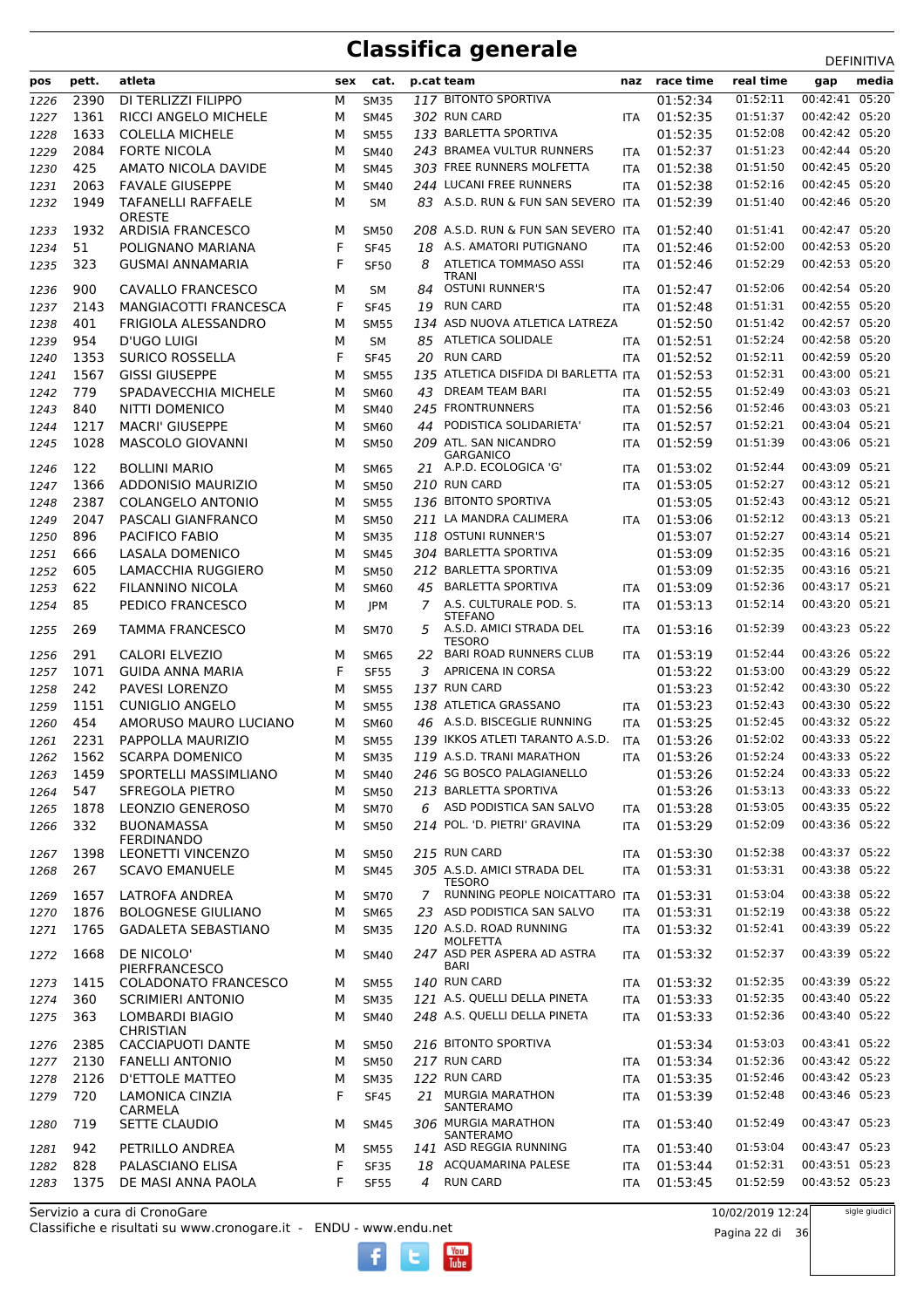| pos          | pett.        | atleta                                            | sex    | cat.                       |    | p.cat team                                                 | naz                      | race time            | real time            | <b>レ니 !!!!!!!</b><br>media<br>gap |
|--------------|--------------|---------------------------------------------------|--------|----------------------------|----|------------------------------------------------------------|--------------------------|----------------------|----------------------|-----------------------------------|
|              | 2390         |                                                   |        |                            |    | 117 BITONTO SPORTIVA                                       |                          | 01:52:34             | 01:52:11             | 00:42:41 05:20                    |
| 1226         |              | DI TERLIZZI FILIPPO<br>RICCI ANGELO MICHELE       | М      | <b>SM35</b>                |    |                                                            |                          | 01:52:35             |                      | 00:42:42 05:20                    |
| 1227         | 1361         |                                                   | м      | <b>SM45</b>                |    | 302 RUN CARD<br>133 BARLETTA SPORTIVA                      | <b>ITA</b>               |                      | 01:51:37<br>01:52:08 | 00:42:42 05:20                    |
| 1228         | 1633<br>2084 | <b>COLELLA MICHELE</b><br><b>FORTE NICOLA</b>     | M      | <b>SM55</b>                |    | 243 BRAMEA VULTUR RUNNERS                                  |                          | 01:52:35<br>01:52:37 | 01:51:23             | 00:42:44 05:20                    |
| 1229<br>1230 | 425          | AMATO NICOLA DAVIDE                               | M<br>M | <b>SM40</b><br><b>SM45</b> |    | 303 FREE RUNNERS MOLFETTA                                  | <b>ITA</b><br><b>ITA</b> | 01:52:38             | 01:51:50             | 00:42:45 05:20                    |
|              | 2063         | <b>FAVALE GIUSEPPE</b>                            | M      |                            |    | 244 LUCANI FREE RUNNERS                                    |                          | 01:52:38             | 01:52:16             | 00:42:45 05:20                    |
| 1231         | 1949         | <b>TAFANELLI RAFFAELE</b>                         | M      | <b>SM40</b><br><b>SM</b>   |    | 83 A.S.D. RUN & FUN SAN SEVERO ITA                         | ITA                      | 01:52:39             | 01:51:40             | 00:42:46 05:20                    |
| 1232         |              | <b>ORESTE</b>                                     |        |                            |    |                                                            |                          |                      |                      |                                   |
| 1233         | 1932         | ARDISIA FRANCESCO                                 | M      | <b>SM50</b>                |    | 208 A.S.D. RUN & FUN SAN SEVERO ITA                        |                          | 01:52:40             | 01:51:41             | 00:42:47 05:20                    |
| 1234         | 51           | POLIGNANO MARIANA                                 | F      | <b>SF45</b>                | 18 | A.S. AMATORI PUTIGNANO                                     | <b>ITA</b>               | 01:52:46             | 01:52:00             | 00:42:53 05:20                    |
| 1235         | 323          | <b>GUSMAI ANNAMARIA</b>                           | F      | <b>SF50</b>                | 8  | <b>ATLETICA TOMMASO ASSI</b>                               | <b>ITA</b>               | 01:52:46             | 01:52:29             | 00:42:53 05:20                    |
|              |              |                                                   |        |                            |    | TRANI                                                      |                          |                      |                      |                                   |
| 1236         | 900          | CAVALLO FRANCESCO                                 | м      | <b>SM</b>                  | 84 | <b>OSTUNI RUNNER'S</b>                                     | <b>ITA</b>               | 01:52:47             | 01:52:06             | 00:42:54 05:20                    |
| 1237         | 2143         | MANGIACOTTI FRANCESCA                             | F      | <b>SF45</b>                | 19 | <b>RUN CARD</b>                                            | <b>ITA</b>               | 01:52:48             | 01:51:31             | 00:42:55 05:20                    |
| 1238         | 401          | FRIGIOLA ALESSANDRO                               | М      | <b>SM55</b>                |    | 134 ASD NUOVA ATLETICA LATREZA                             |                          | 01:52:50             | 01:51:42             | 00:42:57 05:20                    |
| 1239         | 954          | <b>D'UGO LUIGI</b>                                | M      | <b>SM</b>                  |    | 85 ATLETICA SOLIDALE<br><b>RUN CARD</b>                    | <b>ITA</b>               | 01:52:51             | 01:52:24             | 00:42:58 05:20<br>00:42:59 05:20  |
| 1240         | 1353         | <b>SURICO ROSSELLA</b>                            | F      | <b>SF45</b>                | 20 |                                                            | <b>ITA</b>               | 01:52:52             | 01:52:11             | 00:43:00 05:21                    |
| 1241         | 1567         | <b>GISSI GIUSEPPE</b>                             | M      | <b>SM55</b>                |    | 135 ATLETICA DISFIDA DI BARLETTA ITA                       |                          | 01:52:53             | 01:52:31             |                                   |
| 1242         | 779          | SPADAVECCHIA MICHELE                              | M      | SM60                       | 43 | DREAM TEAM BARI<br>245 FRONTRUNNERS                        | <b>ITA</b>               | 01:52:55             | 01:52:49<br>01:52:46 | 00:43:03 05:21<br>00:43:03 05:21  |
| 1243         | 840          | NITTI DOMENICO                                    | M      | <b>SM40</b>                |    | 44 PODISTICA SOLIDARIETA'                                  | ITA                      | 01:52:56             |                      | 00:43:04 05:21                    |
| 1244         | 1217         | <b>MACRI' GIUSEPPE</b><br><b>MASCOLO GIOVANNI</b> | M      | <b>SM60</b>                |    |                                                            | <b>ITA</b>               | 01:52:57             | 01:52:21             |                                   |
| 1245         | 1028         |                                                   | M      | <b>SM50</b>                |    | 209 ATL. SAN NICANDRO<br><b>GARGANICO</b>                  | <b>ITA</b>               | 01:52:59             | 01:51:39             | 00:43:06 05:21                    |
| 1246         | 122          | <b>BOLLINI MARIO</b>                              | M      | <b>SM65</b>                |    | 21 A.P.D. ECOLOGICA 'G'                                    | <b>ITA</b>               | 01:53:02             | 01:52:44             | 00:43:09 05:21                    |
| 1247         | 1366         | <b>ADDONISIO MAURIZIO</b>                         | M      | <b>SM50</b>                |    | 210 RUN CARD                                               | <b>ITA</b>               | 01:53:05             | 01:52:27             | 00:43:12 05:21                    |
| 1248         | 2387         | <b>COLANGELO ANTONIO</b>                          | М      | <b>SM55</b>                |    | 136 BITONTO SPORTIVA                                       |                          | 01:53:05             | 01:52:43             | 00:43:12 05:21                    |
| 1249         | 2047         | PASCALI GIANFRANCO                                | М      | <b>SM50</b>                |    | 211 LA MANDRA CALIMERA                                     | <b>ITA</b>               | 01:53:06             | 01:52:12             | 00:43:13 05:21                    |
| 1250         | 896          | PACIFICO FABIO                                    | M      | <b>SM35</b>                |    | 118 OSTUNI RUNNER'S                                        |                          | 01:53:07             | 01:52:27             | 00:43:14 05:21                    |
| 1251         | 666          | <b>LASALA DOMENICO</b>                            | M      | <b>SM45</b>                |    | 304 BARLETTA SPORTIVA                                      |                          | 01:53:09             | 01:52:35             | 00:43:16 05:21                    |
| 1252         | 605          | LAMACCHIA RUGGIERO                                | M      | <b>SM50</b>                |    | 212 BARLETTA SPORTIVA                                      |                          | 01:53:09             | 01:52:35             | 00:43:16 05:21                    |
| 1253         | 622          | FILANNINO NICOLA                                  | M      | <b>SM60</b>                | 45 | <b>BARLETTA SPORTIVA</b>                                   | <b>ITA</b>               | 01:53:09             | 01:52:36             | 00:43:17 05:21                    |
| 1254         | 85           | PEDICO FRANCESCO                                  | M      | JPM                        | 7  | A.S. CULTURALE POD. S.                                     | ITA                      | 01:53:13             | 01:52:14             | 00:43:20 05:21                    |
| 1255         | 269          | <b>TAMMA FRANCESCO</b>                            | м      | <b>SM70</b>                | 5  | <b>STEFANO</b><br>A.S.D. AMICI STRADA DEL<br><b>TESORO</b> | <b>ITA</b>               | 01:53:16             | 01:52:39             | 00:43:23 05:22                    |
| 1256         | 291          | CALORI ELVEZIO                                    | M      | <b>SM65</b>                | 22 | BARI ROAD RUNNERS CLUB                                     | <b>ITA</b>               | 01:53:19             | 01:52:44             | 00:43:26 05:22                    |
| 1257         | 1071         | <b>GUIDA ANNA MARIA</b>                           | F      | <b>SF55</b>                | 3  | <b>APRICENA IN CORSA</b>                                   |                          | 01:53:22             | 01:53:00             | 00:43:29 05:22                    |
| 1258         | 242          | PAVESI LORENZO                                    | М      | <b>SM55</b>                |    | 137 RUN CARD                                               |                          | 01:53:23             | 01:52:42             | 00:43:30 05:22                    |
| 1259         | 1151         | <b>CUNIGLIO ANGELO</b>                            | М      | <b>SM55</b>                |    | 138 ATLETICA GRASSANO                                      | ITA                      | 01:53:23             | 01:52:43             | 00:43:30 05:22                    |
| 1260         | 454          | AMORUSO MAURO LUCIANO                             | M      | SM60                       |    | 46 A.S.D. BISCEGLIE RUNNING                                | ITA                      | 01:53:25             | 01:52:45             | 00:43:32 05:22                    |
| 1261         | 2231         | PAPPOLLA MAURIZIO                                 | М      | <b>SM55</b>                |    | 139 IKKOS ATLETI TARANTO A.S.D.                            | <b>ITA</b>               | 01:53:26             | 01:52:02             | 00:43:33 05:22                    |
| 1262         | 1562         | <b>SCARPA DOMENICO</b>                            | М      | <b>SM35</b>                |    | 119 A.S.D. TRANI MARATHON                                  | <b>ITA</b>               | 01:53:26             | 01:52:24             | 00:43:33 05:22                    |
| 1263         | 1459         | SPORTELLI MASSIMLIANO                             | м      | <b>SM40</b>                |    | 246 SG BOSCO PALAGIANELLO                                  |                          | 01:53:26             | 01:52:24             | 00:43:33 05:22                    |
| 1264         | 547          | SFREGOLA PIETRO                                   | М      | <b>SM50</b>                |    | 213 BARLETTA SPORTIVA                                      |                          | 01:53:26             | 01:53:13             | 00:43:33 05:22                    |
| 1265         | 1878         | <b>LEONZIO GENEROSO</b>                           | М      | <b>SM70</b>                |    | 6 ASD PODISTICA SAN SALVO                                  | <b>ITA</b>               | 01:53:28             | 01:53:05             | 00:43:35 05:22                    |
| 1266         | 332          | <b>BUONAMASSA</b>                                 | м      | <b>SM50</b>                |    | 214 POL. 'D. PIETRI' GRAVINA                               | <b>ITA</b>               | 01:53:29             | 01:52:09             | 00:43:36 05:22                    |
|              |              | <b>FERDINANDO</b>                                 |        |                            |    |                                                            |                          |                      |                      |                                   |
| 1267         | 1398         | <b>LEONETTI VINCENZO</b>                          | м      | <b>SM50</b>                |    | 215 RUN CARD                                               | <b>ITA</b>               | 01:53:30             | 01:52:38             | 00:43:37 05:22                    |
| 1268         | 267          | <b>SCAVO EMANUELE</b>                             | м      | <b>SM45</b>                |    | 305 A.S.D. AMICI STRADA DEL<br><b>TESORO</b>               | ITA                      | 01:53:31             | 01:53:31             | 00:43:38 05:22                    |
| 1269         | 1657         | LATROFA ANDREA                                    | M      | <b>SM70</b>                | 7  | RUNNING PEOPLE NOICATTARO ITA                              |                          | 01:53:31             | 01:53:04             | 00:43:38 05:22                    |
| 1270         | 1876         | <b>BOLOGNESE GIULIANO</b>                         | М      | <b>SM65</b>                |    | 23 ASD PODISTICA SAN SALVO                                 | <b>ITA</b>               | 01:53:31             | 01:52:19             | 00:43:38 05:22                    |
| 1271         | 1765         | <b>GADALETA SEBASTIANO</b>                        | М      | <b>SM35</b>                |    | 120 A.S.D. ROAD RUNNING                                    | <b>ITA</b>               | 01:53:32             | 01:52:41             | 00:43:39 05:22                    |
|              |              |                                                   |        |                            |    | <b>MOLFETTA</b>                                            |                          |                      |                      |                                   |
| 1272         | 1668         | DE NICOLO'<br>PIERFRANCESCO                       | м      | SM40                       |    | 247 ASD PER ASPERA AD ASTRA<br>BARI                        | ITA                      | 01:53:32             | 01:52:37             | 00:43:39 05:22                    |
| 1273         | 1415         | COLADONATO FRANCESCO                              | М      | <b>SM55</b>                |    | 140 RUN CARD                                               | ITA                      | 01:53:32             | 01:52:35             | 00:43:39 05:22                    |
| 1274         | 360          | SCRIMIERI ANTONIO                                 | М      | <b>SM35</b>                |    | 121 A.S. QUELLI DELLA PINETA                               | <b>ITA</b>               | 01:53:33             | 01:52:35             | 00:43:40 05:22                    |
| 1275         | 363          | LOMBARDI BIAGIO                                   | м      | <b>SM40</b>                |    | 248 A.S. QUELLI DELLA PINETA                               | <b>ITA</b>               | 01:53:33             | 01:52:36             | 00:43:40 05:22                    |
| 1276         | 2385         | <b>CHRISTIAN</b><br>CACCIAPUOTI DANTE             | M      | <b>SM50</b>                |    | 216 BITONTO SPORTIVA                                       |                          | 01:53:34             | 01:53:03             | 00:43:41 05:22                    |
| 1277         | 2130         | <b>FANELLI ANTONIO</b>                            | M      | <b>SM50</b>                |    | 217 RUN CARD                                               | <b>ITA</b>               | 01:53:34             | 01:52:36             | 00:43:42 05:22                    |
| 1278         | 2126         | D'ETTOLE MATTEO                                   | М      | <b>SM35</b>                |    | 122 RUN CARD                                               | <b>ITA</b>               | 01:53:35             | 01:52:46             | 00:43:42 05:23                    |
| 1279         | 720          | <b>LAMONICA CINZIA</b>                            | F      | <b>SF45</b>                |    | 21 MURGIA MARATHON                                         | ITA                      | 01:53:39             | 01:52:48             | 00:43:46 05:23                    |
|              |              | CARMELA                                           |        |                            |    | SANTERAMO                                                  |                          |                      |                      |                                   |
| 1280         | 719          | SETTE CLAUDIO                                     | м      | <b>SM45</b>                |    | 306 MURGIA MARATHON<br>SANTERAMO                           | <b>ITA</b>               | 01:53:40             | 01:52:49             | 00:43:47 05:23                    |
| 1281         | 942          | PETRILLO ANDREA                                   | М      | <b>SM55</b>                |    | 141 ASD REGGIA RUNNING                                     | <b>ITA</b>               | 01:53:40             | 01:53:04             | 00:43:47 05:23                    |
| 1282         | 828          | PALASCIANO ELISA                                  | F      | <b>SF35</b>                |    | 18 ACQUAMARINA PALESE                                      | <b>ITA</b>               | 01:53:44             | 01:52:31             | 00:43:51 05:23                    |
| 1283         | 1375         | DE MASI ANNA PAOLA                                | F      | <b>SF55</b>                | 4  | <b>RUN CARD</b>                                            | ITA                      | 01:53:45             | 01:52:59             | 00:43:52 05:23                    |

 $\begin{bmatrix}\n\frac{\text{Vou}}{\text{Iube}}\n\end{bmatrix}$ 

Classifiche e risultati su www.cronogare.it - ENDU - www.endu.net Servizio a cura di CronoGare

10/02/2019 12:24

Pagina 22 di 36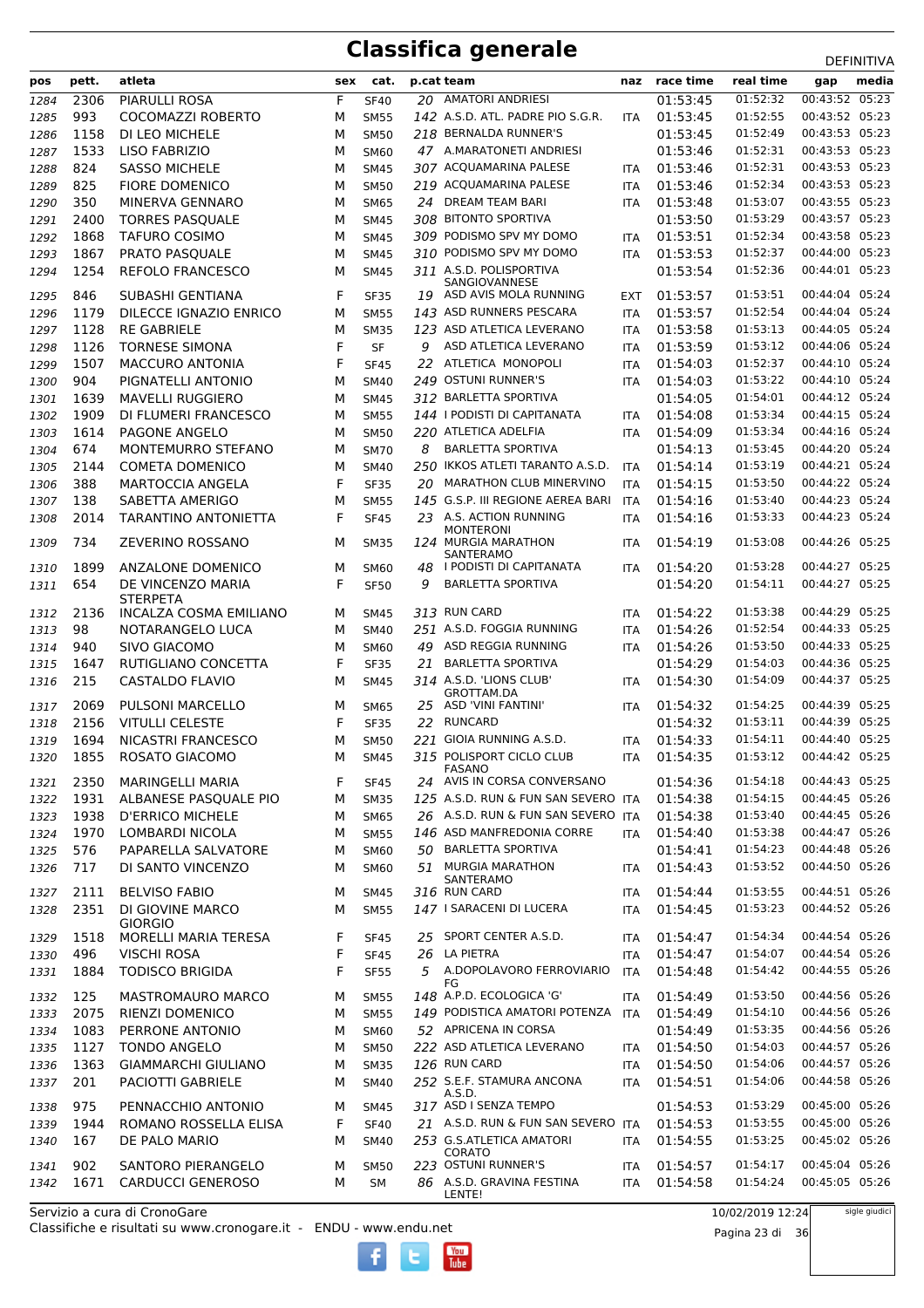|              |             | atleta                                             |        |                            |    |                                                                          |                          | race time            | real time            | <b>ת יוויווים</b>                |
|--------------|-------------|----------------------------------------------------|--------|----------------------------|----|--------------------------------------------------------------------------|--------------------------|----------------------|----------------------|----------------------------------|
| pos          | pett.       |                                                    | sex    | cat.                       |    | p.cat team                                                               | naz                      |                      |                      | media<br>gap                     |
| 1284         | 2306        | <b>PIARULLI ROSA</b>                               | F      | <b>SF40</b>                |    | 20 AMATORI ANDRIESI                                                      |                          | 01:53:45             | 01:52:32             | 00:43:52 05:23                   |
| 1285         | 993         | COCOMAZZI ROBERTO                                  | M      | <b>SM55</b>                |    | 142 A.S.D. ATL. PADRE PIO S.G.R.                                         | <b>ITA</b>               | 01:53:45             | 01:52:55             | 00:43:52 05:23                   |
| 1286         | 1158        | DI LEO MICHELE                                     | M      | <b>SM50</b>                |    | 218 BERNALDA RUNNER'S                                                    |                          | 01:53:45             | 01:52:49             | 00:43:53 05:23                   |
| 1287         | 1533        | <b>LISO FABRIZIO</b>                               | M      | <b>SM60</b>                |    | 47 A.MARATONETI ANDRIESI                                                 |                          | 01:53:46             | 01:52:31             | 00:43:53 05:23                   |
| 1288         | 824         | <b>SASSO MICHELE</b>                               | M      | <b>SM45</b>                |    | 307 ACQUAMARINA PALESE                                                   | <b>ITA</b>               | 01:53:46             | 01:52:31             | 00:43:53 05:23                   |
| 1289         | 825         | <b>FIORE DOMENICO</b>                              | M      | <b>SM50</b>                |    | 219 ACQUAMARINA PALESE                                                   | <b>ITA</b>               | 01:53:46             | 01:52:34             | 00:43:53 05:23                   |
| 1290         | 350         | MINERVA GENNARO                                    | М      | <b>SM65</b>                | 24 | DREAM TEAM BARI                                                          | <b>ITA</b>               | 01:53:48             | 01:53:07             | 00:43:55 05:23                   |
| 1291         | 2400        | <b>TORRES PASQUALE</b>                             | M      | <b>SM45</b>                |    | 308 BITONTO SPORTIVA                                                     |                          | 01:53:50             | 01:53:29             | 00:43:57 05:23<br>00:43:58 05:23 |
| 1292         | 1868        | <b>TAFURO COSIMO</b>                               | M      | <b>SM45</b>                |    | 309 PODISMO SPV MY DOMO<br>310 PODISMO SPV MY DOMO                       | ITA                      | 01:53:51             | 01:52:34             |                                  |
| 1293         | 1867        | <b>PRATO PASOUALE</b>                              | M      | <b>SM45</b>                |    |                                                                          | <b>ITA</b>               | 01:53:53             | 01:52:37             | 00:44:00 05:23                   |
| 1294<br>1295 | 1254<br>846 | REFOLO FRANCESCO<br>SUBASHI GENTIANA               | M<br>F | <b>SM45</b><br><b>SF35</b> | 19 | 311 A.S.D. POLISPORTIVA<br><b>SANGIOVANNESE</b><br>ASD AVIS MOLA RUNNING | EXT                      | 01:53:54<br>01:53:57 | 01:52:36<br>01:53:51 | 00:44:01 05:23<br>00:44:04 05:24 |
| 1296         | 1179        | DILECCE IGNAZIO ENRICO                             | м      | <b>SM55</b>                |    | 143 ASD RUNNERS PESCARA                                                  | <b>ITA</b>               | 01:53:57             | 01:52:54             | 00:44:04 05:24                   |
| 1297         | 1128        | <b>RE GABRIELE</b>                                 | M      | <b>SM35</b>                |    | 123 ASD ATLETICA LEVERANO                                                | ITA                      | 01:53:58             | 01:53:13             | 00:44:05 05:24                   |
| 1298         | 1126        | <b>TORNESE SIMONA</b>                              | F      | <b>SF</b>                  | 9  | ASD ATLETICA LEVERANO                                                    | <b>ITA</b>               | 01:53:59             | 01:53:12             | 00:44:06 05:24                   |
| 1299         | 1507        | <b>MACCURO ANTONIA</b>                             | F      | <b>SF45</b>                | 22 | ATLETICA MONOPOLI                                                        | <b>ITA</b>               | 01:54:03             | 01:52:37             | 00:44:10 05:24                   |
| 1300         | 904         | PIGNATELLI ANTONIO                                 | м      | <b>SM40</b>                |    | 249 OSTUNI RUNNER'S                                                      | <b>ITA</b>               | 01:54:03             | 01:53:22             | 00:44:10 05:24                   |
| 1301         | 1639        | <b>MAVELLI RUGGIERO</b>                            | M      | <b>SM45</b>                |    | 312 BARLETTA SPORTIVA                                                    |                          | 01:54:05             | 01:54:01             | 00:44:12 05:24                   |
| 1302         | 1909        | DI FLUMERI FRANCESCO                               | м      | <b>SM55</b>                |    | 144   PODISTI DI CAPITANATA                                              | <b>ITA</b>               | 01:54:08             | 01:53:34             | 00:44:15 05:24                   |
| 1303         | 1614        | PAGONE ANGELO                                      | M      | <b>SM50</b>                |    | 220 ATLETICA ADELFIA                                                     | <b>ITA</b>               | 01:54:09             | 01:53:34             | 00:44:16 05:24                   |
| 1304         | 674         | <b>MONTEMURRO STEFANO</b>                          | M      | <b>SM70</b>                | 8  | <b>BARLETTA SPORTIVA</b>                                                 |                          | 01:54:13             | 01:53:45             | 00:44:20 05:24                   |
| 1305         | 2144        | <b>COMETA DOMENICO</b>                             | M      | <b>SM40</b>                |    | 250 IKKOS ATLETI TARANTO A.S.D.                                          | <b>ITA</b>               | 01:54:14             | 01:53:19             | 00:44:21 05:24                   |
| 1306         | 388         | <b>MARTOCCIA ANGELA</b>                            | F      | <b>SF35</b>                | 20 | MARATHON CLUB MINERVINO                                                  | <b>ITA</b>               | 01:54:15             | 01:53:50             | 00:44:22 05:24                   |
| 1307         | 138         | SABETTA AMERIGO                                    | м      | <b>SM55</b>                |    | 145 G.S.P. III REGIONE AEREA BARI                                        | ITA                      | 01:54:16             | 01:53:40             | 00:44:23 05:24                   |
| 1308         | 2014        | TARANTINO ANTONIETTA                               | F      | <b>SF45</b>                |    | 23 A.S. ACTION RUNNING<br><b>MONTERONI</b>                               | <b>ITA</b>               | 01:54:16             | 01:53:33             | 00:44:23 05:24                   |
| 1309         | 734         | ZEVERINO ROSSANO                                   | м      | <b>SM35</b>                |    | 124 MURGIA MARATHON<br>SANTERAMO                                         | ITA                      | 01:54:19             | 01:53:08             | 00:44:26 05:25                   |
| 1310         | 1899        | <b>ANZALONE DOMENICO</b>                           | M      | SM60                       | 48 | I PODISTI DI CAPITANATA                                                  | <b>ITA</b>               | 01:54:20             | 01:53:28             | 00:44:27 05:25                   |
| 1311         | 654         | DE VINCENZO MARIA                                  | F      | <b>SF50</b>                | 9  | <b>BARLETTA SPORTIVA</b>                                                 |                          | 01:54:20             | 01:54:11             | 00:44:27 05:25                   |
|              |             | <b>STERPETA</b>                                    |        |                            |    | 313 RUN CARD                                                             |                          |                      | 01:53:38             | 00:44:29 05:25                   |
| 1312         | 2136<br>98  | INCALZA COSMA EMILIANO                             | м      | SM45                       |    | 251 A.S.D. FOGGIA RUNNING                                                | <b>ITA</b>               | 01:54:22<br>01:54:26 | 01:52:54             | 00:44:33 05:25                   |
| 1313         |             | NOTARANGELO LUCA                                   | M      | <b>SM40</b>                |    | ASD REGGIA RUNNING                                                       | <b>ITA</b>               |                      | 01:53:50             | 00:44:33 05:25                   |
| 1314         | 940         | SIVO GIACOMO                                       | M      | <b>SM60</b>                | 49 |                                                                          | <b>ITA</b>               | 01:54:26             |                      |                                  |
| 1315         | 1647        | RUTIGLIANO CONCETTA                                | F      | <b>SF35</b>                | 21 | <b>BARLETTA SPORTIVA</b>                                                 |                          | 01:54:29             | 01:54:03             | 00:44:36 05:25                   |
| 1316         | 215         | CASTALDO FLAVIO                                    | M      | <b>SM45</b>                |    | 314 A.S.D. 'LIONS CLUB'<br>GROTTAM.DA                                    | <b>ITA</b>               | 01:54:30             | 01:54:09             | 00:44:37 05:25                   |
| 1317         | 2069        | <b>PULSONI MARCELLO</b>                            | м      | SM65                       |    | 25 ASD 'VINI FANTINI'                                                    | <b>ITA</b>               | 01:54:32             | 01:54:25             | 00:44:39 05:25                   |
| 1318         | 2156        | <b>VITULLI CELESTE</b>                             | F      | <b>SF35</b>                | 22 | <b>RUNCARD</b>                                                           |                          | 01:54:32             | 01:53:11             | 00:44:39 05:25                   |
| 1319         | 1694        | NICASTRI FRANCESCO                                 | M      | <b>SM50</b>                |    | 221 GIOIA RUNNING A.S.D.                                                 | ITA                      | 01:54:33             | 01:54:11             | 00:44:40 05:25                   |
| 1320         | 1855        | ROSATO GIACOMO                                     | м      | <b>SM45</b>                |    | 315 POLISPORT CICLO CLUB<br><b>FASANO</b>                                | <b>ITA</b>               | 01:54:35             | 01:53:12             | 00:44:42 05:25                   |
| 1321         | 2350        | MARINGELLI MARIA                                   | F      | SF45                       |    | 24 AVIS IN CORSA CONVERSANO                                              |                          | 01:54:36             | 01:54:18             | 00:44:43 05:25                   |
| 1322         | 1931        | ALBANESE PASOUALE PIO                              | М      | <b>SM35</b>                |    | 125 A.S.D. RUN & FUN SAN SEVERO ITA                                      |                          | 01:54:38             | 01:54:15             | 00:44:45 05:26                   |
| 1323         | 1938        | <b>D'ERRICO MICHELE</b>                            | м      | <b>SM65</b>                |    | 26 A.S.D. RUN & FUN SAN SEVERO ITA                                       |                          | 01:54:38             | 01:53:40             | 00:44:45 05:26                   |
| 1324         | 1970        | <b>LOMBARDI NICOLA</b>                             | м      | <b>SM55</b>                |    | 146 ASD MANFREDONIA CORRE                                                | <b>ITA</b>               | 01:54:40             | 01:53:38             | 00:44:47 05:26                   |
| 1325         | 576         | PAPARELLA SALVATORE                                | м      | <b>SM60</b>                | 50 | <b>BARLETTA SPORTIVA</b>                                                 |                          | 01:54:41             | 01:54:23             | 00:44:48 05:26                   |
| 1326         | 717<br>2111 | DI SANTO VINCENZO<br><b>BELVISO FABIO</b>          | м<br>м | <b>SM60</b><br><b>SM45</b> |    | 51 MURGIA MARATHON<br>SANTERAMO<br>316 RUN CARD                          | <b>ITA</b><br>ITA        | 01:54:43<br>01:54:44 | 01:53:52<br>01:53:55 | 00:44:50 05:26<br>00:44:51 05:26 |
| 1327         | 2351        | DI GIOVINE MARCO                                   |        | <b>SM55</b>                |    | 147 I SARACENI DI LUCERA                                                 | <b>ITA</b>               | 01:54:45             | 01:53:23             | 00:44:52 05:26                   |
| 1328         | 1518        | <b>GIORGIO</b><br>MORELLI MARIA TERESA             | M<br>F |                            |    | 25 SPORT CENTER A.S.D.                                                   |                          | 01:54:47             | 01:54:34             | 00:44:54 05:26                   |
| 1329         |             |                                                    |        | <b>SF45</b>                |    | 26 LA PIETRA                                                             | <b>ITA</b>               | 01:54:47             | 01:54:07             | 00:44:54 05:26                   |
| 1330         | 496         | <b>VISCHI ROSA</b>                                 | F      | <b>SF45</b>                |    |                                                                          | ITA                      |                      |                      |                                  |
| 1331<br>1332 | 1884<br>125 | <b>TODISCO BRIGIDA</b><br><b>MASTROMAURO MARCO</b> | F<br>м | <b>SF55</b><br><b>SM55</b> |    | 5 A.DOPOLAVORO FERROVIARIO<br>FG<br>148 A.P.D. ECOLOGICA 'G'             | <b>ITA</b><br><b>ITA</b> | 01:54:48<br>01:54:49 | 01:54:42<br>01:53:50 | 00:44:55 05:26<br>00:44:56 05:26 |
| 1333         | 2075        | <b>RIENZI DOMENICO</b>                             | М      | <b>SM55</b>                |    | 149 PODISTICA AMATORI POTENZA                                            | ITA                      | 01:54:49             | 01:54:10             | 00:44:56 05:26                   |
| 1334         | 1083        | PERRONE ANTONIO                                    | м      | SM60                       |    | 52 APRICENA IN CORSA                                                     |                          | 01:54:49             | 01:53:35             | 00:44:56 05:26                   |
| 1335         | 1127        | <b>TONDO ANGELO</b>                                | м      | <b>SM50</b>                |    | 222 ASD ATLETICA LEVERANO                                                | <b>ITA</b>               | 01:54:50             | 01:54:03             | 00:44:57 05:26                   |
| 1336         | 1363        | <b>GIAMMARCHI GIULIANO</b>                         | М      | <b>SM35</b>                |    | 126 RUN CARD                                                             | <b>ITA</b>               | 01:54:50             | 01:54:06             | 00:44:57 05:26                   |
| 1337         | 201         | PACIOTTI GABRIELE                                  | M      | <b>SM40</b>                |    | 252 S.E.F. STAMURA ANCONA<br>A.S.D.                                      | <b>ITA</b>               | 01:54:51             | 01:54:06             | 00:44:58 05:26                   |
| 1338         | 975         | PENNACCHIO ANTONIO                                 | м      | <b>SM45</b>                |    | 317 ASD I SENZA TEMPO                                                    |                          | 01:54:53             | 01:53:29             | 00:45:00 05:26                   |
| 1339         | 1944        | ROMANO ROSSELLA ELISA                              | F      | <b>SF40</b>                |    | 21 A.S.D. RUN & FUN SAN SEVERO ITA                                       |                          | 01:54:53             | 01:53:55             | 00:45:00 05:26                   |
| 1340         | 167         | DE PALO MARIO                                      | м      | <b>SM40</b>                |    | 253 G.S.ATLETICA AMATORI                                                 | ITA                      | 01:54:55             | 01:53:25             | 00:45:02 05:26                   |
| 1341         | 902         | SANTORO PIERANGELO                                 | м      | <b>SM50</b>                |    | CORATO<br>223 OSTUNI RUNNER'S                                            | <b>ITA</b>               | 01:54:57             | 01:54:17             | 00:45:04 05:26                   |
| 1342         | 1671        | CARDUCCI GENEROSO                                  | М      | SΜ                         |    | 86 A.S.D. GRAVINA FESTINA<br>LENTE!                                      | ITA                      | 01:54:58             | 01:54:24             | 00:45:05 05:26                   |

 $\begin{bmatrix}\n\frac{\text{Vou}}{\text{Iube}}\n\end{bmatrix}$ 

Classifiche e risultati su www.cronogare.it - ENDU - www.endu.net Servizio a cura di CronoGare

10/02/2019 12:24

Pagina 23 di 36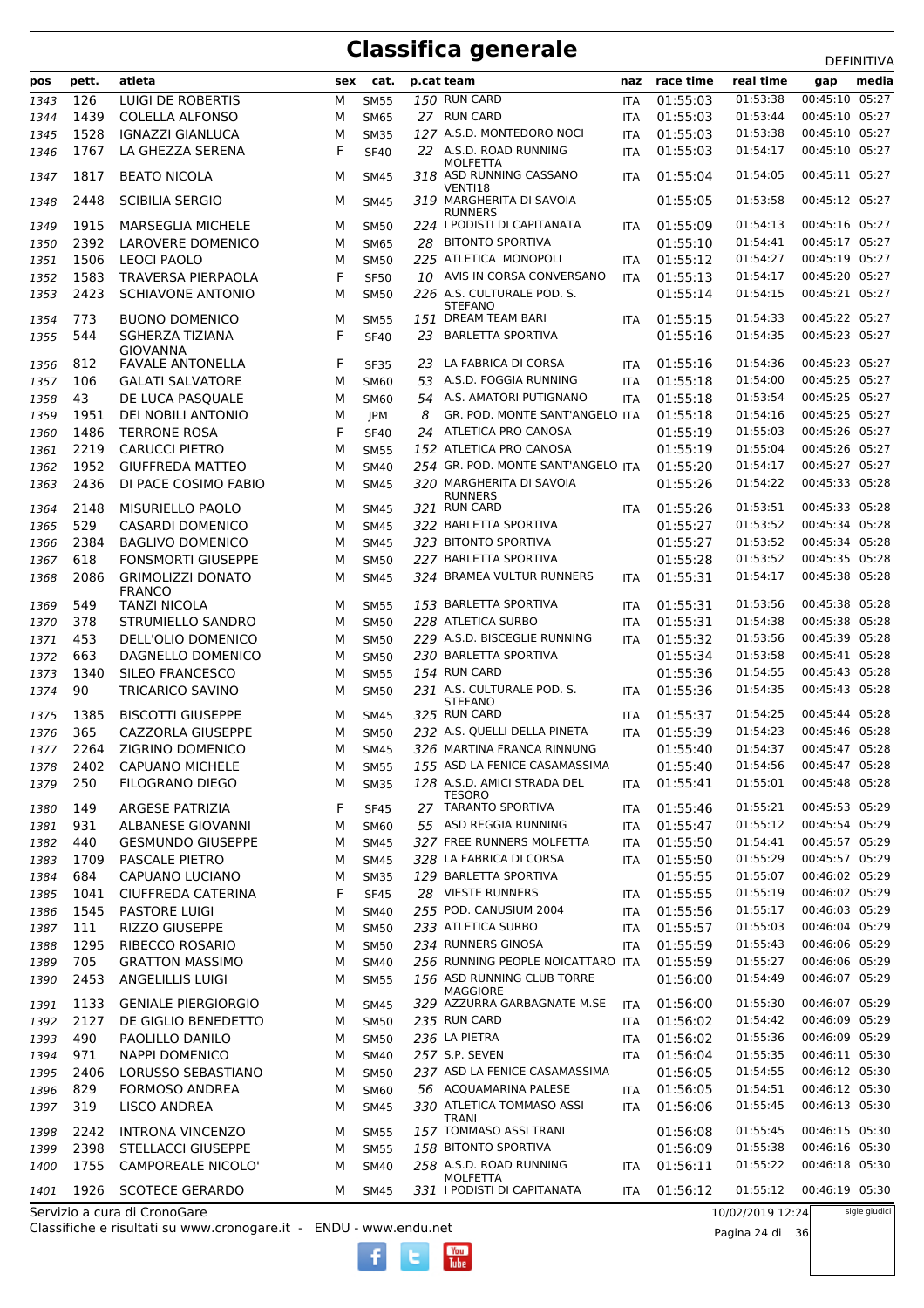|      | pett. | atleta                                    | sex    | cat.        |    | p.cat team                                          | naz        | race time            | real time            | ᅛᄂᆝᄞᅁᄓᅜ<br>media                 |
|------|-------|-------------------------------------------|--------|-------------|----|-----------------------------------------------------|------------|----------------------|----------------------|----------------------------------|
| pos  |       |                                           |        |             |    |                                                     |            |                      | 01:53:38             | gap<br>00:45:10 05:27            |
| 1343 | 126   | LUIGI DE ROBERTIS                         | м      | <b>SM55</b> |    | 150 RUN CARD                                        | <b>ITA</b> | 01:55:03             |                      |                                  |
| 1344 | 1439  | <b>COLELLA ALFONSO</b>                    | M      | <b>SM65</b> |    | 27 RUN CARD                                         | <b>ITA</b> | 01:55:03             | 01:53:44             | 00:45:10 05:27                   |
| 1345 | 1528  | <b>IGNAZZI GIANLUCA</b>                   | M<br>F | <b>SM35</b> |    | 127 A.S.D. MONTEDORO NOCI<br>22 A.S.D. ROAD RUNNING | ITA        | 01:55:03<br>01:55:03 | 01:53:38<br>01:54:17 | 00:45:10 05:27<br>00:45:10 05:27 |
| 1346 | 1767  | LA GHEZZA SERENA                          |        | <b>SF40</b> |    | <b>MOLFETTA</b>                                     | <b>ITA</b> |                      |                      |                                  |
| 1347 | 1817  | <b>BEATO NICOLA</b>                       | M      | SM45        |    | 318 ASD RUNNING CASSANO<br>VENTI18                  | <b>ITA</b> | 01:55:04             | 01:54:05             | 00:45:11 05:27                   |
| 1348 | 2448  | <b>SCIBILIA SERGIO</b>                    | M      | <b>SM45</b> |    | 319 MARGHERITA DI SAVOIA<br><b>RUNNERS</b>          |            | 01:55:05             | 01:53:58             | 00:45:12 05:27                   |
| 1349 | 1915  | <b>MARSEGLIA MICHELE</b>                  | M      | <b>SM50</b> |    | 224 I PODISTI DI CAPITANATA                         | <b>ITA</b> | 01:55:09             | 01:54:13             | 00:45:16 05:27                   |
| 1350 | 2392  | <b>LAROVERE DOMENICO</b>                  | M      | <b>SM65</b> | 28 | BITONTO SPORTIVA                                    |            | 01:55:10             | 01:54:41             | 00:45:17 05:27                   |
| 1351 | 1506  | <b>LEOCI PAOLO</b>                        | M      | <b>SM50</b> |    | 225 ATLETICA MONOPOLI                               | <b>ITA</b> | 01:55:12             | 01:54:27             | 00:45:19 05:27                   |
| 1352 | 1583  | <b>TRAVERSA PIERPAOLA</b>                 | F      | <b>SF50</b> |    | 10 AVIS IN CORSA CONVERSANO                         | <b>ITA</b> | 01:55:13             | 01:54:17             | 00:45:20 05:27                   |
| 1353 | 2423  | <b>SCHIAVONE ANTONIO</b>                  | м      | <b>SM50</b> |    | 226 A.S. CULTURALE POD. S.<br><b>STEFANO</b>        |            | 01:55:14             | 01:54:15             | 00:45:21 05:27                   |
| 1354 | 773   | <b>BUONO DOMENICO</b>                     | M      | <b>SM55</b> |    | 151 DREAM TEAM BARI                                 | <b>ITA</b> | 01:55:15             | 01:54:33             | 00:45:22 05:27                   |
| 1355 | 544   | SGHERZA TIZIANA<br><b>GIOVANNA</b>        | F      | <b>SF40</b> | 23 | <b>BARLETTA SPORTIVA</b>                            |            | 01:55:16             | 01:54:35             | 00:45:23 05:27                   |
| 1356 | 812   | <b>FAVALE ANTONELLA</b>                   | F      | <b>SF35</b> |    | 23 LA FABRICA DI CORSA                              | <b>ITA</b> | 01:55:16             | 01:54:36             | 00:45:23 05:27                   |
| 1357 | 106   | <b>GALATI SALVATORE</b>                   | M      | <b>SM60</b> | 53 | A.S.D. FOGGIA RUNNING                               | <b>ITA</b> | 01:55:18             | 01:54:00             | 00:45:25 05:27                   |
| 1358 | 43    | DE LUCA PASQUALE                          | M      | <b>SM60</b> |    | 54 A.S. AMATORI PUTIGNANO                           | <b>ITA</b> | 01:55:18             | 01:53:54             | 00:45:25 05:27                   |
| 1359 | 1951  | DEI NOBILI ANTONIO                        | M      | JPM         | 8  | GR. POD. MONTE SANT'ANGELO ITA                      |            | 01:55:18             | 01:54:16             | 00:45:25 05:27                   |
| 1360 | 1486  | <b>TERRONE ROSA</b>                       | F      | <b>SF40</b> | 24 | ATLETICA PRO CANOSA                                 |            | 01:55:19             | 01:55:03             | 00:45:26 05:27                   |
| 1361 | 2219  | <b>CARUCCI PIETRO</b>                     | M      | <b>SM55</b> |    | 152 ATLETICA PRO CANOSA                             |            | 01:55:19             | 01:55:04             | 00:45:26 05:27                   |
| 1362 | 1952  | <b>GIUFFREDA MATTEO</b>                   | M      | <b>SM40</b> |    | 254 GR. POD. MONTE SANT'ANGELO ITA                  |            | 01:55:20             | 01:54:17             | 00:45:27 05:27                   |
| 1363 | 2436  | DI PACE COSIMO FABIO                      | M      | <b>SM45</b> |    | 320 MARGHERITA DI SAVOIA<br><b>RUNNERS</b>          |            | 01:55:26             | 01:54:22             | 00:45:33 05:28                   |
| 1364 | 2148  | MISURIELLO PAOLO                          | M      | SM45        |    | 321 RUN CARD                                        | <b>ITA</b> | 01:55:26             | 01:53:51             | 00:45:33 05:28                   |
| 1365 | 529   | <b>CASARDI DOMENICO</b>                   | M      | <b>SM45</b> |    | 322 BARLETTA SPORTIVA                               |            | 01:55:27             | 01:53:52             | 00:45:34 05:28                   |
| 1366 | 2384  | <b>BAGLIVO DOMENICO</b>                   | M      | <b>SM45</b> |    | 323 BITONTO SPORTIVA                                |            | 01:55:27             | 01:53:52             | 00:45:34 05:28                   |
| 1367 | 618   | FONSMORTI GIUSEPPE                        | M      | <b>SM50</b> |    | 227 BARLETTA SPORTIVA                               |            | 01:55:28             | 01:53:52             | 00:45:35 05:28                   |
| 1368 | 2086  | <b>GRIMOLIZZI DONATO</b><br><b>FRANCO</b> | M      | <b>SM45</b> |    | 324 BRAMEA VULTUR RUNNERS                           | <b>ITA</b> | 01:55:31             | 01:54:17             | 00:45:38 05:28                   |
| 1369 | 549   | TANZI NICOLA                              | M      | <b>SM55</b> |    | 153 BARLETTA SPORTIVA                               | <b>ITA</b> | 01:55:31             | 01:53:56             | 00:45:38 05:28                   |
| 1370 | 378   | STRUMIELLO SANDRO                         | M      | <b>SM50</b> |    | 228 ATLETICA SURBO                                  | <b>ITA</b> | 01:55:31             | 01:54:38             | 00:45:38 05:28                   |
| 1371 | 453   | DELL'OLIO DOMENICO                        | М      | <b>SM50</b> |    | 229 A.S.D. BISCEGLIE RUNNING                        | <b>ITA</b> | 01:55:32             | 01:53:56             | 00:45:39 05:28                   |
| 1372 | 663   | DAGNELLO DOMENICO                         | M      | <b>SM50</b> |    | 230 BARLETTA SPORTIVA                               |            | 01:55:34             | 01:53:58             | 00:45:41 05:28                   |
| 1373 | 1340  | SILEO FRANCESCO                           | M      | <b>SM55</b> |    | 154 RUN CARD                                        |            | 01:55:36             | 01:54:55             | 00:45:43 05:28                   |
| 1374 | 90    | TRICARICO SAVINO                          | M      | <b>SM50</b> |    | 231 A.S. CULTURALE POD. S.<br><b>STEFANO</b>        | <b>ITA</b> | 01:55:36             | 01:54:35             | 00:45:43 05:28                   |
| 1375 | 1385  | <b>BISCOTTI GIUSEPPE</b>                  | M      | <b>SM45</b> |    | 325 RUN CARD                                        | <b>ITA</b> | 01:55:37             | 01:54:25             | 00:45:44 05:28                   |
| 1376 | 365   | CAZZORLA GIUSEPPE                         | M      | <b>SM50</b> |    | 232 A.S. QUELLI DELLA PINETA                        | <b>ITA</b> | 01:55:39             | 01:54:23             | 00:45:46 05:28                   |
| 1377 | 2264  | ZIGRINO DOMENICO                          | M      | <b>SM45</b> |    | 326 MARTINA FRANCA RINNUNG                          |            | 01:55:40             | 01:54:37             | 00:45:47 05:28                   |
| 1378 | 2402  | <b>CAPUANO MICHELE</b>                    | м      | <b>SM55</b> |    | 155 ASD LA FENICE CASAMASSIMA                       |            | 01:55:40             | 01:54:56             | 00:45:47 05:28                   |
| 1379 | 250   | <b>FILOGRANO DIEGO</b>                    | М      | <b>SM35</b> |    | 128 A.S.D. AMICI STRADA DEL<br>TESORO               | ITA        | 01:55:41             | 01:55:01             | 00:45:48 05:28                   |
| 1380 | 149   | <b>ARGESE PATRIZIA</b>                    | F      | <b>SF45</b> |    | 27 TARANTO SPORTIVA                                 | ITA        | 01:55:46             | 01:55:21             | 00:45:53 05:29                   |
| 1381 | 931   | ALBANESE GIOVANNI                         | М      | <b>SM60</b> |    | 55 ASD REGGIA RUNNING                               | <b>ITA</b> | 01:55:47             | 01:55:12             | 00:45:54 05:29                   |
| 1382 | 440   | <b>GESMUNDO GIUSEPPE</b>                  | М      | <b>SM45</b> |    | 327 FREE RUNNERS MOLFETTA                           | <b>ITA</b> | 01:55:50             | 01:54:41             | 00:45:57 05:29                   |
| 1383 | 1709  | <b>PASCALE PIETRO</b>                     | M      | <b>SM45</b> |    | 328 LA FABRICA DI CORSA                             | ITA        | 01:55:50             | 01:55:29             | 00:45:57 05:29                   |
| 1384 | 684   | CAPUANO LUCIANO                           | М      | <b>SM35</b> |    | 129 BARLETTA SPORTIVA                               |            | 01:55:55             | 01:55:07             | 00:46:02 05:29                   |
| 1385 | 1041  | CIUFFREDA CATERINA                        | F      | <b>SF45</b> |    | 28 VIESTE RUNNERS                                   | ITA        | 01:55:55             | 01:55:19             | 00:46:02 05:29                   |
| 1386 | 1545  | <b>PASTORE LUIGI</b>                      | М      | <b>SM40</b> |    | 255 POD. CANUSIUM 2004                              | <b>ITA</b> | 01:55:56             | 01:55:17             | 00:46:03 05:29                   |
| 1387 | 111   | <b>RIZZO GIUSEPPE</b>                     | М      | <b>SM50</b> |    | 233 ATLETICA SURBO                                  | <b>ITA</b> | 01:55:57             | 01:55:03             | 00:46:04 05:29                   |
| 1388 | 1295  | RIBECCO ROSARIO                           | М      | <b>SM50</b> |    | 234 RUNNERS GINOSA                                  | <b>ITA</b> | 01:55:59             | 01:55:43             | 00:46:06 05:29                   |
| 1389 | 705   | <b>GRATTON MASSIMO</b>                    | M      | <b>SM40</b> |    | 256 RUNNING PEOPLE NOICATTARO ITA                   |            | 01:55:59             | 01:55:27             | 00:46:06 05:29                   |
| 1390 | 2453  | <b>ANGELILLIS LUIGI</b>                   | M      | <b>SM55</b> |    | 156 ASD RUNNING CLUB TORRE<br>MAGGIORE              |            | 01:56:00             | 01:54:49             | 00:46:07 05:29                   |
| 1391 | 1133  | <b>GENIALE PIERGIORGIO</b>                | м      | <b>SM45</b> |    | 329 AZZURRA GARBAGNATE M.SE                         | <b>ITA</b> | 01:56:00             | 01:55:30             | 00:46:07 05:29                   |
| 1392 | 2127  | DE GIGLIO BENEDETTO                       | М      | <b>SM50</b> |    | 235 RUN CARD                                        | ITA        | 01:56:02             | 01:54:42             | 00:46:09 05:29                   |
| 1393 | 490   | PAOLILLO DANILO                           | М      | <b>SM50</b> |    | 236 LA PIETRA                                       | ITA        | 01:56:02             | 01:55:36             | 00:46:09 05:29                   |
| 1394 | 971   | <b>NAPPI DOMENICO</b>                     | М      | <b>SM40</b> |    | 257 S.P. SEVEN                                      | <b>ITA</b> | 01:56:04             | 01:55:35             | 00:46:11 05:30                   |
| 1395 | 2406  | LORUSSO SEBASTIANO                        | М      | <b>SM50</b> |    | 237 ASD LA FENICE CASAMASSIMA                       |            | 01:56:05             | 01:54:55             | 00:46:12 05:30                   |
| 1396 | 829   | FORMOSO ANDREA                            | М      | <b>SM60</b> |    | 56 ACQUAMARINA PALESE                               | ITA        | 01:56:05             | 01:54:51             | 00:46:12 05:30                   |
| 1397 | 319   | LISCO ANDREA                              | М      | <b>SM45</b> |    | 330 ATLETICA TOMMASO ASSI<br>TRANI                  | <b>ITA</b> | 01:56:06             | 01:55:45             | 00:46:13 05:30                   |
| 1398 | 2242  | <b>INTRONA VINCENZO</b>                   | м      | <b>SM55</b> |    | 157 TOMMASO ASSI TRANI                              |            | 01:56:08             | 01:55:45             | 00:46:15 05:30                   |
| 1399 | 2398  | <b>STELLACCI GIUSEPPE</b>                 | М      | <b>SM55</b> |    | 158 BITONTO SPORTIVA                                |            | 01:56:09             | 01:55:38             | 00:46:16 05:30                   |
| 1400 | 1755  | <b>CAMPOREALE NICOLO'</b>                 | M      | <b>SM40</b> |    | 258 A.S.D. ROAD RUNNING<br><b>MOLFETTA</b>          | ITA        | 01:56:11             | 01:55:22             | 00:46:18 05:30                   |
| 1401 | 1926  | <b>SCOTECE GERARDO</b>                    | м      | <b>SM45</b> |    | 331 I PODISTI DI CAPITANATA                         | <b>ITA</b> | 01:56:12             | 01:55:12             | 00:46:19 05:30                   |
|      |       | Servizio a cura di CronoGare              |        |             |    |                                                     |            |                      | 10/02/2019 12:24     | sigle giudici                    |

 $\frac{\text{Vou}}{\text{Iube}}$ 

Servizio a cura di CronoGare

Classifiche e risultati su www.cronogare.it - ENDU - www.endu.net

10/02/2019 12:24

Pagina 24 di 36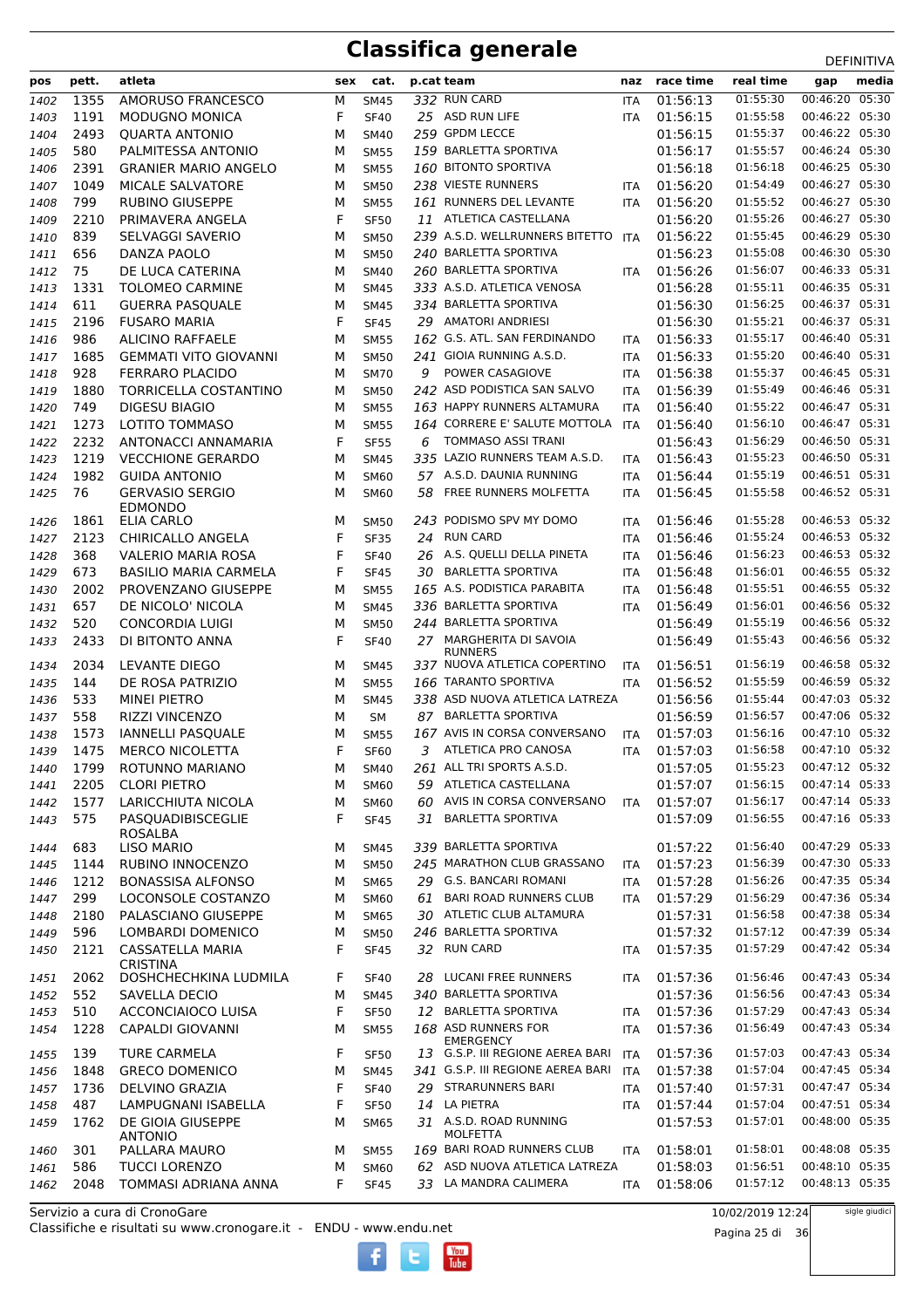| pos          | pett.        | atleta                                          | sex    | cat.                       |    | p.cat team                                                 | naz                      | race time            | real time            | -----------<br>media<br>gap      |
|--------------|--------------|-------------------------------------------------|--------|----------------------------|----|------------------------------------------------------------|--------------------------|----------------------|----------------------|----------------------------------|
| 1402         | 1355         | AMORUSO FRANCESCO                               | М      | <b>SM45</b>                |    | 332 RUN CARD                                               | <b>ITA</b>               | 01:56:13             | 01:55:30             | 00:46:20 05:30                   |
| 1403         | 1191         | <b>MODUGNO MONICA</b>                           | F      | <b>SF40</b>                |    | 25 ASD RUN LIFE                                            | <b>ITA</b>               | 01:56:15             | 01:55:58             | 00:46:22 05:30                   |
| 1404         | 2493         | <b>QUARTA ANTONIO</b>                           | М      | <b>SM40</b>                |    | 259 GPDM LECCE                                             |                          | 01:56:15             | 01:55:37             | 00:46:22 05:30                   |
| 1405         | 580          | PALMITESSA ANTONIO                              | М      | <b>SM55</b>                |    | 159 BARLETTA SPORTIVA                                      |                          | 01:56:17             | 01:55:57             | 00:46:24 05:30                   |
| 1406         | 2391         | <b>GRANIER MARIO ANGELO</b>                     | М      | <b>SM55</b>                |    | 160 BITONTO SPORTIVA                                       |                          | 01:56:18             | 01:56:18             | 00:46:25 05:30                   |
| 1407         | 1049         | MICALE SALVATORE                                | М      | <b>SM50</b>                |    | 238 VIESTE RUNNERS                                         | ITA                      | 01:56:20             | 01:54:49             | 00:46:27 05:30                   |
| 1408         | 799          | <b>RUBINO GIUSEPPE</b>                          | М      | <b>SM55</b>                |    | 161 RUNNERS DEL LEVANTE                                    | <b>ITA</b>               | 01:56:20             | 01:55:52             | 00:46:27 05:30                   |
| 1409         | 2210         | PRIMAVERA ANGELA                                | F      | <b>SF50</b>                |    | 11 ATLETICA CASTELLANA                                     |                          | 01:56:20             | 01:55:26             | 00:46:27 05:30                   |
| 1410         | 839          | SELVAGGI SAVERIO                                | М      | <b>SM50</b>                |    | 239 A.S.D. WELLRUNNERS BITETTO                             | <b>ITA</b>               | 01:56:22             | 01:55:45             | 00:46:29 05:30                   |
| 1411         | 656          | DANZA PAOLO                                     | М      | <b>SM50</b>                |    | 240 BARLETTA SPORTIVA                                      |                          | 01:56:23             | 01:55:08             | 00:46:30 05:30                   |
| 1412         | 75           | DE LUCA CATERINA                                | М      | <b>SM40</b>                |    | 260 BARLETTA SPORTIVA                                      | <b>ITA</b>               | 01:56:26             | 01:56:07             | 00:46:33 05:31                   |
| 1413         | 1331         | <b>TOLOMEO CARMINE</b>                          | M      | <b>SM45</b>                |    | 333 A.S.D. ATLETICA VENOSA                                 |                          | 01:56:28             | 01:55:11             | 00:46:35 05:31                   |
| 1414         | 611          | <b>GUERRA PASQUALE</b>                          | м      | <b>SM45</b>                |    | 334 BARLETTA SPORTIVA                                      |                          | 01:56:30             | 01:56:25             | 00:46:37 05:31                   |
| 1415         | 2196         | <b>FUSARO MARIA</b>                             | F      | <b>SF45</b>                |    | 29 AMATORI ANDRIESI                                        |                          | 01:56:30             | 01:55:21             | 00:46:37 05:31                   |
| 1416         | 986          | <b>ALICINO RAFFAELE</b>                         | М      | <b>SM55</b>                |    | 162 G.S. ATL. SAN FERDINANDO                               | <b>ITA</b>               | 01:56:33             | 01:55:17             | 00:46:40 05:31                   |
| 1417         | 1685         | <b>GEMMATI VITO GIOVANNI</b>                    | М      | <b>SM50</b>                |    | 241 GIOIA RUNNING A.S.D.                                   | <b>ITA</b>               | 01:56:33             | 01:55:20             | 00:46:40 05:31                   |
| 1418         | 928          | <b>FERRARO PLACIDO</b>                          | М      | <b>SM70</b>                | 9  | POWER CASAGIOVE                                            | <b>ITA</b>               | 01:56:38             | 01:55:37             | 00:46:45 05:31                   |
| 1419         | 1880         | TORRICELLA COSTANTINO                           | M      | <b>SM50</b>                |    | 242 ASD PODISTICA SAN SALVO                                | <b>ITA</b>               | 01:56:39             | 01:55:49             | 00:46:46 05:31                   |
| 1420         | 749          | <b>DIGESU BIAGIO</b>                            | М      | <b>SM55</b>                |    | 163 HAPPY RUNNERS ALTAMURA                                 | ITA                      | 01:56:40             | 01:55:22             | 00:46:47 05:31                   |
| 1421         | 1273         | LOTITO TOMMASO                                  | м      | <b>SM55</b>                |    | 164 CORRERE E' SALUTE MOTTOLA<br><b>TOMMASO ASSI TRANI</b> | <b>ITA</b>               | 01:56:40             | 01:56:10<br>01:56:29 | 00:46:47 05:31<br>00:46:50 05:31 |
| 1422<br>1423 | 2232<br>1219 | ANTONACCI ANNAMARIA<br><b>VECCHIONE GERARDO</b> | F<br>м | <b>SF55</b>                | 6  | 335 LAZIO RUNNERS TEAM A.S.D.                              |                          | 01:56:43<br>01:56:43 | 01:55:23             | 00:46:50 05:31                   |
| 1424         | 1982         | <b>GUIDA ANTONIO</b>                            | М      | <b>SM45</b><br><b>SM60</b> |    | 57 A.S.D. DAUNIA RUNNING                                   | <b>ITA</b><br><b>ITA</b> | 01:56:44             | 01:55:19             | 00:46:51 05:31                   |
| 1425         | 76           | <b>GERVASIO SERGIO</b>                          | M      | <b>SM60</b>                | 58 | FREE RUNNERS MOLFETTA                                      | ITA                      | 01:56:45             | 01:55:58             | 00:46:52 05:31                   |
|              |              | <b>EDMONDO</b>                                  |        |                            |    |                                                            |                          |                      |                      |                                  |
| 1426         | 1861         | ELIA CARLO                                      | M      | <b>SM50</b>                |    | 243 PODISMO SPV MY DOMO                                    | ITA                      | 01:56:46             | 01:55:28             | 00:46:53 05:32                   |
| 1427         | 2123         | CHIRICALLO ANGELA                               | F      | <b>SF35</b>                |    | 24 RUN CARD                                                | <b>ITA</b>               | 01:56:46             | 01:55:24             | 00:46:53 05:32                   |
| 1428         | 368          | <b>VALERIO MARIA ROSA</b>                       | F      | <b>SF40</b>                |    | 26 A.S. QUELLI DELLA PINETA                                | <b>ITA</b>               | 01:56:46             | 01:56:23             | 00:46:53 05:32                   |
| 1429         | 673          | <b>BASILIO MARIA CARMELA</b>                    | F      | <b>SF45</b>                | 30 | <b>BARLETTA SPORTIVA</b>                                   | <b>ITA</b>               | 01:56:48             | 01:56:01             | 00:46:55 05:32                   |
| 1430         | 2002         | PROVENZANO GIUSEPPE                             | м      | <b>SM55</b>                |    | 165 A.S. PODISTICA PARABITA                                | <b>ITA</b>               | 01:56:48             | 01:55:51             | 00:46:55 05:32                   |
| 1431         | 657          | DE NICOLO' NICOLA                               | М      | <b>SM45</b>                |    | 336 BARLETTA SPORTIVA                                      | <b>ITA</b>               | 01:56:49             | 01:56:01             | 00:46:56 05:32                   |
| 1432         | 520          | <b>CONCORDIA LUIGI</b>                          | м      | <b>SM50</b>                |    | 244 BARLETTA SPORTIVA                                      |                          | 01:56:49             | 01:55:19             | 00:46:56 05:32                   |
| 1433         | 2433         | DI BITONTO ANNA                                 | F      | <b>SF40</b>                |    | 27 MARGHERITA DI SAVOIA<br><b>RUNNERS</b>                  |                          | 01:56:49             | 01:55:43             | 00:46:56 05:32                   |
| 1434         | 2034         | LEVANTE DIEGO                                   | М      | SM45                       |    | 337 NUOVA ATLETICA COPERTINO                               | ITA                      | 01:56:51             | 01:56:19             | 00:46:58 05:32                   |
| 1435         | 144          | DE ROSA PATRIZIO                                | M      | <b>SM55</b>                |    | 166 TARANTO SPORTIVA                                       | <b>ITA</b>               | 01:56:52             | 01:55:59             | 00:46:59 05:32                   |
| 1436         | 533          | <b>MINEI PIETRO</b>                             | М      | <b>SM45</b>                |    | 338 ASD NUOVA ATLETICA LATREZA                             |                          | 01:56:56             | 01:55:44             | 00:47:03 05:32                   |
| 1437         | 558          | <b>RIZZI VINCENZO</b>                           | M      | SΜ                         |    | 87 BARLETTA SPORTIVA                                       |                          | 01:56:59             | 01:56:57             | 00:47:06 05:32                   |
| 1438         | 1573         | <b>IANNELLI PASQUALE</b>                        | м      | <b>SM55</b>                |    | 167 AVIS IN CORSA CONVERSANO                               | ITA                      | 01:57:03             | 01:56:16             | 00:47:10 05:32                   |
| 1439         | 1475         | <b>MERCO NICOLETTA</b>                          | F      | <b>SF60</b>                | 3  | ATLETICA PRO CANOSA                                        | <b>ITA</b>               | 01:57:03             | 01:56:58             | 00:47:10 05:32                   |
| 1440         | 1799         | ROTUNNO MARIANO                                 | М      | <b>SM40</b>                |    | 261 ALL TRI SPORTS A.S.D.                                  |                          | 01:57:05             | 01:55:23             | 00:47:12 05:32                   |
| 1441         | 2205         | <b>CLORI PIETRO</b>                             | M      | <b>SM60</b>                |    | 59 ATLETICA CASTELLANA                                     |                          | 01:57:07             | 01:56:15             | 00:47:14 05:33                   |
| 1442         | 1577         | LARICCHIUTA NICOLA                              | м      | <b>SM60</b>                | 60 | AVIS IN CORSA CONVERSANO                                   | <b>ITA</b>               | 01:57:07             | 01:56:17             | 00:47:14 05:33                   |
| 1443         | 575          | PASQUADIBISCEGLIE                               | F      | <b>SF45</b>                | 31 | <b>BARLETTA SPORTIVA</b>                                   |                          | 01:57:09             | 01:56:55             | 00:47:16 05:33                   |
| 1444         | 683          | ROSALBA<br><b>LISO MARIO</b>                    | М      | SM45                       |    | 339 BARLETTA SPORTIVA                                      |                          | 01:57:22             | 01:56:40             | 00:47:29 05:33                   |
| 1445         | 1144         | RUBINO INNOCENZO                                | М      | <b>SM50</b>                |    | 245 MARATHON CLUB GRASSANO                                 | ITA                      | 01:57:23             | 01:56:39             | 00:47:30 05:33                   |
| 1446         | 1212         | <b>BONASSISA ALFONSO</b>                        | М      | <b>SM65</b>                |    | 29 G.S. BANCARI ROMANI                                     | ITA                      | 01:57:28             | 01:56:26             | 00:47:35 05:34                   |
| 1447         | 299          | LOCONSOLE COSTANZO                              | М      | <b>SM60</b>                | 61 | <b>BARI ROAD RUNNERS CLUB</b>                              | <b>ITA</b>               | 01:57:29             | 01:56:29             | 00:47:36 05:34                   |
| 1448         | 2180         | PALASCIANO GIUSEPPE                             | м      | <b>SM65</b>                |    | 30 ATLETIC CLUB ALTAMURA                                   |                          | 01:57:31             | 01:56:58             | 00:47:38 05:34                   |
| 1449         | 596          | <b>LOMBARDI DOMENICO</b>                        | м      | <b>SM50</b>                |    | 246 BARLETTA SPORTIVA                                      |                          | 01:57:32             | 01:57:12             | 00:47:39 05:34                   |
| 1450         | 2121         | <b>CASSATELLA MARIA</b>                         | F      | <b>SF45</b>                |    | 32 RUN CARD                                                | ITA                      | 01:57:35             | 01:57:29             | 00:47:42 05:34                   |
|              |              | <b>CRISTINA</b>                                 |        |                            |    |                                                            |                          |                      |                      |                                  |
| 1451         | 2062         | DOSHCHECHKINA LUDMILA                           | F      | <b>SF40</b>                |    | 28 LUCANI FREE RUNNERS                                     | ITA                      | 01:57:36             | 01:56:46             | 00:47:43 05:34                   |
| 1452         | 552          | SAVELLA DECIO                                   | М      | <b>SM45</b>                |    | 340 BARLETTA SPORTIVA                                      |                          | 01:57:36             | 01:56:56             | 00:47:43 05:34                   |
| 1453         | 510          | <b>ACCONCIAIOCO LUISA</b>                       | F      | <b>SF50</b>                |    | 12 BARLETTA SPORTIVA                                       | <b>ITA</b>               | 01:57:36             | 01:57:29             | 00:47:43 05:34                   |
| 1454         | 1228         | CAPALDI GIOVANNI                                | М      | <b>SM55</b>                |    | 168 ASD RUNNERS FOR<br><b>EMERGENCY</b>                    | ITA                      | 01:57:36             | 01:56:49             | 00:47:43 05:34                   |
| 1455         | 139          | <b>TURE CARMELA</b>                             | F      | <b>SF50</b>                |    | 13 G.S.P. III REGIONE AEREA BARI                           | <b>ITA</b>               | 01:57:36             | 01:57:03             | 00:47:43 05:34                   |
| 1456         | 1848         | <b>GRECO DOMENICO</b>                           | М      | <b>SM45</b>                |    | 341 G.S.P. III REGIONE AEREA BARI                          | ITA                      | 01:57:38             | 01:57:04             | 00:47:45 05:34                   |
| 1457         | 1736         | DELVINO GRAZIA                                  | F      | <b>SF40</b>                |    | 29 STRARUNNERS BARI                                        | <b>ITA</b>               | 01:57:40             | 01:57:31             | 00:47:47 05:34                   |
| 1458         | 487          | LAMPUGNANI ISABELLA                             | F      | <b>SF50</b>                |    | 14 LA PIETRA                                               | <b>ITA</b>               | 01:57:44             | 01:57:04             | 00:47:51 05:34                   |
| 1459         | 1762         | DE GIOIA GIUSEPPE                               | М      | <b>SM65</b>                |    | 31 A.S.D. ROAD RUNNING<br><b>MOLFETTA</b>                  |                          | 01:57:53             | 01:57:01             | 00:48:00 05:35                   |
| 1460         | 301          | <b>ANTONIO</b><br>PALLARA MAURO                 | М      | <b>SM55</b>                |    | 169 BARI ROAD RUNNERS CLUB                                 | ITA                      | 01:58:01             | 01:58:01             | 00:48:08 05:35                   |
| 1461         | 586          | <b>TUCCI LORENZO</b>                            | М      | <b>SM60</b>                |    | 62 ASD NUOVA ATLETICA LATREZA                              |                          | 01:58:03             | 01:56:51             | 00:48:10 05:35                   |
| 1462         | 2048         | TOMMASI ADRIANA ANNA                            | F      | <b>SF45</b>                |    | 33 LA MANDRA CALIMERA                                      | ITA                      | 01:58:06             | 01:57:12             | 00:48:13 05:35                   |
|              |              |                                                 |        |                            |    |                                                            |                          |                      |                      |                                  |

 $\begin{bmatrix}\n\frac{\text{Vou}}{\text{Iube}}\n\end{bmatrix}$ 

Classifiche e risultati su www.cronogare.it - ENDU - www.endu.net Servizio a cura di CronoGare

10/02/2019 12:24

Pagina 25 di 36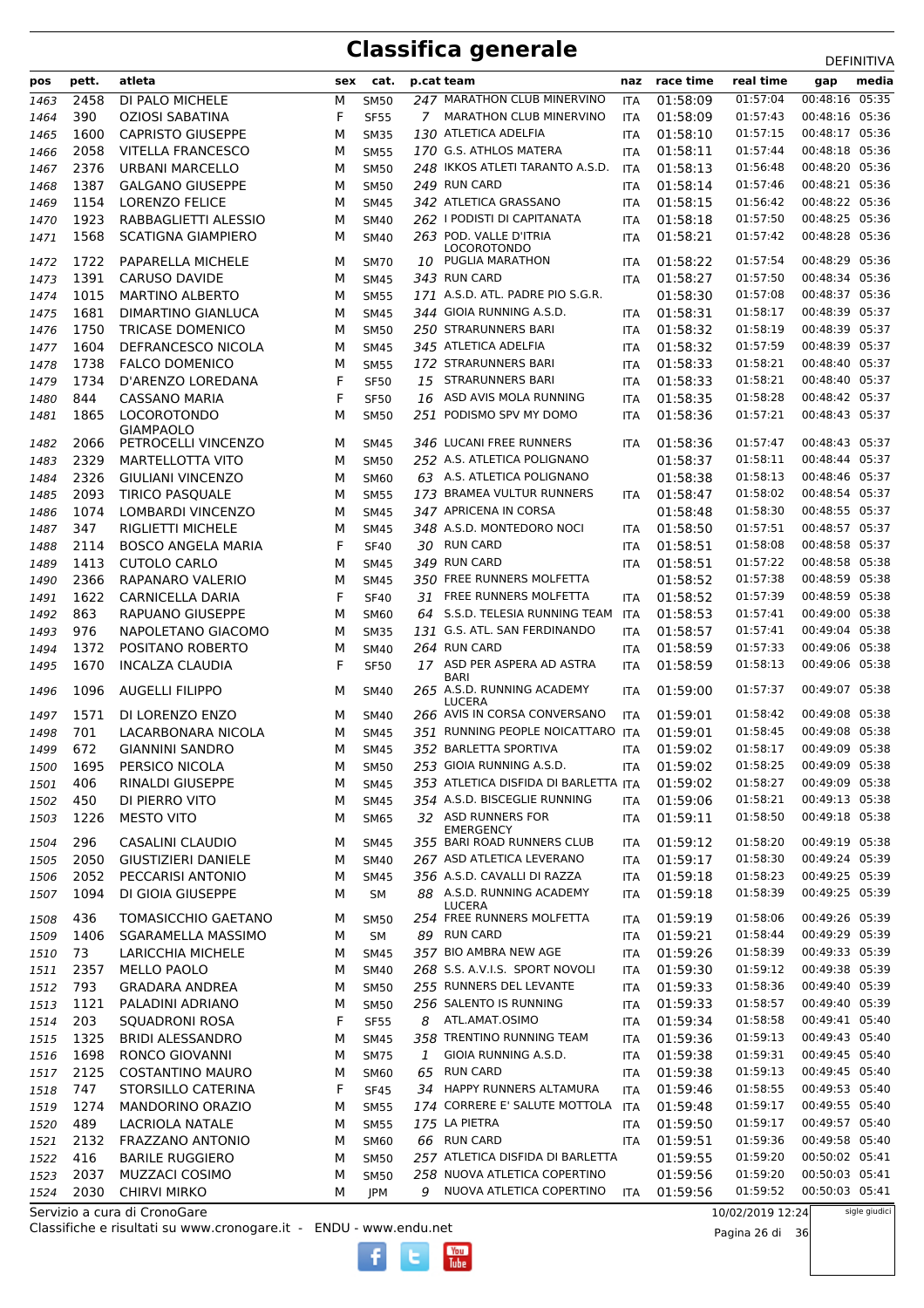| pos          | pett.        | atleta                                      | sex    | cat.                       |    | p.cat team                                  | naz                      | race time | real time | -----------<br>media             |
|--------------|--------------|---------------------------------------------|--------|----------------------------|----|---------------------------------------------|--------------------------|-----------|-----------|----------------------------------|
|              | 2458         |                                             |        |                            |    | 247 MARATHON CLUB MINERVINO                 |                          | 01:58:09  | 01:57:04  | gap<br>00:48:16 05:35            |
| 1463         | 390          | DI PALO MICHELE<br><b>OZIOSI SABATINA</b>   | М<br>F | <b>SM50</b><br><b>SF55</b> |    | 7 MARATHON CLUB MINERVINO                   | <b>ITA</b>               | 01:58:09  | 01:57:43  | 00:48:16 05:36                   |
| 1464         | 1600         | <b>CAPRISTO GIUSEPPE</b>                    |        |                            |    | 130 ATLETICA ADELFIA                        | <b>ITA</b>               | 01:58:10  | 01:57:15  | 00:48:17 05:36                   |
| 1465         |              |                                             | M      | <b>SM35</b>                |    | 170 G.S. ATHLOS MATERA                      | ITA                      | 01:58:11  | 01:57:44  | 00:48:18 05:36                   |
| 1466<br>1467 | 2058<br>2376 | <b>VITELLA FRANCESCO</b><br>URBANI MARCELLO | M<br>M | <b>SM55</b><br><b>SM50</b> |    | 248 IKKOS ATLETI TARANTO A.S.D.             | <b>ITA</b><br><b>ITA</b> | 01:58:13  | 01:56:48  | 00:48:20 05:36                   |
| 1468         | 1387         | <b>GALGANO GIUSEPPE</b>                     | M      | <b>SM50</b>                |    | 249 RUN CARD                                |                          | 01:58:14  | 01:57:46  | 00:48:21 05:36                   |
| 1469         | 1154         | <b>LORENZO FELICE</b>                       | M      | <b>SM45</b>                |    | 342 ATLETICA GRASSANO                       | ITA<br><b>ITA</b>        | 01:58:15  | 01:56:42  | 00:48:22 05:36                   |
| 1470         | 1923         | RABBAGLIETTI ALESSIO                        | M      | <b>SM40</b>                |    | 262 I PODISTI DI CAPITANATA                 | <b>ITA</b>               | 01:58:18  | 01:57:50  | 00:48:25 05:36                   |
| 1471         | 1568         | <b>SCATIGNA GIAMPIERO</b>                   | M      | <b>SM40</b>                |    | 263 POD. VALLE D'ITRIA                      | ITA                      | 01:58:21  | 01:57:42  | 00:48:28 05:36                   |
|              |              |                                             |        |                            |    | <b>LOCOROTONDO</b>                          |                          |           |           |                                  |
| 1472         | 1722         | <b>PAPARELLA MICHELE</b>                    | M      | <b>SM70</b>                | 10 | PUGLIA MARATHON                             | <b>ITA</b>               | 01:58:22  | 01:57:54  | 00:48:29 05:36                   |
| 1473         | 1391         | <b>CARUSO DAVIDE</b>                        | M      | <b>SM45</b>                |    | 343 RUN CARD                                | <b>ITA</b>               | 01:58:27  | 01:57:50  | 00:48:34 05:36                   |
| 1474         | 1015         | <b>MARTINO ALBERTO</b>                      | M      | <b>SM55</b>                |    | 171 A.S.D. ATL. PADRE PIO S.G.R.            |                          | 01:58:30  | 01:57:08  | 00:48:37 05:36                   |
| 1475         | 1681         | DIMARTINO GIANLUCA                          | M      | <b>SM45</b>                |    | 344 GIOIA RUNNING A.S.D.                    | <b>ITA</b>               | 01:58:31  | 01:58:17  | 00:48:39 05:37                   |
| 1476         | 1750         | <b>TRICASE DOMENICO</b>                     | M      | <b>SM50</b>                |    | 250 STRARUNNERS BARI                        | ITA                      | 01:58:32  | 01:58:19  | 00:48:39 05:37                   |
| 1477         | 1604         | DEFRANCESCO NICOLA                          | М      | <b>SM45</b>                |    | 345 ATLETICA ADELFIA                        | <b>ITA</b>               | 01:58:32  | 01:57:59  | 00:48:39 05:37                   |
| 1478         | 1738         | <b>FALCO DOMENICO</b>                       | М      | <b>SM55</b>                |    | 172 STRARUNNERS BARI                        | <b>ITA</b>               | 01:58:33  | 01:58:21  | 00:48:40 05:37                   |
| 1479         | 1734         | D'ARENZO LOREDANA                           | F      | <b>SF50</b>                | 15 | STRARUNNERS BARI                            | <b>ITA</b>               | 01:58:33  | 01:58:21  | 00:48:40 05:37                   |
| 1480         | 844          | CASSANO MARIA                               | F      | <b>SF50</b>                |    | 16 ASD AVIS MOLA RUNNING                    | <b>ITA</b>               | 01:58:35  | 01:58:28  | 00:48:42 05:37                   |
| 1481         | 1865         | <b>LOCOROTONDO</b>                          | M      | <b>SM50</b>                |    | 251 PODISMO SPV MY DOMO                     | <b>ITA</b>               | 01:58:36  | 01:57:21  | 00:48:43 05:37                   |
| 1482         | 2066         | <b>GIAMPAOLO</b><br>PETROCELLI VINCENZO     | M      | <b>SM45</b>                |    | 346 LUCANI FREE RUNNERS                     | <b>ITA</b>               | 01:58:36  | 01:57:47  | 00:48:43 05:37                   |
| 1483         | 2329         | <b>MARTELLOTTA VITO</b>                     | M      | <b>SM50</b>                |    | 252 A.S. ATLETICA POLIGNANO                 |                          | 01:58:37  | 01:58:11  | 00:48:44 05:37                   |
| 1484         | 2326         | <b>GIULIANI VINCENZO</b>                    | M      | <b>SM60</b>                |    | 63 A.S. ATLETICA POLIGNANO                  |                          | 01:58:38  | 01:58:13  | 00:48:46 05:37                   |
| 1485         | 2093         | <b>TIRICO PASQUALE</b>                      | М      | <b>SM55</b>                |    | 173 BRAMEA VULTUR RUNNERS                   | <b>ITA</b>               | 01:58:47  | 01:58:02  | 00:48:54 05:37                   |
| 1486         | 1074         | <b>LOMBARDI VINCENZO</b>                    | М      | <b>SM45</b>                |    | 347 APRICENA IN CORSA                       |                          | 01:58:48  | 01:58:30  | 00:48:55 05:37                   |
| 1487         | 347          | <b>RIGLIETTI MICHELE</b>                    | м      | <b>SM45</b>                |    | 348 A.S.D. MONTEDORO NOCI                   | <b>ITA</b>               | 01:58:50  | 01:57:51  | 00:48:57 05:37                   |
| 1488         | 2114         | <b>BOSCO ANGELA MARIA</b>                   | F      | <b>SF40</b>                |    | 30 RUN CARD                                 | <b>ITA</b>               | 01:58:51  | 01:58:08  | 00:48:58 05:37                   |
| 1489         | 1413         | <b>CUTOLO CARLO</b>                         | М      | <b>SM45</b>                |    | 349 RUN CARD                                | <b>ITA</b>               | 01:58:51  | 01:57:22  | 00:48:58 05:38                   |
| 1490         | 2366         | RAPANARO VALERIO                            | М      | <b>SM45</b>                |    | 350 FREE RUNNERS MOLFETTA                   |                          | 01:58:52  | 01:57:38  | 00:48:59 05:38                   |
| 1491         | 1622         | CARNICELLA DARIA                            | F      | <b>SF40</b>                |    | 31 FREE RUNNERS MOLFETTA                    | <b>ITA</b>               | 01:58:52  | 01:57:39  | 00:48:59 05:38                   |
| 1492         | 863          | RAPUANO GIUSEPPE                            | М      | <b>SM60</b>                |    | 64 S.S.D. TELESIA RUNNING TEAM              | ITA                      | 01:58:53  | 01:57:41  | 00:49:00 05:38                   |
| 1493         | 976          | NAPOLETANO GIACOMO                          | M      | <b>SM35</b>                |    | 131 G.S. ATL. SAN FERDINANDO                | <b>ITA</b>               | 01:58:57  | 01:57:41  | 00:49:04 05:38                   |
| 1494         | 1372         | POSITANO ROBERTO                            | м      | <b>SM40</b>                |    | 264 RUN CARD                                | <b>ITA</b>               | 01:58:59  | 01:57:33  | 00:49:06 05:38                   |
| 1495         | 1670         | <b>INCALZA CLAUDIA</b>                      | F      | <b>SF50</b>                | 17 | ASD PER ASPERA AD ASTRA                     | ITA                      | 01:58:59  | 01:58:13  | 00:49:06 05:38                   |
|              |              |                                             |        |                            |    | <b>BARI</b>                                 |                          |           |           |                                  |
| 1496         | 1096         | <b>AUGELLI FILIPPO</b>                      | M      | <b>SM40</b>                |    | 265 A.S.D. RUNNING ACADEMY<br><b>LUCERA</b> | <b>ITA</b>               | 01:59:00  | 01:57:37  | 00:49:07 05:38                   |
| 1497         | 1571         | DI LORENZO ENZO                             | M      | <b>SM40</b>                |    | 266 AVIS IN CORSA CONVERSANO                | <b>ITA</b>               | 01:59:01  | 01:58:42  | 00:49:08 05:38                   |
| 1498         | 701          | LACARBONARA NICOLA                          | м      | <b>SM45</b>                |    | 351 RUNNING PEOPLE NOICATTARO ITA           |                          | 01:59:01  | 01:58:45  | 00:49:08 05:38                   |
| 1499         | 672          | <b>GIANNINI SANDRO</b>                      | М      | <b>SM45</b>                |    | 352 BARLETTA SPORTIVA                       | <b>ITA</b>               | 01:59:02  | 01:58:17  | 00:49:09 05:38                   |
| 1500         | 1695         | PERSICO NICOLA                              | М      | <b>SM50</b>                |    | 253 GIOIA RUNNING A.S.D.                    | ITA                      | 01:59:02  | 01:58:25  | 00:49:09 05:38                   |
| 1501         | 406          | RINALDI GIUSEPPE                            | М      | <b>SM45</b>                |    | 353 ATLETICA DISFIDA DI BARLETTA ITA        |                          | 01:59:02  | 01:58:27  | 00:49:09 05:38<br>00:49:13 05:38 |
| 1502         | 450          | DI PIERRO VITO                              | М      | <b>SM45</b>                |    | 354 A.S.D. BISCEGLIE RUNNING                | ITA                      | 01:59:06  | 01:58:21  |                                  |
| 1503         | 1226         | <b>MESTO VITO</b>                           | М      | <b>SM65</b>                |    | 32 ASD RUNNERS FOR<br><b>EMERGENCY</b>      | ITA                      | 01:59:11  | 01:58:50  | 00:49:18 05:38                   |
| 1504         | 296          | CASALINI CLAUDIO                            | М      | <b>SM45</b>                |    | 355 BARI ROAD RUNNERS CLUB                  | ITA                      | 01:59:12  | 01:58:20  | 00:49:19 05:38                   |
| 1505         | 2050         | <b>GIUSTIZIERI DANIELE</b>                  | М      | <b>SM40</b>                |    | 267 ASD ATLETICA LEVERANO                   | ITA                      | 01:59:17  | 01:58:30  | 00:49:24 05:39                   |
| 1506         | 2052         | PECCARISI ANTONIO                           | М      | <b>SM45</b>                |    | 356 A.S.D. CAVALLI DI RAZZA                 | ITA                      | 01:59:18  | 01:58:23  | 00:49:25 05:39                   |
| 1507         | 1094         | DI GIOIA GIUSEPPE                           | М      | <b>SM</b>                  |    | 88 A.S.D. RUNNING ACADEMY<br><b>LUCERA</b>  | ITA                      | 01:59:18  | 01:58:39  | 00:49:25 05:39                   |
| 1508         | 436          | TOMASICCHIO GAETANO                         | М      | <b>SM50</b>                |    | 254 FREE RUNNERS MOLFETTA                   | ITA                      | 01:59:19  | 01:58:06  | 00:49:26 05:39                   |
| 1509         | 1406         | SGARAMELLA MASSIMO                          | М      | SM                         |    | 89 RUN CARD                                 | ITA                      | 01:59:21  | 01:58:44  | 00:49:29 05:39                   |
| 1510         | 73           | LARICCHIA MICHELE                           | м      | <b>SM45</b>                |    | 357 BIO AMBRA NEW AGE                       | ITA                      | 01:59:26  | 01:58:39  | 00:49:33 05:39                   |
| 1511         | 2357         | <b>MELLO PAOLO</b>                          | м      | <b>SM40</b>                |    | 268 S.S. A.V.I.S. SPORT NOVOLI              | ITA                      | 01:59:30  | 01:59:12  | 00:49:38 05:39                   |
| 1512         | 793          | GRADARA ANDREA                              | М      | <b>SM50</b>                |    | 255 RUNNERS DEL LEVANTE                     | ITA                      | 01:59:33  | 01:58:36  | 00:49:40 05:39                   |
| 1513         | 1121         | PALADINI ADRIANO                            | м      | <b>SM50</b>                |    | 256 SALENTO IS RUNNING                      | <b>ITA</b>               | 01:59:33  | 01:58:57  | 00:49:40 05:39                   |
| 1514         | 203          | SQUADRONI ROSA                              | F      | <b>SF55</b>                | 8  | ATL.AMAT.OSIMO                              | ITA                      | 01:59:34  | 01:58:58  | 00:49:41 05:40                   |
| 1515         | 1325         | <b>BRIDI ALESSANDRO</b>                     | М      | <b>SM45</b>                |    | 358 TRENTINO RUNNING TEAM                   | ITA                      | 01:59:36  | 01:59:13  | 00:49:43 05:40                   |
| 1516         | 1698         | RONCO GIOVANNI                              | М      | <b>SM75</b>                | 1  | GIOIA RUNNING A.S.D.                        | ITA                      | 01:59:38  | 01:59:31  | 00:49:45 05:40                   |
| 1517         | 2125         | <b>COSTANTINO MAURO</b>                     | М      | <b>SM60</b>                |    | 65 RUN CARD                                 | ITA                      | 01:59:38  | 01:59:13  | 00:49:45 05:40                   |
| 1518         | 747          | STORSILLO CATERINA                          | F      | <b>SF45</b>                |    | 34 HAPPY RUNNERS ALTAMURA                   | ITA                      | 01:59:46  | 01:58:55  | 00:49:53 05:40                   |
| 1519         | 1274         | MANDORINO ORAZIO                            | М      | <b>SM55</b>                |    | 174 CORRERE E' SALUTE MOTTOLA ITA           |                          | 01:59:48  | 01:59:17  | 00:49:55 05:40                   |
| 1520         | 489          | <b>LACRIOLA NATALE</b>                      | М      | <b>SM55</b>                |    | 175 LA PIETRA                               | ITA                      | 01:59:50  | 01:59:17  | 00:49:57 05:40                   |
| 1521         | 2132         | FRAZZANO ANTONIO                            | М      | <b>SM60</b>                |    | 66 RUN CARD                                 | ITA                      | 01:59:51  | 01:59:36  | 00:49:58 05:40                   |
| 1522         | 416          | <b>BARILE RUGGIERO</b>                      | М      | <b>SM50</b>                |    | 257 ATLETICA DISFIDA DI BARLETTA            |                          | 01:59:55  | 01:59:20  | 00:50:02 05:41                   |
| 1523         | 2037         | MUZZACI COSIMO                              | М      | <b>SM50</b>                |    | 258 NUOVA ATLETICA COPERTINO                |                          | 01:59:56  | 01:59:20  | 00:50:03 05:41                   |
| 1524         | 2030         | <b>CHIRVI MIRKO</b>                         | М      | JPM                        |    | 9 NUOVA ATLETICA COPERTINO                  | ITA                      | 01:59:56  | 01:59:52  | 00:50:03 05:41                   |

 $\begin{bmatrix}\n\frac{\text{Vou}}{\text{Iube}}\n\end{bmatrix}$ 

Servizio a cura di CronoGare

Classifiche e risultati su www.cronogare.it - ENDU - www.endu.net

10/02/2019 12:24

Pagina 26 di 36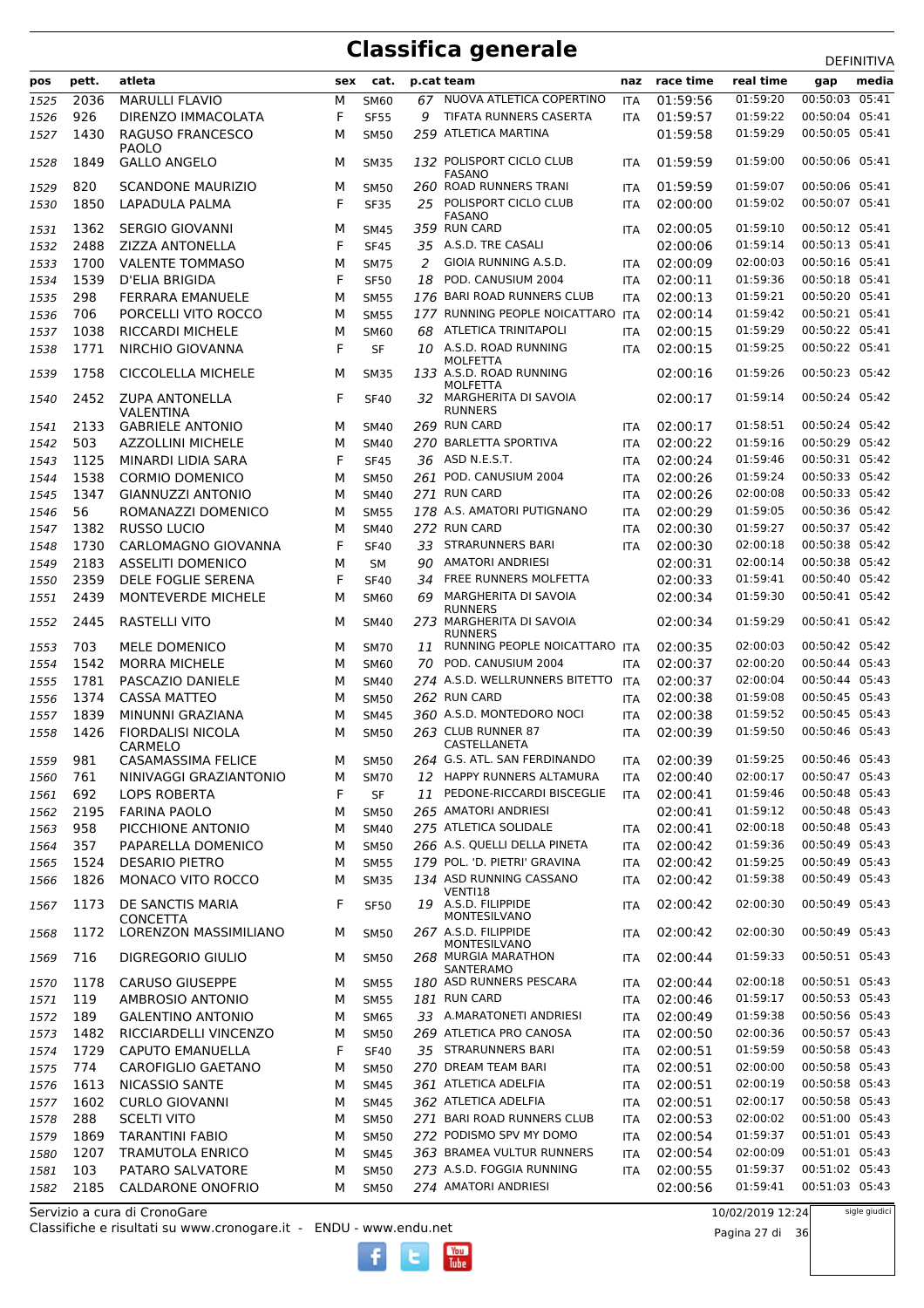|      |       |                           |        |             |    |                                            |            |           |                      | DEFINITIVA                       |
|------|-------|---------------------------|--------|-------------|----|--------------------------------------------|------------|-----------|----------------------|----------------------------------|
| pos  | pett. | atleta                    | sex    | cat.        |    | p.cat team                                 | naz        | race time | real time            | media<br>gap                     |
| 1525 | 2036  | <b>MARULLI FLAVIO</b>     | M      | <b>SM60</b> |    | 67 NUOVA ATLETICA COPERTINO                | <b>ITA</b> | 01:59:56  | 01:59:20             | 00:50:03 05:41                   |
| 1526 | 926   | DIRENZO IMMACOLATA        | F      | <b>SF55</b> | 9  | TIFATA RUNNERS CASERTA                     | <b>ITA</b> | 01:59:57  | 01:59:22             | 00:50:04 05:41                   |
| 1527 | 1430  | RAGUSO FRANCESCO          | М      | <b>SM50</b> |    | 259 ATLETICA MARTINA                       |            | 01:59:58  | 01:59:29             | 00:50:05 05:41                   |
|      |       | PAOLO                     |        |             |    |                                            |            |           |                      |                                  |
| 1528 | 1849  | <b>GALLO ANGELO</b>       | M      | <b>SM35</b> |    | 132 POLISPORT CICLO CLUB<br><b>FASANO</b>  | <b>ITA</b> | 01:59:59  | 01:59:00             | 00:50:06 05:41                   |
| 1529 | 820   | <b>SCANDONE MAURIZIO</b>  | M      | <b>SM50</b> |    | 260 ROAD RUNNERS TRANI                     | <b>ITA</b> | 01:59:59  | 01:59:07             | 00:50:06 05:41                   |
| 1530 | 1850  | LAPADULA PALMA            | F      | <b>SF35</b> |    | 25 POLISPORT CICLO CLUB                    | <b>ITA</b> | 02:00:00  | 01:59:02             | 00:50:07 05:41                   |
|      |       |                           |        |             |    | <b>FASANO</b>                              |            |           |                      |                                  |
| 1531 | 1362  | <b>SERGIO GIOVANNI</b>    | М      | <b>SM45</b> |    | 359 RUN CARD<br>35 A.S.D. TRE CASALI       | <b>ITA</b> | 02:00:05  | 01:59:10<br>01:59:14 | 00:50:12 05:41<br>00:50:13 05:41 |
| 1532 | 2488  | ZIZZA ANTONELLA           | F      | <b>SF45</b> |    | GIOIA RUNNING A.S.D.                       |            | 02:00:06  | 02:00:03             | 00:50:16 05:41                   |
| 1533 | 1700  | <b>VALENTE TOMMASO</b>    | М<br>F | <b>SM75</b> | 2  | POD. CANUSIUM 2004                         | <b>ITA</b> | 02:00:09  |                      | 00:50:18 05:41                   |
| 1534 | 1539  | D'ELIA BRIGIDA            |        | <b>SF50</b> | 18 |                                            | <b>ITA</b> | 02:00:11  | 01:59:36             |                                  |
| 1535 | 298   | FERRARA EMANUELE          | М      | <b>SM55</b> |    | 176 BARI ROAD RUNNERS CLUB                 | <b>ITA</b> | 02:00:13  | 01:59:21             | 00:50:20 05:41<br>00:50:21 05:41 |
| 1536 | 706   | PORCELLI VITO ROCCO       | М      | <b>SM55</b> |    | 177 RUNNING PEOPLE NOICATTARO ITA          |            | 02:00:14  | 01:59:42             |                                  |
| 1537 | 1038  | <b>RICCARDI MICHELE</b>   | М      | <b>SM60</b> | 68 | <b>ATLETICA TRINITAPOLI</b>                | <b>ITA</b> | 02:00:15  | 01:59:29             | 00:50:22 05:41<br>00:50:22 05:41 |
| 1538 | 1771  | NIRCHIO GIOVANNA          | F      | <b>SF</b>   |    | 10 A.S.D. ROAD RUNNING<br>MOLFETTA         | <b>ITA</b> | 02:00:15  | 01:59:25             |                                  |
| 1539 | 1758  | <b>CICCOLELLA MICHELE</b> | м      | <b>SM35</b> |    | 133 A.S.D. ROAD RUNNING                    |            | 02:00:16  | 01:59:26             | 00:50:23 05:42                   |
|      | 2452  | <b>ZUPA ANTONELLA</b>     |        |             |    | <b>MOLFETTA</b><br>32 MARGHERITA DI SAVOIA |            | 02:00:17  | 01:59:14             | 00:50:24 05:42                   |
| 1540 |       | VALENTINA                 | F      | <b>SF40</b> |    | <b>RUNNERS</b>                             |            |           |                      |                                  |
| 1541 | 2133  | <b>GABRIELE ANTONIO</b>   | м      | <b>SM40</b> |    | 269 RUN CARD                               | <b>ITA</b> | 02:00:17  | 01:58:51             | 00:50:24 05:42                   |
| 1542 | 503   | AZZOLLINI MICHELE         | M      | <b>SM40</b> |    | 270 BARLETTA SPORTIVA                      | <b>ITA</b> | 02:00:22  | 01:59:16             | 00:50:29 05:42                   |
| 1543 | 1125  | MINARDI LIDIA SARA        | F      | <b>SF45</b> |    | 36 ASD N.E.S.T.                            | <b>ITA</b> | 02:00:24  | 01:59:46             | 00:50:31 05:42                   |
| 1544 | 1538  | <b>CORMIO DOMENICO</b>    | M      | <b>SM50</b> |    | 261 POD. CANUSIUM 2004                     | <b>ITA</b> | 02:00:26  | 01:59:24             | 00:50:33 05:42                   |
| 1545 | 1347  | <b>GIANNUZZI ANTONIO</b>  | M      | <b>SM40</b> |    | 271 RUN CARD                               | <b>ITA</b> | 02:00:26  | 02:00:08             | 00:50:33 05:42                   |
| 1546 | 56    | ROMANAZZI DOMENICO        | М      | <b>SM55</b> |    | 178 A.S. AMATORI PUTIGNANO                 | <b>ITA</b> | 02:00:29  | 01:59:05             | 00:50:36 05:42                   |
| 1547 | 1382  | <b>RUSSO LUCIO</b>        | М      | <b>SM40</b> |    | 272 RUN CARD                               | <b>ITA</b> | 02:00:30  | 01:59:27             | 00:50:37 05:42                   |
| 1548 | 1730  | CARLOMAGNO GIOVANNA       | F      | <b>SF40</b> | 33 | STRARUNNERS BARI                           | <b>ITA</b> | 02:00:30  | 02:00:18             | 00:50:38 05:42                   |
| 1549 | 2183  | <b>ASSELITI DOMENICO</b>  | М      | <b>SM</b>   | 90 | <b>AMATORI ANDRIESI</b>                    |            | 02:00:31  | 02:00:14             | 00:50:38 05:42                   |
| 1550 | 2359  | DELE FOGLIE SERENA        | F      | <b>SF40</b> | 34 | FREE RUNNERS MOLFETTA                      |            | 02:00:33  | 01:59:41             | 00:50:40 05:42                   |
| 1551 | 2439  | MONTEVERDE MICHELE        | М      | <b>SM60</b> | 69 | MARGHERITA DI SAVOIA                       |            | 02:00:34  | 01:59:30             | 00:50:41 05:42                   |
|      |       |                           |        |             |    | <b>RUNNERS</b>                             |            |           |                      |                                  |
| 1552 | 2445  | RASTELLI VITO             | M      | <b>SM40</b> |    | 273 MARGHERITA DI SAVOIA<br><b>RUNNERS</b> |            | 02:00:34  | 01:59:29             | 00:50:41 05:42                   |
| 1553 | 703   | MELE DOMENICO             | М      | <b>SM70</b> | 11 | RUNNING PEOPLE NOICATTARO ITA              |            | 02:00:35  | 02:00:03             | 00:50:42 05:42                   |
| 1554 | 1542  | <b>MORRA MICHELE</b>      | M      | <b>SM60</b> | 70 | POD. CANUSIUM 2004                         | <b>ITA</b> | 02:00:37  | 02:00:20             | 00:50:44 05:43                   |
| 1555 | 1781  | PASCAZIO DANIELE          | M      | <b>SM40</b> |    | 274 A.S.D. WELLRUNNERS BITETTO             | ITA        | 02:00:37  | 02:00:04             | 00:50:44 05:43                   |
| 1556 | 1374  | <b>CASSA MATTEO</b>       | M      | <b>SM50</b> |    | 262 RUN CARD                               | <b>ITA</b> | 02:00:38  | 01:59:08             | 00:50:45 05:43                   |
| 1557 | 1839  | MINUNNI GRAZIANA          | М      | <b>SM45</b> |    | 360 A.S.D. MONTEDORO NOCI                  | <b>ITA</b> | 02:00:38  | 01:59:52             | 00:50:45 05:43                   |
| 1558 | 1426  | <b>FIORDALISI NICOLA</b>  | М      | <b>SM50</b> |    | 263 CLUB RUNNER 87                         | <b>ITA</b> | 02:00:39  | 01:59:50             | 00:50:46 05:43                   |
|      |       | CARMELO                   |        |             |    | CASTELLANETA                               |            |           |                      |                                  |
| 1559 | 981   | CASAMASSIMA FELICE        | М      | <b>SM50</b> |    | 264 G.S. ATL. SAN FERDINANDO               | <b>ITA</b> | 02:00:39  |                      | 01:59:25 00:50:46 05:43          |
| 1560 | 761   | NINIVAGGI GRAZIANTONIO    | М      | <b>SM70</b> |    | 12 HAPPY RUNNERS ALTAMURA                  | <b>ITA</b> | 02:00:40  | 02:00:17             | 00:50:47 05:43                   |
| 1561 | 692   | LOPS ROBERTA              | F      | <b>SF</b>   |    | 11 PEDONE-RICCARDI BISCEGLIE               | <b>ITA</b> | 02:00:41  | 01:59:46             | 00:50:48 05:43                   |
| 1562 | 2195  | <b>FARINA PAOLO</b>       | М      | <b>SM50</b> |    | 265 AMATORI ANDRIESI                       |            | 02:00:41  | 01:59:12             | 00:50:48 05:43                   |
| 1563 | 958   | PICCHIONE ANTONIO         | M      | <b>SM40</b> |    | 275 ATLETICA SOLIDALE                      | ITA        | 02:00:41  | 02:00:18             | 00:50:48 05:43                   |
| 1564 | 357   | PAPARELLA DOMENICO        | M      | <b>SM50</b> |    | 266 A.S. QUELLI DELLA PINETA               | <b>ITA</b> | 02:00:42  | 01:59:36             | 00:50:49 05:43                   |
| 1565 | 1524  | <b>DESARIO PIETRO</b>     | М      | <b>SM55</b> |    | 179 POL. 'D. PIETRI' GRAVINA               | ITA        | 02:00:42  | 01:59:25             | 00:50:49 05:43                   |
| 1566 | 1826  | MONACO VITO ROCCO         | М      | <b>SM35</b> |    | 134 ASD RUNNING CASSANO                    | <b>ITA</b> | 02:00:42  | 01:59:38             | 00:50:49 05:43                   |
|      | 1173  | DE SANCTIS MARIA          |        |             |    | VENTI18<br>19 A.S.D. FILIPPIDE             |            | 02:00:42  | 02:00:30             | 00:50:49 05:43                   |
| 1567 |       | CONCETTA                  | F      | <b>SF50</b> |    | MONTESILVANO                               | ITA        |           |                      |                                  |
| 1568 | 1172  | LORENZON MASSIMILIANO     | М      | <b>SM50</b> |    | 267 A.S.D. FILIPPIDE                       | ITA        | 02:00:42  | 02:00:30             | 00:50:49 05:43                   |
|      |       |                           |        |             |    | MONTESILVANO                               |            |           |                      |                                  |
| 1569 | 716   | DIGREGORIO GIULIO         | м      | <b>SM50</b> |    | 268 MURGIA MARATHON<br><b>SANTERAMO</b>    | <b>ITA</b> | 02:00:44  | 01:59:33             | 00:50:51 05:43                   |
| 1570 | 1178  | <b>CARUSO GIUSEPPE</b>    | М      | <b>SM55</b> |    | 180 ASD RUNNERS PESCARA                    | ITA        | 02:00:44  | 02:00:18             | 00:50:51 05:43                   |
| 1571 | 119   | AMBROSIO ANTONIO          | М      | <b>SM55</b> |    | 181 RUN CARD                               | <b>ITA</b> | 02:00:46  | 01:59:17             | 00:50:53 05:43                   |
| 1572 | 189   | <b>GALENTINO ANTONIO</b>  | М      | <b>SM65</b> |    | 33 A.MARATONETI ANDRIESI                   | ITA        | 02:00:49  | 01:59:38             | 00:50:56 05:43                   |
| 1573 | 1482  | RICCIARDELLI VINCENZO     | М      | <b>SM50</b> |    | 269 ATLETICA PRO CANOSA                    | ITA        | 02:00:50  | 02:00:36             | 00:50:57 05:43                   |
| 1574 | 1729  | <b>CAPUTO EMANUELLA</b>   | F      | <b>SF40</b> |    | 35 STRARUNNERS BARI                        | <b>ITA</b> | 02:00:51  | 01:59:59             | 00:50:58 05:43                   |
| 1575 | 774   | CAROFIGLIO GAETANO        | М      | <b>SM50</b> |    | 270 DREAM TEAM BARI                        | <b>ITA</b> | 02:00:51  | 02:00:00             | 00:50:58 05:43                   |
| 1576 | 1613  | NICASSIO SANTE            | М      | <b>SM45</b> |    | 361 ATLETICA ADELFIA                       | <b>ITA</b> | 02:00:51  | 02:00:19             | 00:50:58 05:43                   |
| 1577 | 1602  | <b>CURLO GIOVANNI</b>     | М      | <b>SM45</b> |    | 362 ATLETICA ADELFIA                       | <b>ITA</b> | 02:00:51  | 02:00:17             | 00:50:58 05:43                   |
| 1578 | 288   | <b>SCELTI VITO</b>        | М      | <b>SM50</b> |    | 271 BARI ROAD RUNNERS CLUB                 | ITA        | 02:00:53  | 02:00:02             | 00:51:00 05:43                   |
| 1579 | 1869  | <b>TARANTINI FABIO</b>    | М      | <b>SM50</b> |    | 272 PODISMO SPV MY DOMO                    | <b>ITA</b> | 02:00:54  | 01:59:37             | 00:51:01 05:43                   |
| 1580 | 1207  | <b>TRAMUTOLA ENRICO</b>   | М      | <b>SM45</b> |    | 363 BRAMEA VULTUR RUNNERS                  | <b>ITA</b> | 02:00:54  | 02:00:09             | 00:51:01 05:43                   |
| 1581 | 103   | PATARO SALVATORE          | М      | <b>SM50</b> |    | 273 A.S.D. FOGGIA RUNNING                  | <b>ITA</b> | 02:00:55  | 01:59:37             | 00:51:02 05:43                   |
| 1582 | 2185  | <b>CALDARONE ONOFRIO</b>  | М      | <b>SM50</b> |    | 274 AMATORI ANDRIESI                       |            | 02:00:56  | 01:59:41             | 00:51:03 05:43                   |

Classifiche e risultati su www.cronogare.it - ENDU - www.endu.net Servizio a cura di CronoGare

10/02/2019 12:24

Pagina 27 di 36

sigle giudici

 $\begin{bmatrix}\n\frac{\text{Vou}}{\text{Iube}}\n\end{bmatrix}$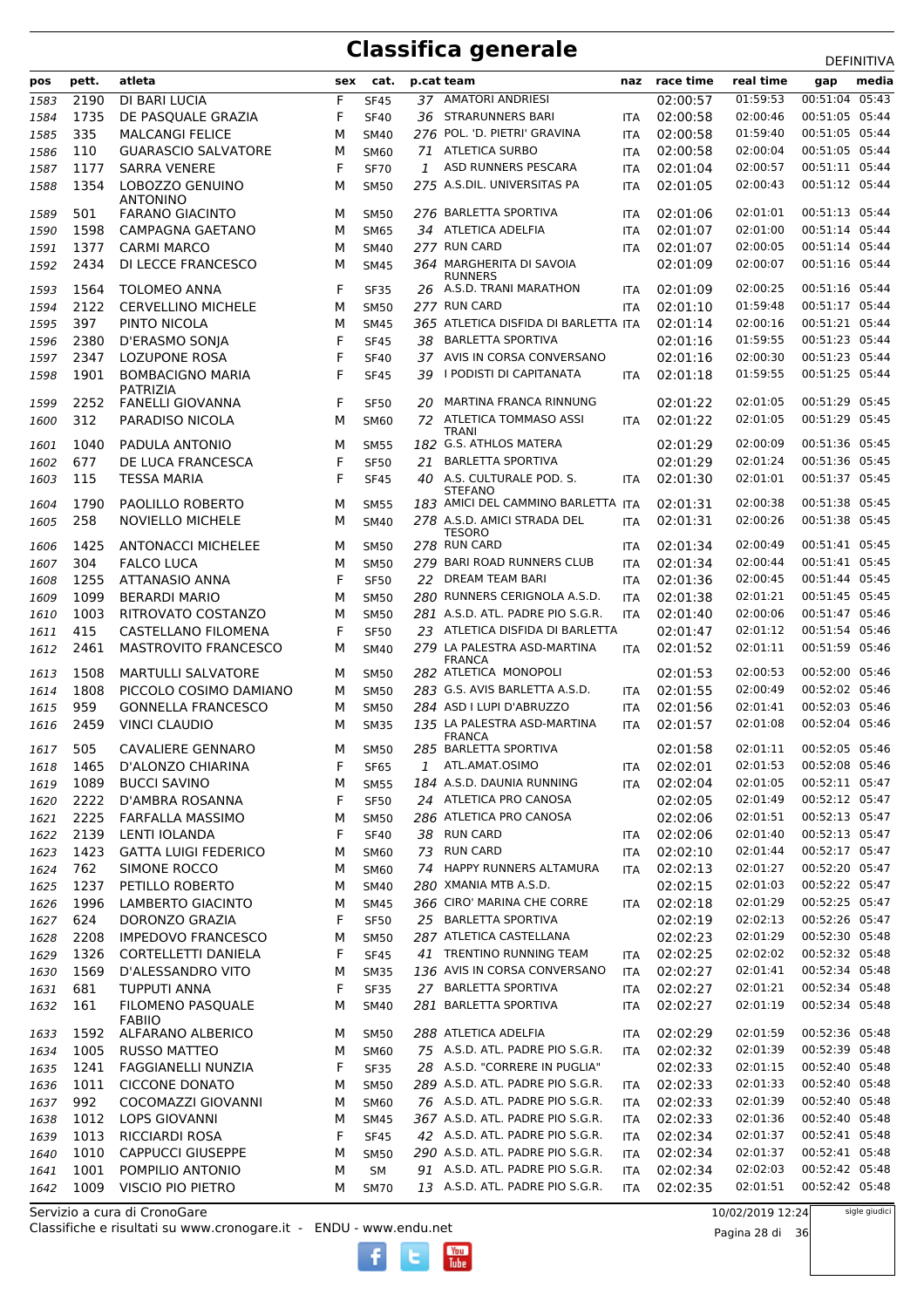|      |       |                                     |     |             |    |                                               |            |                      |           | <b>DLIIIVIIIVA</b> |
|------|-------|-------------------------------------|-----|-------------|----|-----------------------------------------------|------------|----------------------|-----------|--------------------|
| pos  | pett. | atleta                              | sex | cat.        |    | p.cat team                                    |            | naz race time        | real time | media<br>gap       |
| 1583 | 2190  | DI BARI LUCIA                       | F   | <b>SF45</b> |    | 37 AMATORI ANDRIESI                           |            | 02:00:57             | 01:59:53  | 00:51:04 05:43     |
| 1584 | 1735  | DE PASQUALE GRAZIA                  | F   | <b>SF40</b> |    | 36 STRARUNNERS BARI                           | <b>ITA</b> | 02:00:58             | 02:00:46  | 00:51:05 05:44     |
| 1585 | 335   | <b>MALCANGI FELICE</b>              | м   | <b>SM40</b> |    | 276 POL. 'D. PIETRI' GRAVINA                  | <b>ITA</b> | 02:00:58             | 01:59:40  | 00:51:05 05:44     |
| 1586 | 110   | <b>GUARASCIO SALVATORE</b>          | м   | <b>SM60</b> |    | 71 ATLETICA SURBO                             | <b>ITA</b> | 02:00:58             | 02:00:04  | 00:51:05 05:44     |
| 1587 | 1177  | <b>SARRA VENERE</b>                 | F   | <b>SF70</b> | 1  | ASD RUNNERS PESCARA                           | <b>ITA</b> | 02:01:04             | 02:00:57  | 00:51:11 05:44     |
| 1588 | 1354  | LOBOZZO GENUINO                     | м   | <b>SM50</b> |    | 275 A.S.DIL. UNIVERSITAS PA                   | <b>ITA</b> | 02:01:05             | 02:00:43  | 00:51:12 05:44     |
|      |       | <b>ANTONINO</b>                     |     |             |    |                                               |            |                      |           |                    |
| 1589 | 501   | <b>FARANO GIACINTO</b>              | м   | <b>SM50</b> |    | 276 BARLETTA SPORTIVA                         | <b>ITA</b> | 02:01:06             | 02:01:01  | 00:51:13 05:44     |
| 1590 | 1598  | CAMPAGNA GAETANO                    | М   | <b>SM65</b> |    | 34 ATLETICA ADELFIA                           | <b>ITA</b> | 02:01:07             | 02:01:00  | 00:51:14 05:44     |
| 1591 | 1377  | <b>CARMI MARCO</b>                  | м   | <b>SM40</b> |    | 277 RUN CARD                                  | <b>ITA</b> | 02:01:07             | 02:00:05  | 00:51:14 05:44     |
| 1592 | 2434  | DI LECCE FRANCESCO                  | м   | <b>SM45</b> |    | 364 MARGHERITA DI SAVOIA                      |            | 02:01:09             | 02:00:07  | 00:51:16 05:44     |
| 1593 | 1564  | <b>TOLOMEO ANNA</b>                 | F   | <b>SF35</b> |    | <b>RUNNERS</b><br>26 A.S.D. TRANI MARATHON    | <b>ITA</b> | 02:01:09             | 02:00:25  | 00:51:16 05:44     |
|      | 2122  |                                     |     |             |    | 277 RUN CARD                                  |            |                      | 01:59:48  | 00:51:17 05:44     |
| 1594 | 397   | <b>CERVELLINO MICHELE</b>           | м   | <b>SM50</b> |    | 365 ATLETICA DISFIDA DI BARLETTA ITA          | <b>ITA</b> | 02:01:10<br>02:01:14 | 02:00:16  | 00:51:21 05:44     |
| 1595 |       | PINTO NICOLA                        | м   | <b>SM45</b> |    | 38 BARLETTA SPORTIVA                          |            |                      |           | 00:51:23 05:44     |
| 1596 | 2380  | D'ERASMO SONJA                      | F   | <b>SF45</b> |    |                                               |            | 02:01:16             | 01:59:55  |                    |
| 1597 | 2347  | <b>LOZUPONE ROSA</b>                | F   | <b>SF40</b> |    | 37 AVIS IN CORSA CONVERSANO                   |            | 02:01:16             | 02:00:30  | 00:51:23 05:44     |
| 1598 | 1901  | <b>BOMBACIGNO MARIA</b>             | F   | <b>SF45</b> | 39 | I PODISTI DI CAPITANATA                       | <b>ITA</b> | 02:01:18             | 01:59:55  | 00:51:25 05:44     |
| 1599 | 2252  | PATRIZIA<br><b>FANELLI GIOVANNA</b> | F   | <b>SF50</b> | 20 | MARTINA FRANCA RINNUNG                        |            | 02:01:22             | 02:01:05  | 00:51:29 05:45     |
| 1600 | 312   | PARADISO NICOLA                     | м   | <b>SM60</b> |    | 72 ATLETICA TOMMASO ASSI                      | <b>ITA</b> | 02:01:22             | 02:01:05  | 00:51:29 05:45     |
|      |       |                                     |     |             |    | TRANI                                         |            |                      |           |                    |
| 1601 | 1040  | PADULA ANTONIO                      | м   | <b>SM55</b> |    | 182 G.S. ATHLOS MATERA                        |            | 02:01:29             | 02:00:09  | 00:51:36 05:45     |
| 1602 | 677   | DE LUCA FRANCESCA                   | F   | <b>SF50</b> | 21 | <b>BARLETTA SPORTIVA</b>                      |            | 02:01:29             | 02:01:24  | 00:51:36 05:45     |
| 1603 | 115   | <b>TESSA MARIA</b>                  | F   | <b>SF45</b> |    | 40 A.S. CULTURALE POD. S.                     | <b>ITA</b> | 02:01:30             | 02:01:01  | 00:51:37 05:45     |
|      | 1790  | PAOLILLO ROBERTO                    | м   |             |    | STEFANO<br>183 AMICI DEL CAMMINO BARLETTA ITA |            | 02:01:31             | 02:00:38  | 00:51:38 05:45     |
| 1604 |       |                                     |     | <b>SM55</b> |    | 278 A.S.D. AMICI STRADA DEL                   |            |                      | 02:00:26  | 00:51:38 05:45     |
| 1605 | 258   | <b>NOVIELLO MICHELE</b>             | м   | <b>SM40</b> |    | <b>TESORO</b>                                 | <b>ITA</b> | 02:01:31             |           |                    |
| 1606 | 1425  | <b>ANTONACCI MICHELEE</b>           | м   | <b>SM50</b> |    | 278 RUN CARD                                  | <b>ITA</b> | 02:01:34             | 02:00:49  | 00:51:41 05:45     |
| 1607 | 304   | <b>FALCO LUCA</b>                   | м   | <b>SM50</b> |    | 279 BARI ROAD RUNNERS CLUB                    | <b>ITA</b> | 02:01:34             | 02:00:44  | 00:51:41 05:45     |
| 1608 | 1255  | <b>ATTANASIO ANNA</b>               | F   | <b>SF50</b> | 22 | DREAM TEAM BARI                               | <b>ITA</b> | 02:01:36             | 02:00:45  | 00:51:44 05:45     |
| 1609 | 1099  | <b>BERARDI MARIO</b>                | м   | <b>SM50</b> |    | 280 RUNNERS CERIGNOLA A.S.D.                  | <b>ITA</b> | 02:01:38             | 02:01:21  | 00:51:45 05:45     |
| 1610 | 1003  | RITROVATO COSTANZO                  | M   | <b>SM50</b> |    | 281 A.S.D. ATL. PADRE PIO S.G.R.              | <b>ITA</b> | 02:01:40             | 02:00:06  | 00:51:47 05:46     |
| 1611 | 415   | CASTELLANO FILOMENA                 | F   | <b>SF50</b> |    | 23 ATLETICA DISFIDA DI BARLETTA               |            | 02:01:47             | 02:01:12  | 00:51:54 05:46     |
| 1612 | 2461  | <b>MASTROVITO FRANCESCO</b>         | м   | <b>SM40</b> |    | 279 LA PALESTRA ASD-MARTINA                   | <b>ITA</b> | 02:01:52             | 02:01:11  | 00:51:59 05:46     |
|      |       |                                     |     |             |    | <b>FRANCA</b>                                 |            |                      |           |                    |
| 1613 | 1508  | <b>MARTULLI SALVATORE</b>           | м   | <b>SM50</b> |    | 282 ATLETICA MONOPOLI                         |            | 02:01:53             | 02:00:53  | 00:52:00 05:46     |
| 1614 | 1808  | PICCOLO COSIMO DAMIANO              | м   | <b>SM50</b> |    | 283 G.S. AVIS BARLETTA A.S.D.                 | <b>ITA</b> | 02:01:55             | 02:00:49  | 00:52:02 05:46     |
| 1615 | 959   | <b>GONNELLA FRANCESCO</b>           | м   | <b>SM50</b> |    | 284 ASD I LUPI D'ABRUZZO                      | <b>ITA</b> | 02:01:56             | 02:01:41  | 00:52:03 05:46     |
| 1616 | 2459  | <b>VINCI CLAUDIO</b>                | м   | <b>SM35</b> |    | 135 LA PALESTRA ASD-MARTINA                   | <b>ITA</b> | 02:01:57             | 02:01:08  | 00:52:04 05:46     |
| 1617 | 505   | CAVALIERE GENNARO                   | м   | <b>SM50</b> |    | <b>FRANCA</b><br>285 BARLETTA SPORTIVA        |            | 02:01:58             | 02:01:11  | 00:52:05 05:46     |
| 1618 | 1465  | D'ALONZO CHIARINA                   | F   | <b>SF65</b> | 1  | ATL.AMAT.OSIMO                                | ITA        | 02:02:01             | 02:01:53  | 00:52:08 05:46     |
| 1619 | 1089  | <b>BUCCI SAVINO</b>                 | М   | <b>SM55</b> |    | 184 A.S.D. DAUNIA RUNNING                     | <b>ITA</b> | 02:02:04             | 02:01:05  | 00:52:11 05:47     |
| 1620 | 2222  | D'AMBRA ROSANNA                     | F   | <b>SF50</b> |    | 24 ATLETICA PRO CANOSA                        |            | 02:02:05             | 02:01:49  | 00:52:12 05:47     |
| 1621 | 2225  | FARFALLA MASSIMO                    | М   | <b>SM50</b> |    | 286 ATLETICA PRO CANOSA                       |            | 02:02:06             | 02:01:51  | 00:52:13 05:47     |
|      | 2139  | LENTI IOLANDA                       | F   |             |    | 38 RUN CARD                                   |            | 02:02:06             | 02:01:40  | 00:52:13 05:47     |
| 1622 | 1423  | <b>GATTA LUIGI FEDERICO</b>         |     | <b>SF40</b> |    | 73 RUN CARD                                   | <b>ITA</b> | 02:02:10             | 02:01:44  | 00:52:17 05:47     |
| 1623 | 762   |                                     | М   | <b>SM60</b> |    | 74 HAPPY RUNNERS ALTAMURA                     | ITA        |                      | 02:01:27  | 00:52:20 05:47     |
| 1624 |       | SIMONE ROCCO                        | м   | <b>SM60</b> |    |                                               | ITA        | 02:02:13             |           | 00:52:22 05:47     |
| 1625 | 1237  | PETILLO ROBERTO                     | М   | <b>SM40</b> |    | 280 XMANIA MTB A.S.D.                         |            | 02:02:15             | 02:01:03  |                    |
| 1626 | 1996  | LAMBERTO GIACINTO                   | М   | <b>SM45</b> |    | 366 CIRO' MARINA CHE CORRE                    | <b>ITA</b> | 02:02:18             | 02:01:29  | 00:52:25 05:47     |
| 1627 | 624   | DORONZO GRAZIA                      | F   | <b>SF50</b> |    | 25 BARLETTA SPORTIVA                          |            | 02:02:19             | 02:02:13  | 00:52:26 05:47     |
| 1628 | 2208  | <b>IMPEDOVO FRANCESCO</b>           | М   | <b>SM50</b> |    | 287 ATLETICA CASTELLANA                       |            | 02:02:23             | 02:01:29  | 00:52:30 05:48     |
| 1629 | 1326  | CORTELLETTI DANIELA                 | F   | <b>SF45</b> |    | 41 TRENTINO RUNNING TEAM                      | ITA        | 02:02:25             | 02:02:02  | 00:52:32 05:48     |
| 1630 | 1569  | D'ALESSANDRO VITO                   | М   | <b>SM35</b> |    | 136 AVIS IN CORSA CONVERSANO                  | ITA        | 02:02:27             | 02:01:41  | 00:52:34 05:48     |
| 1631 | 681   | <b>TUPPUTI ANNA</b>                 | F   | <b>SF35</b> |    | 27 BARLETTA SPORTIVA                          | <b>ITA</b> | 02:02:27             | 02:01:21  | 00:52:34 05:48     |
| 1632 | 161   | FILOMENO PASQUALE                   | М   | SM40        |    | 281 BARLETTA SPORTIVA                         | ITA        | 02:02:27             | 02:01:19  | 00:52:34 05:48     |
| 1633 | 1592  | <b>FABIIO</b><br>ALFARANO ALBERICO  | м   | <b>SM50</b> |    | 288 ATLETICA ADELFIA                          | ITA        | 02:02:29             | 02:01:59  | 00:52:36 05:48     |
| 1634 | 1005  | <b>RUSSO MATTEO</b>                 | М   | <b>SM60</b> |    | 75 A.S.D. ATL. PADRE PIO S.G.R.               | ITA        | 02:02:32             | 02:01:39  | 00:52:39 05:48     |
|      |       |                                     |     |             |    | 28 A.S.D. "CORRERE IN PUGLIA"                 |            | 02:02:33             | 02:01:15  | 00:52:40 05:48     |
| 1635 | 1241  | <b>FAGGIANELLI NUNZIA</b>           | F   | <b>SF35</b> |    | 289 A.S.D. ATL. PADRE PIO S.G.R.              |            |                      | 02:01:33  | 00:52:40 05:48     |
| 1636 | 1011  | <b>CICCONE DONATO</b>               | М   | <b>SM50</b> |    | 76 A.S.D. ATL. PADRE PIO S.G.R.               | ITA        | 02:02:33             | 02:01:39  | 00:52:40 05:48     |
| 1637 | 992   | COCOMAZZI GIOVANNI                  | М   | <b>SM60</b> |    |                                               | ITA        | 02:02:33             |           |                    |
| 1638 | 1012  | <b>LOPS GIOVANNI</b>                | М   | <b>SM45</b> |    | 367 A.S.D. ATL. PADRE PIO S.G.R.              | ITA        | 02:02:33             | 02:01:36  | 00:52:40 05:48     |
| 1639 | 1013  | <b>RICCIARDI ROSA</b>               | F   | <b>SF45</b> |    | 42 A.S.D. ATL. PADRE PIO S.G.R.               | ITA        | 02:02:34             | 02:01:37  | 00:52:41 05:48     |
| 1640 | 1010  | <b>CAPPUCCI GIUSEPPE</b>            | М   | <b>SM50</b> |    | 290 A.S.D. ATL. PADRE PIO S.G.R.              | ITA        | 02:02:34             | 02:01:37  | 00:52:41 05:48     |
| 1641 | 1001  | POMPILIO ANTONIO                    | М   | SM          |    | 91 A.S.D. ATL. PADRE PIO S.G.R.               | ITA        | 02:02:34             | 02:02:03  | 00:52:42 05:48     |
| 1642 | 1009  | VISCIO PIO PIETRO                   | м   | <b>SM70</b> |    | 13 A.S.D. ATL. PADRE PIO S.G.R.               | ITA        | 02:02:35             | 02:01:51  | 00:52:42 05:48     |

Classifiche e risultati su www.cronogare.it - ENDU - www.endu.net Servizio a cura di CronoGare

10/02/2019 12:24

Pagina 28 di 36

sigle giudici

 $\frac{\text{Vou}}{\text{Iube}}$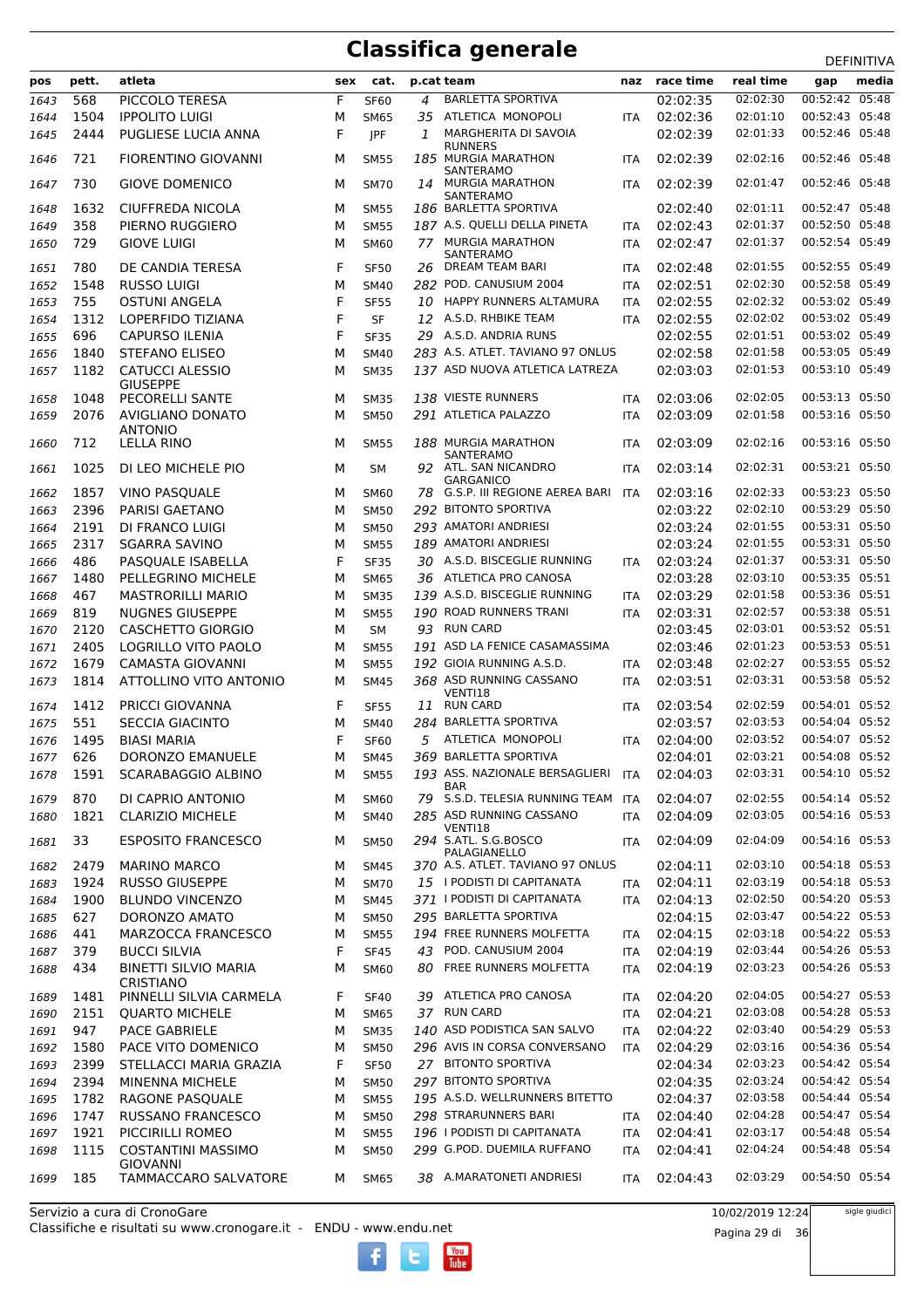|      | pett. | atleta                                          | sex | cat.        |     | p.cat team                                       |            | naz race time | real time            | <b>レㄴ!!!!!!!!</b>                | media |
|------|-------|-------------------------------------------------|-----|-------------|-----|--------------------------------------------------|------------|---------------|----------------------|----------------------------------|-------|
| pos  |       |                                                 |     |             |     |                                                  |            |               |                      | gap                              |       |
| 1643 | 568   | PICCOLO TERESA                                  | F   | <b>SF60</b> | 4   | <b>BARLETTA SPORTIVA</b>                         |            | 02:02:35      | 02:02:30             | 00:52:42 05:48                   |       |
| 1644 | 1504  | <b>IPPOLITO LUIGI</b>                           | М   | <b>SM65</b> | 35  | ATLETICA MONOPOLI                                | <b>ITA</b> | 02:02:36      | 02:01:10             | 00:52:43 05:48                   |       |
| 1645 | 2444  | PUGLIESE LUCIA ANNA                             | F   | JPF         | 1   | MARGHERITA DI SAVOIA<br><b>RUNNERS</b>           |            | 02:02:39      | 02:01:33             | 00:52:46 05:48                   |       |
| 1646 | 721   | <b>FIORENTINO GIOVANNI</b>                      | M   | <b>SM55</b> |     | 185 MURGIA MARATHON<br>SANTERAMO                 | <b>ITA</b> | 02:02:39      | 02:02:16             | 00:52:46 05:48                   |       |
| 1647 | 730   | <b>GIOVE DOMENICO</b>                           | м   | <b>SM70</b> | 14  | <b>MURGIA MARATHON</b><br>SANTERAMO              | <b>ITA</b> | 02:02:39      | 02:01:47             | 00:52:46 05:48                   |       |
| 1648 | 1632  | CIUFFREDA NICOLA                                | м   | <b>SM55</b> |     | 186 BARLETTA SPORTIVA                            |            | 02:02:40      | 02:01:11             | 00:52:47 05:48                   |       |
| 1649 | 358   | PIERNO RUGGIERO                                 | M   | <b>SM55</b> |     | 187 A.S. QUELLI DELLA PINETA                     | <b>ITA</b> | 02:02:43      | 02:01:37             | 00:52:50 05:48                   |       |
| 1650 | 729   | <b>GIOVE LUIGI</b>                              | M   | <b>SM60</b> |     | <b>77 MURGIA MARATHON</b>                        | <b>ITA</b> | 02:02:47      | 02:01:37             | 00:52:54 05:49                   |       |
| 1651 | 780   | DE CANDIA TERESA                                | F   | <b>SF50</b> | 26. | SANTERAMO<br>DREAM TEAM BARI                     | <b>ITA</b> | 02:02:48      | 02:01:55             | 00:52:55 05:49                   |       |
|      | 1548  | <b>RUSSO LUIGI</b>                              | M   |             |     | 282 POD. CANUSIUM 2004                           |            | 02:02:51      | 02:02:30             | 00:52:58 05:49                   |       |
| 1652 |       |                                                 |     | <b>SM40</b> |     |                                                  | <b>ITA</b> |               |                      |                                  |       |
| 1653 | 755   | <b>OSTUNI ANGELA</b>                            | F   | <b>SF55</b> | 10  | HAPPY RUNNERS ALTAMURA                           | <b>ITA</b> | 02:02:55      | 02:02:32             | 00:53:02 05:49                   |       |
| 1654 | 1312  | LOPERFIDO TIZIANA                               | F   | <b>SF</b>   |     | 12 A.S.D. RHBIKE TEAM                            | <b>ITA</b> | 02:02:55      | 02:02:02             | 00:53:02 05:49                   |       |
| 1655 | 696   | CAPURSO ILENIA                                  | F   | <b>SF35</b> |     | 29 A.S.D. ANDRIA RUNS                            |            | 02:02:55      | 02:01:51             | 00:53:02 05:49                   |       |
| 1656 | 1840  | <b>STEFANO ELISEO</b>                           | M   | <b>SM40</b> |     | 283 A.S. ATLET. TAVIANO 97 ONLUS                 |            | 02:02:58      | 02:01:58             | 00:53:05 05:49                   |       |
| 1657 | 1182  | <b>CATUCCI ALESSIO</b><br><b>GIUSEPPE</b>       | M   | <b>SM35</b> |     | 137 ASD NUOVA ATLETICA LATREZA                   |            | 02:03:03      | 02:01:53             | 00:53:10 05:49                   |       |
| 1658 | 1048  | PECORELLI SANTE                                 | M   | <b>SM35</b> |     | 138 VIESTE RUNNERS                               | <b>ITA</b> | 02:03:06      | 02:02:05             | 00:53:13 05:50                   |       |
| 1659 | 2076  | AVIGLIANO DONATO<br><b>ANTONIO</b>              | M   | <b>SM50</b> |     | 291 ATLETICA PALAZZO                             | <b>ITA</b> | 02:03:09      | 02:01:58             | 00:53:16 05:50                   |       |
| 1660 | 712   | LELLA RINO                                      | м   | <b>SM55</b> |     | 188 MURGIA MARATHON<br>SANTERAMO                 | <b>ITA</b> | 02:03:09      | 02:02:16             | 00:53:16 05:50                   |       |
| 1661 | 1025  | DI LEO MICHELE PIO                              | м   | <b>SM</b>   |     | 92 ATL. SAN NICANDRO<br><b>GARGANICO</b>         | <b>ITA</b> | 02:03:14      | 02:02:31             | 00:53:21 05:50                   |       |
| 1662 | 1857  | VINO PASQUALE                                   | M   | <b>SM60</b> | 78. | G.S.P. III REGIONE AEREA BARI                    | ITA        | 02:03:16      | 02:02:33             | 00:53:23 05:50                   |       |
| 1663 | 2396  | PARISI GAETANO                                  | M   | <b>SM50</b> |     | 292 BITONTO SPORTIVA                             |            | 02:03:22      | 02:02:10             | 00:53:29 05:50                   |       |
|      | 2191  | DI FRANCO LUIGI                                 | M   |             |     | 293 AMATORI ANDRIESI                             |            | 02:03:24      | 02:01:55             | 00:53:31 05:50                   |       |
| 1664 |       |                                                 |     | <b>SM50</b> |     |                                                  |            |               | 02:01:55             |                                  |       |
| 1665 | 2317  | <b>SGARRA SAVINO</b>                            | M   | <b>SM55</b> |     | 189 AMATORI ANDRIESI                             |            | 02:03:24      |                      | 00:53:31 05:50                   |       |
| 1666 | 486   | PASQUALE ISABELLA                               | F   | <b>SF35</b> |     | 30 A.S.D. BISCEGLIE RUNNING                      | <b>ITA</b> | 02:03:24      | 02:01:37             | 00:53:31 05:50                   |       |
| 1667 | 1480  | PELLEGRINO MICHELE                              | M   | <b>SM65</b> |     | 36 ATLETICA PRO CANOSA                           |            | 02:03:28      | 02:03:10             | 00:53:35 05:51                   |       |
| 1668 | 467   | <b>MASTRORILLI MARIO</b>                        | M   | <b>SM35</b> |     | 139 A.S.D. BISCEGLIE RUNNING                     | ITA        | 02:03:29      | 02:01:58             | 00:53:36 05:51                   |       |
| 1669 | 819   | <b>NUGNES GIUSEPPE</b>                          | M   | <b>SM55</b> |     | 190 ROAD RUNNERS TRANI                           | <b>ITA</b> | 02:03:31      | 02:02:57             | 00:53:38 05:51                   |       |
| 1670 | 2120  | <b>CASCHETTO GIORGIO</b>                        | M   | <b>SM</b>   | 93  | <b>RUN CARD</b>                                  |            | 02:03:45      | 02:03:01             | 00:53:52 05:51                   |       |
| 1671 | 2405  | LOGRILLO VITO PAOLO                             | M   | <b>SM55</b> |     | 191 ASD LA FENICE CASAMASSIMA                    |            | 02:03:46      | 02:01:23             | 00:53:53 05:51                   |       |
| 1672 | 1679  | <b>CAMASTA GIOVANNI</b>                         | M   | <b>SM55</b> |     | 192 GIOIA RUNNING A.S.D.                         | <b>ITA</b> | 02:03:48      | 02:02:27             | 00:53:55 05:52                   |       |
| 1673 | 1814  | ATTOLLINO VITO ANTONIO                          | M   | <b>SM45</b> |     | 368 ASD RUNNING CASSANO<br>VENTI18               | <b>ITA</b> | 02:03:51      | 02:03:31             | 00:53:58 05:52                   |       |
| 1674 | 1412  | <b>PRICCI GIOVANNA</b>                          | F   | <b>SF55</b> | 11  | <b>RUN CARD</b>                                  | <b>ITA</b> | 02:03:54      | 02:02:59             | 00:54:01 05:52                   |       |
| 1675 | 551   | <b>SECCIA GIACINTO</b>                          | M   | <b>SM40</b> |     | 284 BARLETTA SPORTIVA                            |            | 02:03:57      | 02:03:53             | 00:54:04 05:52                   |       |
| 1676 | 1495  | <b>BIASI MARIA</b>                              | F   | <b>SF60</b> | 5   | ATLETICA MONOPOLI                                | <b>ITA</b> | 02:04:00      | 02:03:52             | 00:54:07 05:52                   |       |
| 1677 | 626   | DORONZO EMANUELE                                | М   | SM45        |     | 369 BARLETTA SPORTIVA                            |            | 02:04:01      | 02:03:21             | 00:54:08 05:52                   |       |
| 1678 | 1591  | SCARABAGGIO ALBINO                              | м   | <b>SM55</b> |     | 193 ASS. NAZIONALE BERSAGLIERI                   | ITA        | 02:04:03      | 02:03:31             | 00:54:10 05:52                   |       |
| 1679 | 870   | DI CAPRIO ANTONIO                               | М   | <b>SM60</b> |     | BAR<br>79 S.S.D. TELESIA RUNNING TEAM            | <b>ITA</b> | 02:04:07      | 02:02:55             | 00:54:14 05:52                   |       |
|      | 1821  | <b>CLARIZIO MICHELE</b>                         | М   | <b>SM40</b> |     | 285 ASD RUNNING CASSANO                          | <b>ITA</b> | 02:04:09      | 02:03:05             | 00:54:16 05:53                   |       |
| 1680 |       |                                                 |     |             |     | VENTI18<br>294 S.ATL. S.G.BOSCO                  |            | 02:04:09      |                      |                                  |       |
| 1681 | 33    | <b>ESPOSITO FRANCESCO</b>                       | м   | <b>SM50</b> |     | PALAGIANELLO<br>370 A.S. ATLET. TAVIANO 97 ONLUS | <b>ITA</b> |               | 02:04:09<br>02:03:10 | 00:54:16 05:53<br>00:54:18 05:53 |       |
| 1682 | 2479  | <b>MARINO MARCO</b>                             | М   | SM45        |     |                                                  |            | 02:04:11      |                      |                                  |       |
| 1683 | 1924  | <b>RUSSO GIUSEPPE</b>                           | М   | <b>SM70</b> |     | 15 I PODISTI DI CAPITANATA                       | <b>ITA</b> | 02:04:11      | 02:03:19             | 00:54:18 05:53                   |       |
| 1684 | 1900  | <b>BLUNDO VINCENZO</b>                          | М   | <b>SM45</b> |     | 371 I PODISTI DI CAPITANATA                      | <b>ITA</b> | 02:04:13      | 02:02:50             | 00:54:20 05:53                   |       |
| 1685 | 627   | DORONZO AMATO                                   | М   | <b>SM50</b> |     | 295 BARLETTA SPORTIVA                            |            | 02:04:15      | 02:03:47             | 00:54:22 05:53                   |       |
| 1686 | 441   | MARZOCCA FRANCESCO                              | М   | <b>SM55</b> |     | 194 FREE RUNNERS MOLFETTA                        | ITA        | 02:04:15      | 02:03:18             | 00:54:22 05:53                   |       |
| 1687 | 379   | <b>BUCCI SILVIA</b>                             | F   | <b>SF45</b> | 43  | POD. CANUSIUM 2004                               | ITA        | 02:04:19      | 02:03:44             | 00:54:26 05:53                   |       |
| 1688 | 434   | <b>BINETTI SILVIO MARIA</b><br><b>CRISTIANO</b> | M   | <b>SM60</b> | 80  | FREE RUNNERS MOLFETTA                            | ITA        | 02:04:19      | 02:03:23             | 00:54:26 05:53                   |       |
| 1689 | 1481  | PINNELLI SILVIA CARMELA                         | F   | <b>SF40</b> |     | 39 ATLETICA PRO CANOSA                           | <b>ITA</b> | 02:04:20      | 02:04:05             | 00:54:27 05:53                   |       |
| 1690 | 2151  | <b>QUARTO MICHELE</b>                           | М   | <b>SM65</b> |     | 37 RUN CARD                                      | <b>ITA</b> | 02:04:21      | 02:03:08             | 00:54:28 05:53                   |       |
| 1691 | 947   | PACE GABRIELE                                   | М   | <b>SM35</b> |     | 140 ASD PODISTICA SAN SALVO                      | <b>ITA</b> | 02:04:22      | 02:03:40             | 00:54:29 05:53                   |       |
| 1692 | 1580  | PACE VITO DOMENICO                              | М   | <b>SM50</b> |     | 296 AVIS IN CORSA CONVERSANO                     | <b>ITA</b> | 02:04:29      | 02:03:16             | 00:54:36 05:54                   |       |
| 1693 | 2399  | STELLACCI MARIA GRAZIA                          | F   | <b>SF50</b> |     | 27 BITONTO SPORTIVA                              |            | 02:04:34      | 02:03:23             | 00:54:42 05:54                   |       |
| 1694 | 2394  | MINENNA MICHELE                                 | М   | <b>SM50</b> |     | 297 BITONTO SPORTIVA                             |            | 02:04:35      | 02:03:24             | 00:54:42 05:54                   |       |
| 1695 | 1782  | RAGONE PASQUALE                                 | М   | <b>SM55</b> |     | 195 A.S.D. WELLRUNNERS BITETTO                   |            | 02:04:37      | 02:03:58             | 00:54:44 05:54                   |       |
|      | 1747  | <b>RUSSANO FRANCESCO</b>                        |     |             |     | 298 STRARUNNERS BARI                             |            | 02:04:40      | 02:04:28             | 00:54:47 05:54                   |       |
| 1696 |       |                                                 | М   | <b>SM50</b> |     |                                                  | ITA        |               |                      | 00:54:48 05:54                   |       |
| 1697 | 1921  | PICCIRILLI ROMEO                                | М   | <b>SM55</b> |     | 196 I PODISTI DI CAPITANATA                      | <b>ITA</b> | 02:04:41      | 02:03:17             |                                  |       |
| 1698 | 1115  | <b>COSTANTINI MASSIMO</b><br><b>GIOVANNI</b>    | м   | <b>SM50</b> |     | 299 G.POD. DUEMILA RUFFANO                       | ITA        | 02:04:41      | 02:04:24             | 00:54:48 05:54                   |       |
| 1699 | 185   | TAMMACCARO SALVATORE                            | м   | <b>SM65</b> |     | 38 A.MARATONETI ANDRIESI                         | ITA        | 02:04:43      | 02:03:29             | 00:54:50 05:54                   |       |

 $\begin{bmatrix}\n\frac{\text{Vou}}{\text{Iube}}\n\end{bmatrix}$ 

Classifiche e risultati su www.cronogare.it - ENDU - www.endu.net Servizio a cura di CronoGare

10/02/2019 12:24

Pagina 29 di 36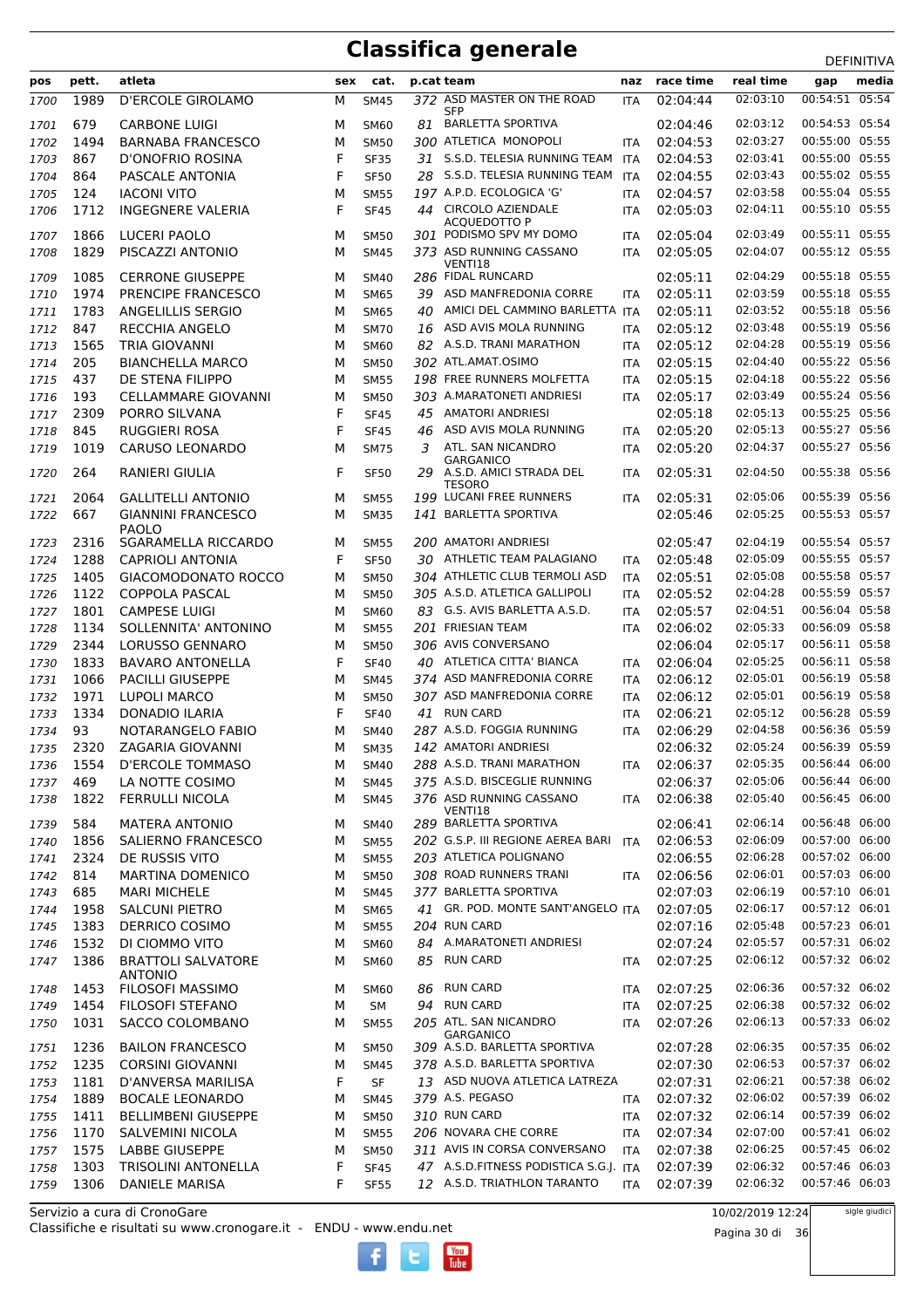|              |             |                                              |        |                            |    |                                               |                   |                      |                      | DEFINITIVA     |
|--------------|-------------|----------------------------------------------|--------|----------------------------|----|-----------------------------------------------|-------------------|----------------------|----------------------|----------------|
| pos          | pett.       | atleta                                       | sex    | cat.                       |    | p.cat team                                    | naz               | race time            | real time            | media<br>gap   |
| 1700         | 1989        | <b>D'ERCOLE GIROLAMO</b>                     | М      | <b>SM45</b>                |    | 372 ASD MASTER ON THE ROAD                    | ITA               | 02:04:44             | 02:03:10             | 00:54:51 05:54 |
|              |             |                                              |        |                            |    | <b>SFP</b>                                    |                   |                      |                      | 00:54:53 05:54 |
| 1701         | 679         | <b>CARBONE LUIGI</b>                         | м      | SM60                       |    | 81 BARLETTA SPORTIVA<br>300 ATLETICA MONOPOLI |                   | 02:04:46             | 02:03:12<br>02:03:27 | 00:55:00 05:55 |
| 1702         | 1494<br>867 | <b>BARNABA FRANCESCO</b><br>D'ONOFRIO ROSINA | М<br>F | <b>SM50</b>                |    | 31 S.S.D. TELESIA RUNNING TEAM                | <b>ITA</b>        | 02:04:53<br>02:04:53 | 02:03:41             | 00:55:00 05:55 |
| 1703         |             |                                              |        | <b>SF35</b>                |    | S.S.D. TELESIA RUNNING TEAM                   | <b>ITA</b>        |                      | 02:03:43             | 00:55:02 05:55 |
| 1704         | 864         | PASCALE ANTONIA                              | F      | <b>SF50</b>                | 28 | 197 A.P.D. ECOLOGICA 'G'                      | <b>ITA</b>        | 02:04:55             | 02:03:58             | 00:55:04 05:55 |
| 1705         | 124         | <b>IACONI VITO</b>                           | м      | <b>SM55</b>                |    |                                               | <b>ITA</b>        | 02:04:57             |                      |                |
| 1706         | 1712        | <b>INGEGNERE VALERIA</b>                     | F      | <b>SF45</b>                |    | 44 CIRCOLO AZIENDALE<br>ACQUEDOTTO P          | <b>ITA</b>        | 02:05:03             | 02:04:11             | 00:55:10 05:55 |
| 1707         | 1866        | LUCERI PAOLO                                 | м      | <b>SM50</b>                |    | 301 PODISMO SPV MY DOMO                       | <b>ITA</b>        | 02:05:04             | 02:03:49             | 00:55:11 05:55 |
| 1708         | 1829        | PISCAZZI ANTONIO                             | м      | <b>SM45</b>                |    | 373 ASD RUNNING CASSANO                       | <b>ITA</b>        | 02:05:05             | 02:04:07             | 00:55:12 05:55 |
| 1709         | 1085        | <b>CERRONE GIUSEPPE</b>                      | м      | <b>SM40</b>                |    | VENTI18<br>286 FIDAL RUNCARD                  |                   | 02:05:11             | 02:04:29             | 00:55:18 05:55 |
| 1710         | 1974        | PRENCIPE FRANCESCO                           | м      | <b>SM65</b>                | 39 | ASD MANFREDONIA CORRE                         | <b>ITA</b>        | 02:05:11             | 02:03:59             | 00:55:18 05:55 |
| 1711         | 1783        | ANGELILLIS SERGIO                            | м      | <b>SM65</b>                | 40 | AMICI DEL CAMMINO BARLETTA ITA                |                   | 02:05:11             | 02:03:52             | 00:55:18 05:56 |
| 1712         | 847         | <b>RECCHIA ANGELO</b>                        | м      | <b>SM70</b>                | 16 | ASD AVIS MOLA RUNNING                         | <b>ITA</b>        | 02:05:12             | 02:03:48             | 00:55:19 05:56 |
| 1713         | 1565        | <b>TRIA GIOVANNI</b>                         | м      | SM60                       |    | 82 A.S.D. TRANI MARATHON                      | <b>ITA</b>        | 02:05:12             | 02:04:28             | 00:55:19 05:56 |
| 1714         | 205         | <b>BIANCHELLA MARCO</b>                      | м      | <b>SM50</b>                |    | 302 ATL.AMAT.OSIMO                            |                   | 02:05:15             | 02:04:40             | 00:55:22 05:56 |
| 1715         | 437         | DE STENA FILIPPO                             | М      | <b>SM55</b>                |    | 198 FREE RUNNERS MOLFETTA                     | ITA<br><b>ITA</b> | 02:05:15             | 02:04:18             | 00:55:22 05:56 |
|              | 193         | <b>CELLAMMARE GIOVANNI</b>                   | м      |                            |    | 303 A.MARATONETI ANDRIESI                     |                   | 02:05:17             | 02:03:49             | 00:55:24 05:56 |
| 1716<br>1717 | 2309        | PORRO SILVANA                                | F      | <b>SM50</b><br><b>SF45</b> | 45 | <b>AMATORI ANDRIESI</b>                       | <b>ITA</b>        | 02:05:18             | 02:05:13             | 00:55:25 05:56 |
| 1718         | 845         | <b>RUGGIERI ROSA</b>                         | F      | <b>SF45</b>                | 46 | ASD AVIS MOLA RUNNING                         | <b>ITA</b>        | 02:05:20             | 02:05:13             | 00:55:27 05:56 |
|              | 1019        | <b>CARUSO LEONARDO</b>                       | М      |                            | 3  | ATL. SAN NICANDRO                             |                   | 02:05:20             | 02:04:37             | 00:55:27 05:56 |
| 1719         |             |                                              |        | <b>SM75</b>                |    | <b>GARGANICO</b>                              | <b>ITA</b>        |                      |                      |                |
| 1720         | 264         | RANIERI GIULIA                               | F      | <b>SF50</b>                |    | 29 A.S.D. AMICI STRADA DEL                    | <b>ITA</b>        | 02:05:31             | 02:04:50             | 00:55:38 05:56 |
| 1721         | 2064        | <b>GALLITELLI ANTONIO</b>                    | м      | <b>SM55</b>                |    | <b>TESORO</b><br>199 LUCANI FREE RUNNERS      | <b>ITA</b>        | 02:05:31             | 02:05:06             | 00:55:39 05:56 |
| 1722         | 667         | <b>GIANNINI FRANCESCO</b>                    | м      | <b>SM35</b>                |    | 141 BARLETTA SPORTIVA                         |                   | 02:05:46             | 02:05:25             | 00:55:53 05:57 |
|              |             | <b>PAOLO</b>                                 |        |                            |    |                                               |                   |                      |                      |                |
| 1723         | 2316        | SGARAMELLA RICCARDO                          | м      | <b>SM55</b>                |    | 200 AMATORI ANDRIESI                          |                   | 02:05:47             | 02:04:19             | 00:55:54 05:57 |
| 1724         | 1288        | <b>CAPRIOLI ANTONIA</b>                      | F      | <b>SF50</b>                | 30 | ATHLETIC TEAM PALAGIANO                       | <b>ITA</b>        | 02:05:48             | 02:05:09             | 00:55:55 05:57 |
| 1725         | 1405        | <b>GIACOMODONATO ROCCO</b>                   | М      | <b>SM50</b>                |    | 304 ATHLETIC CLUB TERMOLI ASD                 | <b>ITA</b>        | 02:05:51             | 02:05:08             | 00:55:58 05:57 |
| 1726         | 1122        | <b>COPPOLA PASCAL</b>                        | м      | <b>SM50</b>                |    | 305 A.S.D. ATLETICA GALLIPOLI                 | <b>ITA</b>        | 02:05:52             | 02:04:28             | 00:55:59 05:57 |
| 1727         | 1801        | <b>CAMPESE LUIGI</b>                         | М      | <b>SM60</b>                |    | 83 G.S. AVIS BARLETTA A.S.D.                  | <b>ITA</b>        | 02:05:57             | 02:04:51             | 00:56:04 05:58 |
| 1728         | 1134        | SOLLENNITA' ANTONINO                         | М      | <b>SM55</b>                |    | 201 FRIESIAN TEAM                             | <b>ITA</b>        | 02:06:02             | 02:05:33             | 00:56:09 05:58 |
| 1729         | 2344        | <b>LORUSSO GENNARO</b>                       | м      | <b>SM50</b>                |    | 306 AVIS CONVERSANO                           |                   | 02:06:04             | 02:05:17             | 00:56:11 05:58 |
| 1730         | 1833        | <b>BAVARO ANTONELLA</b>                      | F      | <b>SF40</b>                | 40 | ATLETICA CITTA' BIANCA                        | <b>ITA</b>        | 02:06:04             | 02:05:25             | 00:56:11 05:58 |
| 1731         | 1066        | <b>PACILLI GIUSEPPE</b>                      | М      | <b>SM45</b>                |    | 374 ASD MANFREDONIA CORRE                     | <b>ITA</b>        | 02:06:12             | 02:05:01             | 00:56:19 05:58 |
| 1732         | 1971        | <b>LUPOLI MARCO</b>                          | м      | <b>SM50</b>                |    | 307 ASD MANFREDONIA CORRE                     | <b>ITA</b>        | 02:06:12             | 02:05:01             | 00:56:19 05:58 |
| 1733         | 1334        | <b>DONADIO ILARIA</b>                        | F      | <b>SF40</b>                |    | 41 RUN CARD                                   | <b>ITA</b>        | 02:06:21             | 02:05:12             | 00:56:28 05:59 |
| 1734         | 93          | NOTARANGELO FABIO                            | м      | <b>SM40</b>                |    | 287 A.S.D. FOGGIA RUNNING                     | <b>ITA</b>        | 02:06:29             | 02:04:58             | 00:56:36 05:59 |
| 1735         | 2320        | ZAGARIA GIOVANNI                             | м      | <b>SM35</b>                |    | 142 AMATORI ANDRIESI                          |                   | 02:06:32             | 02:05:24             | 00:56:39 05:59 |
| 1736         | 1554        | <b>D'ERCOLE TOMMASO</b>                      | М      | <b>SM40</b>                |    | 288 A.S.D. TRANI MARATHON                     | ITA               | 02:06:37             | 02:05:35             | 00:56:44 06:00 |
| 1737         | 469         | LA NOTTE COSIMO                              | М      | <b>SM45</b>                |    | 375 A.S.D. BISCEGLIE RUNNING                  |                   | 02:06:37             | 02:05:06             | 00:56:44 06:00 |
| 1738         | 1822        | <b>FERRULLI NICOLA</b>                       | М      | <b>SM45</b>                |    | 376 ASD RUNNING CASSANO                       | ITA               | 02:06:38             | 02:05:40             | 00:56:45 06:00 |
|              |             |                                              |        |                            |    | VENTI18                                       |                   |                      |                      |                |
| 1739         | 584         | <b>MATERA ANTONIO</b>                        | м      | SM40                       |    | 289 BARLETTA SPORTIVA                         |                   | 02:06:41             | 02:06:14             | 00:56:48 06:00 |
| 1740         | 1856        | SALIERNO FRANCESCO                           | М      | <b>SM55</b>                |    | 202 G.S.P. III REGIONE AEREA BARI ITA         |                   | 02:06:53             | 02:06:09             | 00:57:00 06:00 |
| 1741         | 2324        | DE RUSSIS VITO                               | М      | <b>SM55</b>                |    | 203 ATLETICA POLIGNANO                        |                   | 02:06:55             | 02:06:28             | 00:57:02 06:00 |
| 1742         | 814         | <b>MARTINA DOMENICO</b>                      | М      | <b>SM50</b>                |    | 308 ROAD RUNNERS TRANI                        | <b>ITA</b>        | 02:06:56             | 02:06:01             | 00:57:03 06:00 |
| 1743         | 685         | <b>MARI MICHELE</b>                          | М      | <b>SM45</b>                |    | 377 BARLETTA SPORTIVA                         |                   | 02:07:03             | 02:06:19             | 00:57:10 06:01 |
| 1744         | 1958        | <b>SALCUNI PIETRO</b>                        | М      | <b>SM65</b>                |    | 41 GR. POD. MONTE SANT'ANGELO ITA             |                   | 02:07:05             | 02:06:17             | 00:57:12 06:01 |
| 1745         | 1383        | DERRICO COSIMO                               | М      | <b>SM55</b>                |    | 204 RUN CARD                                  |                   | 02:07:16             | 02:05:48             | 00:57:23 06:01 |
| 1746         | 1532        | DI CIOMMO VITO                               | М      | <b>SM60</b>                |    | 84 A.MARATONETI ANDRIESI                      |                   | 02:07:24             | 02:05:57             | 00:57:31 06:02 |
| 1747         | 1386        | <b>BRATTOLI SALVATORE</b><br><b>ANTONIO</b>  | М      | <b>SM60</b>                |    | 85 RUN CARD                                   | <b>ITA</b>        | 02:07:25             | 02:06:12             | 00:57:32 06:02 |
| 1748         | 1453        | <b>FILOSOFI MASSIMO</b>                      | м      | SM60                       | 86 | RUN CARD                                      | ITA               | 02:07:25             | 02:06:36             | 00:57:32 06:02 |
| 1749         | 1454        | FILOSOFI STEFANO                             | М      | SM                         |    | 94 RUN CARD                                   | ITA               | 02:07:25             | 02:06:38             | 00:57:32 06:02 |
| 1750         | 1031        | SACCO COLOMBANO                              | м      | <b>SM55</b>                |    | 205 ATL. SAN NICANDRO                         | ITA               | 02:07:26             | 02:06:13             | 00:57:33 06:02 |
|              |             |                                              |        |                            |    | <b>GARGANICO</b>                              |                   |                      |                      |                |
| 1751         | 1236        | <b>BAILON FRANCESCO</b>                      | М      | SM50                       |    | 309 A.S.D. BARLETTA SPORTIVA                  |                   | 02:07:28             | 02:06:35             | 00:57:35 06:02 |
| 1752         | 1235        | <b>CORSINI GIOVANNI</b>                      | м      | <b>SM45</b>                |    | 378 A.S.D. BARLETTA SPORTIVA                  |                   | 02:07:30             | 02:06:53             | 00:57:37 06:02 |
| 1753         | 1181        | D'ANVERSA MARILISA                           | F      | SF                         |    | 13 ASD NUOVA ATLETICA LATREZA                 |                   | 02:07:31             | 02:06:21             | 00:57:38 06:02 |
| 1754         | 1889        | <b>BOCALE LEONARDO</b>                       | М      | <b>SM45</b>                |    | 379 A.S. PEGASO                               | <b>ITA</b>        | 02:07:32             | 02:06:02             | 00:57:39 06:02 |
| 1755         | 1411        | <b>BELLIMBENI GIUSEPPE</b>                   | М      | <b>SM50</b>                |    | 310 RUN CARD                                  | <b>ITA</b>        | 02:07:32             | 02:06:14             | 00:57:39 06:02 |
| 1756         | 1170        | SALVEMINI NICOLA                             | М      | <b>SM55</b>                |    | 206 NOVARA CHE CORRE                          | <b>ITA</b>        | 02:07:34             | 02:07:00             | 00:57:41 06:02 |
| 1757         | 1575        | LABBE GIUSEPPE                               | М      | <b>SM50</b>                |    | 311 AVIS IN CORSA CONVERSANO                  | ITA               | 02:07:38             | 02:06:25             | 00:57:45 06:02 |
| 1758         | 1303        | <b>TRISOLINI ANTONELLA</b>                   | F      | <b>SF45</b>                |    | 47 A.S.D.FITNESS PODISTICA S.G.J. ITA         |                   | 02:07:39             | 02:06:32             | 00:57:46 06:03 |
| 1759         | 1306        | <b>DANIELE MARISA</b>                        | F      | <b>SF55</b>                |    | 12 A.S.D. TRIATHLON TARANTO                   | <b>ITA</b>        | 02:07:39             | 02:06:32             | 00:57:46 06:03 |

 $\begin{bmatrix}\n\frac{\text{Vou}}{\text{Iube}}\n\end{bmatrix}$ 

Classifiche e risultati su www.cronogare.it - ENDU - www.endu.net Servizio a cura di CronoGare

10/02/2019 12:24

Pagina 30 di 36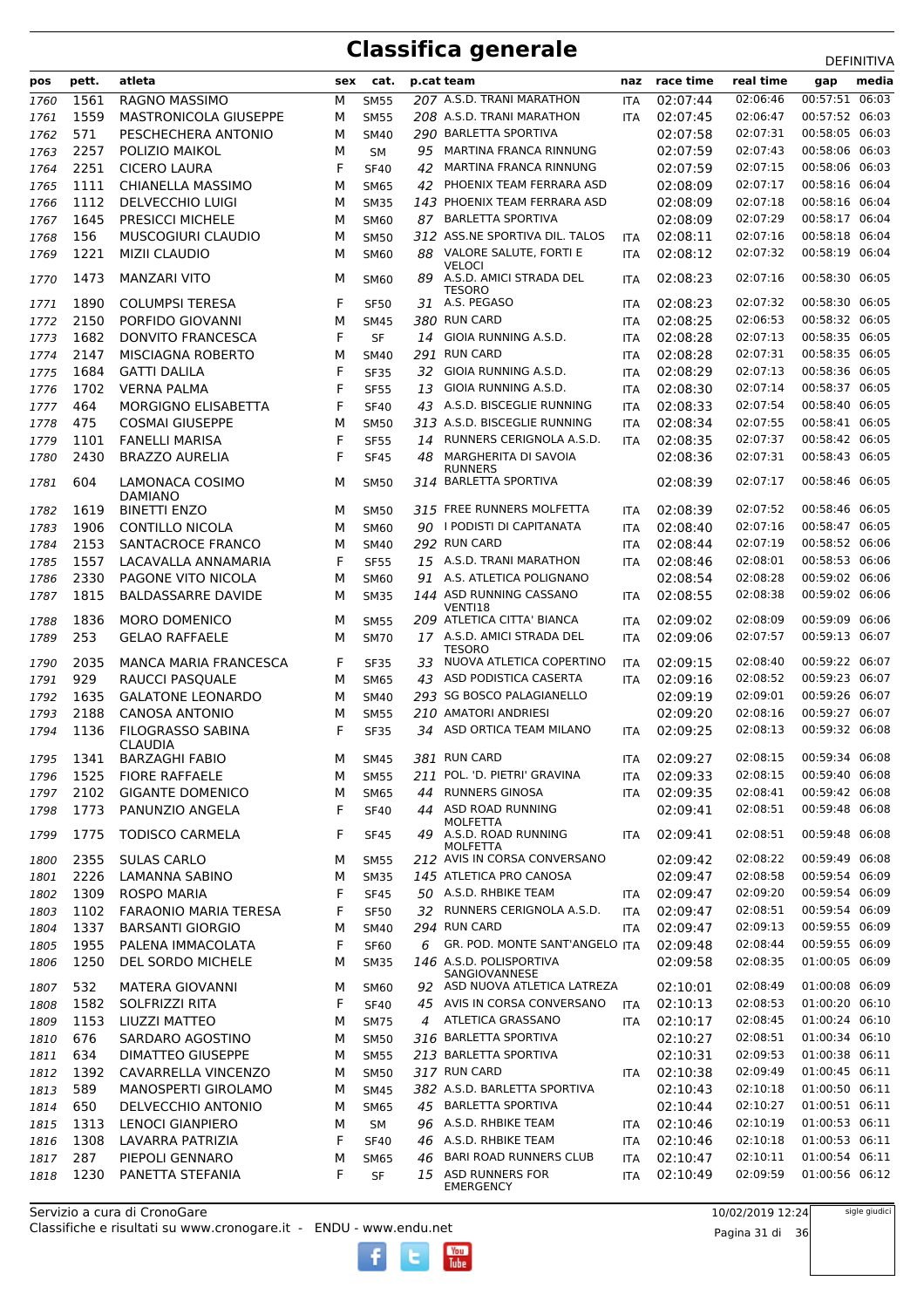| pos          | pett. | atleta                                     | sex | cat.                       |    | p.cat team                                         | naz                      | race time | real time | gap            | media |
|--------------|-------|--------------------------------------------|-----|----------------------------|----|----------------------------------------------------|--------------------------|-----------|-----------|----------------|-------|
| 1760         | 1561  | RAGNO MASSIMO                              | М   | <b>SM55</b>                |    | 207 A.S.D. TRANI MARATHON                          | <b>ITA</b>               | 02:07:44  | 02:06:46  | 00:57:51 06:03 |       |
| 1761         | 1559  | <b>MASTRONICOLA GIUSEPPE</b>               | М   | <b>SM55</b>                |    | 208 A.S.D. TRANI MARATHON                          | <b>ITA</b>               | 02:07:45  | 02:06:47  | 00:57:52 06:03 |       |
| 1762         | 571   | PESCHECHERA ANTONIO                        | М   | <b>SM40</b>                |    | 290 BARLETTA SPORTIVA                              |                          | 02:07:58  | 02:07:31  | 00:58:05 06:03 |       |
| 1763         | 2257  | POLIZIO MAIKOL                             | М   | <b>SM</b>                  | 95 | MARTINA FRANCA RINNUNG                             |                          | 02:07:59  | 02:07:43  | 00:58:06 06:03 |       |
| 1764         | 2251  | <b>CICERO LAURA</b>                        | F   | <b>SF40</b>                | 42 | MARTINA FRANCA RINNUNG                             |                          | 02:07:59  | 02:07:15  | 00:58:06 06:03 |       |
| 1765         | 1111  | CHIANELLA MASSIMO                          | М   | <b>SM65</b>                | 42 | PHOENIX TEAM FERRARA ASD                           |                          | 02:08:09  | 02:07:17  | 00:58:16 06:04 |       |
| 1766         | 1112  | <b>DELVECCHIO LUIGI</b>                    | М   | <b>SM35</b>                |    | 143 PHOENIX TEAM FERRARA ASD                       |                          | 02:08:09  | 02:07:18  | 00:58:16 06:04 |       |
| 1767         | 1645  | PRESICCI MICHELE                           | М   | SM60                       | 87 | <b>BARLETTA SPORTIVA</b>                           |                          | 02:08:09  | 02:07:29  | 00:58:17 06:04 |       |
| 1768         | 156   | MUSCOGIURI CLAUDIO                         | м   | <b>SM50</b>                |    | 312 ASS.NE SPORTIVA DIL. TALOS                     | ITA                      | 02:08:11  | 02:07:16  | 00:58:18 06:04 |       |
| 1769         | 1221  | <b>MIZII CLAUDIO</b>                       | М   | <b>SM60</b>                |    | 88 VALORE SALUTE, FORTI E                          | <b>ITA</b>               | 02:08:12  | 02:07:32  | 00:58:19 06:04 |       |
| 1770         | 1473  | <b>MANZARI VITO</b>                        | М   | <b>SM60</b>                | 89 | <b>VELOCI</b><br>A.S.D. AMICI STRADA DEL           | <b>ITA</b>               | 02:08:23  | 02:07:16  | 00:58:30 06:05 |       |
| 1771         | 1890  | <b>COLUMPSI TERESA</b>                     | F   | <b>SF50</b>                |    | <b>TESORO</b><br>31 A.S. PEGASO                    | <b>ITA</b>               | 02:08:23  | 02:07:32  | 00:58:30 06:05 |       |
|              | 2150  | PORFIDO GIOVANNI                           | М   |                            |    | 380 RUN CARD                                       |                          | 02:08:25  | 02:06:53  | 00:58:32 06:05 |       |
| 1772<br>1773 | 1682  | <b>DONVITO FRANCESCA</b>                   | F   | <b>SM45</b><br><b>SF</b>   |    | 14 GIOIA RUNNING A.S.D.                            | <b>ITA</b><br><b>ITA</b> | 02:08:28  | 02:07:13  | 00:58:35 06:05 |       |
|              | 2147  | MISCIAGNA ROBERTO                          | М   |                            |    | 291 RUN CARD                                       |                          | 02:08:28  | 02:07:31  | 00:58:35 06:05 |       |
| 1774         | 1684  | <b>GATTI DALILA</b>                        | F   | <b>SM40</b>                | 32 | GIOIA RUNNING A.S.D.                               | <b>ITA</b><br><b>ITA</b> | 02:08:29  | 02:07:13  | 00:58:36 06:05 |       |
| 1775<br>1776 | 1702  | <b>VERNA PALMA</b>                         | F   | <b>SF35</b><br><b>SF55</b> | 13 | GIOIA RUNNING A.S.D.                               | <b>ITA</b>               | 02:08:30  | 02:07:14  | 00:58:37 06:05 |       |
|              | 464   | MORGIGNO ELISABETTA                        | F   | <b>SF40</b>                | 43 | A.S.D. BISCEGLIE RUNNING                           |                          | 02:08:33  | 02:07:54  | 00:58:40 06:05 |       |
| 1777<br>1778 | 475   | <b>COSMAI GIUSEPPE</b>                     | М   | <b>SM50</b>                |    | 313 A.S.D. BISCEGLIE RUNNING                       | <b>ITA</b>               | 02:08:34  | 02:07:55  | 00:58:41 06:05 |       |
| 1779         | 1101  | <b>FANELLI MARISA</b>                      | F   | <b>SF55</b>                | 14 | RUNNERS CERIGNOLA A.S.D.                           | <b>ITA</b><br><b>ITA</b> | 02:08:35  | 02:07:37  | 00:58:42 06:05 |       |
|              | 2430  | <b>BRAZZO AURELIA</b>                      | F   |                            | 48 | MARGHERITA DI SAVOIA                               |                          | 02:08:36  | 02:07:31  | 00:58:43 06:05 |       |
| 1780         |       |                                            |     | <b>SF45</b>                |    | <b>RUNNERS</b>                                     |                          |           |           |                |       |
| 1781         | 604   | LAMONACA COSIMO<br><b>DAMIANO</b>          | М   | <b>SM50</b>                |    | 314 BARLETTA SPORTIVA                              |                          | 02:08:39  | 02:07:17  | 00:58:46 06:05 |       |
| 1782         | 1619  | <b>BINETTI ENZO</b>                        | М   | <b>SM50</b>                |    | 315 FREE RUNNERS MOLFETTA                          | <b>ITA</b>               | 02:08:39  | 02:07:52  | 00:58:46 06:05 |       |
| 1783         | 1906  | <b>CONTILLO NICOLA</b>                     | М   | <b>SM60</b>                |    | 90 I PODISTI DI CAPITANATA                         | <b>ITA</b>               | 02:08:40  | 02:07:16  | 00:58:47 06:05 |       |
| 1784         | 2153  | SANTACROCE FRANCO                          | М   | <b>SM40</b>                |    | 292 RUN CARD                                       | <b>ITA</b>               | 02:08:44  | 02:07:19  | 00:58:52 06:06 |       |
| 1785         | 1557  | LACAVALLA ANNAMARIA                        | F   | <b>SF55</b>                |    | 15 A.S.D. TRANI MARATHON                           | <b>ITA</b>               | 02:08:46  | 02:08:01  | 00:58:53 06:06 |       |
| 1786         | 2330  | PAGONE VITO NICOLA                         | М   | <b>SM60</b>                |    | 91 A.S. ATLETICA POLIGNANO                         |                          | 02:08:54  | 02:08:28  | 00:59:02 06:06 |       |
| 1787         | 1815  | <b>BALDASSARRE DAVIDE</b>                  | М   | <b>SM35</b>                |    | 144 ASD RUNNING CASSANO<br>VENTI18                 | <b>ITA</b>               | 02:08:55  | 02:08:38  | 00:59:02 06:06 |       |
| 1788         | 1836  | <b>MORO DOMENICO</b>                       | м   | <b>SM55</b>                |    | 209 ATLETICA CITTA' BIANCA                         | <b>ITA</b>               | 02:09:02  | 02:08:09  | 00:59:09 06:06 |       |
| 1789         | 253   | <b>GELAO RAFFAELE</b>                      | М   | <b>SM70</b>                |    | 17 A.S.D. AMICI STRADA DEL<br><b>TESORO</b>        | <b>ITA</b>               | 02:09:06  | 02:07:57  | 00:59:13 06:07 |       |
| 1790         | 2035  | <b>MANCA MARIA FRANCESCA</b>               | F   | <b>SF35</b>                | 33 | NUOVA ATLETICA COPERTINO                           | <b>ITA</b>               | 02:09:15  | 02:08:40  | 00:59:22 06:07 |       |
| 1791         | 929   | RAUCCI PASQUALE                            | М   | <b>SM65</b>                |    | 43 ASD PODISTICA CASERTA                           | <b>ITA</b>               | 02:09:16  | 02:08:52  | 00:59:23 06:07 |       |
| 1792         | 1635  | <b>GALATONE LEONARDO</b>                   | М   | <b>SM40</b>                |    | 293 SG BOSCO PALAGIANELLO                          |                          | 02:09:19  | 02:09:01  | 00:59:26 06:07 |       |
| 1793         | 2188  | <b>CANOSA ANTONIO</b>                      | м   | <b>SM55</b>                |    | 210 AMATORI ANDRIESI                               |                          | 02:09:20  | 02:08:16  | 00:59:27 06:07 |       |
| 1794         | 1136  | <b>FILOGRASSO SABINA</b><br><b>CLAUDIA</b> | F   | <b>SF35</b>                |    | 34 ASD ORTICA TEAM MILANO                          | <b>ITA</b>               | 02:09:25  | 02:08:13  | 00:59:32 06:08 |       |
| 1795         | 1341  | <b>BARZAGHI FABIO</b>                      | м   | <b>SM45</b>                |    | 381 RUN CARD                                       | ITA                      | 02:09:27  | 02:08:15  | 00:59:34 06:08 |       |
| 1796         | 1525  | <b>FIORE RAFFAELE</b>                      | М   | <b>SM55</b>                |    | 211 POL. 'D. PIETRI' GRAVINA                       | <b>ITA</b>               | 02:09:33  | 02:08:15  | 00:59:40 06:08 |       |
| 1797         | 2102  | <b>GIGANTE DOMENICO</b>                    | М   | <b>SM65</b>                | 44 | <b>RUNNERS GINOSA</b>                              | <b>ITA</b>               | 02:09:35  | 02:08:41  | 00:59:42 06:08 |       |
| 1798         | 1773  | PANUNZIO ANGELA                            | F   | <b>SF40</b>                |    | 44 ASD ROAD RUNNING                                |                          | 02:09:41  | 02:08:51  | 00:59:48 06:08 |       |
| 1799         | 1775  | <b>TODISCO CARMELA</b>                     | F   | <b>SF45</b>                | 49 | MOLFETTA<br>A.S.D. ROAD RUNNING<br><b>MOLFETTA</b> | ITA                      | 02:09:41  | 02:08:51  | 00:59:48 06:08 |       |
| 1800         | 2355  | <b>SULAS CARLO</b>                         | м   | <b>SM55</b>                |    | 212 AVIS IN CORSA CONVERSANO                       |                          | 02:09:42  | 02:08:22  | 00:59:49 06:08 |       |
| 1801         | 2226  | LAMANNA SABINO                             | М   | <b>SM35</b>                |    | 145 ATLETICA PRO CANOSA                            |                          | 02:09:47  | 02:08:58  | 00:59:54 06:09 |       |
| 1802         | 1309  | ROSPO MARIA                                | F   | <b>SF45</b>                |    | 50 A.S.D. RHBIKE TEAM                              | <b>ITA</b>               | 02:09:47  | 02:09:20  | 00:59:54 06:09 |       |
| 1803         | 1102  | <b>FARAONIO MARIA TERESA</b>               | F   | <b>SF50</b>                |    | 32 RUNNERS CERIGNOLA A.S.D.                        | ITA                      | 02:09:47  | 02:08:51  | 00:59:54 06:09 |       |
| 1804         | 1337  | <b>BARSANTI GIORGIO</b>                    | М   | <b>SM40</b>                |    | 294 RUN CARD                                       | <b>ITA</b>               | 02:09:47  | 02:09:13  | 00:59:55 06:09 |       |
| 1805         | 1955  | PALENA IMMACOLATA                          | F   | <b>SF60</b>                | 6  | GR. POD. MONTE SANT'ANGELO ITA                     |                          | 02:09:48  | 02:08:44  | 00:59:55 06:09 |       |
| 1806         | 1250  | DEL SORDO MICHELE                          | М   | <b>SM35</b>                |    | 146 A.S.D. POLISPORTIVA<br>SANGIOVANNESE           |                          | 02:09:58  | 02:08:35  | 01:00:05 06:09 |       |
| 1807         | 532   | MATERA GIOVANNI                            | М   | <b>SM60</b>                |    | 92 ASD NUOVA ATLETICA LATREZA                      |                          | 02:10:01  | 02:08:49  | 01:00:08 06:09 |       |
| 1808         | 1582  | SOLFRIZZI RITA                             | F   | <b>SF40</b>                |    | 45 AVIS IN CORSA CONVERSANO                        | <b>ITA</b>               | 02:10:13  | 02:08:53  | 01:00:20 06:10 |       |
| 1809         | 1153  | LIUZZI MATTEO                              | М   | <b>SM75</b>                |    | 4 ATLETICA GRASSANO                                | ITA                      | 02:10:17  | 02:08:45  | 01:00:24 06:10 |       |
| 1810         | 676   | SARDARO AGOSTINO                           | М   | <b>SM50</b>                |    | 316 BARLETTA SPORTIVA                              |                          | 02:10:27  | 02:08:51  | 01:00:34 06:10 |       |
| 1811         | 634   | <b>DIMATTEO GIUSEPPE</b>                   | М   | <b>SM55</b>                |    | 213 BARLETTA SPORTIVA                              |                          | 02:10:31  | 02:09:53  | 01:00:38 06:11 |       |
| 1812         | 1392  | CAVARRELLA VINCENZO                        | М   | <b>SM50</b>                |    | 317 RUN CARD                                       | <b>ITA</b>               | 02:10:38  | 02:09:49  | 01:00:45 06:11 |       |
| 1813         | 589   | MANOSPERTI GIROLAMO                        | М   | <b>SM45</b>                |    | 382 A.S.D. BARLETTA SPORTIVA                       |                          | 02:10:43  | 02:10:18  | 01:00:50 06:11 |       |
| 1814         | 650   | DELVECCHIO ANTONIO                         | М   | <b>SM65</b>                | 45 | <b>BARLETTA SPORTIVA</b>                           |                          | 02:10:44  | 02:10:27  | 01:00:51 06:11 |       |
| 1815         | 1313  | <b>LENOCI GIANPIERO</b>                    | М   | SM                         |    | 96 A.S.D. RHBIKE TEAM                              | <b>ITA</b>               | 02:10:46  | 02:10:19  | 01:00:53 06:11 |       |
| 1816         | 1308  | LAVARRA PATRIZIA                           | F   | <b>SF40</b>                |    | 46 A.S.D. RHBIKE TEAM                              | ITA                      | 02:10:46  | 02:10:18  | 01:00:53 06:11 |       |
| 1817         | 287   | PIEPOLI GENNARO                            | м   | <b>SM65</b>                | 46 | <b>BARI ROAD RUNNERS CLUB</b>                      | <b>ITA</b>               | 02:10:47  | 02:10:11  | 01:00:54 06:11 |       |
| 1818         | 1230  | PANETTA STEFANIA                           | F   | SF                         |    | 15 ASD RUNNERS FOR<br><b>EMERGENCY</b>             | ITA                      | 02:10:49  | 02:09:59  | 01:00:56 06:12 |       |

 $\begin{bmatrix}\n\frac{\text{Vou}}{\text{Iube}}\n\end{bmatrix}$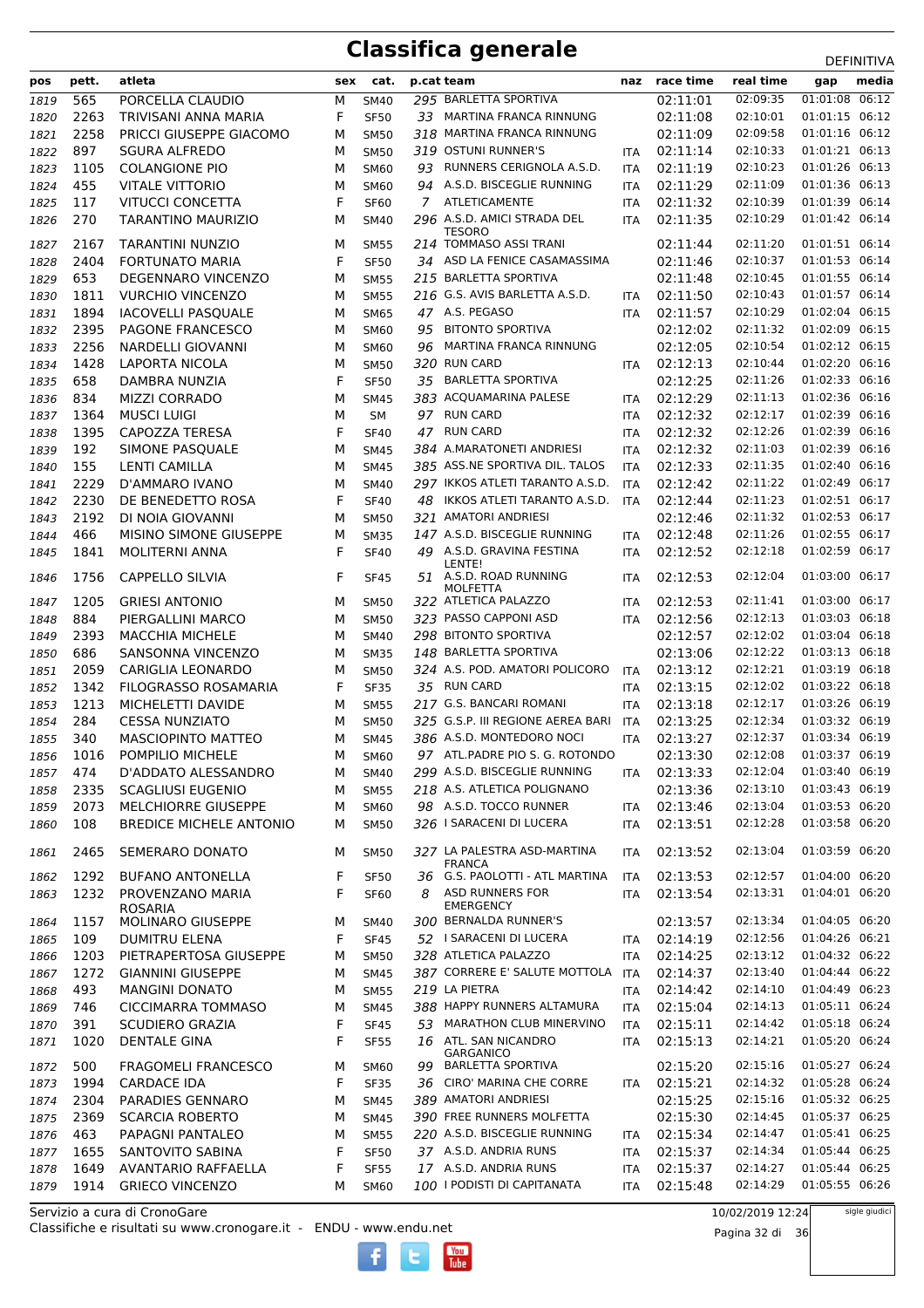| naz race time<br>sex cat.<br>p.cat team<br>01:01:08 06:12<br>02:09:35<br>295 BARLETTA SPORTIVA<br>565<br>PORCELLA CLAUDIO<br><b>SM40</b><br>02:11:01<br>1819<br>м<br>F<br>2263<br>33 MARTINA FRANCA RINNUNG<br>02:11:08<br>02:10:01<br>01:01:15 06:12<br>TRIVISANI ANNA MARIA<br><b>SF50</b><br>1820<br>318 MARTINA FRANCA RINNUNG<br>02:09:58<br>01:01:16 06:12<br>2258<br>PRICCI GIUSEPPE GIACOMO<br>02:11:09<br>1821<br>м<br><b>SM50</b><br>02:10:33<br>01:01:21 06:13<br>897<br>319 OSTUNI RUNNER'S<br>02:11:14<br>1822<br><b>SGURA ALFREDO</b><br><b>SM50</b><br>M<br><b>ITA</b><br>RUNNERS CERIGNOLA A.S.D.<br>02:11:19<br>02:10:23<br>01:01:26 06:13<br>1823<br>1105<br><b>COLANGIONE PIO</b><br>M<br><b>SM60</b><br>93<br><b>ITA</b><br>01:01:36 06:13<br>94 A.S.D. BISCEGLIE RUNNING<br>02:11:09<br>455<br>02:11:29<br><b>VITALE VITTORIO</b><br>M<br>1824<br><b>SM60</b><br><b>ITA</b><br>01:01:39 06:14<br>F<br>7 ATLETICAMENTE<br>02:10:39<br>117<br><b>VITUCCI CONCETTA</b><br>02:11:32<br>1825<br><b>SF60</b><br><b>ITA</b><br>270<br>296 A.S.D. AMICI STRADA DEL<br>02:11:35<br>02:10:29<br>01:01:42 06:14<br>1826<br>TARANTINO MAURIZIO<br>М<br><b>SM40</b><br><b>ITA</b><br><b>TESORO</b><br>214 TOMMASO ASSI TRANI<br>01:01:51 06:14<br>02:11:44<br>02:11:20<br>2167<br><b>TARANTINI NUNZIO</b><br>1827<br><b>SM55</b><br>M<br>34 ASD LA FENICE CASAMASSIMA<br>02:11:46<br>02:10:37<br>01:01:53 06:14<br>2404<br><b>FORTUNATO MARIA</b><br>F<br><b>SF50</b><br>1828<br>215 BARLETTA SPORTIVA<br>02:10:45<br>01:01:55 06:14<br>653<br>02:11:48<br>DEGENNARO VINCENZO<br><b>SM55</b><br>1829<br>M<br>01:01:57 06:14<br>02:10:43<br>216 G.S. AVIS BARLETTA A.S.D.<br>02:11:50<br>1811<br><b>VURCHIO VINCENZO</b><br><b>SM55</b><br>1830<br>М<br><b>ITA</b><br>1894<br>47 A.S. PEGASO<br>02:11:57<br>01:02:04 06:15<br>1831<br><b>IACOVELLI PASQUALE</b><br><b>SM65</b><br>02:10:29<br>M<br><b>ITA</b><br><b>BITONTO SPORTIVA</b><br>02:11:32<br>01:02:09 06:15<br>2395<br>02:12:02<br>PAGONE FRANCESCO<br>95<br>1832<br>M<br><b>SM60</b><br>MARTINA FRANCA RINNUNG<br>02:12:05<br>02:10:54<br>01:02:12 06:15<br>1833<br>2256<br>NARDELLI GIOVANNI<br>SM60<br>M<br>96<br>320 RUN CARD<br>02:12:13<br>01:02:20 06:16<br>1428<br>LAPORTA NICOLA<br>M<br>02:10:44<br>1834<br><b>SM50</b><br><b>ITA</b><br>01:02:33 06:16<br><b>BARLETTA SPORTIVA</b><br>02:11:26<br>658<br>F<br>02:12:25<br>1835<br>DAMBRA NUNZIA<br><b>SF50</b><br>35<br>01:02:36 06:16<br>834<br>383 ACQUAMARINA PALESE<br>02:12:29<br>1836<br><b>MIZZI CORRADO</b><br>M<br>02:11:13<br><b>SM45</b><br><b>ITA</b><br>1364<br>97 RUN CARD<br>02:12:32<br>02:12:17<br>01:02:39 06:16<br><b>MUSCI LUIGI</b><br>M<br>1837<br><b>SM</b><br><b>ITA</b><br><b>RUN CARD</b><br>02:12:26<br>01:02:39 06:16<br>1395<br>F<br>02:12:32<br>CAPOZZA TERESA<br>47<br>1838<br><b>SF40</b><br><b>ITA</b><br>192<br>02:12:32<br>02:11:03<br>01:02:39 06:16<br>SIMONE PASQUALE<br>384 A.MARATONETI ANDRIESI<br>1839<br>M<br><b>SM45</b><br><b>ITA</b><br>155<br>385 ASS.NE SPORTIVA DIL. TALOS<br>02:12:33<br>02:11:35<br>01:02:40 06:16<br>LENTI CAMILLA<br>M<br>1840<br><b>SM45</b><br><b>ITA</b><br>01:02:49 06:17<br>297 IKKOS ATLETI TARANTO A.S.D.<br>02:11:22<br>2229<br>02:12:42<br>D'AMMARO IVANO<br>M<br>1841<br><b>SM40</b><br><b>ITA</b><br>01:02:51 06:17<br>2230<br>DE BENEDETTO ROSA<br>F<br>48 IKKOS ATLETI TARANTO A.S.D.<br>02:12:44<br>02:11:23<br>1842<br><b>SF40</b><br>ITA<br>01:02:53 06:17<br>2192<br>DI NOIA GIOVANNI<br>321 AMATORI ANDRIESI<br>02:12:46<br>02:11:32<br>M<br>1843<br><b>SM50</b><br>147 A.S.D. BISCEGLIE RUNNING<br>02:11:26<br>01:02:55 06:17<br>466<br>MISINO SIMONE GIUSEPPE<br>02:12:48<br>1844<br>M<br><b>SM35</b><br><b>ITA</b><br>01:02:59 06:17<br>49 A.S.D. GRAVINA FESTINA<br>02:12:52<br>02:12:18<br>1841<br><b>MOLITERNI ANNA</b><br>F<br><b>SF40</b><br>1845<br><b>ITA</b><br>LENTE!<br>01:03:00 06:17<br>51 A.S.D. ROAD RUNNING<br>02:12:04<br>1756<br><b>CAPPELLO SILVIA</b><br>F<br>02:12:53<br>1846<br><b>SF45</b><br><b>ITA</b><br><b>MOLFETTA</b><br>02:11:41<br>01:03:00 06:17<br>1205<br><b>GRIESI ANTONIO</b><br>322 ATLETICA PALAZZO<br>02:12:53<br>М<br><b>SM50</b><br><b>ITA</b><br>1847<br>323 PASSO CAPPONI ASD<br>02:12:13<br>01:03:03 06:18<br>884<br>02:12:56<br>PIERGALLINI MARCO<br>1848<br>M<br><b>SM50</b><br><b>ITA</b><br>298 BITONTO SPORTIVA<br>02:12:57<br>02:12:02<br>01:03:04 06:18<br>2393<br><b>MACCHIA MICHELE</b><br><b>SM40</b><br>1849<br>M<br>686<br>148 BARLETTA SPORTIVA<br>02:13:06<br>02:12:22<br>01:03:13 06:18<br>SANSONNA VINCENZO<br>M<br><b>SM35</b><br>1850<br>324 A.S. POD. AMATORI POLICORO<br>02:12:21<br>01:03:19 06:18<br>2059<br>02:13:12<br><b>CARIGLIA LEONARDO</b><br>1851<br>M<br><b>SM50</b><br><b>ITA</b><br>01:03:22 06:18<br>1342<br>FILOGRASSO ROSAMARIA<br>F<br>35 RUN CARD<br>02:13:15<br>02:12:02<br>1852<br><b>SF35</b><br><b>ITA</b><br>01:03:26 06:19<br>217 G.S. BANCARI ROMANI<br>02:12:17<br>1213<br>MICHELETTI DAVIDE<br>02:13:18<br><b>SM55</b><br><b>ITA</b><br>1853<br>M<br>01:03:32 06:19<br>325 G.S.P. III REGIONE AEREA BARI<br>02:12:34<br>284<br>02:13:25<br>1854<br><b>CESSA NUNZIATO</b><br>M<br><b>SM50</b><br>ITA<br>01:03:34 06:19<br>340<br>386 A.S.D. MONTEDORO NOCI<br>02:13:27<br>02:12:37<br>1855<br><b>MASCIOPINTO MATTEO</b><br><b>SM45</b><br>M<br><b>ITA</b><br>97 ATL.PADRE PIO S. G. ROTONDO<br>02:12:08<br>01:03:37 06:19<br>02:13:30<br>1016<br>POMPILIO MICHELE<br>1856<br>М<br>SM60<br>299 A.S.D. BISCEGLIE RUNNING<br>02:12:04<br>01:03:40 06:19<br>474<br>D'ADDATO ALESSANDRO<br>02:13:33<br>M<br><b>SM40</b><br>1857<br>ITA<br>01:03:43 06:19<br>2335<br>218 A.S. ATLETICA POLIGNANO<br>02:13:36<br>02:13:10<br><b>SCAGLIUSI EUGENIO</b><br><b>SM55</b><br>1858<br>м<br>01:03:53 06:20<br>98 A.S.D. TOCCO RUNNER<br>02:13:46<br>02:13:04<br>2073<br><b>MELCHIORRE GIUSEPPE</b><br>SM60<br>1859<br>м<br>ITA<br>326   SARACENI DI LUCERA<br>02:12:28<br>01:03:58 06:20<br>02:13:51<br>108<br><b>BREDICE MICHELE ANTONIO</b><br>1860<br>м<br><b>SM50</b><br>ITA<br>327 LA PALESTRA ASD-MARTINA<br>02:13:04<br>01:03:59 06:20<br>SEMERARO DONATO<br>02:13:52<br>2465<br>м<br><b>SM50</b><br>1861<br>ITA<br><b>FRANCA</b><br>01:04:00 06:20<br>36 G.S. PAOLOTTI - ATL MARTINA<br>02:12:57<br>1292<br><b>BUFANO ANTONELLA</b><br>F<br>02:13:53<br><b>SF50</b><br><b>ITA</b><br>1862<br>01:04:01 06:20<br><b>ASD RUNNERS FOR</b><br>02:13:31<br>1232<br>F<br>02:13:54<br>PROVENZANO MARIA<br>8<br><b>SF60</b><br><b>ITA</b><br>1863<br><b>EMERGENCY</b><br><b>ROSARIA</b><br>300 BERNALDA RUNNER'S<br>01:04:05 06:20<br>02:13:57<br>02:13:34<br>1157<br><b>MOLINARO GIUSEPPE</b><br>М<br><b>SM40</b><br>1864<br>01:04:26 06:21<br>109<br>F<br>52 I SARACENI DI LUCERA<br>02:14:19<br>02:12:56<br><b>DUMITRU ELENA</b><br><b>SF45</b><br>1865<br><b>ITA</b><br>01:04:32 06:22<br>02:14:25<br>02:13:12<br>1203<br>PIETRAPERTOSA GIUSEPPE<br>328 ATLETICA PALAZZO<br><b>SM50</b><br>М<br><b>ITA</b><br>1866<br>387 CORRERE E' SALUTE MOTTOLA<br>02:13:40<br>01:04:44 06:22<br>1272<br>02:14:37<br><b>GIANNINI GIUSEPPE</b><br><b>SM45</b><br>1867<br>М<br>ITA<br>01:04:49 06:23<br>219 LA PIETRA<br>02:14:42<br>02:14:10<br>493<br><b>MANGINI DONATO</b><br>М<br><b>SM55</b><br>1868<br><b>ITA</b><br>01:05:11 06:24<br>388 HAPPY RUNNERS ALTAMURA<br>02:14:13<br><b>CICCIMARRA TOMMASO</b><br>02:15:04<br>746<br>М<br>1869<br><b>SM45</b><br><b>ITA</b><br>01:05:18 06:24<br>F<br>53 MARATHON CLUB MINERVINO<br>02:15:11<br>02:14:42<br>391<br><b>SCUDIERO GRAZIA</b><br>1870<br><b>SF45</b><br><b>ITA</b><br>01:05:20 06:24<br>F<br>1020<br><b>DENTALE GINA</b><br>16 ATL. SAN NICANDRO<br>02:15:13<br>02:14:21<br><b>SF55</b><br>1871<br><b>ITA</b><br><b>GARGANICO</b><br>02:15:20<br>01:05:27 06:24<br>500<br><b>FRAGOMELI FRANCESCO</b><br><b>BARLETTA SPORTIVA</b><br>02:15:16<br>М<br><b>SM60</b><br>99<br>1872<br>F<br>CIRO' MARINA CHE CORRE<br>02:15:21<br>02:14:32<br>01:05:28 06:24<br>1994<br><b>CARDACE IDA</b><br>1873<br><b>SF35</b><br>36<br><b>ITA</b><br>02:15:16<br>01:05:32 06:25<br>PARADIES GENNARO<br>389 AMATORI ANDRIESI<br>02:15:25<br>2304<br>1874<br>М<br>SM45<br>01:05:37 06:25<br>390 FREE RUNNERS MOLFETTA<br>02:15:30<br>2369<br><b>SCARCIA ROBERTO</b><br>02:14:45<br>1875<br>М<br><b>SM45</b><br>01:05:41 06:25<br>463<br>220 A.S.D. BISCEGLIE RUNNING<br>02:15:34<br>02:14:47<br>PAPAGNI PANTALEO<br>1876<br>М<br><b>SM55</b><br><b>ITA</b><br>37 A.S.D. ANDRIA RUNS<br>01:05:44 06:25<br>F<br>02:15:37<br>02:14:34<br>1655<br>SANTOVITO SABINA<br><b>SF50</b><br>1877<br>ITA<br>01:05:44 06:25<br>F<br>17 A.S.D. ANDRIA RUNS<br>02:15:37<br>02:14:27<br>1649<br>AVANTARIO RAFFAELLA<br>1878<br><b>SF55</b><br>ITA<br>01:05:55 06:26<br>100 I PODISTI DI CAPITANATA<br>02:14:29<br>1914<br><b>GRIECO VINCENZO</b><br>02:15:48<br>1879<br>М<br><b>SM60</b><br><b>ITA</b> |     |       |        |  |  |  |           | ᅛᄂᆝᄞᅁᄓᅜ      |
|--------------------------------------------------------------------------------------------------------------------------------------------------------------------------------------------------------------------------------------------------------------------------------------------------------------------------------------------------------------------------------------------------------------------------------------------------------------------------------------------------------------------------------------------------------------------------------------------------------------------------------------------------------------------------------------------------------------------------------------------------------------------------------------------------------------------------------------------------------------------------------------------------------------------------------------------------------------------------------------------------------------------------------------------------------------------------------------------------------------------------------------------------------------------------------------------------------------------------------------------------------------------------------------------------------------------------------------------------------------------------------------------------------------------------------------------------------------------------------------------------------------------------------------------------------------------------------------------------------------------------------------------------------------------------------------------------------------------------------------------------------------------------------------------------------------------------------------------------------------------------------------------------------------------------------------------------------------------------------------------------------------------------------------------------------------------------------------------------------------------------------------------------------------------------------------------------------------------------------------------------------------------------------------------------------------------------------------------------------------------------------------------------------------------------------------------------------------------------------------------------------------------------------------------------------------------------------------------------------------------------------------------------------------------------------------------------------------------------------------------------------------------------------------------------------------------------------------------------------------------------------------------------------------------------------------------------------------------------------------------------------------------------------------------------------------------------------------------------------------------------------------------------------------------------------------------------------------------------------------------------------------------------------------------------------------------------------------------------------------------------------------------------------------------------------------------------------------------------------------------------------------------------------------------------------------------------------------------------------------------------------------------------------------------------------------------------------------------------------------------------------------------------------------------------------------------------------------------------------------------------------------------------------------------------------------------------------------------------------------------------------------------------------------------------------------------------------------------------------------------------------------------------------------------------------------------------------------------------------------------------------------------------------------------------------------------------------------------------------------------------------------------------------------------------------------------------------------------------------------------------------------------------------------------------------------------------------------------------------------------------------------------------------------------------------------------------------------------------------------------------------------------------------------------------------------------------------------------------------------------------------------------------------------------------------------------------------------------------------------------------------------------------------------------------------------------------------------------------------------------------------------------------------------------------------------------------------------------------------------------------------------------------------------------------------------------------------------------------------------------------------------------------------------------------------------------------------------------------------------------------------------------------------------------------------------------------------------------------------------------------------------------------------------------------------------------------------------------------------------------------------------------------------------------------------------------------------------------------------------------------------------------------------------------------------------------------------------------------------------------------------------------------------------------------------------------------------------------------------------------------------------------------------------------------------------------------------------------------------------------------------------------------------------------------------------------------------------------------------------------------------------------------------------------------------------------------------------------------------------------------------------------------------------------------------------------------------------------------------------------------------------------------------------------------------------------------------------------------------------------------------------------------------------------------------------------------------------------------------------------------------------------------------------------------------------------------------------------------------------------------------------------------------------------------------------------------------------------------------------------------------------------------------------------------------------------------------------------------------------------------------------------------------------------------------------------------------------------------------------------------------------------------------------------------------------------------------------------------------------------------------------------------------------------------------------------------------------------------------------------------------------------------------------------------------------------------------------------------------------------------------------------------------------------------------------------------------------------------------------------------------------------------------------------------------------------------------------------------------------------------------------------------------------------------------------------------------------------------------------------------------------------------------------------------------------------------------------------------------------------------------------------------------------------------------------------------------------------------------------------------------------------------------------------------------------------------------------------------------------------------------------------------------------------------------------------------------------------------------------------------------------------------------------------------------------------------------------------------------------------------------------------------------------------------------------------------------------------------------------------------------------------------------------------------|-----|-------|--------|--|--|--|-----------|--------------|
|                                                                                                                                                                                                                                                                                                                                                                                                                                                                                                                                                                                                                                                                                                                                                                                                                                                                                                                                                                                                                                                                                                                                                                                                                                                                                                                                                                                                                                                                                                                                                                                                                                                                                                                                                                                                                                                                                                                                                                                                                                                                                                                                                                                                                                                                                                                                                                                                                                                                                                                                                                                                                                                                                                                                                                                                                                                                                                                                                                                                                                                                                                                                                                                                                                                                                                                                                                                                                                                                                                                                                                                                                                                                                                                                                                                                                                                                                                                                                                                                                                                                                                                                                                                                                                                                                                                                                                                                                                                                                                                                                                                                                                                                                                                                                                                                                                                                                                                                                                                                                                                                                                                                                                                                                                                                                                                                                                                                                                                                                                                                                                                                                                                                                                                                                                                                                                                                                                                                                                                                                                                                                                                                                                                                                                                                                                                                                                                                                                                                                                                                                                                                                                                                                                                                                                                                                                                                                                                                                                                                                                                                                                                                                                                                                                                                                                                                                                                                                                                                                                                                                                                                                                                                                                                                                                                                                                                                                                                                                                                                                                                                                                                                                                                                                                                                                                                                                                                                                                                                                                                                                                                                                                                                                                                                                                                                                                                                                                                          | pos | pett. | atleta |  |  |  | real time | media<br>gap |
|                                                                                                                                                                                                                                                                                                                                                                                                                                                                                                                                                                                                                                                                                                                                                                                                                                                                                                                                                                                                                                                                                                                                                                                                                                                                                                                                                                                                                                                                                                                                                                                                                                                                                                                                                                                                                                                                                                                                                                                                                                                                                                                                                                                                                                                                                                                                                                                                                                                                                                                                                                                                                                                                                                                                                                                                                                                                                                                                                                                                                                                                                                                                                                                                                                                                                                                                                                                                                                                                                                                                                                                                                                                                                                                                                                                                                                                                                                                                                                                                                                                                                                                                                                                                                                                                                                                                                                                                                                                                                                                                                                                                                                                                                                                                                                                                                                                                                                                                                                                                                                                                                                                                                                                                                                                                                                                                                                                                                                                                                                                                                                                                                                                                                                                                                                                                                                                                                                                                                                                                                                                                                                                                                                                                                                                                                                                                                                                                                                                                                                                                                                                                                                                                                                                                                                                                                                                                                                                                                                                                                                                                                                                                                                                                                                                                                                                                                                                                                                                                                                                                                                                                                                                                                                                                                                                                                                                                                                                                                                                                                                                                                                                                                                                                                                                                                                                                                                                                                                                                                                                                                                                                                                                                                                                                                                                                                                                                                                                          |     |       |        |  |  |  |           |              |
|                                                                                                                                                                                                                                                                                                                                                                                                                                                                                                                                                                                                                                                                                                                                                                                                                                                                                                                                                                                                                                                                                                                                                                                                                                                                                                                                                                                                                                                                                                                                                                                                                                                                                                                                                                                                                                                                                                                                                                                                                                                                                                                                                                                                                                                                                                                                                                                                                                                                                                                                                                                                                                                                                                                                                                                                                                                                                                                                                                                                                                                                                                                                                                                                                                                                                                                                                                                                                                                                                                                                                                                                                                                                                                                                                                                                                                                                                                                                                                                                                                                                                                                                                                                                                                                                                                                                                                                                                                                                                                                                                                                                                                                                                                                                                                                                                                                                                                                                                                                                                                                                                                                                                                                                                                                                                                                                                                                                                                                                                                                                                                                                                                                                                                                                                                                                                                                                                                                                                                                                                                                                                                                                                                                                                                                                                                                                                                                                                                                                                                                                                                                                                                                                                                                                                                                                                                                                                                                                                                                                                                                                                                                                                                                                                                                                                                                                                                                                                                                                                                                                                                                                                                                                                                                                                                                                                                                                                                                                                                                                                                                                                                                                                                                                                                                                                                                                                                                                                                                                                                                                                                                                                                                                                                                                                                                                                                                                                                                          |     |       |        |  |  |  |           |              |
|                                                                                                                                                                                                                                                                                                                                                                                                                                                                                                                                                                                                                                                                                                                                                                                                                                                                                                                                                                                                                                                                                                                                                                                                                                                                                                                                                                                                                                                                                                                                                                                                                                                                                                                                                                                                                                                                                                                                                                                                                                                                                                                                                                                                                                                                                                                                                                                                                                                                                                                                                                                                                                                                                                                                                                                                                                                                                                                                                                                                                                                                                                                                                                                                                                                                                                                                                                                                                                                                                                                                                                                                                                                                                                                                                                                                                                                                                                                                                                                                                                                                                                                                                                                                                                                                                                                                                                                                                                                                                                                                                                                                                                                                                                                                                                                                                                                                                                                                                                                                                                                                                                                                                                                                                                                                                                                                                                                                                                                                                                                                                                                                                                                                                                                                                                                                                                                                                                                                                                                                                                                                                                                                                                                                                                                                                                                                                                                                                                                                                                                                                                                                                                                                                                                                                                                                                                                                                                                                                                                                                                                                                                                                                                                                                                                                                                                                                                                                                                                                                                                                                                                                                                                                                                                                                                                                                                                                                                                                                                                                                                                                                                                                                                                                                                                                                                                                                                                                                                                                                                                                                                                                                                                                                                                                                                                                                                                                                                                          |     |       |        |  |  |  |           |              |
|                                                                                                                                                                                                                                                                                                                                                                                                                                                                                                                                                                                                                                                                                                                                                                                                                                                                                                                                                                                                                                                                                                                                                                                                                                                                                                                                                                                                                                                                                                                                                                                                                                                                                                                                                                                                                                                                                                                                                                                                                                                                                                                                                                                                                                                                                                                                                                                                                                                                                                                                                                                                                                                                                                                                                                                                                                                                                                                                                                                                                                                                                                                                                                                                                                                                                                                                                                                                                                                                                                                                                                                                                                                                                                                                                                                                                                                                                                                                                                                                                                                                                                                                                                                                                                                                                                                                                                                                                                                                                                                                                                                                                                                                                                                                                                                                                                                                                                                                                                                                                                                                                                                                                                                                                                                                                                                                                                                                                                                                                                                                                                                                                                                                                                                                                                                                                                                                                                                                                                                                                                                                                                                                                                                                                                                                                                                                                                                                                                                                                                                                                                                                                                                                                                                                                                                                                                                                                                                                                                                                                                                                                                                                                                                                                                                                                                                                                                                                                                                                                                                                                                                                                                                                                                                                                                                                                                                                                                                                                                                                                                                                                                                                                                                                                                                                                                                                                                                                                                                                                                                                                                                                                                                                                                                                                                                                                                                                                                                          |     |       |        |  |  |  |           |              |
|                                                                                                                                                                                                                                                                                                                                                                                                                                                                                                                                                                                                                                                                                                                                                                                                                                                                                                                                                                                                                                                                                                                                                                                                                                                                                                                                                                                                                                                                                                                                                                                                                                                                                                                                                                                                                                                                                                                                                                                                                                                                                                                                                                                                                                                                                                                                                                                                                                                                                                                                                                                                                                                                                                                                                                                                                                                                                                                                                                                                                                                                                                                                                                                                                                                                                                                                                                                                                                                                                                                                                                                                                                                                                                                                                                                                                                                                                                                                                                                                                                                                                                                                                                                                                                                                                                                                                                                                                                                                                                                                                                                                                                                                                                                                                                                                                                                                                                                                                                                                                                                                                                                                                                                                                                                                                                                                                                                                                                                                                                                                                                                                                                                                                                                                                                                                                                                                                                                                                                                                                                                                                                                                                                                                                                                                                                                                                                                                                                                                                                                                                                                                                                                                                                                                                                                                                                                                                                                                                                                                                                                                                                                                                                                                                                                                                                                                                                                                                                                                                                                                                                                                                                                                                                                                                                                                                                                                                                                                                                                                                                                                                                                                                                                                                                                                                                                                                                                                                                                                                                                                                                                                                                                                                                                                                                                                                                                                                                                          |     |       |        |  |  |  |           |              |
|                                                                                                                                                                                                                                                                                                                                                                                                                                                                                                                                                                                                                                                                                                                                                                                                                                                                                                                                                                                                                                                                                                                                                                                                                                                                                                                                                                                                                                                                                                                                                                                                                                                                                                                                                                                                                                                                                                                                                                                                                                                                                                                                                                                                                                                                                                                                                                                                                                                                                                                                                                                                                                                                                                                                                                                                                                                                                                                                                                                                                                                                                                                                                                                                                                                                                                                                                                                                                                                                                                                                                                                                                                                                                                                                                                                                                                                                                                                                                                                                                                                                                                                                                                                                                                                                                                                                                                                                                                                                                                                                                                                                                                                                                                                                                                                                                                                                                                                                                                                                                                                                                                                                                                                                                                                                                                                                                                                                                                                                                                                                                                                                                                                                                                                                                                                                                                                                                                                                                                                                                                                                                                                                                                                                                                                                                                                                                                                                                                                                                                                                                                                                                                                                                                                                                                                                                                                                                                                                                                                                                                                                                                                                                                                                                                                                                                                                                                                                                                                                                                                                                                                                                                                                                                                                                                                                                                                                                                                                                                                                                                                                                                                                                                                                                                                                                                                                                                                                                                                                                                                                                                                                                                                                                                                                                                                                                                                                                                                          |     |       |        |  |  |  |           |              |
|                                                                                                                                                                                                                                                                                                                                                                                                                                                                                                                                                                                                                                                                                                                                                                                                                                                                                                                                                                                                                                                                                                                                                                                                                                                                                                                                                                                                                                                                                                                                                                                                                                                                                                                                                                                                                                                                                                                                                                                                                                                                                                                                                                                                                                                                                                                                                                                                                                                                                                                                                                                                                                                                                                                                                                                                                                                                                                                                                                                                                                                                                                                                                                                                                                                                                                                                                                                                                                                                                                                                                                                                                                                                                                                                                                                                                                                                                                                                                                                                                                                                                                                                                                                                                                                                                                                                                                                                                                                                                                                                                                                                                                                                                                                                                                                                                                                                                                                                                                                                                                                                                                                                                                                                                                                                                                                                                                                                                                                                                                                                                                                                                                                                                                                                                                                                                                                                                                                                                                                                                                                                                                                                                                                                                                                                                                                                                                                                                                                                                                                                                                                                                                                                                                                                                                                                                                                                                                                                                                                                                                                                                                                                                                                                                                                                                                                                                                                                                                                                                                                                                                                                                                                                                                                                                                                                                                                                                                                                                                                                                                                                                                                                                                                                                                                                                                                                                                                                                                                                                                                                                                                                                                                                                                                                                                                                                                                                                                                          |     |       |        |  |  |  |           |              |
|                                                                                                                                                                                                                                                                                                                                                                                                                                                                                                                                                                                                                                                                                                                                                                                                                                                                                                                                                                                                                                                                                                                                                                                                                                                                                                                                                                                                                                                                                                                                                                                                                                                                                                                                                                                                                                                                                                                                                                                                                                                                                                                                                                                                                                                                                                                                                                                                                                                                                                                                                                                                                                                                                                                                                                                                                                                                                                                                                                                                                                                                                                                                                                                                                                                                                                                                                                                                                                                                                                                                                                                                                                                                                                                                                                                                                                                                                                                                                                                                                                                                                                                                                                                                                                                                                                                                                                                                                                                                                                                                                                                                                                                                                                                                                                                                                                                                                                                                                                                                                                                                                                                                                                                                                                                                                                                                                                                                                                                                                                                                                                                                                                                                                                                                                                                                                                                                                                                                                                                                                                                                                                                                                                                                                                                                                                                                                                                                                                                                                                                                                                                                                                                                                                                                                                                                                                                                                                                                                                                                                                                                                                                                                                                                                                                                                                                                                                                                                                                                                                                                                                                                                                                                                                                                                                                                                                                                                                                                                                                                                                                                                                                                                                                                                                                                                                                                                                                                                                                                                                                                                                                                                                                                                                                                                                                                                                                                                                                          |     |       |        |  |  |  |           |              |
|                                                                                                                                                                                                                                                                                                                                                                                                                                                                                                                                                                                                                                                                                                                                                                                                                                                                                                                                                                                                                                                                                                                                                                                                                                                                                                                                                                                                                                                                                                                                                                                                                                                                                                                                                                                                                                                                                                                                                                                                                                                                                                                                                                                                                                                                                                                                                                                                                                                                                                                                                                                                                                                                                                                                                                                                                                                                                                                                                                                                                                                                                                                                                                                                                                                                                                                                                                                                                                                                                                                                                                                                                                                                                                                                                                                                                                                                                                                                                                                                                                                                                                                                                                                                                                                                                                                                                                                                                                                                                                                                                                                                                                                                                                                                                                                                                                                                                                                                                                                                                                                                                                                                                                                                                                                                                                                                                                                                                                                                                                                                                                                                                                                                                                                                                                                                                                                                                                                                                                                                                                                                                                                                                                                                                                                                                                                                                                                                                                                                                                                                                                                                                                                                                                                                                                                                                                                                                                                                                                                                                                                                                                                                                                                                                                                                                                                                                                                                                                                                                                                                                                                                                                                                                                                                                                                                                                                                                                                                                                                                                                                                                                                                                                                                                                                                                                                                                                                                                                                                                                                                                                                                                                                                                                                                                                                                                                                                                                                          |     |       |        |  |  |  |           |              |
|                                                                                                                                                                                                                                                                                                                                                                                                                                                                                                                                                                                                                                                                                                                                                                                                                                                                                                                                                                                                                                                                                                                                                                                                                                                                                                                                                                                                                                                                                                                                                                                                                                                                                                                                                                                                                                                                                                                                                                                                                                                                                                                                                                                                                                                                                                                                                                                                                                                                                                                                                                                                                                                                                                                                                                                                                                                                                                                                                                                                                                                                                                                                                                                                                                                                                                                                                                                                                                                                                                                                                                                                                                                                                                                                                                                                                                                                                                                                                                                                                                                                                                                                                                                                                                                                                                                                                                                                                                                                                                                                                                                                                                                                                                                                                                                                                                                                                                                                                                                                                                                                                                                                                                                                                                                                                                                                                                                                                                                                                                                                                                                                                                                                                                                                                                                                                                                                                                                                                                                                                                                                                                                                                                                                                                                                                                                                                                                                                                                                                                                                                                                                                                                                                                                                                                                                                                                                                                                                                                                                                                                                                                                                                                                                                                                                                                                                                                                                                                                                                                                                                                                                                                                                                                                                                                                                                                                                                                                                                                                                                                                                                                                                                                                                                                                                                                                                                                                                                                                                                                                                                                                                                                                                                                                                                                                                                                                                                                                          |     |       |        |  |  |  |           |              |
|                                                                                                                                                                                                                                                                                                                                                                                                                                                                                                                                                                                                                                                                                                                                                                                                                                                                                                                                                                                                                                                                                                                                                                                                                                                                                                                                                                                                                                                                                                                                                                                                                                                                                                                                                                                                                                                                                                                                                                                                                                                                                                                                                                                                                                                                                                                                                                                                                                                                                                                                                                                                                                                                                                                                                                                                                                                                                                                                                                                                                                                                                                                                                                                                                                                                                                                                                                                                                                                                                                                                                                                                                                                                                                                                                                                                                                                                                                                                                                                                                                                                                                                                                                                                                                                                                                                                                                                                                                                                                                                                                                                                                                                                                                                                                                                                                                                                                                                                                                                                                                                                                                                                                                                                                                                                                                                                                                                                                                                                                                                                                                                                                                                                                                                                                                                                                                                                                                                                                                                                                                                                                                                                                                                                                                                                                                                                                                                                                                                                                                                                                                                                                                                                                                                                                                                                                                                                                                                                                                                                                                                                                                                                                                                                                                                                                                                                                                                                                                                                                                                                                                                                                                                                                                                                                                                                                                                                                                                                                                                                                                                                                                                                                                                                                                                                                                                                                                                                                                                                                                                                                                                                                                                                                                                                                                                                                                                                                                                          |     |       |        |  |  |  |           |              |
|                                                                                                                                                                                                                                                                                                                                                                                                                                                                                                                                                                                                                                                                                                                                                                                                                                                                                                                                                                                                                                                                                                                                                                                                                                                                                                                                                                                                                                                                                                                                                                                                                                                                                                                                                                                                                                                                                                                                                                                                                                                                                                                                                                                                                                                                                                                                                                                                                                                                                                                                                                                                                                                                                                                                                                                                                                                                                                                                                                                                                                                                                                                                                                                                                                                                                                                                                                                                                                                                                                                                                                                                                                                                                                                                                                                                                                                                                                                                                                                                                                                                                                                                                                                                                                                                                                                                                                                                                                                                                                                                                                                                                                                                                                                                                                                                                                                                                                                                                                                                                                                                                                                                                                                                                                                                                                                                                                                                                                                                                                                                                                                                                                                                                                                                                                                                                                                                                                                                                                                                                                                                                                                                                                                                                                                                                                                                                                                                                                                                                                                                                                                                                                                                                                                                                                                                                                                                                                                                                                                                                                                                                                                                                                                                                                                                                                                                                                                                                                                                                                                                                                                                                                                                                                                                                                                                                                                                                                                                                                                                                                                                                                                                                                                                                                                                                                                                                                                                                                                                                                                                                                                                                                                                                                                                                                                                                                                                                                                          |     |       |        |  |  |  |           |              |
|                                                                                                                                                                                                                                                                                                                                                                                                                                                                                                                                                                                                                                                                                                                                                                                                                                                                                                                                                                                                                                                                                                                                                                                                                                                                                                                                                                                                                                                                                                                                                                                                                                                                                                                                                                                                                                                                                                                                                                                                                                                                                                                                                                                                                                                                                                                                                                                                                                                                                                                                                                                                                                                                                                                                                                                                                                                                                                                                                                                                                                                                                                                                                                                                                                                                                                                                                                                                                                                                                                                                                                                                                                                                                                                                                                                                                                                                                                                                                                                                                                                                                                                                                                                                                                                                                                                                                                                                                                                                                                                                                                                                                                                                                                                                                                                                                                                                                                                                                                                                                                                                                                                                                                                                                                                                                                                                                                                                                                                                                                                                                                                                                                                                                                                                                                                                                                                                                                                                                                                                                                                                                                                                                                                                                                                                                                                                                                                                                                                                                                                                                                                                                                                                                                                                                                                                                                                                                                                                                                                                                                                                                                                                                                                                                                                                                                                                                                                                                                                                                                                                                                                                                                                                                                                                                                                                                                                                                                                                                                                                                                                                                                                                                                                                                                                                                                                                                                                                                                                                                                                                                                                                                                                                                                                                                                                                                                                                                                                          |     |       |        |  |  |  |           |              |
|                                                                                                                                                                                                                                                                                                                                                                                                                                                                                                                                                                                                                                                                                                                                                                                                                                                                                                                                                                                                                                                                                                                                                                                                                                                                                                                                                                                                                                                                                                                                                                                                                                                                                                                                                                                                                                                                                                                                                                                                                                                                                                                                                                                                                                                                                                                                                                                                                                                                                                                                                                                                                                                                                                                                                                                                                                                                                                                                                                                                                                                                                                                                                                                                                                                                                                                                                                                                                                                                                                                                                                                                                                                                                                                                                                                                                                                                                                                                                                                                                                                                                                                                                                                                                                                                                                                                                                                                                                                                                                                                                                                                                                                                                                                                                                                                                                                                                                                                                                                                                                                                                                                                                                                                                                                                                                                                                                                                                                                                                                                                                                                                                                                                                                                                                                                                                                                                                                                                                                                                                                                                                                                                                                                                                                                                                                                                                                                                                                                                                                                                                                                                                                                                                                                                                                                                                                                                                                                                                                                                                                                                                                                                                                                                                                                                                                                                                                                                                                                                                                                                                                                                                                                                                                                                                                                                                                                                                                                                                                                                                                                                                                                                                                                                                                                                                                                                                                                                                                                                                                                                                                                                                                                                                                                                                                                                                                                                                                                          |     |       |        |  |  |  |           |              |
|                                                                                                                                                                                                                                                                                                                                                                                                                                                                                                                                                                                                                                                                                                                                                                                                                                                                                                                                                                                                                                                                                                                                                                                                                                                                                                                                                                                                                                                                                                                                                                                                                                                                                                                                                                                                                                                                                                                                                                                                                                                                                                                                                                                                                                                                                                                                                                                                                                                                                                                                                                                                                                                                                                                                                                                                                                                                                                                                                                                                                                                                                                                                                                                                                                                                                                                                                                                                                                                                                                                                                                                                                                                                                                                                                                                                                                                                                                                                                                                                                                                                                                                                                                                                                                                                                                                                                                                                                                                                                                                                                                                                                                                                                                                                                                                                                                                                                                                                                                                                                                                                                                                                                                                                                                                                                                                                                                                                                                                                                                                                                                                                                                                                                                                                                                                                                                                                                                                                                                                                                                                                                                                                                                                                                                                                                                                                                                                                                                                                                                                                                                                                                                                                                                                                                                                                                                                                                                                                                                                                                                                                                                                                                                                                                                                                                                                                                                                                                                                                                                                                                                                                                                                                                                                                                                                                                                                                                                                                                                                                                                                                                                                                                                                                                                                                                                                                                                                                                                                                                                                                                                                                                                                                                                                                                                                                                                                                                                                          |     |       |        |  |  |  |           |              |
|                                                                                                                                                                                                                                                                                                                                                                                                                                                                                                                                                                                                                                                                                                                                                                                                                                                                                                                                                                                                                                                                                                                                                                                                                                                                                                                                                                                                                                                                                                                                                                                                                                                                                                                                                                                                                                                                                                                                                                                                                                                                                                                                                                                                                                                                                                                                                                                                                                                                                                                                                                                                                                                                                                                                                                                                                                                                                                                                                                                                                                                                                                                                                                                                                                                                                                                                                                                                                                                                                                                                                                                                                                                                                                                                                                                                                                                                                                                                                                                                                                                                                                                                                                                                                                                                                                                                                                                                                                                                                                                                                                                                                                                                                                                                                                                                                                                                                                                                                                                                                                                                                                                                                                                                                                                                                                                                                                                                                                                                                                                                                                                                                                                                                                                                                                                                                                                                                                                                                                                                                                                                                                                                                                                                                                                                                                                                                                                                                                                                                                                                                                                                                                                                                                                                                                                                                                                                                                                                                                                                                                                                                                                                                                                                                                                                                                                                                                                                                                                                                                                                                                                                                                                                                                                                                                                                                                                                                                                                                                                                                                                                                                                                                                                                                                                                                                                                                                                                                                                                                                                                                                                                                                                                                                                                                                                                                                                                                                                          |     |       |        |  |  |  |           |              |
|                                                                                                                                                                                                                                                                                                                                                                                                                                                                                                                                                                                                                                                                                                                                                                                                                                                                                                                                                                                                                                                                                                                                                                                                                                                                                                                                                                                                                                                                                                                                                                                                                                                                                                                                                                                                                                                                                                                                                                                                                                                                                                                                                                                                                                                                                                                                                                                                                                                                                                                                                                                                                                                                                                                                                                                                                                                                                                                                                                                                                                                                                                                                                                                                                                                                                                                                                                                                                                                                                                                                                                                                                                                                                                                                                                                                                                                                                                                                                                                                                                                                                                                                                                                                                                                                                                                                                                                                                                                                                                                                                                                                                                                                                                                                                                                                                                                                                                                                                                                                                                                                                                                                                                                                                                                                                                                                                                                                                                                                                                                                                                                                                                                                                                                                                                                                                                                                                                                                                                                                                                                                                                                                                                                                                                                                                                                                                                                                                                                                                                                                                                                                                                                                                                                                                                                                                                                                                                                                                                                                                                                                                                                                                                                                                                                                                                                                                                                                                                                                                                                                                                                                                                                                                                                                                                                                                                                                                                                                                                                                                                                                                                                                                                                                                                                                                                                                                                                                                                                                                                                                                                                                                                                                                                                                                                                                                                                                                                                          |     |       |        |  |  |  |           |              |
|                                                                                                                                                                                                                                                                                                                                                                                                                                                                                                                                                                                                                                                                                                                                                                                                                                                                                                                                                                                                                                                                                                                                                                                                                                                                                                                                                                                                                                                                                                                                                                                                                                                                                                                                                                                                                                                                                                                                                                                                                                                                                                                                                                                                                                                                                                                                                                                                                                                                                                                                                                                                                                                                                                                                                                                                                                                                                                                                                                                                                                                                                                                                                                                                                                                                                                                                                                                                                                                                                                                                                                                                                                                                                                                                                                                                                                                                                                                                                                                                                                                                                                                                                                                                                                                                                                                                                                                                                                                                                                                                                                                                                                                                                                                                                                                                                                                                                                                                                                                                                                                                                                                                                                                                                                                                                                                                                                                                                                                                                                                                                                                                                                                                                                                                                                                                                                                                                                                                                                                                                                                                                                                                                                                                                                                                                                                                                                                                                                                                                                                                                                                                                                                                                                                                                                                                                                                                                                                                                                                                                                                                                                                                                                                                                                                                                                                                                                                                                                                                                                                                                                                                                                                                                                                                                                                                                                                                                                                                                                                                                                                                                                                                                                                                                                                                                                                                                                                                                                                                                                                                                                                                                                                                                                                                                                                                                                                                                                                          |     |       |        |  |  |  |           |              |
|                                                                                                                                                                                                                                                                                                                                                                                                                                                                                                                                                                                                                                                                                                                                                                                                                                                                                                                                                                                                                                                                                                                                                                                                                                                                                                                                                                                                                                                                                                                                                                                                                                                                                                                                                                                                                                                                                                                                                                                                                                                                                                                                                                                                                                                                                                                                                                                                                                                                                                                                                                                                                                                                                                                                                                                                                                                                                                                                                                                                                                                                                                                                                                                                                                                                                                                                                                                                                                                                                                                                                                                                                                                                                                                                                                                                                                                                                                                                                                                                                                                                                                                                                                                                                                                                                                                                                                                                                                                                                                                                                                                                                                                                                                                                                                                                                                                                                                                                                                                                                                                                                                                                                                                                                                                                                                                                                                                                                                                                                                                                                                                                                                                                                                                                                                                                                                                                                                                                                                                                                                                                                                                                                                                                                                                                                                                                                                                                                                                                                                                                                                                                                                                                                                                                                                                                                                                                                                                                                                                                                                                                                                                                                                                                                                                                                                                                                                                                                                                                                                                                                                                                                                                                                                                                                                                                                                                                                                                                                                                                                                                                                                                                                                                                                                                                                                                                                                                                                                                                                                                                                                                                                                                                                                                                                                                                                                                                                                                          |     |       |        |  |  |  |           |              |
|                                                                                                                                                                                                                                                                                                                                                                                                                                                                                                                                                                                                                                                                                                                                                                                                                                                                                                                                                                                                                                                                                                                                                                                                                                                                                                                                                                                                                                                                                                                                                                                                                                                                                                                                                                                                                                                                                                                                                                                                                                                                                                                                                                                                                                                                                                                                                                                                                                                                                                                                                                                                                                                                                                                                                                                                                                                                                                                                                                                                                                                                                                                                                                                                                                                                                                                                                                                                                                                                                                                                                                                                                                                                                                                                                                                                                                                                                                                                                                                                                                                                                                                                                                                                                                                                                                                                                                                                                                                                                                                                                                                                                                                                                                                                                                                                                                                                                                                                                                                                                                                                                                                                                                                                                                                                                                                                                                                                                                                                                                                                                                                                                                                                                                                                                                                                                                                                                                                                                                                                                                                                                                                                                                                                                                                                                                                                                                                                                                                                                                                                                                                                                                                                                                                                                                                                                                                                                                                                                                                                                                                                                                                                                                                                                                                                                                                                                                                                                                                                                                                                                                                                                                                                                                                                                                                                                                                                                                                                                                                                                                                                                                                                                                                                                                                                                                                                                                                                                                                                                                                                                                                                                                                                                                                                                                                                                                                                                                                          |     |       |        |  |  |  |           |              |
|                                                                                                                                                                                                                                                                                                                                                                                                                                                                                                                                                                                                                                                                                                                                                                                                                                                                                                                                                                                                                                                                                                                                                                                                                                                                                                                                                                                                                                                                                                                                                                                                                                                                                                                                                                                                                                                                                                                                                                                                                                                                                                                                                                                                                                                                                                                                                                                                                                                                                                                                                                                                                                                                                                                                                                                                                                                                                                                                                                                                                                                                                                                                                                                                                                                                                                                                                                                                                                                                                                                                                                                                                                                                                                                                                                                                                                                                                                                                                                                                                                                                                                                                                                                                                                                                                                                                                                                                                                                                                                                                                                                                                                                                                                                                                                                                                                                                                                                                                                                                                                                                                                                                                                                                                                                                                                                                                                                                                                                                                                                                                                                                                                                                                                                                                                                                                                                                                                                                                                                                                                                                                                                                                                                                                                                                                                                                                                                                                                                                                                                                                                                                                                                                                                                                                                                                                                                                                                                                                                                                                                                                                                                                                                                                                                                                                                                                                                                                                                                                                                                                                                                                                                                                                                                                                                                                                                                                                                                                                                                                                                                                                                                                                                                                                                                                                                                                                                                                                                                                                                                                                                                                                                                                                                                                                                                                                                                                                                                          |     |       |        |  |  |  |           |              |
|                                                                                                                                                                                                                                                                                                                                                                                                                                                                                                                                                                                                                                                                                                                                                                                                                                                                                                                                                                                                                                                                                                                                                                                                                                                                                                                                                                                                                                                                                                                                                                                                                                                                                                                                                                                                                                                                                                                                                                                                                                                                                                                                                                                                                                                                                                                                                                                                                                                                                                                                                                                                                                                                                                                                                                                                                                                                                                                                                                                                                                                                                                                                                                                                                                                                                                                                                                                                                                                                                                                                                                                                                                                                                                                                                                                                                                                                                                                                                                                                                                                                                                                                                                                                                                                                                                                                                                                                                                                                                                                                                                                                                                                                                                                                                                                                                                                                                                                                                                                                                                                                                                                                                                                                                                                                                                                                                                                                                                                                                                                                                                                                                                                                                                                                                                                                                                                                                                                                                                                                                                                                                                                                                                                                                                                                                                                                                                                                                                                                                                                                                                                                                                                                                                                                                                                                                                                                                                                                                                                                                                                                                                                                                                                                                                                                                                                                                                                                                                                                                                                                                                                                                                                                                                                                                                                                                                                                                                                                                                                                                                                                                                                                                                                                                                                                                                                                                                                                                                                                                                                                                                                                                                                                                                                                                                                                                                                                                                                          |     |       |        |  |  |  |           |              |
|                                                                                                                                                                                                                                                                                                                                                                                                                                                                                                                                                                                                                                                                                                                                                                                                                                                                                                                                                                                                                                                                                                                                                                                                                                                                                                                                                                                                                                                                                                                                                                                                                                                                                                                                                                                                                                                                                                                                                                                                                                                                                                                                                                                                                                                                                                                                                                                                                                                                                                                                                                                                                                                                                                                                                                                                                                                                                                                                                                                                                                                                                                                                                                                                                                                                                                                                                                                                                                                                                                                                                                                                                                                                                                                                                                                                                                                                                                                                                                                                                                                                                                                                                                                                                                                                                                                                                                                                                                                                                                                                                                                                                                                                                                                                                                                                                                                                                                                                                                                                                                                                                                                                                                                                                                                                                                                                                                                                                                                                                                                                                                                                                                                                                                                                                                                                                                                                                                                                                                                                                                                                                                                                                                                                                                                                                                                                                                                                                                                                                                                                                                                                                                                                                                                                                                                                                                                                                                                                                                                                                                                                                                                                                                                                                                                                                                                                                                                                                                                                                                                                                                                                                                                                                                                                                                                                                                                                                                                                                                                                                                                                                                                                                                                                                                                                                                                                                                                                                                                                                                                                                                                                                                                                                                                                                                                                                                                                                                                          |     |       |        |  |  |  |           |              |
|                                                                                                                                                                                                                                                                                                                                                                                                                                                                                                                                                                                                                                                                                                                                                                                                                                                                                                                                                                                                                                                                                                                                                                                                                                                                                                                                                                                                                                                                                                                                                                                                                                                                                                                                                                                                                                                                                                                                                                                                                                                                                                                                                                                                                                                                                                                                                                                                                                                                                                                                                                                                                                                                                                                                                                                                                                                                                                                                                                                                                                                                                                                                                                                                                                                                                                                                                                                                                                                                                                                                                                                                                                                                                                                                                                                                                                                                                                                                                                                                                                                                                                                                                                                                                                                                                                                                                                                                                                                                                                                                                                                                                                                                                                                                                                                                                                                                                                                                                                                                                                                                                                                                                                                                                                                                                                                                                                                                                                                                                                                                                                                                                                                                                                                                                                                                                                                                                                                                                                                                                                                                                                                                                                                                                                                                                                                                                                                                                                                                                                                                                                                                                                                                                                                                                                                                                                                                                                                                                                                                                                                                                                                                                                                                                                                                                                                                                                                                                                                                                                                                                                                                                                                                                                                                                                                                                                                                                                                                                                                                                                                                                                                                                                                                                                                                                                                                                                                                                                                                                                                                                                                                                                                                                                                                                                                                                                                                                                                          |     |       |        |  |  |  |           |              |
|                                                                                                                                                                                                                                                                                                                                                                                                                                                                                                                                                                                                                                                                                                                                                                                                                                                                                                                                                                                                                                                                                                                                                                                                                                                                                                                                                                                                                                                                                                                                                                                                                                                                                                                                                                                                                                                                                                                                                                                                                                                                                                                                                                                                                                                                                                                                                                                                                                                                                                                                                                                                                                                                                                                                                                                                                                                                                                                                                                                                                                                                                                                                                                                                                                                                                                                                                                                                                                                                                                                                                                                                                                                                                                                                                                                                                                                                                                                                                                                                                                                                                                                                                                                                                                                                                                                                                                                                                                                                                                                                                                                                                                                                                                                                                                                                                                                                                                                                                                                                                                                                                                                                                                                                                                                                                                                                                                                                                                                                                                                                                                                                                                                                                                                                                                                                                                                                                                                                                                                                                                                                                                                                                                                                                                                                                                                                                                                                                                                                                                                                                                                                                                                                                                                                                                                                                                                                                                                                                                                                                                                                                                                                                                                                                                                                                                                                                                                                                                                                                                                                                                                                                                                                                                                                                                                                                                                                                                                                                                                                                                                                                                                                                                                                                                                                                                                                                                                                                                                                                                                                                                                                                                                                                                                                                                                                                                                                                                                          |     |       |        |  |  |  |           |              |
|                                                                                                                                                                                                                                                                                                                                                                                                                                                                                                                                                                                                                                                                                                                                                                                                                                                                                                                                                                                                                                                                                                                                                                                                                                                                                                                                                                                                                                                                                                                                                                                                                                                                                                                                                                                                                                                                                                                                                                                                                                                                                                                                                                                                                                                                                                                                                                                                                                                                                                                                                                                                                                                                                                                                                                                                                                                                                                                                                                                                                                                                                                                                                                                                                                                                                                                                                                                                                                                                                                                                                                                                                                                                                                                                                                                                                                                                                                                                                                                                                                                                                                                                                                                                                                                                                                                                                                                                                                                                                                                                                                                                                                                                                                                                                                                                                                                                                                                                                                                                                                                                                                                                                                                                                                                                                                                                                                                                                                                                                                                                                                                                                                                                                                                                                                                                                                                                                                                                                                                                                                                                                                                                                                                                                                                                                                                                                                                                                                                                                                                                                                                                                                                                                                                                                                                                                                                                                                                                                                                                                                                                                                                                                                                                                                                                                                                                                                                                                                                                                                                                                                                                                                                                                                                                                                                                                                                                                                                                                                                                                                                                                                                                                                                                                                                                                                                                                                                                                                                                                                                                                                                                                                                                                                                                                                                                                                                                                                                          |     |       |        |  |  |  |           |              |
|                                                                                                                                                                                                                                                                                                                                                                                                                                                                                                                                                                                                                                                                                                                                                                                                                                                                                                                                                                                                                                                                                                                                                                                                                                                                                                                                                                                                                                                                                                                                                                                                                                                                                                                                                                                                                                                                                                                                                                                                                                                                                                                                                                                                                                                                                                                                                                                                                                                                                                                                                                                                                                                                                                                                                                                                                                                                                                                                                                                                                                                                                                                                                                                                                                                                                                                                                                                                                                                                                                                                                                                                                                                                                                                                                                                                                                                                                                                                                                                                                                                                                                                                                                                                                                                                                                                                                                                                                                                                                                                                                                                                                                                                                                                                                                                                                                                                                                                                                                                                                                                                                                                                                                                                                                                                                                                                                                                                                                                                                                                                                                                                                                                                                                                                                                                                                                                                                                                                                                                                                                                                                                                                                                                                                                                                                                                                                                                                                                                                                                                                                                                                                                                                                                                                                                                                                                                                                                                                                                                                                                                                                                                                                                                                                                                                                                                                                                                                                                                                                                                                                                                                                                                                                                                                                                                                                                                                                                                                                                                                                                                                                                                                                                                                                                                                                                                                                                                                                                                                                                                                                                                                                                                                                                                                                                                                                                                                                                                          |     |       |        |  |  |  |           |              |
|                                                                                                                                                                                                                                                                                                                                                                                                                                                                                                                                                                                                                                                                                                                                                                                                                                                                                                                                                                                                                                                                                                                                                                                                                                                                                                                                                                                                                                                                                                                                                                                                                                                                                                                                                                                                                                                                                                                                                                                                                                                                                                                                                                                                                                                                                                                                                                                                                                                                                                                                                                                                                                                                                                                                                                                                                                                                                                                                                                                                                                                                                                                                                                                                                                                                                                                                                                                                                                                                                                                                                                                                                                                                                                                                                                                                                                                                                                                                                                                                                                                                                                                                                                                                                                                                                                                                                                                                                                                                                                                                                                                                                                                                                                                                                                                                                                                                                                                                                                                                                                                                                                                                                                                                                                                                                                                                                                                                                                                                                                                                                                                                                                                                                                                                                                                                                                                                                                                                                                                                                                                                                                                                                                                                                                                                                                                                                                                                                                                                                                                                                                                                                                                                                                                                                                                                                                                                                                                                                                                                                                                                                                                                                                                                                                                                                                                                                                                                                                                                                                                                                                                                                                                                                                                                                                                                                                                                                                                                                                                                                                                                                                                                                                                                                                                                                                                                                                                                                                                                                                                                                                                                                                                                                                                                                                                                                                                                                                                          |     |       |        |  |  |  |           |              |
|                                                                                                                                                                                                                                                                                                                                                                                                                                                                                                                                                                                                                                                                                                                                                                                                                                                                                                                                                                                                                                                                                                                                                                                                                                                                                                                                                                                                                                                                                                                                                                                                                                                                                                                                                                                                                                                                                                                                                                                                                                                                                                                                                                                                                                                                                                                                                                                                                                                                                                                                                                                                                                                                                                                                                                                                                                                                                                                                                                                                                                                                                                                                                                                                                                                                                                                                                                                                                                                                                                                                                                                                                                                                                                                                                                                                                                                                                                                                                                                                                                                                                                                                                                                                                                                                                                                                                                                                                                                                                                                                                                                                                                                                                                                                                                                                                                                                                                                                                                                                                                                                                                                                                                                                                                                                                                                                                                                                                                                                                                                                                                                                                                                                                                                                                                                                                                                                                                                                                                                                                                                                                                                                                                                                                                                                                                                                                                                                                                                                                                                                                                                                                                                                                                                                                                                                                                                                                                                                                                                                                                                                                                                                                                                                                                                                                                                                                                                                                                                                                                                                                                                                                                                                                                                                                                                                                                                                                                                                                                                                                                                                                                                                                                                                                                                                                                                                                                                                                                                                                                                                                                                                                                                                                                                                                                                                                                                                                                                          |     |       |        |  |  |  |           |              |
|                                                                                                                                                                                                                                                                                                                                                                                                                                                                                                                                                                                                                                                                                                                                                                                                                                                                                                                                                                                                                                                                                                                                                                                                                                                                                                                                                                                                                                                                                                                                                                                                                                                                                                                                                                                                                                                                                                                                                                                                                                                                                                                                                                                                                                                                                                                                                                                                                                                                                                                                                                                                                                                                                                                                                                                                                                                                                                                                                                                                                                                                                                                                                                                                                                                                                                                                                                                                                                                                                                                                                                                                                                                                                                                                                                                                                                                                                                                                                                                                                                                                                                                                                                                                                                                                                                                                                                                                                                                                                                                                                                                                                                                                                                                                                                                                                                                                                                                                                                                                                                                                                                                                                                                                                                                                                                                                                                                                                                                                                                                                                                                                                                                                                                                                                                                                                                                                                                                                                                                                                                                                                                                                                                                                                                                                                                                                                                                                                                                                                                                                                                                                                                                                                                                                                                                                                                                                                                                                                                                                                                                                                                                                                                                                                                                                                                                                                                                                                                                                                                                                                                                                                                                                                                                                                                                                                                                                                                                                                                                                                                                                                                                                                                                                                                                                                                                                                                                                                                                                                                                                                                                                                                                                                                                                                                                                                                                                                                                          |     |       |        |  |  |  |           |              |
|                                                                                                                                                                                                                                                                                                                                                                                                                                                                                                                                                                                                                                                                                                                                                                                                                                                                                                                                                                                                                                                                                                                                                                                                                                                                                                                                                                                                                                                                                                                                                                                                                                                                                                                                                                                                                                                                                                                                                                                                                                                                                                                                                                                                                                                                                                                                                                                                                                                                                                                                                                                                                                                                                                                                                                                                                                                                                                                                                                                                                                                                                                                                                                                                                                                                                                                                                                                                                                                                                                                                                                                                                                                                                                                                                                                                                                                                                                                                                                                                                                                                                                                                                                                                                                                                                                                                                                                                                                                                                                                                                                                                                                                                                                                                                                                                                                                                                                                                                                                                                                                                                                                                                                                                                                                                                                                                                                                                                                                                                                                                                                                                                                                                                                                                                                                                                                                                                                                                                                                                                                                                                                                                                                                                                                                                                                                                                                                                                                                                                                                                                                                                                                                                                                                                                                                                                                                                                                                                                                                                                                                                                                                                                                                                                                                                                                                                                                                                                                                                                                                                                                                                                                                                                                                                                                                                                                                                                                                                                                                                                                                                                                                                                                                                                                                                                                                                                                                                                                                                                                                                                                                                                                                                                                                                                                                                                                                                                                                          |     |       |        |  |  |  |           |              |
|                                                                                                                                                                                                                                                                                                                                                                                                                                                                                                                                                                                                                                                                                                                                                                                                                                                                                                                                                                                                                                                                                                                                                                                                                                                                                                                                                                                                                                                                                                                                                                                                                                                                                                                                                                                                                                                                                                                                                                                                                                                                                                                                                                                                                                                                                                                                                                                                                                                                                                                                                                                                                                                                                                                                                                                                                                                                                                                                                                                                                                                                                                                                                                                                                                                                                                                                                                                                                                                                                                                                                                                                                                                                                                                                                                                                                                                                                                                                                                                                                                                                                                                                                                                                                                                                                                                                                                                                                                                                                                                                                                                                                                                                                                                                                                                                                                                                                                                                                                                                                                                                                                                                                                                                                                                                                                                                                                                                                                                                                                                                                                                                                                                                                                                                                                                                                                                                                                                                                                                                                                                                                                                                                                                                                                                                                                                                                                                                                                                                                                                                                                                                                                                                                                                                                                                                                                                                                                                                                                                                                                                                                                                                                                                                                                                                                                                                                                                                                                                                                                                                                                                                                                                                                                                                                                                                                                                                                                                                                                                                                                                                                                                                                                                                                                                                                                                                                                                                                                                                                                                                                                                                                                                                                                                                                                                                                                                                                                                          |     |       |        |  |  |  |           |              |
|                                                                                                                                                                                                                                                                                                                                                                                                                                                                                                                                                                                                                                                                                                                                                                                                                                                                                                                                                                                                                                                                                                                                                                                                                                                                                                                                                                                                                                                                                                                                                                                                                                                                                                                                                                                                                                                                                                                                                                                                                                                                                                                                                                                                                                                                                                                                                                                                                                                                                                                                                                                                                                                                                                                                                                                                                                                                                                                                                                                                                                                                                                                                                                                                                                                                                                                                                                                                                                                                                                                                                                                                                                                                                                                                                                                                                                                                                                                                                                                                                                                                                                                                                                                                                                                                                                                                                                                                                                                                                                                                                                                                                                                                                                                                                                                                                                                                                                                                                                                                                                                                                                                                                                                                                                                                                                                                                                                                                                                                                                                                                                                                                                                                                                                                                                                                                                                                                                                                                                                                                                                                                                                                                                                                                                                                                                                                                                                                                                                                                                                                                                                                                                                                                                                                                                                                                                                                                                                                                                                                                                                                                                                                                                                                                                                                                                                                                                                                                                                                                                                                                                                                                                                                                                                                                                                                                                                                                                                                                                                                                                                                                                                                                                                                                                                                                                                                                                                                                                                                                                                                                                                                                                                                                                                                                                                                                                                                                                                          |     |       |        |  |  |  |           |              |
|                                                                                                                                                                                                                                                                                                                                                                                                                                                                                                                                                                                                                                                                                                                                                                                                                                                                                                                                                                                                                                                                                                                                                                                                                                                                                                                                                                                                                                                                                                                                                                                                                                                                                                                                                                                                                                                                                                                                                                                                                                                                                                                                                                                                                                                                                                                                                                                                                                                                                                                                                                                                                                                                                                                                                                                                                                                                                                                                                                                                                                                                                                                                                                                                                                                                                                                                                                                                                                                                                                                                                                                                                                                                                                                                                                                                                                                                                                                                                                                                                                                                                                                                                                                                                                                                                                                                                                                                                                                                                                                                                                                                                                                                                                                                                                                                                                                                                                                                                                                                                                                                                                                                                                                                                                                                                                                                                                                                                                                                                                                                                                                                                                                                                                                                                                                                                                                                                                                                                                                                                                                                                                                                                                                                                                                                                                                                                                                                                                                                                                                                                                                                                                                                                                                                                                                                                                                                                                                                                                                                                                                                                                                                                                                                                                                                                                                                                                                                                                                                                                                                                                                                                                                                                                                                                                                                                                                                                                                                                                                                                                                                                                                                                                                                                                                                                                                                                                                                                                                                                                                                                                                                                                                                                                                                                                                                                                                                                                                          |     |       |        |  |  |  |           |              |
|                                                                                                                                                                                                                                                                                                                                                                                                                                                                                                                                                                                                                                                                                                                                                                                                                                                                                                                                                                                                                                                                                                                                                                                                                                                                                                                                                                                                                                                                                                                                                                                                                                                                                                                                                                                                                                                                                                                                                                                                                                                                                                                                                                                                                                                                                                                                                                                                                                                                                                                                                                                                                                                                                                                                                                                                                                                                                                                                                                                                                                                                                                                                                                                                                                                                                                                                                                                                                                                                                                                                                                                                                                                                                                                                                                                                                                                                                                                                                                                                                                                                                                                                                                                                                                                                                                                                                                                                                                                                                                                                                                                                                                                                                                                                                                                                                                                                                                                                                                                                                                                                                                                                                                                                                                                                                                                                                                                                                                                                                                                                                                                                                                                                                                                                                                                                                                                                                                                                                                                                                                                                                                                                                                                                                                                                                                                                                                                                                                                                                                                                                                                                                                                                                                                                                                                                                                                                                                                                                                                                                                                                                                                                                                                                                                                                                                                                                                                                                                                                                                                                                                                                                                                                                                                                                                                                                                                                                                                                                                                                                                                                                                                                                                                                                                                                                                                                                                                                                                                                                                                                                                                                                                                                                                                                                                                                                                                                                                                          |     |       |        |  |  |  |           |              |
|                                                                                                                                                                                                                                                                                                                                                                                                                                                                                                                                                                                                                                                                                                                                                                                                                                                                                                                                                                                                                                                                                                                                                                                                                                                                                                                                                                                                                                                                                                                                                                                                                                                                                                                                                                                                                                                                                                                                                                                                                                                                                                                                                                                                                                                                                                                                                                                                                                                                                                                                                                                                                                                                                                                                                                                                                                                                                                                                                                                                                                                                                                                                                                                                                                                                                                                                                                                                                                                                                                                                                                                                                                                                                                                                                                                                                                                                                                                                                                                                                                                                                                                                                                                                                                                                                                                                                                                                                                                                                                                                                                                                                                                                                                                                                                                                                                                                                                                                                                                                                                                                                                                                                                                                                                                                                                                                                                                                                                                                                                                                                                                                                                                                                                                                                                                                                                                                                                                                                                                                                                                                                                                                                                                                                                                                                                                                                                                                                                                                                                                                                                                                                                                                                                                                                                                                                                                                                                                                                                                                                                                                                                                                                                                                                                                                                                                                                                                                                                                                                                                                                                                                                                                                                                                                                                                                                                                                                                                                                                                                                                                                                                                                                                                                                                                                                                                                                                                                                                                                                                                                                                                                                                                                                                                                                                                                                                                                                                                          |     |       |        |  |  |  |           |              |
|                                                                                                                                                                                                                                                                                                                                                                                                                                                                                                                                                                                                                                                                                                                                                                                                                                                                                                                                                                                                                                                                                                                                                                                                                                                                                                                                                                                                                                                                                                                                                                                                                                                                                                                                                                                                                                                                                                                                                                                                                                                                                                                                                                                                                                                                                                                                                                                                                                                                                                                                                                                                                                                                                                                                                                                                                                                                                                                                                                                                                                                                                                                                                                                                                                                                                                                                                                                                                                                                                                                                                                                                                                                                                                                                                                                                                                                                                                                                                                                                                                                                                                                                                                                                                                                                                                                                                                                                                                                                                                                                                                                                                                                                                                                                                                                                                                                                                                                                                                                                                                                                                                                                                                                                                                                                                                                                                                                                                                                                                                                                                                                                                                                                                                                                                                                                                                                                                                                                                                                                                                                                                                                                                                                                                                                                                                                                                                                                                                                                                                                                                                                                                                                                                                                                                                                                                                                                                                                                                                                                                                                                                                                                                                                                                                                                                                                                                                                                                                                                                                                                                                                                                                                                                                                                                                                                                                                                                                                                                                                                                                                                                                                                                                                                                                                                                                                                                                                                                                                                                                                                                                                                                                                                                                                                                                                                                                                                                                                          |     |       |        |  |  |  |           |              |
|                                                                                                                                                                                                                                                                                                                                                                                                                                                                                                                                                                                                                                                                                                                                                                                                                                                                                                                                                                                                                                                                                                                                                                                                                                                                                                                                                                                                                                                                                                                                                                                                                                                                                                                                                                                                                                                                                                                                                                                                                                                                                                                                                                                                                                                                                                                                                                                                                                                                                                                                                                                                                                                                                                                                                                                                                                                                                                                                                                                                                                                                                                                                                                                                                                                                                                                                                                                                                                                                                                                                                                                                                                                                                                                                                                                                                                                                                                                                                                                                                                                                                                                                                                                                                                                                                                                                                                                                                                                                                                                                                                                                                                                                                                                                                                                                                                                                                                                                                                                                                                                                                                                                                                                                                                                                                                                                                                                                                                                                                                                                                                                                                                                                                                                                                                                                                                                                                                                                                                                                                                                                                                                                                                                                                                                                                                                                                                                                                                                                                                                                                                                                                                                                                                                                                                                                                                                                                                                                                                                                                                                                                                                                                                                                                                                                                                                                                                                                                                                                                                                                                                                                                                                                                                                                                                                                                                                                                                                                                                                                                                                                                                                                                                                                                                                                                                                                                                                                                                                                                                                                                                                                                                                                                                                                                                                                                                                                                                                          |     |       |        |  |  |  |           |              |
|                                                                                                                                                                                                                                                                                                                                                                                                                                                                                                                                                                                                                                                                                                                                                                                                                                                                                                                                                                                                                                                                                                                                                                                                                                                                                                                                                                                                                                                                                                                                                                                                                                                                                                                                                                                                                                                                                                                                                                                                                                                                                                                                                                                                                                                                                                                                                                                                                                                                                                                                                                                                                                                                                                                                                                                                                                                                                                                                                                                                                                                                                                                                                                                                                                                                                                                                                                                                                                                                                                                                                                                                                                                                                                                                                                                                                                                                                                                                                                                                                                                                                                                                                                                                                                                                                                                                                                                                                                                                                                                                                                                                                                                                                                                                                                                                                                                                                                                                                                                                                                                                                                                                                                                                                                                                                                                                                                                                                                                                                                                                                                                                                                                                                                                                                                                                                                                                                                                                                                                                                                                                                                                                                                                                                                                                                                                                                                                                                                                                                                                                                                                                                                                                                                                                                                                                                                                                                                                                                                                                                                                                                                                                                                                                                                                                                                                                                                                                                                                                                                                                                                                                                                                                                                                                                                                                                                                                                                                                                                                                                                                                                                                                                                                                                                                                                                                                                                                                                                                                                                                                                                                                                                                                                                                                                                                                                                                                                                                          |     |       |        |  |  |  |           |              |
|                                                                                                                                                                                                                                                                                                                                                                                                                                                                                                                                                                                                                                                                                                                                                                                                                                                                                                                                                                                                                                                                                                                                                                                                                                                                                                                                                                                                                                                                                                                                                                                                                                                                                                                                                                                                                                                                                                                                                                                                                                                                                                                                                                                                                                                                                                                                                                                                                                                                                                                                                                                                                                                                                                                                                                                                                                                                                                                                                                                                                                                                                                                                                                                                                                                                                                                                                                                                                                                                                                                                                                                                                                                                                                                                                                                                                                                                                                                                                                                                                                                                                                                                                                                                                                                                                                                                                                                                                                                                                                                                                                                                                                                                                                                                                                                                                                                                                                                                                                                                                                                                                                                                                                                                                                                                                                                                                                                                                                                                                                                                                                                                                                                                                                                                                                                                                                                                                                                                                                                                                                                                                                                                                                                                                                                                                                                                                                                                                                                                                                                                                                                                                                                                                                                                                                                                                                                                                                                                                                                                                                                                                                                                                                                                                                                                                                                                                                                                                                                                                                                                                                                                                                                                                                                                                                                                                                                                                                                                                                                                                                                                                                                                                                                                                                                                                                                                                                                                                                                                                                                                                                                                                                                                                                                                                                                                                                                                                                                          |     |       |        |  |  |  |           |              |
|                                                                                                                                                                                                                                                                                                                                                                                                                                                                                                                                                                                                                                                                                                                                                                                                                                                                                                                                                                                                                                                                                                                                                                                                                                                                                                                                                                                                                                                                                                                                                                                                                                                                                                                                                                                                                                                                                                                                                                                                                                                                                                                                                                                                                                                                                                                                                                                                                                                                                                                                                                                                                                                                                                                                                                                                                                                                                                                                                                                                                                                                                                                                                                                                                                                                                                                                                                                                                                                                                                                                                                                                                                                                                                                                                                                                                                                                                                                                                                                                                                                                                                                                                                                                                                                                                                                                                                                                                                                                                                                                                                                                                                                                                                                                                                                                                                                                                                                                                                                                                                                                                                                                                                                                                                                                                                                                                                                                                                                                                                                                                                                                                                                                                                                                                                                                                                                                                                                                                                                                                                                                                                                                                                                                                                                                                                                                                                                                                                                                                                                                                                                                                                                                                                                                                                                                                                                                                                                                                                                                                                                                                                                                                                                                                                                                                                                                                                                                                                                                                                                                                                                                                                                                                                                                                                                                                                                                                                                                                                                                                                                                                                                                                                                                                                                                                                                                                                                                                                                                                                                                                                                                                                                                                                                                                                                                                                                                                                                          |     |       |        |  |  |  |           |              |
|                                                                                                                                                                                                                                                                                                                                                                                                                                                                                                                                                                                                                                                                                                                                                                                                                                                                                                                                                                                                                                                                                                                                                                                                                                                                                                                                                                                                                                                                                                                                                                                                                                                                                                                                                                                                                                                                                                                                                                                                                                                                                                                                                                                                                                                                                                                                                                                                                                                                                                                                                                                                                                                                                                                                                                                                                                                                                                                                                                                                                                                                                                                                                                                                                                                                                                                                                                                                                                                                                                                                                                                                                                                                                                                                                                                                                                                                                                                                                                                                                                                                                                                                                                                                                                                                                                                                                                                                                                                                                                                                                                                                                                                                                                                                                                                                                                                                                                                                                                                                                                                                                                                                                                                                                                                                                                                                                                                                                                                                                                                                                                                                                                                                                                                                                                                                                                                                                                                                                                                                                                                                                                                                                                                                                                                                                                                                                                                                                                                                                                                                                                                                                                                                                                                                                                                                                                                                                                                                                                                                                                                                                                                                                                                                                                                                                                                                                                                                                                                                                                                                                                                                                                                                                                                                                                                                                                                                                                                                                                                                                                                                                                                                                                                                                                                                                                                                                                                                                                                                                                                                                                                                                                                                                                                                                                                                                                                                                                                          |     |       |        |  |  |  |           |              |
|                                                                                                                                                                                                                                                                                                                                                                                                                                                                                                                                                                                                                                                                                                                                                                                                                                                                                                                                                                                                                                                                                                                                                                                                                                                                                                                                                                                                                                                                                                                                                                                                                                                                                                                                                                                                                                                                                                                                                                                                                                                                                                                                                                                                                                                                                                                                                                                                                                                                                                                                                                                                                                                                                                                                                                                                                                                                                                                                                                                                                                                                                                                                                                                                                                                                                                                                                                                                                                                                                                                                                                                                                                                                                                                                                                                                                                                                                                                                                                                                                                                                                                                                                                                                                                                                                                                                                                                                                                                                                                                                                                                                                                                                                                                                                                                                                                                                                                                                                                                                                                                                                                                                                                                                                                                                                                                                                                                                                                                                                                                                                                                                                                                                                                                                                                                                                                                                                                                                                                                                                                                                                                                                                                                                                                                                                                                                                                                                                                                                                                                                                                                                                                                                                                                                                                                                                                                                                                                                                                                                                                                                                                                                                                                                                                                                                                                                                                                                                                                                                                                                                                                                                                                                                                                                                                                                                                                                                                                                                                                                                                                                                                                                                                                                                                                                                                                                                                                                                                                                                                                                                                                                                                                                                                                                                                                                                                                                                                                          |     |       |        |  |  |  |           |              |
|                                                                                                                                                                                                                                                                                                                                                                                                                                                                                                                                                                                                                                                                                                                                                                                                                                                                                                                                                                                                                                                                                                                                                                                                                                                                                                                                                                                                                                                                                                                                                                                                                                                                                                                                                                                                                                                                                                                                                                                                                                                                                                                                                                                                                                                                                                                                                                                                                                                                                                                                                                                                                                                                                                                                                                                                                                                                                                                                                                                                                                                                                                                                                                                                                                                                                                                                                                                                                                                                                                                                                                                                                                                                                                                                                                                                                                                                                                                                                                                                                                                                                                                                                                                                                                                                                                                                                                                                                                                                                                                                                                                                                                                                                                                                                                                                                                                                                                                                                                                                                                                                                                                                                                                                                                                                                                                                                                                                                                                                                                                                                                                                                                                                                                                                                                                                                                                                                                                                                                                                                                                                                                                                                                                                                                                                                                                                                                                                                                                                                                                                                                                                                                                                                                                                                                                                                                                                                                                                                                                                                                                                                                                                                                                                                                                                                                                                                                                                                                                                                                                                                                                                                                                                                                                                                                                                                                                                                                                                                                                                                                                                                                                                                                                                                                                                                                                                                                                                                                                                                                                                                                                                                                                                                                                                                                                                                                                                                                                          |     |       |        |  |  |  |           |              |
|                                                                                                                                                                                                                                                                                                                                                                                                                                                                                                                                                                                                                                                                                                                                                                                                                                                                                                                                                                                                                                                                                                                                                                                                                                                                                                                                                                                                                                                                                                                                                                                                                                                                                                                                                                                                                                                                                                                                                                                                                                                                                                                                                                                                                                                                                                                                                                                                                                                                                                                                                                                                                                                                                                                                                                                                                                                                                                                                                                                                                                                                                                                                                                                                                                                                                                                                                                                                                                                                                                                                                                                                                                                                                                                                                                                                                                                                                                                                                                                                                                                                                                                                                                                                                                                                                                                                                                                                                                                                                                                                                                                                                                                                                                                                                                                                                                                                                                                                                                                                                                                                                                                                                                                                                                                                                                                                                                                                                                                                                                                                                                                                                                                                                                                                                                                                                                                                                                                                                                                                                                                                                                                                                                                                                                                                                                                                                                                                                                                                                                                                                                                                                                                                                                                                                                                                                                                                                                                                                                                                                                                                                                                                                                                                                                                                                                                                                                                                                                                                                                                                                                                                                                                                                                                                                                                                                                                                                                                                                                                                                                                                                                                                                                                                                                                                                                                                                                                                                                                                                                                                                                                                                                                                                                                                                                                                                                                                                                                          |     |       |        |  |  |  |           |              |
|                                                                                                                                                                                                                                                                                                                                                                                                                                                                                                                                                                                                                                                                                                                                                                                                                                                                                                                                                                                                                                                                                                                                                                                                                                                                                                                                                                                                                                                                                                                                                                                                                                                                                                                                                                                                                                                                                                                                                                                                                                                                                                                                                                                                                                                                                                                                                                                                                                                                                                                                                                                                                                                                                                                                                                                                                                                                                                                                                                                                                                                                                                                                                                                                                                                                                                                                                                                                                                                                                                                                                                                                                                                                                                                                                                                                                                                                                                                                                                                                                                                                                                                                                                                                                                                                                                                                                                                                                                                                                                                                                                                                                                                                                                                                                                                                                                                                                                                                                                                                                                                                                                                                                                                                                                                                                                                                                                                                                                                                                                                                                                                                                                                                                                                                                                                                                                                                                                                                                                                                                                                                                                                                                                                                                                                                                                                                                                                                                                                                                                                                                                                                                                                                                                                                                                                                                                                                                                                                                                                                                                                                                                                                                                                                                                                                                                                                                                                                                                                                                                                                                                                                                                                                                                                                                                                                                                                                                                                                                                                                                                                                                                                                                                                                                                                                                                                                                                                                                                                                                                                                                                                                                                                                                                                                                                                                                                                                                                                          |     |       |        |  |  |  |           |              |
|                                                                                                                                                                                                                                                                                                                                                                                                                                                                                                                                                                                                                                                                                                                                                                                                                                                                                                                                                                                                                                                                                                                                                                                                                                                                                                                                                                                                                                                                                                                                                                                                                                                                                                                                                                                                                                                                                                                                                                                                                                                                                                                                                                                                                                                                                                                                                                                                                                                                                                                                                                                                                                                                                                                                                                                                                                                                                                                                                                                                                                                                                                                                                                                                                                                                                                                                                                                                                                                                                                                                                                                                                                                                                                                                                                                                                                                                                                                                                                                                                                                                                                                                                                                                                                                                                                                                                                                                                                                                                                                                                                                                                                                                                                                                                                                                                                                                                                                                                                                                                                                                                                                                                                                                                                                                                                                                                                                                                                                                                                                                                                                                                                                                                                                                                                                                                                                                                                                                                                                                                                                                                                                                                                                                                                                                                                                                                                                                                                                                                                                                                                                                                                                                                                                                                                                                                                                                                                                                                                                                                                                                                                                                                                                                                                                                                                                                                                                                                                                                                                                                                                                                                                                                                                                                                                                                                                                                                                                                                                                                                                                                                                                                                                                                                                                                                                                                                                                                                                                                                                                                                                                                                                                                                                                                                                                                                                                                                                                          |     |       |        |  |  |  |           |              |
|                                                                                                                                                                                                                                                                                                                                                                                                                                                                                                                                                                                                                                                                                                                                                                                                                                                                                                                                                                                                                                                                                                                                                                                                                                                                                                                                                                                                                                                                                                                                                                                                                                                                                                                                                                                                                                                                                                                                                                                                                                                                                                                                                                                                                                                                                                                                                                                                                                                                                                                                                                                                                                                                                                                                                                                                                                                                                                                                                                                                                                                                                                                                                                                                                                                                                                                                                                                                                                                                                                                                                                                                                                                                                                                                                                                                                                                                                                                                                                                                                                                                                                                                                                                                                                                                                                                                                                                                                                                                                                                                                                                                                                                                                                                                                                                                                                                                                                                                                                                                                                                                                                                                                                                                                                                                                                                                                                                                                                                                                                                                                                                                                                                                                                                                                                                                                                                                                                                                                                                                                                                                                                                                                                                                                                                                                                                                                                                                                                                                                                                                                                                                                                                                                                                                                                                                                                                                                                                                                                                                                                                                                                                                                                                                                                                                                                                                                                                                                                                                                                                                                                                                                                                                                                                                                                                                                                                                                                                                                                                                                                                                                                                                                                                                                                                                                                                                                                                                                                                                                                                                                                                                                                                                                                                                                                                                                                                                                                                          |     |       |        |  |  |  |           |              |
|                                                                                                                                                                                                                                                                                                                                                                                                                                                                                                                                                                                                                                                                                                                                                                                                                                                                                                                                                                                                                                                                                                                                                                                                                                                                                                                                                                                                                                                                                                                                                                                                                                                                                                                                                                                                                                                                                                                                                                                                                                                                                                                                                                                                                                                                                                                                                                                                                                                                                                                                                                                                                                                                                                                                                                                                                                                                                                                                                                                                                                                                                                                                                                                                                                                                                                                                                                                                                                                                                                                                                                                                                                                                                                                                                                                                                                                                                                                                                                                                                                                                                                                                                                                                                                                                                                                                                                                                                                                                                                                                                                                                                                                                                                                                                                                                                                                                                                                                                                                                                                                                                                                                                                                                                                                                                                                                                                                                                                                                                                                                                                                                                                                                                                                                                                                                                                                                                                                                                                                                                                                                                                                                                                                                                                                                                                                                                                                                                                                                                                                                                                                                                                                                                                                                                                                                                                                                                                                                                                                                                                                                                                                                                                                                                                                                                                                                                                                                                                                                                                                                                                                                                                                                                                                                                                                                                                                                                                                                                                                                                                                                                                                                                                                                                                                                                                                                                                                                                                                                                                                                                                                                                                                                                                                                                                                                                                                                                                                          |     |       |        |  |  |  |           |              |
|                                                                                                                                                                                                                                                                                                                                                                                                                                                                                                                                                                                                                                                                                                                                                                                                                                                                                                                                                                                                                                                                                                                                                                                                                                                                                                                                                                                                                                                                                                                                                                                                                                                                                                                                                                                                                                                                                                                                                                                                                                                                                                                                                                                                                                                                                                                                                                                                                                                                                                                                                                                                                                                                                                                                                                                                                                                                                                                                                                                                                                                                                                                                                                                                                                                                                                                                                                                                                                                                                                                                                                                                                                                                                                                                                                                                                                                                                                                                                                                                                                                                                                                                                                                                                                                                                                                                                                                                                                                                                                                                                                                                                                                                                                                                                                                                                                                                                                                                                                                                                                                                                                                                                                                                                                                                                                                                                                                                                                                                                                                                                                                                                                                                                                                                                                                                                                                                                                                                                                                                                                                                                                                                                                                                                                                                                                                                                                                                                                                                                                                                                                                                                                                                                                                                                                                                                                                                                                                                                                                                                                                                                                                                                                                                                                                                                                                                                                                                                                                                                                                                                                                                                                                                                                                                                                                                                                                                                                                                                                                                                                                                                                                                                                                                                                                                                                                                                                                                                                                                                                                                                                                                                                                                                                                                                                                                                                                                                                                          |     |       |        |  |  |  |           |              |
|                                                                                                                                                                                                                                                                                                                                                                                                                                                                                                                                                                                                                                                                                                                                                                                                                                                                                                                                                                                                                                                                                                                                                                                                                                                                                                                                                                                                                                                                                                                                                                                                                                                                                                                                                                                                                                                                                                                                                                                                                                                                                                                                                                                                                                                                                                                                                                                                                                                                                                                                                                                                                                                                                                                                                                                                                                                                                                                                                                                                                                                                                                                                                                                                                                                                                                                                                                                                                                                                                                                                                                                                                                                                                                                                                                                                                                                                                                                                                                                                                                                                                                                                                                                                                                                                                                                                                                                                                                                                                                                                                                                                                                                                                                                                                                                                                                                                                                                                                                                                                                                                                                                                                                                                                                                                                                                                                                                                                                                                                                                                                                                                                                                                                                                                                                                                                                                                                                                                                                                                                                                                                                                                                                                                                                                                                                                                                                                                                                                                                                                                                                                                                                                                                                                                                                                                                                                                                                                                                                                                                                                                                                                                                                                                                                                                                                                                                                                                                                                                                                                                                                                                                                                                                                                                                                                                                                                                                                                                                                                                                                                                                                                                                                                                                                                                                                                                                                                                                                                                                                                                                                                                                                                                                                                                                                                                                                                                                                                          |     |       |        |  |  |  |           |              |
|                                                                                                                                                                                                                                                                                                                                                                                                                                                                                                                                                                                                                                                                                                                                                                                                                                                                                                                                                                                                                                                                                                                                                                                                                                                                                                                                                                                                                                                                                                                                                                                                                                                                                                                                                                                                                                                                                                                                                                                                                                                                                                                                                                                                                                                                                                                                                                                                                                                                                                                                                                                                                                                                                                                                                                                                                                                                                                                                                                                                                                                                                                                                                                                                                                                                                                                                                                                                                                                                                                                                                                                                                                                                                                                                                                                                                                                                                                                                                                                                                                                                                                                                                                                                                                                                                                                                                                                                                                                                                                                                                                                                                                                                                                                                                                                                                                                                                                                                                                                                                                                                                                                                                                                                                                                                                                                                                                                                                                                                                                                                                                                                                                                                                                                                                                                                                                                                                                                                                                                                                                                                                                                                                                                                                                                                                                                                                                                                                                                                                                                                                                                                                                                                                                                                                                                                                                                                                                                                                                                                                                                                                                                                                                                                                                                                                                                                                                                                                                                                                                                                                                                                                                                                                                                                                                                                                                                                                                                                                                                                                                                                                                                                                                                                                                                                                                                                                                                                                                                                                                                                                                                                                                                                                                                                                                                                                                                                                                                          |     |       |        |  |  |  |           |              |
|                                                                                                                                                                                                                                                                                                                                                                                                                                                                                                                                                                                                                                                                                                                                                                                                                                                                                                                                                                                                                                                                                                                                                                                                                                                                                                                                                                                                                                                                                                                                                                                                                                                                                                                                                                                                                                                                                                                                                                                                                                                                                                                                                                                                                                                                                                                                                                                                                                                                                                                                                                                                                                                                                                                                                                                                                                                                                                                                                                                                                                                                                                                                                                                                                                                                                                                                                                                                                                                                                                                                                                                                                                                                                                                                                                                                                                                                                                                                                                                                                                                                                                                                                                                                                                                                                                                                                                                                                                                                                                                                                                                                                                                                                                                                                                                                                                                                                                                                                                                                                                                                                                                                                                                                                                                                                                                                                                                                                                                                                                                                                                                                                                                                                                                                                                                                                                                                                                                                                                                                                                                                                                                                                                                                                                                                                                                                                                                                                                                                                                                                                                                                                                                                                                                                                                                                                                                                                                                                                                                                                                                                                                                                                                                                                                                                                                                                                                                                                                                                                                                                                                                                                                                                                                                                                                                                                                                                                                                                                                                                                                                                                                                                                                                                                                                                                                                                                                                                                                                                                                                                                                                                                                                                                                                                                                                                                                                                                                                          |     |       |        |  |  |  |           |              |
|                                                                                                                                                                                                                                                                                                                                                                                                                                                                                                                                                                                                                                                                                                                                                                                                                                                                                                                                                                                                                                                                                                                                                                                                                                                                                                                                                                                                                                                                                                                                                                                                                                                                                                                                                                                                                                                                                                                                                                                                                                                                                                                                                                                                                                                                                                                                                                                                                                                                                                                                                                                                                                                                                                                                                                                                                                                                                                                                                                                                                                                                                                                                                                                                                                                                                                                                                                                                                                                                                                                                                                                                                                                                                                                                                                                                                                                                                                                                                                                                                                                                                                                                                                                                                                                                                                                                                                                                                                                                                                                                                                                                                                                                                                                                                                                                                                                                                                                                                                                                                                                                                                                                                                                                                                                                                                                                                                                                                                                                                                                                                                                                                                                                                                                                                                                                                                                                                                                                                                                                                                                                                                                                                                                                                                                                                                                                                                                                                                                                                                                                                                                                                                                                                                                                                                                                                                                                                                                                                                                                                                                                                                                                                                                                                                                                                                                                                                                                                                                                                                                                                                                                                                                                                                                                                                                                                                                                                                                                                                                                                                                                                                                                                                                                                                                                                                                                                                                                                                                                                                                                                                                                                                                                                                                                                                                                                                                                                                                          |     |       |        |  |  |  |           |              |
|                                                                                                                                                                                                                                                                                                                                                                                                                                                                                                                                                                                                                                                                                                                                                                                                                                                                                                                                                                                                                                                                                                                                                                                                                                                                                                                                                                                                                                                                                                                                                                                                                                                                                                                                                                                                                                                                                                                                                                                                                                                                                                                                                                                                                                                                                                                                                                                                                                                                                                                                                                                                                                                                                                                                                                                                                                                                                                                                                                                                                                                                                                                                                                                                                                                                                                                                                                                                                                                                                                                                                                                                                                                                                                                                                                                                                                                                                                                                                                                                                                                                                                                                                                                                                                                                                                                                                                                                                                                                                                                                                                                                                                                                                                                                                                                                                                                                                                                                                                                                                                                                                                                                                                                                                                                                                                                                                                                                                                                                                                                                                                                                                                                                                                                                                                                                                                                                                                                                                                                                                                                                                                                                                                                                                                                                                                                                                                                                                                                                                                                                                                                                                                                                                                                                                                                                                                                                                                                                                                                                                                                                                                                                                                                                                                                                                                                                                                                                                                                                                                                                                                                                                                                                                                                                                                                                                                                                                                                                                                                                                                                                                                                                                                                                                                                                                                                                                                                                                                                                                                                                                                                                                                                                                                                                                                                                                                                                                                                          |     |       |        |  |  |  |           |              |
|                                                                                                                                                                                                                                                                                                                                                                                                                                                                                                                                                                                                                                                                                                                                                                                                                                                                                                                                                                                                                                                                                                                                                                                                                                                                                                                                                                                                                                                                                                                                                                                                                                                                                                                                                                                                                                                                                                                                                                                                                                                                                                                                                                                                                                                                                                                                                                                                                                                                                                                                                                                                                                                                                                                                                                                                                                                                                                                                                                                                                                                                                                                                                                                                                                                                                                                                                                                                                                                                                                                                                                                                                                                                                                                                                                                                                                                                                                                                                                                                                                                                                                                                                                                                                                                                                                                                                                                                                                                                                                                                                                                                                                                                                                                                                                                                                                                                                                                                                                                                                                                                                                                                                                                                                                                                                                                                                                                                                                                                                                                                                                                                                                                                                                                                                                                                                                                                                                                                                                                                                                                                                                                                                                                                                                                                                                                                                                                                                                                                                                                                                                                                                                                                                                                                                                                                                                                                                                                                                                                                                                                                                                                                                                                                                                                                                                                                                                                                                                                                                                                                                                                                                                                                                                                                                                                                                                                                                                                                                                                                                                                                                                                                                                                                                                                                                                                                                                                                                                                                                                                                                                                                                                                                                                                                                                                                                                                                                                                          |     |       |        |  |  |  |           |              |
|                                                                                                                                                                                                                                                                                                                                                                                                                                                                                                                                                                                                                                                                                                                                                                                                                                                                                                                                                                                                                                                                                                                                                                                                                                                                                                                                                                                                                                                                                                                                                                                                                                                                                                                                                                                                                                                                                                                                                                                                                                                                                                                                                                                                                                                                                                                                                                                                                                                                                                                                                                                                                                                                                                                                                                                                                                                                                                                                                                                                                                                                                                                                                                                                                                                                                                                                                                                                                                                                                                                                                                                                                                                                                                                                                                                                                                                                                                                                                                                                                                                                                                                                                                                                                                                                                                                                                                                                                                                                                                                                                                                                                                                                                                                                                                                                                                                                                                                                                                                                                                                                                                                                                                                                                                                                                                                                                                                                                                                                                                                                                                                                                                                                                                                                                                                                                                                                                                                                                                                                                                                                                                                                                                                                                                                                                                                                                                                                                                                                                                                                                                                                                                                                                                                                                                                                                                                                                                                                                                                                                                                                                                                                                                                                                                                                                                                                                                                                                                                                                                                                                                                                                                                                                                                                                                                                                                                                                                                                                                                                                                                                                                                                                                                                                                                                                                                                                                                                                                                                                                                                                                                                                                                                                                                                                                                                                                                                                                                          |     |       |        |  |  |  |           |              |
|                                                                                                                                                                                                                                                                                                                                                                                                                                                                                                                                                                                                                                                                                                                                                                                                                                                                                                                                                                                                                                                                                                                                                                                                                                                                                                                                                                                                                                                                                                                                                                                                                                                                                                                                                                                                                                                                                                                                                                                                                                                                                                                                                                                                                                                                                                                                                                                                                                                                                                                                                                                                                                                                                                                                                                                                                                                                                                                                                                                                                                                                                                                                                                                                                                                                                                                                                                                                                                                                                                                                                                                                                                                                                                                                                                                                                                                                                                                                                                                                                                                                                                                                                                                                                                                                                                                                                                                                                                                                                                                                                                                                                                                                                                                                                                                                                                                                                                                                                                                                                                                                                                                                                                                                                                                                                                                                                                                                                                                                                                                                                                                                                                                                                                                                                                                                                                                                                                                                                                                                                                                                                                                                                                                                                                                                                                                                                                                                                                                                                                                                                                                                                                                                                                                                                                                                                                                                                                                                                                                                                                                                                                                                                                                                                                                                                                                                                                                                                                                                                                                                                                                                                                                                                                                                                                                                                                                                                                                                                                                                                                                                                                                                                                                                                                                                                                                                                                                                                                                                                                                                                                                                                                                                                                                                                                                                                                                                                                                          |     |       |        |  |  |  |           |              |
|                                                                                                                                                                                                                                                                                                                                                                                                                                                                                                                                                                                                                                                                                                                                                                                                                                                                                                                                                                                                                                                                                                                                                                                                                                                                                                                                                                                                                                                                                                                                                                                                                                                                                                                                                                                                                                                                                                                                                                                                                                                                                                                                                                                                                                                                                                                                                                                                                                                                                                                                                                                                                                                                                                                                                                                                                                                                                                                                                                                                                                                                                                                                                                                                                                                                                                                                                                                                                                                                                                                                                                                                                                                                                                                                                                                                                                                                                                                                                                                                                                                                                                                                                                                                                                                                                                                                                                                                                                                                                                                                                                                                                                                                                                                                                                                                                                                                                                                                                                                                                                                                                                                                                                                                                                                                                                                                                                                                                                                                                                                                                                                                                                                                                                                                                                                                                                                                                                                                                                                                                                                                                                                                                                                                                                                                                                                                                                                                                                                                                                                                                                                                                                                                                                                                                                                                                                                                                                                                                                                                                                                                                                                                                                                                                                                                                                                                                                                                                                                                                                                                                                                                                                                                                                                                                                                                                                                                                                                                                                                                                                                                                                                                                                                                                                                                                                                                                                                                                                                                                                                                                                                                                                                                                                                                                                                                                                                                                                                          |     |       |        |  |  |  |           |              |
|                                                                                                                                                                                                                                                                                                                                                                                                                                                                                                                                                                                                                                                                                                                                                                                                                                                                                                                                                                                                                                                                                                                                                                                                                                                                                                                                                                                                                                                                                                                                                                                                                                                                                                                                                                                                                                                                                                                                                                                                                                                                                                                                                                                                                                                                                                                                                                                                                                                                                                                                                                                                                                                                                                                                                                                                                                                                                                                                                                                                                                                                                                                                                                                                                                                                                                                                                                                                                                                                                                                                                                                                                                                                                                                                                                                                                                                                                                                                                                                                                                                                                                                                                                                                                                                                                                                                                                                                                                                                                                                                                                                                                                                                                                                                                                                                                                                                                                                                                                                                                                                                                                                                                                                                                                                                                                                                                                                                                                                                                                                                                                                                                                                                                                                                                                                                                                                                                                                                                                                                                                                                                                                                                                                                                                                                                                                                                                                                                                                                                                                                                                                                                                                                                                                                                                                                                                                                                                                                                                                                                                                                                                                                                                                                                                                                                                                                                                                                                                                                                                                                                                                                                                                                                                                                                                                                                                                                                                                                                                                                                                                                                                                                                                                                                                                                                                                                                                                                                                                                                                                                                                                                                                                                                                                                                                                                                                                                                                                          |     |       |        |  |  |  |           |              |
|                                                                                                                                                                                                                                                                                                                                                                                                                                                                                                                                                                                                                                                                                                                                                                                                                                                                                                                                                                                                                                                                                                                                                                                                                                                                                                                                                                                                                                                                                                                                                                                                                                                                                                                                                                                                                                                                                                                                                                                                                                                                                                                                                                                                                                                                                                                                                                                                                                                                                                                                                                                                                                                                                                                                                                                                                                                                                                                                                                                                                                                                                                                                                                                                                                                                                                                                                                                                                                                                                                                                                                                                                                                                                                                                                                                                                                                                                                                                                                                                                                                                                                                                                                                                                                                                                                                                                                                                                                                                                                                                                                                                                                                                                                                                                                                                                                                                                                                                                                                                                                                                                                                                                                                                                                                                                                                                                                                                                                                                                                                                                                                                                                                                                                                                                                                                                                                                                                                                                                                                                                                                                                                                                                                                                                                                                                                                                                                                                                                                                                                                                                                                                                                                                                                                                                                                                                                                                                                                                                                                                                                                                                                                                                                                                                                                                                                                                                                                                                                                                                                                                                                                                                                                                                                                                                                                                                                                                                                                                                                                                                                                                                                                                                                                                                                                                                                                                                                                                                                                                                                                                                                                                                                                                                                                                                                                                                                                                                                          |     |       |        |  |  |  |           |              |
|                                                                                                                                                                                                                                                                                                                                                                                                                                                                                                                                                                                                                                                                                                                                                                                                                                                                                                                                                                                                                                                                                                                                                                                                                                                                                                                                                                                                                                                                                                                                                                                                                                                                                                                                                                                                                                                                                                                                                                                                                                                                                                                                                                                                                                                                                                                                                                                                                                                                                                                                                                                                                                                                                                                                                                                                                                                                                                                                                                                                                                                                                                                                                                                                                                                                                                                                                                                                                                                                                                                                                                                                                                                                                                                                                                                                                                                                                                                                                                                                                                                                                                                                                                                                                                                                                                                                                                                                                                                                                                                                                                                                                                                                                                                                                                                                                                                                                                                                                                                                                                                                                                                                                                                                                                                                                                                                                                                                                                                                                                                                                                                                                                                                                                                                                                                                                                                                                                                                                                                                                                                                                                                                                                                                                                                                                                                                                                                                                                                                                                                                                                                                                                                                                                                                                                                                                                                                                                                                                                                                                                                                                                                                                                                                                                                                                                                                                                                                                                                                                                                                                                                                                                                                                                                                                                                                                                                                                                                                                                                                                                                                                                                                                                                                                                                                                                                                                                                                                                                                                                                                                                                                                                                                                                                                                                                                                                                                                                                          |     |       |        |  |  |  |           |              |
|                                                                                                                                                                                                                                                                                                                                                                                                                                                                                                                                                                                                                                                                                                                                                                                                                                                                                                                                                                                                                                                                                                                                                                                                                                                                                                                                                                                                                                                                                                                                                                                                                                                                                                                                                                                                                                                                                                                                                                                                                                                                                                                                                                                                                                                                                                                                                                                                                                                                                                                                                                                                                                                                                                                                                                                                                                                                                                                                                                                                                                                                                                                                                                                                                                                                                                                                                                                                                                                                                                                                                                                                                                                                                                                                                                                                                                                                                                                                                                                                                                                                                                                                                                                                                                                                                                                                                                                                                                                                                                                                                                                                                                                                                                                                                                                                                                                                                                                                                                                                                                                                                                                                                                                                                                                                                                                                                                                                                                                                                                                                                                                                                                                                                                                                                                                                                                                                                                                                                                                                                                                                                                                                                                                                                                                                                                                                                                                                                                                                                                                                                                                                                                                                                                                                                                                                                                                                                                                                                                                                                                                                                                                                                                                                                                                                                                                                                                                                                                                                                                                                                                                                                                                                                                                                                                                                                                                                                                                                                                                                                                                                                                                                                                                                                                                                                                                                                                                                                                                                                                                                                                                                                                                                                                                                                                                                                                                                                                                          |     |       |        |  |  |  |           |              |

Classifiche e risultati su www.cronogare.it - ENDU - www.endu.net Servizio a cura di CronoGare

10/02/2019 12:24

Pagina 32 di 36

sigle giudici

 $\begin{bmatrix}\n\frac{\text{Vou}}{\text{Iube}}\n\end{bmatrix}$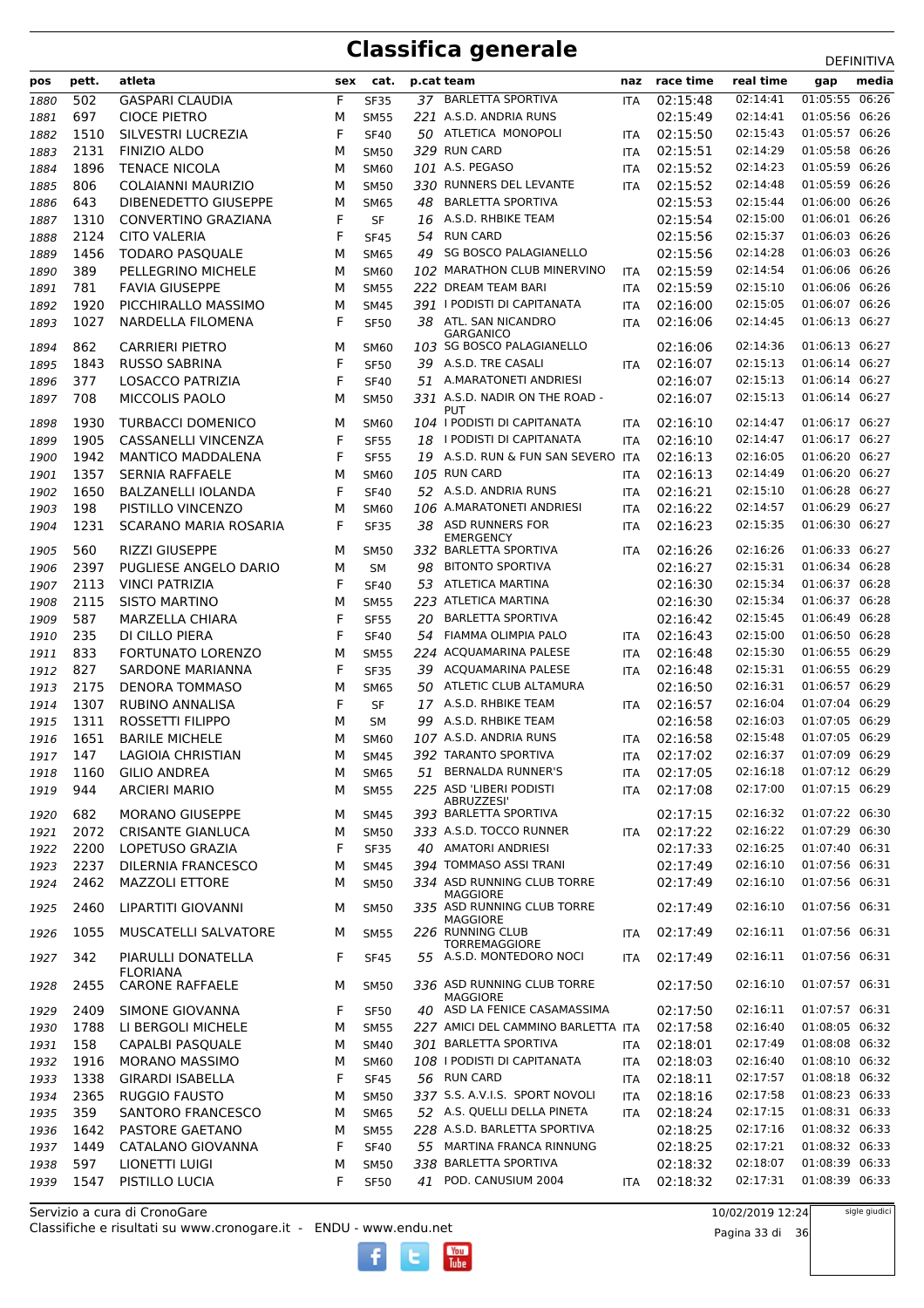| pos  | pett.       | atleta                      | sex    | cat.        |    | p.cat team                                    | naz        | race time            | real time            | -----------<br>media<br>gap      |
|------|-------------|-----------------------------|--------|-------------|----|-----------------------------------------------|------------|----------------------|----------------------|----------------------------------|
|      | 502         | <b>GASPARI CLAUDIA</b>      | F      |             |    | 37 BARLETTA SPORTIVA                          |            | 02:15:48             | 02:14:41             | 01:05:55 06:26                   |
| 1880 | 697         |                             |        | <b>SF35</b> |    | 221 A.S.D. ANDRIA RUNS                        | <b>ITA</b> | 02:15:49             | 02:14:41             | 01:05:56 06:26                   |
| 1881 |             | <b>CIOCE PIETRO</b>         | м      | <b>SM55</b> |    | 50 ATLETICA MONOPOLI                          |            |                      | 02:15:43             | 01:05:57 06:26                   |
| 1882 | 1510        | SILVESTRI LUCREZIA          | F      | <b>SF40</b> |    | 329 RUN CARD                                  | ITA        | 02:15:50             | 02:14:29             | 01:05:58 06:26                   |
| 1883 | 2131        | <b>FINIZIO ALDO</b>         | M      | <b>SM50</b> |    | 101 A.S. PEGASO                               | <b>ITA</b> | 02:15:51             | 02:14:23             | 01:05:59 06:26                   |
| 1884 | 1896<br>806 | <b>TENACE NICOLA</b>        | M      | <b>SM60</b> |    | 330 RUNNERS DEL LEVANTE                       | <b>ITA</b> | 02:15:52             | 02:14:48             | 01:05:59 06:26                   |
| 1885 | 643         | COLAIANNI MAURIZIO          | M      | <b>SM50</b> |    | <b>BARLETTA SPORTIVA</b>                      | ITA        | 02:15:52<br>02:15:53 | 02:15:44             | 01:06:00 06:26                   |
| 1886 |             | DIBENEDETTO GIUSEPPE        | М<br>F | <b>SM65</b> | 48 | 16 A.S.D. RHBIKE TEAM                         |            | 02:15:54             |                      | 01:06:01 06:26                   |
| 1887 | 1310        | CONVERTINO GRAZIANA         |        | <b>SF</b>   |    | <b>RUN CARD</b>                               |            |                      | 02:15:00<br>02:15:37 | 01:06:03 06:26                   |
| 1888 | 2124        | <b>CITO VALERIA</b>         | F      | <b>SF45</b> | 54 | <b>SG BOSCO PALAGIANELLO</b>                  |            | 02:15:56<br>02:15:56 | 02:14:28             | 01:06:03 06:26                   |
| 1889 | 1456        | <b>TODARO PASQUALE</b>      | M      | <b>SM65</b> | 49 |                                               |            |                      |                      | 01:06:06 06:26                   |
| 1890 | 389         | PELLEGRINO MICHELE          | M      | <b>SM60</b> |    | 102 MARATHON CLUB MINERVINO                   | <b>ITA</b> | 02:15:59             | 02:14:54             |                                  |
| 1891 | 781         | <b>FAVIA GIUSEPPE</b>       | M      | <b>SM55</b> |    | 222 DREAM TEAM BARI                           | ITA        | 02:15:59             | 02:15:10             | 01:06:06 06:26                   |
| 1892 | 1920        | PICCHIRALLO MASSIMO         | M      | <b>SM45</b> |    | 391 I PODISTI DI CAPITANATA                   | <b>ITA</b> | 02:16:00             | 02:15:05             | 01:06:07 06:26                   |
| 1893 | 1027        | NARDELLA FILOMENA           | F      | <b>SF50</b> |    | 38 ATL. SAN NICANDRO<br><b>GARGANICO</b>      | <b>ITA</b> | 02:16:06             | 02:14:45             | 01:06:13 06:27                   |
| 1894 | 862         | CARRIERI PIETRO             | M      | <b>SM60</b> |    | 103 SG BOSCO PALAGIANELLO                     |            | 02:16:06             | 02:14:36             | 01:06:13 06:27                   |
| 1895 | 1843        | <b>RUSSO SABRINA</b>        | F      | <b>SF50</b> |    | 39 A.S.D. TRE CASALI                          | <b>ITA</b> | 02:16:07             | 02:15:13             | 01:06:14 06:27                   |
| 1896 | 377         | <b>LOSACCO PATRIZIA</b>     | F      | <b>SF40</b> |    | 51 A.MARATONETI ANDRIESI                      |            | 02:16:07             | 02:15:13             | 01:06:14 06:27                   |
| 1897 | 708         | MICCOLIS PAOLO              | M      | <b>SM50</b> |    | 331 A.S.D. NADIR ON THE ROAD -                |            | 02:16:07             | 02:15:13             | 01:06:14 06:27                   |
|      |             |                             |        |             |    | <b>PUT</b>                                    |            |                      |                      | 01:06:17 06:27                   |
| 1898 | 1930        | <b>TURBACCI DOMENICO</b>    | M      | SM60        |    | 104   PODISTI DI CAPITANATA                   | <b>ITA</b> | 02:16:10             | 02:14:47             |                                  |
| 1899 | 1905        | CASSANELLI VINCENZA         | F      | <b>SF55</b> |    | 18 I PODISTI DI CAPITANATA                    | <b>ITA</b> | 02:16:10             | 02:14:47             | 01:06:17 06:27                   |
| 1900 | 1942        | <b>MANTICO MADDALENA</b>    | F      | <b>SF55</b> |    | 19 A.S.D. RUN & FUN SAN SEVERO                | <b>ITA</b> | 02:16:13             | 02:16:05             | 01:06:20 06:27                   |
| 1901 | 1357        | <b>SERNIA RAFFAELE</b>      | M      | <b>SM60</b> |    | 105 RUN CARD                                  | ITA        | 02:16:13             | 02:14:49             | 01:06:20 06:27                   |
| 1902 | 1650        | <b>BALZANELLI IOLANDA</b>   | F      | <b>SF40</b> |    | 52 A.S.D. ANDRIA RUNS                         | <b>ITA</b> | 02:16:21             | 02:15:10             | 01:06:28 06:27                   |
| 1903 | 198         | PISTILLO VINCENZO           | M      | <b>SM60</b> |    | 106 A.MARATONETI ANDRIESI                     | <b>ITA</b> | 02:16:22             | 02:14:57             | 01:06:29 06:27                   |
| 1904 | 1231        | SCARANO MARIA ROSARIA       | F      | <b>SF35</b> | 38 | ASD RUNNERS FOR<br><b>EMERGENCY</b>           | ITA        | 02:16:23             | 02:15:35             | 01:06:30 06:27                   |
| 1905 | 560         | RIZZI GIUSEPPE              | M      | <b>SM50</b> |    | 332 BARLETTA SPORTIVA                         | <b>ITA</b> | 02:16:26             | 02:16:26             | 01:06:33 06:27                   |
| 1906 | 2397        | PUGLIESE ANGELO DARIO       | М      | <b>SM</b>   | 98 | <b>BITONTO SPORTIVA</b>                       |            | 02:16:27             | 02:15:31             | 01:06:34 06:28                   |
| 1907 | 2113        | <b>VINCI PATRIZIA</b>       | F      | <b>SF40</b> |    | 53 ATLETICA MARTINA                           |            | 02:16:30             | 02:15:34             | 01:06:37 06:28                   |
| 1908 | 2115        | <b>SISTO MARTINO</b>        | M      | <b>SM55</b> |    | 223 ATLETICA MARTINA                          |            | 02:16:30             | 02:15:34             | 01:06:37 06:28                   |
| 1909 | 587         | <b>MARZELLA CHIARA</b>      | F      | <b>SF55</b> | 20 | <b>BARLETTA SPORTIVA</b>                      |            | 02:16:42             | 02:15:45             | 01:06:49 06:28                   |
| 1910 | 235         | DI CILLO PIERA              | F      | <b>SF40</b> |    | 54 FIAMMA OLIMPIA PALO                        | ITA        | 02:16:43             | 02:15:00             | 01:06:50 06:28                   |
| 1911 | 833         | FORTUNATO LORENZO           | M      | <b>SM55</b> |    | 224 ACQUAMARINA PALESE                        | <b>ITA</b> | 02:16:48             | 02:15:30             | 01:06:55 06:29                   |
| 1912 | 827         | SARDONE MARIANNA            | F      | <b>SF35</b> | 39 | ACQUAMARINA PALESE                            | ITA        | 02:16:48             | 02:15:31             | 01:06:55 06:29                   |
| 1913 | 2175        | <b>DENORA TOMMASO</b>       | М      | <b>SM65</b> | 50 | ATLETIC CLUB ALTAMURA                         |            | 02:16:50             | 02:16:31             | 01:06:57 06:29                   |
| 1914 | 1307        | <b>RUBINO ANNALISA</b>      | F      | SF          |    | 17 A.S.D. RHBIKE TEAM                         | <b>ITA</b> | 02:16:57             | 02:16:04             | 01:07:04 06:29                   |
| 1915 | 1311        | ROSSETTI FILIPPO            | M      | SΜ          | 99 | A.S.D. RHBIKE TEAM                            |            | 02:16:58             | 02:16:03             | 01:07:05 06:29                   |
| 1916 | 1651        | <b>BARILE MICHELE</b>       | M      | <b>SM60</b> |    | 107 A.S.D. ANDRIA RUNS                        | <b>ITA</b> | 02:16:58             | 02:15:48             | 01:07:05 06:29                   |
| 1917 | 147         | <b>LAGIOIA CHRISTIAN</b>    | М      | <b>SM45</b> |    | 392 TARANTO SPORTIVA                          | ITA        | 02:17:02             | 02:16:37             | 01:07:09 06:29                   |
| 1918 | 1160        | <b>GILIO ANDREA</b>         | M      | SM65        |    | 51 BERNALDA RUNNER'S                          | ITA        | 02:17:05             | 02:16:18             | 01:07:12 06:29                   |
| 1919 | 944         | <b>ARCIERI MARIO</b>        | м      | <b>SM55</b> |    | 225 ASD 'LIBERI PODISTI                       | <b>ITA</b> | 02:17:08             | 02:17:00             | 01:07:15 06:29                   |
|      |             |                             |        |             |    | ABRUZZESI'                                    |            |                      |                      |                                  |
| 1920 | 682         | <b>MORANO GIUSEPPE</b>      | М      | SM45        |    | 393 BARLETTA SPORTIVA                         |            | 02:17:15             | 02:16:32             | 01:07:22 06:30                   |
| 1921 | 2072        | <b>CRISANTE GIANLUCA</b>    | М      | <b>SM50</b> |    | 333 A.S.D. TOCCO RUNNER                       | ITA        | 02:17:22             | 02:16:22             | 01:07:29 06:30                   |
| 1922 | 2200        | <b>LOPETUSO GRAZIA</b>      | F      | <b>SF35</b> |    | 40 AMATORI ANDRIESI<br>394 TOMMASO ASSI TRANI |            | 02:17:33             | 02:16:25             | 01:07:40 06:31<br>01:07:56 06:31 |
| 1923 | 2237        | DILERNIA FRANCESCO          | М      | <b>SM45</b> |    |                                               |            | 02:17:49             | 02:16:10             |                                  |
| 1924 | 2462        | <b>MAZZOLI ETTORE</b>       | M      | <b>SM50</b> |    | 334 ASD RUNNING CLUB TORRE<br><b>MAGGIORE</b> |            | 02:17:49             | 02:16:10             | 01:07:56 06:31                   |
| 1925 | 2460        | LIPARTITI GIOVANNI          | M      | SM50        |    | 335 ASD RUNNING CLUB TORRE                    |            | 02:17:49             | 02:16:10             | 01:07:56 06:31                   |
|      |             |                             |        |             |    | MAGGIORE<br>226 RUNNING CLUB                  |            |                      | 02:16:11             | 01:07:56 06:31                   |
| 1926 | 1055        | <b>MUSCATELLI SALVATORE</b> | М      | <b>SM55</b> |    | <b>TORREMAGGIORE</b>                          | <b>ITA</b> | 02:17:49             |                      |                                  |
| 1927 | 342         | PIARULLI DONATELLA          | F      | <b>SF45</b> |    | 55 A.S.D. MONTEDORO NOCI                      | <b>ITA</b> | 02:17:49             | 02:16:11             | 01:07:56 06:31                   |
|      |             | <b>FLORIANA</b>             |        |             |    |                                               |            |                      |                      |                                  |
| 1928 | 2455        | <b>CARONE RAFFAELE</b>      | м      | <b>SM50</b> |    | 336 ASD RUNNING CLUB TORRE<br><b>MAGGIORE</b> |            | 02:17:50             | 02:16:10             | 01:07:57 06:31                   |
| 1929 | 2409        | SIMONE GIOVANNA             | F      | <b>SF50</b> |    | 40 ASD LA FENICE CASAMASSIMA                  |            | 02:17:50             | 02:16:11             | 01:07:57 06:31                   |
| 1930 | 1788        | LI BERGOLI MICHELE          | М      | <b>SM55</b> |    | 227 AMICI DEL CAMMINO BARLETTA ITA            |            | 02:17:58             | 02:16:40             | 01:08:05 06:32                   |
| 1931 | 158         | CAPALBI PASQUALE            | M      | <b>SM40</b> |    | 301 BARLETTA SPORTIVA                         | <b>ITA</b> | 02:18:01             | 02:17:49             | 01:08:08 06:32                   |
| 1932 | 1916        | <b>MORANO MASSIMO</b>       | М      | <b>SM60</b> |    | 108   PODISTI DI CAPITANATA                   | <b>ITA</b> | 02:18:03             | 02:16:40             | 01:08:10 06:32                   |
| 1933 | 1338        | <b>GIRARDI ISABELLA</b>     | F      | <b>SF45</b> |    | 56 RUN CARD                                   | <b>ITA</b> | 02:18:11             | 02:17:57             | 01:08:18 06:32                   |
| 1934 | 2365        | <b>RUGGIO FAUSTO</b>        | М      | <b>SM50</b> |    | 337 S.S. A.V.I.S. SPORT NOVOLI                | <b>ITA</b> | 02:18:16             | 02:17:58             | 01:08:23 06:33                   |
| 1935 | 359         | SANTORO FRANCESCO           | М      | <b>SM65</b> |    | 52 A.S. QUELLI DELLA PINETA                   | ITA        | 02:18:24             | 02:17:15             | 01:08:31 06:33                   |
| 1936 | 1642        | PASTORE GAETANO             | М      | <b>SM55</b> |    | 228 A.S.D. BARLETTA SPORTIVA                  |            | 02:18:25             | 02:17:16             | 01:08:32 06:33                   |
| 1937 | 1449        | CATALANO GIOVANNA           | F      | <b>SF40</b> |    | 55 MARTINA FRANCA RINNUNG                     |            | 02:18:25             | 02:17:21             | 01:08:32 06:33                   |
| 1938 | 597         | LIONETTI LUIGI              | М      | <b>SM50</b> |    | 338 BARLETTA SPORTIVA                         |            | 02:18:32             | 02:18:07             | 01:08:39 06:33                   |
| 1939 | 1547        | PISTILLO LUCIA              | F      | <b>SF50</b> |    | 41 POD. CANUSIUM 2004                         | ITA        | 02:18:32             | 02:17:31             | 01:08:39 06:33                   |

 $\begin{bmatrix}\n\frac{\text{Vou}}{\text{Iube}}\n\end{bmatrix}$ 

Classifiche e risultati su www.cronogare.it - ENDU - www.endu.net Servizio a cura di CronoGare

10/02/2019 12:24

Pagina 33 di 36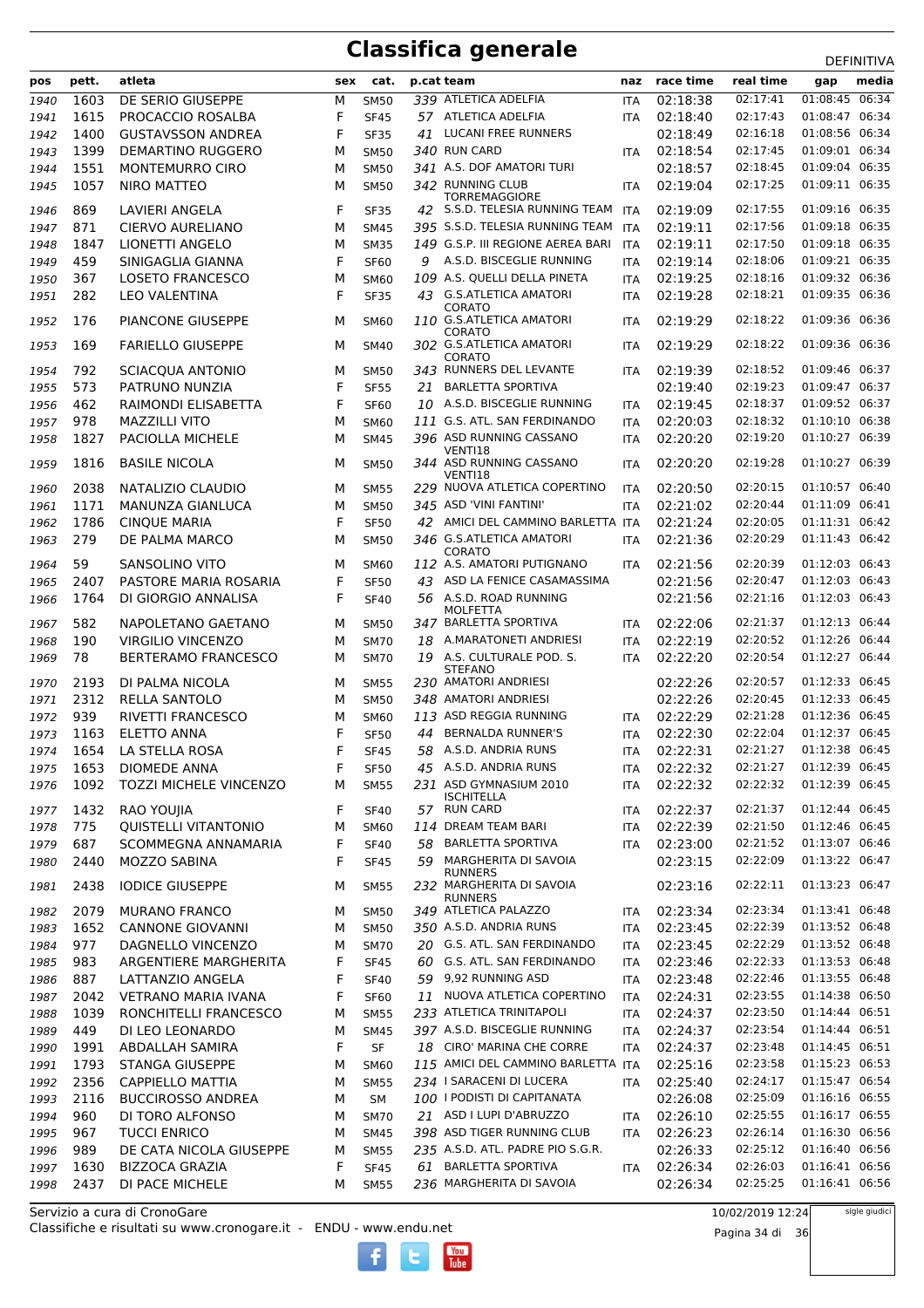|      |       |                               |     |             |    |                                           |            |           |           | <b>ת יוויווים</b> |
|------|-------|-------------------------------|-----|-------------|----|-------------------------------------------|------------|-----------|-----------|-------------------|
| pos  | pett. | atleta                        | sex | cat.        |    | p.cat team                                | naz        | race time | real time | media<br>gap      |
| 1940 | 1603  | DE SERIO GIUSEPPE             | М   | <b>SM50</b> |    | 339 ATLETICA ADELFIA                      | ITA        | 02:18:38  | 02:17:41  | 01:08:45<br>06:34 |
| 1941 | 1615  | PROCACCIO ROSALBA             | F   | <b>SF45</b> |    | 57 ATLETICA ADELFIA                       | <b>ITA</b> | 02:18:40  | 02:17:43  | 01:08:47 06:34    |
| 1942 | 1400  | <b>GUSTAVSSON ANDREA</b>      | F   | <b>SF35</b> | 41 | <b>LUCANI FREE RUNNERS</b>                |            | 02:18:49  | 02:16:18  | 01:08:56 06:34    |
| 1943 | 1399  | <b>DEMARTINO RUGGERO</b>      | м   | <b>SM50</b> |    | 340 RUN CARD                              | <b>ITA</b> | 02:18:54  | 02:17:45  | 01:09:01 06:34    |
| 1944 | 1551  | <b>MONTEMURRO CIRO</b>        | м   | <b>SM50</b> |    | 341 A.S. DOF AMATORI TURI                 |            | 02:18:57  | 02:18:45  | 01:09:04 06:35    |
| 1945 | 1057  | <b>NIRO MATTEO</b>            | м   | <b>SM50</b> |    | 342 RUNNING CLUB                          | ITA        | 02:19:04  | 02:17:25  | 01:09:11 06:35    |
|      |       |                               |     |             |    | <b>TORREMAGGIORE</b>                      |            |           |           |                   |
| 1946 | 869   | LAVIERI ANGELA                | F   | <b>SF35</b> |    | 42 S.S.D. TELESIA RUNNING TEAM            | <b>ITA</b> | 02:19:09  | 02:17:55  | 01:09:16 06:35    |
| 1947 | 871   | <b>CIERVO AURELIANO</b>       | M   | SM45        |    | 395 S.S.D. TELESIA RUNNING TEAM           | <b>ITA</b> | 02:19:11  | 02:17:56  | 01:09:18 06:35    |
| 1948 | 1847  | LIONETTI ANGELO               | M   | <b>SM35</b> |    | 149 G.S.P. III REGIONE AEREA BARI         | <b>ITA</b> | 02:19:11  | 02:17:50  | 01:09:18 06:35    |
| 1949 | 459   | SINIGAGLIA GIANNA             | F   | <b>SF60</b> | 9  | A.S.D. BISCEGLIE RUNNING                  | <b>ITA</b> | 02:19:14  | 02:18:06  | 01:09:21 06:35    |
| 1950 | 367   | <b>LOSETO FRANCESCO</b>       | M   | <b>SM60</b> |    | 109 A.S. QUELLI DELLA PINETA              | ITA        | 02:19:25  | 02:18:16  | 01:09:32 06:36    |
| 1951 | 282   | <b>LEO VALENTINA</b>          | F   | <b>SF35</b> |    | 43 G.S.ATLETICA AMATORI                   | <b>ITA</b> | 02:19:28  | 02:18:21  | 01:09:35 06:36    |
| 1952 | 176   | <b>PIANCONE GIUSEPPE</b>      | м   | SM60        |    | CORATO<br>110 G.S.ATLETICA AMATORI        | ITA        | 02:19:29  | 02:18:22  | 01:09:36 06:36    |
|      |       |                               |     |             |    | CORATO                                    |            |           |           |                   |
| 1953 | 169   | <b>FARIELLO GIUSEPPE</b>      | м   | <b>SM40</b> |    | 302 G.S.ATLETICA AMATORI                  | <b>ITA</b> | 02:19:29  | 02:18:22  | 01:09:36 06:36    |
|      |       |                               |     |             |    | <b>CORATO</b>                             |            |           | 02:18:52  | 01:09:46 06:37    |
| 1954 | 792   | SCIACQUA ANTONIO              | М   | <b>SM50</b> |    | 343 RUNNERS DEL LEVANTE                   | <b>ITA</b> | 02:19:39  |           |                   |
| 1955 | 573   | PATRUNO NUNZIA                | F   | <b>SF55</b> | 21 | <b>BARLETTA SPORTIVA</b>                  |            | 02:19:40  | 02:19:23  | 01:09:47 06:37    |
| 1956 | 462   | RAIMONDI ELISABETTA           | F   | <b>SF60</b> |    | 10 A.S.D. BISCEGLIE RUNNING               | ITA        | 02:19:45  | 02:18:37  | 01:09:52 06:37    |
| 1957 | 978   | <b>MAZZILLI VITO</b>          | м   | <b>SM60</b> |    | 111 G.S. ATL. SAN FERDINANDO              | <b>ITA</b> | 02:20:03  | 02:18:32  | 01:10:10 06:38    |
| 1958 | 1827  | PACIOLLA MICHELE              | м   | <b>SM45</b> |    | 396 ASD RUNNING CASSANO                   | <b>ITA</b> | 02:20:20  | 02:19:20  | 01:10:27 06:39    |
| 1959 | 1816  | <b>BASILE NICOLA</b>          | м   | <b>SM50</b> |    | VENTI18<br>344 ASD RUNNING CASSANO        | <b>ITA</b> | 02:20:20  | 02:19:28  | 01:10:27 06:39    |
|      |       |                               |     |             |    | VENTI18                                   |            |           |           |                   |
| 1960 | 2038  | NATALIZIO CLAUDIO             | м   | <b>SM55</b> |    | 229 NUOVA ATLETICA COPERTINO              | <b>ITA</b> | 02:20:50  | 02:20:15  | 01:10:57 06:40    |
| 1961 | 1171  | MANUNZA GIANLUCA              | M   | <b>SM50</b> |    | 345 ASD 'VINI FANTINI'                    | <b>ITA</b> | 02:21:02  | 02:20:44  | 01:11:09 06:41    |
| 1962 | 1786  | <b>CINQUE MARIA</b>           | F   | <b>SF50</b> |    | 42 AMICI DEL CAMMINO BARLETTA ITA         |            | 02:21:24  | 02:20:05  | 01:11:31 06:42    |
| 1963 | 279   | DE PALMA MARCO                | м   | <b>SM50</b> |    | 346 G.S.ATLETICA AMATORI                  | ITA        | 02:21:36  | 02:20:29  | 01:11:43 06:42    |
|      |       |                               |     |             |    | CORATO                                    |            |           |           |                   |
| 1964 | 59    | SANSOLINO VITO                | м   | <b>SM60</b> |    | 112 A.S. AMATORI PUTIGNANO                | <b>ITA</b> | 02:21:56  | 02:20:39  | 01:12:03 06:43    |
| 1965 | 2407  | PASTORE MARIA ROSARIA         | F   | <b>SF50</b> |    | 43 ASD LA FENICE CASAMASSIMA              |            | 02:21:56  | 02:20:47  | 01:12:03 06:43    |
| 1966 | 1764  | DI GIORGIO ANNALISA           | F   | <b>SF40</b> |    | 56 A.S.D. ROAD RUNNING<br><b>MOLFETTA</b> |            | 02:21:56  | 02:21:16  | 01:12:03 06:43    |
| 1967 | 582   | NAPOLETANO GAETANO            | м   | SM50        |    | 347 BARLETTA SPORTIVA                     | ITA        | 02:22:06  | 02:21:37  | 01:12:13 06:44    |
| 1968 | 190   | <b>VIRGILIO VINCENZO</b>      | М   | <b>SM70</b> |    | 18 A.MARATONETI ANDRIESI                  | <b>ITA</b> | 02:22:19  | 02:20:52  | 01:12:26 06:44    |
| 1969 | 78    | <b>BERTERAMO FRANCESCO</b>    | м   | <b>SM70</b> |    | 19 A.S. CULTURALE POD. S.                 | <b>ITA</b> | 02:22:20  | 02:20:54  | 01:12:27 06:44    |
|      |       |                               |     |             |    | <b>STEFANO</b>                            |            |           |           |                   |
| 1970 | 2193  | DI PALMA NICOLA               | м   | <b>SM55</b> |    | 230 AMATORI ANDRIESI                      |            | 02:22:26  | 02:20:57  | 01:12:33 06:45    |
| 1971 | 2312  | <b>RELLA SANTOLO</b>          | м   | <b>SM50</b> |    | 348 AMATORI ANDRIESI                      |            | 02:22:26  | 02:20:45  | 01:12:33 06:45    |
| 1972 | 939   | <b>RIVETTI FRANCESCO</b>      | м   | <b>SM60</b> |    | 113 ASD REGGIA RUNNING                    | ITA        | 02:22:29  | 02:21:28  | 01:12:36 06:45    |
| 1973 | 1163  | <b>ELETTO ANNA</b>            | F   | <b>SF50</b> | 44 | <b>BERNALDA RUNNER'S</b>                  | <b>ITA</b> | 02:22:30  | 02:22:04  | 01:12:37 06:45    |
| 1974 | 1654  | LA STELLA ROSA                | F   | <b>SF45</b> |    | 58 A.S.D. ANDRIA RUNS                     | <b>ITA</b> | 02:22:31  | 02:21:27  | 01:12:38 06:45    |
| 1975 | 1653  | <b>DIOMEDE ANNA</b>           | F   | <b>SF50</b> |    | 45 A.S.D. ANDRIA RUNS                     | ITA        | 02:22:32  | 02:21:27  | 01:12:39 06:45    |
| 1976 | 1092  | <b>TOZZI MICHELE VINCENZO</b> | М   | <b>SM55</b> |    | 231 ASD GYMNASIUM 2010                    | ITA        | 02:22:32  | 02:22:32  | 01:12:39 06:45    |
|      |       |                               |     |             |    | <b>ISCHITELLA</b>                         |            |           |           |                   |
| 1977 | 1432  | RAO YOUJIA                    | F   | <b>SF40</b> |    | 57 RUN CARD                               | <b>ITA</b> | 02:22:37  | 02:21:37  | 01:12:44 06:45    |
| 1978 | 775   | <b>QUISTELLI VITANTONIO</b>   | М   | <b>SM60</b> |    | 114 DREAM TEAM BARI                       | ITA        | 02:22:39  | 02:21:50  | 01:12:46 06:45    |
| 1979 | 687   | <b>SCOMMEGNA ANNAMARIA</b>    | F   | <b>SF40</b> |    | 58 BARLETTA SPORTIVA                      | <b>ITA</b> | 02:23:00  | 02:21:52  | 01:13:07 06:46    |
| 1980 | 2440  | MOZZO SABINA                  | F   | <b>SF45</b> | 59 | MARGHERITA DI SAVOIA                      |            | 02:23:15  | 02:22:09  | 01:13:22 06:47    |
| 1981 | 2438  | <b>IODICE GIUSEPPE</b>        | м   | <b>SM55</b> |    | RUNNERS<br>232 MARGHERITA DI SAVOIA       |            | 02:23:16  | 02:22:11  | 01:13:23 06:47    |
|      |       |                               |     |             |    | <b>RUNNERS</b>                            |            |           |           |                   |
| 1982 | 2079  | <b>MURANO FRANCO</b>          | м   | <b>SM50</b> |    | 349 ATLETICA PALAZZO                      | <b>ITA</b> | 02:23:34  | 02:23:34  | 01:13:41 06:48    |
| 1983 | 1652  | <b>CANNONE GIOVANNI</b>       | М   | <b>SM50</b> |    | 350 A.S.D. ANDRIA RUNS                    | ITA        | 02:23:45  | 02:22:39  | 01:13:52 06:48    |
| 1984 | 977   | DAGNELLO VINCENZO             | М   | <b>SM70</b> |    | 20 G.S. ATL. SAN FERDINANDO               | <b>ITA</b> | 02:23:45  | 02:22:29  | 01:13:52 06:48    |
| 1985 | 983   | ARGENTIERE MARGHERITA         | F   | <b>SF45</b> |    | 60 G.S. ATL. SAN FERDINANDO               | <b>ITA</b> | 02:23:46  | 02:22:33  | 01:13:53 06:48    |
| 1986 | 887   | LATTANZIO ANGELA              | F   | <b>SF40</b> |    | 59 9,92 RUNNING ASD                       | ITA        | 02:23:48  | 02:22:46  | 01:13:55 06:48    |
| 1987 | 2042  | <b>VETRANO MARIA IVANA</b>    | F   | <b>SF60</b> |    | 11 NUOVA ATLETICA COPERTINO               | <b>ITA</b> | 02:24:31  | 02:23:55  | 01:14:38 06:50    |
| 1988 | 1039  | RONCHITELLI FRANCESCO         | м   | <b>SM55</b> |    | 233 ATLETICA TRINITAPOLI                  | ITA        | 02:24:37  | 02:23:50  | 01:14:44 06:51    |
| 1989 | 449   | DI LEO LEONARDO               | М   | <b>SM45</b> |    | 397 A.S.D. BISCEGLIE RUNNING              | <b>ITA</b> | 02:24:37  | 02:23:54  | 01:14:44 06:51    |
| 1990 | 1991  | <b>ABDALLAH SAMIRA</b>        | F   | SF          |    | 18 CIRO' MARINA CHE CORRE                 | <b>ITA</b> | 02:24:37  | 02:23:48  | 01:14:45 06:51    |
| 1991 | 1793  | <b>STANGA GIUSEPPE</b>        | М   | <b>SM60</b> |    | 115 AMICI DEL CAMMINO BARLETTA ITA        |            | 02:25:16  | 02:23:58  | 01:15:23 06:53    |
| 1992 | 2356  | <b>CAPPIELLO MATTIA</b>       | М   | <b>SM55</b> |    | 234 I SARACENI DI LUCERA                  | <b>ITA</b> | 02:25:40  | 02:24:17  | 01:15:47 06:54    |
|      | 2116  | <b>BUCCIROSSO ANDREA</b>      | М   | SM          |    | 100 I PODISTI DI CAPITANATA               |            | 02:26:08  | 02:25:09  | 01:16:16 06:55    |
| 1993 |       |                               |     |             |    | 21 ASD I LUPI D'ABRUZZO                   |            |           | 02:25:55  | 01:16:17 06:55    |
| 1994 | 960   | DI TORO ALFONSO               | М   | <b>SM70</b> |    |                                           | <b>ITA</b> | 02:26:10  |           |                   |
| 1995 | 967   | <b>TUCCI ENRICO</b>           | м   | <b>SM45</b> |    | 398 ASD TIGER RUNNING CLUB                | ITA        | 02:26:23  | 02:26:14  | 01:16:30 06:56    |
| 1996 | 989   | DE CATA NICOLA GIUSEPPE       | м   | <b>SM55</b> |    | 235 A.S.D. ATL. PADRE PIO S.G.R.          |            | 02:26:33  | 02:25:12  | 01:16:40 06:56    |
| 1997 | 1630  | <b>BIZZOCA GRAZIA</b>         | F   | <b>SF45</b> |    | 61 BARLETTA SPORTIVA                      | <b>ITA</b> | 02:26:34  | 02:26:03  | 01:16:41 06:56    |
| 1998 | 2437  | DI PACE MICHELE               | м   | <b>SM55</b> |    | 236 MARGHERITA DI SAVOIA                  |            | 02:26:34  | 02:25:25  | 01:16:41 06:56    |

 $\begin{bmatrix} \frac{\text{Vou}}{\text{Iube}} \end{bmatrix}$ 

Classifiche e risultati su www.cronogare.it - ENDU - www.endu.net Servizio a cura di CronoGare

10/02/2019 12:24

Pagina 34 di 36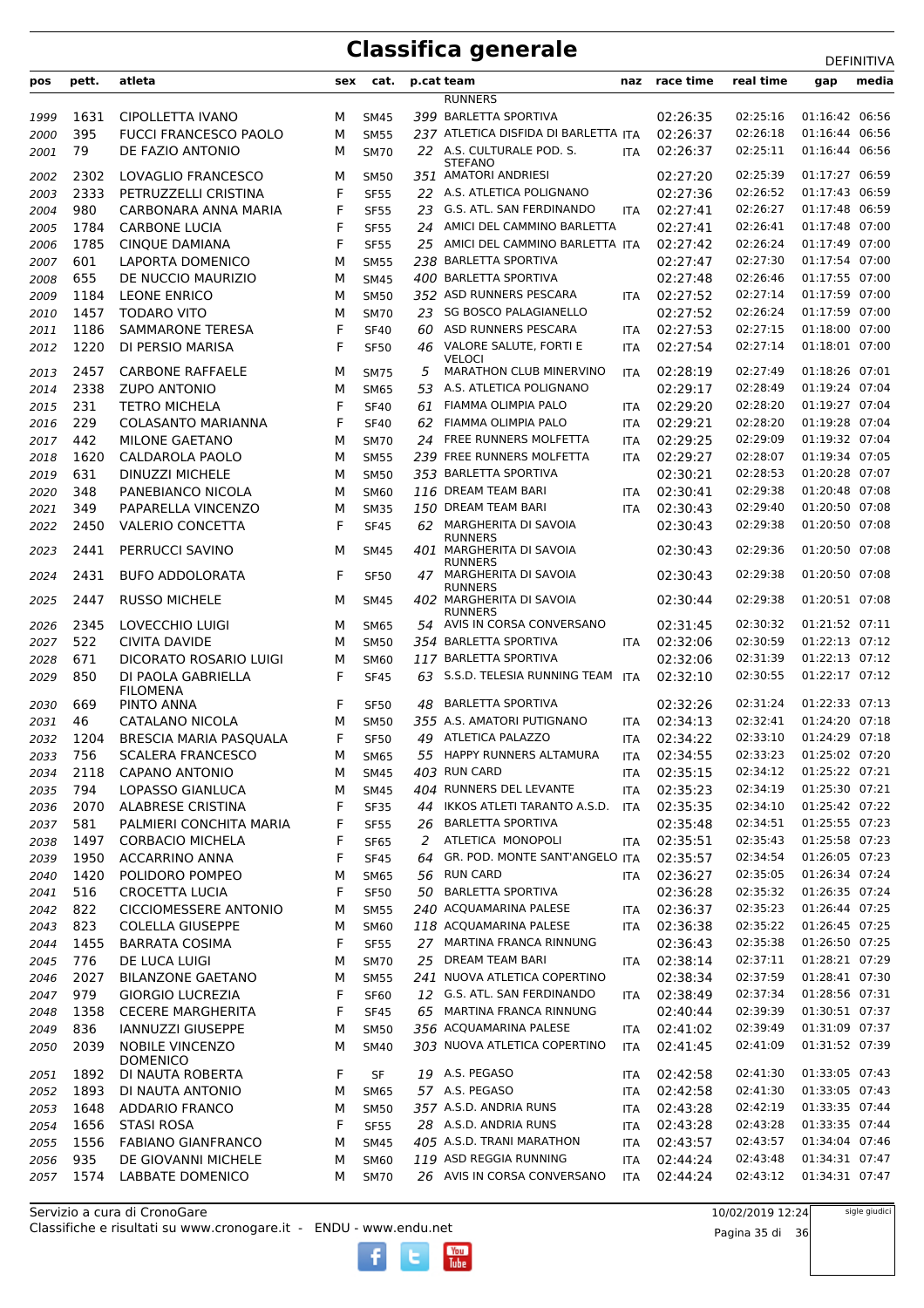**pos pett. atleta sex cat. p.cat team naz race time real time gap media RUNNERS**  1631 CIPOLLETTA IVANO M SM45 *399* BARLETTA SPORTIVA 02:26:35 02:25:16 01:16:42 06:56 395 FUCCI FRANCESCO PAOLO M SM55 *237* ATLETICA DISFIDA DI BARLETTA ITA 02:26:37 02:26:18 01:16:44 06:56 DE FAZIO ANTONIO M SM70 A.S. CULTURALE POD. S. *22* ITA 02:26:37 02:25:11 01:16:44 06:56 STEFANO<br>AMATORI ANDRIESI 2302 LOVAGLIO FRANCESCO M SM50 *351* AMATORI ANDRIESI 02:27:20 02:25:39 01:17:27 06:59 2333 PETRUZZELLI CRISTINA F SF55 *22* A.S. ATLETICA POLIGNANO 02:27:36 02:26:52 01:17:43 06:59 980 CARBONARA ANNA MARIA F SF55 *23* G.S. ATL. SAN FERDINANDO ITA 02:27:41 02:26:27 01:17:48 06:59 1784 CARBONE LUCIA F SF55 *24* AMICI DEL CAMMINO BARLETTA 02:27:41 02:26:41 01:17:48 07:00 1785 CINQUE DAMIANA F SF55 *25* AMICI DEL CAMMINO BARLETTA ITA 02:27:42 02:26:24 01:17:49 07:00 601 LAPORTA DOMENICO M SM55 *238* BARLETTA SPORTIVA 02:27:47 02:27:30 01:17:54 07:00 655 DE NUCCIO MAURIZIO M SM45 *400* BARLETTA SPORTIVA 02:27:48 02:26:46 01:17:55 07:00 1184 LEONE ENRICO M SM50 *352* ASD RUNNERS PESCARA ITA 02:27:52 02:27:14 01:17:59 07:00 1457 TODARO VITO M SM70 *23* SG BOSCO PALAGIANELLO 02:27:52 02:26:24 01:17:59 07:00 1186 SAMMARONE TERESA F SF40 *60* ASD RUNNERS PESCARA ITA 02:27:53 02:27:15 01:18:00 07:00 DI PERSIO MARISA F SF50 VALORE SALUTE, FORTI E *46* ITA 02:27:54 02:27:14 01:18:01 07:00 VELOCI 2457 CARBONE RAFFAELE M SM75 *5* MARATHON CLUB MINERVINO ITA 02:28:19 02:27:49 01:18:26 07:01 2338 ZUPO ANTONIO M SM65 *53* A.S. ATLETICA POLIGNANO 02:29:17 02:28:49 01:19:24 07:04 231 TETRO MICHELA F SF40 *61* FIAMMA OLIMPIA PALO ITA 02:29:20 02:28:20 01:19:27 07:04 229 COLASANTO MARIANNA F SF40 *62* FIAMMA OLIMPIA PALO ITA 02:29:21 02:28:20 01:19:28 07:04 442 MILONE GAETANO M SM70 *24* FREE RUNNERS MOLFETTA ITA 02:29:25 02:29:09 01:19:32 07:04 1620 CALDAROLA PAOLO M SM55 *239* FREE RUNNERS MOLFETTA ITA 02:29:27 02:28:07 01:19:34 07:05 631 DINUZZI MICHELE M SM50 *353* BARLETTA SPORTIVA 02:30:21 02:28:53 01:20:28 07:07 348 PANEBIANCO NICOLA M SM60 *116* DREAM TEAM BARI ITA 02:30:41 02:29:38 01:20:48 07:08 349 PAPARELLA VINCENZO M SM35 *150* DREAM TEAM BARI ITA 02:30:43 02:29:40 01:20:50 07:08 VALERIO CONCETTA F SF45 MARGHERITA DI SAVOIA *62* 02:30:43 02:29:38 01:20:50 07:08 RUNNERS 2441 PERRUCCI SAVINO M SM45 401 MARGHERITA DI SAVOIA RUNNERS *401* 02:30:43 02:29:36 01:20:50 07:08 BUFO ADDOLORATA F SF50 MARGHERITA DI SAVOIA *47* 02:30:43 02:29:38 01:20:50 07:08 RUNNERS RUSSO MICHELE M SM45 MARGHERITA DI SAVOIA *402* 02:30:44 02:29:38 01:20:51 07:08 RUNNERS 2345 LOVECCHIO LUIGI M SM65 *54* AVIS IN CORSA CONVERSANO 02:31:45 02:30:32 01:21:52 07:11 522 CIVITA DAVIDE M SM50 *354* BARLETTA SPORTIVA ITA 02:32:06 02:30:59 01:22:13 07:12 671 DICORATO ROSARIO LUIGI M SM60 *117* BARLETTA SPORTIVA 02:32:06 02:31:39 01:22:13 07:12 DI PAOLA GABRIELLA FILOMENA<br>PINTO ANNA F SF45 *63* S.S.D. TELESIA RUNNING TEAM ITA 02:32:10 02:30:55 01:22:17 07:12 669 PINTO ANNA F SF50 *48* BARLETTA SPORTIVA 02:32:26 02:31:24 01:22:33 07:13 46 CATALANO NICOLA M SM50 *355* A.S. AMATORI PUTIGNANO ITA 02:34:13 02:32:41 01:24:20 07:18 1204 BRESCIA MARIA PASQUALA F SF50 *49* ATLETICA PALAZZO ITA 02:34:22 02:33:10 01:24:29 07:18 756 SCALERA FRANCESCO M SM65 *55* HAPPY RUNNERS ALTAMURA ITA 02:34:55 02:33:23 01:25:02 07:20 2118 CAPANO ANTONIO M SM45 *403* RUN CARD ITA 02:35:15 02:34:12 01:25:22 07:21 794 LOPASSO GIANLUCA M SM45 *404* RUNNERS DEL LEVANTE ITA 02:35:23 02:34:19 01:25:30 07:21 2070 ALABRESE CRISTINA F SF35 *44* IKKOS ATLETI TARANTO A.S.D. ITA 02:35:35 02:34:10 01:25:42 07:22 581 PALMIERI CONCHITA MARIA F SF55 *26* BARLETTA SPORTIVA 02:35:48 02:34:51 01:25:55 07:23 1497 CORBACIO MICHELA F SF65 *2* ATLETICA MONOPOLI ITA 02:35:51 02:35:43 01:25:58 07:23 1950 ACCARRINO ANNA F SF45 *64* GR. POD. MONTE SANT'ANGELO ITA 02:35:57 02:34:54 01:26:05 07:23 1420 POLIDORO POMPEO M SM65 *56* RUN CARD ITA 02:36:27 02:35:05 01:26:34 07:24 516 CROCETTA LUCIA F SF50 *50* BARLETTA SPORTIVA 02:36:28 02:35:32 01:26:35 07:24 822 CICCIOMESSERE ANTONIO M SM55 *240* ACQUAMARINA PALESE ITA 02:36:37 02:35:23 01:26:44 07:25 823 COLELLA GIUSEPPE M SM60 *118* ACQUAMARINA PALESE ITA 02:36:38 02:35:22 01:26:45 07:25 1455 BARRATA COSIMA F SF55 *27* MARTINA FRANCA RINNUNG 02:36:43 02:35:38 01:26:50 07:25 776 DE LUCA LUIGI M SM70 *25* DREAM TEAM BARI ITA 02:38:14 02:37:11 01:28:21 07:29 2027 BILANZONE GAETANO M SM55 *241* NUOVA ATLETICA COPERTINO 02:38:34 02:37:59 01:28:41 07:30 979 GIORGIO LUCREZIA F SF60 *12* G.S. ATL. SAN FERDINANDO ITA 02:38:49 02:37:34 01:28:56 07:31 1358 CECERE MARGHERITA F SF45 *65* MARTINA FRANCA RINNUNG 02:40:44 02:39:39 01:30:51 07:37 836 IANNUZZI GIUSEPPE M SM50 *356* ACQUAMARINA PALESE ITA 02:41:02 02:39:49 01:31:09 07:37 NOBILE VINCENZO **DOMENICO**  M SM40 *303* NUOVA ATLETICA COPERTINO ITA 02:41:45 02:41:09 01:31:52 07:39 1892 DI NAUTA ROBERTA F SF *19* A.S. PEGASO ITA 02:42:58 02:41:30 01:33:05 07:43 1893 DI NAUTA ANTONIO M SM65 *57* A.S. PEGASO ITA 02:42:58 02:41:30 01:33:05 07:43 1648 ADDARIO FRANCO M SM50 *357* A.S.D. ANDRIA RUNS ITA 02:43:28 02:42:19 01:33:35 07:44 1656 STASI ROSA F SF55 *28* A.S.D. ANDRIA RUNS ITA 02:43:28 02:43:28 01:33:35 07:44 1556 FABIANO GIANFRANCO M SM45 *405* A.S.D. TRANI MARATHON ITA 02:43:57 02:43:57 01:34:04 07:46 935 DE GIOVANNI MICHELE M SM60 *119* ASD REGGIA RUNNING ITA 02:44:24 02:43:48 01:34:31 07:47 1574 LABBATE DOMENICO M SM70 *26* AVIS IN CORSA CONVERSANO ITA 02:44:24 02:43:12 01:34:31 07:47

Classifiche e risultati su www.cronogare.it - ENDU - www.endu.net Servizio a cura di CronoGare

10/02/2019 12:24

Pagina 35 di 36